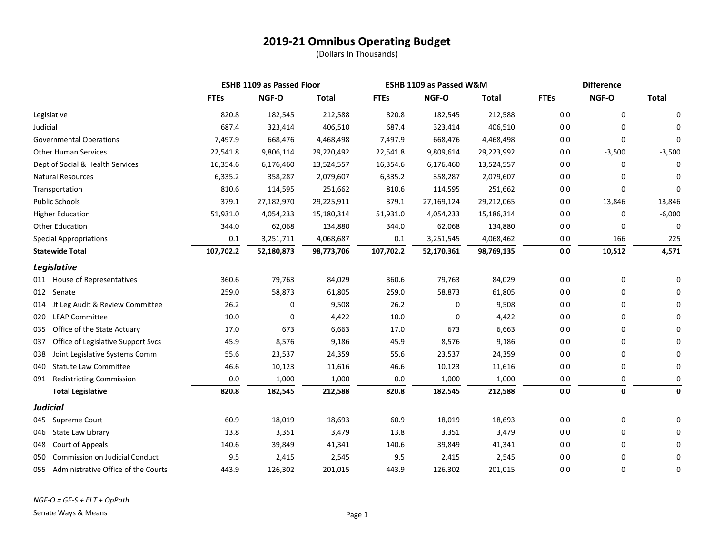|                                              |             | <b>ESHB 1109 as Passed Floor</b> |              | ESHB 1109 as Passed W&M |            |              | <b>Difference</b> |              |              |
|----------------------------------------------|-------------|----------------------------------|--------------|-------------------------|------------|--------------|-------------------|--------------|--------------|
|                                              | <b>FTEs</b> | NGF-O                            | <b>Total</b> | <b>FTEs</b>             | NGF-O      | <b>Total</b> | <b>FTEs</b>       | NGF-O        | <b>Total</b> |
| Legislative                                  | 820.8       | 182,545                          | 212,588      | 820.8                   | 182,545    | 212,588      | 0.0               | 0            | 0            |
| Judicial                                     | 687.4       | 323,414                          | 406,510      | 687.4                   | 323,414    | 406,510      | 0.0               | 0            | $\Omega$     |
| <b>Governmental Operations</b>               | 7,497.9     | 668,476                          | 4,468,498    | 7,497.9                 | 668,476    | 4,468,498    | 0.0               | 0            | $\Omega$     |
| <b>Other Human Services</b>                  | 22,541.8    | 9,806,114                        | 29,220,492   | 22,541.8                | 9,809,614  | 29,223,992   | 0.0               | $-3,500$     | $-3,500$     |
| Dept of Social & Health Services             | 16,354.6    | 6,176,460                        | 13,524,557   | 16,354.6                | 6,176,460  | 13,524,557   | 0.0               | 0            | 0            |
| <b>Natural Resources</b>                     | 6,335.2     | 358,287                          | 2,079,607    | 6,335.2                 | 358,287    | 2,079,607    | 0.0               |              | 0            |
| Transportation                               | 810.6       | 114,595                          | 251,662      | 810.6                   | 114,595    | 251,662      | 0.0               | $\Omega$     | 0            |
| <b>Public Schools</b>                        | 379.1       | 27,182,970                       | 29,225,911   | 379.1                   | 27,169,124 | 29,212,065   | 0.0               | 13,846       | 13,846       |
| <b>Higher Education</b>                      | 51,931.0    | 4,054,233                        | 15,180,314   | 51,931.0                | 4,054,233  | 15,186,314   | 0.0               | 0            | $-6,000$     |
| <b>Other Education</b>                       | 344.0       | 62,068                           | 134,880      | 344.0                   | 62,068     | 134,880      | 0.0               | 0            | 0            |
| <b>Special Appropriations</b>                | 0.1         | 3,251,711                        | 4,068,687    | 0.1                     | 3,251,545  | 4,068,462    | 0.0               | 166          | 225          |
| <b>Statewide Total</b>                       | 107,702.2   | 52,180,873                       | 98,773,706   | 107,702.2               | 52,170,361 | 98,769,135   | $0.0\,$           | 10,512       | 4,571        |
| Legislative                                  |             |                                  |              |                         |            |              |                   |              |              |
| 011 House of Representatives                 | 360.6       | 79,763                           | 84,029       | 360.6                   | 79,763     | 84,029       | 0.0               | 0            | 0            |
| 012 Senate                                   | 259.0       | 58,873                           | 61,805       | 259.0                   | 58,873     | 61,805       | 0.0               | 0            | $\Omega$     |
| Jt Leg Audit & Review Committee<br>014       | 26.2        | 0                                | 9,508        | 26.2                    | 0          | 9,508        | 0.0               | 0            | $\Omega$     |
| <b>LEAP Committee</b><br>020                 | 10.0        | 0                                | 4,422        | 10.0                    | 0          | 4,422        | 0.0               | 0            | $\Omega$     |
| Office of the State Actuary<br>035           | 17.0        | 673                              | 6,663        | 17.0                    | 673        | 6,663        | 0.0               | 0            | $\Omega$     |
| Office of Legislative Support Svcs<br>037    | 45.9        | 8,576                            | 9,186        | 45.9                    | 8,576      | 9,186        | 0.0               | <sup>0</sup> | $\Omega$     |
| Joint Legislative Systems Comm<br>038        | 55.6        | 23,537                           | 24,359       | 55.6                    | 23,537     | 24,359       | 0.0               | 0            | 0            |
| <b>Statute Law Committee</b><br>040          | 46.6        | 10,123                           | 11,616       | 46.6                    | 10,123     | 11,616       | 0.0               | 0            | 0            |
| <b>Redistricting Commission</b><br>091       | 0.0         | 1,000                            | 1,000        | $0.0\,$                 | 1,000      | 1,000        | 0.0               | 0            | 0            |
| <b>Total Legislative</b>                     | 820.8       | 182,545                          | 212,588      | 820.8                   | 182,545    | 212,588      | $0.0\,$           | $\mathbf 0$  | 0            |
| <b>Judicial</b>                              |             |                                  |              |                         |            |              |                   |              |              |
| Supreme Court<br>045                         | 60.9        | 18,019                           | 18,693       | 60.9                    | 18,019     | 18,693       | 0.0               | 0            | 0            |
| State Law Library<br>046                     | 13.8        | 3,351                            | 3,479        | 13.8                    | 3,351      | 3,479        | 0.0               | 0            | $\Omega$     |
| Court of Appeals<br>048                      | 140.6       | 39,849                           | 41,341       | 140.6                   | 39,849     | 41,341       | 0.0               | 0            | $\Omega$     |
| <b>Commission on Judicial Conduct</b><br>050 | 9.5         | 2,415                            | 2,545        | 9.5                     | 2,415      | 2,545        | 0.0               | 0            | 0            |
| Administrative Office of the Courts<br>055   | 443.9       | 126,302                          | 201,015      | 443.9                   | 126,302    | 201,015      | 0.0               | 0            | 0            |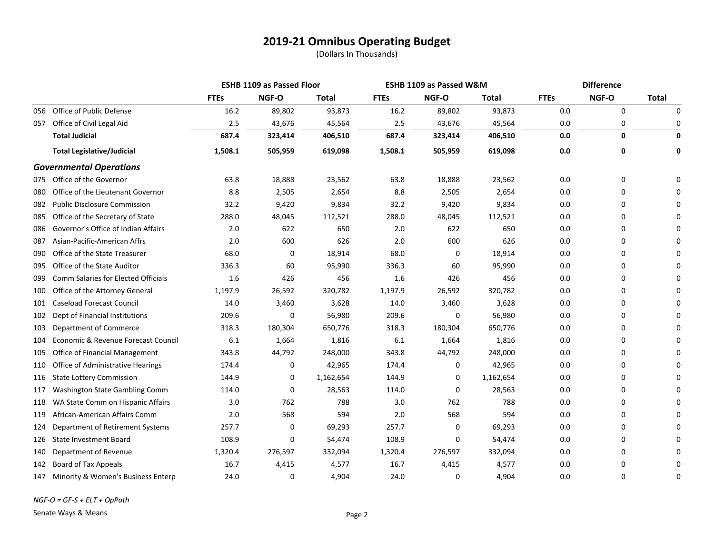|     |                                     |             | <b>ESHB 1109 as Passed Floor</b> |           |             | ESHB 1109 as Passed W&M |           | <b>Difference</b> |              |              |
|-----|-------------------------------------|-------------|----------------------------------|-----------|-------------|-------------------------|-----------|-------------------|--------------|--------------|
|     |                                     | <b>FTEs</b> | NGF-O                            | Total     | <b>FTEs</b> | NGF-O                   | Total     | <b>FTEs</b>       | NGF-O        | <b>Total</b> |
| 056 | Office of Public Defense            | 16.2        | 89,802                           | 93,873    | 16.2        | 89,802                  | 93,873    | 0.0               | 0            | 0            |
| 057 | Office of Civil Legal Aid           | 2.5         | 43,676                           | 45,564    | 2.5         | 43,676                  | 45,564    | 0.0               | 0            | 0            |
|     | <b>Total Judicial</b>               | 687.4       | 323,414                          | 406,510   | 687.4       | 323,414                 | 406,510   | 0.0               | $\mathbf{0}$ | 0            |
|     | <b>Total Legislative/Judicial</b>   | 1,508.1     | 505,959                          | 619,098   | 1,508.1     | 505,959                 | 619,098   | 0.0               | 0            | 0            |
|     | <b>Governmental Operations</b>      |             |                                  |           |             |                         |           |                   |              |              |
|     | 075 Office of the Governor          | 63.8        | 18,888                           | 23,562    | 63.8        | 18,888                  | 23,562    | 0.0               | $\Omega$     | 0            |
| 080 | Office of the Lieutenant Governor   | 8.8         | 2,505                            | 2,654     | 8.8         | 2,505                   | 2,654     | 0.0               | 0            |              |
| 082 | <b>Public Disclosure Commission</b> | 32.2        | 9,420                            | 9,834     | 32.2        | 9,420                   | 9,834     | 0.0               | $\Omega$     |              |
| 085 | Office of the Secretary of State    | 288.0       | 48,045                           | 112,521   | 288.0       | 48,045                  | 112,521   | 0.0               | $\Omega$     | U            |
| 086 | Governor's Office of Indian Affairs | 2.0         | 622                              | 650       | 2.0         | 622                     | 650       | 0.0               | 0            | U            |
| 087 | Asian-Pacific-American Affrs        | 2.0         | 600                              | 626       | 2.0         | 600                     | 626       | 0.0               | 0            |              |
| 090 | Office of the State Treasurer       | 68.0        | 0                                | 18,914    | 68.0        | 0                       | 18,914    | 0.0               | 0            |              |
| 095 | Office of the State Auditor         | 336.3       | 60                               | 95,990    | 336.3       | 60                      | 95,990    | 0.0               | 0            | n            |
| 099 | Comm Salaries for Elected Officials | 1.6         | 426                              | 456       | 1.6         | 426                     | 456       | 0.0               | 0            |              |
| 100 | Office of the Attorney General      | 1,197.9     | 26,592                           | 320,782   | 1,197.9     | 26,592                  | 320,782   | 0.0               | 0            |              |
| 101 | <b>Caseload Forecast Council</b>    | 14.0        | 3,460                            | 3,628     | 14.0        | 3,460                   | 3,628     | 0.0               | 0            | U            |
| 102 | Dept of Financial Institutions      | 209.6       | 0                                | 56,980    | 209.6       | 0                       | 56,980    | 0.0               | 0            |              |
| 103 | Department of Commerce              | 318.3       | 180,304                          | 650,776   | 318.3       | 180,304                 | 650,776   | 0.0               | 0            |              |
| 104 | Economic & Revenue Forecast Council | 6.1         | 1,664                            | 1,816     | 6.1         | 1,664                   | 1,816     | 0.0               | 0            |              |
| 105 | Office of Financial Management      | 343.8       | 44,792                           | 248,000   | 343.8       | 44,792                  | 248,000   | 0.0               | 0            |              |
| 110 | Office of Administrative Hearings   | 174.4       | 0                                | 42,965    | 174.4       | 0                       | 42,965    | 0.0               | $\Omega$     |              |
| 116 | <b>State Lottery Commission</b>     | 144.9       | 0                                | 1,162,654 | 144.9       | 0                       | 1,162,654 | 0.0               | 0            |              |
| 117 | Washington State Gambling Comm      | 114.0       | 0                                | 28,563    | 114.0       | 0                       | 28,563    | 0.0               | 0            | U            |
| 118 | WA State Comm on Hispanic Affairs   | 3.0         | 762                              | 788       | 3.0         | 762                     | 788       | 0.0               | 0            |              |
| 119 | African-American Affairs Comm       | 2.0         | 568                              | 594       | 2.0         | 568                     | 594       | 0.0               | 0            |              |
| 124 | Department of Retirement Systems    | 257.7       | 0                                | 69,293    | 257.7       | 0                       | 69,293    | 0.0               | 0            | n            |
| 126 | <b>State Investment Board</b>       | 108.9       | 0                                | 54,474    | 108.9       | 0                       | 54,474    | 0.0               | 0            |              |
| 140 | Department of Revenue               | 1,320.4     | 276,597                          | 332,094   | 1,320.4     | 276,597                 | 332,094   | 0.0               | $\Omega$     |              |
| 142 | <b>Board of Tax Appeals</b>         | 16.7        | 4,415                            | 4,577     | 16.7        | 4,415                   | 4,577     | 0.0               | 0            | 0            |
| 147 | Minority & Women's Business Enterp  | 24.0        | 0                                | 4,904     | 24.0        | 0                       | 4,904     | 0.0               | 0            | 0            |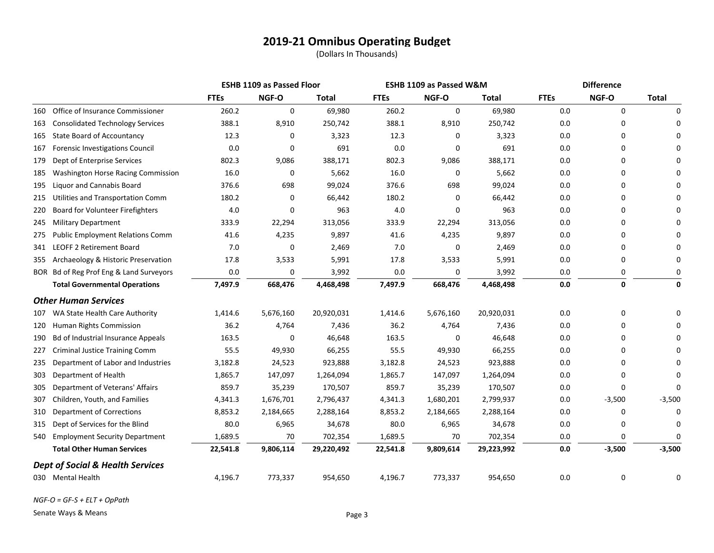(Dollars In Thousands)

|     |                                             |             | <b>ESHB 1109 as Passed Floor</b> |            | ESHB 1109 as Passed W&M |             |            | <b>Difference</b> |          |              |
|-----|---------------------------------------------|-------------|----------------------------------|------------|-------------------------|-------------|------------|-------------------|----------|--------------|
|     |                                             | <b>FTEs</b> | NGF-O                            | Total      | <b>FTEs</b>             | NGF-O       | Total      | <b>FTEs</b>       | NGF-O    | <b>Total</b> |
| 160 | Office of Insurance Commissioner            | 260.2       | $\mathbf 0$                      | 69,980     | 260.2                   | $\mathbf 0$ | 69,980     | 0.0               | 0        | n            |
| 163 | <b>Consolidated Technology Services</b>     | 388.1       | 8,910                            | 250,742    | 388.1                   | 8,910       | 250,742    | 0.0               | 0        |              |
| 165 | <b>State Board of Accountancy</b>           | 12.3        | 0                                | 3,323      | 12.3                    | 0           | 3,323      | 0.0               | 0        |              |
| 167 | Forensic Investigations Council             | 0.0         | 0                                | 691        | 0.0                     | 0           | 691        | 0.0               | 0        |              |
| 179 | Dept of Enterprise Services                 | 802.3       | 9,086                            | 388,171    | 802.3                   | 9,086       | 388,171    | 0.0               | 0        |              |
| 185 | Washington Horse Racing Commission          | 16.0        | 0                                | 5,662      | 16.0                    | 0           | 5,662      | 0.0               | 0        |              |
| 195 | <b>Liquor and Cannabis Board</b>            | 376.6       | 698                              | 99,024     | 376.6                   | 698         | 99,024     | 0.0               | 0        |              |
| 215 | Utilities and Transportation Comm           | 180.2       | 0                                | 66,442     | 180.2                   | 0           | 66,442     | 0.0               | 0        |              |
| 220 | Board for Volunteer Firefighters            | 4.0         | 0                                | 963        | 4.0                     | 0           | 963        | 0.0               | 0        |              |
| 245 | <b>Military Department</b>                  | 333.9       | 22,294                           | 313,056    | 333.9                   | 22,294      | 313,056    | 0.0               | 0        |              |
| 275 | <b>Public Employment Relations Comm</b>     | 41.6        | 4,235                            | 9,897      | 41.6                    | 4,235       | 9,897      | 0.0               | 0        |              |
| 341 | <b>LEOFF 2 Retirement Board</b>             | 7.0         | 0                                | 2,469      | 7.0                     | 0           | 2,469      | 0.0               | 0        |              |
| 355 | Archaeology & Historic Preservation         | 17.8        | 3,533                            | 5,991      | 17.8                    | 3,533       | 5,991      | $0.0\,$           | 0        |              |
|     | BOR Bd of Reg Prof Eng & Land Surveyors     | 0.0         | 0                                | 3,992      | 0.0                     | 0           | 3,992      | 0.0               | 0        |              |
|     | <b>Total Governmental Operations</b>        | 7,497.9     | 668,476                          | 4,468,498  | 7,497.9                 | 668,476     | 4,468,498  | $0.0\,$           | 0        | 0            |
|     | <b>Other Human Services</b>                 |             |                                  |            |                         |             |            |                   |          |              |
| 107 | WA State Health Care Authority              | 1,414.6     | 5,676,160                        | 20,920,031 | 1,414.6                 | 5,676,160   | 20,920,031 | 0.0               | 0        |              |
| 120 | Human Rights Commission                     | 36.2        | 4,764                            | 7,436      | 36.2                    | 4,764       | 7,436      | 0.0               | 0        |              |
| 190 | Bd of Industrial Insurance Appeals          | 163.5       | 0                                | 46,648     | 163.5                   | 0           | 46,648     | 0.0               | 0        |              |
| 227 | <b>Criminal Justice Training Comm</b>       | 55.5        | 49,930                           | 66,255     | 55.5                    | 49,930      | 66,255     | 0.0               | 0        |              |
| 235 | Department of Labor and Industries          | 3,182.8     | 24,523                           | 923,888    | 3,182.8                 | 24,523      | 923,888    | 0.0               | 0        |              |
| 303 | Department of Health                        | 1,865.7     | 147,097                          | 1,264,094  | 1,865.7                 | 147,097     | 1,264,094  | 0.0               | 0        |              |
| 305 | Department of Veterans' Affairs             | 859.7       | 35,239                           | 170,507    | 859.7                   | 35,239      | 170,507    | 0.0               | 0        | O            |
| 307 | Children, Youth, and Families               | 4,341.3     | 1,676,701                        | 2,796,437  | 4,341.3                 | 1,680,201   | 2,799,937  | 0.0               | $-3,500$ | $-3,500$     |
| 310 | <b>Department of Corrections</b>            | 8,853.2     | 2,184,665                        | 2,288,164  | 8,853.2                 | 2,184,665   | 2,288,164  | 0.0               | 0        | $\Omega$     |
| 315 | Dept of Services for the Blind              | 80.0        | 6,965                            | 34,678     | 80.0                    | 6,965       | 34,678     | 0.0               | 0        |              |
| 540 | <b>Employment Security Department</b>       | 1,689.5     | 70                               | 702,354    | 1,689.5                 | 70          | 702,354    | 0.0               | 0        | $\Omega$     |
|     | <b>Total Other Human Services</b>           | 22,541.8    | 9,806,114                        | 29,220,492 | 22,541.8                | 9,809,614   | 29,223,992 | 0.0               | $-3,500$ | $-3,500$     |
|     | <b>Dept of Social &amp; Health Services</b> |             |                                  |            |                         |             |            |                   |          |              |
|     | 030 Mental Health                           | 4,196.7     | 773,337                          | 954,650    | 4,196.7                 | 773,337     | 954,650    | 0.0               | 0        |              |

*NGF-O = GF-S + ELT + OpPath*

Senate Ways & Means **Page 3**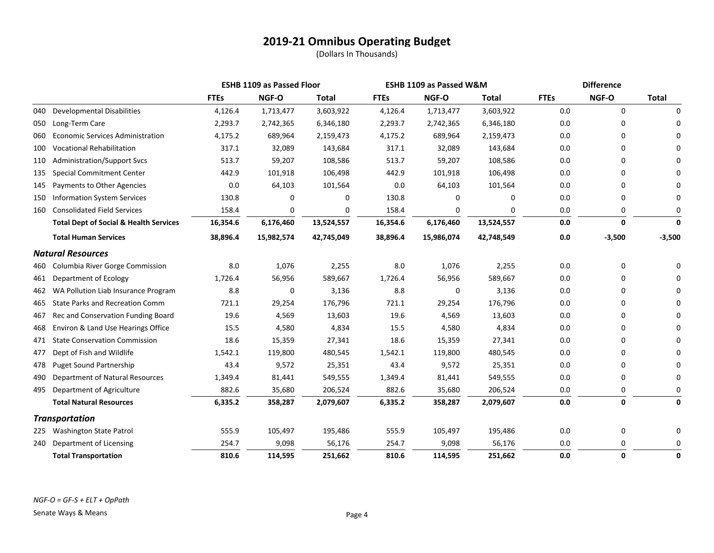|     |                                                   |             | <b>ESHB 1109 as Passed Floor</b> |              | <b>ESHB 1109 as Passed W&amp;M</b> |            |              | <b>Difference</b> |          |              |
|-----|---------------------------------------------------|-------------|----------------------------------|--------------|------------------------------------|------------|--------------|-------------------|----------|--------------|
|     |                                                   | <b>FTEs</b> | NGF-O                            | <b>Total</b> | <b>FTEs</b>                        | NGF-O      | <b>Total</b> | <b>FTEs</b>       | NGF-O    | <b>Total</b> |
| 040 | <b>Developmental Disabilities</b>                 | 4,126.4     | 1,713,477                        | 3,603,922    | 4,126.4                            | 1,713,477  | 3,603,922    | 0.0               | 0        | 0            |
| 050 | Long-Term Care                                    | 2,293.7     | 2,742,365                        | 6,346,180    | 2,293.7                            | 2,742,365  | 6,346,180    | 0.0               | 0        |              |
| 060 | <b>Economic Services Administration</b>           | 4,175.2     | 689,964                          | 2,159,473    | 4,175.2                            | 689,964    | 2,159,473    | 0.0               | 0        |              |
| 100 | <b>Vocational Rehabilitation</b>                  | 317.1       | 32,089                           | 143,684      | 317.1                              | 32,089     | 143,684      | 0.0               | 0        |              |
| 110 | <b>Administration/Support Svcs</b>                | 513.7       | 59,207                           | 108,586      | 513.7                              | 59,207     | 108,586      | 0.0               | 0        |              |
| 135 | <b>Special Commitment Center</b>                  | 442.9       | 101,918                          | 106,498      | 442.9                              | 101,918    | 106,498      | 0.0               | 0        |              |
| 145 | Payments to Other Agencies                        | 0.0         | 64,103                           | 101,564      | 0.0                                | 64,103     | 101,564      | 0.0               | 0        |              |
| 150 | <b>Information System Services</b>                | 130.8       | 0                                | 0            | 130.8                              | 0          | 0            | 0.0               | 0        | $\Omega$     |
| 160 | <b>Consolidated Field Services</b>                | 158.4       | 0                                | 0            | 158.4                              | 0          | 0            | 0.0               | 0        | 0            |
|     | <b>Total Dept of Social &amp; Health Services</b> | 16,354.6    | 6,176,460                        | 13,524,557   | 16,354.6                           | 6,176,460  | 13,524,557   | 0.0               | 0        | $\Omega$     |
|     | <b>Total Human Services</b>                       | 38,896.4    | 15,982,574                       | 42,745,049   | 38,896.4                           | 15,986,074 | 42,748,549   | 0.0               | $-3,500$ | $-3,500$     |
|     | <b>Natural Resources</b>                          |             |                                  |              |                                    |            |              |                   |          |              |
| 460 | Columbia River Gorge Commission                   | 8.0         | 1,076                            | 2,255        | 8.0                                | 1,076      | 2,255        | 0.0               | 0        | O            |
| 461 | Department of Ecology                             | 1,726.4     | 56,956                           | 589,667      | 1,726.4                            | 56,956     | 589,667      | 0.0               | 0        |              |
| 462 | WA Pollution Liab Insurance Program               | 8.8         | 0                                | 3,136        | 8.8                                | 0          | 3,136        | 0.0               | 0        |              |
| 465 | <b>State Parks and Recreation Comm</b>            | 721.1       | 29,254                           | 176,796      | 721.1                              | 29,254     | 176,796      | 0.0               | 0        |              |
| 467 | Rec and Conservation Funding Board                | 19.6        | 4,569                            | 13,603       | 19.6                               | 4,569      | 13,603       | 0.0               | 0        |              |
| 468 | Environ & Land Use Hearings Office                | 15.5        | 4,580                            | 4,834        | 15.5                               | 4,580      | 4,834        | 0.0               | 0        |              |
| 471 | <b>State Conservation Commission</b>              | 18.6        | 15,359                           | 27,341       | 18.6                               | 15,359     | 27,341       | 0.0               | 0        |              |
| 477 | Dept of Fish and Wildlife                         | 1,542.1     | 119,800                          | 480,545      | 1,542.1                            | 119,800    | 480,545      | 0.0               | 0        |              |
| 478 | <b>Puget Sound Partnership</b>                    | 43.4        | 9,572                            | 25,351       | 43.4                               | 9,572      | 25,351       | 0.0               | 0        |              |
| 490 | Department of Natural Resources                   | 1,349.4     | 81,441                           | 549,555      | 1,349.4                            | 81,441     | 549,555      | 0.0               | 0        | $\Omega$     |
| 495 | Department of Agriculture                         | 882.6       | 35,680                           | 206,524      | 882.6                              | 35,680     | 206,524      | 0.0               | 0        | $\Omega$     |
|     | <b>Total Natural Resources</b>                    | 6,335.2     | 358,287                          | 2,079,607    | 6,335.2                            | 358,287    | 2,079,607    | 0.0               | 0        | 0            |
|     | <b>Transportation</b>                             |             |                                  |              |                                    |            |              |                   |          |              |
| 225 | <b>Washington State Patrol</b>                    | 555.9       | 105,497                          | 195,486      | 555.9                              | 105,497    | 195,486      | 0.0               | 0        | 0            |
| 240 | Department of Licensing                           | 254.7       | 9,098                            | 56,176       | 254.7                              | 9,098      | 56,176       | 0.0               | $\Omega$ | 0            |
|     | <b>Total Transportation</b>                       | 810.6       | 114,595                          | 251,662      | 810.6                              | 114,595    | 251,662      | 0.0               | 0        | 0            |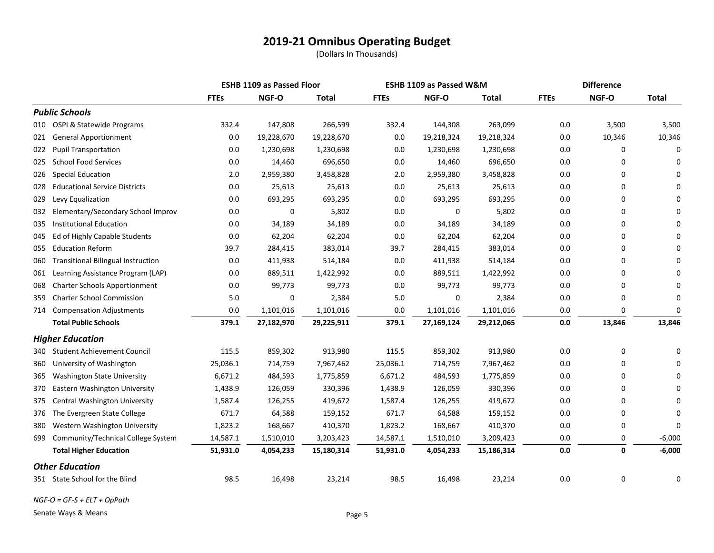(Dollars In Thousands)

|     |                                           |             | <b>ESHB 1109 as Passed Floor</b> |            | <b>ESHB 1109 as Passed W&amp;M</b> |            |              | <b>Difference</b> |        |              |
|-----|-------------------------------------------|-------------|----------------------------------|------------|------------------------------------|------------|--------------|-------------------|--------|--------------|
|     |                                           | <b>FTEs</b> | NGF-O                            | Total      | <b>FTEs</b>                        | NGF-O      | <b>Total</b> | <b>FTEs</b>       | NGF-O  | <b>Total</b> |
|     | <b>Public Schools</b>                     |             |                                  |            |                                    |            |              |                   |        |              |
| 010 | OSPI & Statewide Programs                 | 332.4       | 147,808                          | 266,599    | 332.4                              | 144,308    | 263,099      | 0.0               | 3,500  | 3,500        |
| 021 | <b>General Apportionment</b>              | 0.0         | 19,228,670                       | 19,228,670 | 0.0                                | 19,218,324 | 19,218,324   | 0.0               | 10,346 | 10,346       |
| 022 | <b>Pupil Transportation</b>               | 0.0         | 1,230,698                        | 1,230,698  | 0.0                                | 1,230,698  | 1,230,698    | 0.0               | 0      | $\Omega$     |
| 025 | <b>School Food Services</b>               | 0.0         | 14,460                           | 696,650    | 0.0                                | 14,460     | 696,650      | 0.0               | 0      | ŋ            |
| 026 | <b>Special Education</b>                  | 2.0         | 2,959,380                        | 3,458,828  | 2.0                                | 2,959,380  | 3,458,828    | 0.0               | 0      | O            |
| 028 | <b>Educational Service Districts</b>      | 0.0         | 25,613                           | 25,613     | 0.0                                | 25,613     | 25,613       | 0.0               | 0      |              |
| 029 | Levy Equalization                         | 0.0         | 693,295                          | 693,295    | 0.0                                | 693,295    | 693,295      | 0.0               | 0      |              |
| 032 | Elementary/Secondary School Improv        | 0.0         | 0                                | 5,802      | 0.0                                | 0          | 5,802        | 0.0               | 0      |              |
| 035 | <b>Institutional Education</b>            | 0.0         | 34,189                           | 34,189     | 0.0                                | 34,189     | 34,189       | 0.0               | 0      | O            |
| 045 | Ed of Highly Capable Students             | 0.0         | 62,204                           | 62,204     | $0.0\,$                            | 62,204     | 62,204       | 0.0               | 0      |              |
| 055 | <b>Education Reform</b>                   | 39.7        | 284,415                          | 383,014    | 39.7                               | 284,415    | 383,014      | 0.0               | 0      |              |
| 060 | <b>Transitional Bilingual Instruction</b> | 0.0         | 411,938                          | 514,184    | 0.0                                | 411,938    | 514,184      | 0.0               | 0      |              |
| 061 | Learning Assistance Program (LAP)         | 0.0         | 889,511                          | 1,422,992  | 0.0                                | 889,511    | 1,422,992    | 0.0               | 0      |              |
| 068 | <b>Charter Schools Apportionment</b>      | 0.0         | 99,773                           | 99,773     | 0.0                                | 99,773     | 99,773       | 0.0               | 0      | O            |
| 359 | <b>Charter School Commission</b>          | 5.0         | 0                                | 2,384      | 5.0                                | 0          | 2,384        | 0.0               | 0      | $\Omega$     |
| 714 | <b>Compensation Adjustments</b>           | 0.0         | 1,101,016                        | 1,101,016  | 0.0                                | 1,101,016  | 1,101,016    | 0.0               | 0      | $\Omega$     |
|     | <b>Total Public Schools</b>               | 379.1       | 27,182,970                       | 29,225,911 | 379.1                              | 27,169,124 | 29,212,065   | 0.0               | 13,846 | 13,846       |
|     | <b>Higher Education</b>                   |             |                                  |            |                                    |            |              |                   |        |              |
| 340 | <b>Student Achievement Council</b>        | 115.5       | 859,302                          | 913,980    | 115.5                              | 859,302    | 913,980      | 0.0               | 0      | $\Omega$     |
| 360 | University of Washington                  | 25,036.1    | 714,759                          | 7,967,462  | 25,036.1                           | 714,759    | 7,967,462    | 0.0               | 0      |              |
| 365 | <b>Washington State University</b>        | 6,671.2     | 484,593                          | 1,775,859  | 6,671.2                            | 484,593    | 1,775,859    | 0.0               | 0      | ŋ            |
| 370 | Eastern Washington University             | 1,438.9     | 126,059                          | 330,396    | 1,438.9                            | 126,059    | 330,396      | 0.0               | 0      |              |
| 375 | Central Washington University             | 1,587.4     | 126,255                          | 419,672    | 1,587.4                            | 126,255    | 419,672      | 0.0               | 0      | O            |
| 376 | The Evergreen State College               | 671.7       | 64,588                           | 159,152    | 671.7                              | 64,588     | 159,152      | 0.0               | 0      | $\Omega$     |
| 380 | Western Washington University             | 1,823.2     | 168,667                          | 410,370    | 1,823.2                            | 168,667    | 410,370      | 0.0               | 0      | $\Omega$     |
| 699 | Community/Technical College System        | 14,587.1    | 1,510,010                        | 3,203,423  | 14,587.1                           | 1,510,010  | 3,209,423    | 0.0               | 0      | $-6,000$     |
|     | <b>Total Higher Education</b>             | 51,931.0    | 4,054,233                        | 15,180,314 | 51,931.0                           | 4,054,233  | 15,186,314   | 0.0               | 0      | $-6,000$     |
|     | <b>Other Education</b>                    |             |                                  |            |                                    |            |              |                   |        |              |
|     | 351 State School for the Blind            | 98.5        | 16,498                           | 23,214     | 98.5                               | 16,498     | 23,214       | 0.0               | 0      | 0            |

*NGF-O = GF-S + ELT + OpPath*

Senate Ways & Means **Page 5**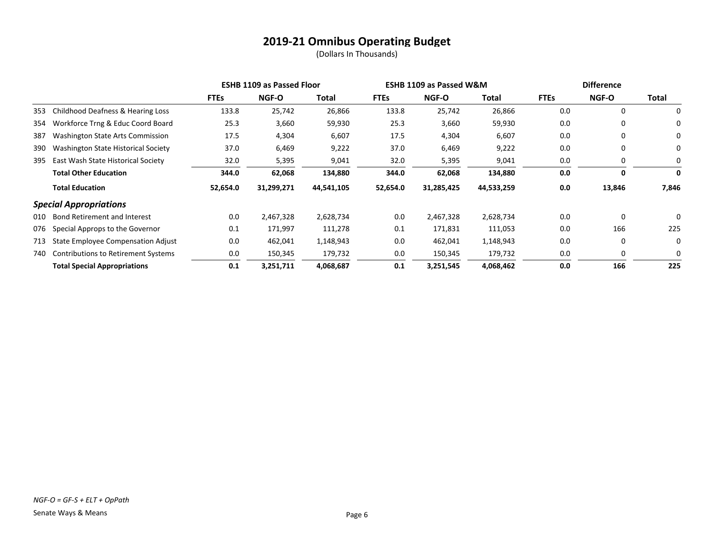|     |                                            | <b>ESHB 1109 as Passed Floor</b> |              |            | <b>ESHB 1109 as Passed W&amp;M</b> |              |            | <b>Difference</b> |              |       |
|-----|--------------------------------------------|----------------------------------|--------------|------------|------------------------------------|--------------|------------|-------------------|--------------|-------|
|     |                                            | <b>FTEs</b>                      | <b>NGF-O</b> | Total      | <b>FTEs</b>                        | <b>NGF-O</b> | Total      | <b>FTEs</b>       | <b>NGF-O</b> | Total |
| 353 | Childhood Deafness & Hearing Loss          | 133.8                            | 25,742       | 26,866     | 133.8                              | 25,742       | 26,866     | 0.0               | 0            | 0     |
| 354 | Workforce Trng & Educ Coord Board          | 25.3                             | 3,660        | 59,930     | 25.3                               | 3,660        | 59,930     | 0.0               | 0            | 0     |
| 387 | Washington State Arts Commission           | 17.5                             | 4,304        | 6,607      | 17.5                               | 4,304        | 6,607      | 0.0               | 0            | 0     |
| 390 | <b>Washington State Historical Society</b> | 37.0                             | 6,469        | 9,222      | 37.0                               | 6,469        | 9,222      | 0.0               | 0            | 0     |
| 395 | East Wash State Historical Society         | 32.0                             | 5,395        | 9,041      | 32.0                               | 5,395        | 9,041      | 0.0               | 0            | 0     |
|     | <b>Total Other Education</b>               | 344.0                            | 62,068       | 134,880    | 344.0                              | 62,068       | 134,880    | 0.0               | 0            | 0     |
|     | <b>Total Education</b>                     | 52,654.0                         | 31,299,271   | 44,541,105 | 52,654.0                           | 31,285,425   | 44,533,259 | 0.0               | 13,846       | 7,846 |
|     | <b>Special Appropriations</b>              |                                  |              |            |                                    |              |            |                   |              |       |
| 010 | Bond Retirement and Interest               | 0.0                              | 2,467,328    | 2,628,734  | 0.0                                | 2,467,328    | 2,628,734  | 0.0               | $\mathbf 0$  | 0     |
| 076 | Special Approps to the Governor            | 0.1                              | 171,997      | 111,278    | 0.1                                | 171,831      | 111,053    | 0.0               | 166          | 225   |
| 713 | State Employee Compensation Adjust         | 0.0                              | 462,041      | 1,148,943  | 0.0                                | 462,041      | 1,148,943  | 0.0               | 0            | 0     |
| 740 | <b>Contributions to Retirement Systems</b> | 0.0                              | 150,345      | 179,732    | 0.0                                | 150,345      | 179,732    | 0.0               | 0            | 0     |
|     | <b>Total Special Appropriations</b>        | 0.1                              | 3,251,711    | 4,068,687  | 0.1                                | 3,251,545    | 4,068,462  | 0.0               | 166          | 225   |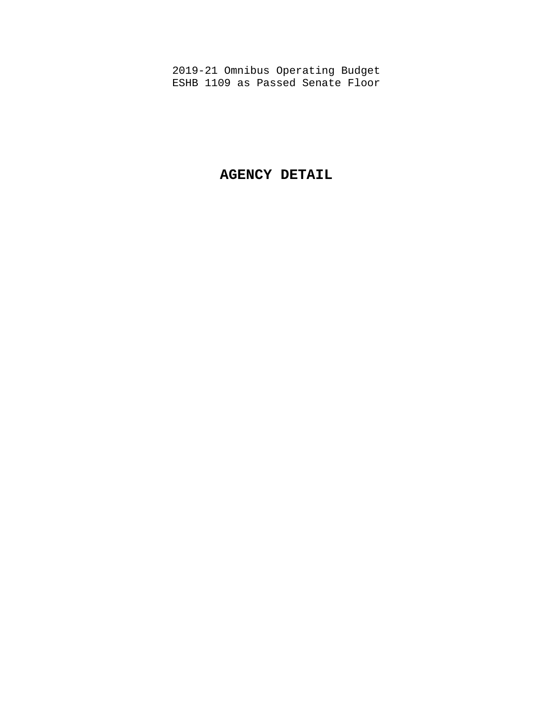# **AGENCY DETAIL**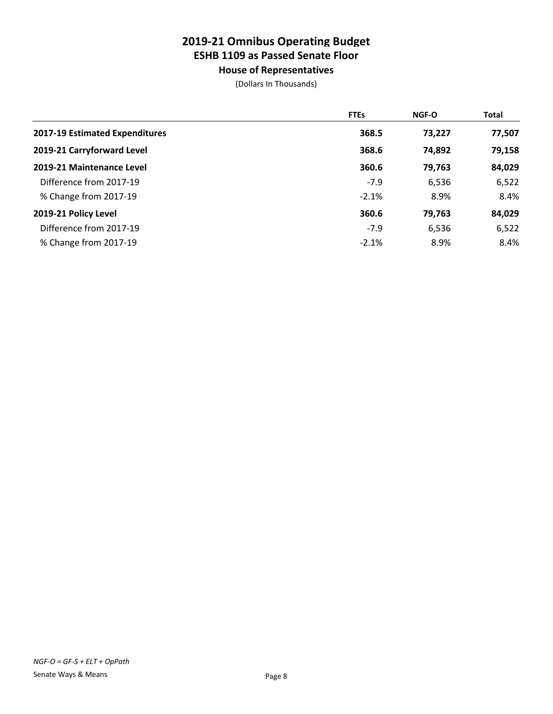**House of Representatives**

|                                | <b>FTEs</b> | <b>NGF-O</b> | Total  |
|--------------------------------|-------------|--------------|--------|
| 2017-19 Estimated Expenditures | 368.5       | 73,227       | 77,507 |
| 2019-21 Carryforward Level     | 368.6       | 74,892       | 79,158 |
| 2019-21 Maintenance Level      | 360.6       | 79,763       | 84,029 |
| Difference from 2017-19        | $-7.9$      | 6,536        | 6,522  |
| % Change from 2017-19          | $-2.1%$     | 8.9%         | 8.4%   |
| 2019-21 Policy Level           | 360.6       | 79,763       | 84,029 |
| Difference from 2017-19        | $-7.9$      | 6,536        | 6,522  |
| % Change from 2017-19          | $-2.1%$     | 8.9%         | 8.4%   |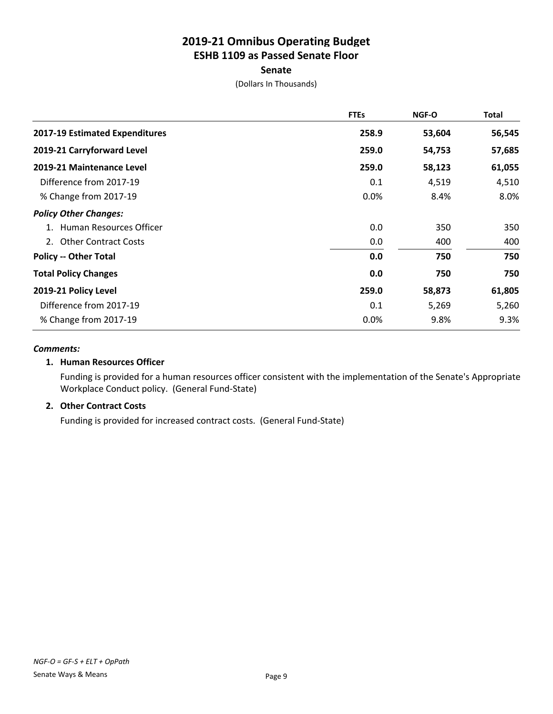### **Senate**

(Dollars In Thousands)

|                                | <b>FTEs</b> | <b>NGF-O</b> | <b>Total</b> |
|--------------------------------|-------------|--------------|--------------|
| 2017-19 Estimated Expenditures | 258.9       | 53,604       | 56,545       |
| 2019-21 Carryforward Level     | 259.0       | 54,753       | 57,685       |
| 2019-21 Maintenance Level      | 259.0       | 58,123       | 61,055       |
| Difference from 2017-19        | 0.1         | 4,519        | 4,510        |
| % Change from 2017-19          | 0.0%        | 8.4%         | 8.0%         |
| <b>Policy Other Changes:</b>   |             |              |              |
| 1. Human Resources Officer     | 0.0         | 350          | 350          |
| 2. Other Contract Costs        | 0.0         | 400          | 400          |
| <b>Policy -- Other Total</b>   | 0.0         | 750          | 750          |
| <b>Total Policy Changes</b>    | 0.0         | 750          | 750          |
| 2019-21 Policy Level           | 259.0       | 58,873       | 61,805       |
| Difference from 2017-19        | 0.1         | 5,269        | 5,260        |
| % Change from 2017-19          | 0.0%        | 9.8%         | 9.3%         |

#### *Comments:*

### **1. Human Resources Officer**

Funding is provided for a human resources officer consistent with the implementation of the Senate's Appropriate Workplace Conduct policy. (General Fund-State)

### **2. Other Contract Costs**

Funding is provided for increased contract costs. (General Fund-State)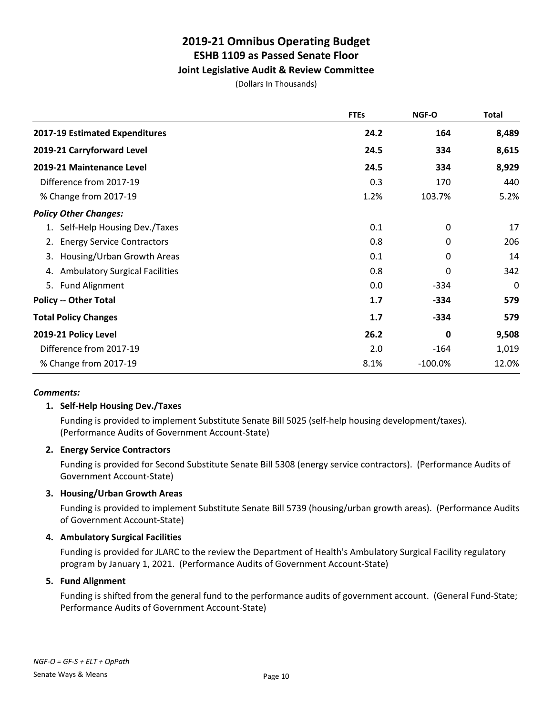## **Joint Legislative Audit & Review Committee**

(Dollars In Thousands)

|                                             | <b>FTEs</b> | NGF-O     | <b>Total</b> |
|---------------------------------------------|-------------|-----------|--------------|
| 2017-19 Estimated Expenditures              | 24.2        | 164       | 8,489        |
| 2019-21 Carryforward Level                  | 24.5        | 334       | 8,615        |
| 2019-21 Maintenance Level                   | 24.5        | 334       | 8,929        |
| Difference from 2017-19                     | 0.3         | 170       | 440          |
| % Change from 2017-19                       | 1.2%        | 103.7%    | 5.2%         |
| <b>Policy Other Changes:</b>                |             |           |              |
| 1. Self-Help Housing Dev./Taxes             | 0.1         | 0         | 17           |
| <b>Energy Service Contractors</b><br>2.     | 0.8         | 0         | 206          |
| Housing/Urban Growth Areas<br>3.            | 0.1         | 0         | 14           |
| <b>Ambulatory Surgical Facilities</b><br>4. | 0.8         | 0         | 342          |
| 5. Fund Alignment                           | 0.0         | $-334$    | 0            |
| <b>Policy -- Other Total</b>                | 1.7         | $-334$    | 579          |
| <b>Total Policy Changes</b>                 | 1.7         | $-334$    | 579          |
| 2019-21 Policy Level                        | 26.2        | 0         | 9,508        |
| Difference from 2017-19                     | 2.0         | -164      | 1,019        |
| % Change from 2017-19                       | 8.1%        | $-100.0%$ | 12.0%        |

### *Comments:*

## **1. Self-Help Housing Dev./Taxes**

Funding is provided to implement Substitute Senate Bill 5025 (self-help housing development/taxes). (Performance Audits of Government Account-State)

### **2. Energy Service Contractors**

Funding is provided for Second Substitute Senate Bill 5308 (energy service contractors). (Performance Audits of Government Account-State)

### **3. Housing/Urban Growth Areas**

Funding is provided to implement Substitute Senate Bill 5739 (housing/urban growth areas). (Performance Audits of Government Account-State)

### **4. Ambulatory Surgical Facilities**

Funding is provided for JLARC to the review the Department of Health's Ambulatory Surgical Facility regulatory program by January 1, 2021. (Performance Audits of Government Account-State)

### **5. Fund Alignment**

Funding is shifted from the general fund to the performance audits of government account. (General Fund-State; Performance Audits of Government Account-State)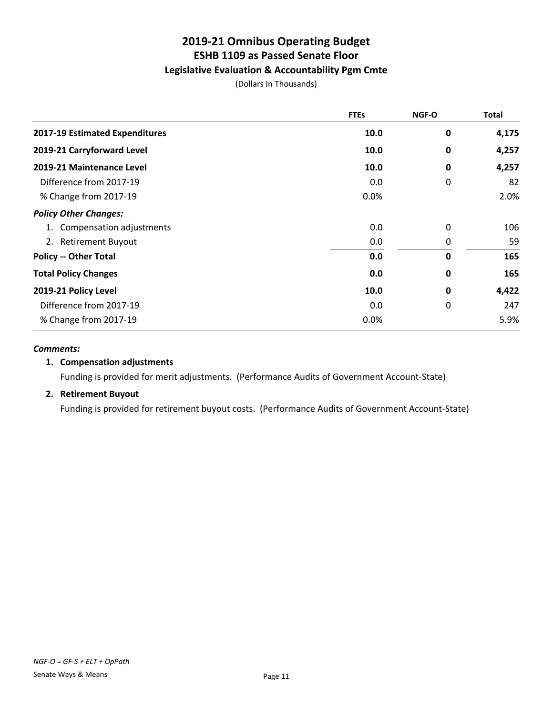## **Legislative Evaluation & Accountability Pgm Cmte**

(Dollars In Thousands)

|                                | <b>FTEs</b> | NGF-O       | <b>Total</b> |
|--------------------------------|-------------|-------------|--------------|
| 2017-19 Estimated Expenditures | 10.0        | 0           | 4,175        |
| 2019-21 Carryforward Level     | 10.0        | $\bf{0}$    | 4,257        |
| 2019-21 Maintenance Level      | 10.0        | 0           | 4,257        |
| Difference from 2017-19        | 0.0         | 0           | 82           |
| % Change from 2017-19          | 0.0%        |             | 2.0%         |
| <b>Policy Other Changes:</b>   |             |             |              |
| 1. Compensation adjustments    | 0.0         | 0           | 106          |
| 2. Retirement Buyout           | 0.0         | 0           | 59           |
| <b>Policy -- Other Total</b>   | 0.0         | $\mathbf 0$ | 165          |
| <b>Total Policy Changes</b>    | 0.0         | 0           | 165          |
| 2019-21 Policy Level           | 10.0        | 0           | 4,422        |
| Difference from 2017-19        | 0.0         | 0           | 247          |
| % Change from 2017-19          | 0.0%        |             | 5.9%         |

#### *Comments:*

### **1. Compensation adjustments**

Funding is provided for merit adjustments. (Performance Audits of Government Account-State)

### **2. Retirement Buyout**

Funding is provided for retirement buyout costs. (Performance Audits of Government Account-State)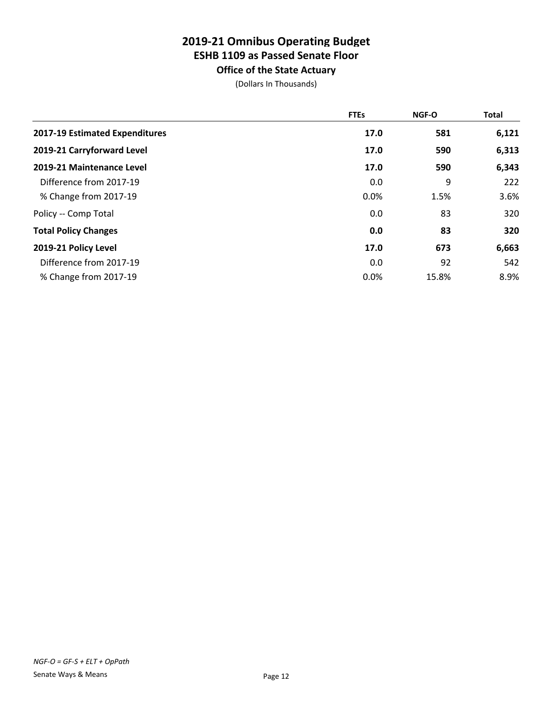**Office of the State Actuary**

|                                | <b>FTEs</b> | <b>NGF-O</b> | Total |
|--------------------------------|-------------|--------------|-------|
| 2017-19 Estimated Expenditures | 17.0        | 581          | 6,121 |
| 2019-21 Carryforward Level     | 17.0        | 590          | 6,313 |
| 2019-21 Maintenance Level      | 17.0        | 590          | 6,343 |
| Difference from 2017-19        | 0.0         | 9            | 222   |
| % Change from 2017-19          | 0.0%        | 1.5%         | 3.6%  |
| Policy -- Comp Total           | 0.0         | 83           | 320   |
| <b>Total Policy Changes</b>    | 0.0         | 83           | 320   |
| 2019-21 Policy Level           | 17.0        | 673          | 6,663 |
| Difference from 2017-19        | 0.0         | 92           | 542   |
| % Change from 2017-19          | 0.0%        | 15.8%        | 8.9%  |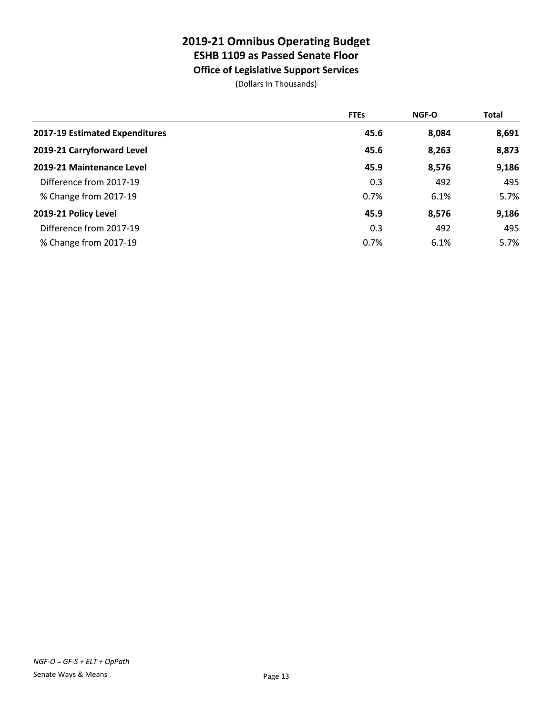# **ESHB 1109 as Passed Senate Floor**

**Office of Legislative Support Services**

|                                | <b>FTEs</b> | <b>NGF-O</b> | Total |
|--------------------------------|-------------|--------------|-------|
| 2017-19 Estimated Expenditures | 45.6        | 8,084        | 8,691 |
| 2019-21 Carryforward Level     | 45.6        | 8,263        | 8,873 |
| 2019-21 Maintenance Level      | 45.9        | 8,576        | 9,186 |
| Difference from 2017-19        | 0.3         | 492          | 495   |
| % Change from 2017-19          | 0.7%        | 6.1%         | 5.7%  |
| 2019-21 Policy Level           | 45.9        | 8,576        | 9,186 |
| Difference from 2017-19        | 0.3         | 492          | 495   |
| % Change from 2017-19          | 0.7%        | 6.1%         | 5.7%  |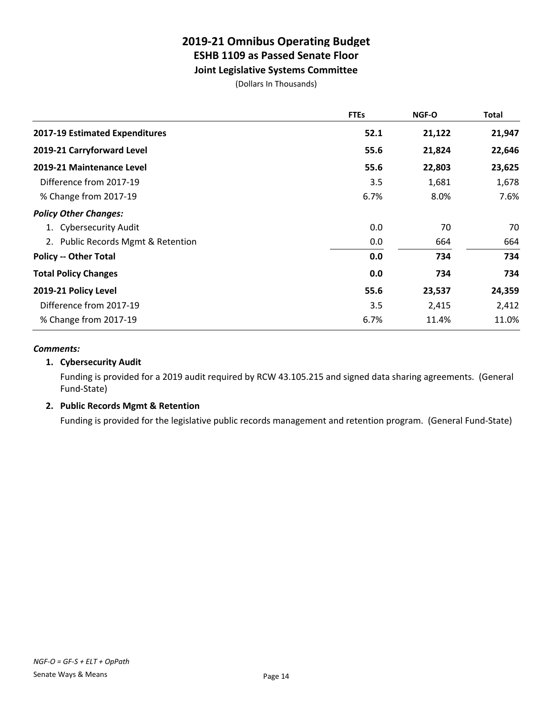## **Joint Legislative Systems Committee**

(Dollars In Thousands)

|                                    | <b>FTEs</b> | <b>NGF-O</b> | <b>Total</b> |
|------------------------------------|-------------|--------------|--------------|
| 2017-19 Estimated Expenditures     | 52.1        | 21,122       | 21,947       |
| 2019-21 Carryforward Level         | 55.6        | 21,824       | 22,646       |
| 2019-21 Maintenance Level          | 55.6        | 22,803       | 23,625       |
| Difference from 2017-19            | 3.5         | 1,681        | 1,678        |
| % Change from 2017-19              | 6.7%        | 8.0%         | 7.6%         |
| <b>Policy Other Changes:</b>       |             |              |              |
| 1. Cybersecurity Audit             | 0.0         | 70           | 70           |
| 2. Public Records Mgmt & Retention | 0.0         | 664          | 664          |
| <b>Policy -- Other Total</b>       | 0.0         | 734          | 734          |
| <b>Total Policy Changes</b>        | 0.0         | 734          | 734          |
| 2019-21 Policy Level               | 55.6        | 23,537       | 24,359       |
| Difference from 2017-19            | 3.5         | 2,415        | 2,412        |
| % Change from 2017-19              | 6.7%        | 11.4%        | 11.0%        |

### *Comments:*

### **1. Cybersecurity Audit**

Funding is provided for a 2019 audit required by RCW 43.105.215 and signed data sharing agreements. (General Fund-State)

## **2. Public Records Mgmt & Retention**

Funding is provided for the legislative public records management and retention program. (General Fund-State)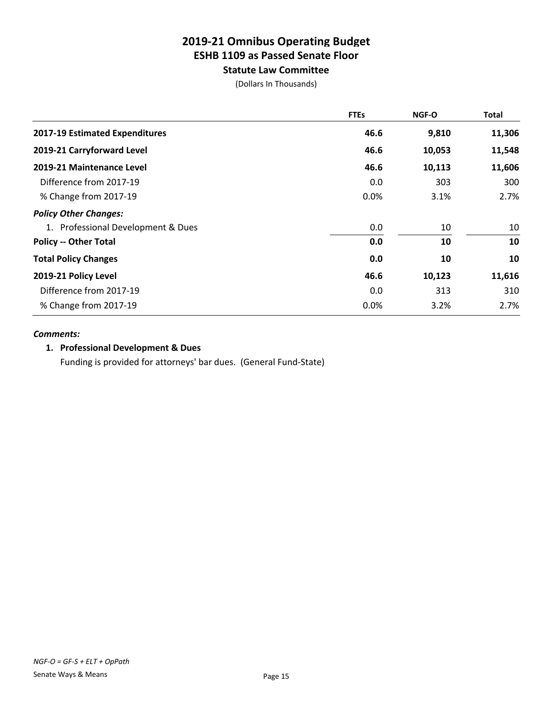**Statute Law Committee**

(Dollars In Thousands)

|                                    | <b>FTEs</b> | NGF-O  | <b>Total</b> |
|------------------------------------|-------------|--------|--------------|
| 2017-19 Estimated Expenditures     | 46.6        | 9,810  | 11,306       |
| 2019-21 Carryforward Level         | 46.6        | 10,053 | 11,548       |
| 2019-21 Maintenance Level          | 46.6        | 10,113 | 11,606       |
| Difference from 2017-19            | 0.0         | 303    | 300          |
| % Change from 2017-19              | 0.0%        | 3.1%   | 2.7%         |
| <b>Policy Other Changes:</b>       |             |        |              |
| 1. Professional Development & Dues | 0.0         | 10     | 10           |
| <b>Policy -- Other Total</b>       | 0.0         | 10     | 10           |
| <b>Total Policy Changes</b>        | 0.0         | 10     | 10           |
| 2019-21 Policy Level               | 46.6        | 10,123 | 11,616       |
| Difference from 2017-19            | 0.0         | 313    | 310          |
| % Change from 2017-19              | 0.0%        | 3.2%   | 2.7%         |

### *Comments:*

### **1. Professional Development & Dues**

Funding is provided for attorneys' bar dues. (General Fund-State)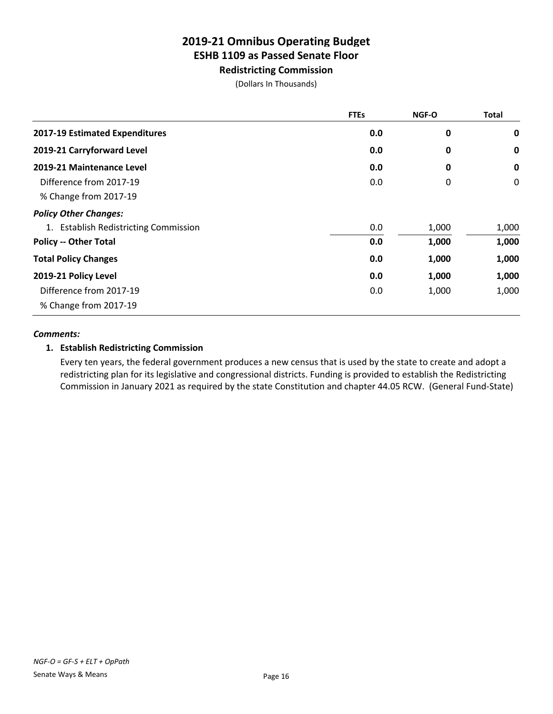**Redistricting Commission**

(Dollars In Thousands)

|                                       | <b>FTEs</b> | NGF-O | <b>Total</b> |
|---------------------------------------|-------------|-------|--------------|
| 2017-19 Estimated Expenditures        | 0.0         | 0     | 0            |
| 2019-21 Carryforward Level            | 0.0         | 0     | $\mathbf 0$  |
| 2019-21 Maintenance Level             | 0.0         | 0     | $\mathbf 0$  |
| Difference from 2017-19               | 0.0         | 0     | 0            |
| % Change from 2017-19                 |             |       |              |
| <b>Policy Other Changes:</b>          |             |       |              |
| 1. Establish Redistricting Commission | 0.0         | 1,000 | 1,000        |
| <b>Policy -- Other Total</b>          | 0.0         | 1,000 | 1,000        |
| <b>Total Policy Changes</b>           | 0.0         | 1,000 | 1,000        |
| 2019-21 Policy Level                  | 0.0         | 1,000 | 1,000        |
| Difference from 2017-19               | 0.0         | 1,000 | 1,000        |
| % Change from 2017-19                 |             |       |              |

### *Comments:*

## **1. Establish Redistricting Commission**

Every ten years, the federal government produces a new census that is used by the state to create and adopt a redistricting plan for its legislative and congressional districts. Funding is provided to establish the Redistricting Commission in January 2021 as required by the state Constitution and chapter 44.05 RCW. (General Fund-State)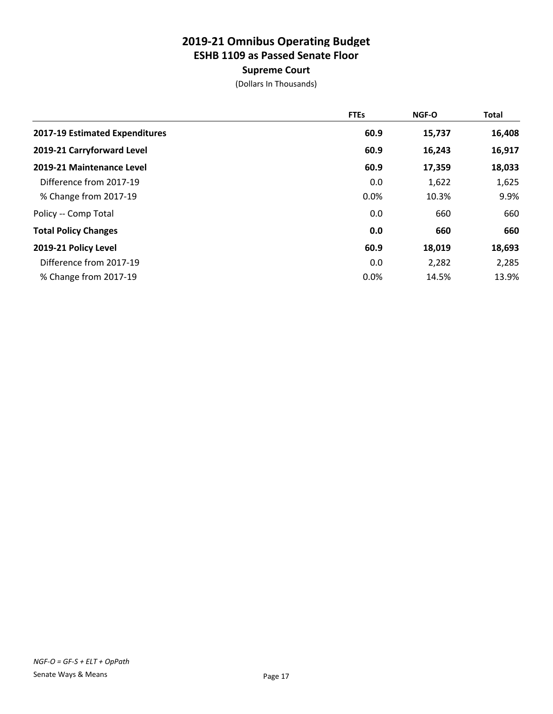## **Supreme Court**

|                                | <b>FTEs</b> | <b>NGF-O</b> | <b>Total</b> |
|--------------------------------|-------------|--------------|--------------|
| 2017-19 Estimated Expenditures | 60.9        | 15,737       | 16,408       |
| 2019-21 Carryforward Level     | 60.9        | 16,243       | 16,917       |
| 2019-21 Maintenance Level      | 60.9        | 17,359       | 18,033       |
| Difference from 2017-19        | 0.0         | 1,622        | 1,625        |
| % Change from 2017-19          | 0.0%        | 10.3%        | 9.9%         |
| Policy -- Comp Total           | 0.0         | 660          | 660          |
| <b>Total Policy Changes</b>    | 0.0         | 660          | 660          |
| 2019-21 Policy Level           | 60.9        | 18,019       | 18,693       |
| Difference from 2017-19        | 0.0         | 2,282        | 2,285        |
| % Change from 2017-19          | 0.0%        | 14.5%        | 13.9%        |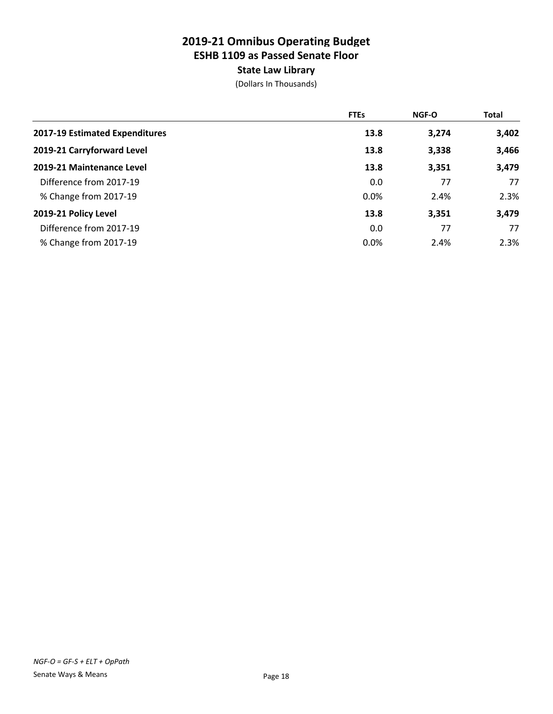## **State Law Library**

|                                | <b>FTEs</b> | <b>NGF-O</b> | <b>Total</b> |
|--------------------------------|-------------|--------------|--------------|
| 2017-19 Estimated Expenditures | 13.8        | 3,274        | 3,402        |
| 2019-21 Carryforward Level     | 13.8        | 3,338        | 3,466        |
| 2019-21 Maintenance Level      | 13.8        | 3,351        | 3,479        |
| Difference from 2017-19        | 0.0         | 77           | 77           |
| % Change from 2017-19          | 0.0%        | 2.4%         | 2.3%         |
| 2019-21 Policy Level           | 13.8        | 3,351        | 3,479        |
| Difference from 2017-19        | 0.0         | 77           | 77           |
| % Change from 2017-19          | 0.0%        | 2.4%         | 2.3%         |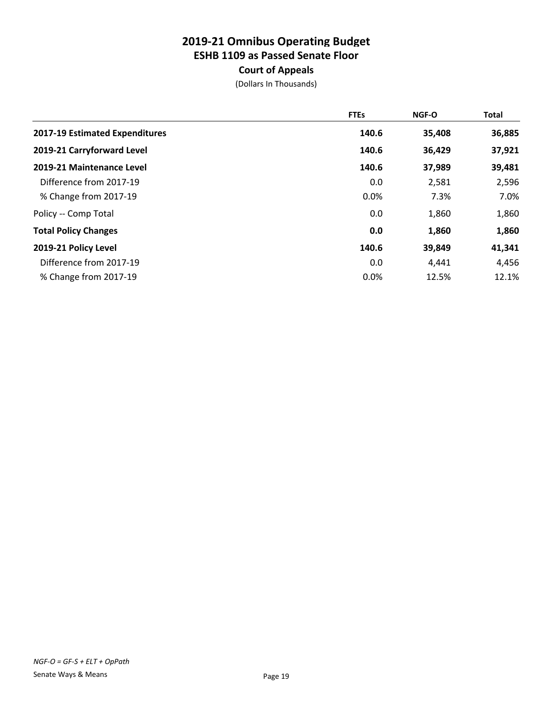## **Court of Appeals**

|                                | <b>FTEs</b> | <b>NGF-O</b> | Total  |
|--------------------------------|-------------|--------------|--------|
| 2017-19 Estimated Expenditures | 140.6       | 35,408       | 36,885 |
| 2019-21 Carryforward Level     | 140.6       | 36,429       | 37,921 |
| 2019-21 Maintenance Level      | 140.6       | 37,989       | 39,481 |
| Difference from 2017-19        | 0.0         | 2,581        | 2,596  |
| % Change from 2017-19          | 0.0%        | 7.3%         | 7.0%   |
| Policy -- Comp Total           | 0.0         | 1,860        | 1,860  |
| <b>Total Policy Changes</b>    | 0.0         | 1,860        | 1,860  |
| 2019-21 Policy Level           | 140.6       | 39,849       | 41,341 |
| Difference from 2017-19        | 0.0         | 4,441        | 4,456  |
| % Change from 2017-19          | 0.0%        | 12.5%        | 12.1%  |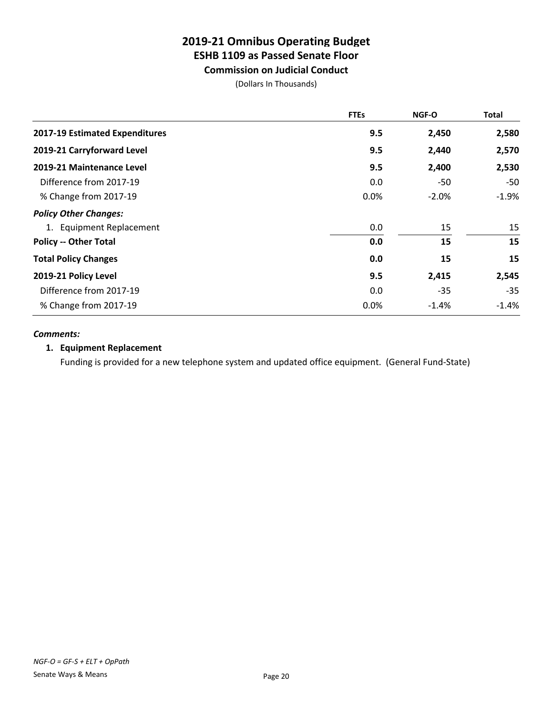# **Commission on Judicial Conduct**

(Dollars In Thousands)

|                                | <b>FTEs</b> | <b>NGF-O</b> | <b>Total</b> |
|--------------------------------|-------------|--------------|--------------|
| 2017-19 Estimated Expenditures | 9.5         | 2,450        | 2,580        |
| 2019-21 Carryforward Level     | 9.5         | 2,440        | 2,570        |
| 2019-21 Maintenance Level      | 9.5         | 2,400        | 2,530        |
| Difference from 2017-19        | 0.0         | -50          | -50          |
| % Change from 2017-19          | 0.0%        | $-2.0%$      | $-1.9%$      |
| <b>Policy Other Changes:</b>   |             |              |              |
| 1. Equipment Replacement       | 0.0         | 15           | 15           |
| <b>Policy -- Other Total</b>   | 0.0         | 15           | 15           |
| <b>Total Policy Changes</b>    | 0.0         | 15           | 15           |
| 2019-21 Policy Level           | 9.5         | 2,415        | 2,545        |
| Difference from 2017-19        | 0.0         | $-35$        | $-35$        |
| % Change from 2017-19          | 0.0%        | $-1.4%$      | $-1.4%$      |

### *Comments:*

### **1. Equipment Replacement**

Funding is provided for a new telephone system and updated office equipment. (General Fund-State)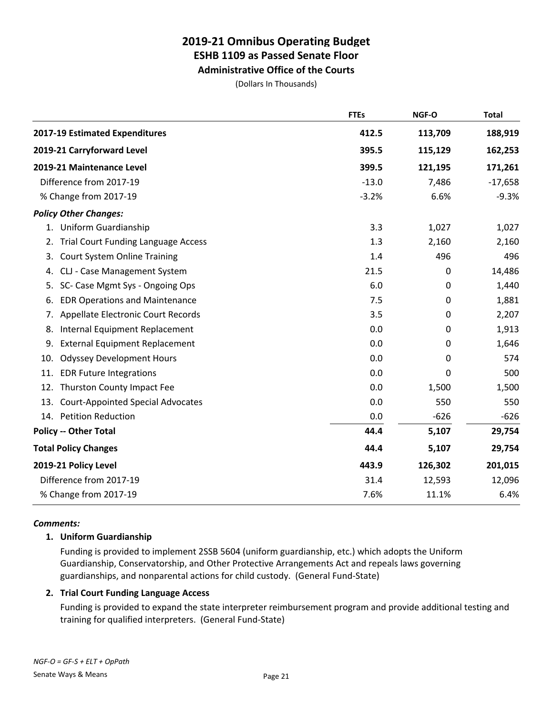**Administrative Office of the Courts**

(Dollars In Thousands)

|     |                                          | <b>FTEs</b> | NGF-O       | <b>Total</b> |
|-----|------------------------------------------|-------------|-------------|--------------|
|     | 2017-19 Estimated Expenditures           | 412.5       | 113,709     | 188,919      |
|     | 2019-21 Carryforward Level               | 395.5       | 115,129     | 162,253      |
|     | 2019-21 Maintenance Level                | 399.5       | 121,195     | 171,261      |
|     | Difference from 2017-19                  | $-13.0$     | 7,486       | $-17,658$    |
|     | % Change from 2017-19                    | $-3.2%$     | 6.6%        | $-9.3%$      |
|     | <b>Policy Other Changes:</b>             |             |             |              |
|     | 1. Uniform Guardianship                  | 3.3         | 1,027       | 1,027        |
|     | 2. Trial Court Funding Language Access   | 1.3         | 2,160       | 2,160        |
| 3.  | <b>Court System Online Training</b>      | 1.4         | 496         | 496          |
| 4.  | CLJ - Case Management System             | 21.5        | $\mathbf 0$ | 14,486       |
| 5.  | SC- Case Mgmt Sys - Ongoing Ops          | 6.0         | 0           | 1,440        |
| 6.  | <b>EDR Operations and Maintenance</b>    | 7.5         | 0           | 1,881        |
|     | 7. Appellate Electronic Court Records    | 3.5         | 0           | 2,207        |
| 8.  | Internal Equipment Replacement           | 0.0         | 0           | 1,913        |
| 9.  | <b>External Equipment Replacement</b>    | 0.0         | 0           | 1,646        |
| 10. | <b>Odyssey Development Hours</b>         | 0.0         | 0           | 574          |
| 11. | <b>EDR Future Integrations</b>           | 0.0         | 0           | 500          |
|     | 12. Thurston County Impact Fee           | 0.0         | 1,500       | 1,500        |
| 13. | <b>Court-Appointed Special Advocates</b> | 0.0         | 550         | 550          |
|     | 14. Petition Reduction                   | 0.0         | $-626$      | $-626$       |
|     | <b>Policy -- Other Total</b>             | 44.4        | 5,107       | 29,754       |
|     | <b>Total Policy Changes</b>              | 44.4        | 5,107       | 29,754       |
|     | 2019-21 Policy Level                     | 443.9       | 126,302     | 201,015      |
|     | Difference from 2017-19                  | 31.4        | 12,593      | 12,096       |
|     | % Change from 2017-19                    | 7.6%        | 11.1%       | 6.4%         |

### *Comments:*

### **1. Uniform Guardianship**

Funding is provided to implement 2SSB 5604 (uniform guardianship, etc.) which adopts the Uniform Guardianship, Conservatorship, and Other Protective Arrangements Act and repeals laws governing guardianships, and nonparental actions for child custody. (General Fund-State)

### **2. Trial Court Funding Language Access**

Funding is provided to expand the state interpreter reimbursement program and provide additional testing and training for qualified interpreters. (General Fund-State)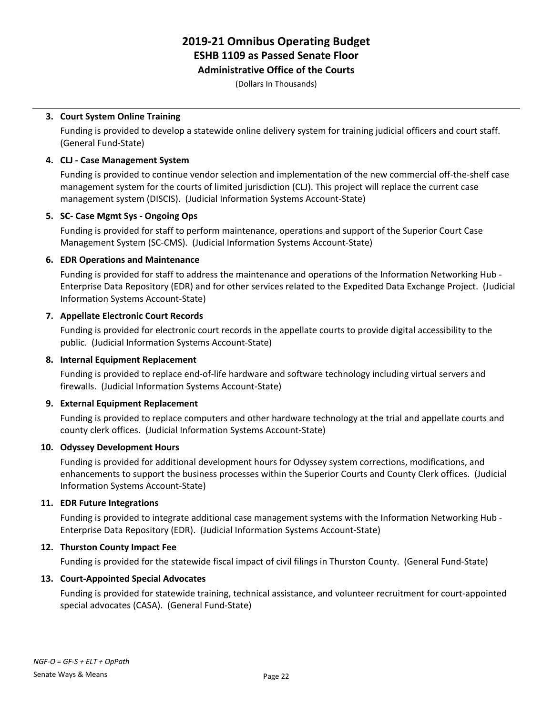## **Administrative Office of the Courts**

(Dollars In Thousands)

### **3. Court System Online Training**

Funding is provided to develop a statewide online delivery system for training judicial officers and court staff. (General Fund-State)

### **4. CLJ - Case Management System**

Funding is provided to continue vendor selection and implementation of the new commercial off-the-shelf case management system for the courts of limited jurisdiction (CLJ). This project will replace the current case management system (DISCIS). (Judicial Information Systems Account-State)

### **5. SC- Case Mgmt Sys - Ongoing Ops**

Funding is provided for staff to perform maintenance, operations and support of the Superior Court Case Management System (SC-CMS). (Judicial Information Systems Account-State)

### **6. EDR Operations and Maintenance**

Funding is provided for staff to address the maintenance and operations of the Information Networking Hub - Enterprise Data Repository (EDR) and for other services related to the Expedited Data Exchange Project. (Judicial Information Systems Account-State)

### **7. Appellate Electronic Court Records**

Funding is provided for electronic court records in the appellate courts to provide digital accessibility to the public. (Judicial Information Systems Account-State)

### **8. Internal Equipment Replacement**

Funding is provided to replace end-of-life hardware and software technology including virtual servers and firewalls. (Judicial Information Systems Account-State)

## **9. External Equipment Replacement**

Funding is provided to replace computers and other hardware technology at the trial and appellate courts and county clerk offices. (Judicial Information Systems Account-State)

### **10. Odyssey Development Hours**

Funding is provided for additional development hours for Odyssey system corrections, modifications, and enhancements to support the business processes within the Superior Courts and County Clerk offices. (Judicial Information Systems Account-State)

### **11. EDR Future Integrations**

Funding is provided to integrate additional case management systems with the Information Networking Hub - Enterprise Data Repository (EDR). (Judicial Information Systems Account-State)

## **12. Thurston County Impact Fee**

Funding is provided for the statewide fiscal impact of civil filings in Thurston County. (General Fund-State)

### **13. Court-Appointed Special Advocates**

Funding is provided for statewide training, technical assistance, and volunteer recruitment for court-appointed special advocates (CASA). (General Fund-State)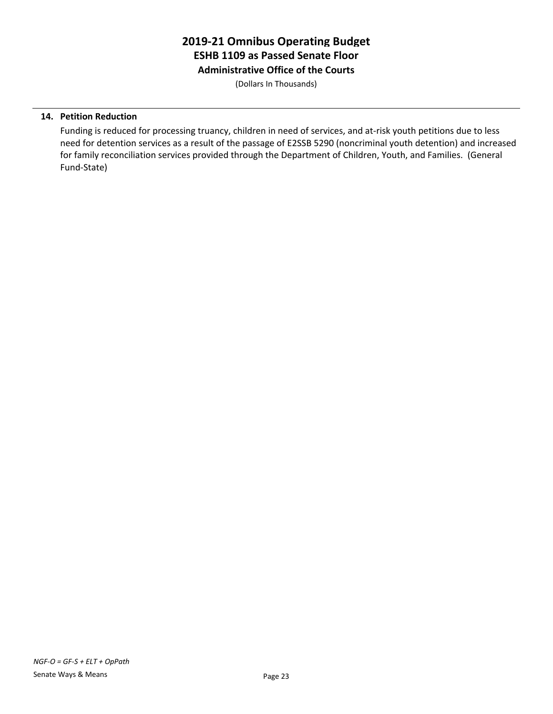# **2019-21 Omnibus Operating Budget ESHB 1109 as Passed Senate Floor Administrative Office of the Courts**

(Dollars In Thousands)

### **14. Petition Reduction**

Funding is reduced for processing truancy, children in need of services, and at-risk youth petitions due to less need for detention services as a result of the passage of E2SSB 5290 (noncriminal youth detention) and increased for family reconciliation services provided through the Department of Children, Youth, and Families. (General Fund-State)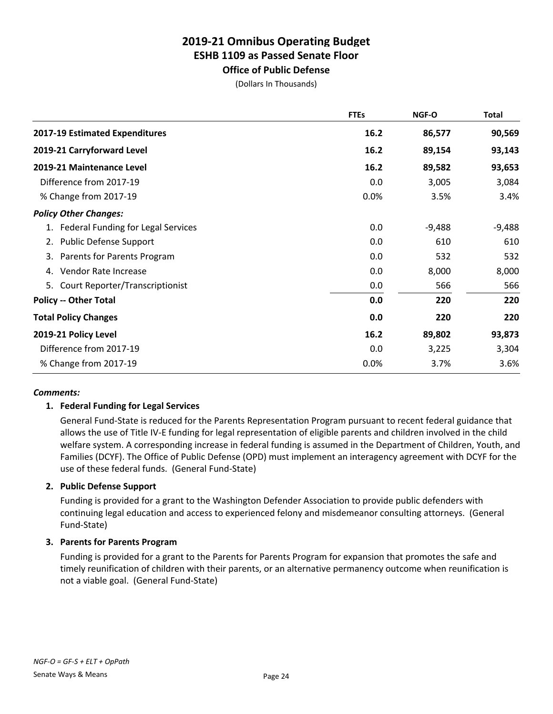**Office of Public Defense** (Dollars In Thousands)

|                                       | <b>FTEs</b> | NGF-O    | <b>Total</b> |
|---------------------------------------|-------------|----------|--------------|
| 2017-19 Estimated Expenditures        | 16.2        | 86,577   | 90,569       |
| 2019-21 Carryforward Level            | 16.2        | 89,154   | 93,143       |
| 2019-21 Maintenance Level             | 16.2        | 89,582   | 93,653       |
| Difference from 2017-19               | 0.0         | 3,005    | 3,084        |
| % Change from 2017-19                 | 0.0%        | 3.5%     | 3.4%         |
| <b>Policy Other Changes:</b>          |             |          |              |
| 1. Federal Funding for Legal Services | 0.0         | $-9,488$ | $-9,488$     |
| <b>Public Defense Support</b><br>2.   | 0.0         | 610      | 610          |
| 3. Parents for Parents Program        | 0.0         | 532      | 532          |
| Vendor Rate Increase<br>4.            | 0.0         | 8,000    | 8,000        |
| Court Reporter/Transcriptionist<br>5. | 0.0         | 566      | 566          |
| <b>Policy -- Other Total</b>          | 0.0         | 220      | 220          |
| <b>Total Policy Changes</b>           | 0.0         | 220      | 220          |
| 2019-21 Policy Level                  | 16.2        | 89,802   | 93,873       |
| Difference from 2017-19               | 0.0         | 3,225    | 3,304        |
| % Change from 2017-19                 | 0.0%        | 3.7%     | 3.6%         |

### *Comments:*

## **1. Federal Funding for Legal Services**

General Fund-State is reduced for the Parents Representation Program pursuant to recent federal guidance that allows the use of Title IV-E funding for legal representation of eligible parents and children involved in the child welfare system. A corresponding increase in federal funding is assumed in the Department of Children, Youth, and Families (DCYF). The Office of Public Defense (OPD) must implement an interagency agreement with DCYF for the use of these federal funds. (General Fund-State)

### **2. Public Defense Support**

Funding is provided for a grant to the Washington Defender Association to provide public defenders with continuing legal education and access to experienced felony and misdemeanor consulting attorneys. (General Fund-State)

### **3. Parents for Parents Program**

Funding is provided for a grant to the Parents for Parents Program for expansion that promotes the safe and timely reunification of children with their parents, or an alternative permanency outcome when reunification is not a viable goal. (General Fund-State)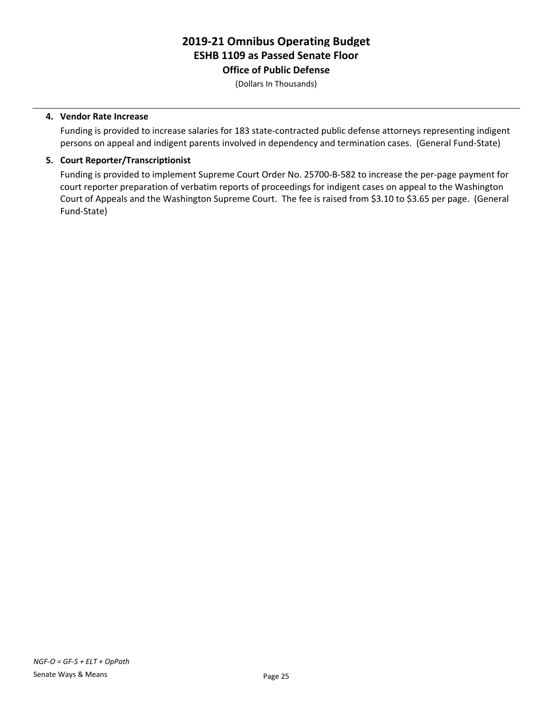# **2019-21 Omnibus Operating Budget ESHB 1109 as Passed Senate Floor Office of Public Defense**

(Dollars In Thousands)

#### **4. Vendor Rate Increase**

Funding is provided to increase salaries for 183 state-contracted public defense attorneys representing indigent persons on appeal and indigent parents involved in dependency and termination cases. (General Fund-State)

#### **5. Court Reporter/Transcriptionist**

Funding is provided to implement Supreme Court Order No. 25700-B-582 to increase the per-page payment for court reporter preparation of verbatim reports of proceedings for indigent cases on appeal to the Washington Court of Appeals and the Washington Supreme Court. The fee is raised from \$3.10 to \$3.65 per page. (General Fund-State)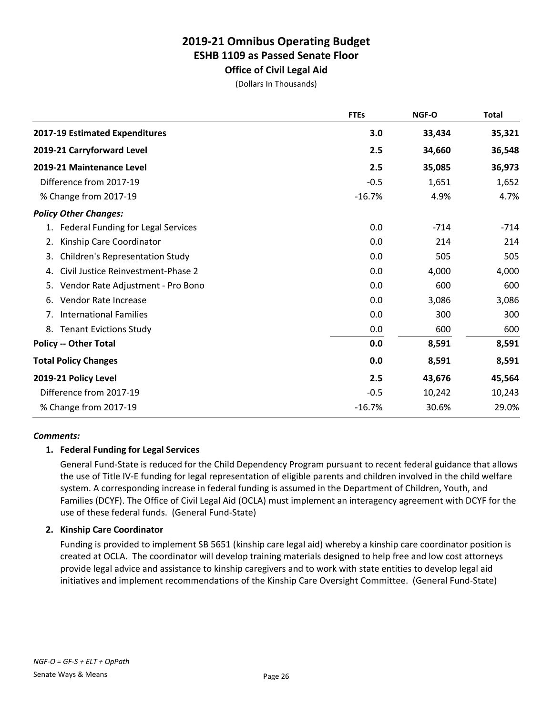# **Office of Civil Legal Aid**

(Dollars In Thousands)

|                                              | <b>FTEs</b> | NGF-O  | <b>Total</b> |
|----------------------------------------------|-------------|--------|--------------|
| 2017-19 Estimated Expenditures               | 3.0         | 33,434 | 35,321       |
| 2019-21 Carryforward Level                   | 2.5         | 34,660 | 36,548       |
| 2019-21 Maintenance Level                    | 2.5         | 35,085 | 36,973       |
| Difference from 2017-19                      | $-0.5$      | 1,651  | 1,652        |
| % Change from 2017-19                        | $-16.7%$    | 4.9%   | 4.7%         |
| <b>Policy Other Changes:</b>                 |             |        |              |
| Federal Funding for Legal Services<br>1.     | 0.0         | $-714$ | $-714$       |
| Kinship Care Coordinator<br>2.               | 0.0         | 214    | 214          |
| <b>Children's Representation Study</b><br>3. | 0.0         | 505    | 505          |
| Civil Justice Reinvestment-Phase 2<br>4.     | 0.0         | 4,000  | 4,000        |
| Vendor Rate Adjustment - Pro Bono<br>5.      | 0.0         | 600    | 600          |
| Vendor Rate Increase<br>6.                   | 0.0         | 3,086  | 3,086        |
| <b>International Families</b><br>7.          | 0.0         | 300    | 300          |
| <b>Tenant Evictions Study</b><br>8.          | 0.0         | 600    | 600          |
| <b>Policy -- Other Total</b>                 | 0.0         | 8,591  | 8,591        |
| <b>Total Policy Changes</b>                  | 0.0         | 8,591  | 8,591        |
| 2019-21 Policy Level                         | 2.5         | 43,676 | 45,564       |
| Difference from 2017-19                      | $-0.5$      | 10,242 | 10,243       |
| % Change from 2017-19                        | $-16.7%$    | 30.6%  | 29.0%        |

### *Comments:*

### **1. Federal Funding for Legal Services**

General Fund-State is reduced for the Child Dependency Program pursuant to recent federal guidance that allows the use of Title IV-E funding for legal representation of eligible parents and children involved in the child welfare system. A corresponding increase in federal funding is assumed in the Department of Children, Youth, and Families (DCYF). The Office of Civil Legal Aid (OCLA) must implement an interagency agreement with DCYF for the use of these federal funds. (General Fund-State)

### **2. Kinship Care Coordinator**

Funding is provided to implement SB 5651 (kinship care legal aid) whereby a kinship care coordinator position is created at OCLA. The coordinator will develop training materials designed to help free and low cost attorneys provide legal advice and assistance to kinship caregivers and to work with state entities to develop legal aid initiatives and implement recommendations of the Kinship Care Oversight Committee. (General Fund-State)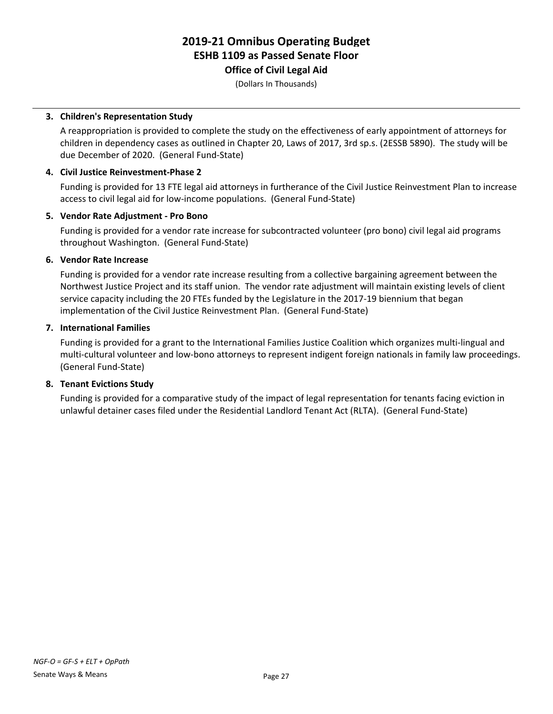# **Office of Civil Legal Aid**

(Dollars In Thousands)

### **3. Children's Representation Study**

A reappropriation is provided to complete the study on the effectiveness of early appointment of attorneys for children in dependency cases as outlined in Chapter 20, Laws of 2017, 3rd sp.s. (2ESSB 5890). The study will be due December of 2020. (General Fund-State)

### **4. Civil Justice Reinvestment-Phase 2**

Funding is provided for 13 FTE legal aid attorneys in furtherance of the Civil Justice Reinvestment Plan to increase access to civil legal aid for low-income populations. (General Fund-State)

### **5. Vendor Rate Adjustment - Pro Bono**

Funding is provided for a vendor rate increase for subcontracted volunteer (pro bono) civil legal aid programs throughout Washington. (General Fund-State)

### **6. Vendor Rate Increase**

Funding is provided for a vendor rate increase resulting from a collective bargaining agreement between the Northwest Justice Project and its staff union. The vendor rate adjustment will maintain existing levels of client service capacity including the 20 FTEs funded by the Legislature in the 2017-19 biennium that began implementation of the Civil Justice Reinvestment Plan. (General Fund-State)

### **7. International Families**

Funding is provided for a grant to the International Families Justice Coalition which organizes multi-lingual and multi-cultural volunteer and low-bono attorneys to represent indigent foreign nationals in family law proceedings. (General Fund-State)

## **8. Tenant Evictions Study**

Funding is provided for a comparative study of the impact of legal representation for tenants facing eviction in unlawful detainer cases filed under the Residential Landlord Tenant Act (RLTA). (General Fund-State)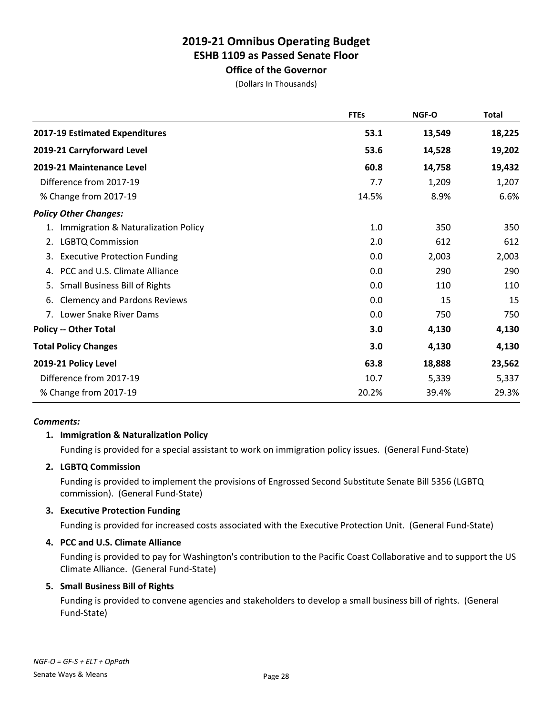# **Office of the Governor**

(Dollars In Thousands)

|                                            | <b>FTEs</b> | NGF-O  | <b>Total</b> |
|--------------------------------------------|-------------|--------|--------------|
| 2017-19 Estimated Expenditures             | 53.1        | 13,549 | 18,225       |
| 2019-21 Carryforward Level                 | 53.6        | 14,528 | 19,202       |
| 2019-21 Maintenance Level                  | 60.8        | 14,758 | 19,432       |
| Difference from 2017-19                    | 7.7         | 1,209  | 1,207        |
| % Change from 2017-19                      | 14.5%       | 8.9%   | 6.6%         |
| <b>Policy Other Changes:</b>               |             |        |              |
| Immigration & Naturalization Policy<br>1.  | 1.0         | 350    | 350          |
| <b>LGBTQ Commission</b><br>2.              | 2.0         | 612    | 612          |
| 3. Executive Protection Funding            | 0.0         | 2,003  | 2,003        |
| PCC and U.S. Climate Alliance<br>4.        | 0.0         | 290    | 290          |
| <b>Small Business Bill of Rights</b><br>5. | 0.0         | 110    | 110          |
| <b>Clemency and Pardons Reviews</b><br>6.  | 0.0         | 15     | 15           |
| 7. Lower Snake River Dams                  | 0.0         | 750    | 750          |
| <b>Policy -- Other Total</b>               | 3.0         | 4,130  | 4,130        |
| <b>Total Policy Changes</b>                | 3.0         | 4,130  | 4,130        |
| 2019-21 Policy Level                       | 63.8        | 18,888 | 23,562       |
| Difference from 2017-19                    | 10.7        | 5,339  | 5,337        |
| % Change from 2017-19                      | 20.2%       | 39.4%  | 29.3%        |

### *Comments:*

### **1. Immigration & Naturalization Policy**

Funding is provided for a special assistant to work on immigration policy issues. (General Fund-State)

### **2. LGBTQ Commission**

Funding is provided to implement the provisions of Engrossed Second Substitute Senate Bill 5356 (LGBTQ commission). (General Fund-State)

### **3. Executive Protection Funding**

Funding is provided for increased costs associated with the Executive Protection Unit. (General Fund-State)

### **4. PCC and U.S. Climate Alliance**

Funding is provided to pay for Washington's contribution to the Pacific Coast Collaborative and to support the US Climate Alliance. (General Fund-State)

### **5. Small Business Bill of Rights**

Funding is provided to convene agencies and stakeholders to develop a small business bill of rights. (General Fund-State)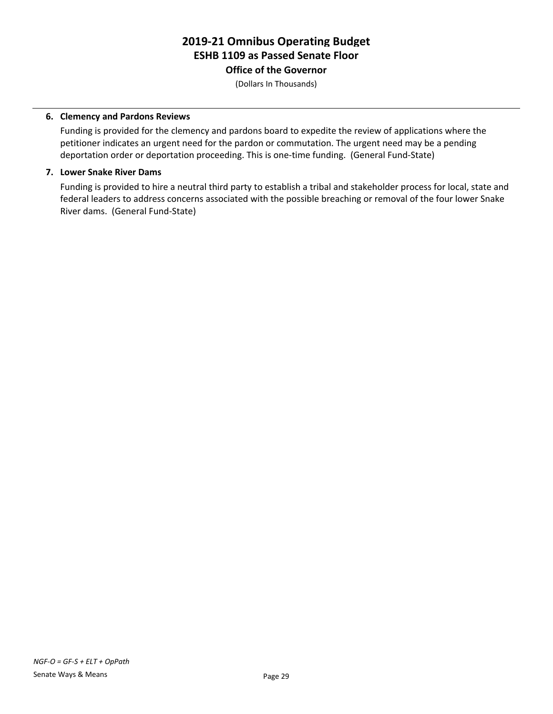**Office of the Governor**

(Dollars In Thousands)

#### **6. Clemency and Pardons Reviews**

Funding is provided for the clemency and pardons board to expedite the review of applications where the petitioner indicates an urgent need for the pardon or commutation. The urgent need may be a pending deportation order or deportation proceeding. This is one-time funding. (General Fund-State)

#### **7. Lower Snake River Dams**

Funding is provided to hire a neutral third party to establish a tribal and stakeholder process for local, state and federal leaders to address concerns associated with the possible breaching or removal of the four lower Snake River dams. (General Fund-State)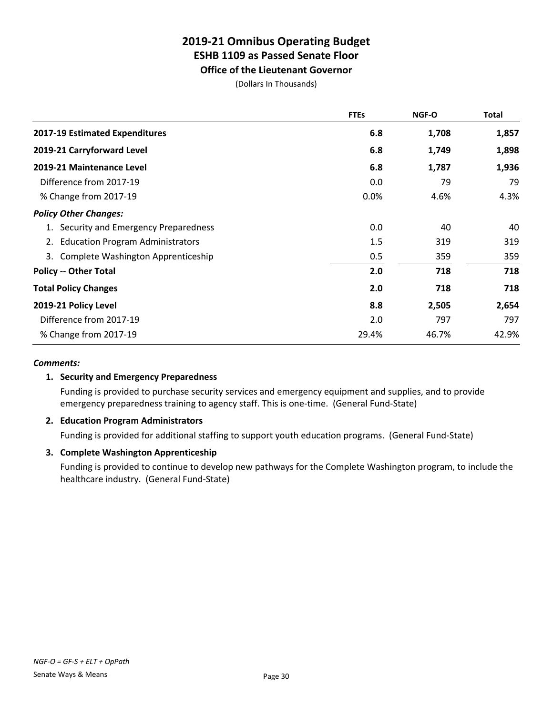**Office of the Lieutenant Governor**

(Dollars In Thousands)

|                                               | <b>FTEs</b> | NGF-O | <b>Total</b> |
|-----------------------------------------------|-------------|-------|--------------|
| 2017-19 Estimated Expenditures                | 6.8         | 1,708 | 1,857        |
| 2019-21 Carryforward Level                    | 6.8         | 1,749 | 1,898        |
| 2019-21 Maintenance Level                     | 6.8         | 1,787 | 1,936        |
| Difference from 2017-19                       | 0.0         | 79    | 79           |
| % Change from 2017-19                         | 0.0%        | 4.6%  | 4.3%         |
| <b>Policy Other Changes:</b>                  |             |       |              |
| Security and Emergency Preparedness           | 0.0         | 40    | 40           |
| <b>Education Program Administrators</b><br>2. | 1.5         | 319   | 319          |
| Complete Washington Apprenticeship<br>3.      | 0.5         | 359   | 359          |
| <b>Policy -- Other Total</b>                  | 2.0         | 718   | 718          |
| <b>Total Policy Changes</b>                   | 2.0         | 718   | 718          |
| 2019-21 Policy Level                          | 8.8         | 2,505 | 2,654        |
| Difference from 2017-19                       | 2.0         | 797   | 797          |
| % Change from 2017-19                         | 29.4%       | 46.7% | 42.9%        |

#### *Comments:*

### **1. Security and Emergency Preparedness**

Funding is provided to purchase security services and emergency equipment and supplies, and to provide emergency preparedness training to agency staff. This is one-time. (General Fund-State)

### **2. Education Program Administrators**

Funding is provided for additional staffing to support youth education programs. (General Fund-State)

### **3. Complete Washington Apprenticeship**

Funding is provided to continue to develop new pathways for the Complete Washington program, to include the healthcare industry. (General Fund-State)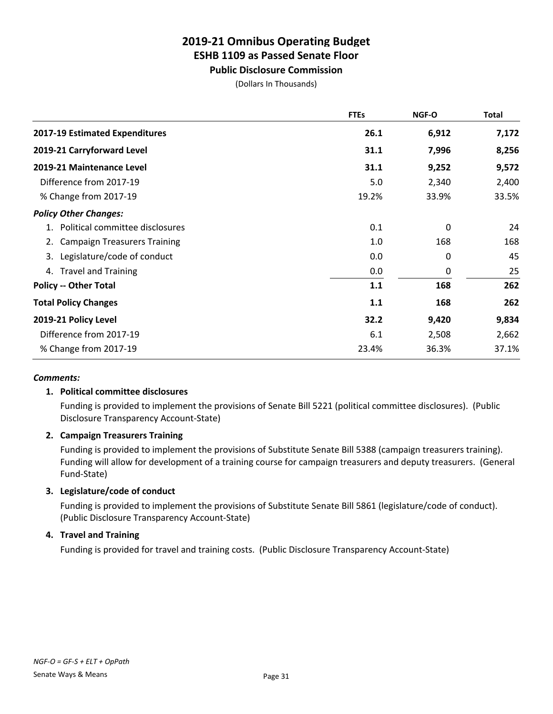# **Public Disclosure Commission**

(Dollars In Thousands)

|                                           | <b>FTEs</b> | NGF-O | <b>Total</b> |
|-------------------------------------------|-------------|-------|--------------|
| 2017-19 Estimated Expenditures            | 26.1        | 6,912 | 7,172        |
| 2019-21 Carryforward Level                | 31.1        | 7,996 | 8,256        |
| 2019-21 Maintenance Level                 | 31.1        | 9,252 | 9,572        |
| Difference from 2017-19                   | 5.0         | 2,340 | 2,400        |
| % Change from 2017-19                     | 19.2%       | 33.9% | 33.5%        |
| <b>Policy Other Changes:</b>              |             |       |              |
| 1. Political committee disclosures        | 0.1         | 0     | 24           |
| <b>Campaign Treasurers Training</b><br>2. | 1.0         | 168   | 168          |
| Legislature/code of conduct<br>3.         | 0.0         | 0     | 45           |
| 4. Travel and Training                    | 0.0         | 0     | 25           |
| <b>Policy -- Other Total</b>              | 1.1         | 168   | 262          |
| <b>Total Policy Changes</b>               | 1.1         | 168   | 262          |
| 2019-21 Policy Level                      | 32.2        | 9,420 | 9,834        |
| Difference from 2017-19                   | 6.1         | 2,508 | 2,662        |
| % Change from 2017-19                     | 23.4%       | 36.3% | 37.1%        |

### *Comments:*

## **1. Political committee disclosures**

Funding is provided to implement the provisions of Senate Bill 5221 (political committee disclosures). (Public Disclosure Transparency Account-State)

## **2. Campaign Treasurers Training**

Funding is provided to implement the provisions of Substitute Senate Bill 5388 (campaign treasurers training). Funding will allow for development of a training course for campaign treasurers and deputy treasurers. (General Fund-State)

## **3. Legislature/code of conduct**

Funding is provided to implement the provisions of Substitute Senate Bill 5861 (legislature/code of conduct). (Public Disclosure Transparency Account-State)

## **4. Travel and Training**

Funding is provided for travel and training costs. (Public Disclosure Transparency Account-State)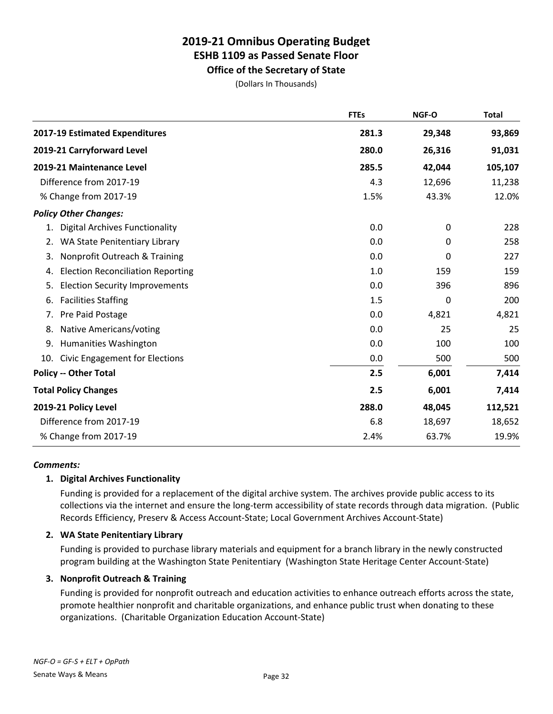**Office of the Secretary of State**

(Dollars In Thousands)

|                                                | <b>FTEs</b> | NGF-O       | <b>Total</b> |
|------------------------------------------------|-------------|-------------|--------------|
| 2017-19 Estimated Expenditures                 | 281.3       | 29,348      | 93,869       |
| 2019-21 Carryforward Level                     | 280.0       | 26,316      | 91,031       |
| 2019-21 Maintenance Level                      | 285.5       | 42,044      | 105,107      |
| Difference from 2017-19                        | 4.3         | 12,696      | 11,238       |
| % Change from 2017-19                          | 1.5%        | 43.3%       | 12.0%        |
| <b>Policy Other Changes:</b>                   |             |             |              |
| <b>Digital Archives Functionality</b><br>1.    | 0.0         | $\mathbf 0$ | 228          |
| WA State Penitentiary Library<br>2.            | 0.0         | 0           | 258          |
| Nonprofit Outreach & Training<br>3.            | 0.0         | 0           | 227          |
| <b>Election Reconciliation Reporting</b><br>4. | 1.0         | 159         | 159          |
| <b>Election Security Improvements</b><br>5.    | 0.0         | 396         | 896          |
| <b>Facilities Staffing</b><br>6.               | 1.5         | 0           | 200          |
| Pre Paid Postage<br>7.                         | 0.0         | 4,821       | 4,821        |
| Native Americans/voting<br>8.                  | 0.0         | 25          | 25           |
| 9.<br><b>Humanities Washington</b>             | 0.0         | 100         | 100          |
| <b>Civic Engagement for Elections</b><br>10.   | 0.0         | 500         | 500          |
| <b>Policy -- Other Total</b>                   | 2.5         | 6,001       | 7,414        |
| <b>Total Policy Changes</b>                    | 2.5         | 6,001       | 7,414        |
| 2019-21 Policy Level                           | 288.0       | 48,045      | 112,521      |
| Difference from 2017-19                        | 6.8         | 18,697      | 18,652       |
| % Change from 2017-19                          | 2.4%        | 63.7%       | 19.9%        |

### *Comments:*

### **1. Digital Archives Functionality**

Funding is provided for a replacement of the digital archive system. The archives provide public access to its collections via the internet and ensure the long-term accessibility of state records through data migration. (Public Records Efficiency, Preserv & Access Account-State; Local Government Archives Account-State)

### **2. WA State Penitentiary Library**

Funding is provided to purchase library materials and equipment for a branch library in the newly constructed program building at the Washington State Penitentiary (Washington State Heritage Center Account-State)

### **3. Nonprofit Outreach & Training**

Funding is provided for nonprofit outreach and education activities to enhance outreach efforts across the state, promote healthier nonprofit and charitable organizations, and enhance public trust when donating to these organizations. (Charitable Organization Education Account-State)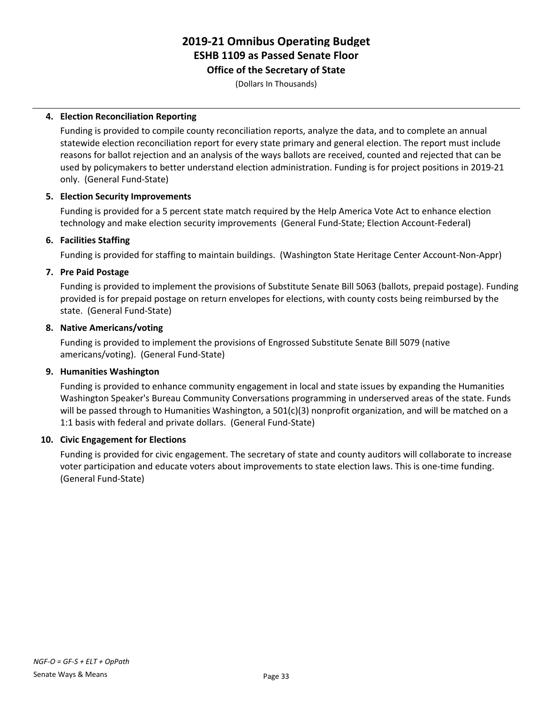**Office of the Secretary of State**

(Dollars In Thousands)

### **4. Election Reconciliation Reporting**

Funding is provided to compile county reconciliation reports, analyze the data, and to complete an annual statewide election reconciliation report for every state primary and general election. The report must include reasons for ballot rejection and an analysis of the ways ballots are received, counted and rejected that can be used by policymakers to better understand election administration. Funding is for project positions in 2019-21 only. (General Fund-State)

### **5. Election Security Improvements**

Funding is provided for a 5 percent state match required by the Help America Vote Act to enhance election technology and make election security improvements (General Fund-State; Election Account-Federal)

### **6. Facilities Staffing**

Funding is provided for staffing to maintain buildings. (Washington State Heritage Center Account-Non-Appr)

### **7. Pre Paid Postage**

Funding is provided to implement the provisions of Substitute Senate Bill 5063 (ballots, prepaid postage). Funding provided is for prepaid postage on return envelopes for elections, with county costs being reimbursed by the state. (General Fund-State)

### **8. Native Americans/voting**

Funding is provided to implement the provisions of Engrossed Substitute Senate Bill 5079 (native americans/voting). (General Fund-State)

### **9. Humanities Washington**

Funding is provided to enhance community engagement in local and state issues by expanding the Humanities Washington Speaker's Bureau Community Conversations programming in underserved areas of the state. Funds will be passed through to Humanities Washington, a 501(c)(3) nonprofit organization, and will be matched on a 1:1 basis with federal and private dollars. (General Fund-State)

### **10. Civic Engagement for Elections**

Funding is provided for civic engagement. The secretary of state and county auditors will collaborate to increase voter participation and educate voters about improvements to state election laws. This is one-time funding. (General Fund-State)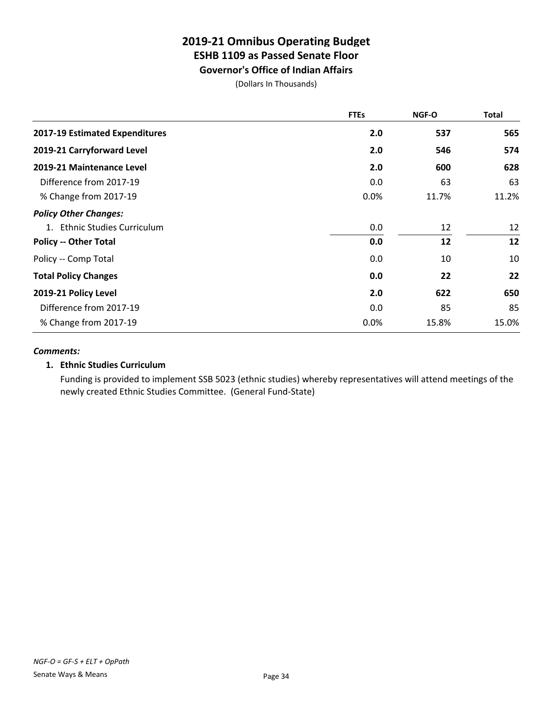**Governor's Office of Indian Affairs**

(Dollars In Thousands)

|                                | <b>FTEs</b> | <b>NGF-O</b> | <b>Total</b> |
|--------------------------------|-------------|--------------|--------------|
| 2017-19 Estimated Expenditures | 2.0         | 537          | 565          |
| 2019-21 Carryforward Level     | 2.0         | 546          | 574          |
| 2019-21 Maintenance Level      | 2.0         | 600          | 628          |
| Difference from 2017-19        | 0.0         | 63           | 63           |
| % Change from 2017-19          | 0.0%        | 11.7%        | 11.2%        |
| <b>Policy Other Changes:</b>   |             |              |              |
| 1. Ethnic Studies Curriculum   | 0.0         | 12           | 12           |
| <b>Policy -- Other Total</b>   | 0.0         | 12           | 12           |
| Policy -- Comp Total           | 0.0         | 10           | 10           |
| <b>Total Policy Changes</b>    | 0.0         | 22           | 22           |
| 2019-21 Policy Level           | 2.0         | 622          | 650          |
| Difference from 2017-19        | 0.0         | 85           | 85           |
| % Change from 2017-19          | 0.0%        | 15.8%        | 15.0%        |

#### *Comments:*

### **1. Ethnic Studies Curriculum**

Funding is provided to implement SSB 5023 (ethnic studies) whereby representatives will attend meetings of the newly created Ethnic Studies Committee. (General Fund-State)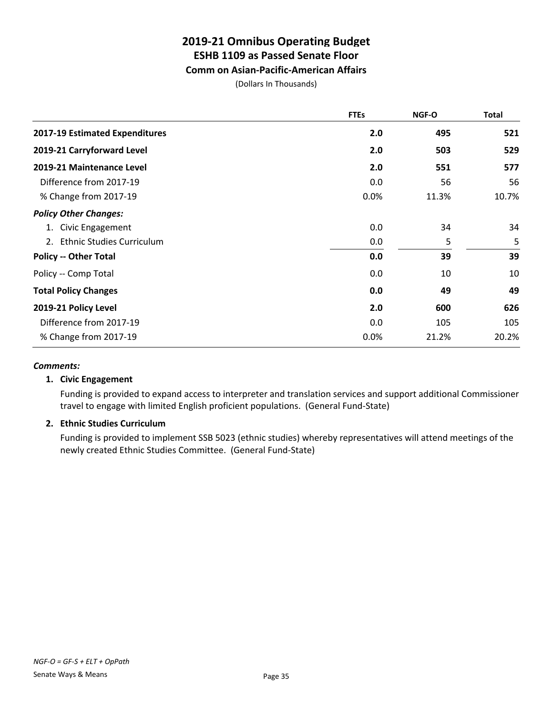## **Comm on Asian-Pacific-American Affairs**

(Dollars In Thousands)

|                                        | <b>FTEs</b> | NGF-O | <b>Total</b> |
|----------------------------------------|-------------|-------|--------------|
| 2017-19 Estimated Expenditures         | 2.0         | 495   | 521          |
| 2019-21 Carryforward Level             | 2.0         | 503   | 529          |
| 2019-21 Maintenance Level              | 2.0         | 551   | 577          |
| Difference from 2017-19                | 0.0         | 56    | 56           |
| % Change from 2017-19                  | 0.0%        | 11.3% | 10.7%        |
| <b>Policy Other Changes:</b>           |             |       |              |
| Civic Engagement<br>1.                 | 0.0         | 34    | 34           |
| <b>Ethnic Studies Curriculum</b><br>2. | 0.0         | 5     | 5            |
| <b>Policy -- Other Total</b>           | 0.0         | 39    | 39           |
| Policy -- Comp Total                   | 0.0         | 10    | 10           |
| <b>Total Policy Changes</b>            | 0.0         | 49    | 49           |
| 2019-21 Policy Level                   | 2.0         | 600   | 626          |
| Difference from 2017-19                | 0.0         | 105   | 105          |
| % Change from 2017-19                  | 0.0%        | 21.2% | 20.2%        |

### *Comments:*

### **1. Civic Engagement**

Funding is provided to expand access to interpreter and translation services and support additional Commissioner travel to engage with limited English proficient populations. (General Fund-State)

## **2. Ethnic Studies Curriculum**

Funding is provided to implement SSB 5023 (ethnic studies) whereby representatives will attend meetings of the newly created Ethnic Studies Committee. (General Fund-State)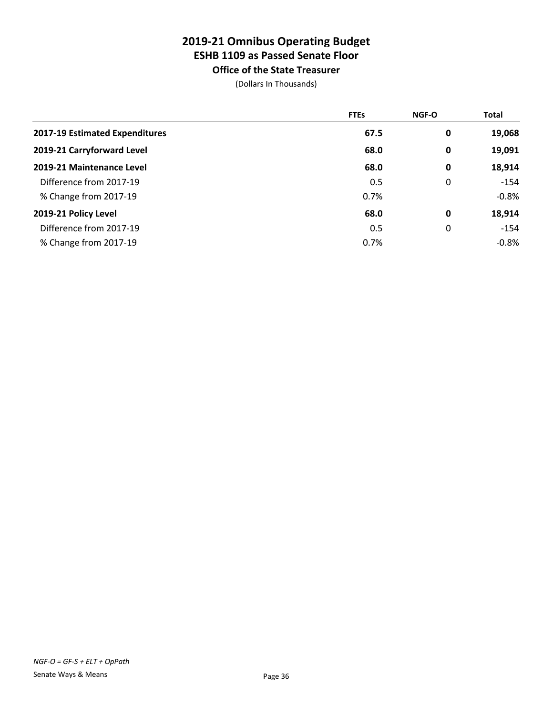**Office of the State Treasurer**

|                                | <b>FTEs</b> | <b>NGF-O</b> | <b>Total</b> |
|--------------------------------|-------------|--------------|--------------|
| 2017-19 Estimated Expenditures | 67.5        | 0            | 19,068       |
| 2019-21 Carryforward Level     | 68.0        | 0            | 19,091       |
| 2019-21 Maintenance Level      | 68.0        | 0            | 18,914       |
| Difference from 2017-19        | 0.5         | 0            | $-154$       |
| % Change from 2017-19          | 0.7%        |              | $-0.8%$      |
| 2019-21 Policy Level           | 68.0        | 0            | 18,914       |
| Difference from 2017-19        | 0.5         | 0            | $-154$       |
| % Change from 2017-19          | 0.7%        |              | $-0.8%$      |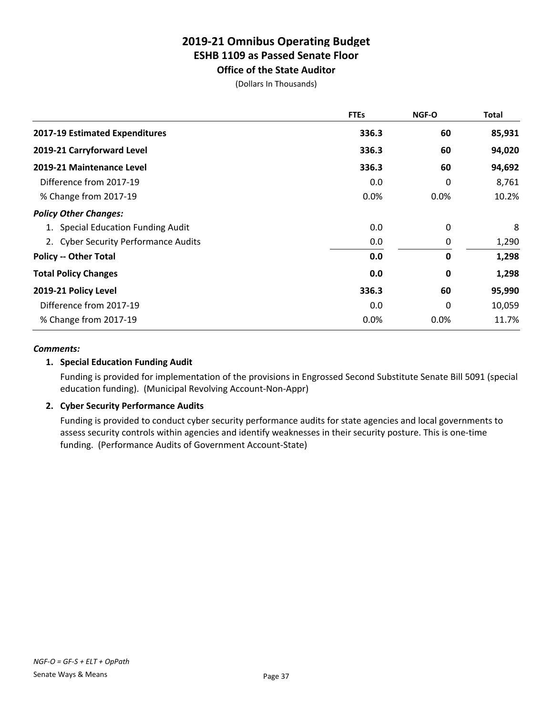**Office of the State Auditor** (Dollars In Thousands)

|                                      | <b>FTEs</b> | <b>NGF-O</b> | <b>Total</b> |
|--------------------------------------|-------------|--------------|--------------|
| 2017-19 Estimated Expenditures       | 336.3       | 60           | 85,931       |
| 2019-21 Carryforward Level           | 336.3       | 60           | 94,020       |
| 2019-21 Maintenance Level            | 336.3       | 60           | 94,692       |
| Difference from 2017-19              | 0.0         | 0            | 8,761        |
| % Change from 2017-19                | 0.0%        | 0.0%         | 10.2%        |
| <b>Policy Other Changes:</b>         |             |              |              |
| 1. Special Education Funding Audit   | 0.0         | 0            | 8            |
| 2. Cyber Security Performance Audits | 0.0         | 0            | 1,290        |
| <b>Policy -- Other Total</b>         | 0.0         | 0            | 1,298        |
| <b>Total Policy Changes</b>          | 0.0         | 0            | 1,298        |
| 2019-21 Policy Level                 | 336.3       | 60           | 95,990       |
| Difference from 2017-19              | 0.0         | 0            | 10,059       |
| % Change from 2017-19                | 0.0%        | 0.0%         | 11.7%        |

## *Comments:*

## **1. Special Education Funding Audit**

Funding is provided for implementation of the provisions in Engrossed Second Substitute Senate Bill 5091 (special education funding). (Municipal Revolving Account-Non-Appr)

## **2. Cyber Security Performance Audits**

Funding is provided to conduct cyber security performance audits for state agencies and local governments to assess security controls within agencies and identify weaknesses in their security posture. This is one-time funding. (Performance Audits of Government Account-State)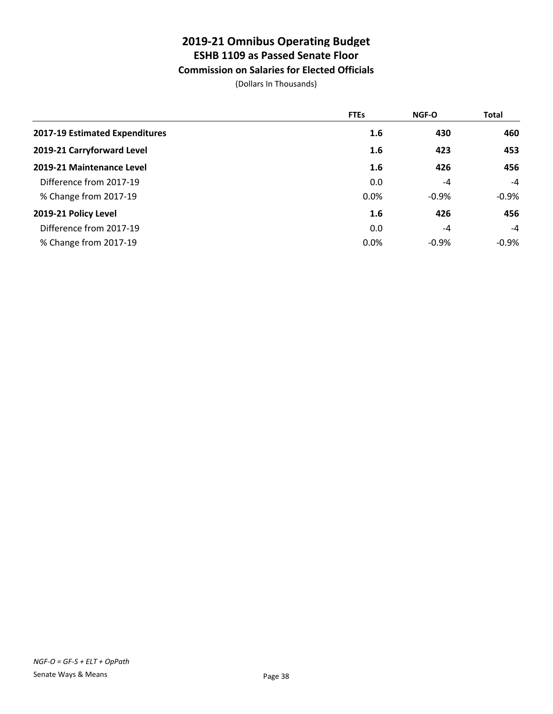## **Commission on Salaries for Elected Officials**

|                                | <b>FTEs</b> | <b>NGF-O</b> | <b>Total</b> |
|--------------------------------|-------------|--------------|--------------|
| 2017-19 Estimated Expenditures | 1.6         | 430          | 460          |
| 2019-21 Carryforward Level     | 1.6         | 423          | 453          |
| 2019-21 Maintenance Level      | 1.6         | 426          | 456          |
| Difference from 2017-19        | 0.0         | -4           | -4           |
| % Change from 2017-19          | 0.0%        | $-0.9%$      | $-0.9\%$     |
| 2019-21 Policy Level           | 1.6         | 426          | 456          |
| Difference from 2017-19        | 0.0         | -4           | -4           |
| % Change from 2017-19          | 0.0%        | $-0.9%$      | $-0.9%$      |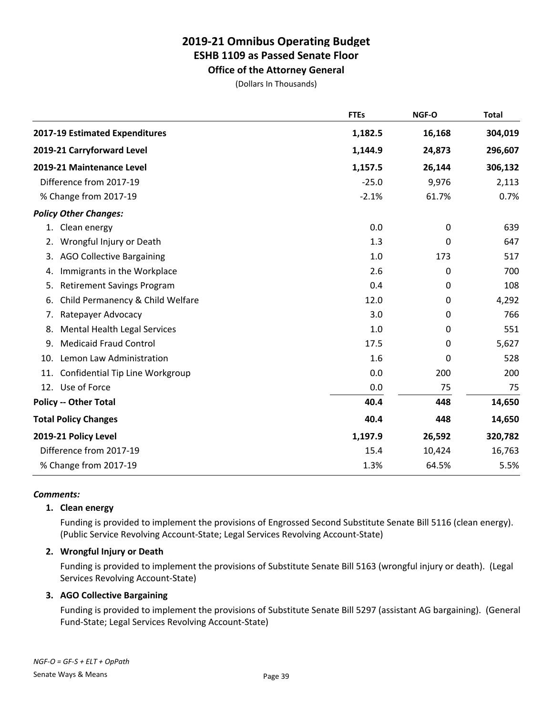**Office of the Attorney General**

(Dollars In Thousands)

|                                         | <b>FTEs</b> | NGF-O  | <b>Total</b> |
|-----------------------------------------|-------------|--------|--------------|
| 2017-19 Estimated Expenditures          | 1,182.5     | 16,168 | 304,019      |
| 2019-21 Carryforward Level              | 1,144.9     | 24,873 | 296,607      |
| 2019-21 Maintenance Level               | 1,157.5     | 26,144 | 306,132      |
| Difference from 2017-19                 | $-25.0$     | 9,976  | 2,113        |
| % Change from 2017-19                   | $-2.1%$     | 61.7%  | 0.7%         |
| <b>Policy Other Changes:</b>            |             |        |              |
| Clean energy<br>1.                      | 0.0         | 0      | 639          |
| Wrongful Injury or Death<br>2.          | 1.3         | 0      | 647          |
| <b>AGO Collective Bargaining</b><br>3.  | 1.0         | 173    | 517          |
| Immigrants in the Workplace<br>4.       | 2.6         | 0      | 700          |
| <b>Retirement Savings Program</b><br>5. | 0.4         | 0      | 108          |
| Child Permanency & Child Welfare<br>6.  | 12.0        | 0      | 4,292        |
| Ratepayer Advocacy<br>7.                | 3.0         | 0      | 766          |
| Mental Health Legal Services<br>8.      | 1.0         | 0      | 551          |
| <b>Medicaid Fraud Control</b><br>9.     | 17.5        | 0      | 5,627        |
| Lemon Law Administration<br>10.         | 1.6         | 0      | 528          |
| Confidential Tip Line Workgroup<br>11.  | 0.0         | 200    | 200          |
| 12. Use of Force                        | 0.0         | 75     | 75           |
| <b>Policy -- Other Total</b>            | 40.4        | 448    | 14,650       |
| <b>Total Policy Changes</b>             | 40.4        | 448    | 14,650       |
| 2019-21 Policy Level                    | 1,197.9     | 26,592 | 320,782      |
| Difference from 2017-19                 | 15.4        | 10,424 | 16,763       |
| % Change from 2017-19                   | 1.3%        | 64.5%  | 5.5%         |

## *Comments:*

## **1. Clean energy**

Funding is provided to implement the provisions of Engrossed Second Substitute Senate Bill 5116 (clean energy). (Public Service Revolving Account-State; Legal Services Revolving Account-State)

## **2. Wrongful Injury or Death**

Funding is provided to implement the provisions of Substitute Senate Bill 5163 (wrongful injury or death). (Legal Services Revolving Account-State)

## **3. AGO Collective Bargaining**

Funding is provided to implement the provisions of Substitute Senate Bill 5297 (assistant AG bargaining). (General Fund-State; Legal Services Revolving Account-State)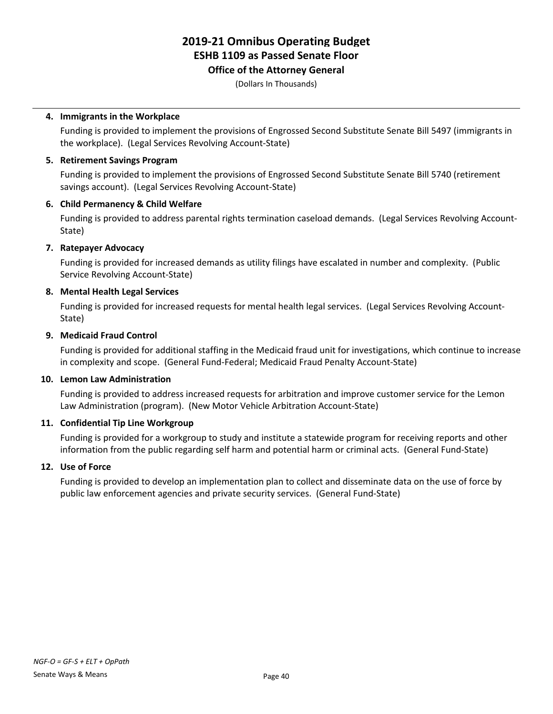## **Office of the Attorney General**

(Dollars In Thousands)

## **4. Immigrants in the Workplace**

Funding is provided to implement the provisions of Engrossed Second Substitute Senate Bill 5497 (immigrants in the workplace). (Legal Services Revolving Account-State)

## **5. Retirement Savings Program**

Funding is provided to implement the provisions of Engrossed Second Substitute Senate Bill 5740 (retirement savings account). (Legal Services Revolving Account-State)

## **6. Child Permanency & Child Welfare**

Funding is provided to address parental rights termination caseload demands. (Legal Services Revolving Account-State)

## **7. Ratepayer Advocacy**

Funding is provided for increased demands as utility filings have escalated in number and complexity. (Public Service Revolving Account-State)

## **8. Mental Health Legal Services**

Funding is provided for increased requests for mental health legal services. (Legal Services Revolving Account-State)

## **9. Medicaid Fraud Control**

Funding is provided for additional staffing in the Medicaid fraud unit for investigations, which continue to increase in complexity and scope. (General Fund-Federal; Medicaid Fraud Penalty Account-State)

## **10. Lemon Law Administration**

Funding is provided to address increased requests for arbitration and improve customer service for the Lemon Law Administration (program). (New Motor Vehicle Arbitration Account-State)

## **11. Confidential Tip Line Workgroup**

Funding is provided for a workgroup to study and institute a statewide program for receiving reports and other information from the public regarding self harm and potential harm or criminal acts. (General Fund-State)

## **12. Use of Force**

Funding is provided to develop an implementation plan to collect and disseminate data on the use of force by public law enforcement agencies and private security services. (General Fund-State)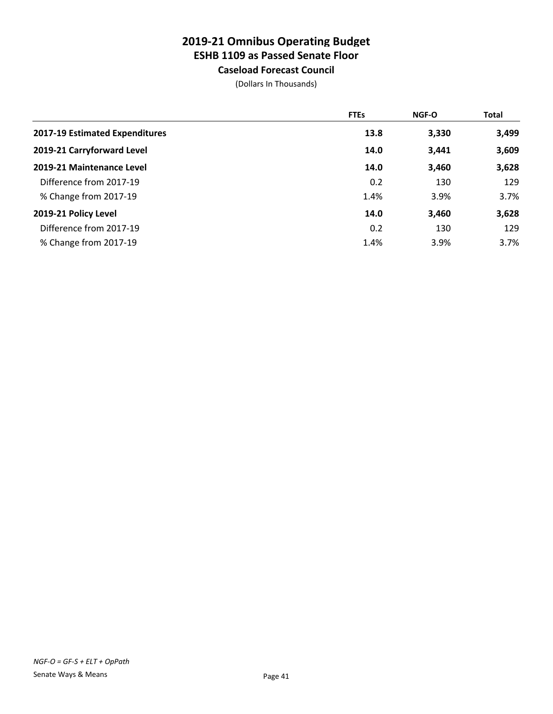**Caseload Forecast Council**

|                                | <b>FTEs</b> | NGF-O | <b>Total</b> |
|--------------------------------|-------------|-------|--------------|
| 2017-19 Estimated Expenditures | 13.8        | 3,330 | 3,499        |
| 2019-21 Carryforward Level     | 14.0        | 3,441 | 3,609        |
| 2019-21 Maintenance Level      | 14.0        | 3,460 | 3,628        |
| Difference from 2017-19        | 0.2         | 130   | 129          |
| % Change from 2017-19          | 1.4%        | 3.9%  | 3.7%         |
| 2019-21 Policy Level           | 14.0        | 3,460 | 3,628        |
| Difference from 2017-19        | 0.2         | 130   | 129          |
| % Change from 2017-19          | 1.4%        | 3.9%  | 3.7%         |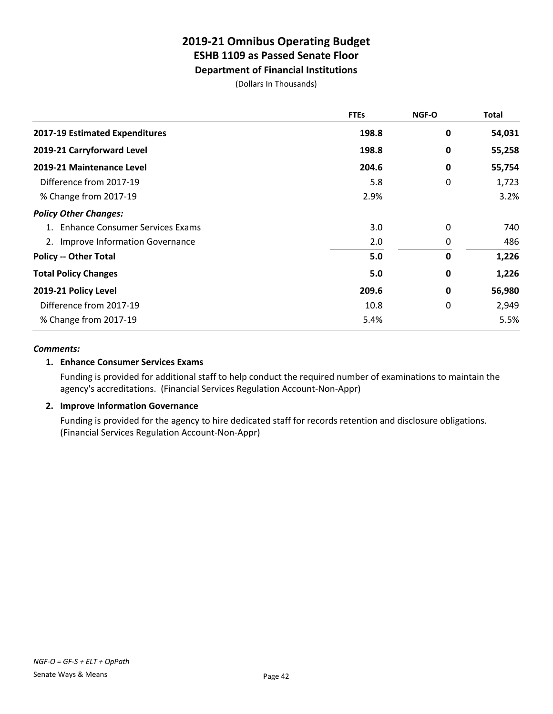**Department of Financial Institutions**

(Dollars In Thousands)

|                                    | <b>FTEs</b> | <b>NGF-O</b> | Total  |
|------------------------------------|-------------|--------------|--------|
| 2017-19 Estimated Expenditures     | 198.8       | 0            | 54,031 |
| 2019-21 Carryforward Level         | 198.8       | 0            | 55,258 |
| 2019-21 Maintenance Level          | 204.6       | 0            | 55,754 |
| Difference from 2017-19            | 5.8         | 0            | 1,723  |
| % Change from 2017-19              | 2.9%        |              | 3.2%   |
| <b>Policy Other Changes:</b>       |             |              |        |
| 1. Enhance Consumer Services Exams | 3.0         | 0            | 740    |
| 2. Improve Information Governance  | 2.0         | 0            | 486    |
| <b>Policy -- Other Total</b>       | 5.0         | 0            | 1,226  |
| <b>Total Policy Changes</b>        | 5.0         | 0            | 1,226  |
| 2019-21 Policy Level               | 209.6       | 0            | 56,980 |
| Difference from 2017-19            | 10.8        | 0            | 2,949  |
| % Change from 2017-19              | 5.4%        |              | 5.5%   |

## *Comments:*

## **1. Enhance Consumer Services Exams**

Funding is provided for additional staff to help conduct the required number of examinations to maintain the agency's accreditations. (Financial Services Regulation Account-Non-Appr)

## **2. Improve Information Governance**

Funding is provided for the agency to hire dedicated staff for records retention and disclosure obligations. (Financial Services Regulation Account-Non-Appr)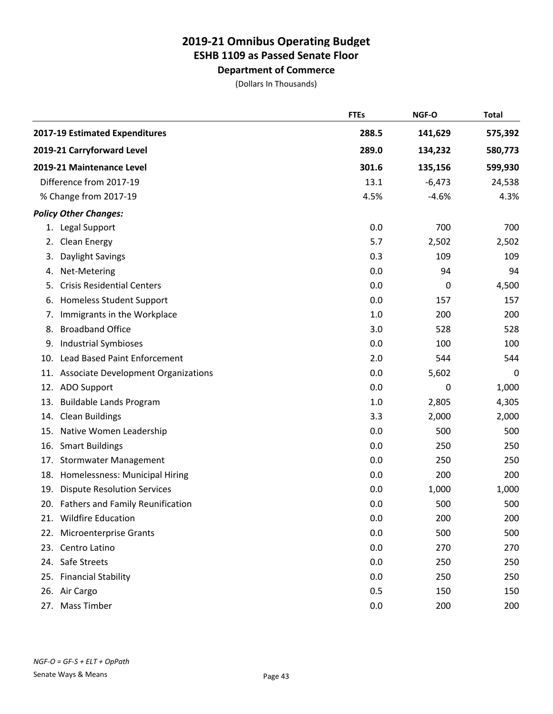**Department of Commerce**

|     |                                         | <b>FTEs</b> | NGF-O    | <b>Total</b>     |
|-----|-----------------------------------------|-------------|----------|------------------|
|     | 2017-19 Estimated Expenditures          | 288.5       | 141,629  | 575,392          |
|     | 2019-21 Carryforward Level              | 289.0       | 134,232  | 580,773          |
|     | 2019-21 Maintenance Level               | 301.6       | 135,156  | 599,930          |
|     | Difference from 2017-19                 | 13.1        | $-6,473$ | 24,538           |
|     | % Change from 2017-19                   | 4.5%        | $-4.6%$  | 4.3%             |
|     | <b>Policy Other Changes:</b>            |             |          |                  |
|     | 1. Legal Support                        | 0.0         | 700      | 700              |
| 2.  | Clean Energy                            | 5.7         | 2,502    | 2,502            |
| 3.  | Daylight Savings                        | 0.3         | 109      | 109              |
| 4.  | Net-Metering                            | 0.0         | 94       | 94               |
| 5.  | <b>Crisis Residential Centers</b>       | 0.0         | 0        | 4,500            |
| 6.  | <b>Homeless Student Support</b>         | 0.0         | 157      | 157              |
| 7.  | Immigrants in the Workplace             | 1.0         | 200      | 200              |
| 8.  | <b>Broadband Office</b>                 | 3.0         | 528      | 528              |
| 9.  | <b>Industrial Symbioses</b>             | 0.0         | 100      | 100              |
| 10. | <b>Lead Based Paint Enforcement</b>     | 2.0         | 544      | 544              |
|     | 11. Associate Development Organizations | 0.0         | 5,602    | $\boldsymbol{0}$ |
|     | 12. ADO Support                         | 0.0         | 0        | 1,000            |
| 13. | <b>Buildable Lands Program</b>          | 1.0         | 2,805    | 4,305            |
| 14. | <b>Clean Buildings</b>                  | 3.3         | 2,000    | 2,000            |
| 15. | Native Women Leadership                 | 0.0         | 500      | 500              |
| 16. | <b>Smart Buildings</b>                  | 0.0         | 250      | 250              |
| 17. | <b>Stormwater Management</b>            | 0.0         | 250      | 250              |
| 18. | Homelessness: Municipal Hiring          | 0.0         | 200      | 200              |
| 19. | <b>Dispute Resolution Services</b>      | 0.0         | 1,000    | 1,000            |
|     | 20. Fathers and Family Reunification    | 0.0         | 500      | 500              |
|     | 21. Wildfire Education                  | 0.0         | 200      | 200              |
|     | 22. Microenterprise Grants              | 0.0         | 500      | 500              |
|     | 23. Centro Latino                       | 0.0         | 270      | 270              |
|     | 24. Safe Streets                        | 0.0         | 250      | 250              |
|     | 25. Financial Stability                 | 0.0         | 250      | 250              |
|     | 26. Air Cargo                           | 0.5         | 150      | 150              |
| 27. | <b>Mass Timber</b>                      | 0.0         | 200      | 200              |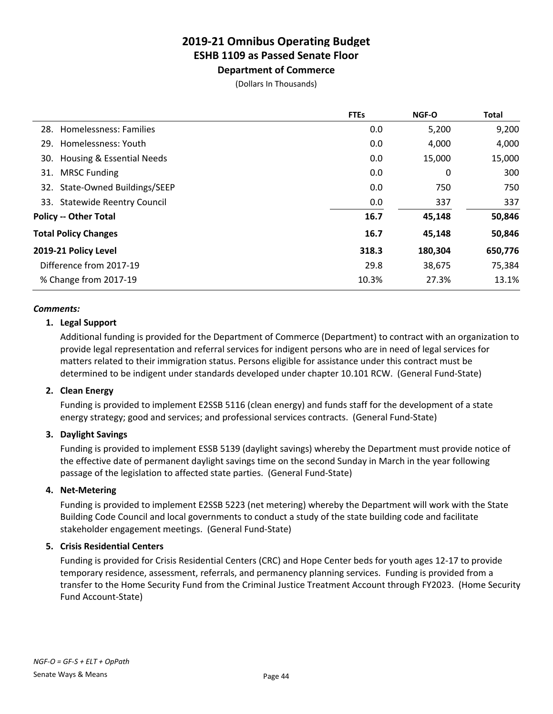**Department of Commerce** (Dollars In Thousands)

|                                | <b>FTEs</b> | <b>NGF-O</b> | <b>Total</b> |
|--------------------------------|-------------|--------------|--------------|
| 28. Homelessness: Families     | 0.0         | 5,200        | 9,200        |
| 29. Homelessness: Youth        | 0.0         | 4,000        | 4,000        |
| 30. Housing & Essential Needs  | 0.0         | 15,000       | 15,000       |
| 31. MRSC Funding               | 0.0         | 0            | 300          |
| 32. State-Owned Buildings/SEEP | 0.0         | 750          | 750          |
| 33. Statewide Reentry Council  | 0.0         | 337          | 337          |
| <b>Policy -- Other Total</b>   | 16.7        | 45,148       | 50,846       |
| <b>Total Policy Changes</b>    | 16.7        | 45,148       | 50,846       |
| 2019-21 Policy Level           | 318.3       | 180,304      | 650,776      |
| Difference from 2017-19        | 29.8        | 38,675       | 75,384       |
| % Change from 2017-19          | 10.3%       | 27.3%        | 13.1%        |
|                                |             |              |              |

#### *Comments:*

## **1. Legal Support**

Additional funding is provided for the Department of Commerce (Department) to contract with an organization to provide legal representation and referral services for indigent persons who are in need of legal services for matters related to their immigration status. Persons eligible for assistance under this contract must be determined to be indigent under standards developed under chapter 10.101 RCW. (General Fund-State)

## **2. Clean Energy**

Funding is provided to implement E2SSB 5116 (clean energy) and funds staff for the development of a state energy strategy; good and services; and professional services contracts. (General Fund-State)

## **3. Daylight Savings**

Funding is provided to implement ESSB 5139 (daylight savings) whereby the Department must provide notice of the effective date of permanent daylight savings time on the second Sunday in March in the year following passage of the legislation to affected state parties. (General Fund-State)

## **4. Net-Metering**

Funding is provided to implement E2SSB 5223 (net metering) whereby the Department will work with the State Building Code Council and local governments to conduct a study of the state building code and facilitate stakeholder engagement meetings. (General Fund-State)

## **5. Crisis Residential Centers**

Funding is provided for Crisis Residential Centers (CRC) and Hope Center beds for youth ages 12-17 to provide temporary residence, assessment, referrals, and permanency planning services. Funding is provided from a transfer to the Home Security Fund from the Criminal Justice Treatment Account through FY2023. (Home Security Fund Account-State)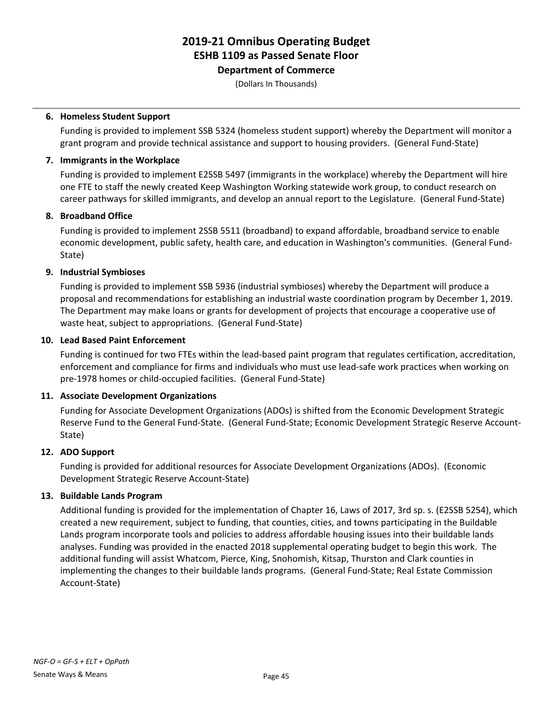**Department of Commerce**

(Dollars In Thousands)

## **6. Homeless Student Support**

Funding is provided to implement SSB 5324 (homeless student support) whereby the Department will monitor a grant program and provide technical assistance and support to housing providers. (General Fund-State)

## **7. Immigrants in the Workplace**

Funding is provided to implement E2SSB 5497 (immigrants in the workplace) whereby the Department will hire one FTE to staff the newly created Keep Washington Working statewide work group, to conduct research on career pathways for skilled immigrants, and develop an annual report to the Legislature. (General Fund-State)

## **8. Broadband Office**

Funding is provided to implement 2SSB 5511 (broadband) to expand affordable, broadband service to enable economic development, public safety, health care, and education in Washington's communities. (General Fund-State)

## **9. Industrial Symbioses**

Funding is provided to implement SSB 5936 (industrial symbioses) whereby the Department will produce a proposal and recommendations for establishing an industrial waste coordination program by December 1, 2019. The Department may make loans or grants for development of projects that encourage a cooperative use of waste heat, subject to appropriations. (General Fund-State)

## **10. Lead Based Paint Enforcement**

Funding is continued for two FTEs within the lead-based paint program that regulates certification, accreditation, enforcement and compliance for firms and individuals who must use lead-safe work practices when working on pre-1978 homes or child-occupied facilities. (General Fund-State)

## **11. Associate Development Organizations**

Funding for Associate Development Organizations (ADOs) is shifted from the Economic Development Strategic Reserve Fund to the General Fund-State. (General Fund-State; Economic Development Strategic Reserve Account-State)

## **12. ADO Support**

Funding is provided for additional resources for Associate Development Organizations (ADOs). (Economic Development Strategic Reserve Account-State)

## **13. Buildable Lands Program**

Additional funding is provided for the implementation of Chapter 16, Laws of 2017, 3rd sp. s. (E2SSB 5254), which created a new requirement, subject to funding, that counties, cities, and towns participating in the Buildable Lands program incorporate tools and policies to address affordable housing issues into their buildable lands analyses. Funding was provided in the enacted 2018 supplemental operating budget to begin this work. The additional funding will assist Whatcom, Pierce, King, Snohomish, Kitsap, Thurston and Clark counties in implementing the changes to their buildable lands programs. (General Fund-State; Real Estate Commission Account-State)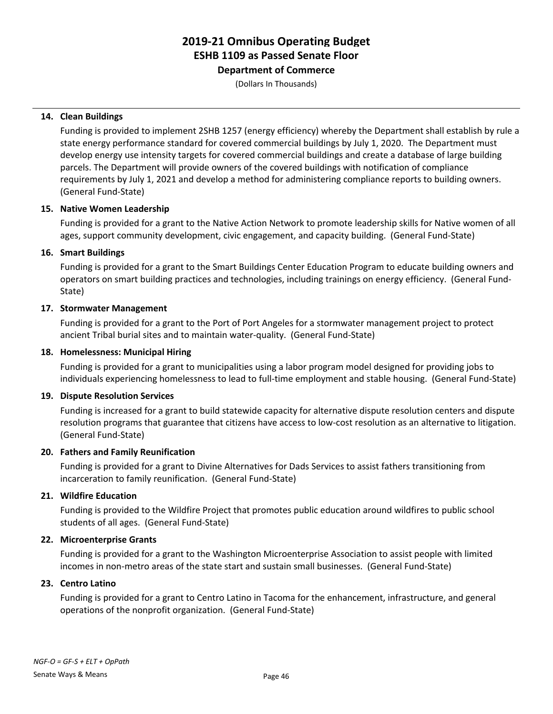**Department of Commerce**

(Dollars In Thousands)

## **14. Clean Buildings**

Funding is provided to implement 2SHB 1257 (energy efficiency) whereby the Department shall establish by rule a state energy performance standard for covered commercial buildings by July 1, 2020. The Department must develop energy use intensity targets for covered commercial buildings and create a database of large building parcels. The Department will provide owners of the covered buildings with notification of compliance requirements by July 1, 2021 and develop a method for administering compliance reports to building owners. (General Fund-State)

## **15. Native Women Leadership**

Funding is provided for a grant to the Native Action Network to promote leadership skills for Native women of all ages, support community development, civic engagement, and capacity building. (General Fund-State)

## **16. Smart Buildings**

Funding is provided for a grant to the Smart Buildings Center Education Program to educate building owners and operators on smart building practices and technologies, including trainings on energy efficiency. (General Fund-State)

## **17. Stormwater Management**

Funding is provided for a grant to the Port of Port Angeles for a stormwater management project to protect ancient Tribal burial sites and to maintain water-quality. (General Fund-State)

## **18. Homelessness: Municipal Hiring**

Funding is provided for a grant to municipalities using a labor program model designed for providing jobs to individuals experiencing homelessness to lead to full-time employment and stable housing. (General Fund-State)

## **19. Dispute Resolution Services**

Funding is increased for a grant to build statewide capacity for alternative dispute resolution centers and dispute resolution programs that guarantee that citizens have access to low-cost resolution as an alternative to litigation. (General Fund-State)

## **20. Fathers and Family Reunification**

Funding is provided for a grant to Divine Alternatives for Dads Services to assist fathers transitioning from incarceration to family reunification. (General Fund-State)

## **21. Wildfire Education**

Funding is provided to the Wildfire Project that promotes public education around wildfires to public school students of all ages. (General Fund-State)

## **22. Microenterprise Grants**

Funding is provided for a grant to the Washington Microenterprise Association to assist people with limited incomes in non-metro areas of the state start and sustain small businesses. (General Fund-State)

## **23. Centro Latino**

Funding is provided for a grant to Centro Latino in Tacoma for the enhancement, infrastructure, and general operations of the nonprofit organization. (General Fund-State)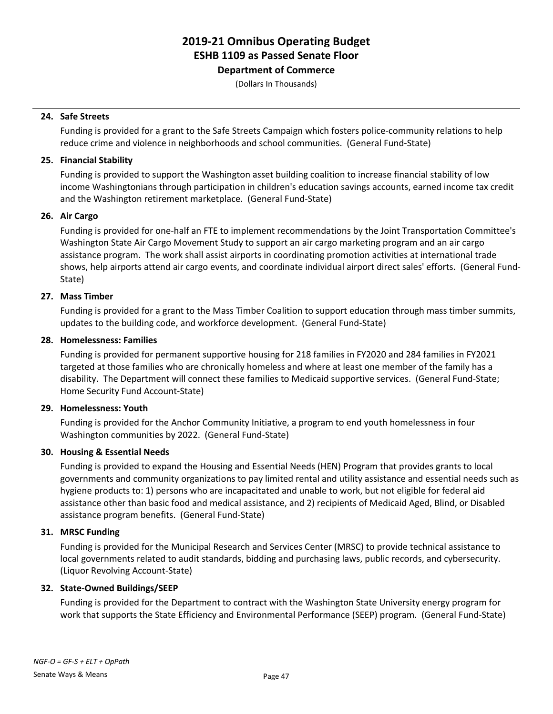**Department of Commerce**

(Dollars In Thousands)

## **24. Safe Streets**

Funding is provided for a grant to the Safe Streets Campaign which fosters police-community relations to help reduce crime and violence in neighborhoods and school communities. (General Fund-State)

## **25. Financial Stability**

Funding is provided to support the Washington asset building coalition to increase financial stability of low income Washingtonians through participation in children's education savings accounts, earned income tax credit and the Washington retirement marketplace. (General Fund-State)

## **26. Air Cargo**

Funding is provided for one-half an FTE to implement recommendations by the Joint Transportation Committee's Washington State Air Cargo Movement Study to support an air cargo marketing program and an air cargo assistance program. The work shall assist airports in coordinating promotion activities at international trade shows, help airports attend air cargo events, and coordinate individual airport direct sales' efforts. (General Fund-State)

## **27. Mass Timber**

Funding is provided for a grant to the Mass Timber Coalition to support education through mass timber summits, updates to the building code, and workforce development. (General Fund-State)

## **28. Homelessness: Families**

Funding is provided for permanent supportive housing for 218 families in FY2020 and 284 families in FY2021 targeted at those families who are chronically homeless and where at least one member of the family has a disability. The Department will connect these families to Medicaid supportive services. (General Fund-State; Home Security Fund Account-State)

## **29. Homelessness: Youth**

Funding is provided for the Anchor Community Initiative, a program to end youth homelessness in four Washington communities by 2022. (General Fund-State)

## **30. Housing & Essential Needs**

Funding is provided to expand the Housing and Essential Needs (HEN) Program that provides grants to local governments and community organizations to pay limited rental and utility assistance and essential needs such as hygiene products to: 1) persons who are incapacitated and unable to work, but not eligible for federal aid assistance other than basic food and medical assistance, and 2) recipients of Medicaid Aged, Blind, or Disabled assistance program benefits. (General Fund-State)

## **31. MRSC Funding**

Funding is provided for the Municipal Research and Services Center (MRSC) to provide technical assistance to local governments related to audit standards, bidding and purchasing laws, public records, and cybersecurity. (Liquor Revolving Account-State)

## **32. State-Owned Buildings/SEEP**

Funding is provided for the Department to contract with the Washington State University energy program for work that supports the State Efficiency and Environmental Performance (SEEP) program. (General Fund-State)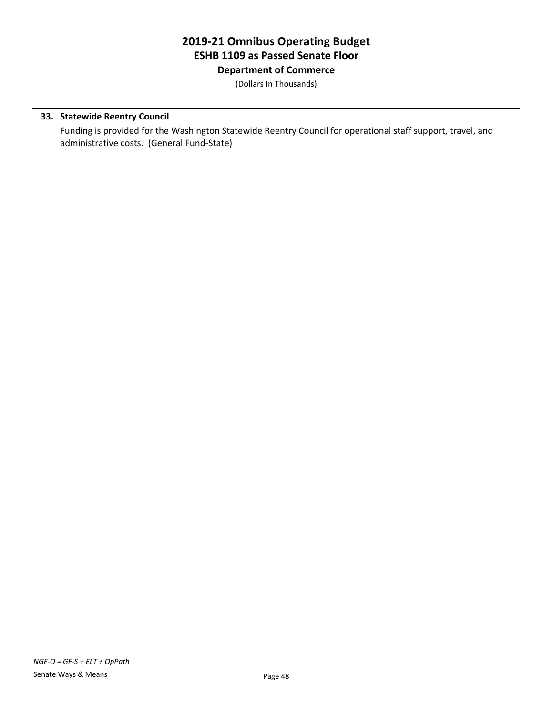**Department of Commerce**

(Dollars In Thousands)

## **33. Statewide Reentry Council**

Funding is provided for the Washington Statewide Reentry Council for operational staff support, travel, and administrative costs. (General Fund-State)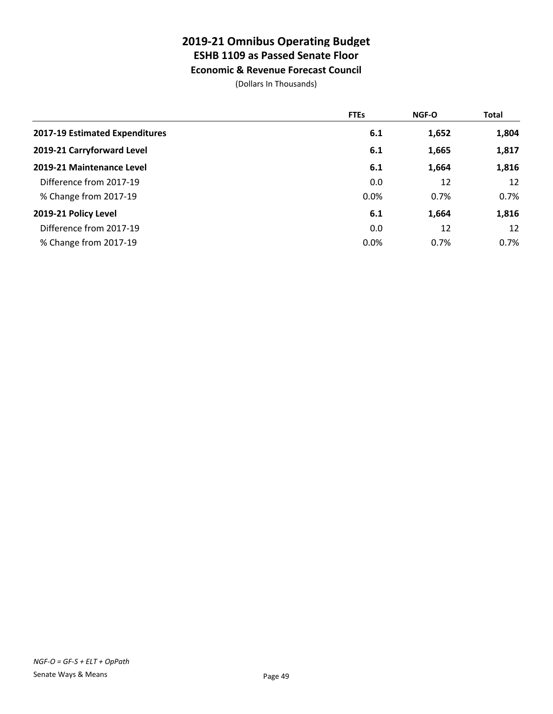# **Economic & Revenue Forecast Council**

|                                | <b>FTEs</b> | <b>NGF-O</b> | <b>Total</b> |
|--------------------------------|-------------|--------------|--------------|
| 2017-19 Estimated Expenditures | 6.1         | 1,652        | 1,804        |
| 2019-21 Carryforward Level     | 6.1         | 1,665        | 1,817        |
| 2019-21 Maintenance Level      | 6.1         | 1,664        | 1,816        |
| Difference from 2017-19        | 0.0         | 12           | 12           |
| % Change from 2017-19          | 0.0%        | 0.7%         | 0.7%         |
| 2019-21 Policy Level           | 6.1         | 1,664        | 1,816        |
| Difference from 2017-19        | 0.0         | 12           | 12           |
| % Change from 2017-19          | 0.0%        | 0.7%         | $0.7\%$      |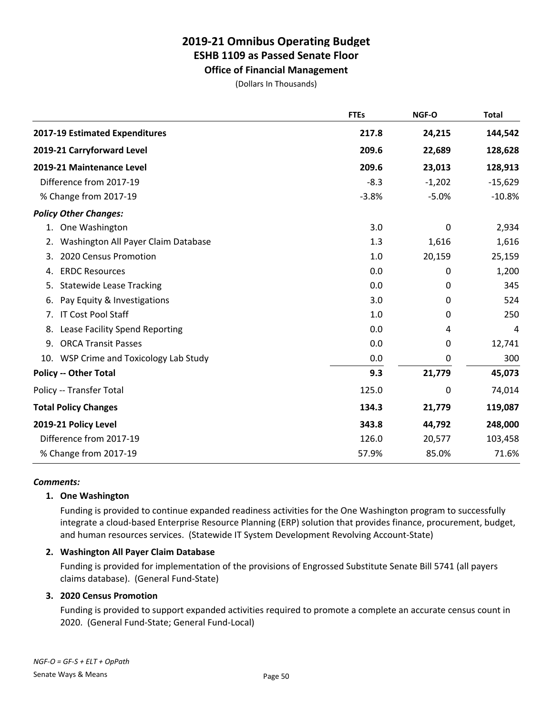# **Office of Financial Management**

(Dollars In Thousands)

|                                           | <b>FTEs</b> | NGF-O    | <b>Total</b> |
|-------------------------------------------|-------------|----------|--------------|
| 2017-19 Estimated Expenditures            | 217.8       | 24,215   | 144,542      |
| 2019-21 Carryforward Level                | 209.6       | 22,689   | 128,628      |
| 2019-21 Maintenance Level                 | 209.6       | 23,013   | 128,913      |
| Difference from 2017-19                   | $-8.3$      | $-1,202$ | $-15,629$    |
| % Change from 2017-19                     | $-3.8%$     | $-5.0%$  | $-10.8%$     |
| <b>Policy Other Changes:</b>              |             |          |              |
| One Washington<br>1.                      | 3.0         | 0        | 2,934        |
| Washington All Payer Claim Database<br>2. | 1.3         | 1,616    | 1,616        |
| 2020 Census Promotion<br>3.               | 1.0         | 20,159   | 25,159       |
| <b>ERDC Resources</b><br>4.               | 0.0         | 0        | 1,200        |
| <b>Statewide Lease Tracking</b><br>5.     | 0.0         | 0        | 345          |
| Pay Equity & Investigations<br>6.         | 3.0         | 0        | 524          |
| <b>IT Cost Pool Staff</b><br>7.           | 1.0         | 0        | 250          |
| Lease Facility Spend Reporting<br>8.      | 0.0         | 4        | 4            |
| 9.<br><b>ORCA Transit Passes</b>          | 0.0         | 0        | 12,741       |
| 10. WSP Crime and Toxicology Lab Study    | 0.0         | 0        | 300          |
| <b>Policy -- Other Total</b>              | 9.3         | 21,779   | 45,073       |
| Policy -- Transfer Total                  | 125.0       | 0        | 74,014       |
| <b>Total Policy Changes</b>               | 134.3       | 21,779   | 119,087      |
| 2019-21 Policy Level                      | 343.8       | 44,792   | 248,000      |
| Difference from 2017-19                   | 126.0       | 20,577   | 103,458      |
| % Change from 2017-19                     | 57.9%       | 85.0%    | 71.6%        |

## *Comments:*

## **1. One Washington**

Funding is provided to continue expanded readiness activities for the One Washington program to successfully integrate a cloud-based Enterprise Resource Planning (ERP) solution that provides finance, procurement, budget, and human resources services. (Statewide IT System Development Revolving Account-State)

## **2. Washington All Payer Claim Database**

Funding is provided for implementation of the provisions of Engrossed Substitute Senate Bill 5741 (all payers claims database). (General Fund-State)

## **3. 2020 Census Promotion**

Funding is provided to support expanded activities required to promote a complete an accurate census count in 2020. (General Fund-State; General Fund-Local)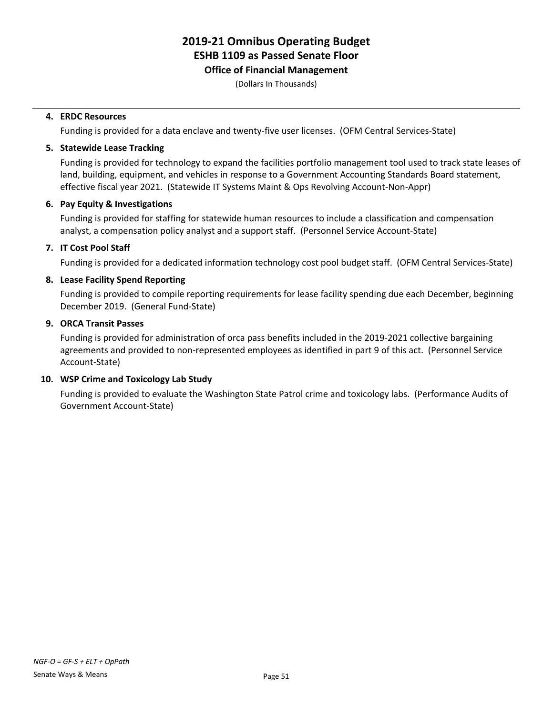## **Office of Financial Management**

(Dollars In Thousands)

## **4. ERDC Resources**

Funding is provided for a data enclave and twenty-five user licenses. (OFM Central Services-State)

## **5. Statewide Lease Tracking**

Funding is provided for technology to expand the facilities portfolio management tool used to track state leases of land, building, equipment, and vehicles in response to a Government Accounting Standards Board statement, effective fiscal year 2021. (Statewide IT Systems Maint & Ops Revolving Account-Non-Appr)

## **6. Pay Equity & Investigations**

Funding is provided for staffing for statewide human resources to include a classification and compensation analyst, a compensation policy analyst and a support staff. (Personnel Service Account-State)

## **7. IT Cost Pool Staff**

Funding is provided for a dedicated information technology cost pool budget staff. (OFM Central Services-State)

## **8. Lease Facility Spend Reporting**

Funding is provided to compile reporting requirements for lease facility spending due each December, beginning December 2019. (General Fund-State)

#### **9. ORCA Transit Passes**

Funding is provided for administration of orca pass benefits included in the 2019-2021 collective bargaining agreements and provided to non-represented employees as identified in part 9 of this act. (Personnel Service Account-State)

## **10. WSP Crime and Toxicology Lab Study**

Funding is provided to evaluate the Washington State Patrol crime and toxicology labs. (Performance Audits of Government Account-State)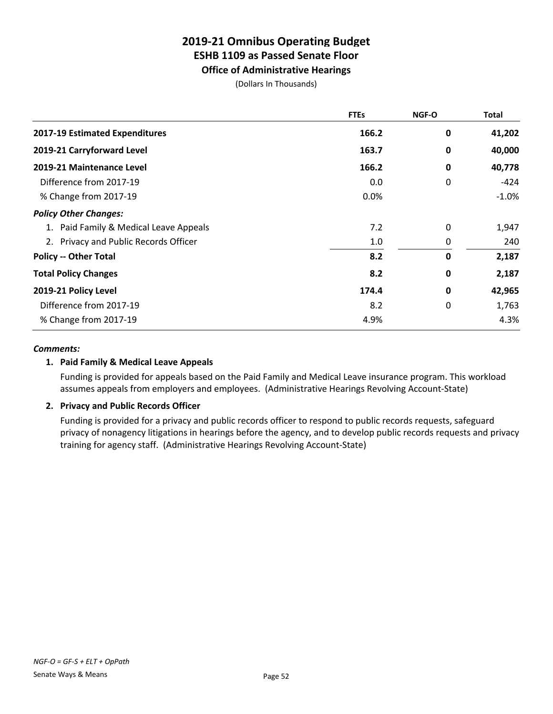## **Office of Administrative Hearings**

(Dollars In Thousands)

|                                        | <b>FTEs</b> | <b>NGF-O</b> | <b>Total</b> |
|----------------------------------------|-------------|--------------|--------------|
| 2017-19 Estimated Expenditures         | 166.2       | 0            | 41,202       |
| 2019-21 Carryforward Level             | 163.7       | 0            | 40,000       |
| 2019-21 Maintenance Level              | 166.2       | 0            | 40,778       |
| Difference from 2017-19                | 0.0         | 0            | -424         |
| % Change from 2017-19                  | 0.0%        |              | $-1.0%$      |
| <b>Policy Other Changes:</b>           |             |              |              |
| 1. Paid Family & Medical Leave Appeals | 7.2         | 0            | 1,947        |
| 2. Privacy and Public Records Officer  | 1.0         | 0            | 240          |
| <b>Policy -- Other Total</b>           | 8.2         | 0            | 2,187        |
| <b>Total Policy Changes</b>            | 8.2         | 0            | 2,187        |
| 2019-21 Policy Level                   | 174.4       | 0            | 42,965       |
| Difference from 2017-19                | 8.2         | 0            | 1,763        |
| % Change from 2017-19                  | 4.9%        |              | 4.3%         |

## *Comments:*

## **1. Paid Family & Medical Leave Appeals**

Funding is provided for appeals based on the Paid Family and Medical Leave insurance program. This workload assumes appeals from employers and employees. (Administrative Hearings Revolving Account-State)

## **2. Privacy and Public Records Officer**

Funding is provided for a privacy and public records officer to respond to public records requests, safeguard privacy of nonagency litigations in hearings before the agency, and to develop public records requests and privacy training for agency staff. (Administrative Hearings Revolving Account-State)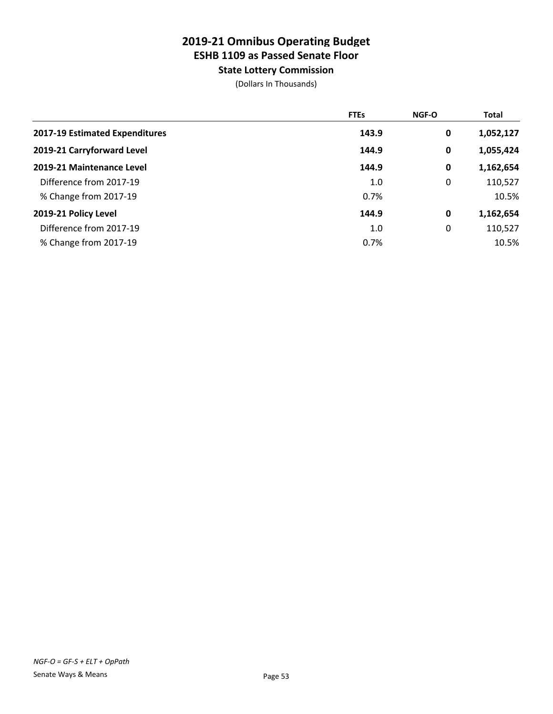**State Lottery Commission**

|                                | <b>FTEs</b> | <b>NGF-O</b> | <b>Total</b> |
|--------------------------------|-------------|--------------|--------------|
| 2017-19 Estimated Expenditures | 143.9       | 0            | 1,052,127    |
| 2019-21 Carryforward Level     | 144.9       | 0            | 1,055,424    |
| 2019-21 Maintenance Level      | 144.9       | 0            | 1,162,654    |
| Difference from 2017-19        | 1.0         | 0            | 110,527      |
| % Change from 2017-19          | 0.7%        |              | 10.5%        |
| 2019-21 Policy Level           | 144.9       | 0            | 1,162,654    |
| Difference from 2017-19        | 1.0         | 0            | 110,527      |
| % Change from 2017-19          | 0.7%        |              | 10.5%        |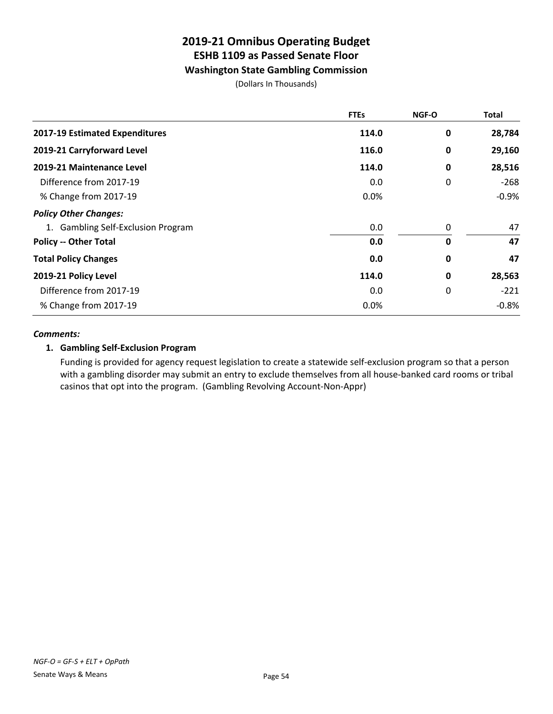## **Washington State Gambling Commission**

(Dollars In Thousands)

|                                    | <b>FTEs</b> | <b>NGF-O</b> | <b>Total</b> |
|------------------------------------|-------------|--------------|--------------|
| 2017-19 Estimated Expenditures     | 114.0       | 0            | 28,784       |
| 2019-21 Carryforward Level         | 116.0       | 0            | 29,160       |
| 2019-21 Maintenance Level          | 114.0       | 0            | 28,516       |
| Difference from 2017-19            | 0.0         | 0            | $-268$       |
| % Change from 2017-19              | $0.0\%$     |              | $-0.9%$      |
| <b>Policy Other Changes:</b>       |             |              |              |
| 1. Gambling Self-Exclusion Program | 0.0         | 0            | 47           |
| <b>Policy -- Other Total</b>       | 0.0         | 0            | 47           |
| <b>Total Policy Changes</b>        | 0.0         | 0            | 47           |
| 2019-21 Policy Level               | 114.0       | 0            | 28,563       |
| Difference from 2017-19            | 0.0         | 0            | $-221$       |
| % Change from 2017-19              | 0.0%        |              | $-0.8%$      |

#### *Comments:*

## **1. Gambling Self-Exclusion Program**

Funding is provided for agency request legislation to create a statewide self-exclusion program so that a person with a gambling disorder may submit an entry to exclude themselves from all house-banked card rooms or tribal casinos that opt into the program. (Gambling Revolving Account-Non-Appr)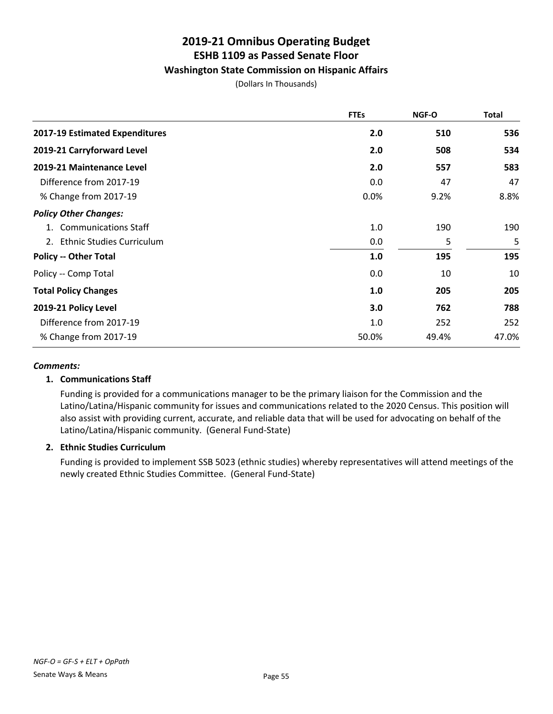## **Washington State Commission on Hispanic Affairs**

(Dollars In Thousands)

|                                | <b>FTEs</b> | NGF-O | <b>Total</b> |
|--------------------------------|-------------|-------|--------------|
| 2017-19 Estimated Expenditures | 2.0         | 510   | 536          |
| 2019-21 Carryforward Level     | 2.0         | 508   | 534          |
| 2019-21 Maintenance Level      | 2.0         | 557   | 583          |
| Difference from 2017-19        | 0.0         | 47    | 47           |
| % Change from 2017-19          | 0.0%        | 9.2%  | 8.8%         |
| <b>Policy Other Changes:</b>   |             |       |              |
| 1. Communications Staff        | 1.0         | 190   | 190          |
| 2. Ethnic Studies Curriculum   | 0.0         | 5     | 5            |
| <b>Policy -- Other Total</b>   | 1.0         | 195   | 195          |
| Policy -- Comp Total           | 0.0         | 10    | 10           |
| <b>Total Policy Changes</b>    | 1.0         | 205   | 205          |
| 2019-21 Policy Level           | 3.0         | 762   | 788          |
| Difference from 2017-19        | 1.0         | 252   | 252          |
| % Change from 2017-19          | 50.0%       | 49.4% | 47.0%        |

#### *Comments:*

## **1. Communications Staff**

Funding is provided for a communications manager to be the primary liaison for the Commission and the Latino/Latina/Hispanic community for issues and communications related to the 2020 Census. This position will also assist with providing current, accurate, and reliable data that will be used for advocating on behalf of the Latino/Latina/Hispanic community. (General Fund-State)

## **2. Ethnic Studies Curriculum**

Funding is provided to implement SSB 5023 (ethnic studies) whereby representatives will attend meetings of the newly created Ethnic Studies Committee. (General Fund-State)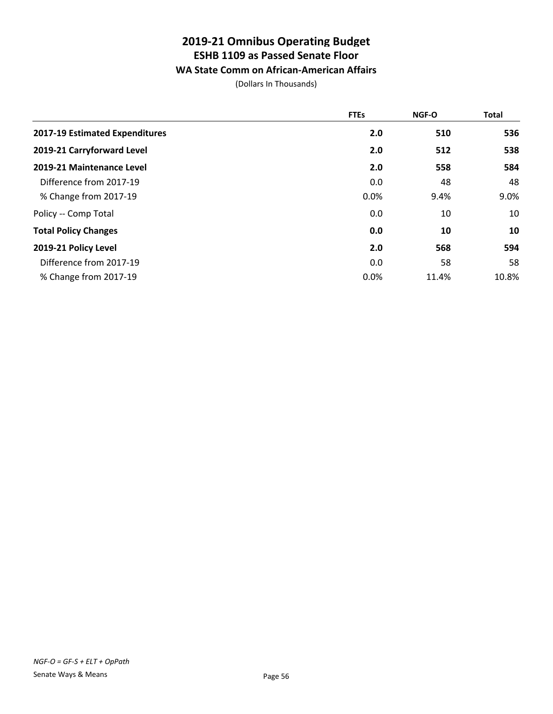## **WA State Comm on African-American Affairs**

|                                | <b>FTEs</b> | NGF-O | <b>Total</b> |
|--------------------------------|-------------|-------|--------------|
| 2017-19 Estimated Expenditures | 2.0         | 510   | 536          |
| 2019-21 Carryforward Level     | 2.0         | 512   | 538          |
| 2019-21 Maintenance Level      | 2.0         | 558   | 584          |
| Difference from 2017-19        | 0.0         | 48    | 48           |
| % Change from 2017-19          | 0.0%        | 9.4%  | 9.0%         |
| Policy -- Comp Total           | 0.0         | 10    | 10           |
| <b>Total Policy Changes</b>    | 0.0         | 10    | 10           |
| 2019-21 Policy Level           | 2.0         | 568   | 594          |
| Difference from 2017-19        | 0.0         | 58    | 58           |
| % Change from 2017-19          | 0.0%        | 11.4% | 10.8%        |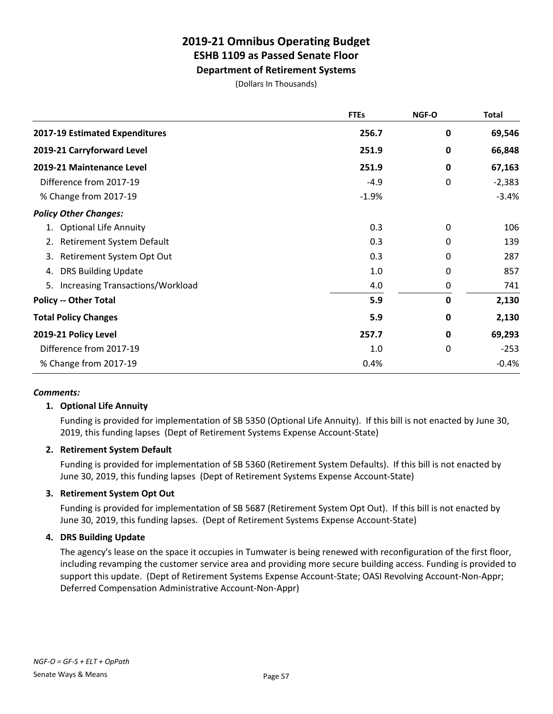**Department of Retirement Systems**

(Dollars In Thousands)

|                                               | <b>FTEs</b> | NGF-O       | <b>Total</b> |
|-----------------------------------------------|-------------|-------------|--------------|
| 2017-19 Estimated Expenditures                | 256.7       | $\mathbf 0$ | 69,546       |
| 2019-21 Carryforward Level                    | 251.9       | 0           | 66,848       |
| 2019-21 Maintenance Level                     | 251.9       | 0           | 67,163       |
| Difference from 2017-19                       | $-4.9$      | 0           | $-2,383$     |
| % Change from 2017-19                         | $-1.9%$     |             | $-3.4%$      |
| <b>Policy Other Changes:</b>                  |             |             |              |
| 1. Optional Life Annuity                      | 0.3         | 0           | 106          |
| Retirement System Default<br>2.               | 0.3         | 0           | 139          |
| Retirement System Opt Out<br>3.               | 0.3         | 0           | 287          |
| <b>DRS Building Update</b><br>4.              | 1.0         | 0           | 857          |
| <b>Increasing Transactions/Workload</b><br>5. | 4.0         | 0           | 741          |
| <b>Policy -- Other Total</b>                  | 5.9         | $\mathbf 0$ | 2,130        |
| <b>Total Policy Changes</b>                   | 5.9         | 0           | 2,130        |
| 2019-21 Policy Level                          | 257.7       | 0           | 69,293       |
| Difference from 2017-19                       | 1.0         | 0           | $-253$       |
| % Change from 2017-19                         | 0.4%        |             | $-0.4%$      |

## *Comments:*

## **1. Optional Life Annuity**

Funding is provided for implementation of SB 5350 (Optional Life Annuity). If this bill is not enacted by June 30, 2019, this funding lapses (Dept of Retirement Systems Expense Account-State)

## **2. Retirement System Default**

Funding is provided for implementation of SB 5360 (Retirement System Defaults). If this bill is not enacted by June 30, 2019, this funding lapses (Dept of Retirement Systems Expense Account-State)

## **3. Retirement System Opt Out**

Funding is provided for implementation of SB 5687 (Retirement System Opt Out). If this bill is not enacted by June 30, 2019, this funding lapses. (Dept of Retirement Systems Expense Account-State)

## **4. DRS Building Update**

The agency's lease on the space it occupies in Tumwater is being renewed with reconfiguration of the first floor, including revamping the customer service area and providing more secure building access. Funding is provided to support this update. (Dept of Retirement Systems Expense Account-State; OASI Revolving Account-Non-Appr; Deferred Compensation Administrative Account-Non-Appr)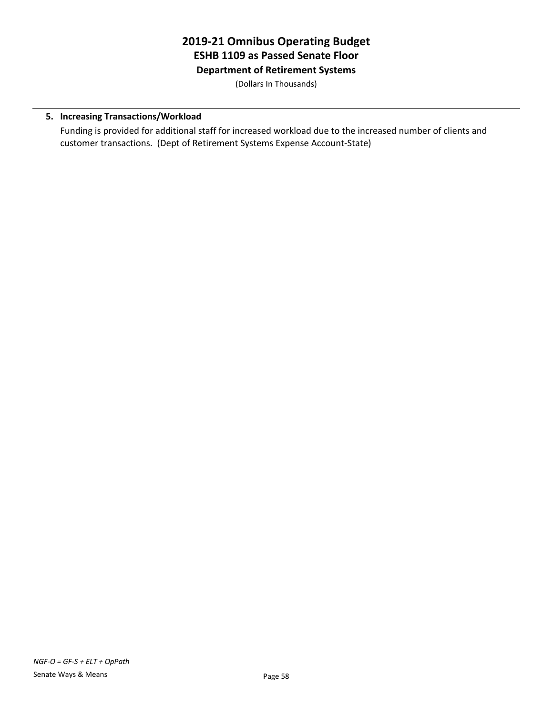## **2019-21 Omnibus Operating Budget ESHB 1109 as Passed Senate Floor Department of Retirement Systems**

(Dollars In Thousands)

## **5. Increasing Transactions/Workload**

Funding is provided for additional staff for increased workload due to the increased number of clients and customer transactions. (Dept of Retirement Systems Expense Account-State)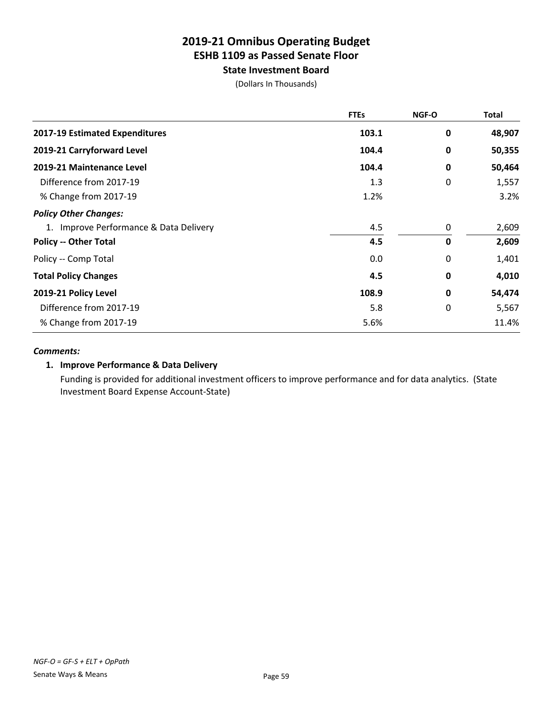**State Investment Board**

(Dollars In Thousands)

|                                        | <b>FTEs</b> | NGF-O       | <b>Total</b> |
|----------------------------------------|-------------|-------------|--------------|
| 2017-19 Estimated Expenditures         | 103.1       | 0           | 48,907       |
| 2019-21 Carryforward Level             | 104.4       | 0           | 50,355       |
| 2019-21 Maintenance Level              | 104.4       | 0           | 50,464       |
| Difference from 2017-19                | 1.3         | 0           | 1,557        |
| % Change from 2017-19                  | 1.2%        |             | 3.2%         |
| <b>Policy Other Changes:</b>           |             |             |              |
| 1. Improve Performance & Data Delivery | 4.5         | 0           | 2,609        |
| <b>Policy -- Other Total</b>           | 4.5         | $\mathbf 0$ | 2,609        |
| Policy -- Comp Total                   | 0.0         | 0           | 1,401        |
| <b>Total Policy Changes</b>            | 4.5         | 0           | 4,010        |
| 2019-21 Policy Level                   | 108.9       | 0           | 54,474       |
| Difference from 2017-19                | 5.8         | 0           | 5,567        |
| % Change from 2017-19                  | 5.6%        |             | 11.4%        |

#### *Comments:*

## **1. Improve Performance & Data Delivery**

Funding is provided for additional investment officers to improve performance and for data analytics. (State Investment Board Expense Account-State)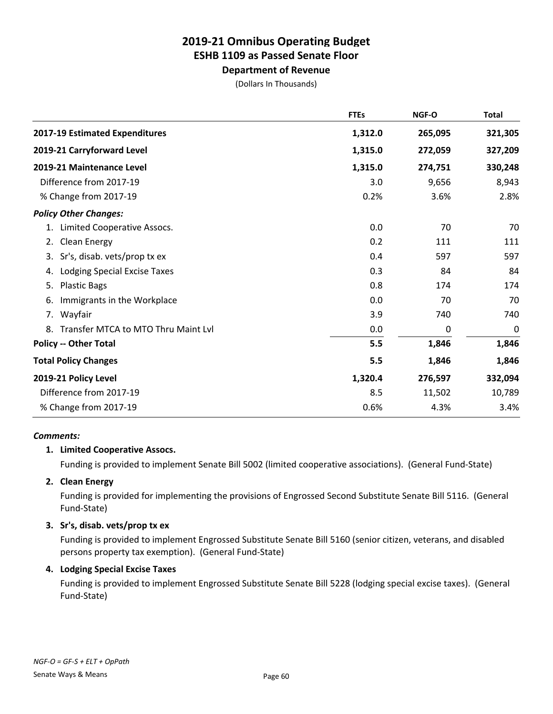## **Department of Revenue**

(Dollars In Thousands)

|                                           | <b>FTEs</b> | NGF-O   | <b>Total</b> |
|-------------------------------------------|-------------|---------|--------------|
| 2017-19 Estimated Expenditures            | 1,312.0     | 265,095 | 321,305      |
| 2019-21 Carryforward Level                | 1,315.0     | 272,059 | 327,209      |
| 2019-21 Maintenance Level                 | 1,315.0     | 274,751 | 330,248      |
| Difference from 2017-19                   | 3.0         | 9,656   | 8,943        |
| % Change from 2017-19                     | 0.2%        | 3.6%    | 2.8%         |
| <b>Policy Other Changes:</b>              |             |         |              |
| Limited Cooperative Assocs.<br>1.         | 0.0         | 70      | 70           |
| <b>Clean Energy</b><br>2.                 | 0.2         | 111     | 111          |
| Sr's, disab. vets/prop tx ex<br>3.        | 0.4         | 597     | 597          |
| <b>Lodging Special Excise Taxes</b><br>4. | 0.3         | 84      | 84           |
| <b>Plastic Bags</b><br>5.                 | 0.8         | 174     | 174          |
| Immigrants in the Workplace<br>6.         | 0.0         | 70      | 70           |
| 7. Wayfair                                | 3.9         | 740     | 740          |
| Transfer MTCA to MTO Thru Maint Lyl<br>8. | 0.0         | 0       | 0            |
| <b>Policy -- Other Total</b>              | 5.5         | 1,846   | 1,846        |
| <b>Total Policy Changes</b>               | 5.5         | 1,846   | 1,846        |
| 2019-21 Policy Level                      | 1,320.4     | 276,597 | 332,094      |
| Difference from 2017-19                   | 8.5         | 11,502  | 10,789       |
| % Change from 2017-19                     | 0.6%        | 4.3%    | 3.4%         |

## *Comments:*

## **1. Limited Cooperative Assocs.**

Funding is provided to implement Senate Bill 5002 (limited cooperative associations). (General Fund-State)

## **2. Clean Energy**

Funding is provided for implementing the provisions of Engrossed Second Substitute Senate Bill 5116. (General Fund-State)

## **3. Sr's, disab. vets/prop tx ex**

Funding is provided to implement Engrossed Substitute Senate Bill 5160 (senior citizen, veterans, and disabled persons property tax exemption). (General Fund-State)

## **4. Lodging Special Excise Taxes**

Funding is provided to implement Engrossed Substitute Senate Bill 5228 (lodging special excise taxes). (General Fund-State)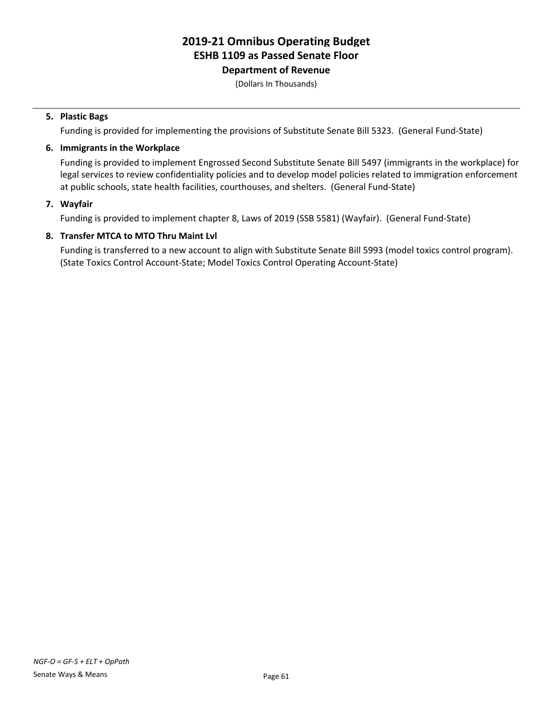## **Department of Revenue**

(Dollars In Thousands)

## **5. Plastic Bags**

Funding is provided for implementing the provisions of Substitute Senate Bill 5323. (General Fund-State)

## **6. Immigrants in the Workplace**

Funding is provided to implement Engrossed Second Substitute Senate Bill 5497 (immigrants in the workplace) for legal services to review confidentiality policies and to develop model policies related to immigration enforcement at public schools, state health facilities, courthouses, and shelters. (General Fund-State)

## **7. Wayfair**

Funding is provided to implement chapter 8, Laws of 2019 (SSB 5581) (Wayfair). (General Fund-State)

## **8. Transfer MTCA to MTO Thru Maint Lvl**

Funding is transferred to a new account to align with Substitute Senate Bill 5993 (model toxics control program). (State Toxics Control Account-State; Model Toxics Control Operating Account-State)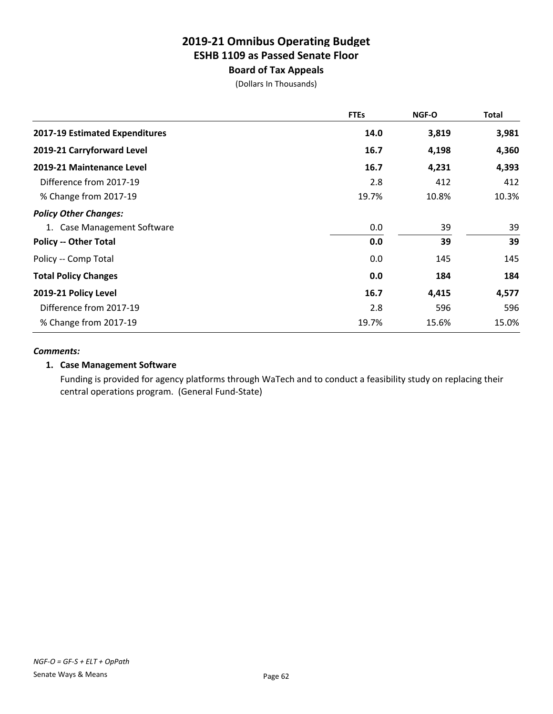## **Board of Tax Appeals**

(Dollars In Thousands)

|                                | <b>FTEs</b> | <b>NGF-O</b> | Total |
|--------------------------------|-------------|--------------|-------|
| 2017-19 Estimated Expenditures | 14.0        | 3,819        | 3,981 |
| 2019-21 Carryforward Level     | 16.7        | 4,198        | 4,360 |
| 2019-21 Maintenance Level      | 16.7        | 4,231        | 4,393 |
| Difference from 2017-19        | 2.8         | 412          | 412   |
| % Change from 2017-19          | 19.7%       | 10.8%        | 10.3% |
| <b>Policy Other Changes:</b>   |             |              |       |
| 1. Case Management Software    | 0.0         | 39           | 39    |
| <b>Policy -- Other Total</b>   | 0.0         | 39           | 39    |
| Policy -- Comp Total           | 0.0         | 145          | 145   |
| <b>Total Policy Changes</b>    | 0.0         | 184          | 184   |
| 2019-21 Policy Level           | 16.7        | 4,415        | 4,577 |
| Difference from 2017-19        | 2.8         | 596          | 596   |
| % Change from 2017-19          | 19.7%       | 15.6%        | 15.0% |

#### *Comments:*

## **1. Case Management Software**

Funding is provided for agency platforms through WaTech and to conduct a feasibility study on replacing their central operations program. (General Fund-State)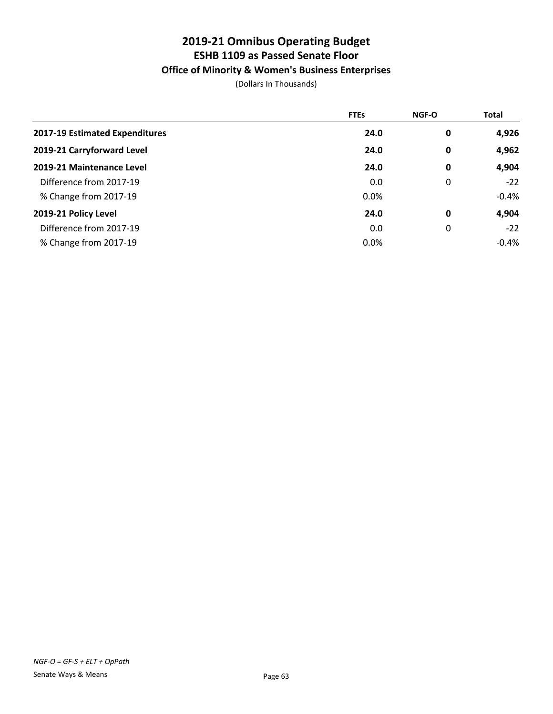## **Office of Minority & Women's Business Enterprises**

|                                | <b>FTEs</b> | <b>NGF-O</b> | <b>Total</b> |
|--------------------------------|-------------|--------------|--------------|
| 2017-19 Estimated Expenditures | 24.0        | 0            | 4,926        |
| 2019-21 Carryforward Level     | 24.0        | 0            | 4,962        |
| 2019-21 Maintenance Level      | 24.0        | 0            | 4,904        |
| Difference from 2017-19        | 0.0         | 0            | $-22$        |
| % Change from 2017-19          | 0.0%        |              | $-0.4%$      |
| 2019-21 Policy Level           | 24.0        | 0            | 4,904        |
| Difference from 2017-19        | 0.0         | 0            | $-22$        |
| % Change from 2017-19          | 0.0%        |              | $-0.4%$      |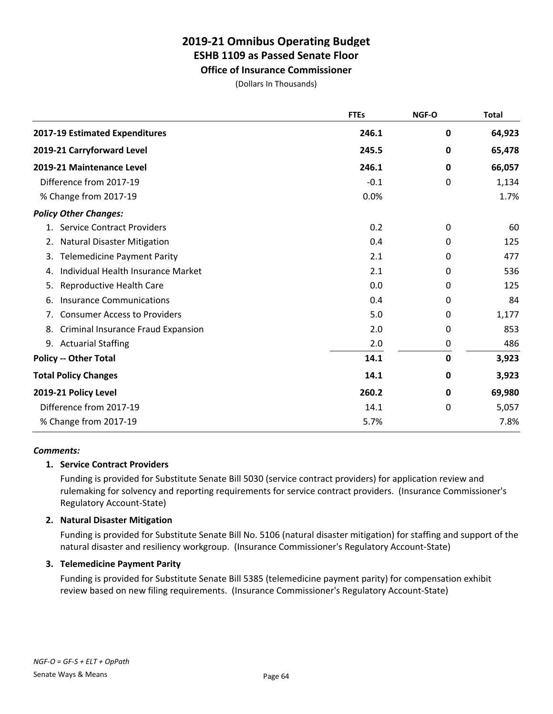# **Office of Insurance Commissioner**

(Dollars In Thousands)

|                                           | <b>FTEs</b> | NGF-O        | <b>Total</b> |
|-------------------------------------------|-------------|--------------|--------------|
| 2017-19 Estimated Expenditures            | 246.1       | 0            | 64,923       |
| 2019-21 Carryforward Level                | 245.5       | 0            | 65,478       |
| 2019-21 Maintenance Level                 | 246.1       | 0            | 66,057       |
| Difference from 2017-19                   | $-0.1$      | $\mathbf{0}$ | 1,134        |
| % Change from 2017-19                     | 0.0%        |              | 1.7%         |
| <b>Policy Other Changes:</b>              |             |              |              |
| <b>Service Contract Providers</b><br>1.   | 0.2         | 0            | 60           |
| <b>Natural Disaster Mitigation</b><br>2.  | 0.4         | 0            | 125          |
| <b>Telemedicine Payment Parity</b><br>3.  | 2.1         | 0            | 477          |
| Individual Health Insurance Market<br>4.  | 2.1         | 0            | 536          |
| Reproductive Health Care<br>5.            | 0.0         | 0            | 125          |
| <b>Insurance Communications</b><br>6.     | 0.4         | 0            | 84           |
| <b>Consumer Access to Providers</b><br>7. | 5.0         | 0            | 1,177        |
| Criminal Insurance Fraud Expansion<br>8.  | 2.0         | 0            | 853          |
| <b>Actuarial Staffing</b><br>9.           | 2.0         | 0            | 486          |
| <b>Policy -- Other Total</b>              | 14.1        | $\mathbf 0$  | 3,923        |
| <b>Total Policy Changes</b>               | 14.1        | 0            | 3,923        |
| 2019-21 Policy Level                      | 260.2       | 0            | 69,980       |
| Difference from 2017-19                   | 14.1        | 0            | 5,057        |
| % Change from 2017-19                     | 5.7%        |              | 7.8%         |

## *Comments:*

## **1. Service Contract Providers**

Funding is provided for Substitute Senate Bill 5030 (service contract providers) for application review and rulemaking for solvency and reporting requirements for service contract providers. (Insurance Commissioner's Regulatory Account-State)

## **2. Natural Disaster Mitigation**

Funding is provided for Substitute Senate Bill No. 5106 (natural disaster mitigation) for staffing and support of the natural disaster and resiliency workgroup. (Insurance Commissioner's Regulatory Account-State)

## **3. Telemedicine Payment Parity**

Funding is provided for Substitute Senate Bill 5385 (telemedicine payment parity) for compensation exhibit review based on new filing requirements. (Insurance Commissioner's Regulatory Account-State)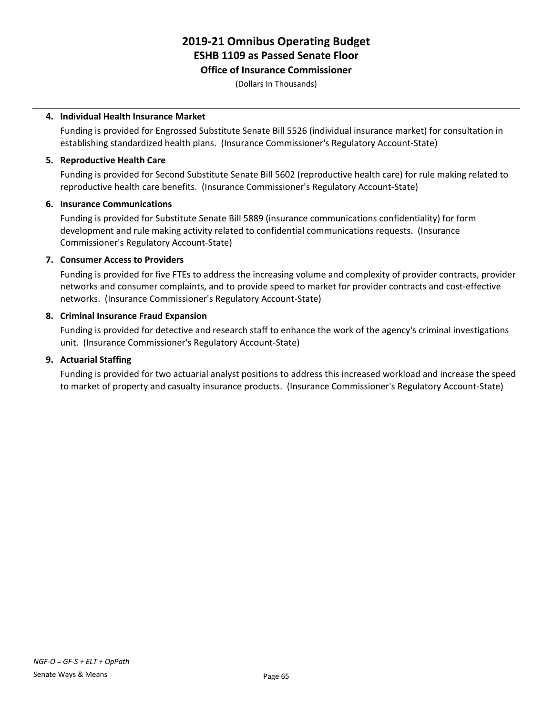#### **Office of Insurance Commissioner**

(Dollars In Thousands)

## **4. Individual Health Insurance Market**

Funding is provided for Engrossed Substitute Senate Bill 5526 (individual insurance market) for consultation in establishing standardized health plans. (Insurance Commissioner's Regulatory Account-State)

## **5. Reproductive Health Care**

Funding is provided for Second Substitute Senate Bill 5602 (reproductive health care) for rule making related to reproductive health care benefits. (Insurance Commissioner's Regulatory Account-State)

#### **6. Insurance Communications**

Funding is provided for Substitute Senate Bill 5889 (insurance communications confidentiality) for form development and rule making activity related to confidential communications requests. (Insurance Commissioner's Regulatory Account-State)

## **7. Consumer Access to Providers**

Funding is provided for five FTEs to address the increasing volume and complexity of provider contracts, provider networks and consumer complaints, and to provide speed to market for provider contracts and cost-effective networks. (Insurance Commissioner's Regulatory Account-State)

## **8. Criminal Insurance Fraud Expansion**

Funding is provided for detective and research staff to enhance the work of the agency's criminal investigations unit. (Insurance Commissioner's Regulatory Account-State)

## **9. Actuarial Staffing**

Funding is provided for two actuarial analyst positions to address this increased workload and increase the speed to market of property and casualty insurance products. (Insurance Commissioner's Regulatory Account-State)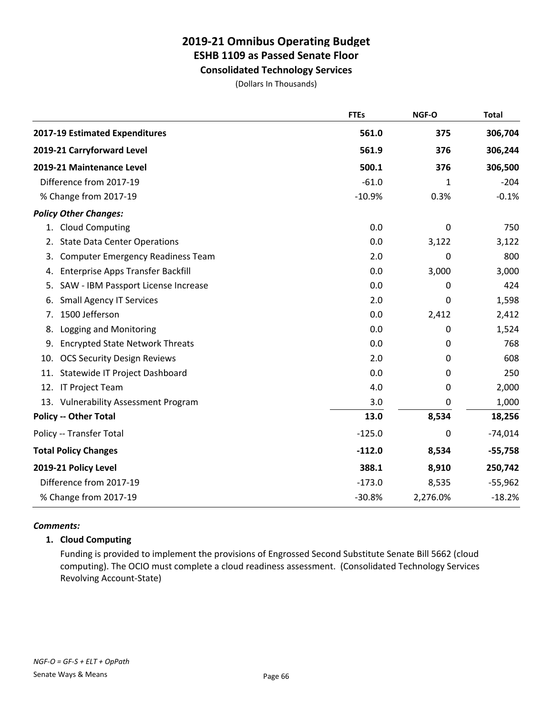## **Consolidated Technology Services**

(Dollars In Thousands)

|     |                                          | <b>FTEs</b> | NGF-O    | <b>Total</b> |
|-----|------------------------------------------|-------------|----------|--------------|
|     | 2017-19 Estimated Expenditures           | 561.0       | 375      | 306,704      |
|     | 2019-21 Carryforward Level               | 561.9       | 376      | 306,244      |
|     | 2019-21 Maintenance Level                | 500.1       | 376      | 306,500      |
|     | Difference from 2017-19                  | $-61.0$     | 1        | $-204$       |
|     | % Change from 2017-19                    | $-10.9%$    | 0.3%     | $-0.1%$      |
|     | <b>Policy Other Changes:</b>             |             |          |              |
| 1.  | <b>Cloud Computing</b>                   | 0.0         | 0        | 750          |
| 2.  | <b>State Data Center Operations</b>      | 0.0         | 3,122    | 3,122        |
| 3.  | <b>Computer Emergency Readiness Team</b> | 2.0         | 0        | 800          |
| 4.  | Enterprise Apps Transfer Backfill        | 0.0         | 3,000    | 3,000        |
| 5.  | SAW - IBM Passport License Increase      | 0.0         | 0        | 424          |
| 6.  | <b>Small Agency IT Services</b>          | 2.0         | 0        | 1,598        |
| 7.  | 1500 Jefferson                           | 0.0         | 2,412    | 2,412        |
| 8.  | Logging and Monitoring                   | 0.0         | 0        | 1,524        |
| 9.  | <b>Encrypted State Network Threats</b>   | 0.0         | 0        | 768          |
| 10. | <b>OCS Security Design Reviews</b>       | 2.0         | 0        | 608          |
| 11. | Statewide IT Project Dashboard           | 0.0         | 0        | 250          |
| 12. | IT Project Team                          | 4.0         | 0        | 2,000        |
|     | 13. Vulnerability Assessment Program     | 3.0         | 0        | 1,000        |
|     | <b>Policy -- Other Total</b>             | 13.0        | 8,534    | 18,256       |
|     | Policy -- Transfer Total                 | $-125.0$    | 0        | $-74,014$    |
|     | <b>Total Policy Changes</b>              | $-112.0$    | 8,534    | $-55,758$    |
|     | 2019-21 Policy Level                     | 388.1       | 8,910    | 250,742      |
|     | Difference from 2017-19                  | $-173.0$    | 8,535    | $-55,962$    |
|     | % Change from 2017-19                    | $-30.8%$    | 2,276.0% | $-18.2%$     |

## *Comments:*

## **1. Cloud Computing**

Funding is provided to implement the provisions of Engrossed Second Substitute Senate Bill 5662 (cloud computing). The OCIO must complete a cloud readiness assessment. (Consolidated Technology Services Revolving Account-State)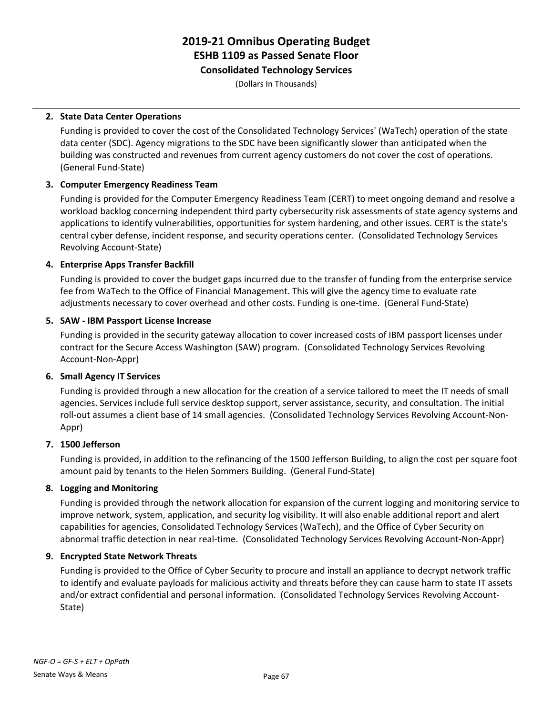**Consolidated Technology Services**

(Dollars In Thousands)

## **2. State Data Center Operations**

Funding is provided to cover the cost of the Consolidated Technology Services' (WaTech) operation of the state data center (SDC). Agency migrations to the SDC have been significantly slower than anticipated when the building was constructed and revenues from current agency customers do not cover the cost of operations. (General Fund-State)

## **3. Computer Emergency Readiness Team**

Funding is provided for the Computer Emergency Readiness Team (CERT) to meet ongoing demand and resolve a workload backlog concerning independent third party cybersecurity risk assessments of state agency systems and applications to identify vulnerabilities, opportunities for system hardening, and other issues. CERT is the state's central cyber defense, incident response, and security operations center. (Consolidated Technology Services Revolving Account-State)

## **4. Enterprise Apps Transfer Backfill**

Funding is provided to cover the budget gaps incurred due to the transfer of funding from the enterprise service fee from WaTech to the Office of Financial Management. This will give the agency time to evaluate rate adjustments necessary to cover overhead and other costs. Funding is one-time. (General Fund-State)

## **5. SAW - IBM Passport License Increase**

Funding is provided in the security gateway allocation to cover increased costs of IBM passport licenses under contract for the Secure Access Washington (SAW) program. (Consolidated Technology Services Revolving Account-Non-Appr)

## **6. Small Agency IT Services**

Funding is provided through a new allocation for the creation of a service tailored to meet the IT needs of small agencies. Services include full service desktop support, server assistance, security, and consultation. The initial roll-out assumes a client base of 14 small agencies. (Consolidated Technology Services Revolving Account-Non-Appr)

## **7. 1500 Jefferson**

Funding is provided, in addition to the refinancing of the 1500 Jefferson Building, to align the cost per square foot amount paid by tenants to the Helen Sommers Building. (General Fund-State)

## **8. Logging and Monitoring**

Funding is provided through the network allocation for expansion of the current logging and monitoring service to improve network, system, application, and security log visibility. It will also enable additional report and alert capabilities for agencies, Consolidated Technology Services (WaTech), and the Office of Cyber Security on abnormal traffic detection in near real-time. (Consolidated Technology Services Revolving Account-Non-Appr)

## **9. Encrypted State Network Threats**

Funding is provided to the Office of Cyber Security to procure and install an appliance to decrypt network traffic to identify and evaluate payloads for malicious activity and threats before they can cause harm to state IT assets and/or extract confidential and personal information. (Consolidated Technology Services Revolving Account-State)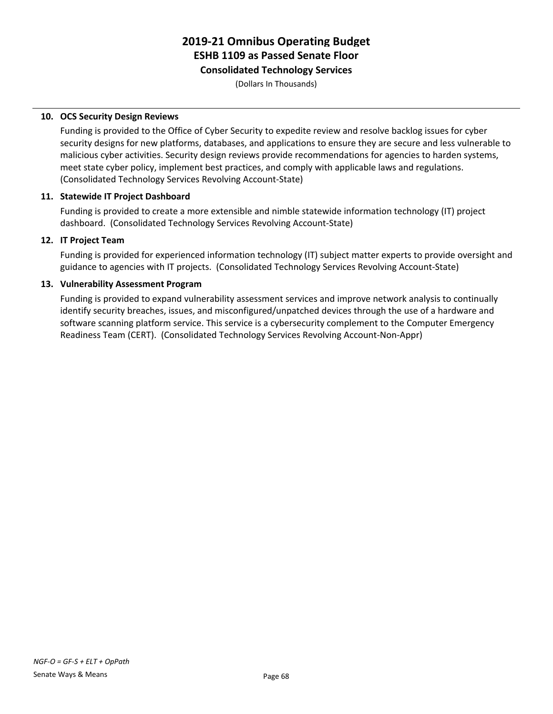## **Consolidated Technology Services**

(Dollars In Thousands)

## **10. OCS Security Design Reviews**

Funding is provided to the Office of Cyber Security to expedite review and resolve backlog issues for cyber security designs for new platforms, databases, and applications to ensure they are secure and less vulnerable to malicious cyber activities. Security design reviews provide recommendations for agencies to harden systems, meet state cyber policy, implement best practices, and comply with applicable laws and regulations. (Consolidated Technology Services Revolving Account-State)

## **11. Statewide IT Project Dashboard**

Funding is provided to create a more extensible and nimble statewide information technology (IT) project dashboard. (Consolidated Technology Services Revolving Account-State)

## **12. IT Project Team**

Funding is provided for experienced information technology (IT) subject matter experts to provide oversight and guidance to agencies with IT projects. (Consolidated Technology Services Revolving Account-State)

## **13. Vulnerability Assessment Program**

Funding is provided to expand vulnerability assessment services and improve network analysis to continually identify security breaches, issues, and misconfigured/unpatched devices through the use of a hardware and software scanning platform service. This service is a cybersecurity complement to the Computer Emergency Readiness Team (CERT). (Consolidated Technology Services Revolving Account-Non-Appr)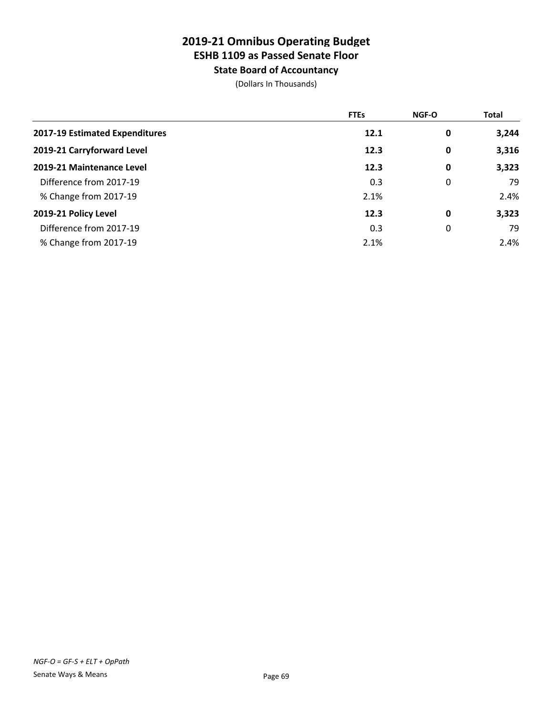**State Board of Accountancy**

|                                | <b>FTEs</b> | <b>NGF-O</b> | <b>Total</b> |
|--------------------------------|-------------|--------------|--------------|
| 2017-19 Estimated Expenditures | 12.1        | 0            | 3,244        |
| 2019-21 Carryforward Level     | 12.3        | 0            | 3,316        |
| 2019-21 Maintenance Level      | 12.3        | 0            | 3,323        |
| Difference from 2017-19        | 0.3         | 0            | 79           |
| % Change from 2017-19          | 2.1%        |              | 2.4%         |
| 2019-21 Policy Level           | 12.3        | 0            | 3,323        |
| Difference from 2017-19        | 0.3         | 0            | 79           |
| % Change from 2017-19          | 2.1%        |              | 2.4%         |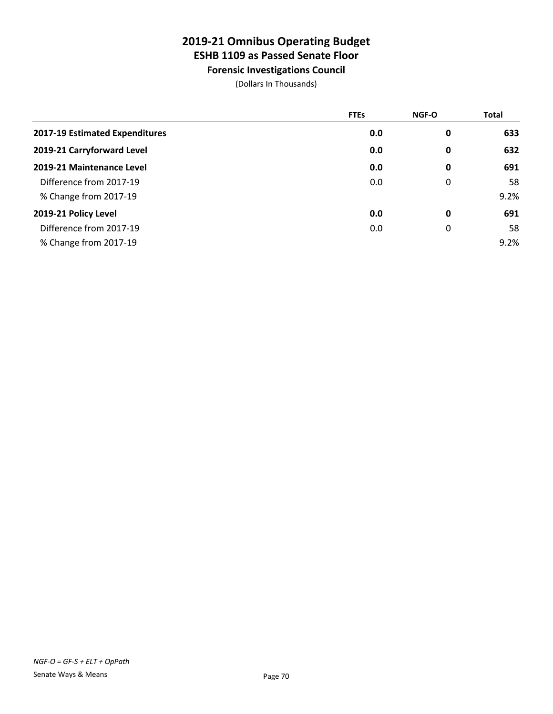**Forensic Investigations Council**

|                                | <b>FTEs</b> | <b>NGF-O</b> | <b>Total</b> |
|--------------------------------|-------------|--------------|--------------|
| 2017-19 Estimated Expenditures | 0.0         | 0            | 633          |
| 2019-21 Carryforward Level     | 0.0         | 0            | 632          |
| 2019-21 Maintenance Level      | 0.0         | 0            | 691          |
| Difference from 2017-19        | 0.0         | 0            | 58           |
| % Change from 2017-19          |             |              | 9.2%         |
| 2019-21 Policy Level           | 0.0         | 0            | 691          |
| Difference from 2017-19        | 0.0         | 0            | 58           |
| % Change from 2017-19          |             |              | 9.2%         |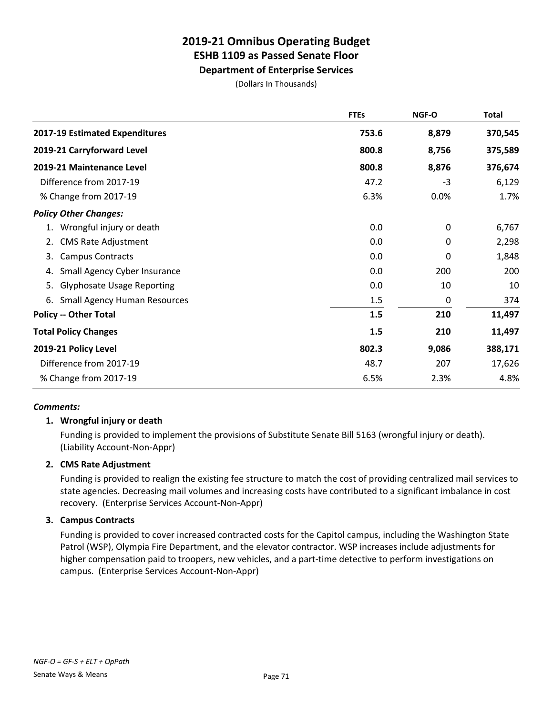**Department of Enterprise Services**

(Dollars In Thousands)

|                                           | <b>FTEs</b> | NGF-O       | <b>Total</b> |
|-------------------------------------------|-------------|-------------|--------------|
| 2017-19 Estimated Expenditures            | 753.6       | 8,879       | 370,545      |
| 2019-21 Carryforward Level                | 800.8       | 8,756       | 375,589      |
| 2019-21 Maintenance Level                 | 800.8       | 8,876       | 376,674      |
| Difference from 2017-19                   | 47.2        | $-3$        | 6,129        |
| % Change from 2017-19                     | 6.3%        | 0.0%        | 1.7%         |
| <b>Policy Other Changes:</b>              |             |             |              |
| Wrongful injury or death<br>1.            | 0.0         | $\mathbf 0$ | 6,767        |
| <b>CMS Rate Adjustment</b><br>2.          | 0.0         | 0           | 2,298        |
| <b>Campus Contracts</b><br>3.             | 0.0         | 0           | 1,848        |
| Small Agency Cyber Insurance<br>4.        | 0.0         | 200         | 200          |
| <b>Glyphosate Usage Reporting</b><br>5.   | 0.0         | 10          | 10           |
| <b>Small Agency Human Resources</b><br>6. | 1.5         | $\mathbf 0$ | 374          |
| <b>Policy -- Other Total</b>              | 1.5         | 210         | 11,497       |
| <b>Total Policy Changes</b>               | 1.5         | 210         | 11,497       |
| 2019-21 Policy Level                      | 802.3       | 9,086       | 388,171      |
| Difference from 2017-19                   | 48.7        | 207         | 17,626       |
| % Change from 2017-19                     | 6.5%        | 2.3%        | 4.8%         |

## *Comments:*

## **1. Wrongful injury or death**

Funding is provided to implement the provisions of Substitute Senate Bill 5163 (wrongful injury or death). (Liability Account-Non-Appr)

## **2. CMS Rate Adjustment**

Funding is provided to realign the existing fee structure to match the cost of providing centralized mail services to state agencies. Decreasing mail volumes and increasing costs have contributed to a significant imbalance in cost recovery. (Enterprise Services Account-Non-Appr)

## **3. Campus Contracts**

Funding is provided to cover increased contracted costs for the Capitol campus, including the Washington State Patrol (WSP), Olympia Fire Department, and the elevator contractor. WSP increases include adjustments for higher compensation paid to troopers, new vehicles, and a part-time detective to perform investigations on campus. (Enterprise Services Account-Non-Appr)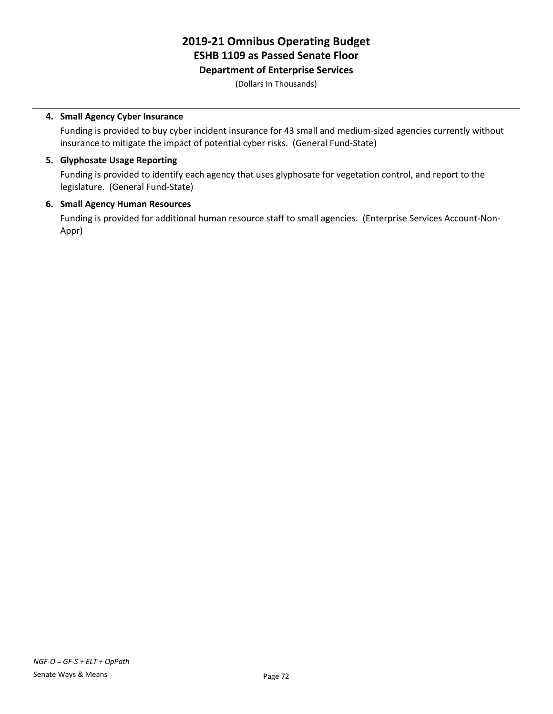## **Department of Enterprise Services**

(Dollars In Thousands)

## **4. Small Agency Cyber Insurance**

Funding is provided to buy cyber incident insurance for 43 small and medium-sized agencies currently without insurance to mitigate the impact of potential cyber risks. (General Fund-State)

## **5. Glyphosate Usage Reporting**

Funding is provided to identify each agency that uses glyphosate for vegetation control, and report to the legislature. (General Fund-State)

## **6. Small Agency Human Resources**

Funding is provided for additional human resource staff to small agencies. (Enterprise Services Account-Non-Appr)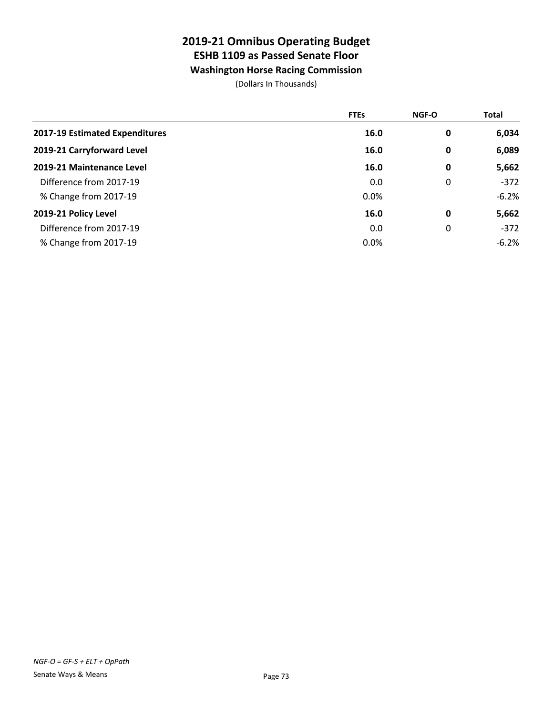# **Washington Horse Racing Commission**

|                                | <b>FTEs</b> | <b>NGF-O</b> | <b>Total</b> |
|--------------------------------|-------------|--------------|--------------|
| 2017-19 Estimated Expenditures | 16.0        | 0            | 6,034        |
| 2019-21 Carryforward Level     | 16.0        | 0            | 6,089        |
| 2019-21 Maintenance Level      | 16.0        | 0            | 5,662        |
| Difference from 2017-19        | 0.0         | 0            | $-372$       |
| % Change from 2017-19          | 0.0%        |              | $-6.2%$      |
| 2019-21 Policy Level           | 16.0        | 0            | 5,662        |
| Difference from 2017-19        | 0.0         | 0            | $-372$       |
| % Change from 2017-19          | 0.0%        |              | $-6.2%$      |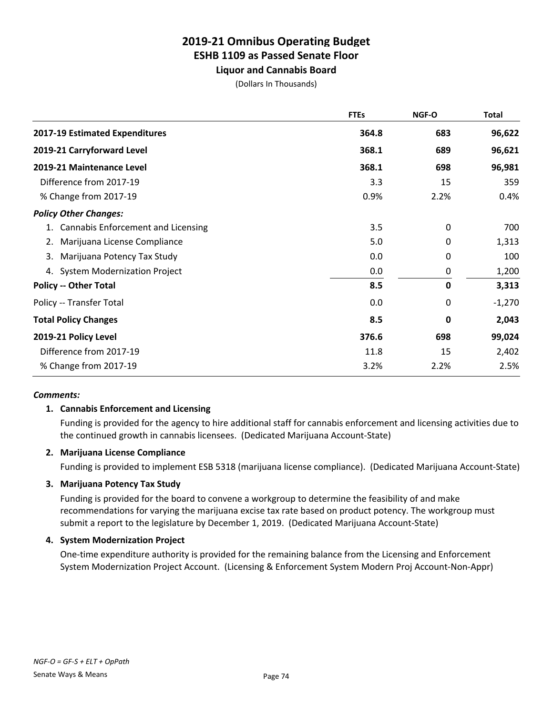**Liquor and Cannabis Board**

(Dollars In Thousands)

|                                          | <b>FTEs</b> | NGF-O       | <b>Total</b> |
|------------------------------------------|-------------|-------------|--------------|
| 2017-19 Estimated Expenditures           | 364.8       | 683         | 96,622       |
| 2019-21 Carryforward Level               | 368.1       | 689         | 96,621       |
| 2019-21 Maintenance Level                | 368.1       | 698         | 96,981       |
| Difference from 2017-19                  | 3.3         | 15          | 359          |
| % Change from 2017-19                    | 0.9%        | 2.2%        | 0.4%         |
| <b>Policy Other Changes:</b>             |             |             |              |
| Cannabis Enforcement and Licensing<br>1. | 3.5         | $\mathbf 0$ | 700          |
| Marijuana License Compliance<br>2.       | 5.0         | 0           | 1,313        |
| Marijuana Potency Tax Study<br>3.        | 0.0         | 0           | 100          |
| 4. System Modernization Project          | 0.0         | 0           | 1,200        |
| <b>Policy -- Other Total</b>             | 8.5         | 0           | 3,313        |
| Policy -- Transfer Total                 | 0.0         | 0           | $-1,270$     |
| <b>Total Policy Changes</b>              | 8.5         | 0           | 2,043        |
| 2019-21 Policy Level                     | 376.6       | 698         | 99,024       |
| Difference from 2017-19                  | 11.8        | 15          | 2,402        |
| % Change from 2017-19                    | 3.2%        | 2.2%        | 2.5%         |
|                                          |             |             |              |

### *Comments:*

### **1. Cannabis Enforcement and Licensing**

Funding is provided for the agency to hire additional staff for cannabis enforcement and licensing activities due to the continued growth in cannabis licensees. (Dedicated Marijuana Account-State)

### **2. Marijuana License Compliance**

Funding is provided to implement ESB 5318 (marijuana license compliance). (Dedicated Marijuana Account-State)

### **3. Marijuana Potency Tax Study**

Funding is provided for the board to convene a workgroup to determine the feasibility of and make recommendations for varying the marijuana excise tax rate based on product potency. The workgroup must submit a report to the legislature by December 1, 2019. (Dedicated Marijuana Account-State)

### **4. System Modernization Project**

One-time expenditure authority is provided for the remaining balance from the Licensing and Enforcement System Modernization Project Account. (Licensing & Enforcement System Modern Proj Account-Non-Appr)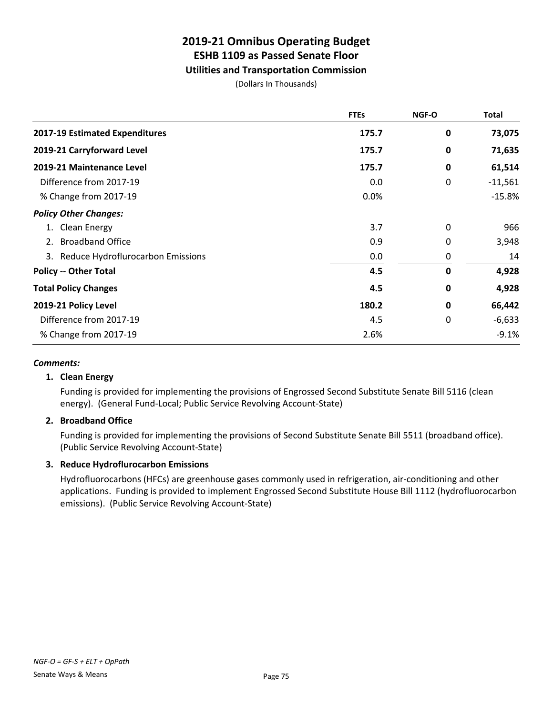### **Utilities and Transportation Commission**

(Dollars In Thousands)

|                                      | <b>FTEs</b> | <b>NGF-O</b> | <b>Total</b> |
|--------------------------------------|-------------|--------------|--------------|
| 2017-19 Estimated Expenditures       | 175.7       | 0            | 73,075       |
| 2019-21 Carryforward Level           | 175.7       | 0            | 71,635       |
| 2019-21 Maintenance Level            | 175.7       | $\mathbf 0$  | 61,514       |
| Difference from 2017-19              | 0.0         | 0            | $-11,561$    |
| % Change from 2017-19                | 0.0%        |              | $-15.8%$     |
| <b>Policy Other Changes:</b>         |             |              |              |
| 1. Clean Energy                      | 3.7         | 0            | 966          |
| <b>Broadband Office</b><br>2.        | 0.9         | 0            | 3,948        |
| 3. Reduce Hydroflurocarbon Emissions | 0.0         | 0            | 14           |
| <b>Policy -- Other Total</b>         | 4.5         | $\mathbf 0$  | 4,928        |
| <b>Total Policy Changes</b>          | 4.5         | 0            | 4,928        |
| 2019-21 Policy Level                 | 180.2       | 0            | 66,442       |
| Difference from 2017-19              | 4.5         | 0            | $-6,633$     |
| % Change from 2017-19                | 2.6%        |              | $-9.1%$      |

### *Comments:*

### **1. Clean Energy**

Funding is provided for implementing the provisions of Engrossed Second Substitute Senate Bill 5116 (clean energy). (General Fund-Local; Public Service Revolving Account-State)

### **2. Broadband Office**

Funding is provided for implementing the provisions of Second Substitute Senate Bill 5511 (broadband office). (Public Service Revolving Account-State)

### **3. Reduce Hydroflurocarbon Emissions**

Hydrofluorocarbons (HFCs) are greenhouse gases commonly used in refrigeration, air-conditioning and other applications. Funding is provided to implement Engrossed Second Substitute House Bill 1112 (hydrofluorocarbon emissions). (Public Service Revolving Account-State)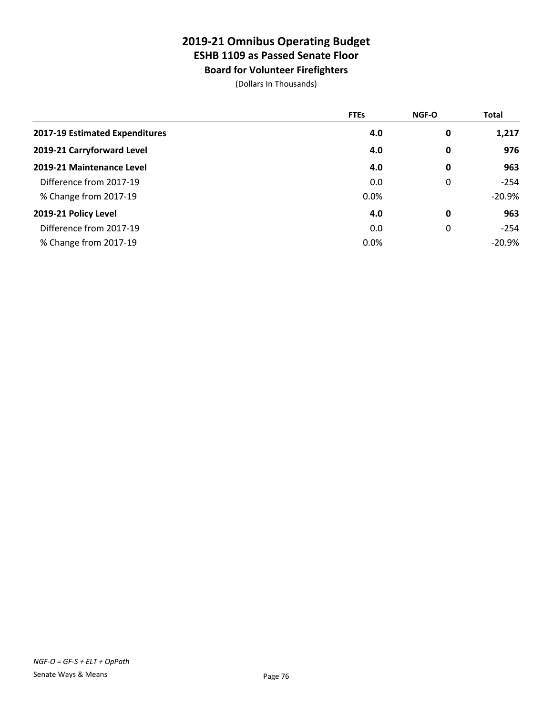# **Board for Volunteer Firefighters**

|                                | <b>FTEs</b> | NGF-O | Total     |
|--------------------------------|-------------|-------|-----------|
| 2017-19 Estimated Expenditures | 4.0         | 0     | 1,217     |
| 2019-21 Carryforward Level     | 4.0         | 0     | 976       |
| 2019-21 Maintenance Level      | 4.0         | 0     | 963       |
| Difference from 2017-19        | 0.0         | 0     | $-254$    |
| % Change from 2017-19          | 0.0%        |       | $-20.9\%$ |
| 2019-21 Policy Level           | 4.0         | 0     | 963       |
| Difference from 2017-19        | 0.0         | 0     | $-254$    |
| % Change from 2017-19          | 0.0%        |       | $-20.9%$  |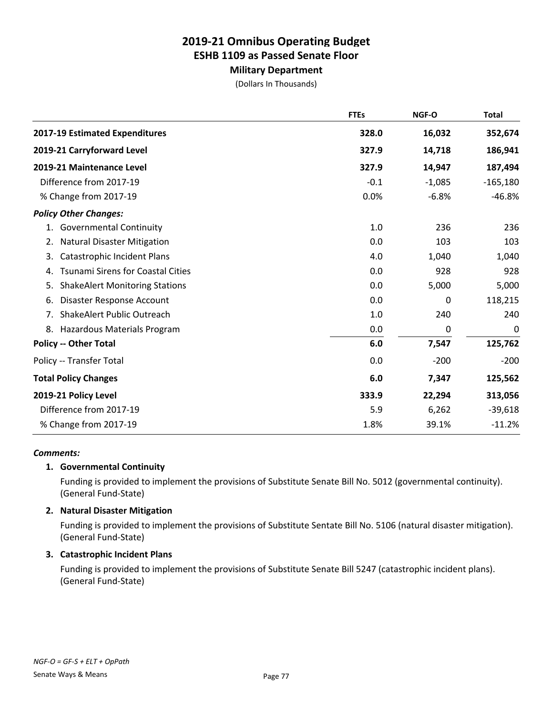### **Military Department**

(Dollars In Thousands)

|                                                | <b>FTEs</b> | NGF-O    | <b>Total</b> |
|------------------------------------------------|-------------|----------|--------------|
| 2017-19 Estimated Expenditures                 | 328.0       | 16,032   | 352,674      |
| 2019-21 Carryforward Level                     | 327.9       | 14,718   | 186,941      |
| 2019-21 Maintenance Level                      | 327.9       | 14,947   | 187,494      |
| Difference from 2017-19                        | $-0.1$      | $-1,085$ | $-165,180$   |
| % Change from 2017-19                          | 0.0%        | $-6.8%$  | $-46.8%$     |
| <b>Policy Other Changes:</b>                   |             |          |              |
| <b>Governmental Continuity</b><br>1.           | 1.0         | 236      | 236          |
| <b>Natural Disaster Mitigation</b><br>2.       | 0.0         | 103      | 103          |
| 3.<br>Catastrophic Incident Plans              | 4.0         | 1,040    | 1,040        |
| <b>Tsunami Sirens for Coastal Cities</b><br>4. | 0.0         | 928      | 928          |
| 5.<br><b>ShakeAlert Monitoring Stations</b>    | 0.0         | 5,000    | 5,000        |
| Disaster Response Account<br>6.                | 0.0         | 0        | 118,215      |
| ShakeAlert Public Outreach<br>7.               | 1.0         | 240      | 240          |
| 8.<br>Hazardous Materials Program              | 0.0         | 0        | 0            |
| <b>Policy -- Other Total</b>                   | 6.0         | 7,547    | 125,762      |
| Policy -- Transfer Total                       | 0.0         | $-200$   | $-200$       |
| <b>Total Policy Changes</b>                    | 6.0         | 7,347    | 125,562      |
| 2019-21 Policy Level                           | 333.9       | 22,294   | 313,056      |
| Difference from 2017-19                        | 5.9         | 6,262    | $-39,618$    |
| % Change from 2017-19                          | 1.8%        | 39.1%    | $-11.2%$     |

### *Comments:*

### **1. Governmental Continuity**

Funding is provided to implement the provisions of Substitute Senate Bill No. 5012 (governmental continuity). (General Fund-State)

### **2. Natural Disaster Mitigation**

Funding is provided to implement the provisions of Substitute Sentate Bill No. 5106 (natural disaster mitigation). (General Fund-State)

#### **3. Catastrophic Incident Plans**

Funding is provided to implement the provisions of Substitute Senate Bill 5247 (catastrophic incident plans). (General Fund-State)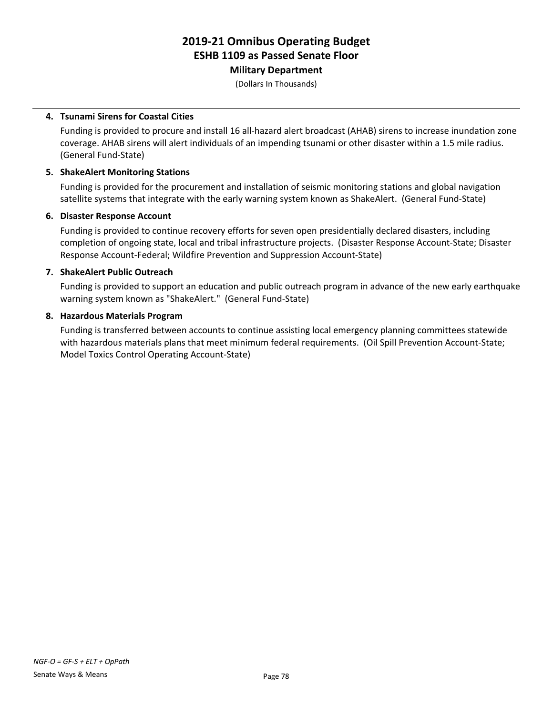**Military Department**

(Dollars In Thousands)

### **4. Tsunami Sirens for Coastal Cities**

Funding is provided to procure and install 16 all-hazard alert broadcast (AHAB) sirens to increase inundation zone coverage. AHAB sirens will alert individuals of an impending tsunami or other disaster within a 1.5 mile radius. (General Fund-State)

#### **5. ShakeAlert Monitoring Stations**

Funding is provided for the procurement and installation of seismic monitoring stations and global navigation satellite systems that integrate with the early warning system known as ShakeAlert. (General Fund-State)

#### **6. Disaster Response Account**

Funding is provided to continue recovery efforts for seven open presidentially declared disasters, including completion of ongoing state, local and tribal infrastructure projects. (Disaster Response Account-State; Disaster Response Account-Federal; Wildfire Prevention and Suppression Account-State)

#### **7. ShakeAlert Public Outreach**

Funding is provided to support an education and public outreach program in advance of the new early earthquake warning system known as "ShakeAlert." (General Fund-State)

#### **8. Hazardous Materials Program**

Funding is transferred between accounts to continue assisting local emergency planning committees statewide with hazardous materials plans that meet minimum federal requirements. (Oil Spill Prevention Account-State; Model Toxics Control Operating Account-State)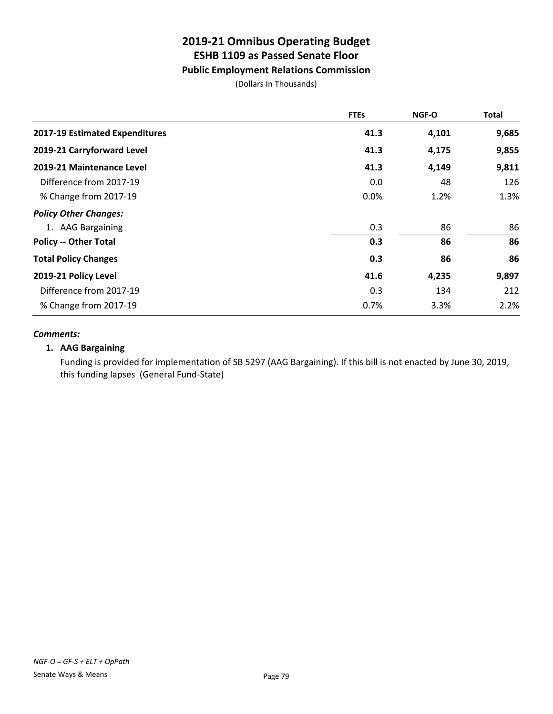## **Public Employment Relations Commission**

(Dollars In Thousands)

|                                | <b>FTEs</b> | <b>NGF-O</b> | Total |
|--------------------------------|-------------|--------------|-------|
| 2017-19 Estimated Expenditures | 41.3        | 4,101        | 9,685 |
| 2019-21 Carryforward Level     | 41.3        | 4,175        | 9,855 |
| 2019-21 Maintenance Level      | 41.3        | 4,149        | 9,811 |
| Difference from 2017-19        | 0.0         | 48           | 126   |
| % Change from 2017-19          | 0.0%        | 1.2%         | 1.3%  |
| <b>Policy Other Changes:</b>   |             |              |       |
| 1. AAG Bargaining              | 0.3         | 86           | 86    |
| <b>Policy -- Other Total</b>   | 0.3         | 86           | 86    |
| <b>Total Policy Changes</b>    | 0.3         | 86           | 86    |
| 2019-21 Policy Level           | 41.6        | 4,235        | 9,897 |
| Difference from 2017-19        | 0.3         | 134          | 212   |
| % Change from 2017-19          | 0.7%        | 3.3%         | 2.2%  |

### *Comments:*

### **1. AAG Bargaining**

Funding is provided for implementation of SB 5297 (AAG Bargaining). If this bill is not enacted by June 30, 2019, this funding lapses (General Fund-State)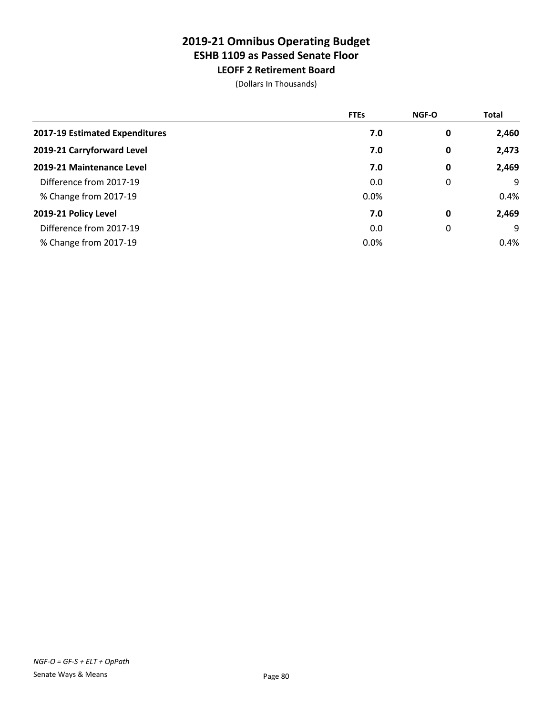**LEOFF 2 Retirement Board** (Dollars In Thousands)

|                                | <b>FTEs</b> | <b>NGF-O</b> | <b>Total</b> |
|--------------------------------|-------------|--------------|--------------|
| 2017-19 Estimated Expenditures | 7.0         | 0            | 2,460        |
| 2019-21 Carryforward Level     | 7.0         | 0            | 2,473        |
| 2019-21 Maintenance Level      | 7.0         | 0            | 2,469        |
| Difference from 2017-19        | 0.0         | 0            | 9            |
| % Change from 2017-19          | 0.0%        |              | 0.4%         |
| 2019-21 Policy Level           | 7.0         | 0            | 2,469        |
| Difference from 2017-19        | 0.0         | 0            | 9            |
| % Change from 2017-19          | 0.0%        |              | 0.4%         |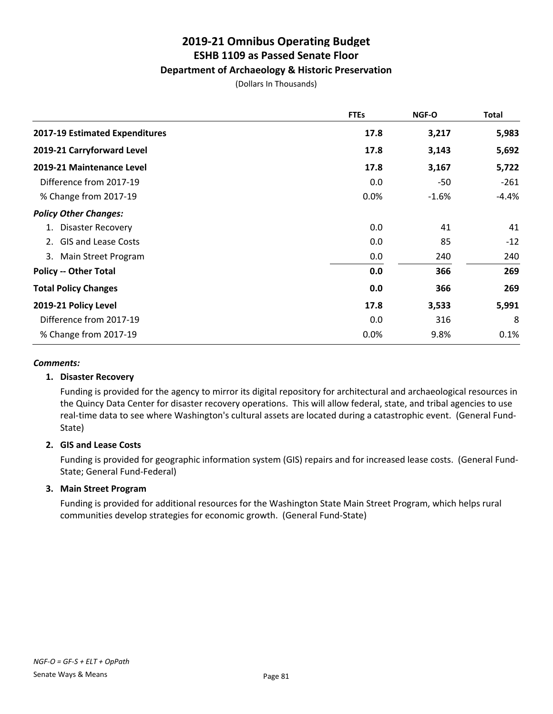## **2019-21 Omnibus Operating Budget ESHB 1109 as Passed Senate Floor Department of Archaeology & Historic Preservation**

(Dollars In Thousands)

|                                | <b>FTEs</b> | NGF-O   | <b>Total</b> |
|--------------------------------|-------------|---------|--------------|
| 2017-19 Estimated Expenditures | 17.8        | 3,217   | 5,983        |
| 2019-21 Carryforward Level     | 17.8        | 3,143   | 5,692        |
| 2019-21 Maintenance Level      | 17.8        | 3,167   | 5,722        |
| Difference from 2017-19        | 0.0         | -50     | $-261$       |
| % Change from 2017-19          | 0.0%        | $-1.6%$ | $-4.4%$      |
| <b>Policy Other Changes:</b>   |             |         |              |
| 1. Disaster Recovery           | 0.0         | 41      | 41           |
| 2. GIS and Lease Costs         | 0.0         | 85      | $-12$        |
| 3. Main Street Program         | 0.0         | 240     | 240          |
| <b>Policy -- Other Total</b>   | 0.0         | 366     | 269          |
| <b>Total Policy Changes</b>    | 0.0         | 366     | 269          |
| 2019-21 Policy Level           | 17.8        | 3,533   | 5,991        |
| Difference from 2017-19        | 0.0         | 316     | 8            |
| % Change from 2017-19          | 0.0%        | 9.8%    | 0.1%         |

### *Comments:*

### **1. Disaster Recovery**

Funding is provided for the agency to mirror its digital repository for architectural and archaeological resources in the Quincy Data Center for disaster recovery operations. This will allow federal, state, and tribal agencies to use real-time data to see where Washington's cultural assets are located during a catastrophic event. (General Fund-State)

### **2. GIS and Lease Costs**

Funding is provided for geographic information system (GIS) repairs and for increased lease costs. (General Fund-State; General Fund-Federal)

### **3. Main Street Program**

Funding is provided for additional resources for the Washington State Main Street Program, which helps rural communities develop strategies for economic growth. (General Fund-State)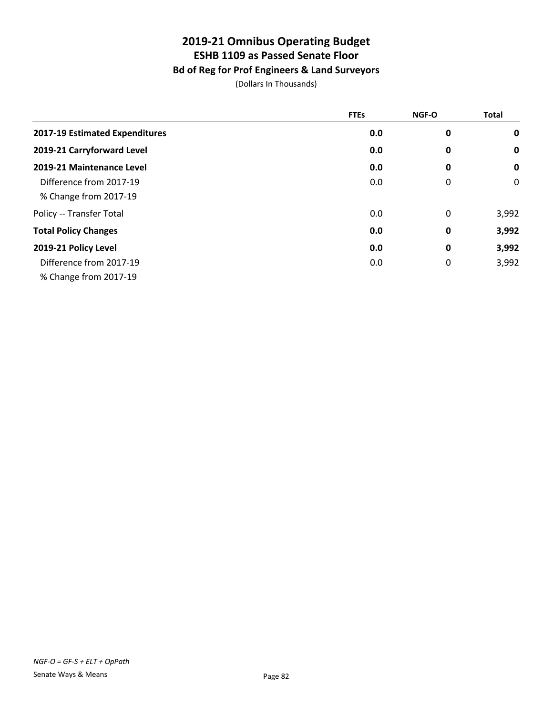## **Bd of Reg for Prof Engineers & Land Surveyors**

|                                | <b>FTEs</b> | NGF-O       | <b>Total</b> |
|--------------------------------|-------------|-------------|--------------|
| 2017-19 Estimated Expenditures | 0.0         | 0           | $\mathbf 0$  |
| 2019-21 Carryforward Level     | 0.0         | $\bf{0}$    | $\mathbf 0$  |
| 2019-21 Maintenance Level      | 0.0         | 0           | $\mathbf 0$  |
| Difference from 2017-19        | 0.0         | 0           | 0            |
| % Change from 2017-19          |             |             |              |
| Policy -- Transfer Total       | 0.0         | 0           | 3,992        |
| <b>Total Policy Changes</b>    | 0.0         | 0           | 3,992        |
| 2019-21 Policy Level           | 0.0         | 0           | 3,992        |
| Difference from 2017-19        | 0.0         | $\mathbf 0$ | 3,992        |
| % Change from 2017-19          |             |             |              |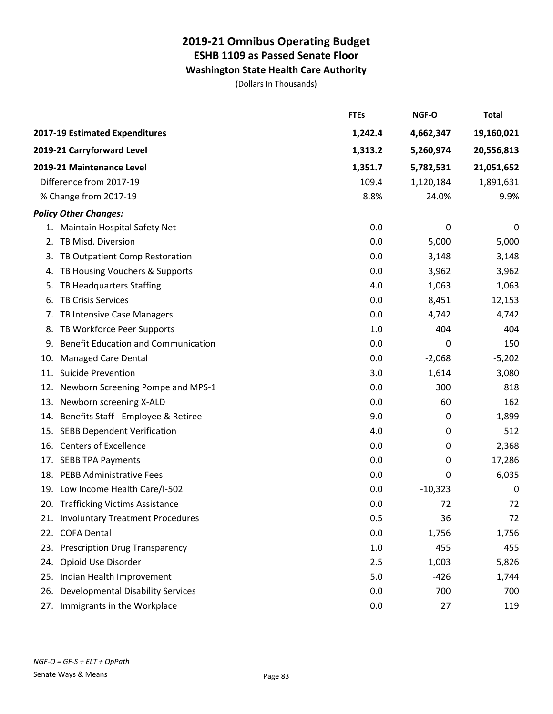### **Washington State Health Care Authority**

|     |                                            | <b>FTEs</b> | NGF-O       | <b>Total</b> |
|-----|--------------------------------------------|-------------|-------------|--------------|
|     | 2017-19 Estimated Expenditures             | 1,242.4     | 4,662,347   | 19,160,021   |
|     | 2019-21 Carryforward Level                 | 1,313.2     | 5,260,974   | 20,556,813   |
|     | 2019-21 Maintenance Level                  | 1,351.7     | 5,782,531   | 21,051,652   |
|     | Difference from 2017-19                    | 109.4       | 1,120,184   | 1,891,631    |
|     | % Change from 2017-19                      | 8.8%        | 24.0%       | 9.9%         |
|     | <b>Policy Other Changes:</b>               |             |             |              |
|     | 1. Maintain Hospital Safety Net            | 0.0         | 0           | 0            |
| 2.  | TB Misd. Diversion                         | 0.0         | 5,000       | 5,000        |
|     | 3. TB Outpatient Comp Restoration          | 0.0         | 3,148       | 3,148        |
| 4.  | TB Housing Vouchers & Supports             | 0.0         | 3,962       | 3,962        |
| 5.  | TB Headquarters Staffing                   | 4.0         | 1,063       | 1,063        |
| 6.  | <b>TB Crisis Services</b>                  | 0.0         | 8,451       | 12,153       |
|     | 7. TB Intensive Case Managers              | 0.0         | 4,742       | 4,742        |
|     | 8. TB Workforce Peer Supports              | 1.0         | 404         | 404          |
| 9.  | <b>Benefit Education and Communication</b> | 0.0         | 0           | 150          |
| 10. | <b>Managed Care Dental</b>                 | 0.0         | $-2,068$    | $-5,202$     |
|     | 11. Suicide Prevention                     | 3.0         | 1,614       | 3,080        |
|     | 12. Newborn Screening Pompe and MPS-1      | 0.0         | 300         | 818          |
|     | 13. Newborn screening X-ALD                | 0.0         | 60          | 162          |
|     | 14. Benefits Staff - Employee & Retiree    | 9.0         | $\mathbf 0$ | 1,899        |
|     | 15. SEBB Dependent Verification            | 4.0         | 0           | 512          |
|     | 16. Centers of Excellence                  | 0.0         | 0           | 2,368        |
|     | 17. SEBB TPA Payments                      | 0.0         | 0           | 17,286       |
|     | 18. PEBB Administrative Fees               | 0.0         | 0           | 6,035        |
|     | 19. Low Income Health Care/I-502           | 0.0         | $-10,323$   | 0            |
|     | 20. Trafficking Victims Assistance         | 0.0         | 72          | 72           |
|     | 21. Involuntary Treatment Procedures       | 0.5         | 36          | 72           |
|     | 22. COFA Dental                            | 0.0         | 1,756       | 1,756        |
|     | 23. Prescription Drug Transparency         | 1.0         | 455         | 455          |
|     | 24. Opioid Use Disorder                    | 2.5         | 1,003       | 5,826        |
|     | 25. Indian Health Improvement              | 5.0         | $-426$      | 1,744        |
|     | 26. Developmental Disability Services      | 0.0         | 700         | 700          |
|     | 27. Immigrants in the Workplace            | 0.0         | 27          | 119          |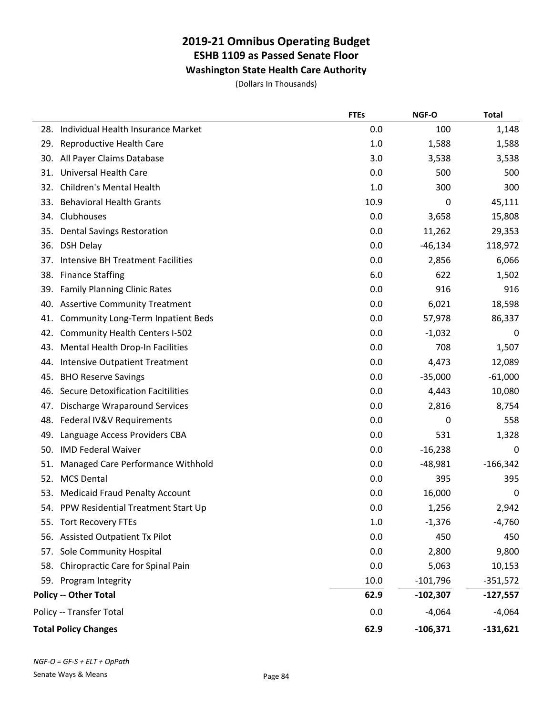**Washington State Health Care Authority**

|     |                                           | <b>FTEs</b> | NGF-O      | <b>Total</b> |
|-----|-------------------------------------------|-------------|------------|--------------|
| 28. | Individual Health Insurance Market        | 0.0         | 100        | 1,148        |
| 29. | Reproductive Health Care                  | 1.0         | 1,588      | 1,588        |
| 30. | All Payer Claims Database                 | 3.0         | 3,538      | 3,538        |
| 31. | <b>Universal Health Care</b>              | 0.0         | 500        | 500          |
| 32. | <b>Children's Mental Health</b>           | 1.0         | 300        | 300          |
| 33. | <b>Behavioral Health Grants</b>           | 10.9        | 0          | 45,111       |
| 34. | Clubhouses                                | 0.0         | 3,658      | 15,808       |
| 35. | <b>Dental Savings Restoration</b>         | 0.0         | 11,262     | 29,353       |
| 36. | <b>DSH Delay</b>                          | 0.0         | $-46,134$  | 118,972      |
| 37. | <b>Intensive BH Treatment Facilities</b>  | 0.0         | 2,856      | 6,066        |
| 38. | <b>Finance Staffing</b>                   | 6.0         | 622        | 1,502        |
| 39. | <b>Family Planning Clinic Rates</b>       | 0.0         | 916        | 916          |
| 40. | <b>Assertive Community Treatment</b>      | 0.0         | 6,021      | 18,598       |
| 41. | <b>Community Long-Term Inpatient Beds</b> | 0.0         | 57,978     | 86,337       |
| 42. | <b>Community Health Centers I-502</b>     | 0.0         | $-1,032$   | 0            |
| 43. | Mental Health Drop-In Facilities          | 0.0         | 708        | 1,507        |
| 44. | <b>Intensive Outpatient Treatment</b>     | 0.0         | 4,473      | 12,089       |
| 45. | <b>BHO Reserve Savings</b>                | 0.0         | $-35,000$  | $-61,000$    |
| 46. | <b>Secure Detoxification Facitilities</b> | 0.0         | 4,443      | 10,080       |
| 47. | Discharge Wraparound Services             | 0.0         | 2,816      | 8,754        |
| 48. | Federal IV&V Requirements                 | 0.0         | 0          | 558          |
| 49. | Language Access Providers CBA             | 0.0         | 531        | 1,328        |
| 50. | <b>IMD Federal Waiver</b>                 | 0.0         | $-16,238$  | 0            |
| 51. | Managed Care Performance Withhold         | 0.0         | $-48,981$  | $-166,342$   |
| 52. | <b>MCS Dental</b>                         | 0.0         | 395        | 395          |
| 53. | <b>Medicaid Fraud Penalty Account</b>     | 0.0         | 16,000     | 0            |
|     | 54. PPW Residential Treatment Start Up    | 0.0         | 1,256      | 2,942        |
| 55. | <b>Tort Recovery FTEs</b>                 | 1.0         | $-1,376$   | $-4,760$     |
| 56. | <b>Assisted Outpatient Tx Pilot</b>       | 0.0         | 450        | 450          |
| 57. | Sole Community Hospital                   | 0.0         | 2,800      | 9,800        |
| 58. | Chiropractic Care for Spinal Pain         | 0.0         | 5,063      | 10,153       |
|     | 59. Program Integrity                     | 10.0        | $-101,796$ | $-351,572$   |
|     | <b>Policy -- Other Total</b>              | 62.9        | $-102,307$ | -127,557     |
|     | Policy -- Transfer Total                  | 0.0         | $-4,064$   | $-4,064$     |
|     | <b>Total Policy Changes</b>               | 62.9        | $-106,371$ | $-131,621$   |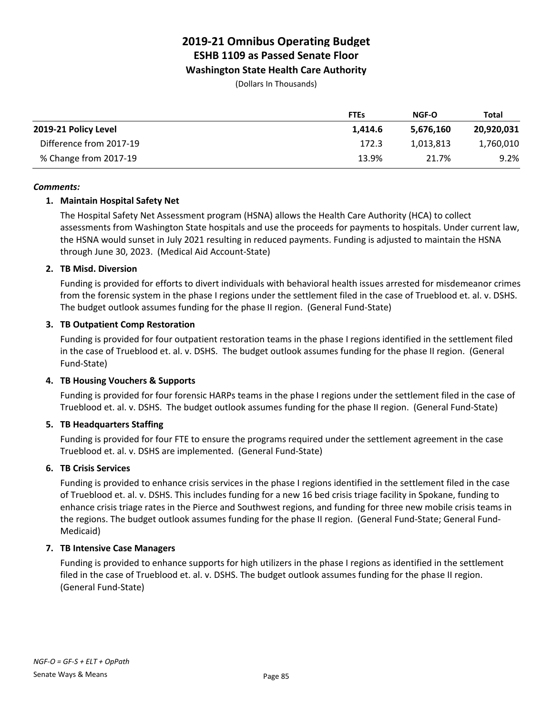**Washington State Health Care Authority**

(Dollars In Thousands)

|                         | <b>FTEs</b> | <b>NGF-O</b> | Total      |
|-------------------------|-------------|--------------|------------|
| 2019-21 Policy Level    | 1.414.6     | 5.676.160    | 20,920,031 |
| Difference from 2017-19 | 172.3       | 1,013,813    | 1,760,010  |
| % Change from 2017-19   | 13.9%       | 21.7%        | 9.2%       |

### *Comments:*

### **1. Maintain Hospital Safety Net**

The Hospital Safety Net Assessment program (HSNA) allows the Health Care Authority (HCA) to collect assessments from Washington State hospitals and use the proceeds for payments to hospitals. Under current law, the HSNA would sunset in July 2021 resulting in reduced payments. Funding is adjusted to maintain the HSNA through June 30, 2023. (Medical Aid Account-State)

### **2. TB Misd. Diversion**

Funding is provided for efforts to divert individuals with behavioral health issues arrested for misdemeanor crimes from the forensic system in the phase I regions under the settlement filed in the case of Trueblood et. al. v. DSHS. The budget outlook assumes funding for the phase II region. (General Fund-State)

### **3. TB Outpatient Comp Restoration**

Funding is provided for four outpatient restoration teams in the phase I regions identified in the settlement filed in the case of Trueblood et. al. v. DSHS. The budget outlook assumes funding for the phase II region. (General Fund-State)

### **4. TB Housing Vouchers & Supports**

Funding is provided for four forensic HARPs teams in the phase I regions under the settlement filed in the case of Trueblood et. al. v. DSHS. The budget outlook assumes funding for the phase II region. (General Fund-State)

### **5. TB Headquarters Staffing**

Funding is provided for four FTE to ensure the programs required under the settlement agreement in the case Trueblood et. al. v. DSHS are implemented. (General Fund-State)

### **6. TB Crisis Services**

Funding is provided to enhance crisis services in the phase I regions identified in the settlement filed in the case of Trueblood et. al. v. DSHS. This includes funding for a new 16 bed crisis triage facility in Spokane, funding to enhance crisis triage rates in the Pierce and Southwest regions, and funding for three new mobile crisis teams in the regions. The budget outlook assumes funding for the phase II region. (General Fund-State; General Fund-Medicaid)

### **7. TB Intensive Case Managers**

Funding is provided to enhance supports for high utilizers in the phase I regions as identified in the settlement filed in the case of Trueblood et. al. v. DSHS. The budget outlook assumes funding for the phase II region. (General Fund-State)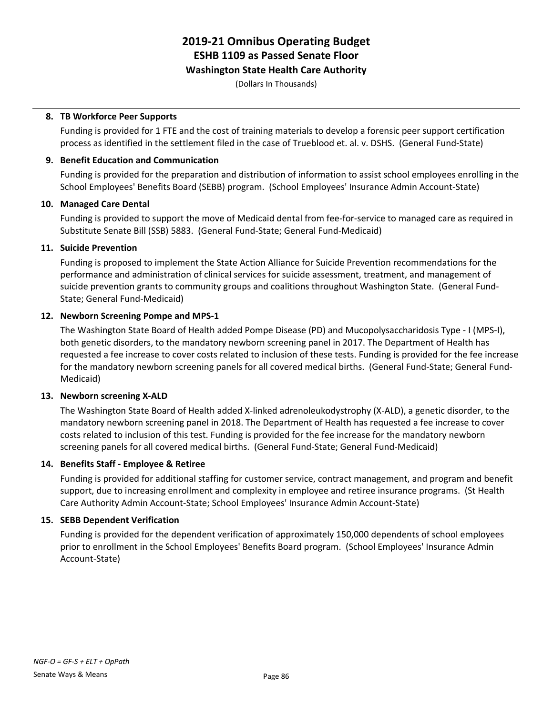### **Washington State Health Care Authority**

(Dollars In Thousands)

### **8. TB Workforce Peer Supports**

Funding is provided for 1 FTE and the cost of training materials to develop a forensic peer support certification process as identified in the settlement filed in the case of Trueblood et. al. v. DSHS. (General Fund-State)

### **9. Benefit Education and Communication**

Funding is provided for the preparation and distribution of information to assist school employees enrolling in the School Employees' Benefits Board (SEBB) program. (School Employees' Insurance Admin Account-State)

### **10. Managed Care Dental**

Funding is provided to support the move of Medicaid dental from fee-for-service to managed care as required in Substitute Senate Bill (SSB) 5883. (General Fund-State; General Fund-Medicaid)

### **11. Suicide Prevention**

Funding is proposed to implement the State Action Alliance for Suicide Prevention recommendations for the performance and administration of clinical services for suicide assessment, treatment, and management of suicide prevention grants to community groups and coalitions throughout Washington State. (General Fund-State; General Fund-Medicaid)

### **12. Newborn Screening Pompe and MPS-1**

The Washington State Board of Health added Pompe Disease (PD) and Mucopolysaccharidosis Type - I (MPS-I), both genetic disorders, to the mandatory newborn screening panel in 2017. The Department of Health has requested a fee increase to cover costs related to inclusion of these tests. Funding is provided for the fee increase for the mandatory newborn screening panels for all covered medical births. (General Fund-State; General Fund-Medicaid)

### **13. Newborn screening X-ALD**

The Washington State Board of Health added X-linked adrenoleukodystrophy (X-ALD), a genetic disorder, to the mandatory newborn screening panel in 2018. The Department of Health has requested a fee increase to cover costs related to inclusion of this test. Funding is provided for the fee increase for the mandatory newborn screening panels for all covered medical births. (General Fund-State; General Fund-Medicaid)

### **14. Benefits Staff - Employee & Retiree**

Funding is provided for additional staffing for customer service, contract management, and program and benefit support, due to increasing enrollment and complexity in employee and retiree insurance programs. (St Health Care Authority Admin Account-State; School Employees' Insurance Admin Account-State)

### **15. SEBB Dependent Verification**

Funding is provided for the dependent verification of approximately 150,000 dependents of school employees prior to enrollment in the School Employees' Benefits Board program. (School Employees' Insurance Admin Account-State)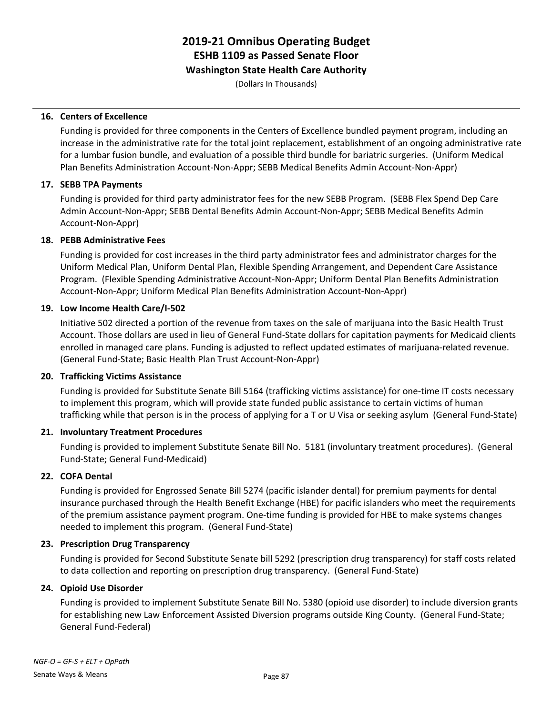**Washington State Health Care Authority**

(Dollars In Thousands)

### **16. Centers of Excellence**

Funding is provided for three components in the Centers of Excellence bundled payment program, including an increase in the administrative rate for the total joint replacement, establishment of an ongoing administrative rate for a lumbar fusion bundle, and evaluation of a possible third bundle for bariatric surgeries. (Uniform Medical Plan Benefits Administration Account-Non-Appr; SEBB Medical Benefits Admin Account-Non-Appr)

### **17. SEBB TPA Payments**

Funding is provided for third party administrator fees for the new SEBB Program. (SEBB Flex Spend Dep Care Admin Account-Non-Appr; SEBB Dental Benefits Admin Account-Non-Appr; SEBB Medical Benefits Admin Account-Non-Appr)

### **18. PEBB Administrative Fees**

Funding is provided for cost increases in the third party administrator fees and administrator charges for the Uniform Medical Plan, Uniform Dental Plan, Flexible Spending Arrangement, and Dependent Care Assistance Program. (Flexible Spending Administrative Account-Non-Appr; Uniform Dental Plan Benefits Administration Account-Non-Appr; Uniform Medical Plan Benefits Administration Account-Non-Appr)

### **19. Low Income Health Care/I-502**

Initiative 502 directed a portion of the revenue from taxes on the sale of marijuana into the Basic Health Trust Account. Those dollars are used in lieu of General Fund-State dollars for capitation payments for Medicaid clients enrolled in managed care plans. Funding is adjusted to reflect updated estimates of marijuana-related revenue. (General Fund-State; Basic Health Plan Trust Account-Non-Appr)

### **20. Trafficking Victims Assistance**

Funding is provided for Substitute Senate Bill 5164 (trafficking victims assistance) for one-time IT costs necessary to implement this program, which will provide state funded public assistance to certain victims of human trafficking while that person is in the process of applying for a T or U Visa or seeking asylum (General Fund-State)

### **21. Involuntary Treatment Procedures**

Funding is provided to implement Substitute Senate Bill No. 5181 (involuntary treatment procedures). (General Fund-State; General Fund-Medicaid)

### **22. COFA Dental**

Funding is provided for Engrossed Senate Bill 5274 (pacific islander dental) for premium payments for dental insurance purchased through the Health Benefit Exchange (HBE) for pacific islanders who meet the requirements of the premium assistance payment program. One-time funding is provided for HBE to make systems changes needed to implement this program. (General Fund-State)

### **23. Prescription Drug Transparency**

Funding is provided for Second Substitute Senate bill 5292 (prescription drug transparency) for staff costs related to data collection and reporting on prescription drug transparency. (General Fund-State)

### **24. Opioid Use Disorder**

Funding is provided to implement Substitute Senate Bill No. 5380 (opioid use disorder) to include diversion grants for establishing new Law Enforcement Assisted Diversion programs outside King County. (General Fund-State; General Fund-Federal)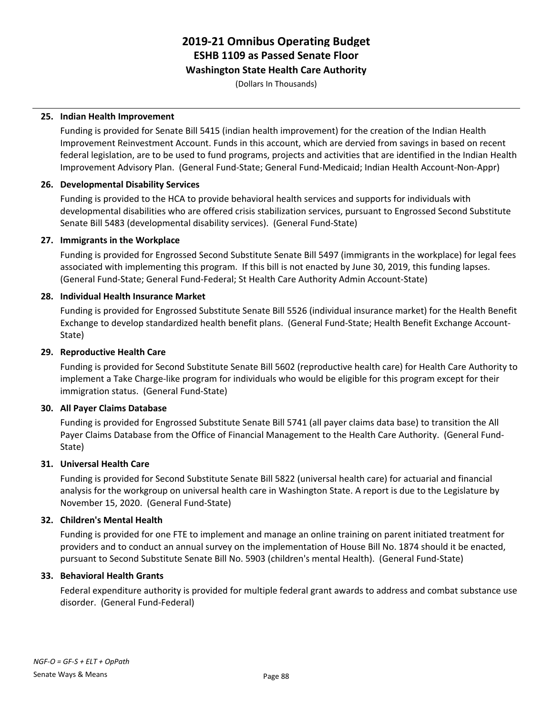### **Washington State Health Care Authority**

(Dollars In Thousands)

### **25. Indian Health Improvement**

Funding is provided for Senate Bill 5415 (indian health improvement) for the creation of the Indian Health Improvement Reinvestment Account. Funds in this account, which are dervied from savings in based on recent federal legislation, are to be used to fund programs, projects and activities that are identified in the Indian Health Improvement Advisory Plan. (General Fund-State; General Fund-Medicaid; Indian Health Account-Non-Appr)

### **26. Developmental Disability Services**

Funding is provided to the HCA to provide behavioral health services and supports for individuals with developmental disabilities who are offered crisis stabilization services, pursuant to Engrossed Second Substitute Senate Bill 5483 (developmental disability services). (General Fund-State)

### **27. Immigrants in the Workplace**

Funding is provided for Engrossed Second Substitute Senate Bill 5497 (immigrants in the workplace) for legal fees associated with implementing this program. If this bill is not enacted by June 30, 2019, this funding lapses. (General Fund-State; General Fund-Federal; St Health Care Authority Admin Account-State)

### **28. Individual Health Insurance Market**

Funding is provided for Engrossed Substitute Senate Bill 5526 (individual insurance market) for the Health Benefit Exchange to develop standardized health benefit plans. (General Fund-State; Health Benefit Exchange Account-State)

### **29. Reproductive Health Care**

Funding is provided for Second Substitute Senate Bill 5602 (reproductive health care) for Health Care Authority to implement a Take Charge-like program for individuals who would be eligible for this program except for their immigration status. (General Fund-State)

### **30. All Payer Claims Database**

Funding is provided for Engrossed Substitute Senate Bill 5741 (all payer claims data base) to transition the All Payer Claims Database from the Office of Financial Management to the Health Care Authority. (General Fund-State)

### **31. Universal Health Care**

Funding is provided for Second Substitute Senate Bill 5822 (universal health care) for actuarial and financial analysis for the workgroup on universal health care in Washington State. A report is due to the Legislature by November 15, 2020. (General Fund-State)

### **32. Children's Mental Health**

Funding is provided for one FTE to implement and manage an online training on parent initiated treatment for providers and to conduct an annual survey on the implementation of House Bill No. 1874 should it be enacted, pursuant to Second Substitute Senate Bill No. 5903 (children's mental Health). (General Fund-State)

### **33. Behavioral Health Grants**

Federal expenditure authority is provided for multiple federal grant awards to address and combat substance use disorder. (General Fund-Federal)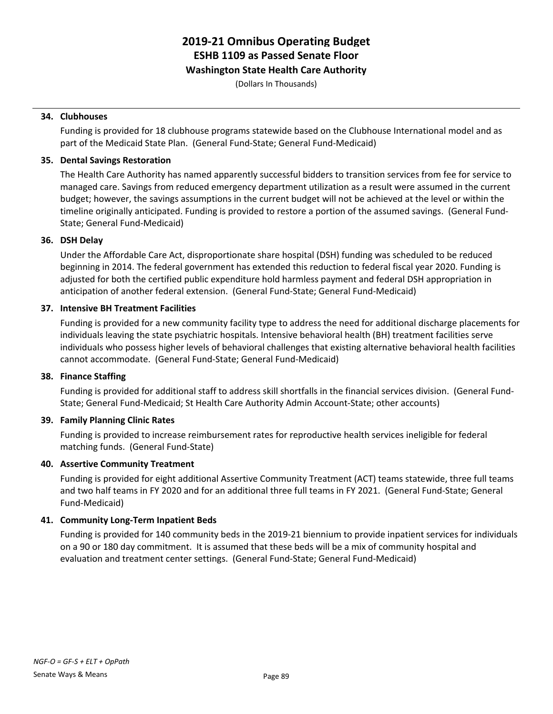### **Washington State Health Care Authority**

(Dollars In Thousands)

#### **34. Clubhouses**

Funding is provided for 18 clubhouse programs statewide based on the Clubhouse International model and as part of the Medicaid State Plan. (General Fund-State; General Fund-Medicaid)

#### **35. Dental Savings Restoration**

The Health Care Authority has named apparently successful bidders to transition services from fee for service to managed care. Savings from reduced emergency department utilization as a result were assumed in the current budget; however, the savings assumptions in the current budget will not be achieved at the level or within the timeline originally anticipated. Funding is provided to restore a portion of the assumed savings. (General Fund-State; General Fund-Medicaid)

### **36. DSH Delay**

Under the Affordable Care Act, disproportionate share hospital (DSH) funding was scheduled to be reduced beginning in 2014. The federal government has extended this reduction to federal fiscal year 2020. Funding is adjusted for both the certified public expenditure hold harmless payment and federal DSH appropriation in anticipation of another federal extension. (General Fund-State; General Fund-Medicaid)

### **37. Intensive BH Treatment Facilities**

Funding is provided for a new community facility type to address the need for additional discharge placements for individuals leaving the state psychiatric hospitals. Intensive behavioral health (BH) treatment facilities serve individuals who possess higher levels of behavioral challenges that existing alternative behavioral health facilities cannot accommodate. (General Fund-State; General Fund-Medicaid)

### **38. Finance Staffing**

Funding is provided for additional staff to address skill shortfalls in the financial services division. (General Fund-State; General Fund-Medicaid; St Health Care Authority Admin Account-State; other accounts)

### **39. Family Planning Clinic Rates**

Funding is provided to increase reimbursement rates for reproductive health services ineligible for federal matching funds. (General Fund-State)

### **40. Assertive Community Treatment**

Funding is provided for eight additional Assertive Community Treatment (ACT) teams statewide, three full teams and two half teams in FY 2020 and for an additional three full teams in FY 2021. (General Fund-State; General Fund-Medicaid)

### **41. Community Long-Term Inpatient Beds**

Funding is provided for 140 community beds in the 2019-21 biennium to provide inpatient services for individuals on a 90 or 180 day commitment. It is assumed that these beds will be a mix of community hospital and evaluation and treatment center settings. (General Fund-State; General Fund-Medicaid)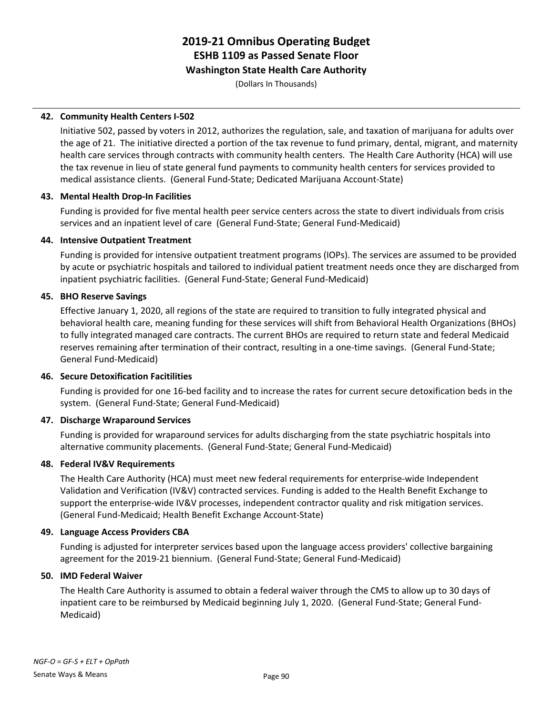### **Washington State Health Care Authority**

(Dollars In Thousands)

### **42. Community Health Centers I-502**

Initiative 502, passed by voters in 2012, authorizes the regulation, sale, and taxation of marijuana for adults over the age of 21. The initiative directed a portion of the tax revenue to fund primary, dental, migrant, and maternity health care services through contracts with community health centers. The Health Care Authority (HCA) will use the tax revenue in lieu of state general fund payments to community health centers for services provided to medical assistance clients. (General Fund-State; Dedicated Marijuana Account-State)

### **43. Mental Health Drop-In Facilities**

Funding is provided for five mental health peer service centers across the state to divert individuals from crisis services and an inpatient level of care (General Fund-State; General Fund-Medicaid)

### **44. Intensive Outpatient Treatment**

Funding is provided for intensive outpatient treatment programs (IOPs). The services are assumed to be provided by acute or psychiatric hospitals and tailored to individual patient treatment needs once they are discharged from inpatient psychiatric facilities. (General Fund-State; General Fund-Medicaid)

### **45. BHO Reserve Savings**

Effective January 1, 2020, all regions of the state are required to transition to fully integrated physical and behavioral health care, meaning funding for these services will shift from Behavioral Health Organizations (BHOs) to fully integrated managed care contracts. The current BHOs are required to return state and federal Medicaid reserves remaining after termination of their contract, resulting in a one-time savings. (General Fund-State; General Fund-Medicaid)

### **46. Secure Detoxification Facitilities**

Funding is provided for one 16-bed facility and to increase the rates for current secure detoxification beds in the system. (General Fund-State; General Fund-Medicaid)

### **47. Discharge Wraparound Services**

Funding is provided for wraparound services for adults discharging from the state psychiatric hospitals into alternative community placements. (General Fund-State; General Fund-Medicaid)

### **48. Federal IV&V Requirements**

The Health Care Authority (HCA) must meet new federal requirements for enterprise-wide Independent Validation and Verification (IV&V) contracted services. Funding is added to the Health Benefit Exchange to support the enterprise-wide IV&V processes, independent contractor quality and risk mitigation services. (General Fund-Medicaid; Health Benefit Exchange Account-State)

### **49. Language Access Providers CBA**

Funding is adjusted for interpreter services based upon the language access providers' collective bargaining agreement for the 2019-21 biennium. (General Fund-State; General Fund-Medicaid)

### **50. IMD Federal Waiver**

The Health Care Authority is assumed to obtain a federal waiver through the CMS to allow up to 30 days of inpatient care to be reimbursed by Medicaid beginning July 1, 2020. (General Fund-State; General Fund-Medicaid)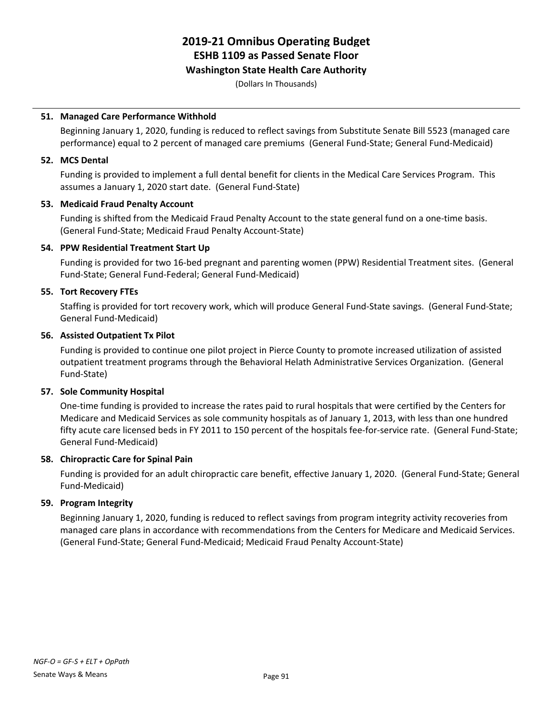### **Washington State Health Care Authority**

(Dollars In Thousands)

### **51. Managed Care Performance Withhold**

Beginning January 1, 2020, funding is reduced to reflect savings from Substitute Senate Bill 5523 (managed care performance) equal to 2 percent of managed care premiums (General Fund-State; General Fund-Medicaid)

### **52. MCS Dental**

Funding is provided to implement a full dental benefit for clients in the Medical Care Services Program. This assumes a January 1, 2020 start date. (General Fund-State)

### **53. Medicaid Fraud Penalty Account**

Funding is shifted from the Medicaid Fraud Penalty Account to the state general fund on a one-time basis. (General Fund-State; Medicaid Fraud Penalty Account-State)

### **54. PPW Residential Treatment Start Up**

Funding is provided for two 16-bed pregnant and parenting women (PPW) Residential Treatment sites. (General Fund-State; General Fund-Federal; General Fund-Medicaid)

### **55. Tort Recovery FTEs**

Staffing is provided for tort recovery work, which will produce General Fund-State savings. (General Fund-State; General Fund-Medicaid)

### **56. Assisted Outpatient Tx Pilot**

Funding is provided to continue one pilot project in Pierce County to promote increased utilization of assisted outpatient treatment programs through the Behavioral Helath Administrative Services Organization. (General Fund-State)

### **57. Sole Community Hospital**

One-time funding is provided to increase the rates paid to rural hospitals that were certified by the Centers for Medicare and Medicaid Services as sole community hospitals as of January 1, 2013, with less than one hundred fifty acute care licensed beds in FY 2011 to 150 percent of the hospitals fee-for-service rate. (General Fund-State; General Fund-Medicaid)

### **58. Chiropractic Care for Spinal Pain**

Funding is provided for an adult chiropractic care benefit, effective January 1, 2020. (General Fund-State; General Fund-Medicaid)

### **59. Program Integrity**

Beginning January 1, 2020, funding is reduced to reflect savings from program integrity activity recoveries from managed care plans in accordance with recommendations from the Centers for Medicare and Medicaid Services. (General Fund-State; General Fund-Medicaid; Medicaid Fraud Penalty Account-State)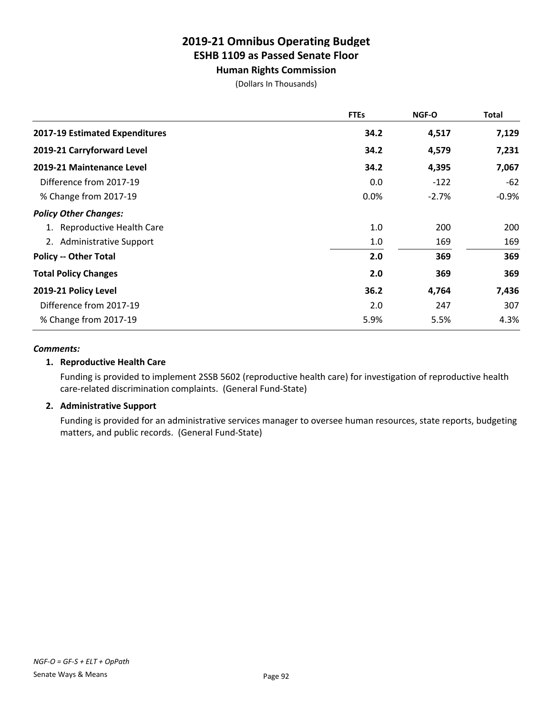### **Human Rights Commission**

(Dollars In Thousands)

|                                | <b>FTEs</b> | <b>NGF-O</b> | <b>Total</b> |
|--------------------------------|-------------|--------------|--------------|
| 2017-19 Estimated Expenditures | 34.2        | 4,517        | 7,129        |
| 2019-21 Carryforward Level     | 34.2        | 4,579        | 7,231        |
| 2019-21 Maintenance Level      | 34.2        | 4,395        | 7,067        |
| Difference from 2017-19        | 0.0         | $-122$       | -62          |
| % Change from 2017-19          | 0.0%        | $-2.7%$      | $-0.9%$      |
| <b>Policy Other Changes:</b>   |             |              |              |
| 1. Reproductive Health Care    | 1.0         | 200          | 200          |
| 2. Administrative Support      | 1.0         | 169          | 169          |
| <b>Policy -- Other Total</b>   | 2.0         | 369          | 369          |
| <b>Total Policy Changes</b>    | 2.0         | 369          | 369          |
| 2019-21 Policy Level           | 36.2        | 4,764        | 7,436        |
| Difference from 2017-19        | 2.0         | 247          | 307          |
| % Change from 2017-19          | 5.9%        | 5.5%         | 4.3%         |

### *Comments:*

### **1. Reproductive Health Care**

Funding is provided to implement 2SSB 5602 (reproductive health care) for investigation of reproductive health care-related discrimination complaints. (General Fund-State)

### **2. Administrative Support**

Funding is provided for an administrative services manager to oversee human resources, state reports, budgeting matters, and public records. (General Fund-State)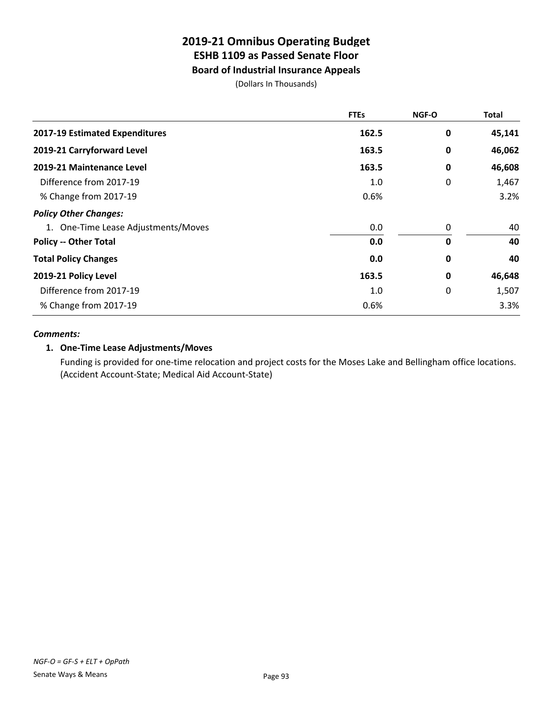### **Board of Industrial Insurance Appeals**

(Dollars In Thousands)

|                                     | <b>FTEs</b> | <b>NGF-O</b> | Total  |
|-------------------------------------|-------------|--------------|--------|
| 2017-19 Estimated Expenditures      | 162.5       | 0            | 45,141 |
| 2019-21 Carryforward Level          | 163.5       | 0            | 46,062 |
| 2019-21 Maintenance Level           | 163.5       | 0            | 46,608 |
| Difference from 2017-19             | 1.0         | 0            | 1,467  |
| % Change from 2017-19               | 0.6%        |              | 3.2%   |
| <b>Policy Other Changes:</b>        |             |              |        |
| 1. One-Time Lease Adjustments/Moves | 0.0         | 0            | 40     |
| <b>Policy -- Other Total</b>        | 0.0         | 0            | 40     |
| <b>Total Policy Changes</b>         | 0.0         | $\pmb{0}$    | 40     |
| 2019-21 Policy Level                | 163.5       | 0            | 46,648 |
| Difference from 2017-19             | 1.0         | 0            | 1,507  |
| % Change from 2017-19               | 0.6%        |              | 3.3%   |

### *Comments:*

### **1. One-Time Lease Adjustments/Moves**

Funding is provided for one-time relocation and project costs for the Moses Lake and Bellingham office locations. (Accident Account-State; Medical Aid Account-State)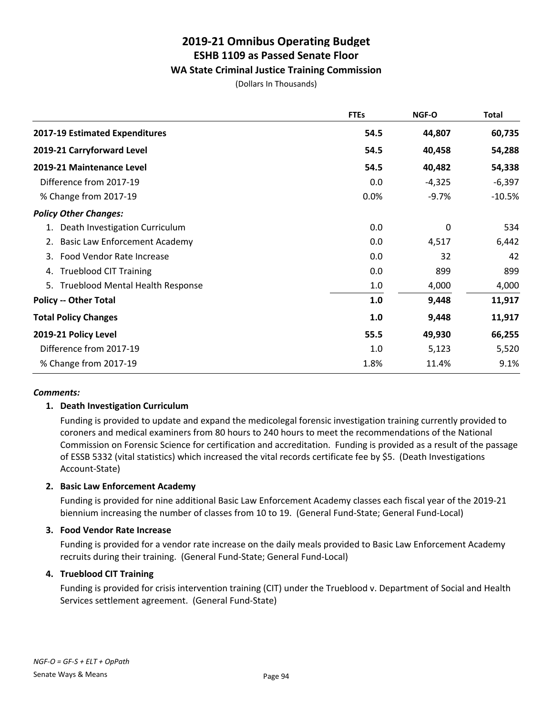### **WA State Criminal Justice Training Commission**

(Dollars In Thousands)

|                                               | <b>FTEs</b> | NGF-O    | <b>Total</b> |
|-----------------------------------------------|-------------|----------|--------------|
| 2017-19 Estimated Expenditures                | 54.5        | 44,807   | 60,735       |
| 2019-21 Carryforward Level                    | 54.5        | 40,458   | 54,288       |
| 2019-21 Maintenance Level                     | 54.5        | 40,482   | 54,338       |
| Difference from 2017-19                       | 0.0         | $-4,325$ | $-6,397$     |
| % Change from 2017-19                         | 0.0%        | $-9.7%$  | $-10.5%$     |
| <b>Policy Other Changes:</b>                  |             |          |              |
| Death Investigation Curriculum<br>1.          | 0.0         | 0        | 534          |
| <b>Basic Law Enforcement Academy</b><br>2.    | 0.0         | 4,517    | 6,442        |
| Food Vendor Rate Increase<br>3.               | 0.0         | 32       | 42           |
| <b>Trueblood CIT Training</b><br>4.           | 0.0         | 899      | 899          |
| <b>Trueblood Mental Health Response</b><br>5. | 1.0         | 4,000    | 4,000        |
| <b>Policy -- Other Total</b>                  | 1.0         | 9,448    | 11,917       |
| <b>Total Policy Changes</b>                   | 1.0         | 9,448    | 11,917       |
| 2019-21 Policy Level                          | 55.5        | 49,930   | 66,255       |
| Difference from 2017-19                       | 1.0         | 5,123    | 5,520        |
| % Change from 2017-19                         | 1.8%        | 11.4%    | 9.1%         |

### *Comments:*

### **1. Death Investigation Curriculum**

Funding is provided to update and expand the medicolegal forensic investigation training currently provided to coroners and medical examiners from 80 hours to 240 hours to meet the recommendations of the National Commission on Forensic Science for certification and accreditation. Funding is provided as a result of the passage of ESSB 5332 (vital statistics) which increased the vital records certificate fee by \$5. (Death Investigations Account-State)

### **2. Basic Law Enforcement Academy**

Funding is provided for nine additional Basic Law Enforcement Academy classes each fiscal year of the 2019-21 biennium increasing the number of classes from 10 to 19. (General Fund-State; General Fund-Local)

### **3. Food Vendor Rate Increase**

Funding is provided for a vendor rate increase on the daily meals provided to Basic Law Enforcement Academy recruits during their training. (General Fund-State; General Fund-Local)

### **4. Trueblood CIT Training**

Funding is provided for crisis intervention training (CIT) under the Trueblood v. Department of Social and Health Services settlement agreement. (General Fund-State)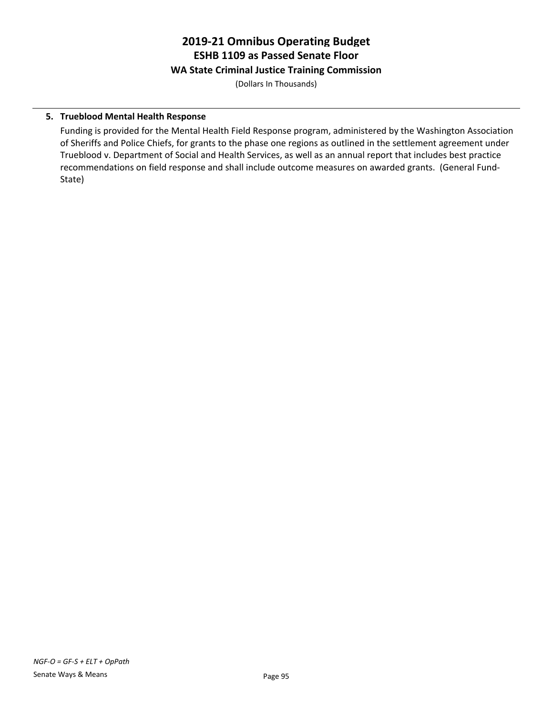## **2019-21 Omnibus Operating Budget ESHB 1109 as Passed Senate Floor WA State Criminal Justice Training Commission**

(Dollars In Thousands)

### **5. Trueblood Mental Health Response**

Funding is provided for the Mental Health Field Response program, administered by the Washington Association of Sheriffs and Police Chiefs, for grants to the phase one regions as outlined in the settlement agreement under Trueblood v. Department of Social and Health Services, as well as an annual report that includes best practice recommendations on field response and shall include outcome measures on awarded grants. (General Fund-State)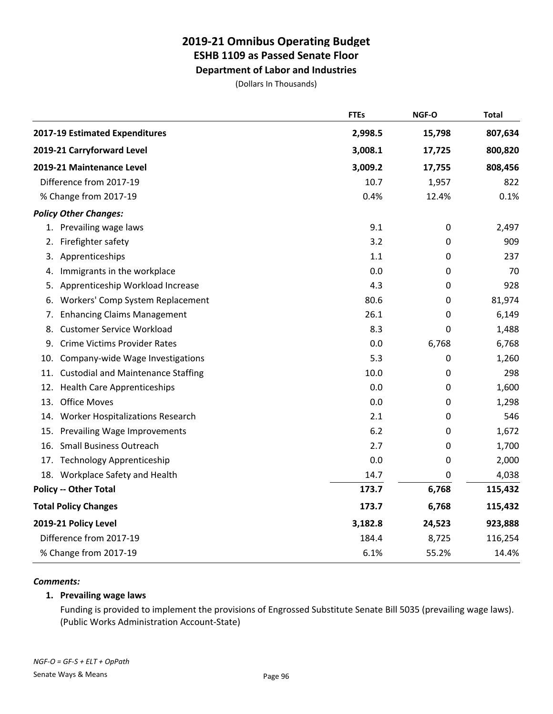**Department of Labor and Industries**

(Dollars In Thousands)

|     |                                           | <b>FTEs</b> | NGF-O  | <b>Total</b> |
|-----|-------------------------------------------|-------------|--------|--------------|
|     | 2017-19 Estimated Expenditures            | 2,998.5     | 15,798 | 807,634      |
|     | 2019-21 Carryforward Level                | 3,008.1     | 17,725 | 800,820      |
|     | 2019-21 Maintenance Level                 | 3,009.2     | 17,755 | 808,456      |
|     | Difference from 2017-19                   | 10.7        | 1,957  | 822          |
|     | % Change from 2017-19                     | 0.4%        | 12.4%  | 0.1%         |
|     | <b>Policy Other Changes:</b>              |             |        |              |
|     | 1. Prevailing wage laws                   | 9.1         | 0      | 2,497        |
| 2.  | Firefighter safety                        | 3.2         | 0      | 909          |
| 3.  | Apprenticeships                           | 1.1         | 0      | 237          |
| 4.  | Immigrants in the workplace               | 0.0         | 0      | 70           |
| 5.  | Apprenticeship Workload Increase          | 4.3         | 0      | 928          |
| 6.  | Workers' Comp System Replacement          | 80.6        | 0      | 81,974       |
| 7.  | <b>Enhancing Claims Management</b>        | 26.1        | 0      | 6,149        |
| 8.  | <b>Customer Service Workload</b>          | 8.3         | 0      | 1,488        |
| 9.  | <b>Crime Victims Provider Rates</b>       | 0.0         | 6,768  | 6,768        |
| 10. | Company-wide Wage Investigations          | 5.3         | 0      | 1,260        |
| 11. | <b>Custodial and Maintenance Staffing</b> | 10.0        | 0      | 298          |
| 12. | <b>Health Care Apprenticeships</b>        | 0.0         | 0      | 1,600        |
| 13. | <b>Office Moves</b>                       | 0.0         | 0      | 1,298        |
| 14. | Worker Hospitalizations Research          | 2.1         | 0      | 546          |
| 15. | Prevailing Wage Improvements              | 6.2         | 0      | 1,672        |
| 16. | <b>Small Business Outreach</b>            | 2.7         | 0      | 1,700        |
|     | 17. Technology Apprenticeship             | 0.0         | 0      | 2,000        |
|     | 18. Workplace Safety and Health           | 14.7        | 0      | 4,038        |
|     | <b>Policy -- Other Total</b>              | 173.7       | 6,768  | 115,432      |
|     | <b>Total Policy Changes</b>               | 173.7       | 6,768  | 115,432      |
|     | 2019-21 Policy Level                      | 3,182.8     | 24,523 | 923,888      |
|     | Difference from 2017-19                   | 184.4       | 8,725  | 116,254      |
|     | % Change from 2017-19                     | 6.1%        | 55.2%  | 14.4%        |

### *Comments:*

### **1. Prevailing wage laws**

Funding is provided to implement the provisions of Engrossed Substitute Senate Bill 5035 (prevailing wage laws). (Public Works Administration Account-State)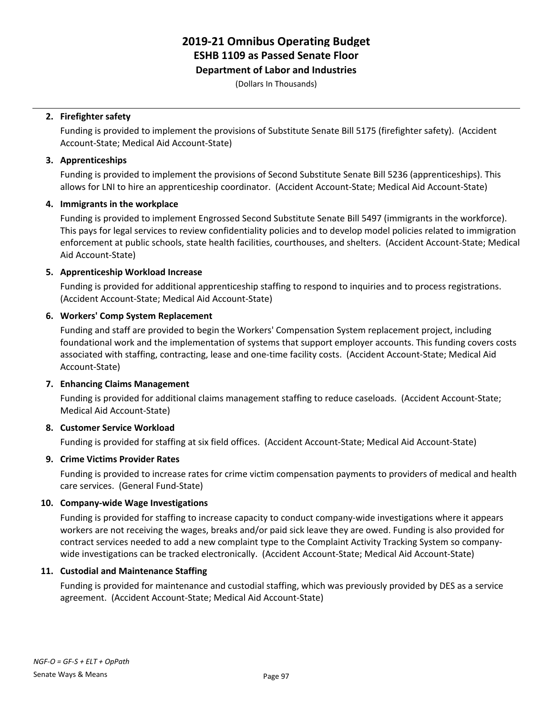### **Department of Labor and Industries**

(Dollars In Thousands)

### **2. Firefighter safety**

Funding is provided to implement the provisions of Substitute Senate Bill 5175 (firefighter safety). (Accident Account-State; Medical Aid Account-State)

### **3. Apprenticeships**

Funding is provided to implement the provisions of Second Substitute Senate Bill 5236 (apprenticeships). This allows for LNI to hire an apprenticeship coordinator. (Accident Account-State; Medical Aid Account-State)

### **4. Immigrants in the workplace**

Funding is provided to implement Engrossed Second Substitute Senate Bill 5497 (immigrants in the workforce). This pays for legal services to review confidentiality policies and to develop model policies related to immigration enforcement at public schools, state health facilities, courthouses, and shelters. (Accident Account-State; Medical Aid Account-State)

### **5. Apprenticeship Workload Increase**

Funding is provided for additional apprenticeship staffing to respond to inquiries and to process registrations. (Accident Account-State; Medical Aid Account-State)

### **6. Workers' Comp System Replacement**

Funding and staff are provided to begin the Workers' Compensation System replacement project, including foundational work and the implementation of systems that support employer accounts. This funding covers costs associated with staffing, contracting, lease and one-time facility costs. (Accident Account-State; Medical Aid Account-State)

### **7. Enhancing Claims Management**

Funding is provided for additional claims management staffing to reduce caseloads. (Accident Account-State; Medical Aid Account-State)

### **8. Customer Service Workload**

Funding is provided for staffing at six field offices. (Accident Account-State; Medical Aid Account-State)

### **9. Crime Victims Provider Rates**

Funding is provided to increase rates for crime victim compensation payments to providers of medical and health care services. (General Fund-State)

### **10. Company-wide Wage Investigations**

Funding is provided for staffing to increase capacity to conduct company-wide investigations where it appears workers are not receiving the wages, breaks and/or paid sick leave they are owed. Funding is also provided for contract services needed to add a new complaint type to the Complaint Activity Tracking System so companywide investigations can be tracked electronically. (Accident Account-State; Medical Aid Account-State)

### **11. Custodial and Maintenance Staffing**

Funding is provided for maintenance and custodial staffing, which was previously provided by DES as a service agreement. (Accident Account-State; Medical Aid Account-State)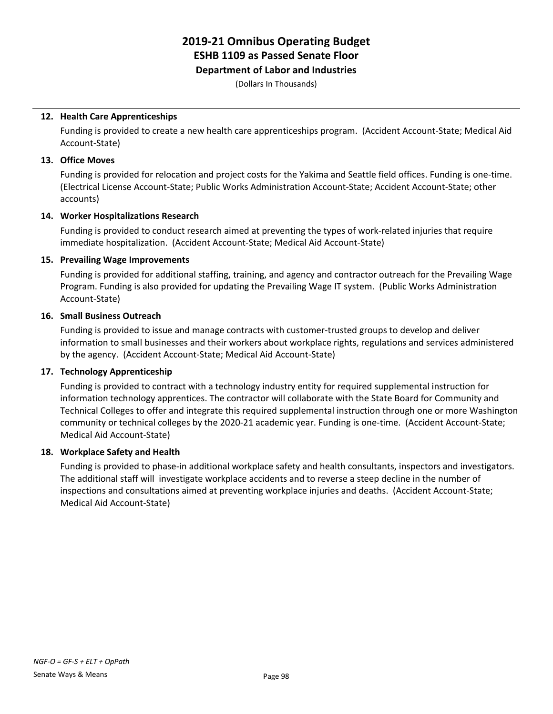#### **Department of Labor and Industries**

(Dollars In Thousands)

### **12. Health Care Apprenticeships**

Funding is provided to create a new health care apprenticeships program. (Accident Account-State; Medical Aid Account-State)

#### **13. Office Moves**

Funding is provided for relocation and project costs for the Yakima and Seattle field offices. Funding is one-time. (Electrical License Account-State; Public Works Administration Account-State; Accident Account-State; other accounts)

### **14. Worker Hospitalizations Research**

Funding is provided to conduct research aimed at preventing the types of work-related injuries that require immediate hospitalization. (Accident Account-State; Medical Aid Account-State)

### **15. Prevailing Wage Improvements**

Funding is provided for additional staffing, training, and agency and contractor outreach for the Prevailing Wage Program. Funding is also provided for updating the Prevailing Wage IT system. (Public Works Administration Account-State)

#### **16. Small Business Outreach**

Funding is provided to issue and manage contracts with customer-trusted groups to develop and deliver information to small businesses and their workers about workplace rights, regulations and services administered by the agency. (Accident Account-State; Medical Aid Account-State)

### **17. Technology Apprenticeship**

Funding is provided to contract with a technology industry entity for required supplemental instruction for information technology apprentices. The contractor will collaborate with the State Board for Community and Technical Colleges to offer and integrate this required supplemental instruction through one or more Washington community or technical colleges by the 2020-21 academic year. Funding is one-time. (Accident Account-State; Medical Aid Account-State)

### **18. Workplace Safety and Health**

Funding is provided to phase-in additional workplace safety and health consultants, inspectors and investigators. The additional staff will investigate workplace accidents and to reverse a steep decline in the number of inspections and consultations aimed at preventing workplace injuries and deaths. (Accident Account-State; Medical Aid Account-State)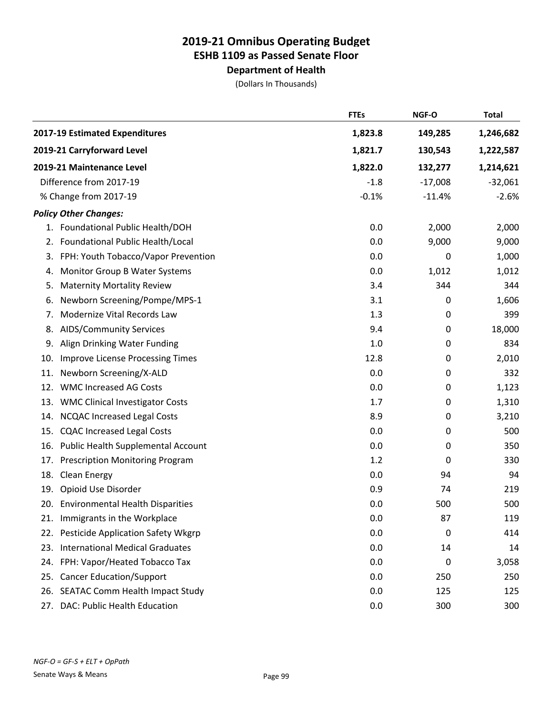# **Department of Health**

|     |                                           | <b>FTEs</b> | NGF-O     | <b>Total</b> |
|-----|-------------------------------------------|-------------|-----------|--------------|
|     | 2017-19 Estimated Expenditures            | 1,823.8     | 149,285   | 1,246,682    |
|     | 2019-21 Carryforward Level                | 1,821.7     | 130,543   | 1,222,587    |
|     | 2019-21 Maintenance Level                 | 1,822.0     | 132,277   | 1,214,621    |
|     | Difference from 2017-19                   | $-1.8$      | $-17,008$ | $-32,061$    |
|     | % Change from 2017-19                     | $-0.1%$     | $-11.4%$  | $-2.6%$      |
|     | <b>Policy Other Changes:</b>              |             |           |              |
|     | 1. Foundational Public Health/DOH         | 0.0         | 2,000     | 2,000        |
| 2.  | Foundational Public Health/Local          | 0.0         | 9,000     | 9,000        |
|     | 3. FPH: Youth Tobacco/Vapor Prevention    | 0.0         | 0         | 1,000        |
| 4.  | Monitor Group B Water Systems             | 0.0         | 1,012     | 1,012        |
| 5.  | <b>Maternity Mortality Review</b>         | 3.4         | 344       | 344          |
| 6.  | Newborn Screening/Pompe/MPS-1             | 3.1         | 0         | 1,606        |
| 7.  | Modernize Vital Records Law               | 1.3         | 0         | 399          |
| 8.  | <b>AIDS/Community Services</b>            | 9.4         | 0         | 18,000       |
| 9.  | Align Drinking Water Funding              | 1.0         | 0         | 834          |
| 10. | <b>Improve License Processing Times</b>   | 12.8        | 0         | 2,010        |
| 11. | Newborn Screening/X-ALD                   | 0.0         | 0         | 332          |
| 12. | <b>WMC Increased AG Costs</b>             | 0.0         | 0         | 1,123        |
| 13. | <b>WMC Clinical Investigator Costs</b>    | 1.7         | 0         | 1,310        |
| 14. | <b>NCQAC Increased Legal Costs</b>        | 8.9         | 0         | 3,210        |
| 15. | <b>CQAC Increased Legal Costs</b>         | 0.0         | 0         | 500          |
| 16. | Public Health Supplemental Account        | 0.0         | 0         | 350          |
| 17. | <b>Prescription Monitoring Program</b>    | 1.2         | 0         | 330          |
| 18. | Clean Energy                              | 0.0         | 94        | 94           |
| 19. | Opioid Use Disorder                       | 0.9         | 74        | 219          |
|     | 20. Environmental Health Disparities      | 0.0         | 500       | 500          |
| 21. | Immigrants in the Workplace               | 0.0         | 87        | 119          |
| 22. | <b>Pesticide Application Safety Wkgrp</b> | 0.0         | 0         | 414          |
| 23. | <b>International Medical Graduates</b>    | 0.0         | 14        | 14           |
| 24. | FPH: Vapor/Heated Tobacco Tax             | 0.0         | 0         | 3,058        |
| 25. | <b>Cancer Education/Support</b>           | 0.0         | 250       | 250          |
| 26. | SEATAC Comm Health Impact Study           | 0.0         | 125       | 125          |
| 27. | DAC: Public Health Education              | $0.0\,$     | 300       | 300          |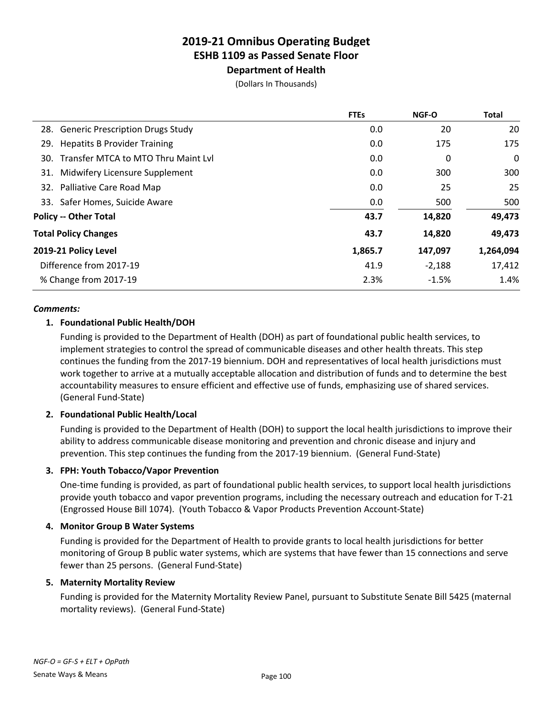**Department of Health**

(Dollars In Thousands)

|                                         | <b>FTEs</b> | <b>NGF-O</b> | <b>Total</b> |
|-----------------------------------------|-------------|--------------|--------------|
| 28. Generic Prescription Drugs Study    | 0.0         | 20           | 20           |
| 29. Hepatits B Provider Training        | 0.0         | 175          | 175          |
| 30. Transfer MTCA to MTO Thru Maint Lvl | 0.0         | 0            | 0            |
| 31. Midwifery Licensure Supplement      | 0.0         | 300          | 300          |
| 32. Palliative Care Road Map            | 0.0         | 25           | 25           |
| 33. Safer Homes, Suicide Aware          | 0.0         | 500          | 500          |
| <b>Policy -- Other Total</b>            | 43.7        | 14,820       | 49,473       |
| <b>Total Policy Changes</b>             | 43.7        | 14,820       | 49,473       |
| 2019-21 Policy Level                    | 1,865.7     | 147,097      | 1,264,094    |
| Difference from 2017-19                 | 41.9        | $-2,188$     | 17,412       |
| % Change from 2017-19                   | 2.3%        | $-1.5%$      | 1.4%         |
|                                         |             |              |              |

#### *Comments:*

### **1. Foundational Public Health/DOH**

Funding is provided to the Department of Health (DOH) as part of foundational public health services, to implement strategies to control the spread of communicable diseases and other health threats. This step continues the funding from the 2017-19 biennium. DOH and representatives of local health jurisdictions must work together to arrive at a mutually acceptable allocation and distribution of funds and to determine the best accountability measures to ensure efficient and effective use of funds, emphasizing use of shared services. (General Fund-State)

### **2. Foundational Public Health/Local**

Funding is provided to the Department of Health (DOH) to support the local health jurisdictions to improve their ability to address communicable disease monitoring and prevention and chronic disease and injury and prevention. This step continues the funding from the 2017-19 biennium. (General Fund-State)

### **3. FPH: Youth Tobacco/Vapor Prevention**

One-time funding is provided, as part of foundational public health services, to support local health jurisdictions provide youth tobacco and vapor prevention programs, including the necessary outreach and education for T-21 (Engrossed House Bill 1074). (Youth Tobacco & Vapor Products Prevention Account-State)

### **4. Monitor Group B Water Systems**

Funding is provided for the Department of Health to provide grants to local health jurisdictions for better monitoring of Group B public water systems, which are systems that have fewer than 15 connections and serve fewer than 25 persons. (General Fund-State)

### **5. Maternity Mortality Review**

Funding is provided for the Maternity Mortality Review Panel, pursuant to Substitute Senate Bill 5425 (maternal mortality reviews). (General Fund-State)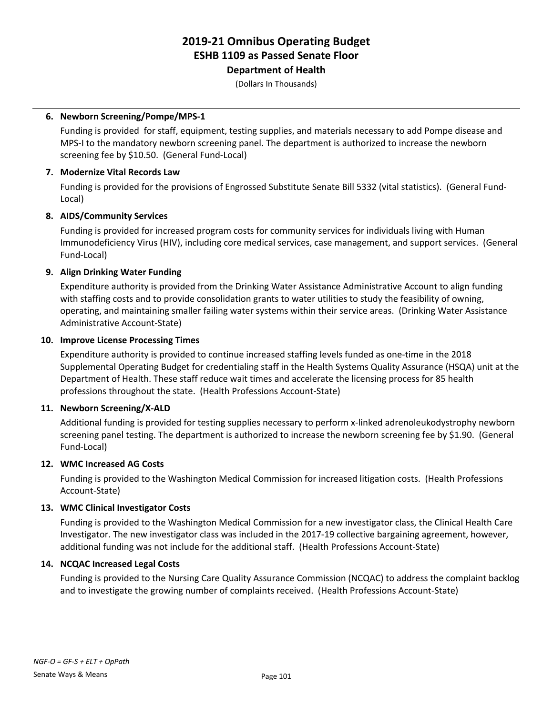**Department of Health**

(Dollars In Thousands)

### **6. Newborn Screening/Pompe/MPS-1**

Funding is provided for staff, equipment, testing supplies, and materials necessary to add Pompe disease and MPS-I to the mandatory newborn screening panel. The department is authorized to increase the newborn screening fee by \$10.50. (General Fund-Local)

### **7. Modernize Vital Records Law**

Funding is provided for the provisions of Engrossed Substitute Senate Bill 5332 (vital statistics). (General Fund-Local)

### **8. AIDS/Community Services**

Funding is provided for increased program costs for community services for individuals living with Human Immunodeficiency Virus (HIV), including core medical services, case management, and support services. (General Fund-Local)

### **9. Align Drinking Water Funding**

Expenditure authority is provided from the Drinking Water Assistance Administrative Account to align funding with staffing costs and to provide consolidation grants to water utilities to study the feasibility of owning, operating, and maintaining smaller failing water systems within their service areas. (Drinking Water Assistance Administrative Account-State)

### **10. Improve License Processing Times**

Expenditure authority is provided to continue increased staffing levels funded as one-time in the 2018 Supplemental Operating Budget for credentialing staff in the Health Systems Quality Assurance (HSQA) unit at the Department of Health. These staff reduce wait times and accelerate the licensing process for 85 health professions throughout the state. (Health Professions Account-State)

### **11. Newborn Screening/X-ALD**

Additional funding is provided for testing supplies necessary to perform x-linked adrenoleukodystrophy newborn screening panel testing. The department is authorized to increase the newborn screening fee by \$1.90. (General Fund-Local)

### **12. WMC Increased AG Costs**

Funding is provided to the Washington Medical Commission for increased litigation costs. (Health Professions Account-State)

### **13. WMC Clinical Investigator Costs**

Funding is provided to the Washington Medical Commission for a new investigator class, the Clinical Health Care Investigator. The new investigator class was included in the 2017-19 collective bargaining agreement, however, additional funding was not include for the additional staff. (Health Professions Account-State)

### **14. NCQAC Increased Legal Costs**

Funding is provided to the Nursing Care Quality Assurance Commission (NCQAC) to address the complaint backlog and to investigate the growing number of complaints received. (Health Professions Account-State)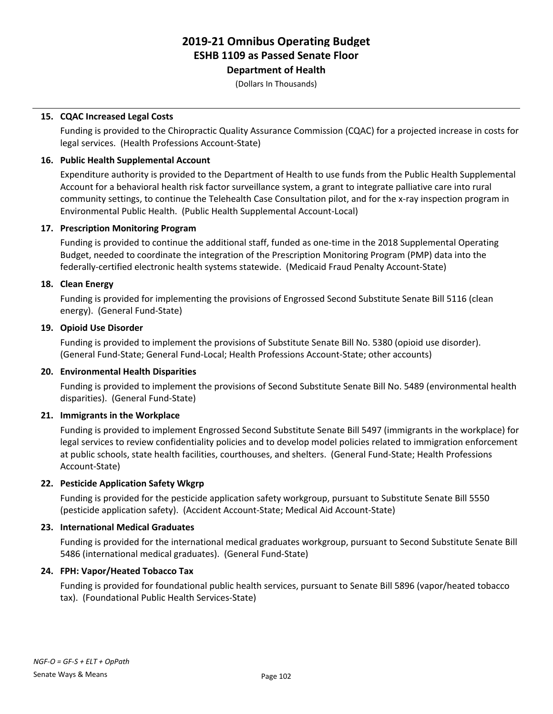### **Department of Health**

(Dollars In Thousands)

### **15. CQAC Increased Legal Costs**

Funding is provided to the Chiropractic Quality Assurance Commission (CQAC) for a projected increase in costs for legal services. (Health Professions Account-State)

### **16. Public Health Supplemental Account**

Expenditure authority is provided to the Department of Health to use funds from the Public Health Supplemental Account for a behavioral health risk factor surveillance system, a grant to integrate palliative care into rural community settings, to continue the Telehealth Case Consultation pilot, and for the x-ray inspection program in Environmental Public Health. (Public Health Supplemental Account-Local)

### **17. Prescription Monitoring Program**

Funding is provided to continue the additional staff, funded as one-time in the 2018 Supplemental Operating Budget, needed to coordinate the integration of the Prescription Monitoring Program (PMP) data into the federally-certified electronic health systems statewide. (Medicaid Fraud Penalty Account-State)

### **18. Clean Energy**

Funding is provided for implementing the provisions of Engrossed Second Substitute Senate Bill 5116 (clean energy). (General Fund-State)

### **19. Opioid Use Disorder**

Funding is provided to implement the provisions of Substitute Senate Bill No. 5380 (opioid use disorder). (General Fund-State; General Fund-Local; Health Professions Account-State; other accounts)

### **20. Environmental Health Disparities**

Funding is provided to implement the provisions of Second Substitute Senate Bill No. 5489 (environmental health disparities). (General Fund-State)

### **21. Immigrants in the Workplace**

Funding is provided to implement Engrossed Second Substitute Senate Bill 5497 (immigrants in the workplace) for legal services to review confidentiality policies and to develop model policies related to immigration enforcement at public schools, state health facilities, courthouses, and shelters. (General Fund-State; Health Professions Account-State)

### **22. Pesticide Application Safety Wkgrp**

Funding is provided for the pesticide application safety workgroup, pursuant to Substitute Senate Bill 5550 (pesticide application safety). (Accident Account-State; Medical Aid Account-State)

### **23. International Medical Graduates**

Funding is provided for the international medical graduates workgroup, pursuant to Second Substitute Senate Bill 5486 (international medical graduates). (General Fund-State)

### **24. FPH: Vapor/Heated Tobacco Tax**

Funding is provided for foundational public health services, pursuant to Senate Bill 5896 (vapor/heated tobacco tax). (Foundational Public Health Services-State)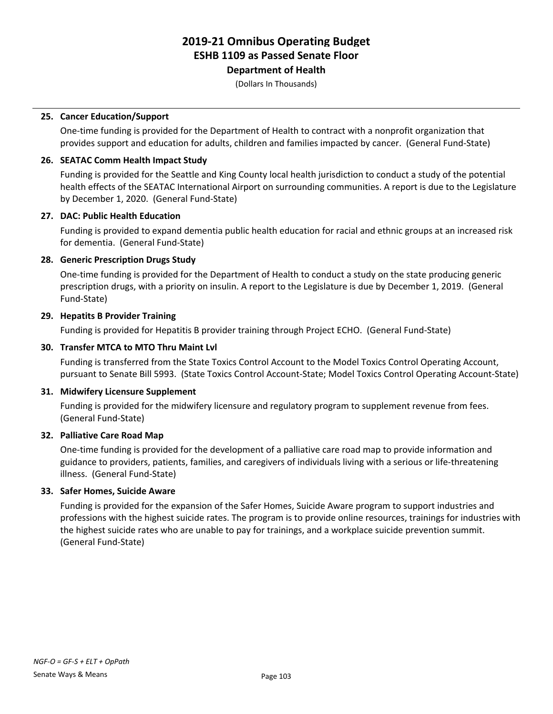**Department of Health**

(Dollars In Thousands)

### **25. Cancer Education/Support**

One-time funding is provided for the Department of Health to contract with a nonprofit organization that provides support and education for adults, children and families impacted by cancer. (General Fund-State)

### **26. SEATAC Comm Health Impact Study**

Funding is provided for the Seattle and King County local health jurisdiction to conduct a study of the potential health effects of the SEATAC International Airport on surrounding communities. A report is due to the Legislature by December 1, 2020. (General Fund-State)

### **27. DAC: Public Health Education**

Funding is provided to expand dementia public health education for racial and ethnic groups at an increased risk for dementia. (General Fund-State)

### **28. Generic Prescription Drugs Study**

One-time funding is provided for the Department of Health to conduct a study on the state producing generic prescription drugs, with a priority on insulin. A report to the Legislature is due by December 1, 2019. (General Fund-State)

### **29. Hepatits B Provider Training**

Funding is provided for Hepatitis B provider training through Project ECHO. (General Fund-State)

### **30. Transfer MTCA to MTO Thru Maint Lvl**

Funding is transferred from the State Toxics Control Account to the Model Toxics Control Operating Account, pursuant to Senate Bill 5993. (State Toxics Control Account-State; Model Toxics Control Operating Account-State)

### **31. Midwifery Licensure Supplement**

Funding is provided for the midwifery licensure and regulatory program to supplement revenue from fees. (General Fund-State)

### **32. Palliative Care Road Map**

One-time funding is provided for the development of a palliative care road map to provide information and guidance to providers, patients, families, and caregivers of individuals living with a serious or life-threatening illness. (General Fund-State)

### **33. Safer Homes, Suicide Aware**

Funding is provided for the expansion of the Safer Homes, Suicide Aware program to support industries and professions with the highest suicide rates. The program is to provide online resources, trainings for industries with the highest suicide rates who are unable to pay for trainings, and a workplace suicide prevention summit. (General Fund-State)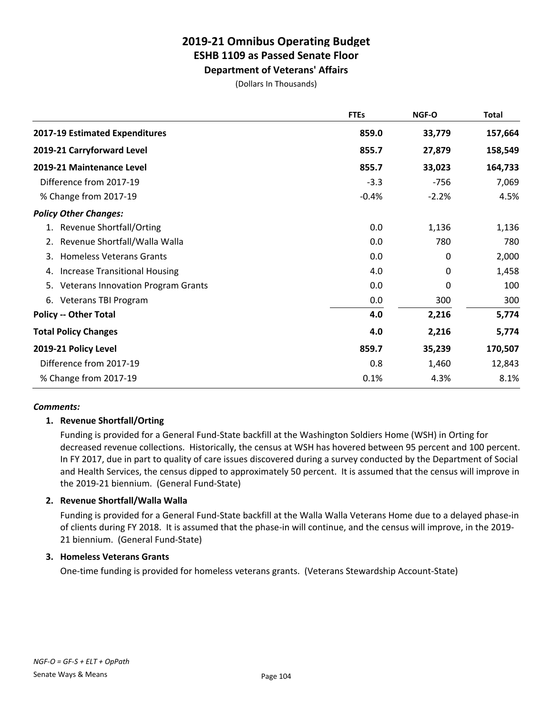**Department of Veterans' Affairs**

(Dollars In Thousands)

|                                                 | <b>FTEs</b> | NGF-O   | <b>Total</b> |
|-------------------------------------------------|-------------|---------|--------------|
| 2017-19 Estimated Expenditures                  | 859.0       | 33,779  | 157,664      |
| 2019-21 Carryforward Level                      | 855.7       | 27,879  | 158,549      |
| 2019-21 Maintenance Level                       | 855.7       | 33,023  | 164,733      |
| Difference from 2017-19                         | $-3.3$      | $-756$  | 7,069        |
| % Change from 2017-19                           | $-0.4%$     | $-2.2%$ | 4.5%         |
| <b>Policy Other Changes:</b>                    |             |         |              |
| <b>Revenue Shortfall/Orting</b><br>1.           | 0.0         | 1,136   | 1,136        |
| Revenue Shortfall/Walla Walla                   | 0.0         | 780     | 780          |
| <b>Homeless Veterans Grants</b><br>3.           | 0.0         | 0       | 2,000        |
| <b>Increase Transitional Housing</b><br>4.      | 4.0         | 0       | 1,458        |
| 5.<br><b>Veterans Innovation Program Grants</b> | 0.0         | 0       | 100          |
| Veterans TBI Program<br>6.                      | 0.0         | 300     | 300          |
| <b>Policy -- Other Total</b>                    | 4.0         | 2,216   | 5,774        |
| <b>Total Policy Changes</b>                     | 4.0         | 2,216   | 5,774        |
| 2019-21 Policy Level                            | 859.7       | 35,239  | 170,507      |
| Difference from 2017-19                         | 0.8         | 1,460   | 12,843       |
| % Change from 2017-19                           | 0.1%        | 4.3%    | 8.1%         |

### *Comments:*

### **1. Revenue Shortfall/Orting**

Funding is provided for a General Fund-State backfill at the Washington Soldiers Home (WSH) in Orting for decreased revenue collections. Historically, the census at WSH has hovered between 95 percent and 100 percent. In FY 2017, due in part to quality of care issues discovered during a survey conducted by the Department of Social and Health Services, the census dipped to approximately 50 percent. It is assumed that the census will improve in the 2019-21 biennium. (General Fund-State)

### **2. Revenue Shortfall/Walla Walla**

Funding is provided for a General Fund-State backfill at the Walla Walla Veterans Home due to a delayed phase-in of clients during FY 2018. It is assumed that the phase-in will continue, and the census will improve, in the 2019- 21 biennium. (General Fund-State)

### **3. Homeless Veterans Grants**

One-time funding is provided for homeless veterans grants. (Veterans Stewardship Account-State)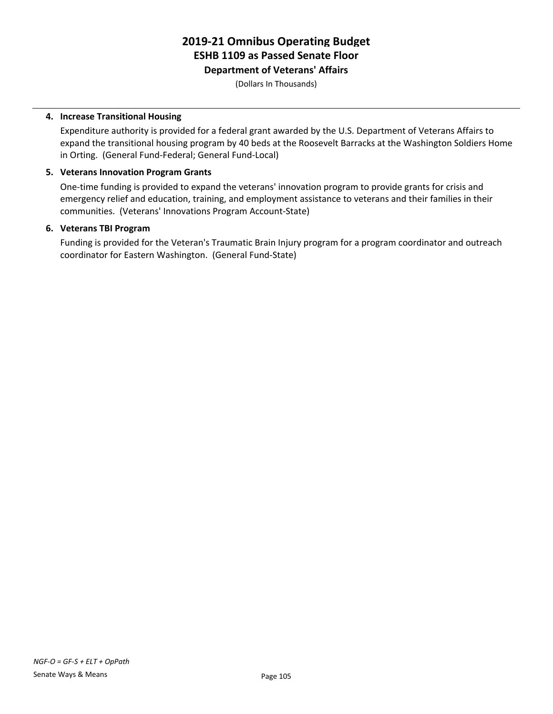### **Department of Veterans' Affairs**

(Dollars In Thousands)

### **4. Increase Transitional Housing**

Expenditure authority is provided for a federal grant awarded by the U.S. Department of Veterans Affairs to expand the transitional housing program by 40 beds at the Roosevelt Barracks at the Washington Soldiers Home in Orting. (General Fund-Federal; General Fund-Local)

### **5. Veterans Innovation Program Grants**

One-time funding is provided to expand the veterans' innovation program to provide grants for crisis and emergency relief and education, training, and employment assistance to veterans and their families in their communities. (Veterans' Innovations Program Account-State)

### **6. Veterans TBI Program**

Funding is provided for the Veteran's Traumatic Brain Injury program for a program coordinator and outreach coordinator for Eastern Washington. (General Fund-State)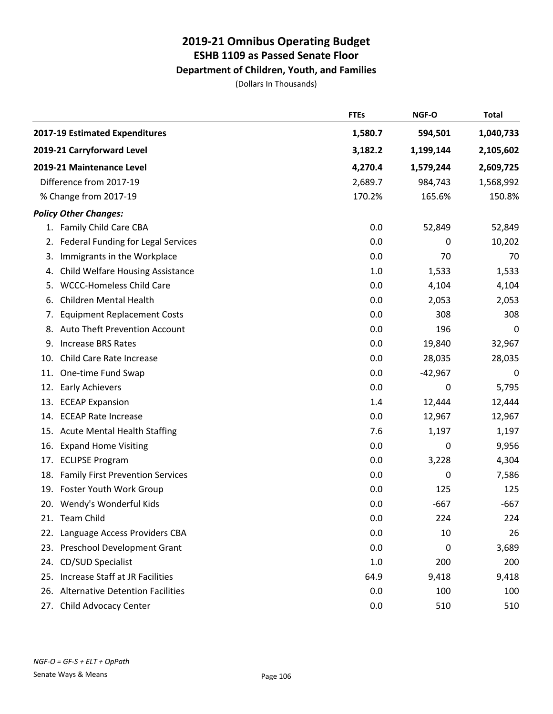### **Department of Children, Youth, and Families**

|     |                                         | <b>FTEs</b> | NGF-O     | <b>Total</b> |
|-----|-----------------------------------------|-------------|-----------|--------------|
|     | 2017-19 Estimated Expenditures          | 1,580.7     | 594,501   | 1,040,733    |
|     | 2019-21 Carryforward Level              | 3,182.2     | 1,199,144 | 2,105,602    |
|     | 2019-21 Maintenance Level               | 4,270.4     | 1,579,244 | 2,609,725    |
|     | Difference from 2017-19                 | 2,689.7     | 984,743   | 1,568,992    |
|     | % Change from 2017-19                   | 170.2%      | 165.6%    | 150.8%       |
|     | <b>Policy Other Changes:</b>            |             |           |              |
|     | 1. Family Child Care CBA                | 0.0         | 52,849    | 52,849       |
|     | 2. Federal Funding for Legal Services   | 0.0         | 0         | 10,202       |
| 3.  | Immigrants in the Workplace             | 0.0         | 70        | 70           |
| 4.  | <b>Child Welfare Housing Assistance</b> | 1.0         | 1,533     | 1,533        |
| 5.  | <b>WCCC-Homeless Child Care</b>         | 0.0         | 4,104     | 4,104        |
| 6.  | <b>Children Mental Health</b>           | 0.0         | 2,053     | 2,053        |
| 7.  | <b>Equipment Replacement Costs</b>      | 0.0         | 308       | 308          |
| 8.  | Auto Theft Prevention Account           | 0.0         | 196       | 0            |
|     | 9. Increase BRS Rates                   | 0.0         | 19,840    | 32,967       |
| 10. | Child Care Rate Increase                | 0.0         | 28,035    | 28,035       |
|     | 11. One-time Fund Swap                  | 0.0         | $-42,967$ | 0            |
| 12. | <b>Early Achievers</b>                  | 0.0         | 0         | 5,795        |
|     | 13. ECEAP Expansion                     | 1.4         | 12,444    | 12,444       |
| 14. | <b>ECEAP Rate Increase</b>              | 0.0         | 12,967    | 12,967       |
|     | 15. Acute Mental Health Staffing        | 7.6         | 1,197     | 1,197        |
| 16. | <b>Expand Home Visiting</b>             | 0.0         | 0         | 9,956        |
| 17. | <b>ECLIPSE Program</b>                  | 0.0         | 3,228     | 4,304        |
|     | 18. Family First Prevention Services    | 0.0         | 0         | 7,586        |
|     | 19. Foster Youth Work Group             | 0.0         | 125       | 125          |
|     | 20. Wendy's Wonderful Kids              | 0.0         | $-667$    | $-667$       |
|     | 21. Team Child                          | 0.0         | 224       | 224          |
|     | 22. Language Access Providers CBA       | 0.0         | 10        | 26           |
|     | 23. Preschool Development Grant         | 0.0         | 0         | 3,689        |
|     | 24. CD/SUD Specialist                   | 1.0         | 200       | 200          |
|     | 25. Increase Staff at JR Facilities     | 64.9        | 9,418     | 9,418        |
|     | 26. Alternative Detention Facilities    | 0.0         | 100       | 100          |
|     | 27. Child Advocacy Center               | 0.0         | 510       | 510          |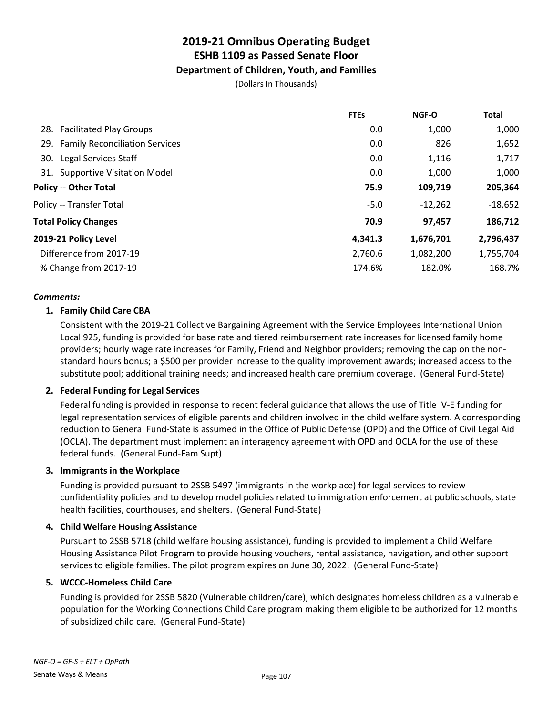### **Department of Children, Youth, and Families**

(Dollars In Thousands)

|                                    | <b>FTEs</b> | NGF-O     | <b>Total</b> |
|------------------------------------|-------------|-----------|--------------|
| 28. Facilitated Play Groups        | 0.0         | 1,000     | 1,000        |
| 29. Family Reconciliation Services | 0.0         | 826       | 1,652        |
| 30. Legal Services Staff           | 0.0         | 1,116     | 1,717        |
| 31. Supportive Visitation Model    | 0.0         | 1,000     | 1,000        |
| <b>Policy -- Other Total</b>       | 75.9        | 109,719   | 205,364      |
| Policy -- Transfer Total           | $-5.0$      | $-12,262$ | $-18,652$    |
| <b>Total Policy Changes</b>        | 70.9        | 97,457    | 186,712      |
| 2019-21 Policy Level               | 4,341.3     | 1,676,701 | 2,796,437    |
| Difference from 2017-19            | 2,760.6     | 1,082,200 | 1,755,704    |
| % Change from 2017-19              | 174.6%      | 182.0%    | 168.7%       |
|                                    |             |           |              |

### *Comments:*

### **1. Family Child Care CBA**

Consistent with the 2019-21 Collective Bargaining Agreement with the Service Employees International Union Local 925, funding is provided for base rate and tiered reimbursement rate increases for licensed family home providers; hourly wage rate increases for Family, Friend and Neighbor providers; removing the cap on the nonstandard hours bonus; a \$500 per provider increase to the quality improvement awards; increased access to the substitute pool; additional training needs; and increased health care premium coverage. (General Fund-State)

### **2. Federal Funding for Legal Services**

Federal funding is provided in response to recent federal guidance that allows the use of Title IV-E funding for legal representation services of eligible parents and children involved in the child welfare system. A corresponding reduction to General Fund-State is assumed in the Office of Public Defense (OPD) and the Office of Civil Legal Aid (OCLA). The department must implement an interagency agreement with OPD and OCLA for the use of these federal funds. (General Fund-Fam Supt)

### **3. Immigrants in the Workplace**

Funding is provided pursuant to 2SSB 5497 (immigrants in the workplace) for legal services to review confidentiality policies and to develop model policies related to immigration enforcement at public schools, state health facilities, courthouses, and shelters. (General Fund-State)

### **4. Child Welfare Housing Assistance**

Pursuant to 2SSB 5718 (child welfare housing assistance), funding is provided to implement a Child Welfare Housing Assistance Pilot Program to provide housing vouchers, rental assistance, navigation, and other support services to eligible families. The pilot program expires on June 30, 2022. (General Fund-State)

### **5. WCCC-Homeless Child Care**

Funding is provided for 2SSB 5820 (Vulnerable children/care), which designates homeless children as a vulnerable population for the Working Connections Child Care program making them eligible to be authorized for 12 months of subsidized child care. (General Fund-State)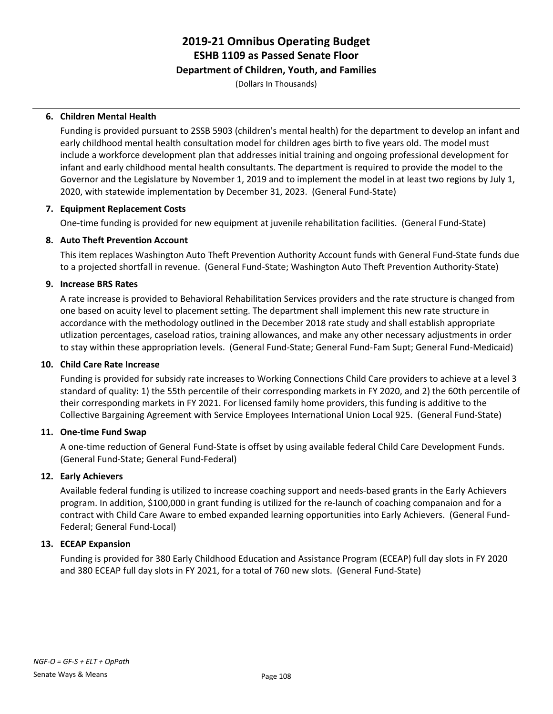### **Department of Children, Youth, and Families**

(Dollars In Thousands)

#### **6. Children Mental Health**

Funding is provided pursuant to 2SSB 5903 (children's mental health) for the department to develop an infant and early childhood mental health consultation model for children ages birth to five years old. The model must include a workforce development plan that addresses initial training and ongoing professional development for infant and early childhood mental health consultants. The department is required to provide the model to the Governor and the Legislature by November 1, 2019 and to implement the model in at least two regions by July 1, 2020, with statewide implementation by December 31, 2023. (General Fund-State)

### **7. Equipment Replacement Costs**

One-time funding is provided for new equipment at juvenile rehabilitation facilities. (General Fund-State)

#### **8. Auto Theft Prevention Account**

This item replaces Washington Auto Theft Prevention Authority Account funds with General Fund-State funds due to a projected shortfall in revenue. (General Fund-State; Washington Auto Theft Prevention Authority-State)

#### **9. Increase BRS Rates**

A rate increase is provided to Behavioral Rehabilitation Services providers and the rate structure is changed from one based on acuity level to placement setting. The department shall implement this new rate structure in accordance with the methodology outlined in the December 2018 rate study and shall establish appropriate utlization percentages, caseload ratios, training allowances, and make any other necessary adjustments in order to stay within these appropriation levels. (General Fund-State; General Fund-Fam Supt; General Fund-Medicaid)

#### **10. Child Care Rate Increase**

Funding is provided for subsidy rate increases to Working Connections Child Care providers to achieve at a level 3 standard of quality: 1) the 55th percentile of their corresponding markets in FY 2020, and 2) the 60th percentile of their corresponding markets in FY 2021. For licensed family home providers, this funding is additive to the Collective Bargaining Agreement with Service Employees International Union Local 925. (General Fund-State)

#### **11. One-time Fund Swap**

A one-time reduction of General Fund-State is offset by using available federal Child Care Development Funds. (General Fund-State; General Fund-Federal)

### **12. Early Achievers**

Available federal funding is utilized to increase coaching support and needs-based grants in the Early Achievers program. In addition, \$100,000 in grant funding is utilized for the re-launch of coaching companaion and for a contract with Child Care Aware to embed expanded learning opportunities into Early Achievers. (General Fund-Federal; General Fund-Local)

### **13. ECEAP Expansion**

Funding is provided for 380 Early Childhood Education and Assistance Program (ECEAP) full day slots in FY 2020 and 380 ECEAP full day slots in FY 2021, for a total of 760 new slots. (General Fund-State)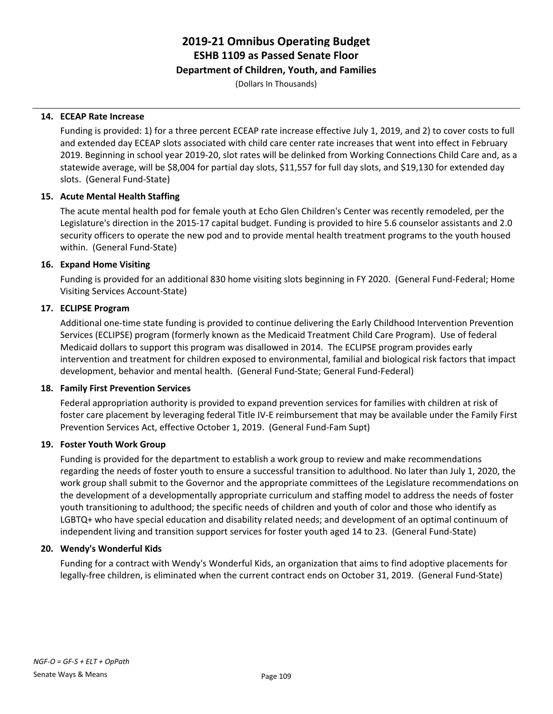### **Department of Children, Youth, and Families**

(Dollars In Thousands)

#### **14. ECEAP Rate Increase**

Funding is provided: 1) for a three percent ECEAP rate increase effective July 1, 2019, and 2) to cover costs to full and extended day ECEAP slots associated with child care center rate increases that went into effect in February 2019. Beginning in school year 2019-20, slot rates will be delinked from Working Connections Child Care and, as a statewide average, will be \$8,004 for partial day slots, \$11,557 for full day slots, and \$19,130 for extended day slots. (General Fund-State)

### **15. Acute Mental Health Staffing**

The acute mental health pod for female youth at Echo Glen Children's Center was recently remodeled, per the Legislature's direction in the 2015-17 capital budget. Funding is provided to hire 5.6 counselor assistants and 2.0 security officers to operate the new pod and to provide mental health treatment programs to the youth housed within. (General Fund-State)

#### **16. Expand Home Visiting**

Funding is provided for an additional 830 home visiting slots beginning in FY 2020. (General Fund-Federal; Home Visiting Services Account-State)

### **17. ECLIPSE Program**

Additional one-time state funding is provided to continue delivering the Early Childhood Intervention Prevention Services (ECLIPSE) program (formerly known as the Medicaid Treatment Child Care Program). Use of federal Medicaid dollars to support this program was disallowed in 2014. The ECLIPSE program provides early intervention and treatment for children exposed to environmental, familial and biological risk factors that impact development, behavior and mental health. (General Fund-State; General Fund-Federal)

#### **18. Family First Prevention Services**

Federal appropriation authority is provided to expand prevention services for families with children at risk of foster care placement by leveraging federal Title IV-E reimbursement that may be available under the Family First Prevention Services Act, effective October 1, 2019. (General Fund-Fam Supt)

### **19. Foster Youth Work Group**

Funding is provided for the department to establish a work group to review and make recommendations regarding the needs of foster youth to ensure a successful transition to adulthood. No later than July 1, 2020, the work group shall submit to the Governor and the appropriate committees of the Legislature recommendations on the development of a developmentally appropriate curriculum and staffing model to address the needs of foster youth transitioning to adulthood; the specific needs of children and youth of color and those who identify as LGBTQ+ who have special education and disability related needs; and development of an optimal continuum of independent living and transition support services for foster youth aged 14 to 23. (General Fund-State)

#### **20. Wendy's Wonderful Kids**

Funding for a contract with Wendy's Wonderful Kids, an organization that aims to find adoptive placements for legally-free children, is eliminated when the current contract ends on October 31, 2019. (General Fund-State)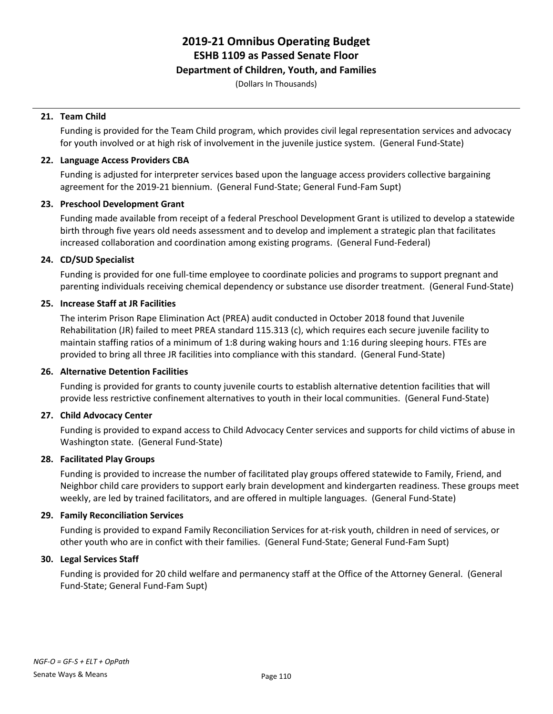## **Department of Children, Youth, and Families**

(Dollars In Thousands)

## **21. Team Child**

Funding is provided for the Team Child program, which provides civil legal representation services and advocacy for youth involved or at high risk of involvement in the juvenile justice system. (General Fund-State)

# **22. Language Access Providers CBA**

Funding is adjusted for interpreter services based upon the language access providers collective bargaining agreement for the 2019-21 biennium. (General Fund-State; General Fund-Fam Supt)

# **23. Preschool Development Grant**

Funding made available from receipt of a federal Preschool Development Grant is utilized to develop a statewide birth through five years old needs assessment and to develop and implement a strategic plan that facilitates increased collaboration and coordination among existing programs. (General Fund-Federal)

# **24. CD/SUD Specialist**

Funding is provided for one full-time employee to coordinate policies and programs to support pregnant and parenting individuals receiving chemical dependency or substance use disorder treatment. (General Fund-State)

# **25. Increase Staff at JR Facilities**

The interim Prison Rape Elimination Act (PREA) audit conducted in October 2018 found that Juvenile Rehabilitation (JR) failed to meet PREA standard 115.313 (c), which requires each secure juvenile facility to maintain staffing ratios of a minimum of 1:8 during waking hours and 1:16 during sleeping hours. FTEs are provided to bring all three JR facilities into compliance with this standard. (General Fund-State)

### **26. Alternative Detention Facilities**

Funding is provided for grants to county juvenile courts to establish alternative detention facilities that will provide less restrictive confinement alternatives to youth in their local communities. (General Fund-State)

# **27. Child Advocacy Center**

Funding is provided to expand access to Child Advocacy Center services and supports for child victims of abuse in Washington state. (General Fund-State)

# **28. Facilitated Play Groups**

Funding is provided to increase the number of facilitated play groups offered statewide to Family, Friend, and Neighbor child care providers to support early brain development and kindergarten readiness. These groups meet weekly, are led by trained facilitators, and are offered in multiple languages. (General Fund-State)

### **29. Family Reconciliation Services**

Funding is provided to expand Family Reconciliation Services for at-risk youth, children in need of services, or other youth who are in confict with their families. (General Fund-State; General Fund-Fam Supt)

### **30. Legal Services Staff**

Funding is provided for 20 child welfare and permanency staff at the Office of the Attorney General. (General Fund-State; General Fund-Fam Supt)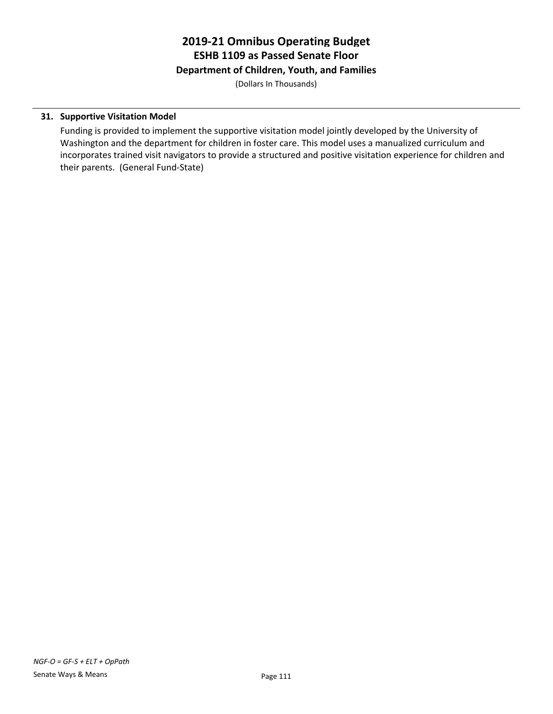# **2019-21 Omnibus Operating Budget ESHB 1109 as Passed Senate Floor Department of Children, Youth, and Families**

(Dollars In Thousands)

# **31. Supportive Visitation Model**

Funding is provided to implement the supportive visitation model jointly developed by the University of Washington and the department for children in foster care. This model uses a manualized curriculum and incorporates trained visit navigators to provide a structured and positive visitation experience for children and their parents. (General Fund-State)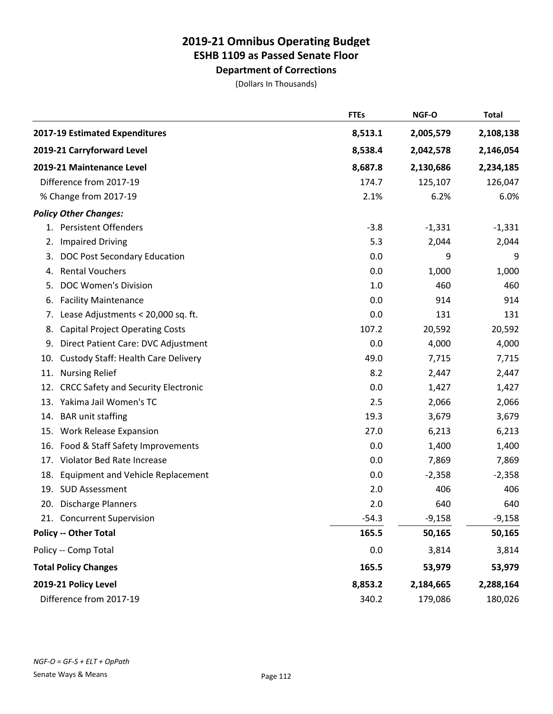**Department of Corrections**

|                                                   | <b>FTEs</b> | NGF-O     | <b>Total</b> |
|---------------------------------------------------|-------------|-----------|--------------|
| 2017-19 Estimated Expenditures                    | 8,513.1     | 2,005,579 | 2,108,138    |
| 2019-21 Carryforward Level                        | 8,538.4     | 2,042,578 | 2,146,054    |
| 2019-21 Maintenance Level                         | 8,687.8     | 2,130,686 | 2,234,185    |
| Difference from 2017-19                           | 174.7       | 125,107   | 126,047      |
| % Change from 2017-19                             | 2.1%        | 6.2%      | 6.0%         |
| <b>Policy Other Changes:</b>                      |             |           |              |
| 1. Persistent Offenders                           | $-3.8$      | $-1,331$  | $-1,331$     |
| <b>Impaired Driving</b><br>2.                     | 5.3         | 2,044     | 2,044        |
| DOC Post Secondary Education<br>3.                | 0.0         | 9         | 9            |
| <b>Rental Vouchers</b><br>4.                      | 0.0         | 1,000     | 1,000        |
| <b>DOC Women's Division</b><br>5.                 | 1.0         | 460       | 460          |
| <b>Facility Maintenance</b><br>6.                 | 0.0         | 914       | 914          |
| Lease Adjustments < 20,000 sq. ft.<br>7.          | 0.0         | 131       | 131          |
| <b>Capital Project Operating Costs</b><br>8.      | 107.2       | 20,592    | 20,592       |
| 9.<br>Direct Patient Care: DVC Adjustment         | 0.0         | 4,000     | 4,000        |
| <b>Custody Staff: Health Care Delivery</b><br>10. | 49.0        | 7,715     | 7,715        |
| <b>Nursing Relief</b><br>11.                      | 8.2         | 2,447     | 2,447        |
| <b>CRCC Safety and Security Electronic</b><br>12. | 0.0         | 1,427     | 1,427        |
| Yakima Jail Women's TC<br>13.                     | 2.5         | 2,066     | 2,066        |
| <b>BAR</b> unit staffing<br>14.                   | 19.3        | 3,679     | 3,679        |
| <b>Work Release Expansion</b><br>15.              | 27.0        | 6,213     | 6,213        |
| Food & Staff Safety Improvements<br>16.           | 0.0         | 1,400     | 1,400        |
| Violator Bed Rate Increase<br>17.                 | 0.0         | 7,869     | 7,869        |
| <b>Equipment and Vehicle Replacement</b><br>18.   | 0.0         | $-2,358$  | $-2,358$     |
| 19.<br><b>SUD Assessment</b>                      | 2.0         | 406       | 406          |
| 20. Discharge Planners                            | 2.0         | 640       | 640          |
| 21. Concurrent Supervision                        | $-54.3$     | $-9,158$  | $-9,158$     |
| <b>Policy -- Other Total</b>                      | 165.5       | 50,165    | 50,165       |
| Policy -- Comp Total                              | 0.0         | 3,814     | 3,814        |
| <b>Total Policy Changes</b>                       | 165.5       | 53,979    | 53,979       |
| 2019-21 Policy Level                              | 8,853.2     | 2,184,665 | 2,288,164    |
| Difference from 2017-19                           | 340.2       | 179,086   | 180,026      |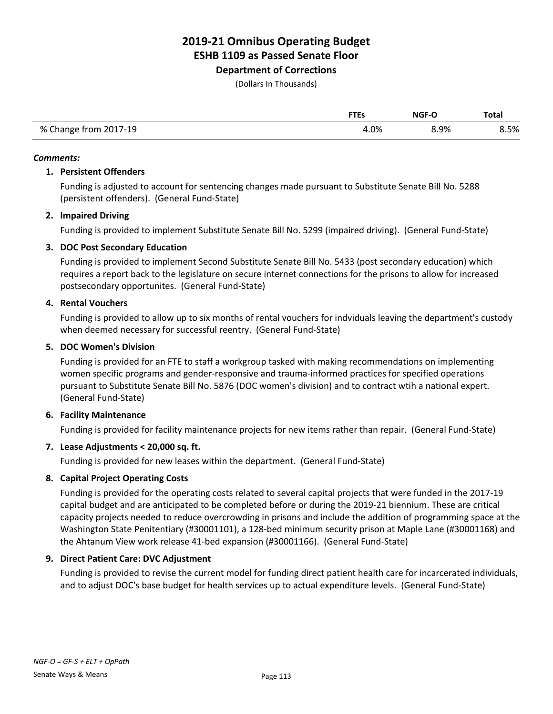**Department of Corrections**

(Dollars In Thousands)

|                       | <b>FTEs</b> | <b>NGF-O</b> | Total |
|-----------------------|-------------|--------------|-------|
| % Change from 2017-19 | 4.0%        | 8.9%         | 8.5%  |

#### *Comments:*

#### **1. Persistent Offenders**

Funding is adjusted to account for sentencing changes made pursuant to Substitute Senate Bill No. 5288 (persistent offenders). (General Fund-State)

### **2. Impaired Driving**

Funding is provided to implement Substitute Senate Bill No. 5299 (impaired driving). (General Fund-State)

### **3. DOC Post Secondary Education**

Funding is provided to implement Second Substitute Senate Bill No. 5433 (post secondary education) which requires a report back to the legislature on secure internet connections for the prisons to allow for increased postsecondary opportunites. (General Fund-State)

#### **4. Rental Vouchers**

Funding is provided to allow up to six months of rental vouchers for indviduals leaving the department's custody when deemed necessary for successful reentry. (General Fund-State)

#### **5. DOC Women's Division**

Funding is provided for an FTE to staff a workgroup tasked with making recommendations on implementing women specific programs and gender-responsive and trauma-informed practices for specified operations pursuant to Substitute Senate Bill No. 5876 (DOC women's division) and to contract wtih a national expert. (General Fund-State)

#### **6. Facility Maintenance**

Funding is provided for facility maintenance projects for new items rather than repair. (General Fund-State)

### **7. Lease Adjustments < 20,000 sq. ft.**

Funding is provided for new leases within the department. (General Fund-State)

### **8. Capital Project Operating Costs**

Funding is provided for the operating costs related to several capital projects that were funded in the 2017-19 capital budget and are anticipated to be completed before or during the 2019-21 biennium. These are critical capacity projects needed to reduce overcrowding in prisons and include the addition of programming space at the Washington State Penitentiary (#30001101), a 128-bed minimum security prison at Maple Lane (#30001168) and the Ahtanum View work release 41-bed expansion (#30001166). (General Fund-State)

#### **9. Direct Patient Care: DVC Adjustment**

Funding is provided to revise the current model for funding direct patient health care for incarcerated individuals, and to adjust DOC's base budget for health services up to actual expenditure levels. (General Fund-State)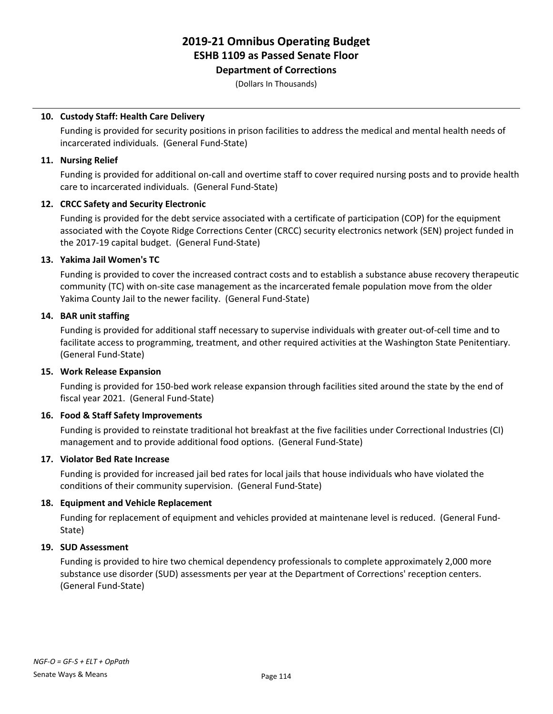# **Department of Corrections**

(Dollars In Thousands)

# **10. Custody Staff: Health Care Delivery**

Funding is provided for security positions in prison facilities to address the medical and mental health needs of incarcerated individuals. (General Fund-State)

### **11. Nursing Relief**

Funding is provided for additional on-call and overtime staff to cover required nursing posts and to provide health care to incarcerated individuals. (General Fund-State)

# **12. CRCC Safety and Security Electronic**

Funding is provided for the debt service associated with a certificate of participation (COP) for the equipment associated with the Coyote Ridge Corrections Center (CRCC) security electronics network (SEN) project funded in the 2017-19 capital budget. (General Fund-State)

# **13. Yakima Jail Women's TC**

Funding is provided to cover the increased contract costs and to establish a substance abuse recovery therapeutic community (TC) with on-site case management as the incarcerated female population move from the older Yakima County Jail to the newer facility. (General Fund-State)

# **14. BAR unit staffing**

Funding is provided for additional staff necessary to supervise individuals with greater out-of-cell time and to facilitate access to programming, treatment, and other required activities at the Washington State Penitentiary. (General Fund-State)

### **15. Work Release Expansion**

Funding is provided for 150-bed work release expansion through facilities sited around the state by the end of fiscal year 2021. (General Fund-State)

### **16. Food & Staff Safety Improvements**

Funding is provided to reinstate traditional hot breakfast at the five facilities under Correctional Industries (CI) management and to provide additional food options. (General Fund-State)

### **17. Violator Bed Rate Increase**

Funding is provided for increased jail bed rates for local jails that house individuals who have violated the conditions of their community supervision. (General Fund-State)

### **18. Equipment and Vehicle Replacement**

Funding for replacement of equipment and vehicles provided at maintenane level is reduced. (General Fund-State)

### **19. SUD Assessment**

Funding is provided to hire two chemical dependency professionals to complete approximately 2,000 more substance use disorder (SUD) assessments per year at the Department of Corrections' reception centers. (General Fund-State)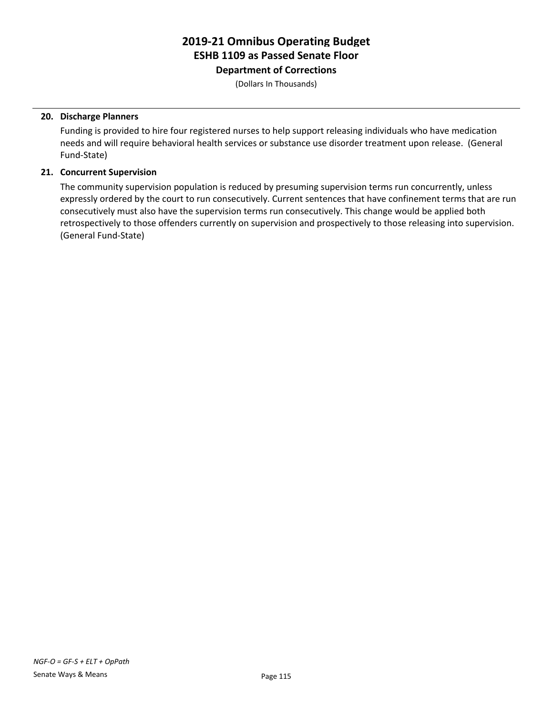**Department of Corrections**

(Dollars In Thousands)

#### **20. Discharge Planners**

Funding is provided to hire four registered nurses to help support releasing individuals who have medication needs and will require behavioral health services or substance use disorder treatment upon release. (General Fund-State)

#### **21. Concurrent Supervision**

The community supervision population is reduced by presuming supervision terms run concurrently, unless expressly ordered by the court to run consecutively. Current sentences that have confinement terms that are run consecutively must also have the supervision terms run consecutively. This change would be applied both retrospectively to those offenders currently on supervision and prospectively to those releasing into supervision. (General Fund-State)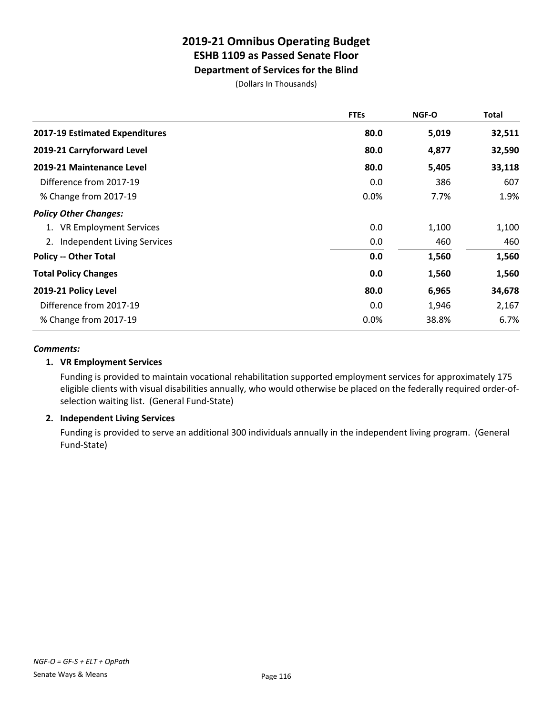# **Department of Services for the Blind**

(Dollars In Thousands)

|                                   | <b>FTEs</b> | <b>NGF-O</b> | <b>Total</b> |
|-----------------------------------|-------------|--------------|--------------|
| 2017-19 Estimated Expenditures    | 80.0        | 5,019        | 32,511       |
| 2019-21 Carryforward Level        | 80.0        | 4,877        | 32,590       |
| 2019-21 Maintenance Level         | 80.0        | 5,405        | 33,118       |
| Difference from 2017-19           | 0.0         | 386          | 607          |
| % Change from 2017-19             | 0.0%        | 7.7%         | 1.9%         |
| <b>Policy Other Changes:</b>      |             |              |              |
| 1. VR Employment Services         | 0.0         | 1,100        | 1,100        |
| Independent Living Services<br>2. | 0.0         | 460          | 460          |
| <b>Policy -- Other Total</b>      | 0.0         | 1,560        | 1,560        |
| <b>Total Policy Changes</b>       | 0.0         | 1,560        | 1,560        |
| 2019-21 Policy Level              | 80.0        | 6,965        | 34,678       |
| Difference from 2017-19           | 0.0         | 1,946        | 2,167        |
| % Change from 2017-19             | 0.0%        | 38.8%        | 6.7%         |

### *Comments:*

# **1. VR Employment Services**

Funding is provided to maintain vocational rehabilitation supported employment services for approximately 175 eligible clients with visual disabilities annually, who would otherwise be placed on the federally required order-ofselection waiting list. (General Fund-State)

### **2. Independent Living Services**

Funding is provided to serve an additional 300 individuals annually in the independent living program. (General Fund-State)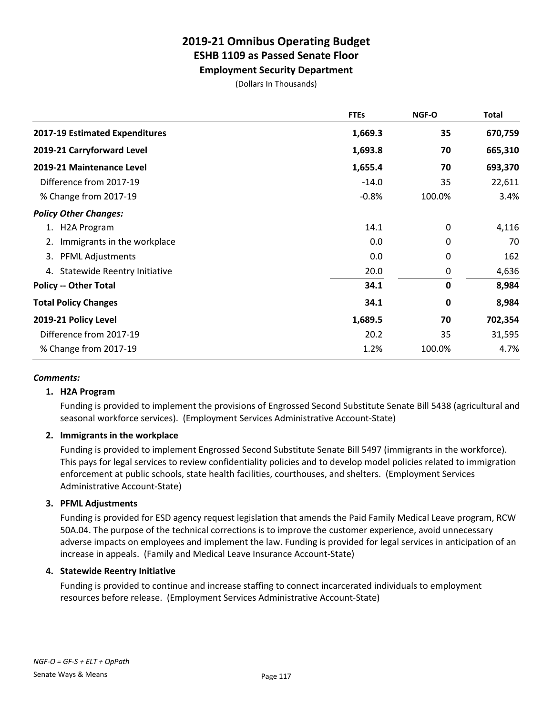**Employment Security Department**

(Dollars In Thousands)

|                                           | <b>FTEs</b> | NGF-O       | <b>Total</b> |
|-------------------------------------------|-------------|-------------|--------------|
| 2017-19 Estimated Expenditures            | 1,669.3     | 35          | 670,759      |
| 2019-21 Carryforward Level                | 1,693.8     | 70          | 665,310      |
| 2019-21 Maintenance Level                 | 1,655.4     | 70          | 693,370      |
| Difference from 2017-19                   | $-14.0$     | 35          | 22,611       |
| % Change from 2017-19                     | $-0.8%$     | 100.0%      | 3.4%         |
| <b>Policy Other Changes:</b>              |             |             |              |
| <b>H2A Program</b><br>1.                  | 14.1        | 0           | 4,116        |
| Immigrants in the workplace<br>2.         | 0.0         | 0           | 70           |
| 3.<br><b>PFML Adjustments</b>             | 0.0         | 0           | 162          |
| <b>Statewide Reentry Initiative</b><br>4. | 20.0        | 0           | 4,636        |
| <b>Policy -- Other Total</b>              | 34.1        | $\mathbf 0$ | 8,984        |
| <b>Total Policy Changes</b>               | 34.1        | 0           | 8,984        |
| 2019-21 Policy Level                      | 1,689.5     | 70          | 702,354      |
| Difference from 2017-19                   | 20.2        | 35          | 31,595       |
| % Change from 2017-19                     | 1.2%        | 100.0%      | 4.7%         |

### *Comments:*

### **1. H2A Program**

Funding is provided to implement the provisions of Engrossed Second Substitute Senate Bill 5438 (agricultural and seasonal workforce services). (Employment Services Administrative Account-State)

# **2. Immigrants in the workplace**

Funding is provided to implement Engrossed Second Substitute Senate Bill 5497 (immigrants in the workforce). This pays for legal services to review confidentiality policies and to develop model policies related to immigration enforcement at public schools, state health facilities, courthouses, and shelters. (Employment Services Administrative Account-State)

### **3. PFML Adjustments**

Funding is provided for ESD agency request legislation that amends the Paid Family Medical Leave program, RCW 50A.04. The purpose of the technical corrections is to improve the customer experience, avoid unnecessary adverse impacts on employees and implement the law. Funding is provided for legal services in anticipation of an increase in appeals. (Family and Medical Leave Insurance Account-State)

### **4. Statewide Reentry Initiative**

Funding is provided to continue and increase staffing to connect incarcerated individuals to employment resources before release. (Employment Services Administrative Account-State)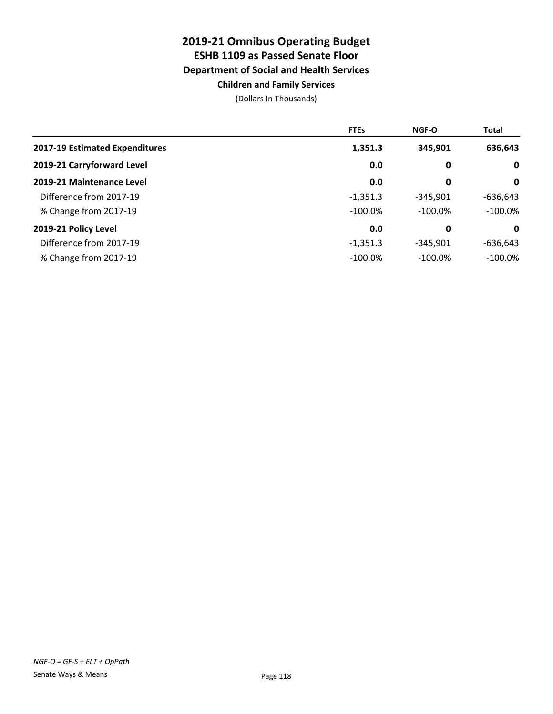# **2019-21 Omnibus Operating Budget ESHB 1109 as Passed Senate Floor Department of Social and Health Services Children and Family Services**

|                                | <b>FTEs</b> | <b>NGF-O</b> | <b>Total</b> |
|--------------------------------|-------------|--------------|--------------|
| 2017-19 Estimated Expenditures | 1,351.3     | 345,901      | 636,643      |
| 2019-21 Carryforward Level     | 0.0         | 0            | $\mathbf{0}$ |
| 2019-21 Maintenance Level      | 0.0         | 0            | 0            |
| Difference from 2017-19        | $-1,351.3$  | $-345,901$   | $-636,643$   |
| % Change from 2017-19          | $-100.0\%$  | $-100.0\%$   | $-100.0\%$   |
| 2019-21 Policy Level           | 0.0         | 0            | 0            |
| Difference from 2017-19        | $-1,351.3$  | $-345.901$   | $-636,643$   |
| % Change from 2017-19          | $-100.0\%$  | $-100.0%$    | $-100.0\%$   |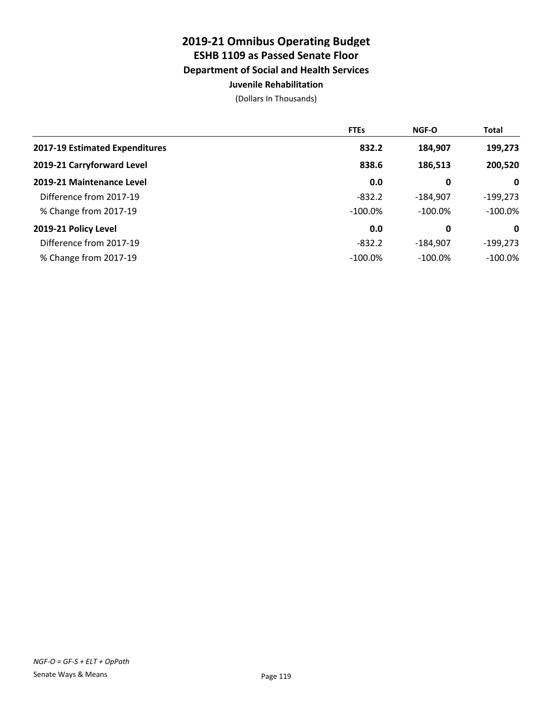# **2019-21 Omnibus Operating Budget ESHB 1109 as Passed Senate Floor Department of Social and Health Services Juvenile Rehabilitation**

|                                | <b>FTEs</b> | <b>NGF-O</b> | <b>Total</b> |
|--------------------------------|-------------|--------------|--------------|
| 2017-19 Estimated Expenditures | 832.2       | 184,907      | 199,273      |
| 2019-21 Carryforward Level     | 838.6       | 186,513      | 200,520      |
| 2019-21 Maintenance Level      | 0.0         | 0            | $\mathbf 0$  |
| Difference from 2017-19        | $-832.2$    | $-184.907$   | $-199,273$   |
| % Change from 2017-19          | $-100.0\%$  | $-100.0\%$   | $-100.0\%$   |
| 2019-21 Policy Level           | 0.0         | 0            | 0            |
| Difference from 2017-19        | $-832.2$    | $-184.907$   | $-199,273$   |
| % Change from 2017-19          | $-100.0\%$  | $-100.0\%$   | $-100.0\%$   |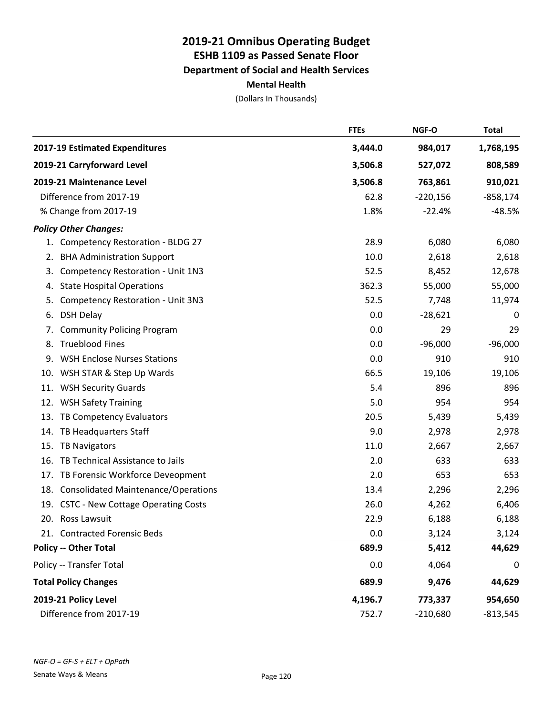|                                                   | <b>FTEs</b> | NGF-O      | <b>Total</b> |
|---------------------------------------------------|-------------|------------|--------------|
| 2017-19 Estimated Expenditures                    | 3,444.0     | 984,017    | 1,768,195    |
| 2019-21 Carryforward Level                        | 3,506.8     | 527,072    | 808,589      |
| 2019-21 Maintenance Level                         | 3,506.8     | 763,861    | 910,021      |
| Difference from 2017-19                           | 62.8        | $-220,156$ | $-858,174$   |
| % Change from 2017-19                             | 1.8%        | $-22.4%$   | $-48.5%$     |
| <b>Policy Other Changes:</b>                      |             |            |              |
| 1. Competency Restoration - BLDG 27               | 28.9        | 6,080      | 6,080        |
| <b>BHA Administration Support</b><br>2.           | 10.0        | 2,618      | 2,618        |
| Competency Restoration - Unit 1N3<br>3.           | 52.5        | 8,452      | 12,678       |
| <b>State Hospital Operations</b><br>4.            | 362.3       | 55,000     | 55,000       |
| 5.<br><b>Competency Restoration - Unit 3N3</b>    | 52.5        | 7,748      | 11,974       |
| <b>DSH Delay</b><br>6.                            | 0.0         | $-28,621$  | 0            |
| <b>Community Policing Program</b><br>7.           | 0.0         | 29         | 29           |
| <b>Trueblood Fines</b><br>8.                      | 0.0         | $-96,000$  | $-96,000$    |
| <b>WSH Enclose Nurses Stations</b><br>9.          | 0.0         | 910        | 910          |
| WSH STAR & Step Up Wards<br>10.                   | 66.5        | 19,106     | 19,106       |
| <b>WSH Security Guards</b><br>11.                 | 5.4         | 896        | 896          |
| <b>WSH Safety Training</b><br>12.                 | 5.0         | 954        | 954          |
| TB Competency Evaluators<br>13.                   | 20.5        | 5,439      | 5,439        |
| TB Headquarters Staff<br>14.                      | 9.0         | 2,978      | 2,978        |
| 15.<br><b>TB Navigators</b>                       | 11.0        | 2,667      | 2,667        |
| TB Technical Assistance to Jails<br>16.           | 2.0         | 633        | 633          |
| TB Forensic Workforce Deveopment<br>17.           | 2.0         | 653        | 653          |
| <b>Consolidated Maintenance/Operations</b><br>18. | 13.4        | 2,296      | 2,296        |
| <b>CSTC - New Cottage Operating Costs</b><br>19.  | 26.0        | 4,262      | 6,406        |
| 20. Ross Lawsuit                                  | 22.9        | 6,188      | 6,188        |
| 21. Contracted Forensic Beds                      | 0.0         | 3,124      | 3,124        |
| <b>Policy -- Other Total</b>                      | 689.9       | 5,412      | 44,629       |
| Policy -- Transfer Total                          | 0.0         | 4,064      | 0            |
| <b>Total Policy Changes</b>                       | 689.9       | 9,476      | 44,629       |
| 2019-21 Policy Level                              | 4,196.7     | 773,337    | 954,650      |
| Difference from 2017-19                           | 752.7       | $-210,680$ | $-813,545$   |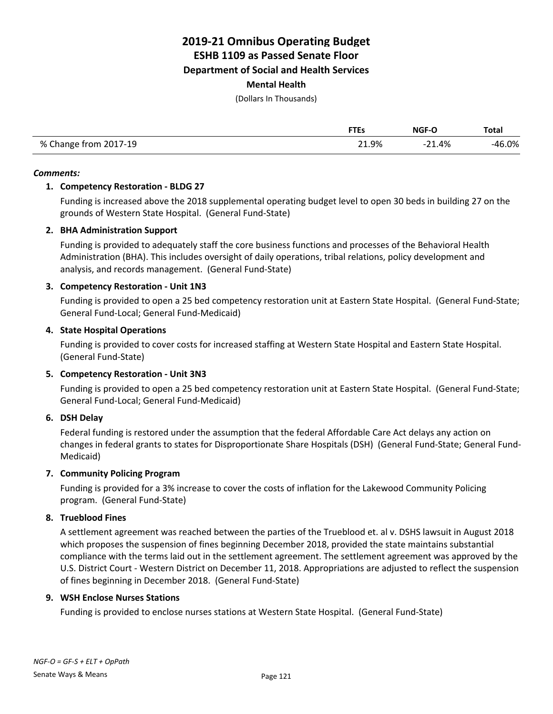**Department of Social and Health Services**

**Mental Health**

(Dollars In Thousands)

|                       | <b>FTEs</b> | NGF-O    | <b>Total</b> |
|-----------------------|-------------|----------|--------------|
| % Change from 2017-19 | 21.9%       | $-21.4%$ | $-46.0\%$    |

#### *Comments:*

# **1. Competency Restoration - BLDG 27**

Funding is increased above the 2018 supplemental operating budget level to open 30 beds in building 27 on the grounds of Western State Hospital. (General Fund-State)

# **2. BHA Administration Support**

Funding is provided to adequately staff the core business functions and processes of the Behavioral Health Administration (BHA). This includes oversight of daily operations, tribal relations, policy development and analysis, and records management. (General Fund-State)

### **3. Competency Restoration - Unit 1N3**

Funding is provided to open a 25 bed competency restoration unit at Eastern State Hospital. (General Fund-State; General Fund-Local; General Fund-Medicaid)

### **4. State Hospital Operations**

Funding is provided to cover costs for increased staffing at Western State Hospital and Eastern State Hospital. (General Fund-State)

### **5. Competency Restoration - Unit 3N3**

Funding is provided to open a 25 bed competency restoration unit at Eastern State Hospital. (General Fund-State; General Fund-Local; General Fund-Medicaid)

### **6. DSH Delay**

Federal funding is restored under the assumption that the federal Affordable Care Act delays any action on changes in federal grants to states for Disproportionate Share Hospitals (DSH) (General Fund-State; General Fund-Medicaid)

### **7. Community Policing Program**

Funding is provided for a 3% increase to cover the costs of inflation for the Lakewood Community Policing program. (General Fund-State)

### **8. Trueblood Fines**

A settlement agreement was reached between the parties of the Trueblood et. al v. DSHS lawsuit in August 2018 which proposes the suspension of fines beginning December 2018, provided the state maintains substantial compliance with the terms laid out in the settlement agreement. The settlement agreement was approved by the U.S. District Court - Western District on December 11, 2018. Appropriations are adjusted to reflect the suspension of fines beginning in December 2018. (General Fund-State)

### **9. WSH Enclose Nurses Stations**

Funding is provided to enclose nurses stations at Western State Hospital. (General Fund-State)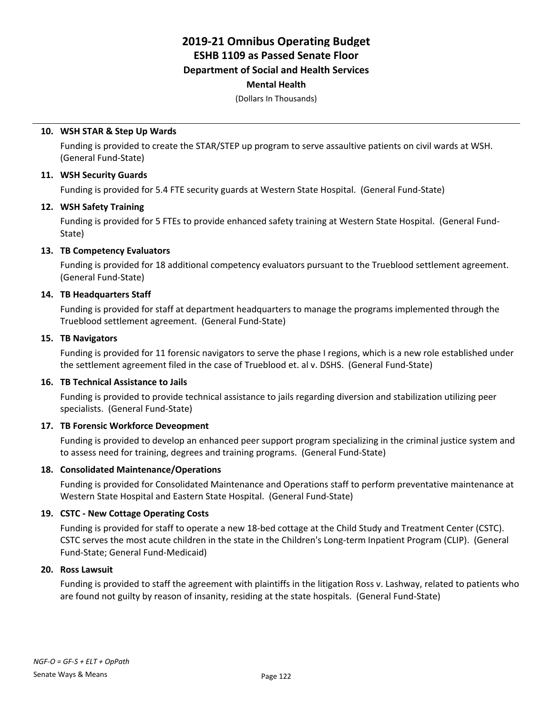# **2019-21 Omnibus Operating Budget ESHB 1109 as Passed Senate Floor Department of Social and Health Services**

# **Mental Health**

(Dollars In Thousands)

### **10. WSH STAR & Step Up Wards**

Funding is provided to create the STAR/STEP up program to serve assaultive patients on civil wards at WSH. (General Fund-State)

#### **11. WSH Security Guards**

Funding is provided for 5.4 FTE security guards at Western State Hospital. (General Fund-State)

#### **12. WSH Safety Training**

Funding is provided for 5 FTEs to provide enhanced safety training at Western State Hospital. (General Fund-State)

### **13. TB Competency Evaluators**

Funding is provided for 18 additional competency evaluators pursuant to the Trueblood settlement agreement. (General Fund-State)

#### **14. TB Headquarters Staff**

Funding is provided for staff at department headquarters to manage the programs implemented through the Trueblood settlement agreement. (General Fund-State)

#### **15. TB Navigators**

Funding is provided for 11 forensic navigators to serve the phase I regions, which is a new role established under the settlement agreement filed in the case of Trueblood et. al v. DSHS. (General Fund-State)

### **16. TB Technical Assistance to Jails**

Funding is provided to provide technical assistance to jails regarding diversion and stabilization utilizing peer specialists. (General Fund-State)

### **17. TB Forensic Workforce Deveopment**

Funding is provided to develop an enhanced peer support program specializing in the criminal justice system and to assess need for training, degrees and training programs. (General Fund-State)

#### **18. Consolidated Maintenance/Operations**

Funding is provided for Consolidated Maintenance and Operations staff to perform preventative maintenance at Western State Hospital and Eastern State Hospital. (General Fund-State)

### **19. CSTC - New Cottage Operating Costs**

Funding is provided for staff to operate a new 18-bed cottage at the Child Study and Treatment Center (CSTC). CSTC serves the most acute children in the state in the Children's Long-term Inpatient Program (CLIP). (General Fund-State; General Fund-Medicaid)

#### **20. Ross Lawsuit**

Funding is provided to staff the agreement with plaintiffs in the litigation Ross v. Lashway, related to patients who are found not guilty by reason of insanity, residing at the state hospitals. (General Fund-State)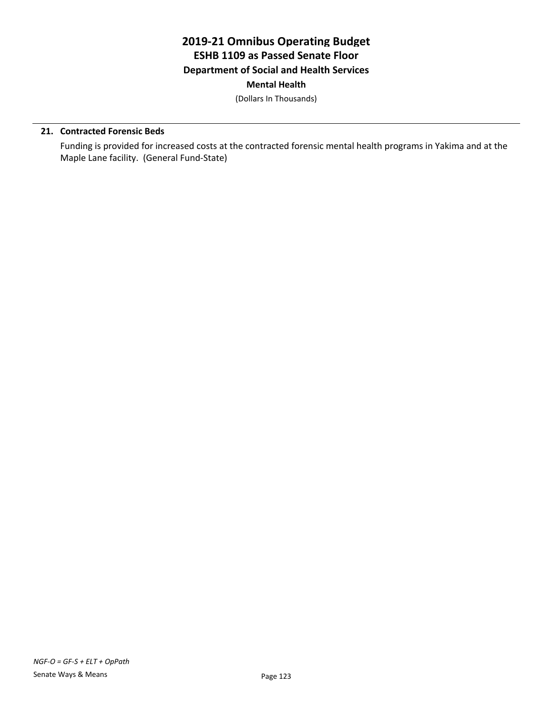(Dollars In Thousands)

# **21. Contracted Forensic Beds**

Funding is provided for increased costs at the contracted forensic mental health programs in Yakima and at the Maple Lane facility. (General Fund-State)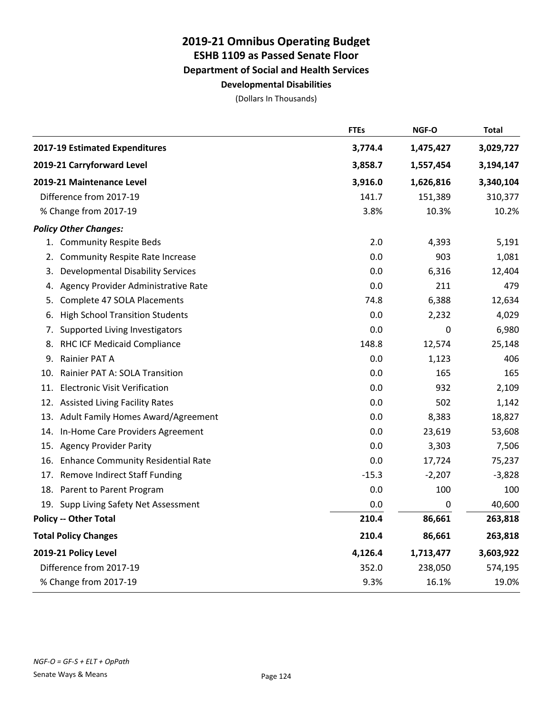|     |                                          | <b>FTEs</b> | NGF-O     | <b>Total</b> |
|-----|------------------------------------------|-------------|-----------|--------------|
|     | 2017-19 Estimated Expenditures           | 3,774.4     | 1,475,427 | 3,029,727    |
|     | 2019-21 Carryforward Level               | 3,858.7     | 1,557,454 | 3,194,147    |
|     | 2019-21 Maintenance Level                | 3,916.0     | 1,626,816 | 3,340,104    |
|     | Difference from 2017-19                  | 141.7       | 151,389   | 310,377      |
|     | % Change from 2017-19                    | 3.8%        | 10.3%     | 10.2%        |
|     | <b>Policy Other Changes:</b>             |             |           |              |
|     | 1. Community Respite Beds                | 2.0         | 4,393     | 5,191        |
| 2.  | <b>Community Respite Rate Increase</b>   | 0.0         | 903       | 1,081        |
| 3.  | <b>Developmental Disability Services</b> | 0.0         | 6,316     | 12,404       |
| 4.  | Agency Provider Administrative Rate      | 0.0         | 211       | 479          |
| 5.  | Complete 47 SOLA Placements              | 74.8        | 6,388     | 12,634       |
| 6.  | <b>High School Transition Students</b>   | 0.0         | 2,232     | 4,029        |
| 7.  | Supported Living Investigators           | 0.0         | 0         | 6,980        |
| 8.  | RHC ICF Medicaid Compliance              | 148.8       | 12,574    | 25,148       |
| 9.  | Rainier PAT A                            | 0.0         | 1,123     | 406          |
| 10. | Rainier PAT A: SOLA Transition           | 0.0         | 165       | 165          |
| 11. | <b>Electronic Visit Verification</b>     | 0.0         | 932       | 2,109        |
|     | 12. Assisted Living Facility Rates       | 0.0         | 502       | 1,142        |
| 13. | Adult Family Homes Award/Agreement       | 0.0         | 8,383     | 18,827       |
| 14. | In-Home Care Providers Agreement         | 0.0         | 23,619    | 53,608       |
| 15. | <b>Agency Provider Parity</b>            | 0.0         | 3,303     | 7,506        |
|     | 16. Enhance Community Residential Rate   | 0.0         | 17,724    | 75,237       |
| 17. | <b>Remove Indirect Staff Funding</b>     | $-15.3$     | $-2,207$  | $-3,828$     |
|     | 18. Parent to Parent Program             | 0.0         | 100       | 100          |
|     | 19. Supp Living Safety Net Assessment    | 0.0         | 0         | 40,600       |
|     | <b>Policy -- Other Total</b>             | 210.4       | 86,661    | 263,818      |
|     | <b>Total Policy Changes</b>              | 210.4       | 86,661    | 263,818      |
|     | 2019-21 Policy Level                     | 4,126.4     | 1,713,477 | 3,603,922    |
|     | Difference from 2017-19                  | 352.0       | 238,050   | 574,195      |
|     | % Change from 2017-19                    | 9.3%        | 16.1%     | 19.0%        |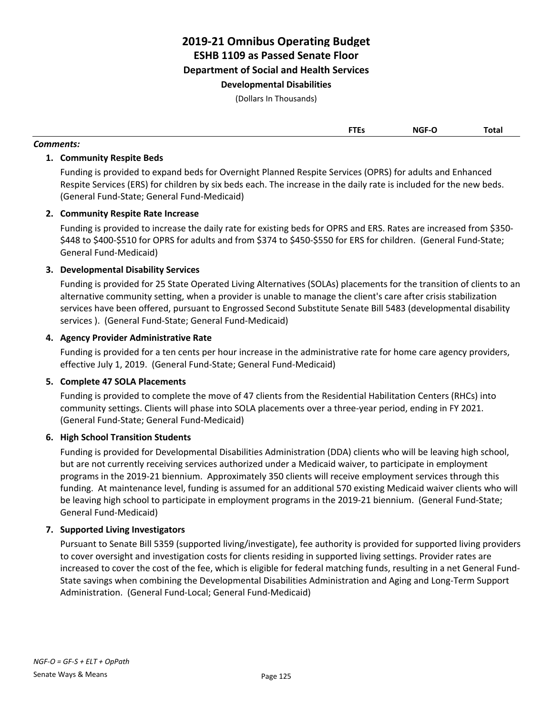(Dollars In Thousands)

| .   | _____       | Total |
|-----|-------------|-------|
|     |             |       |
| --- | <b>NICE</b> |       |

# **1. Community Respite Beds**

*Comments:*

Funding is provided to expand beds for Overnight Planned Respite Services (OPRS) for adults and Enhanced Respite Services (ERS) for children by six beds each. The increase in the daily rate is included for the new beds. (General Fund-State; General Fund-Medicaid)

### **2. Community Respite Rate Increase**

Funding is provided to increase the daily rate for existing beds for OPRS and ERS. Rates are increased from \$350- \$448 to \$400-\$510 for OPRS for adults and from \$374 to \$450-\$550 for ERS for children. (General Fund-State; General Fund-Medicaid)

# **3. Developmental Disability Services**

Funding is provided for 25 State Operated Living Alternatives (SOLAs) placements for the transition of clients to an alternative community setting, when a provider is unable to manage the client's care after crisis stabilization services have been offered, pursuant to Engrossed Second Substitute Senate Bill 5483 (developmental disability services ). (General Fund-State; General Fund-Medicaid)

### **4. Agency Provider Administrative Rate**

Funding is provided for a ten cents per hour increase in the administrative rate for home care agency providers, effective July 1, 2019. (General Fund-State; General Fund-Medicaid)

### **5. Complete 47 SOLA Placements**

Funding is provided to complete the move of 47 clients from the Residential Habilitation Centers (RHCs) into community settings. Clients will phase into SOLA placements over a three-year period, ending in FY 2021. (General Fund-State; General Fund-Medicaid)

### **6. High School Transition Students**

Funding is provided for Developmental Disabilities Administration (DDA) clients who will be leaving high school, but are not currently receiving services authorized under a Medicaid waiver, to participate in employment programs in the 2019-21 biennium. Approximately 350 clients will receive employment services through this funding. At maintenance level, funding is assumed for an additional 570 existing Medicaid waiver clients who will be leaving high school to participate in employment programs in the 2019-21 biennium. (General Fund-State; General Fund-Medicaid)

### **7. Supported Living Investigators**

Pursuant to Senate Bill 5359 (supported living/investigate), fee authority is provided for supported living providers to cover oversight and investigation costs for clients residing in supported living settings. Provider rates are increased to cover the cost of the fee, which is eligible for federal matching funds, resulting in a net General Fund-State savings when combining the Developmental Disabilities Administration and Aging and Long-Term Support Administration. (General Fund-Local; General Fund-Medicaid)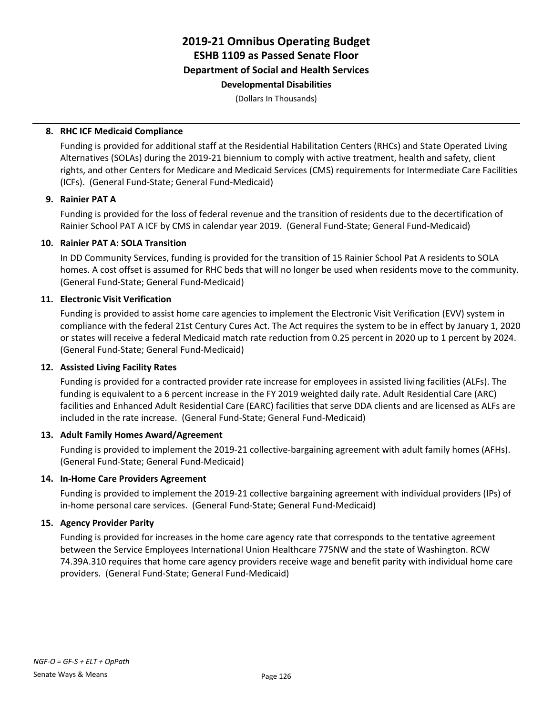(Dollars In Thousands)

#### **8. RHC ICF Medicaid Compliance**

Funding is provided for additional staff at the Residential Habilitation Centers (RHCs) and State Operated Living Alternatives (SOLAs) during the 2019-21 biennium to comply with active treatment, health and safety, client rights, and other Centers for Medicare and Medicaid Services (CMS) requirements for Intermediate Care Facilities (ICFs). (General Fund-State; General Fund-Medicaid)

#### **9. Rainier PAT A**

Funding is provided for the loss of federal revenue and the transition of residents due to the decertification of Rainier School PAT A ICF by CMS in calendar year 2019. (General Fund-State; General Fund-Medicaid)

#### **10. Rainier PAT A: SOLA Transition**

In DD Community Services, funding is provided for the transition of 15 Rainier School Pat A residents to SOLA homes. A cost offset is assumed for RHC beds that will no longer be used when residents move to the community. (General Fund-State; General Fund-Medicaid)

#### **11. Electronic Visit Verification**

Funding is provided to assist home care agencies to implement the Electronic Visit Verification (EVV) system in compliance with the federal 21st Century Cures Act. The Act requires the system to be in effect by January 1, 2020 or states will receive a federal Medicaid match rate reduction from 0.25 percent in 2020 up to 1 percent by 2024. (General Fund-State; General Fund-Medicaid)

### **12. Assisted Living Facility Rates**

Funding is provided for a contracted provider rate increase for employees in assisted living facilities (ALFs). The funding is equivalent to a 6 percent increase in the FY 2019 weighted daily rate. Adult Residential Care (ARC) facilities and Enhanced Adult Residential Care (EARC) facilities that serve DDA clients and are licensed as ALFs are included in the rate increase. (General Fund-State; General Fund-Medicaid)

#### **13. Adult Family Homes Award/Agreement**

Funding is provided to implement the 2019-21 collective-bargaining agreement with adult family homes (AFHs). (General Fund-State; General Fund-Medicaid)

### **14. In-Home Care Providers Agreement**

Funding is provided to implement the 2019-21 collective bargaining agreement with individual providers (IPs) of in-home personal care services. (General Fund-State; General Fund-Medicaid)

### **15. Agency Provider Parity**

Funding is provided for increases in the home care agency rate that corresponds to the tentative agreement between the Service Employees International Union Healthcare 775NW and the state of Washington. RCW 74.39A.310 requires that home care agency providers receive wage and benefit parity with individual home care providers. (General Fund-State; General Fund-Medicaid)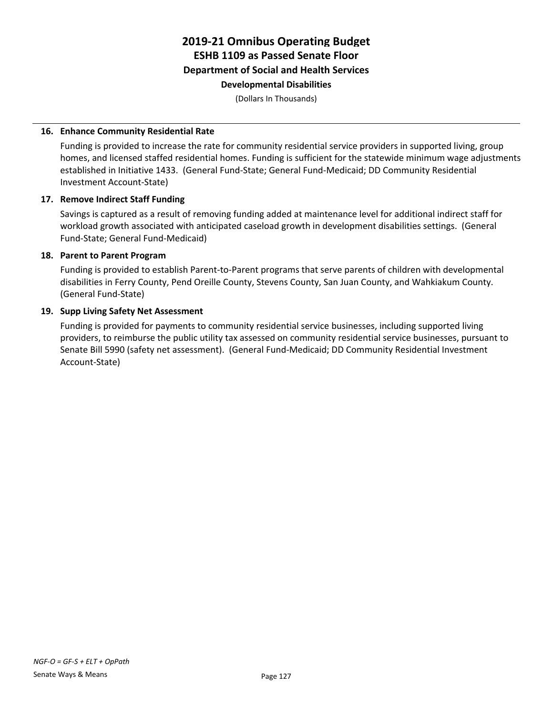(Dollars In Thousands)

#### **16. Enhance Community Residential Rate**

Funding is provided to increase the rate for community residential service providers in supported living, group homes, and licensed staffed residential homes. Funding is sufficient for the statewide minimum wage adjustments established in Initiative 1433. (General Fund-State; General Fund-Medicaid; DD Community Residential Investment Account-State)

#### **17. Remove Indirect Staff Funding**

Savings is captured as a result of removing funding added at maintenance level for additional indirect staff for workload growth associated with anticipated caseload growth in development disabilities settings. (General Fund-State; General Fund-Medicaid)

#### **18. Parent to Parent Program**

Funding is provided to establish Parent-to-Parent programs that serve parents of children with developmental disabilities in Ferry County, Pend Oreille County, Stevens County, San Juan County, and Wahkiakum County. (General Fund-State)

#### **19. Supp Living Safety Net Assessment**

Funding is provided for payments to community residential service businesses, including supported living providers, to reimburse the public utility tax assessed on community residential service businesses, pursuant to Senate Bill 5990 (safety net assessment). (General Fund-Medicaid; DD Community Residential Investment Account-State)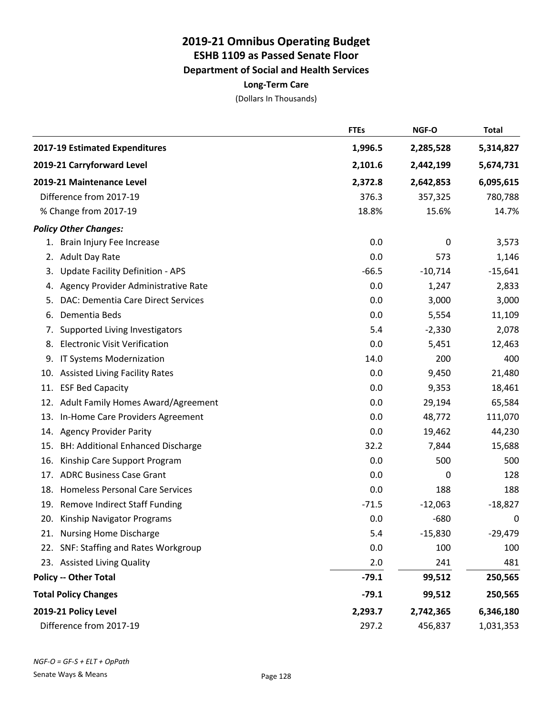# **2019-21 Omnibus Operating Budget ESHB 1109 as Passed Senate Floor Department of Social and Health Services Long-Term Care**

|     |                                          | <b>FTEs</b> | NGF-O     | <b>Total</b> |
|-----|------------------------------------------|-------------|-----------|--------------|
|     | 2017-19 Estimated Expenditures           | 1,996.5     | 2,285,528 | 5,314,827    |
|     | 2019-21 Carryforward Level               | 2,101.6     | 2,442,199 | 5,674,731    |
|     | 2019-21 Maintenance Level                | 2,372.8     | 2,642,853 | 6,095,615    |
|     | Difference from 2017-19                  | 376.3       | 357,325   | 780,788      |
|     | % Change from 2017-19                    | 18.8%       | 15.6%     | 14.7%        |
|     | <b>Policy Other Changes:</b>             |             |           |              |
| 1.  | Brain Injury Fee Increase                | 0.0         | 0         | 3,573        |
| 2.  | <b>Adult Day Rate</b>                    | 0.0         | 573       | 1,146        |
| 3.  | <b>Update Facility Definition - APS</b>  | $-66.5$     | $-10,714$ | $-15,641$    |
| 4.  | Agency Provider Administrative Rate      | 0.0         | 1,247     | 2,833        |
| 5.  | DAC: Dementia Care Direct Services       | 0.0         | 3,000     | 3,000        |
| 6.  | Dementia Beds                            | 0.0         | 5,554     | 11,109       |
| 7.  | Supported Living Investigators           | 5.4         | $-2,330$  | 2,078        |
| 8.  | <b>Electronic Visit Verification</b>     | 0.0         | 5,451     | 12,463       |
| 9.  | IT Systems Modernization                 | 14.0        | 200       | 400          |
| 10. | <b>Assisted Living Facility Rates</b>    | 0.0         | 9,450     | 21,480       |
| 11. | <b>ESF Bed Capacity</b>                  | 0.0         | 9,353     | 18,461       |
| 12. | Adult Family Homes Award/Agreement       | 0.0         | 29,194    | 65,584       |
| 13. | In-Home Care Providers Agreement         | 0.0         | 48,772    | 111,070      |
| 14. | <b>Agency Provider Parity</b>            | 0.0         | 19,462    | 44,230       |
| 15. | BH: Additional Enhanced Discharge        | 32.2        | 7,844     | 15,688       |
| 16. | Kinship Care Support Program             | 0.0         | 500       | 500          |
| 17. | <b>ADRC Business Case Grant</b>          | 0.0         | 0         | 128          |
| 18. | <b>Homeless Personal Care Services</b>   | 0.0         | 188       | 188          |
| 19. | <b>Remove Indirect Staff Funding</b>     | $-71.5$     | $-12,063$ | $-18,827$    |
| 20. | Kinship Navigator Programs               | 0.0         | $-680$    | $\mathbf 0$  |
|     | 21. Nursing Home Discharge               | 5.4         | $-15,830$ | $-29,479$    |
| 22. | <b>SNF: Staffing and Rates Workgroup</b> | 0.0         | 100       | 100          |
|     | 23. Assisted Living Quality              | 2.0         | 241       | 481          |
|     | <b>Policy -- Other Total</b>             | $-79.1$     | 99,512    | 250,565      |
|     | <b>Total Policy Changes</b>              | $-79.1$     | 99,512    | 250,565      |
|     | 2019-21 Policy Level                     | 2,293.7     | 2,742,365 | 6,346,180    |
|     | Difference from 2017-19                  | 297.2       | 456,837   | 1,031,353    |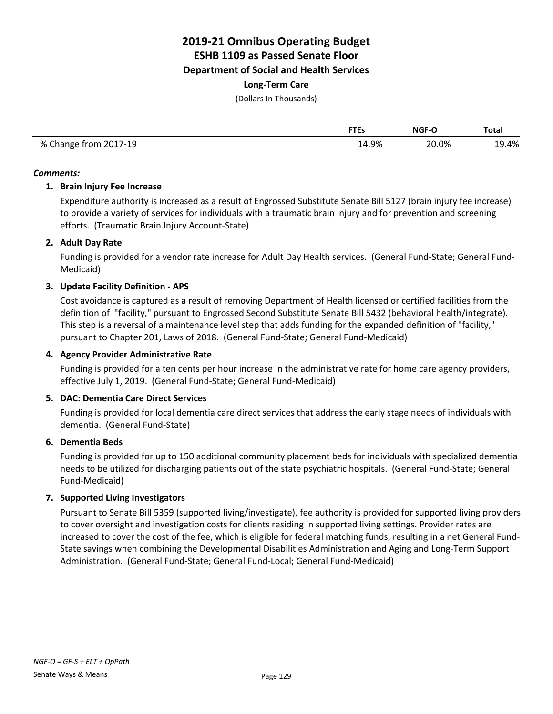# **2019-21 Omnibus Operating Budget**

**ESHB 1109 as Passed Senate Floor**

**Department of Social and Health Services**

### **Long-Term Care**

(Dollars In Thousands)

|                       | FTEs  | NGF-O | <b>Total</b> |
|-----------------------|-------|-------|--------------|
| % Change from 2017-19 | 14.9% | 20.0% | 19.4%        |

#### *Comments:*

### **1. Brain Injury Fee Increase**

Expenditure authority is increased as a result of Engrossed Substitute Senate Bill 5127 (brain injury fee increase) to provide a variety of services for individuals with a traumatic brain injury and for prevention and screening efforts. (Traumatic Brain Injury Account-State)

# **2. Adult Day Rate**

Funding is provided for a vendor rate increase for Adult Day Health services. (General Fund-State; General Fund-Medicaid)

# **3. Update Facility Definition - APS**

Cost avoidance is captured as a result of removing Department of Health licensed or certified facilities from the definition of "facility," pursuant to Engrossed Second Substitute Senate Bill 5432 (behavioral health/integrate). This step is a reversal of a maintenance level step that adds funding for the expanded definition of "facility," pursuant to Chapter 201, Laws of 2018. (General Fund-State; General Fund-Medicaid)

# **4. Agency Provider Administrative Rate**

Funding is provided for a ten cents per hour increase in the administrative rate for home care agency providers, effective July 1, 2019. (General Fund-State; General Fund-Medicaid)

### **5. DAC: Dementia Care Direct Services**

Funding is provided for local dementia care direct services that address the early stage needs of individuals with dementia. (General Fund-State)

### **6. Dementia Beds**

Funding is provided for up to 150 additional community placement beds for individuals with specialized dementia needs to be utilized for discharging patients out of the state psychiatric hospitals. (General Fund-State; General Fund-Medicaid)

### **7. Supported Living Investigators**

Pursuant to Senate Bill 5359 (supported living/investigate), fee authority is provided for supported living providers to cover oversight and investigation costs for clients residing in supported living settings. Provider rates are increased to cover the cost of the fee, which is eligible for federal matching funds, resulting in a net General Fund-State savings when combining the Developmental Disabilities Administration and Aging and Long-Term Support Administration. (General Fund-State; General Fund-Local; General Fund-Medicaid)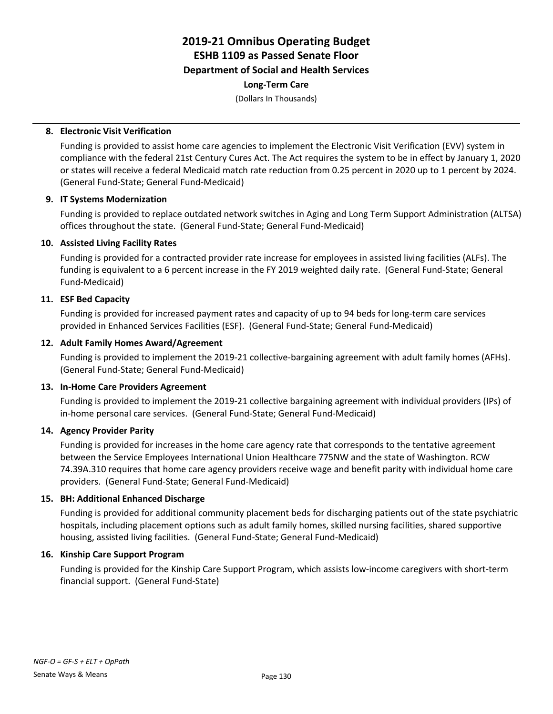# **2019-21 Omnibus Operating Budget ESHB 1109 as Passed Senate Floor Department of Social and Health Services Long-Term Care**

(Dollars In Thousands)

#### **8. Electronic Visit Verification**

Funding is provided to assist home care agencies to implement the Electronic Visit Verification (EVV) system in compliance with the federal 21st Century Cures Act. The Act requires the system to be in effect by January 1, 2020 or states will receive a federal Medicaid match rate reduction from 0.25 percent in 2020 up to 1 percent by 2024. (General Fund-State; General Fund-Medicaid)

#### **9. IT Systems Modernization**

Funding is provided to replace outdated network switches in Aging and Long Term Support Administration (ALTSA) offices throughout the state. (General Fund-State; General Fund-Medicaid)

#### **10. Assisted Living Facility Rates**

Funding is provided for a contracted provider rate increase for employees in assisted living facilities (ALFs). The funding is equivalent to a 6 percent increase in the FY 2019 weighted daily rate. (General Fund-State; General Fund-Medicaid)

#### **11. ESF Bed Capacity**

Funding is provided for increased payment rates and capacity of up to 94 beds for long-term care services provided in Enhanced Services Facilities (ESF). (General Fund-State; General Fund-Medicaid)

#### **12. Adult Family Homes Award/Agreement**

Funding is provided to implement the 2019-21 collective-bargaining agreement with adult family homes (AFHs). (General Fund-State; General Fund-Medicaid)

#### **13. In-Home Care Providers Agreement**

Funding is provided to implement the 2019-21 collective bargaining agreement with individual providers (IPs) of in-home personal care services. (General Fund-State; General Fund-Medicaid)

#### **14. Agency Provider Parity**

Funding is provided for increases in the home care agency rate that corresponds to the tentative agreement between the Service Employees International Union Healthcare 775NW and the state of Washington. RCW 74.39A.310 requires that home care agency providers receive wage and benefit parity with individual home care providers. (General Fund-State; General Fund-Medicaid)

### **15. BH: Additional Enhanced Discharge**

Funding is provided for additional community placement beds for discharging patients out of the state psychiatric hospitals, including placement options such as adult family homes, skilled nursing facilities, shared supportive housing, assisted living facilities. (General Fund-State; General Fund-Medicaid)

#### **16. Kinship Care Support Program**

Funding is provided for the Kinship Care Support Program, which assists low-income caregivers with short-term financial support. (General Fund-State)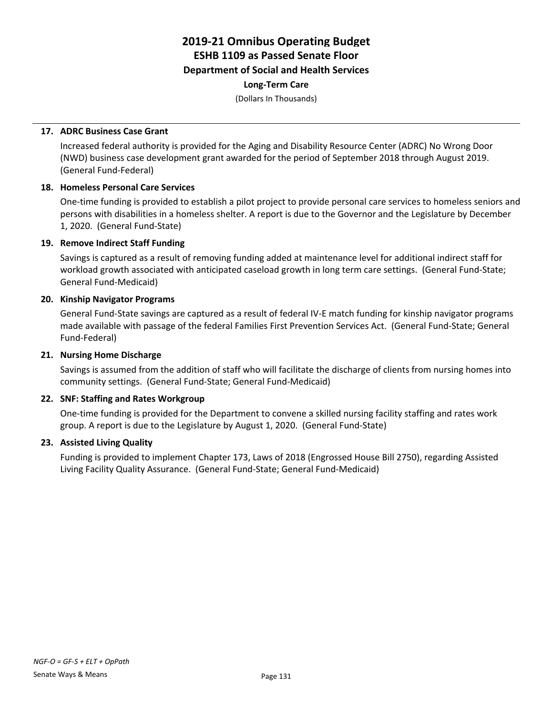# **2019-21 Omnibus Operating Budget ESHB 1109 as Passed Senate Floor Department of Social and Health Services Long-Term Care**

(Dollars In Thousands)

## **17. ADRC Business Case Grant**

Increased federal authority is provided for the Aging and Disability Resource Center (ADRC) No Wrong Door (NWD) business case development grant awarded for the period of September 2018 through August 2019. (General Fund-Federal)

#### **18. Homeless Personal Care Services**

One-time funding is provided to establish a pilot project to provide personal care services to homeless seniors and persons with disabilities in a homeless shelter. A report is due to the Governor and the Legislature by December 1, 2020. (General Fund-State)

#### **19. Remove Indirect Staff Funding**

Savings is captured as a result of removing funding added at maintenance level for additional indirect staff for workload growth associated with anticipated caseload growth in long term care settings. (General Fund-State; General Fund-Medicaid)

#### **20. Kinship Navigator Programs**

General Fund-State savings are captured as a result of federal IV-E match funding for kinship navigator programs made available with passage of the federal Families First Prevention Services Act. (General Fund-State; General Fund-Federal)

#### **21. Nursing Home Discharge**

Savings is assumed from the addition of staff who will facilitate the discharge of clients from nursing homes into community settings. (General Fund-State; General Fund-Medicaid)

### **22. SNF: Staffing and Rates Workgroup**

One-time funding is provided for the Department to convene a skilled nursing facility staffing and rates work group. A report is due to the Legislature by August 1, 2020. (General Fund-State)

#### **23. Assisted Living Quality**

Funding is provided to implement Chapter 173, Laws of 2018 (Engrossed House Bill 2750), regarding Assisted Living Facility Quality Assurance. (General Fund-State; General Fund-Medicaid)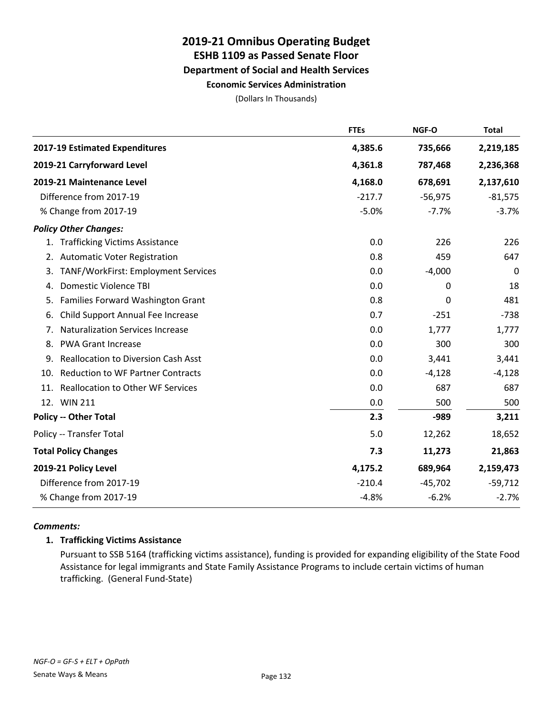# **2019-21 Omnibus Operating Budget ESHB 1109 as Passed Senate Floor Department of Social and Health Services Economic Services Administration**

(Dollars In Thousands)

|     |                                            | <b>FTEs</b> | NGF-O     | <b>Total</b> |
|-----|--------------------------------------------|-------------|-----------|--------------|
|     | 2017-19 Estimated Expenditures             | 4,385.6     | 735,666   | 2,219,185    |
|     | 2019-21 Carryforward Level                 | 4,361.8     | 787,468   | 2,236,368    |
|     | 2019-21 Maintenance Level                  | 4,168.0     | 678,691   | 2,137,610    |
|     | Difference from 2017-19                    | $-217.7$    | $-56,975$ | $-81,575$    |
|     | % Change from 2017-19                      | $-5.0%$     | $-7.7%$   | $-3.7%$      |
|     | <b>Policy Other Changes:</b>               |             |           |              |
|     | 1. Trafficking Victims Assistance          | 0.0         | 226       | 226          |
|     | 2. Automatic Voter Registration            | 0.8         | 459       | 647          |
| 3.  | TANF/WorkFirst: Employment Services        | 0.0         | $-4,000$  | 0            |
| 4.  | <b>Domestic Violence TBI</b>               | $0.0\,$     | 0         | 18           |
| 5.  | Families Forward Washington Grant          | 0.8         | 0         | 481          |
| 6.  | Child Support Annual Fee Increase          | 0.7         | $-251$    | $-738$       |
| 7.  | <b>Naturalization Services Increase</b>    | 0.0         | 1,777     | 1,777        |
| 8.  | <b>PWA Grant Increase</b>                  | 0.0         | 300       | 300          |
| 9.  | <b>Reallocation to Diversion Cash Asst</b> | 0.0         | 3,441     | 3,441        |
| 10. | <b>Reduction to WF Partner Contracts</b>   | 0.0         | $-4,128$  | $-4,128$     |
| 11. | <b>Reallocation to Other WF Services</b>   | 0.0         | 687       | 687          |
|     | 12. WIN 211                                | 0.0         | 500       | 500          |
|     | <b>Policy -- Other Total</b>               | 2.3         | $-989$    | 3,211        |
|     | Policy -- Transfer Total                   | 5.0         | 12,262    | 18,652       |
|     | <b>Total Policy Changes</b>                | 7.3         | 11,273    | 21,863       |
|     | 2019-21 Policy Level                       | 4,175.2     | 689,964   | 2,159,473    |
|     | Difference from 2017-19                    | $-210.4$    | $-45,702$ | $-59,712$    |
|     | % Change from 2017-19                      | $-4.8%$     | $-6.2%$   | $-2.7%$      |

### *Comments:*

### **1. Trafficking Victims Assistance**

Pursuant to SSB 5164 (trafficking victims assistance), funding is provided for expanding eligibility of the State Food Assistance for legal immigrants and State Family Assistance Programs to include certain victims of human trafficking. (General Fund-State)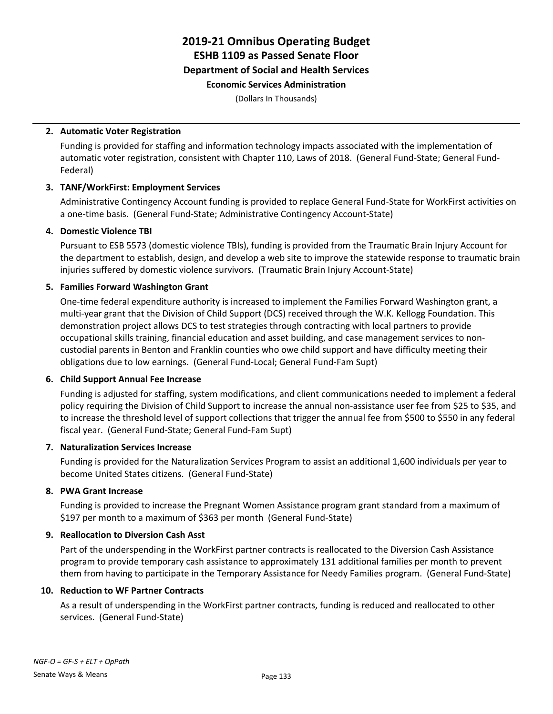# **2019-21 Omnibus Operating Budget ESHB 1109 as Passed Senate Floor Department of Social and Health Services Economic Services Administration**

(Dollars In Thousands)

#### **2. Automatic Voter Registration**

Funding is provided for staffing and information technology impacts associated with the implementation of automatic voter registration, consistent with Chapter 110, Laws of 2018. (General Fund-State; General Fund-Federal)

#### **3. TANF/WorkFirst: Employment Services**

Administrative Contingency Account funding is provided to replace General Fund-State for WorkFirst activities on a one-time basis. (General Fund-State; Administrative Contingency Account-State)

#### **4. Domestic Violence TBI**

Pursuant to ESB 5573 (domestic violence TBIs), funding is provided from the Traumatic Brain Injury Account for the department to establish, design, and develop a web site to improve the statewide response to traumatic brain injuries suffered by domestic violence survivors. (Traumatic Brain Injury Account-State)

#### **5. Families Forward Washington Grant**

One-time federal expenditure authority is increased to implement the Families Forward Washington grant, a multi-year grant that the Division of Child Support (DCS) received through the W.K. Kellogg Foundation. This demonstration project allows DCS to test strategies through contracting with local partners to provide occupational skills training, financial education and asset building, and case management services to noncustodial parents in Benton and Franklin counties who owe child support and have difficulty meeting their obligations due to low earnings. (General Fund-Local; General Fund-Fam Supt)

#### **6. Child Support Annual Fee Increase**

Funding is adjusted for staffing, system modifications, and client communications needed to implement a federal policy requiring the Division of Child Support to increase the annual non-assistance user fee from \$25 to \$35, and to increase the threshold level of support collections that trigger the annual fee from \$500 to \$550 in any federal fiscal year. (General Fund-State; General Fund-Fam Supt)

#### **7. Naturalization Services Increase**

Funding is provided for the Naturalization Services Program to assist an additional 1,600 individuals per year to become United States citizens. (General Fund-State)

#### **8. PWA Grant Increase**

Funding is provided to increase the Pregnant Women Assistance program grant standard from a maximum of \$197 per month to a maximum of \$363 per month (General Fund-State)

#### **9. Reallocation to Diversion Cash Asst**

Part of the underspending in the WorkFirst partner contracts is reallocated to the Diversion Cash Assistance program to provide temporary cash assistance to approximately 131 additional families per month to prevent them from having to participate in the Temporary Assistance for Needy Families program. (General Fund-State)

#### **10. Reduction to WF Partner Contracts**

As a result of underspending in the WorkFirst partner contracts, funding is reduced and reallocated to other services. (General Fund-State)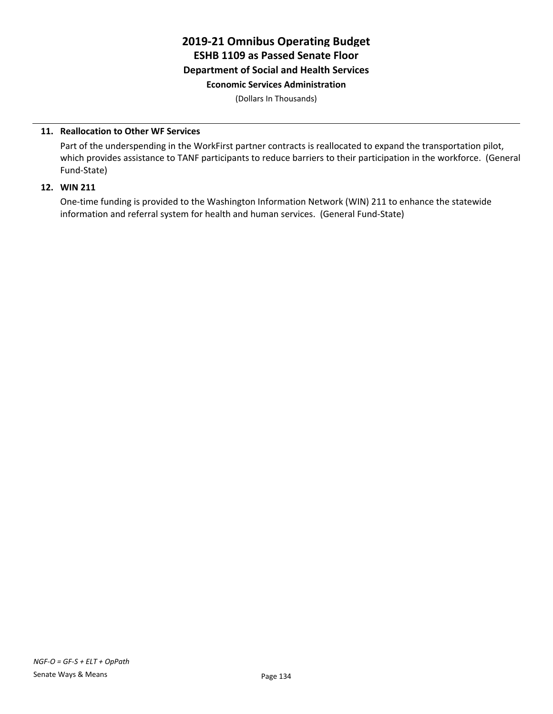# **2019-21 Omnibus Operating Budget ESHB 1109 as Passed Senate Floor Department of Social and Health Services Economic Services Administration**

(Dollars In Thousands)

#### **11. Reallocation to Other WF Services**

Part of the underspending in the WorkFirst partner contracts is reallocated to expand the transportation pilot, which provides assistance to TANF participants to reduce barriers to their participation in the workforce. (General Fund-State)

#### **12. WIN 211**

One-time funding is provided to the Washington Information Network (WIN) 211 to enhance the statewide information and referral system for health and human services. (General Fund-State)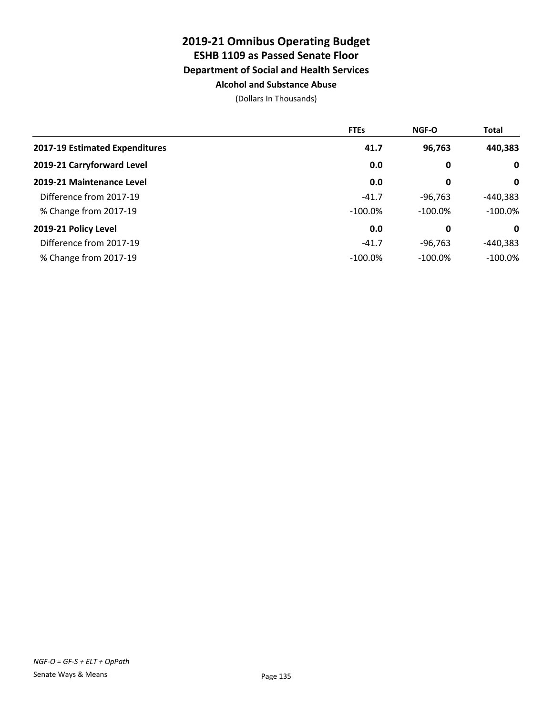# **2019-21 Omnibus Operating Budget ESHB 1109 as Passed Senate Floor Department of Social and Health Services Alcohol and Substance Abuse**

|                                | <b>FTEs</b> | <b>NGF-O</b> | <b>Total</b> |
|--------------------------------|-------------|--------------|--------------|
| 2017-19 Estimated Expenditures | 41.7        | 96,763       | 440,383      |
| 2019-21 Carryforward Level     | 0.0         | 0            | $\mathbf 0$  |
| 2019-21 Maintenance Level      | 0.0         | 0            | 0            |
| Difference from 2017-19        | $-41.7$     | $-96.763$    | -440,383     |
| % Change from 2017-19          | $-100.0\%$  | $-100.0\%$   | $-100.0\%$   |
| 2019-21 Policy Level           | 0.0         | 0            | 0            |
| Difference from 2017-19        | $-41.7$     | $-96,763$    | $-440,383$   |
| % Change from 2017-19          | $-100.0\%$  | $-100.0\%$   | $-100.0\%$   |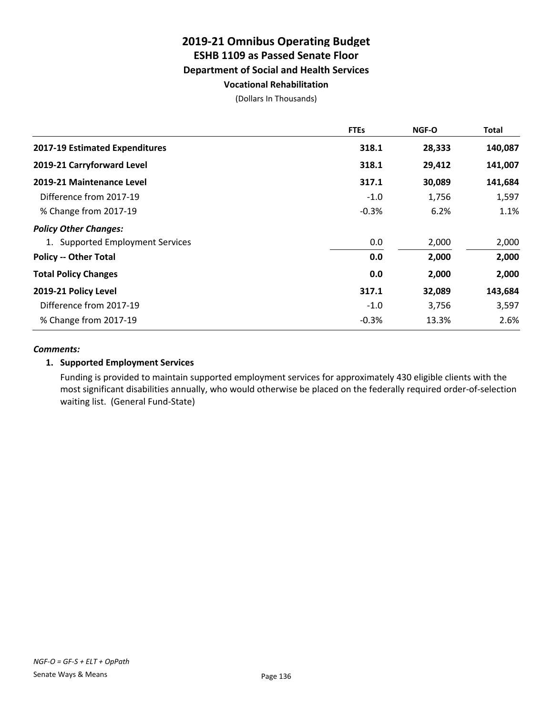# **2019-21 Omnibus Operating Budget ESHB 1109 as Passed Senate Floor Department of Social and Health Services Vocational Rehabilitation**

(Dollars In Thousands)

|                                  | <b>FTEs</b> | <b>NGF-O</b> | <b>Total</b> |
|----------------------------------|-------------|--------------|--------------|
| 2017-19 Estimated Expenditures   | 318.1       | 28,333       | 140,087      |
| 2019-21 Carryforward Level       | 318.1       | 29,412       | 141,007      |
| 2019-21 Maintenance Level        | 317.1       | 30,089       | 141,684      |
| Difference from 2017-19          | $-1.0$      | 1,756        | 1,597        |
| % Change from 2017-19            | $-0.3%$     | 6.2%         | 1.1%         |
| <b>Policy Other Changes:</b>     |             |              |              |
| 1. Supported Employment Services | 0.0         | 2,000        | 2,000        |
| <b>Policy -- Other Total</b>     | 0.0         | 2,000        | 2,000        |
| <b>Total Policy Changes</b>      | 0.0         | 2,000        | 2,000        |
| 2019-21 Policy Level             | 317.1       | 32,089       | 143,684      |
| Difference from 2017-19          | $-1.0$      | 3,756        | 3,597        |
| % Change from 2017-19            | $-0.3%$     | 13.3%        | 2.6%         |

#### *Comments:*

# **1. Supported Employment Services**

Funding is provided to maintain supported employment services for approximately 430 eligible clients with the most significant disabilities annually, who would otherwise be placed on the federally required order-of-selection waiting list. (General Fund-State)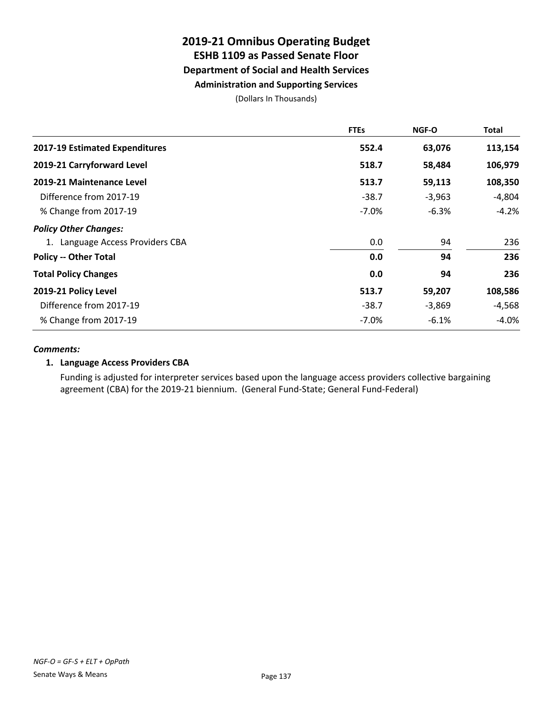# **2019-21 Omnibus Operating Budget ESHB 1109 as Passed Senate Floor Department of Social and Health Services Administration and Supporting Services**

(Dollars In Thousands)

|                                  | <b>FTEs</b> | <b>NGF-O</b> | Total    |
|----------------------------------|-------------|--------------|----------|
| 2017-19 Estimated Expenditures   | 552.4       | 63,076       | 113,154  |
| 2019-21 Carryforward Level       | 518.7       | 58,484       | 106,979  |
| 2019-21 Maintenance Level        | 513.7       | 59,113       | 108,350  |
| Difference from 2017-19          | $-38.7$     | $-3,963$     | $-4,804$ |
| % Change from 2017-19            | $-7.0\%$    | $-6.3%$      | $-4.2%$  |
| <b>Policy Other Changes:</b>     |             |              |          |
| 1. Language Access Providers CBA | 0.0         | 94           | 236      |
| <b>Policy -- Other Total</b>     | 0.0         | 94           | 236      |
| <b>Total Policy Changes</b>      | 0.0         | 94           | 236      |
| 2019-21 Policy Level             | 513.7       | 59,207       | 108,586  |
| Difference from 2017-19          | $-38.7$     | $-3,869$     | $-4,568$ |
| % Change from 2017-19            | $-7.0\%$    | $-6.1%$      | -4.0%    |

#### *Comments:*

# **1. Language Access Providers CBA**

Funding is adjusted for interpreter services based upon the language access providers collective bargaining agreement (CBA) for the 2019-21 biennium. (General Fund-State; General Fund-Federal)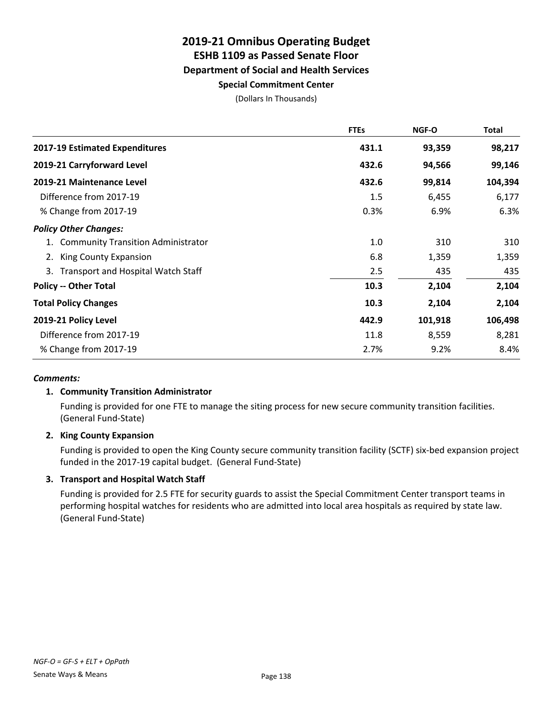# **2019-21 Omnibus Operating Budget ESHB 1109 as Passed Senate Floor Department of Social and Health Services Special Commitment Center**

(Dollars In Thousands)

|                                       | <b>FTEs</b> | <b>NGF-O</b> | Total   |
|---------------------------------------|-------------|--------------|---------|
| <b>2017-19 Estimated Expenditures</b> | 431.1       | 93,359       | 98,217  |
| 2019-21 Carryforward Level            | 432.6       | 94,566       | 99,146  |
| 2019-21 Maintenance Level             | 432.6       | 99,814       | 104,394 |
| Difference from 2017-19               | 1.5         | 6,455        | 6,177   |
| % Change from 2017-19                 | 0.3%        | 6.9%         | 6.3%    |
| <b>Policy Other Changes:</b>          |             |              |         |
| 1. Community Transition Administrator | 1.0         | 310          | 310     |
| King County Expansion<br>2.           | 6.8         | 1,359        | 1,359   |
| 3. Transport and Hospital Watch Staff | 2.5         | 435          | 435     |
| <b>Policy -- Other Total</b>          | 10.3        | 2,104        | 2,104   |
| <b>Total Policy Changes</b>           | 10.3        | 2,104        | 2,104   |
| 2019-21 Policy Level                  | 442.9       | 101,918      | 106,498 |
| Difference from 2017-19               | 11.8        | 8,559        | 8,281   |
| % Change from 2017-19                 | 2.7%        | 9.2%         | 8.4%    |

### *Comments:*

# **1. Community Transition Administrator**

Funding is provided for one FTE to manage the siting process for new secure community transition facilities. (General Fund-State)

### **2. King County Expansion**

Funding is provided to open the King County secure community transition facility (SCTF) six-bed expansion project funded in the 2017-19 capital budget. (General Fund-State)

### **3. Transport and Hospital Watch Staff**

Funding is provided for 2.5 FTE for security guards to assist the Special Commitment Center transport teams in performing hospital watches for residents who are admitted into local area hospitals as required by state law. (General Fund-State)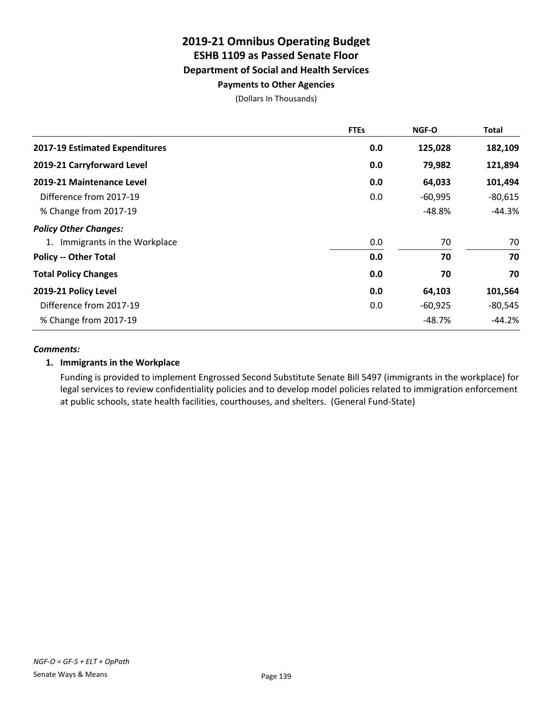# **2019-21 Omnibus Operating Budget ESHB 1109 as Passed Senate Floor Department of Social and Health Services Payments to Other Agencies**

(Dollars In Thousands)

|                                | <b>FTEs</b> | <b>NGF-O</b> | Total     |
|--------------------------------|-------------|--------------|-----------|
| 2017-19 Estimated Expenditures | 0.0         | 125,028      | 182,109   |
| 2019-21 Carryforward Level     | 0.0         | 79,982       | 121,894   |
| 2019-21 Maintenance Level      | 0.0         | 64,033       | 101,494   |
| Difference from 2017-19        | 0.0         | $-60,995$    | $-80,615$ |
| % Change from 2017-19          |             | $-48.8%$     | $-44.3%$  |
| <b>Policy Other Changes:</b>   |             |              |           |
| 1. Immigrants in the Workplace | 0.0         | 70           | 70        |
| <b>Policy -- Other Total</b>   | 0.0         | 70           | 70        |
| <b>Total Policy Changes</b>    | 0.0         | 70           | 70        |
| 2019-21 Policy Level           | 0.0         | 64,103       | 101,564   |
| Difference from 2017-19        | 0.0         | $-60,925$    | $-80,545$ |
| % Change from 2017-19          |             | $-48.7%$     | $-44.2%$  |

#### *Comments:*

# **1. Immigrants in the Workplace**

Funding is provided to implement Engrossed Second Substitute Senate Bill 5497 (immigrants in the workplace) for legal services to review confidentiality policies and to develop model policies related to immigration enforcement at public schools, state health facilities, courthouses, and shelters. (General Fund-State)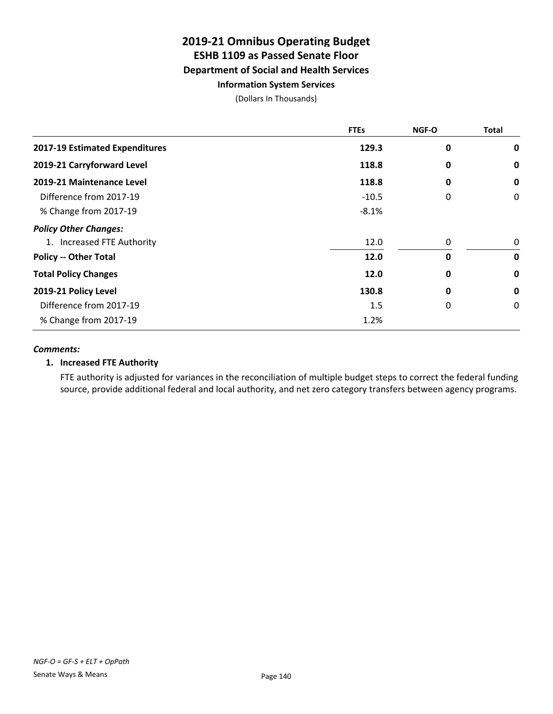# **2019-21 Omnibus Operating Budget ESHB 1109 as Passed Senate Floor Department of Social and Health Services Information System Services**

(Dollars In Thousands)

|                                | <b>FTEs</b> | <b>NGF-O</b> | <b>Total</b> |
|--------------------------------|-------------|--------------|--------------|
| 2017-19 Estimated Expenditures | 129.3       | 0            | 0            |
| 2019-21 Carryforward Level     | 118.8       | 0            | 0            |
| 2019-21 Maintenance Level      | 118.8       | 0            | 0            |
| Difference from 2017-19        | $-10.5$     | 0            | 0            |
| % Change from 2017-19          | $-8.1%$     |              |              |
| <b>Policy Other Changes:</b>   |             |              |              |
| 1. Increased FTE Authority     | 12.0        | 0            | 0            |
| <b>Policy -- Other Total</b>   | 12.0        | $\mathbf{0}$ | $\mathbf 0$  |
| <b>Total Policy Changes</b>    | 12.0        | 0            | 0            |
| 2019-21 Policy Level           | 130.8       | 0            | 0            |
| Difference from 2017-19        | 1.5         | 0            | 0            |
| % Change from 2017-19          | 1.2%        |              |              |

#### *Comments:*

### **1. Increased FTE Authority**

FTE authority is adjusted for variances in the reconciliation of multiple budget steps to correct the federal funding source, provide additional federal and local authority, and net zero category transfers between agency programs.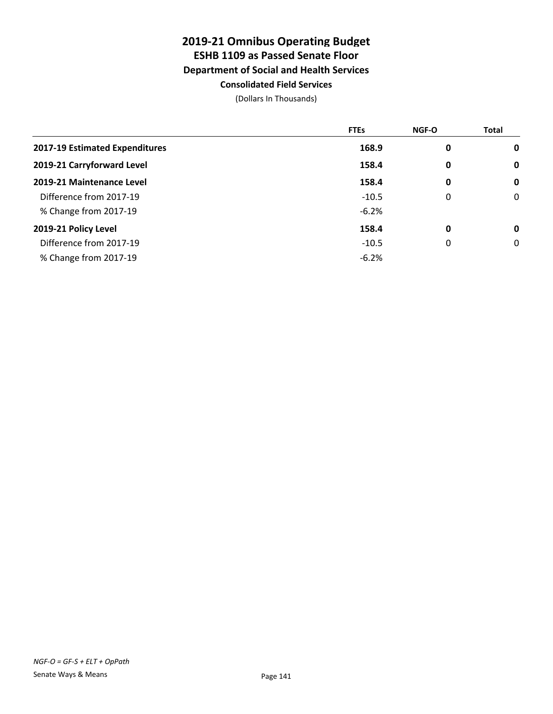# **2019-21 Omnibus Operating Budget ESHB 1109 as Passed Senate Floor Department of Social and Health Services Consolidated Field Services**

|                                | <b>FTEs</b> | <b>NGF-O</b> | <b>Total</b> |
|--------------------------------|-------------|--------------|--------------|
| 2017-19 Estimated Expenditures | 168.9       | 0            | $\mathbf 0$  |
| 2019-21 Carryforward Level     | 158.4       | 0            | $\mathbf 0$  |
| 2019-21 Maintenance Level      | 158.4       | 0            | $\mathbf 0$  |
| Difference from 2017-19        | $-10.5$     | 0            | $\mathbf 0$  |
| % Change from 2017-19          | $-6.2%$     |              |              |
| 2019-21 Policy Level           | 158.4       | 0            | $\mathbf 0$  |
| Difference from 2017-19        | $-10.5$     | 0            | 0            |
| % Change from 2017-19          | $-6.2%$     |              |              |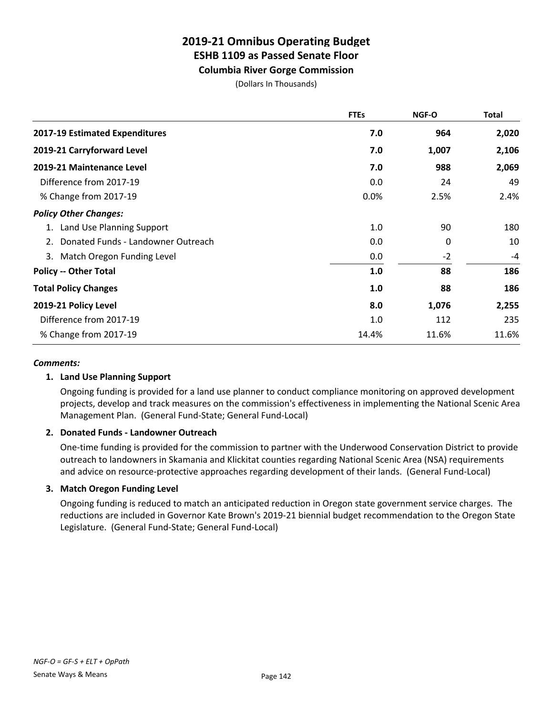**Columbia River Gorge Commission**

(Dollars In Thousands)

|                                          | <b>FTEs</b> | <b>NGF-O</b> | <b>Total</b> |
|------------------------------------------|-------------|--------------|--------------|
| 2017-19 Estimated Expenditures           | 7.0         | 964          | 2,020        |
| 2019-21 Carryforward Level               | 7.0         | 1,007        | 2,106        |
| 2019-21 Maintenance Level                | 7.0         | 988          | 2,069        |
| Difference from 2017-19                  | 0.0         | 24           | 49           |
| % Change from 2017-19                    | 0.0%        | 2.5%         | 2.4%         |
| <b>Policy Other Changes:</b>             |             |              |              |
| 1. Land Use Planning Support             | 1.0         | 90           | 180          |
| Donated Funds - Landowner Outreach<br>2. | 0.0         | 0            | 10           |
| 3. Match Oregon Funding Level            | 0.0         | $-2$         | -4           |
| <b>Policy -- Other Total</b>             | 1.0         | 88           | 186          |
| <b>Total Policy Changes</b>              | 1.0         | 88           | 186          |
| 2019-21 Policy Level                     | 8.0         | 1,076        | 2,255        |
| Difference from 2017-19                  | 1.0         | 112          | 235          |
| % Change from 2017-19                    | 14.4%       | 11.6%        | 11.6%        |

### *Comments:*

### **1. Land Use Planning Support**

Ongoing funding is provided for a land use planner to conduct compliance monitoring on approved development projects, develop and track measures on the commission's effectiveness in implementing the National Scenic Area Management Plan. (General Fund-State; General Fund-Local)

### **2. Donated Funds - Landowner Outreach**

One-time funding is provided for the commission to partner with the Underwood Conservation District to provide outreach to landowners in Skamania and Klickitat counties regarding National Scenic Area (NSA) requirements and advice on resource-protective approaches regarding development of their lands. (General Fund-Local)

### **3. Match Oregon Funding Level**

Ongoing funding is reduced to match an anticipated reduction in Oregon state government service charges. The reductions are included in Governor Kate Brown's 2019-21 biennial budget recommendation to the Oregon State Legislature. (General Fund-State; General Fund-Local)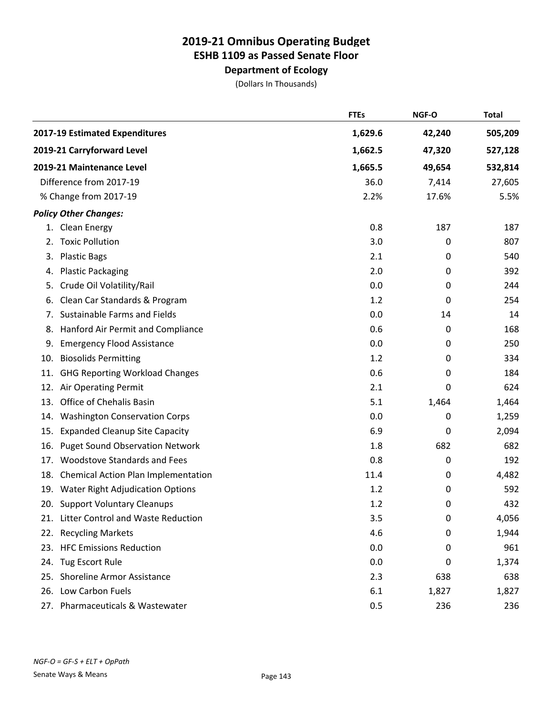# **Department of Ecology**

|     |                                        | <b>FTEs</b> | NGF-O  | <b>Total</b> |
|-----|----------------------------------------|-------------|--------|--------------|
|     | 2017-19 Estimated Expenditures         | 1,629.6     | 42,240 | 505,209      |
|     | 2019-21 Carryforward Level             | 1,662.5     | 47,320 | 527,128      |
|     | 2019-21 Maintenance Level              | 1,665.5     | 49,654 | 532,814      |
|     | Difference from 2017-19                | 36.0        | 7,414  | 27,605       |
|     | % Change from 2017-19                  | 2.2%        | 17.6%  | 5.5%         |
|     | <b>Policy Other Changes:</b>           |             |        |              |
|     | 1. Clean Energy                        | 0.8         | 187    | 187          |
|     | 2. Toxic Pollution                     | 3.0         | 0      | 807          |
| 3.  | <b>Plastic Bags</b>                    | 2.1         | 0      | 540          |
| 4.  | <b>Plastic Packaging</b>               | 2.0         | 0      | 392          |
| 5.  | Crude Oil Volatility/Rail              | 0.0         | 0      | 244          |
| 6.  | Clean Car Standards & Program          | 1.2         | 0      | 254          |
| 7.  | <b>Sustainable Farms and Fields</b>    | 0.0         | 14     | 14           |
| 8.  | Hanford Air Permit and Compliance      | 0.6         | 0      | 168          |
| 9.  | <b>Emergency Flood Assistance</b>      | 0.0         | 0      | 250          |
| 10. | <b>Biosolids Permitting</b>            | 1.2         | 0      | 334          |
| 11. | <b>GHG Reporting Workload Changes</b>  | 0.6         | 0      | 184          |
| 12. | Air Operating Permit                   | 2.1         | 0      | 624          |
| 13. | Office of Chehalis Basin               | 5.1         | 1,464  | 1,464        |
| 14. | <b>Washington Conservation Corps</b>   | 0.0         | 0      | 1,259        |
| 15. | <b>Expanded Cleanup Site Capacity</b>  | 6.9         | 0      | 2,094        |
| 16. | <b>Puget Sound Observation Network</b> | 1.8         | 682    | 682          |
| 17. | <b>Woodstove Standards and Fees</b>    | 0.8         | 0      | 192          |
| 18. | Chemical Action Plan Implementation    | 11.4        | 0      | 4,482        |
|     | 19. Water Right Adjudication Options   | 1.2         | 0      | 592          |
|     | 20. Support Voluntary Cleanups         | 1.2         | 0      | 432          |
|     | 21. Litter Control and Waste Reduction | 3.5         | 0      | 4,056        |
|     | 22. Recycling Markets                  | 4.6         | 0      | 1,944        |
|     | 23. HFC Emissions Reduction            | 0.0         | 0      | 961          |
|     | 24. Tug Escort Rule                    | 0.0         | 0      | 1,374        |
|     | 25. Shoreline Armor Assistance         | 2.3         | 638    | 638          |
|     | 26. Low Carbon Fuels                   | 6.1         | 1,827  | 1,827        |
|     | 27. Pharmaceuticals & Wastewater       | 0.5         | 236    | 236          |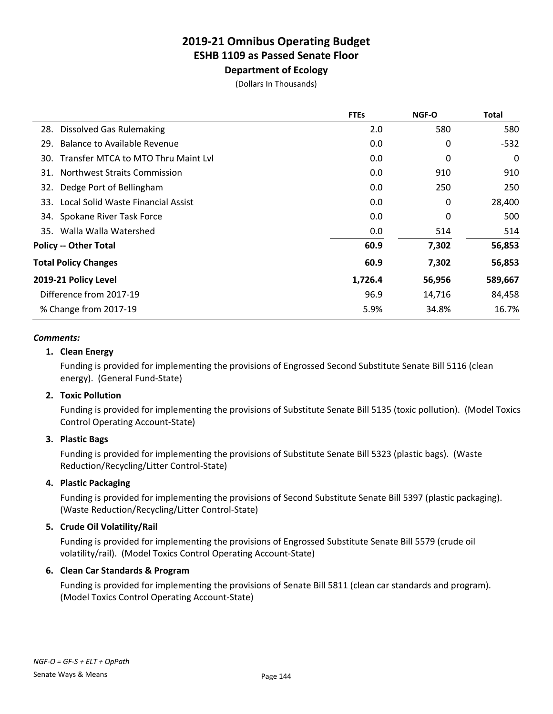# **Department of Ecology**

(Dollars In Thousands)

|                                            | <b>FTEs</b> | <b>NGF-O</b> | <b>Total</b> |
|--------------------------------------------|-------------|--------------|--------------|
| 28. Dissolved Gas Rulemaking               | 2.0         | 580          | 580          |
| Balance to Available Revenue<br>29.        | 0.0         | 0            | $-532$       |
| 30. Transfer MTCA to MTO Thru Maint Lvl    | 0.0         | 0            | 0            |
| <b>Northwest Straits Commission</b><br>31. | 0.0         | 910          | 910          |
| Dedge Port of Bellingham<br>32.            | 0.0         | 250          | 250          |
| 33. Local Solid Waste Financial Assist     | 0.0         | 0            | 28,400       |
| 34. Spokane River Task Force               | 0.0         | 0            | 500          |
| 35. Walla Walla Watershed                  | 0.0         | 514          | 514          |
| <b>Policy -- Other Total</b>               | 60.9        | 7,302        | 56,853       |
| <b>Total Policy Changes</b>                | 60.9        | 7,302        | 56,853       |
| 2019-21 Policy Level                       | 1,726.4     | 56,956       | 589,667      |
| Difference from 2017-19                    | 96.9        | 14,716       | 84,458       |
| % Change from 2017-19                      | 5.9%        | 34.8%        | 16.7%        |
|                                            |             |              |              |

#### *Comments:*

# **1. Clean Energy**

Funding is provided for implementing the provisions of Engrossed Second Substitute Senate Bill 5116 (clean energy). (General Fund-State)

### **2. Toxic Pollution**

Funding is provided for implementing the provisions of Substitute Senate Bill 5135 (toxic pollution). (Model Toxics Control Operating Account-State)

#### **3. Plastic Bags**

Funding is provided for implementing the provisions of Substitute Senate Bill 5323 (plastic bags). (Waste Reduction/Recycling/Litter Control-State)

### **4. Plastic Packaging**

Funding is provided for implementing the provisions of Second Substitute Senate Bill 5397 (plastic packaging). (Waste Reduction/Recycling/Litter Control-State)

# **5. Crude Oil Volatility/Rail**

Funding is provided for implementing the provisions of Engrossed Substitute Senate Bill 5579 (crude oil volatility/rail). (Model Toxics Control Operating Account-State)

### **6. Clean Car Standards & Program**

Funding is provided for implementing the provisions of Senate Bill 5811 (clean car standards and program). (Model Toxics Control Operating Account-State)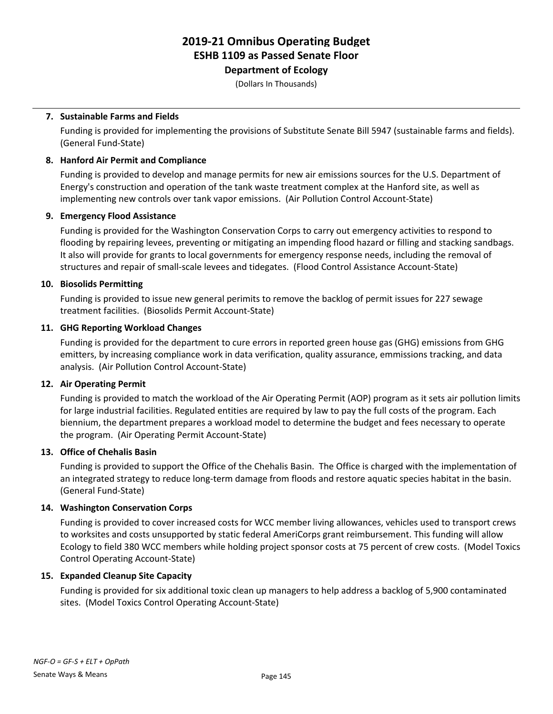### **Department of Ecology**

(Dollars In Thousands)

#### **7. Sustainable Farms and Fields**

Funding is provided for implementing the provisions of Substitute Senate Bill 5947 (sustainable farms and fields). (General Fund-State)

#### **8. Hanford Air Permit and Compliance**

Funding is provided to develop and manage permits for new air emissions sources for the U.S. Department of Energy's construction and operation of the tank waste treatment complex at the Hanford site, as well as implementing new controls over tank vapor emissions. (Air Pollution Control Account-State)

#### **9. Emergency Flood Assistance**

Funding is provided for the Washington Conservation Corps to carry out emergency activities to respond to flooding by repairing levees, preventing or mitigating an impending flood hazard or filling and stacking sandbags. It also will provide for grants to local governments for emergency response needs, including the removal of structures and repair of small-scale levees and tidegates. (Flood Control Assistance Account-State)

#### **10. Biosolids Permitting**

Funding is provided to issue new general perimits to remove the backlog of permit issues for 227 sewage treatment facilities. (Biosolids Permit Account-State)

#### **11. GHG Reporting Workload Changes**

Funding is provided for the department to cure errors in reported green house gas (GHG) emissions from GHG emitters, by increasing compliance work in data verification, quality assurance, emmissions tracking, and data analysis. (Air Pollution Control Account-State)

#### **12. Air Operating Permit**

Funding is provided to match the workload of the Air Operating Permit (AOP) program as it sets air pollution limits for large industrial facilities. Regulated entities are required by law to pay the full costs of the program. Each biennium, the department prepares a workload model to determine the budget and fees necessary to operate the program. (Air Operating Permit Account-State)

#### **13. Office of Chehalis Basin**

Funding is provided to support the Office of the Chehalis Basin. The Office is charged with the implementation of an integrated strategy to reduce long-term damage from floods and restore aquatic species habitat in the basin. (General Fund-State)

#### **14. Washington Conservation Corps**

Funding is provided to cover increased costs for WCC member living allowances, vehicles used to transport crews to worksites and costs unsupported by static federal AmeriCorps grant reimbursement. This funding will allow Ecology to field 380 WCC members while holding project sponsor costs at 75 percent of crew costs. (Model Toxics Control Operating Account-State)

#### **15. Expanded Cleanup Site Capacity**

Funding is provided for six additional toxic clean up managers to help address a backlog of 5,900 contaminated sites. (Model Toxics Control Operating Account-State)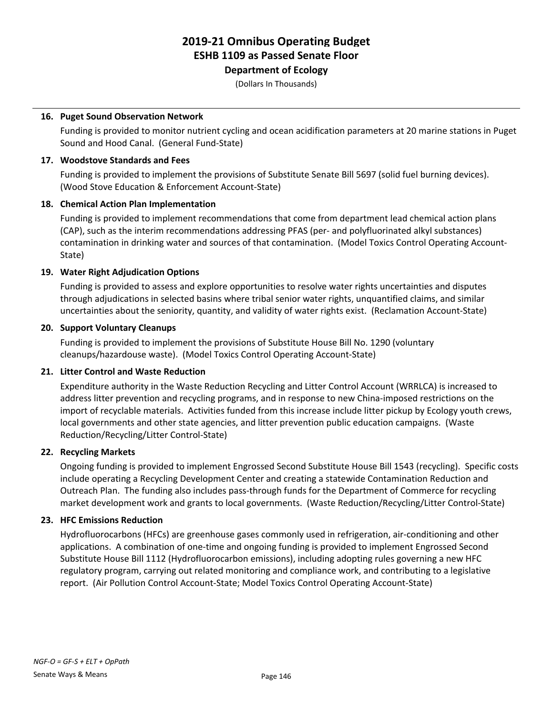### **Department of Ecology**

(Dollars In Thousands)

#### **16. Puget Sound Observation Network**

Funding is provided to monitor nutrient cycling and ocean acidification parameters at 20 marine stations in Puget Sound and Hood Canal. (General Fund-State)

#### **17. Woodstove Standards and Fees**

Funding is provided to implement the provisions of Substitute Senate Bill 5697 (solid fuel burning devices). (Wood Stove Education & Enforcement Account-State)

#### **18. Chemical Action Plan Implementation**

Funding is provided to implement recommendations that come from department lead chemical action plans (CAP), such as the interim recommendations addressing PFAS (per- and polyfluorinated alkyl substances) contamination in drinking water and sources of that contamination. (Model Toxics Control Operating Account-State)

#### **19. Water Right Adjudication Options**

Funding is provided to assess and explore opportunities to resolve water rights uncertainties and disputes through adjudications in selected basins where tribal senior water rights, unquantified claims, and similar uncertainties about the seniority, quantity, and validity of water rights exist. (Reclamation Account-State)

#### **20. Support Voluntary Cleanups**

Funding is provided to implement the provisions of Substitute House Bill No. 1290 (voluntary cleanups/hazardouse waste). (Model Toxics Control Operating Account-State)

#### **21. Litter Control and Waste Reduction**

Expenditure authority in the Waste Reduction Recycling and Litter Control Account (WRRLCA) is increased to address litter prevention and recycling programs, and in response to new China-imposed restrictions on the import of recyclable materials. Activities funded from this increase include litter pickup by Ecology youth crews, local governments and other state agencies, and litter prevention public education campaigns. (Waste Reduction/Recycling/Litter Control-State)

#### **22. Recycling Markets**

Ongoing funding is provided to implement Engrossed Second Substitute House Bill 1543 (recycling). Specific costs include operating a Recycling Development Center and creating a statewide Contamination Reduction and Outreach Plan. The funding also includes pass-through funds for the Department of Commerce for recycling market development work and grants to local governments. (Waste Reduction/Recycling/Litter Control-State)

#### **23. HFC Emissions Reduction**

Hydrofluorocarbons (HFCs) are greenhouse gases commonly used in refrigeration, air-conditioning and other applications. A combination of one-time and ongoing funding is provided to implement Engrossed Second Substitute House Bill 1112 (Hydrofluorocarbon emissions), including adopting rules governing a new HFC regulatory program, carrying out related monitoring and compliance work, and contributing to a legislative report. (Air Pollution Control Account-State; Model Toxics Control Operating Account-State)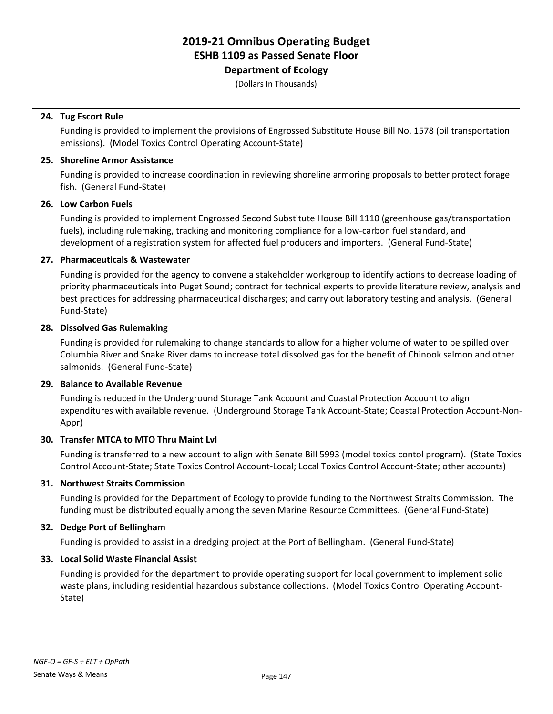### **Department of Ecology**

(Dollars In Thousands)

#### **24. Tug Escort Rule**

Funding is provided to implement the provisions of Engrossed Substitute House Bill No. 1578 (oil transportation emissions). (Model Toxics Control Operating Account-State)

#### **25. Shoreline Armor Assistance**

Funding is provided to increase coordination in reviewing shoreline armoring proposals to better protect forage fish. (General Fund-State)

#### **26. Low Carbon Fuels**

Funding is provided to implement Engrossed Second Substitute House Bill 1110 (greenhouse gas/transportation fuels), including rulemaking, tracking and monitoring compliance for a low-carbon fuel standard, and development of a registration system for affected fuel producers and importers. (General Fund-State)

#### **27. Pharmaceuticals & Wastewater**

Funding is provided for the agency to convene a stakeholder workgroup to identify actions to decrease loading of priority pharmaceuticals into Puget Sound; contract for technical experts to provide literature review, analysis and best practices for addressing pharmaceutical discharges; and carry out laboratory testing and analysis. (General Fund-State)

#### **28. Dissolved Gas Rulemaking**

Funding is provided for rulemaking to change standards to allow for a higher volume of water to be spilled over Columbia River and Snake River dams to increase total dissolved gas for the benefit of Chinook salmon and other salmonids. (General Fund-State)

#### **29. Balance to Available Revenue**

Funding is reduced in the Underground Storage Tank Account and Coastal Protection Account to align expenditures with available revenue. (Underground Storage Tank Account-State; Coastal Protection Account-Non-Appr)

#### **30. Transfer MTCA to MTO Thru Maint Lvl**

Funding is transferred to a new account to align with Senate Bill 5993 (model toxics contol program). (State Toxics Control Account-State; State Toxics Control Account-Local; Local Toxics Control Account-State; other accounts)

#### **31. Northwest Straits Commission**

Funding is provided for the Department of Ecology to provide funding to the Northwest Straits Commission. The funding must be distributed equally among the seven Marine Resource Committees. (General Fund-State)

#### **32. Dedge Port of Bellingham**

Funding is provided to assist in a dredging project at the Port of Bellingham. (General Fund-State)

#### **33. Local Solid Waste Financial Assist**

Funding is provided for the department to provide operating support for local government to implement solid waste plans, including residential hazardous substance collections. (Model Toxics Control Operating Account-State)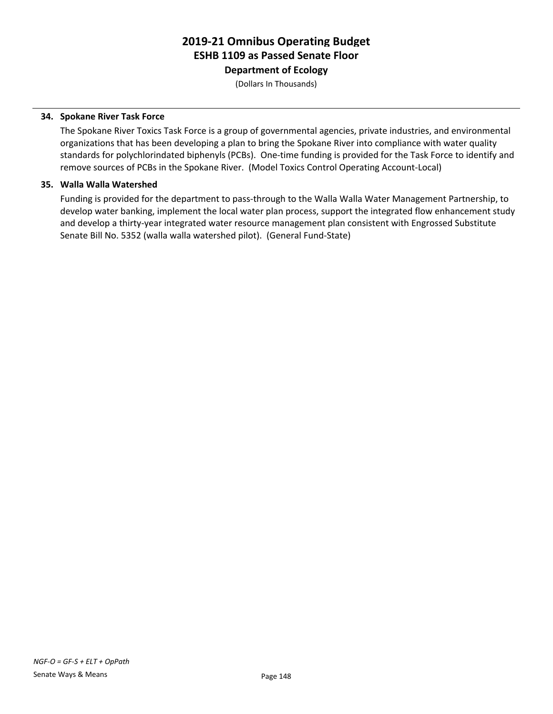**Department of Ecology**

(Dollars In Thousands)

#### **34. Spokane River Task Force**

The Spokane River Toxics Task Force is a group of governmental agencies, private industries, and environmental organizations that has been developing a plan to bring the Spokane River into compliance with water quality standards for polychlorindated biphenyls (PCBs). One-time funding is provided for the Task Force to identify and remove sources of PCBs in the Spokane River. (Model Toxics Control Operating Account-Local)

#### **35. Walla Walla Watershed**

Funding is provided for the department to pass-through to the Walla Walla Water Management Partnership, to develop water banking, implement the local water plan process, support the integrated flow enhancement study and develop a thirty-year integrated water resource management plan consistent with Engrossed Substitute Senate Bill No. 5352 (walla walla watershed pilot). (General Fund-State)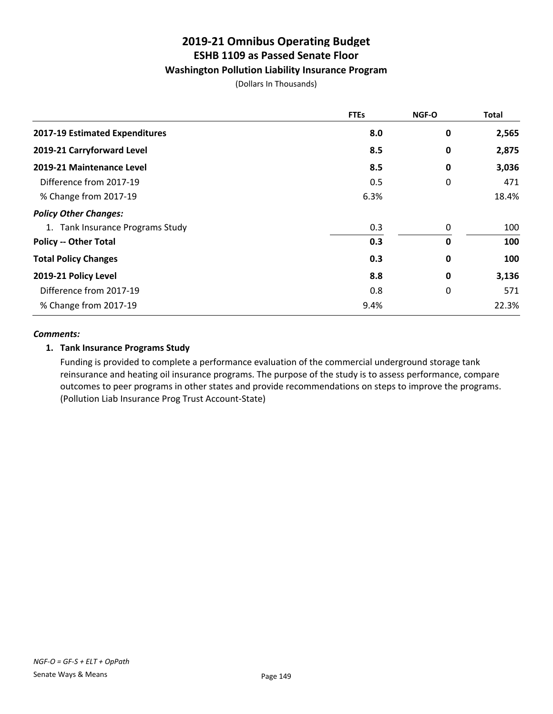### **Washington Pollution Liability Insurance Program**

(Dollars In Thousands)

|                                  | <b>FTEs</b> | <b>NGF-O</b> | <b>Total</b> |
|----------------------------------|-------------|--------------|--------------|
| 2017-19 Estimated Expenditures   | 8.0         | 0            | 2,565        |
| 2019-21 Carryforward Level       | 8.5         | 0            | 2,875        |
| 2019-21 Maintenance Level        | 8.5         | 0            | 3,036        |
| Difference from 2017-19          | 0.5         | 0            | 471          |
| % Change from 2017-19            | 6.3%        |              | 18.4%        |
| <b>Policy Other Changes:</b>     |             |              |              |
| 1. Tank Insurance Programs Study | 0.3         | 0            | 100          |
| <b>Policy -- Other Total</b>     | 0.3         | $\mathbf 0$  | 100          |
| <b>Total Policy Changes</b>      | 0.3         | 0            | 100          |
| 2019-21 Policy Level             | 8.8         | 0            | 3,136        |
| Difference from 2017-19          | 0.8         | 0            | 571          |
| % Change from 2017-19            | 9.4%        |              | 22.3%        |

#### *Comments:*

#### **1. Tank Insurance Programs Study**

Funding is provided to complete a performance evaluation of the commercial underground storage tank reinsurance and heating oil insurance programs. The purpose of the study is to assess performance, compare outcomes to peer programs in other states and provide recommendations on steps to improve the programs. (Pollution Liab Insurance Prog Trust Account-State)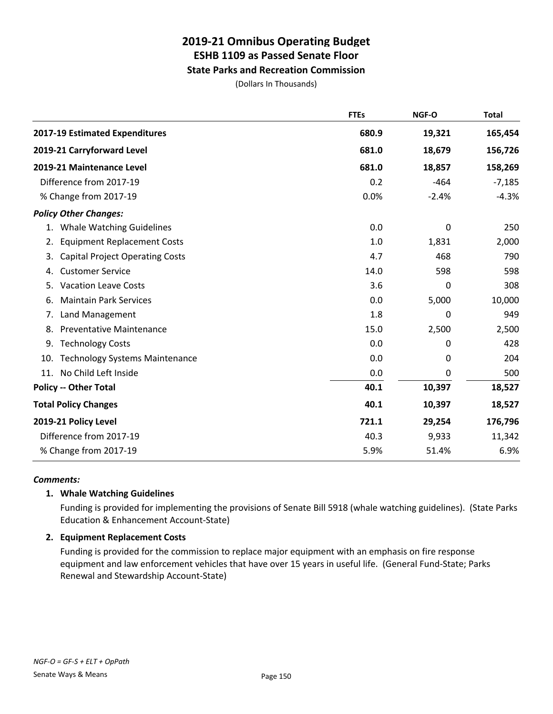#### **State Parks and Recreation Commission**

(Dollars In Thousands)

|                                              | <b>FTEs</b> | NGF-O   | <b>Total</b> |
|----------------------------------------------|-------------|---------|--------------|
| 2017-19 Estimated Expenditures               | 680.9       | 19,321  | 165,454      |
| 2019-21 Carryforward Level                   | 681.0       | 18,679  | 156,726      |
| 2019-21 Maintenance Level                    | 681.0       | 18,857  | 158,269      |
| Difference from 2017-19                      | 0.2         | $-464$  | $-7,185$     |
| % Change from 2017-19                        | 0.0%        | $-2.4%$ | $-4.3%$      |
| <b>Policy Other Changes:</b>                 |             |         |              |
| <b>Whale Watching Guidelines</b><br>1.       | 0.0         | 0       | 250          |
| <b>Equipment Replacement Costs</b><br>2.     | 1.0         | 1,831   | 2,000        |
| <b>Capital Project Operating Costs</b><br>3. | 4.7         | 468     | 790          |
| <b>Customer Service</b><br>4.                | 14.0        | 598     | 598          |
| <b>Vacation Leave Costs</b><br>5.            | 3.6         | 0       | 308          |
| <b>Maintain Park Services</b><br>6.          | 0.0         | 5,000   | 10,000       |
| Land Management<br>7.                        | 1.8         | 0       | 949          |
| 8.<br><b>Preventative Maintenance</b>        | 15.0        | 2,500   | 2,500        |
| 9.<br><b>Technology Costs</b>                | 0.0         | 0       | 428          |
| <b>Technology Systems Maintenance</b><br>10. | 0.0         | 0       | 204          |
| No Child Left Inside<br>11.                  | 0.0         | 0       | 500          |
| <b>Policy -- Other Total</b>                 | 40.1        | 10,397  | 18,527       |
| <b>Total Policy Changes</b>                  | 40.1        | 10,397  | 18,527       |
| 2019-21 Policy Level                         | 721.1       | 29,254  | 176,796      |
| Difference from 2017-19                      | 40.3        | 9,933   | 11,342       |
| % Change from 2017-19                        | 5.9%        | 51.4%   | 6.9%         |

#### *Comments:*

#### **1. Whale Watching Guidelines**

Funding is provided for implementing the provisions of Senate Bill 5918 (whale watching guidelines). (State Parks Education & Enhancement Account-State)

#### **2. Equipment Replacement Costs**

Funding is provided for the commission to replace major equipment with an emphasis on fire response equipment and law enforcement vehicles that have over 15 years in useful life. (General Fund-State; Parks Renewal and Stewardship Account-State)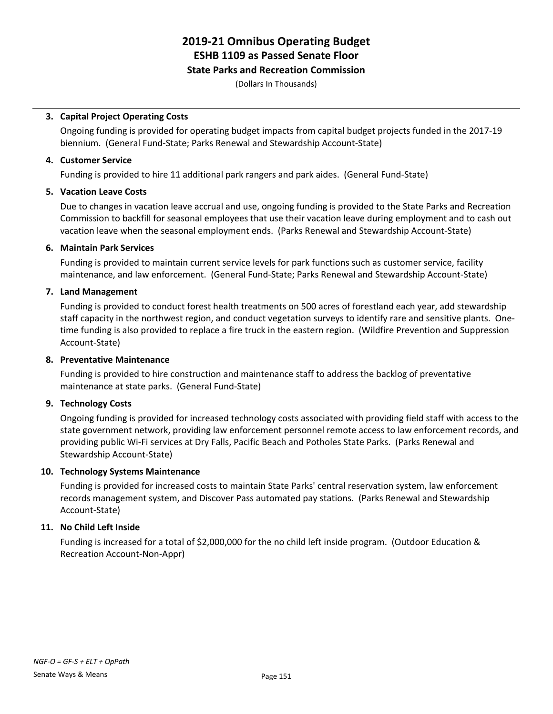#### **State Parks and Recreation Commission**

(Dollars In Thousands)

#### **3. Capital Project Operating Costs**

Ongoing funding is provided for operating budget impacts from capital budget projects funded in the 2017-19 biennium. (General Fund-State; Parks Renewal and Stewardship Account-State)

#### **4. Customer Service**

Funding is provided to hire 11 additional park rangers and park aides. (General Fund-State)

#### **5. Vacation Leave Costs**

Due to changes in vacation leave accrual and use, ongoing funding is provided to the State Parks and Recreation Commission to backfill for seasonal employees that use their vacation leave during employment and to cash out vacation leave when the seasonal employment ends. (Parks Renewal and Stewardship Account-State)

#### **6. Maintain Park Services**

Funding is provided to maintain current service levels for park functions such as customer service, facility maintenance, and law enforcement. (General Fund-State; Parks Renewal and Stewardship Account-State)

#### **7. Land Management**

Funding is provided to conduct forest health treatments on 500 acres of forestland each year, add stewardship staff capacity in the northwest region, and conduct vegetation surveys to identify rare and sensitive plants. Onetime funding is also provided to replace a fire truck in the eastern region. (Wildfire Prevention and Suppression Account-State)

#### **8. Preventative Maintenance**

Funding is provided to hire construction and maintenance staff to address the backlog of preventative maintenance at state parks. (General Fund-State)

#### **9. Technology Costs**

Ongoing funding is provided for increased technology costs associated with providing field staff with access to the state government network, providing law enforcement personnel remote access to law enforcement records, and providing public Wi-Fi services at Dry Falls, Pacific Beach and Potholes State Parks. (Parks Renewal and Stewardship Account-State)

#### **10. Technology Systems Maintenance**

Funding is provided for increased costs to maintain State Parks' central reservation system, law enforcement records management system, and Discover Pass automated pay stations. (Parks Renewal and Stewardship Account-State)

#### **11. No Child Left Inside**

Funding is increased for a total of \$2,000,000 for the no child left inside program. (Outdoor Education & Recreation Account-Non-Appr)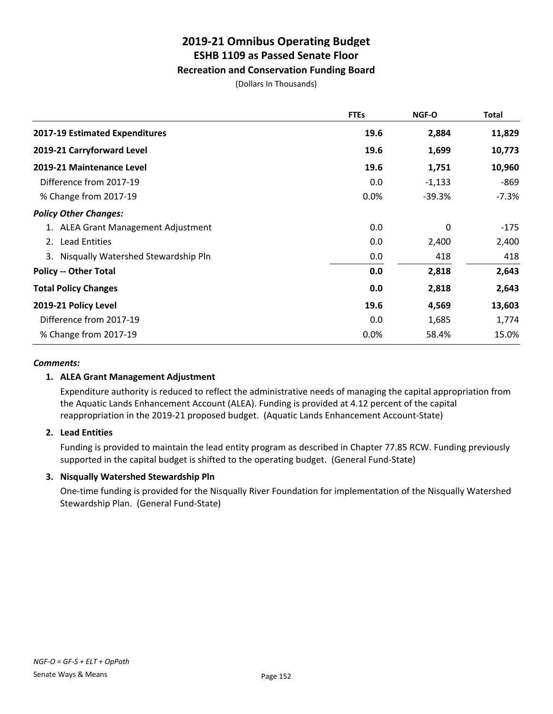#### **Recreation and Conservation Funding Board**

(Dollars In Thousands)

|                                        | <b>FTEs</b> | <b>NGF-O</b> | <b>Total</b> |
|----------------------------------------|-------------|--------------|--------------|
| 2017-19 Estimated Expenditures         | 19.6        | 2,884        | 11,829       |
| 2019-21 Carryforward Level             | 19.6        | 1,699        | 10,773       |
| 2019-21 Maintenance Level              | 19.6        | 1,751        | 10,960       |
| Difference from 2017-19                | 0.0         | $-1,133$     | -869         |
| % Change from 2017-19                  | 0.0%        | $-39.3%$     | $-7.3%$      |
| <b>Policy Other Changes:</b>           |             |              |              |
| 1. ALEA Grant Management Adjustment    | 0.0         | 0            | -175         |
| <b>Lead Entities</b><br>2.             | 0.0         | 2,400        | 2,400        |
| 3. Nisqually Watershed Stewardship Pln | 0.0         | 418          | 418          |
| <b>Policy -- Other Total</b>           | 0.0         | 2,818        | 2,643        |
| <b>Total Policy Changes</b>            | 0.0         | 2,818        | 2,643        |
| 2019-21 Policy Level                   | 19.6        | 4,569        | 13,603       |
| Difference from 2017-19                | 0.0         | 1,685        | 1,774        |
| % Change from 2017-19                  | 0.0%        | 58.4%        | 15.0%        |

#### *Comments:*

#### **1. ALEA Grant Management Adjustment**

Expenditure authority is reduced to reflect the administrative needs of managing the capital appropriation from the Aquatic Lands Enhancement Account (ALEA). Funding is provided at 4.12 percent of the capital reappropriation in the 2019-21 proposed budget. (Aquatic Lands Enhancement Account-State)

#### **2. Lead Entities**

Funding is provided to maintain the lead entity program as described in Chapter 77.85 RCW. Funding previously supported in the capital budget is shifted to the operating budget. (General Fund-State)

#### **3. Nisqually Watershed Stewardship Pln**

One-time funding is provided for the Nisqually River Foundation for implementation of the Nisqually Watershed Stewardship Plan. (General Fund-State)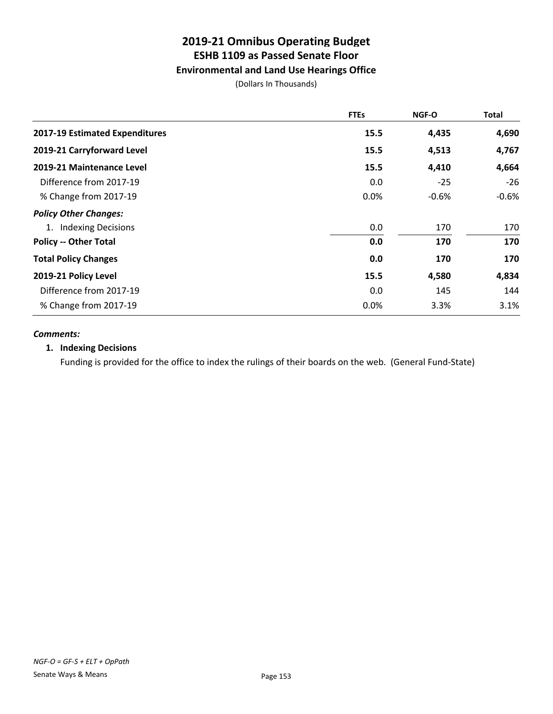### **Environmental and Land Use Hearings Office**

(Dollars In Thousands)

|                                | <b>FTEs</b> | <b>NGF-O</b> | <b>Total</b> |
|--------------------------------|-------------|--------------|--------------|
| 2017-19 Estimated Expenditures | 15.5        | 4,435        | 4,690        |
| 2019-21 Carryforward Level     | 15.5        | 4,513        | 4,767        |
| 2019-21 Maintenance Level      | 15.5        | 4,410        | 4,664        |
| Difference from 2017-19        | 0.0         | $-25$        | $-26$        |
| % Change from 2017-19          | 0.0%        | $-0.6%$      | $-0.6%$      |
| <b>Policy Other Changes:</b>   |             |              |              |
| 1. Indexing Decisions          | 0.0         | 170          | 170          |
| <b>Policy -- Other Total</b>   | 0.0         | 170          | 170          |
| <b>Total Policy Changes</b>    | 0.0         | 170          | 170          |
| 2019-21 Policy Level           | 15.5        | 4,580        | 4,834        |
| Difference from 2017-19        | 0.0         | 145          | 144          |
| % Change from 2017-19          | 0.0%        | 3.3%         | 3.1%         |

#### *Comments:*

#### **1. Indexing Decisions**

Funding is provided for the office to index the rulings of their boards on the web. (General Fund-State)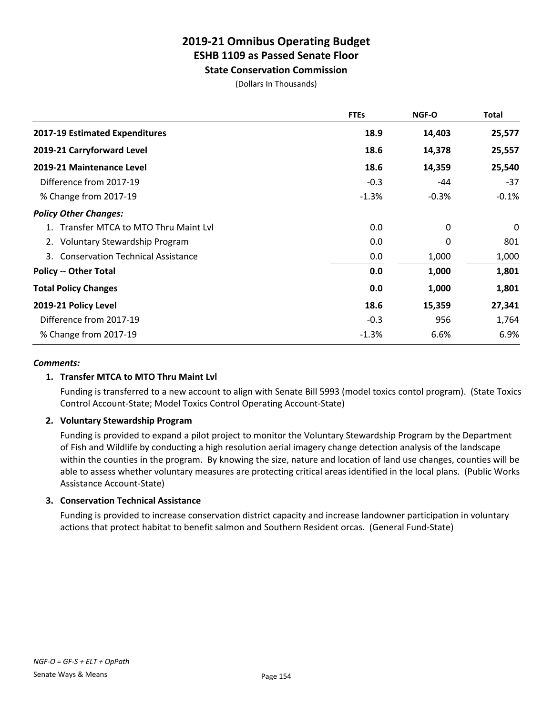### **State Conservation Commission**

(Dollars In Thousands)

|                                        | <b>FTEs</b> | NGF-O   | Total    |
|----------------------------------------|-------------|---------|----------|
| 2017-19 Estimated Expenditures         | 18.9        | 14,403  | 25,577   |
| 2019-21 Carryforward Level             | 18.6        | 14,378  | 25,557   |
| 2019-21 Maintenance Level              | 18.6        | 14,359  | 25,540   |
| Difference from 2017-19                | $-0.3$      | -44     | $-37$    |
| % Change from 2017-19                  | $-1.3%$     | $-0.3%$ | $-0.1\%$ |
| <b>Policy Other Changes:</b>           |             |         |          |
| 1. Transfer MTCA to MTO Thru Maint Lyl | 0.0         | 0       | 0        |
| 2. Voluntary Stewardship Program       | 0.0         | 0       | 801      |
| 3. Conservation Technical Assistance   | 0.0         | 1,000   | 1,000    |
| <b>Policy -- Other Total</b>           | 0.0         | 1,000   | 1,801    |
| <b>Total Policy Changes</b>            | 0.0         | 1,000   | 1,801    |
| 2019-21 Policy Level                   | 18.6        | 15,359  | 27,341   |
| Difference from 2017-19                | $-0.3$      | 956     | 1,764    |
| % Change from 2017-19                  | $-1.3%$     | 6.6%    | 6.9%     |

#### *Comments:*

#### **1. Transfer MTCA to MTO Thru Maint Lvl**

Funding is transferred to a new account to align with Senate Bill 5993 (model toxics contol program). (State Toxics Control Account-State; Model Toxics Control Operating Account-State)

#### **2. Voluntary Stewardship Program**

Funding is provided to expand a pilot project to monitor the Voluntary Stewardship Program by the Department of Fish and Wildlife by conducting a high resolution aerial imagery change detection analysis of the landscape within the counties in the program. By knowing the size, nature and location of land use changes, counties will be able to assess whether voluntary measures are protecting critical areas identified in the local plans. (Public Works Assistance Account-State)

#### **3. Conservation Technical Assistance**

Funding is provided to increase conservation district capacity and increase landowner participation in voluntary actions that protect habitat to benefit salmon and Southern Resident orcas. (General Fund-State)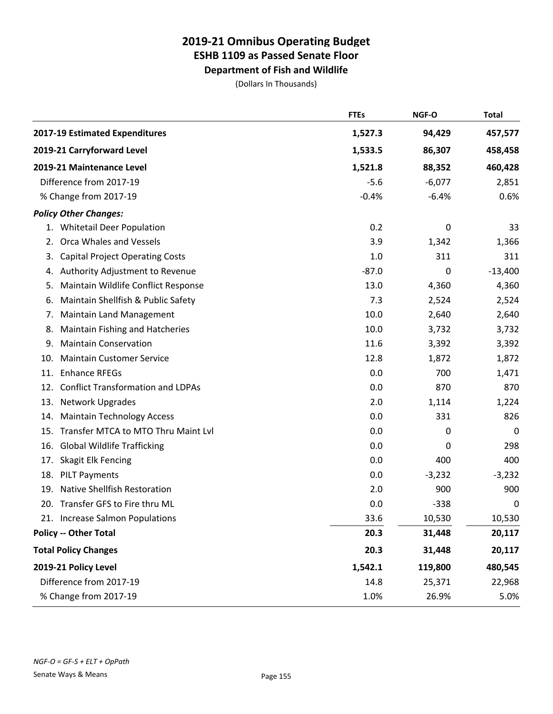**Department of Fish and Wildlife**

(Dollars In Thousands)

|                                                 | <b>FTEs</b> | NGF-O    | <b>Total</b>     |
|-------------------------------------------------|-------------|----------|------------------|
| 2017-19 Estimated Expenditures                  | 1,527.3     | 94,429   | 457,577          |
| 2019-21 Carryforward Level                      | 1,533.5     | 86,307   | 458,458          |
| 2019-21 Maintenance Level                       | 1,521.8     | 88,352   | 460,428          |
| Difference from 2017-19                         | $-5.6$      | $-6,077$ | 2,851            |
| % Change from 2017-19                           | $-0.4%$     | $-6.4%$  | 0.6%             |
| <b>Policy Other Changes:</b>                    |             |          |                  |
| 1. Whitetail Deer Population                    | 0.2         | 0        | 33               |
| <b>Orca Whales and Vessels</b><br>2.            | 3.9         | 1,342    | 1,366            |
| <b>Capital Project Operating Costs</b><br>3.    | 1.0         | 311      | 311              |
| Authority Adjustment to Revenue<br>4.           | $-87.0$     | 0        | $-13,400$        |
| Maintain Wildlife Conflict Response<br>5.       | 13.0        | 4,360    | 4,360            |
| Maintain Shellfish & Public Safety<br>6.        | 7.3         | 2,524    | 2,524            |
| <b>Maintain Land Management</b><br>7.           | 10.0        | 2,640    | 2,640            |
| <b>Maintain Fishing and Hatcheries</b><br>8.    | 10.0        | 3,732    | 3,732            |
| <b>Maintain Conservation</b><br>9.              | 11.6        | 3,392    | 3,392            |
| <b>Maintain Customer Service</b><br>10.         | 12.8        | 1,872    | 1,872            |
| <b>Enhance RFEGs</b><br>11.                     | 0.0         | 700      | 1,471            |
| <b>Conflict Transformation and LDPAs</b><br>12. | 0.0         | 870      | 870              |
| 13.<br><b>Network Upgrades</b>                  | 2.0         | 1,114    | 1,224            |
| <b>Maintain Technology Access</b><br>14.        | 0.0         | 331      | 826              |
| Transfer MTCA to MTO Thru Maint Lvl<br>15.      | 0.0         | 0        | $\boldsymbol{0}$ |
| <b>Global Wildlife Trafficking</b><br>16.       | 0.0         | 0        | 298              |
| Skagit Elk Fencing<br>17.                       | 0.0         | 400      | 400              |
| <b>PILT Payments</b><br>18.                     | 0.0         | $-3,232$ | $-3,232$         |
| <b>Native Shellfish Restoration</b><br>19.      | 2.0         | 900      | 900              |
| 20. Transfer GFS to Fire thru ML                | 0.0         | $-338$   | 0                |
| 21. Increase Salmon Populations                 | 33.6        | 10,530   | 10,530           |
| <b>Policy -- Other Total</b>                    | 20.3        | 31,448   | 20,117           |
| <b>Total Policy Changes</b>                     | 20.3        | 31,448   | 20,117           |
| 2019-21 Policy Level                            | 1,542.1     | 119,800  | 480,545          |
| Difference from 2017-19                         | 14.8        | 25,371   | 22,968           |
| % Change from 2017-19                           | 1.0%        | 26.9%    | 5.0%             |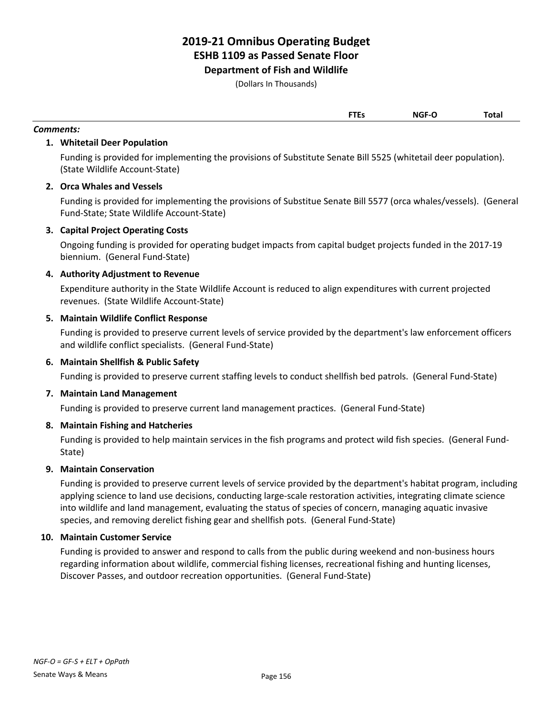**Department of Fish and Wildlife**

(Dollars In Thousands)

|  | . ILS   |       | ſotal |
|--|---------|-------|-------|
|  | $- - -$ | NGF-C |       |

#### *Comments:*

#### **1. Whitetail Deer Population**

Funding is provided for implementing the provisions of Substitute Senate Bill 5525 (whitetail deer population). (State Wildlife Account-State)

#### **2. Orca Whales and Vessels**

Funding is provided for implementing the provisions of Substitue Senate Bill 5577 (orca whales/vessels). (General Fund-State; State Wildlife Account-State)

#### **3. Capital Project Operating Costs**

Ongoing funding is provided for operating budget impacts from capital budget projects funded in the 2017-19 biennium. (General Fund-State)

#### **4. Authority Adjustment to Revenue**

Expenditure authority in the State Wildlife Account is reduced to align expenditures with current projected revenues. (State Wildlife Account-State)

#### **5. Maintain Wildlife Conflict Response**

Funding is provided to preserve current levels of service provided by the department's law enforcement officers and wildlife conflict specialists. (General Fund-State)

#### **6. Maintain Shellfish & Public Safety**

Funding is provided to preserve current staffing levels to conduct shellfish bed patrols. (General Fund-State)

#### **7. Maintain Land Management**

Funding is provided to preserve current land management practices. (General Fund-State)

#### **8. Maintain Fishing and Hatcheries**

Funding is provided to help maintain services in the fish programs and protect wild fish species. (General Fund-State)

#### **9. Maintain Conservation**

Funding is provided to preserve current levels of service provided by the department's habitat program, including applying science to land use decisions, conducting large-scale restoration activities, integrating climate science into wildlife and land management, evaluating the status of species of concern, managing aquatic invasive species, and removing derelict fishing gear and shellfish pots. (General Fund-State)

#### **10. Maintain Customer Service**

Funding is provided to answer and respond to calls from the public during weekend and non-business hours regarding information about wildlife, commercial fishing licenses, recreational fishing and hunting licenses, Discover Passes, and outdoor recreation opportunities. (General Fund-State)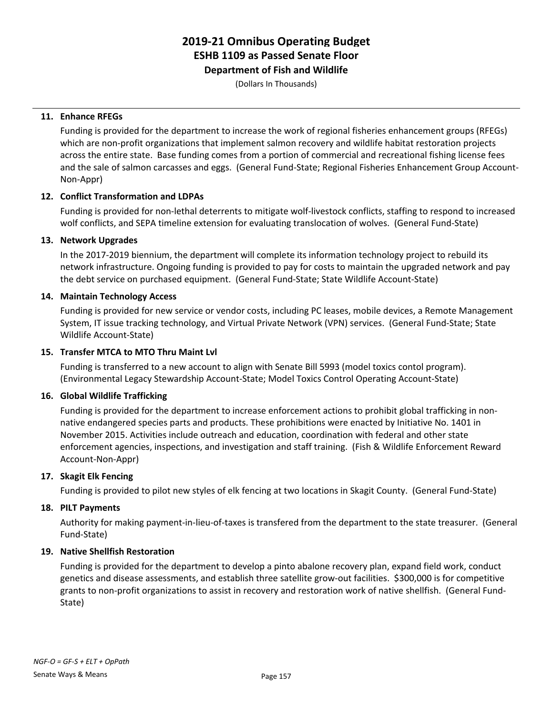**Department of Fish and Wildlife**

(Dollars In Thousands)

#### **11. Enhance RFEGs**

Funding is provided for the department to increase the work of regional fisheries enhancement groups (RFEGs) which are non-profit organizations that implement salmon recovery and wildlife habitat restoration projects across the entire state. Base funding comes from a portion of commercial and recreational fishing license fees and the sale of salmon carcasses and eggs. (General Fund-State; Regional Fisheries Enhancement Group Account-Non-Appr)

#### **12. Conflict Transformation and LDPAs**

Funding is provided for non-lethal deterrents to mitigate wolf-livestock conflicts, staffing to respond to increased wolf conflicts, and SEPA timeline extension for evaluating translocation of wolves. (General Fund-State)

#### **13. Network Upgrades**

In the 2017-2019 biennium, the department will complete its information technology project to rebuild its network infrastructure. Ongoing funding is provided to pay for costs to maintain the upgraded network and pay the debt service on purchased equipment. (General Fund-State; State Wildlife Account-State)

#### **14. Maintain Technology Access**

Funding is provided for new service or vendor costs, including PC leases, mobile devices, a Remote Management System, IT issue tracking technology, and Virtual Private Network (VPN) services. (General Fund-State; State Wildlife Account-State)

#### **15. Transfer MTCA to MTO Thru Maint Lvl**

Funding is transferred to a new account to align with Senate Bill 5993 (model toxics contol program). (Environmental Legacy Stewardship Account-State; Model Toxics Control Operating Account-State)

#### **16. Global Wildlife Trafficking**

Funding is provided for the department to increase enforcement actions to prohibit global trafficking in nonnative endangered species parts and products. These prohibitions were enacted by Initiative No. 1401 in November 2015. Activities include outreach and education, coordination with federal and other state enforcement agencies, inspections, and investigation and staff training. (Fish & Wildlife Enforcement Reward Account-Non-Appr)

#### **17. Skagit Elk Fencing**

Funding is provided to pilot new styles of elk fencing at two locations in Skagit County. (General Fund-State)

#### **18. PILT Payments**

Authority for making payment-in-lieu-of-taxes is transfered from the department to the state treasurer. (General Fund-State)

#### **19. Native Shellfish Restoration**

Funding is provided for the department to develop a pinto abalone recovery plan, expand field work, conduct genetics and disease assessments, and establish three satellite grow-out facilities. \$300,000 is for competitive grants to non-profit organizations to assist in recovery and restoration work of native shellfish. (General Fund-State)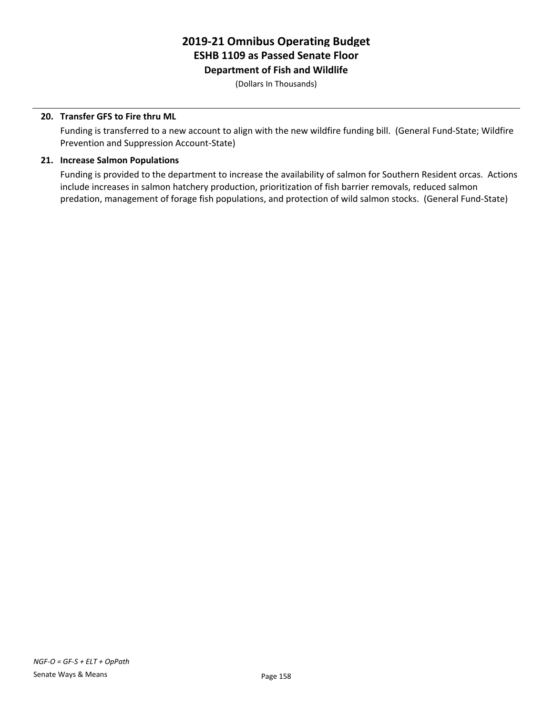### **2019-21 Omnibus Operating Budget ESHB 1109 as Passed Senate Floor Department of Fish and Wildlife**

(Dollars In Thousands)

#### **20. Transfer GFS to Fire thru ML**

Funding is transferred to a new account to align with the new wildfire funding bill. (General Fund-State; Wildfire Prevention and Suppression Account-State)

#### **21. Increase Salmon Populations**

Funding is provided to the department to increase the availability of salmon for Southern Resident orcas. Actions include increases in salmon hatchery production, prioritization of fish barrier removals, reduced salmon predation, management of forage fish populations, and protection of wild salmon stocks. (General Fund-State)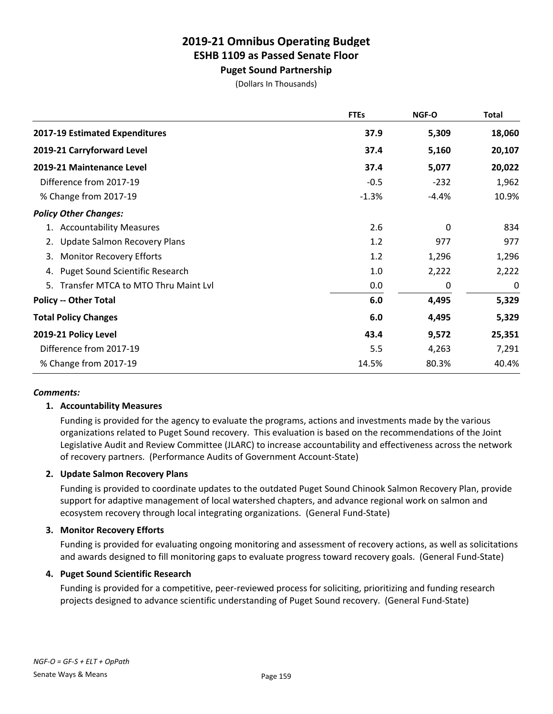**Puget Sound Partnership**

(Dollars In Thousands)

|                                              | <b>FTEs</b> | NGF-O   | <b>Total</b> |
|----------------------------------------------|-------------|---------|--------------|
| 2017-19 Estimated Expenditures               | 37.9        | 5,309   | 18,060       |
| 2019-21 Carryforward Level                   | 37.4        | 5,160   | 20,107       |
| 2019-21 Maintenance Level                    | 37.4        | 5,077   | 20,022       |
| Difference from 2017-19                      | $-0.5$      | $-232$  | 1,962        |
| % Change from 2017-19                        | $-1.3%$     | $-4.4%$ | 10.9%        |
| <b>Policy Other Changes:</b>                 |             |         |              |
| 1. Accountability Measures                   | 2.6         | 0       | 834          |
| <b>Update Salmon Recovery Plans</b>          | 1.2         | 977     | 977          |
| <b>Monitor Recovery Efforts</b><br>3.        | 1.2         | 1,296   | 1,296        |
| <b>Puget Sound Scientific Research</b><br>4. | 1.0         | 2,222   | 2,222        |
| Transfer MTCA to MTO Thru Maint Lvl<br>5.    | 0.0         | 0       | 0            |
| <b>Policy -- Other Total</b>                 | 6.0         | 4,495   | 5,329        |
| <b>Total Policy Changes</b>                  | 6.0         | 4,495   | 5,329        |
| 2019-21 Policy Level                         | 43.4        | 9,572   | 25,351       |
| Difference from 2017-19                      | 5.5         | 4,263   | 7,291        |
| % Change from 2017-19                        | 14.5%       | 80.3%   | 40.4%        |

#### *Comments:*

#### **1. Accountability Measures**

Funding is provided for the agency to evaluate the programs, actions and investments made by the various organizations related to Puget Sound recovery. This evaluation is based on the recommendations of the Joint Legislative Audit and Review Committee (JLARC) to increase accountability and effectiveness across the network of recovery partners. (Performance Audits of Government Account-State)

#### **2. Update Salmon Recovery Plans**

Funding is provided to coordinate updates to the outdated Puget Sound Chinook Salmon Recovery Plan, provide support for adaptive management of local watershed chapters, and advance regional work on salmon and ecosystem recovery through local integrating organizations. (General Fund-State)

#### **3. Monitor Recovery Efforts**

Funding is provided for evaluating ongoing monitoring and assessment of recovery actions, as well as solicitations and awards designed to fill monitoring gaps to evaluate progress toward recovery goals. (General Fund-State)

#### **4. Puget Sound Scientific Research**

Funding is provided for a competitive, peer-reviewed process for soliciting, prioritizing and funding research projects designed to advance scientific understanding of Puget Sound recovery. (General Fund-State)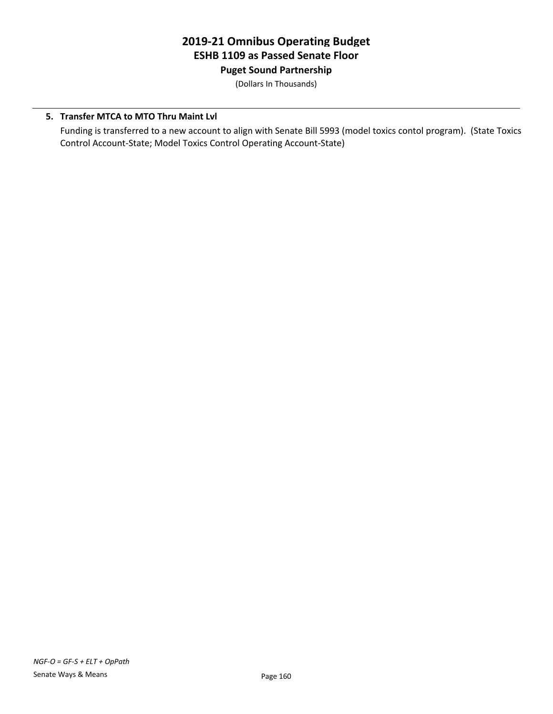**Puget Sound Partnership**

(Dollars In Thousands)

#### **5. Transfer MTCA to MTO Thru Maint Lvl**

Funding is transferred to a new account to align with Senate Bill 5993 (model toxics contol program). (State Toxics Control Account-State; Model Toxics Control Operating Account-State)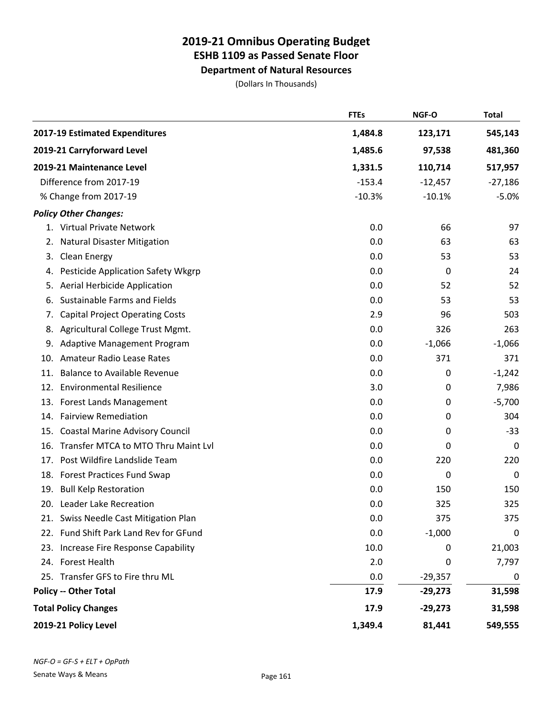**Department of Natural Resources**

(Dollars In Thousands)

|     |                                        | <b>FTEs</b> | NGF-O     | <b>Total</b>     |
|-----|----------------------------------------|-------------|-----------|------------------|
|     | 2017-19 Estimated Expenditures         | 1,484.8     | 123,171   | 545,143          |
|     | 2019-21 Carryforward Level             | 1,485.6     | 97,538    | 481,360          |
|     | 2019-21 Maintenance Level              | 1,331.5     | 110,714   | 517,957          |
|     | Difference from 2017-19                | $-153.4$    | $-12,457$ | $-27,186$        |
|     | % Change from 2017-19                  | $-10.3%$    | $-10.1%$  | $-5.0%$          |
|     | <b>Policy Other Changes:</b>           |             |           |                  |
|     | 1. Virtual Private Network             | 0.0         | 66        | 97               |
| 2.  | <b>Natural Disaster Mitigation</b>     | 0.0         | 63        | 63               |
| 3.  | <b>Clean Energy</b>                    | 0.0         | 53        | 53               |
| 4.  | Pesticide Application Safety Wkgrp     | 0.0         | 0         | 24               |
| 5.  | Aerial Herbicide Application           | 0.0         | 52        | 52               |
| 6.  | Sustainable Farms and Fields           | 0.0         | 53        | 53               |
| 7.  | <b>Capital Project Operating Costs</b> | 2.9         | 96        | 503              |
| 8.  | Agricultural College Trust Mgmt.       | 0.0         | 326       | 263              |
| 9.  | Adaptive Management Program            | 0.0         | $-1,066$  | $-1,066$         |
| 10. | Amateur Radio Lease Rates              | 0.0         | 371       | 371              |
| 11. | <b>Balance to Available Revenue</b>    | 0.0         | 0         | $-1,242$         |
| 12. | <b>Environmental Resilience</b>        | 3.0         | 0         | 7,986            |
| 13. | Forest Lands Management                | 0.0         | 0         | $-5,700$         |
| 14. | <b>Fairview Remediation</b>            | 0.0         | 0         | 304              |
| 15. | <b>Coastal Marine Advisory Council</b> | 0.0         | 0         | $-33$            |
| 16. | Transfer MTCA to MTO Thru Maint Lvl    | 0.0         | 0         | $\boldsymbol{0}$ |
| 17. | Post Wildfire Landslide Team           | 0.0         | 220       | 220              |
| 18. | <b>Forest Practices Fund Swap</b>      | 0.0         | 0         | 0                |
| 19. | <b>Bull Kelp Restoration</b>           | 0.0         | 150       | 150              |
|     | 20. Leader Lake Recreation             | 0.0         | 325       | 325              |
|     | 21. Swiss Needle Cast Mitigation Plan  | 0.0         | 375       | 375              |
|     | 22. Fund Shift Park Land Rev for GFund | 0.0         | $-1,000$  | 0                |
|     | 23. Increase Fire Response Capability  | 10.0        | 0         | 21,003           |
|     | 24. Forest Health                      | 2.0         | 0         | 7,797            |
|     | 25. Transfer GFS to Fire thru ML       | 0.0         | $-29,357$ | 0                |
|     | <b>Policy -- Other Total</b>           | 17.9        | $-29,273$ | 31,598           |
|     | <b>Total Policy Changes</b>            | 17.9        | $-29,273$ | 31,598           |
|     | 2019-21 Policy Level                   | 1,349.4     | 81,441    | 549,555          |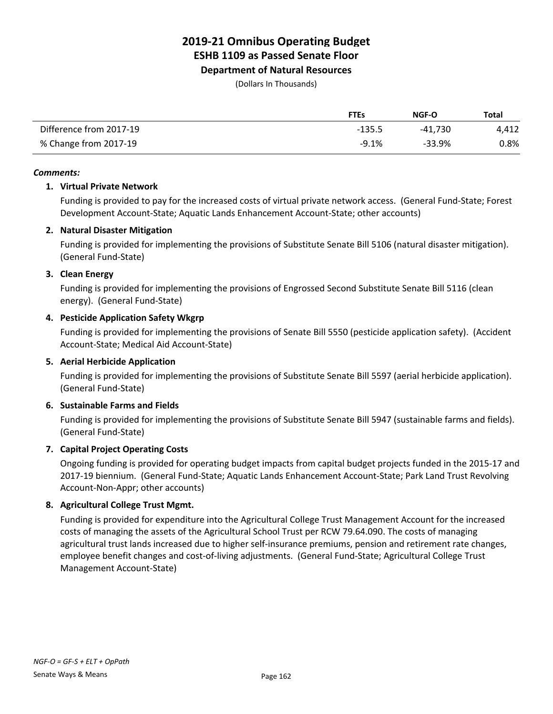**Department of Natural Resources**

(Dollars In Thousands)

|                         | <b>FTEs</b> | NGF-O   | Total |
|-------------------------|-------------|---------|-------|
| Difference from 2017-19 | $-135.5$    | -41.730 | 4,412 |
| % Change from 2017-19   | $-9.1%$     | -33.9%  | 0.8%  |

#### *Comments:*

#### **1. Virtual Private Network**

Funding is provided to pay for the increased costs of virtual private network access. (General Fund-State; Forest Development Account-State; Aquatic Lands Enhancement Account-State; other accounts)

#### **2. Natural Disaster Mitigation**

Funding is provided for implementing the provisions of Substitute Senate Bill 5106 (natural disaster mitigation). (General Fund-State)

#### **3. Clean Energy**

Funding is provided for implementing the provisions of Engrossed Second Substitute Senate Bill 5116 (clean energy). (General Fund-State)

#### **4. Pesticide Application Safety Wkgrp**

Funding is provided for implementing the provisions of Senate Bill 5550 (pesticide application safety). (Accident Account-State; Medical Aid Account-State)

#### **5. Aerial Herbicide Application**

Funding is provided for implementing the provisions of Substitute Senate Bill 5597 (aerial herbicide application). (General Fund-State)

#### **6. Sustainable Farms and Fields**

Funding is provided for implementing the provisions of Substitute Senate Bill 5947 (sustainable farms and fields). (General Fund-State)

#### **7. Capital Project Operating Costs**

Ongoing funding is provided for operating budget impacts from capital budget projects funded in the 2015-17 and 2017-19 biennium. (General Fund-State; Aquatic Lands Enhancement Account-State; Park Land Trust Revolving Account-Non-Appr; other accounts)

#### **8. Agricultural College Trust Mgmt.**

Funding is provided for expenditure into the Agricultural College Trust Management Account for the increased costs of managing the assets of the Agricultural School Trust per RCW 79.64.090. The costs of managing agricultural trust lands increased due to higher self-insurance premiums, pension and retirement rate changes, employee benefit changes and cost-of-living adjustments. (General Fund-State; Agricultural College Trust Management Account-State)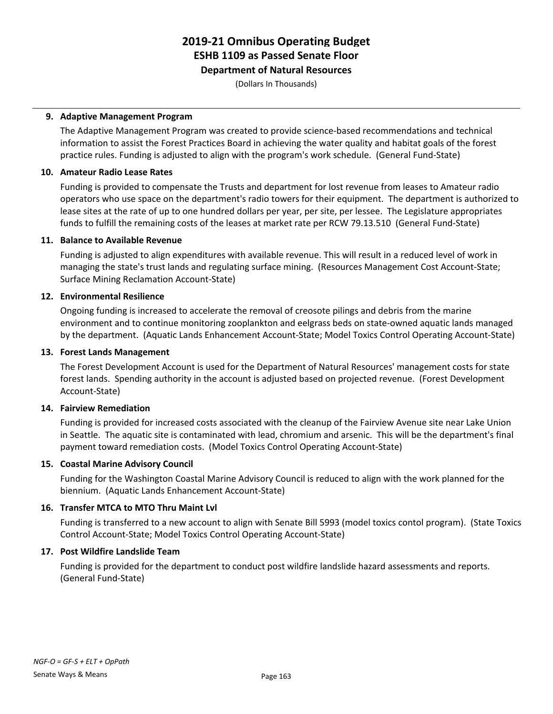**Department of Natural Resources**

(Dollars In Thousands)

#### **9. Adaptive Management Program**

The Adaptive Management Program was created to provide science-based recommendations and technical information to assist the Forest Practices Board in achieving the water quality and habitat goals of the forest practice rules. Funding is adjusted to align with the program's work schedule. (General Fund-State)

#### **10. Amateur Radio Lease Rates**

Funding is provided to compensate the Trusts and department for lost revenue from leases to Amateur radio operators who use space on the department's radio towers for their equipment. The department is authorized to lease sites at the rate of up to one hundred dollars per year, per site, per lessee. The Legislature appropriates funds to fulfill the remaining costs of the leases at market rate per RCW 79.13.510 (General Fund-State)

#### **11. Balance to Available Revenue**

Funding is adjusted to align expenditures with available revenue. This will result in a reduced level of work in managing the state's trust lands and regulating surface mining. (Resources Management Cost Account-State; Surface Mining Reclamation Account-State)

#### **12. Environmental Resilience**

Ongoing funding is increased to accelerate the removal of creosote pilings and debris from the marine environment and to continue monitoring zooplankton and eelgrass beds on state-owned aquatic lands managed by the department. (Aquatic Lands Enhancement Account-State; Model Toxics Control Operating Account-State)

#### **13. Forest Lands Management**

The Forest Development Account is used for the Department of Natural Resources' management costs for state forest lands. Spending authority in the account is adjusted based on projected revenue. (Forest Development Account-State)

#### **14. Fairview Remediation**

Funding is provided for increased costs associated with the cleanup of the Fairview Avenue site near Lake Union in Seattle. The aquatic site is contaminated with lead, chromium and arsenic. This will be the department's final payment toward remediation costs. (Model Toxics Control Operating Account-State)

#### **15. Coastal Marine Advisory Council**

Funding for the Washington Coastal Marine Advisory Council is reduced to align with the work planned for the biennium. (Aquatic Lands Enhancement Account-State)

#### **16. Transfer MTCA to MTO Thru Maint Lvl**

Funding is transferred to a new account to align with Senate Bill 5993 (model toxics contol program). (State Toxics Control Account-State; Model Toxics Control Operating Account-State)

#### **17. Post Wildfire Landslide Team**

Funding is provided for the department to conduct post wildfire landslide hazard assessments and reports. (General Fund-State)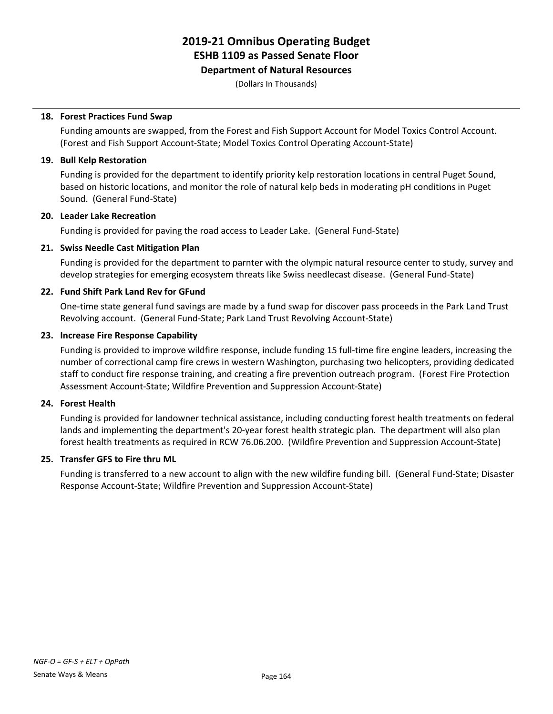#### **Department of Natural Resources**

(Dollars In Thousands)

#### **18. Forest Practices Fund Swap**

Funding amounts are swapped, from the Forest and Fish Support Account for Model Toxics Control Account. (Forest and Fish Support Account-State; Model Toxics Control Operating Account-State)

#### **19. Bull Kelp Restoration**

Funding is provided for the department to identify priority kelp restoration locations in central Puget Sound, based on historic locations, and monitor the role of natural kelp beds in moderating pH conditions in Puget Sound. (General Fund-State)

#### **20. Leader Lake Recreation**

Funding is provided for paving the road access to Leader Lake. (General Fund-State)

#### **21. Swiss Needle Cast Mitigation Plan**

Funding is provided for the department to parnter with the olympic natural resource center to study, survey and develop strategies for emerging ecosystem threats like Swiss needlecast disease. (General Fund-State)

#### **22. Fund Shift Park Land Rev for GFund**

One-time state general fund savings are made by a fund swap for discover pass proceeds in the Park Land Trust Revolving account. (General Fund-State; Park Land Trust Revolving Account-State)

#### **23. Increase Fire Response Capability**

Funding is provided to improve wildfire response, include funding 15 full-time fire engine leaders, increasing the number of correctional camp fire crews in western Washington, purchasing two helicopters, providing dedicated staff to conduct fire response training, and creating a fire prevention outreach program. (Forest Fire Protection Assessment Account-State; Wildfire Prevention and Suppression Account-State)

#### **24. Forest Health**

Funding is provided for landowner technical assistance, including conducting forest health treatments on federal lands and implementing the department's 20-year forest health strategic plan. The department will also plan forest health treatments as required in RCW 76.06.200. (Wildfire Prevention and Suppression Account-State)

#### **25. Transfer GFS to Fire thru ML**

Funding is transferred to a new account to align with the new wildfire funding bill. (General Fund-State; Disaster Response Account-State; Wildfire Prevention and Suppression Account-State)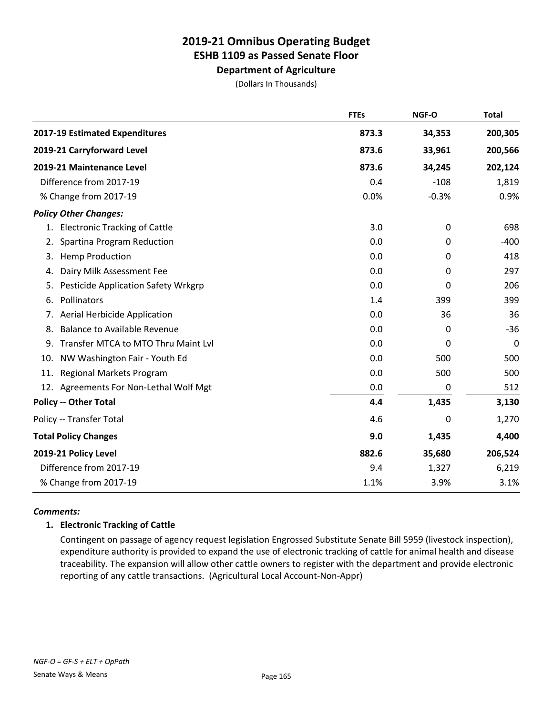**Department of Agriculture**

(Dollars In Thousands)

|                                                  | <b>FTEs</b> | NGF-O   | <b>Total</b> |
|--------------------------------------------------|-------------|---------|--------------|
| 2017-19 Estimated Expenditures                   | 873.3       | 34,353  | 200,305      |
| 2019-21 Carryforward Level                       | 873.6       | 33,961  | 200,566      |
| 2019-21 Maintenance Level                        | 873.6       | 34,245  | 202,124      |
| Difference from 2017-19                          | 0.4         | $-108$  | 1,819        |
| % Change from 2017-19                            | 0.0%        | $-0.3%$ | 0.9%         |
| <b>Policy Other Changes:</b>                     |             |         |              |
| 1. Electronic Tracking of Cattle                 | 3.0         | 0       | 698          |
| Spartina Program Reduction<br>2.                 | 0.0         | 0       | $-400$       |
| <b>Hemp Production</b><br>3.                     | 0.0         | 0       | 418          |
| Dairy Milk Assessment Fee<br>4.                  | 0.0         | 0       | 297          |
| <b>Pesticide Application Safety Wrkgrp</b><br>5. | 0.0         | 0       | 206          |
| Pollinators<br>6.                                | 1.4         | 399     | 399          |
| <b>Aerial Herbicide Application</b><br>7.        | 0.0         | 36      | 36           |
| <b>Balance to Available Revenue</b><br>8.        | 0.0         | 0       | $-36$        |
| Transfer MTCA to MTO Thru Maint Lvl<br>9.        | 0.0         | 0       | 0            |
| NW Washington Fair - Youth Ed<br>10.             | 0.0         | 500     | 500          |
| Regional Markets Program<br>11.                  | 0.0         | 500     | 500          |
| 12. Agreements For Non-Lethal Wolf Mgt           | 0.0         | 0       | 512          |
| <b>Policy -- Other Total</b>                     | 4.4         | 1,435   | 3,130        |
| Policy -- Transfer Total                         | 4.6         | 0       | 1,270        |
| <b>Total Policy Changes</b>                      | 9.0         | 1,435   | 4,400        |
| 2019-21 Policy Level                             | 882.6       | 35,680  | 206,524      |
| Difference from 2017-19                          | 9.4         | 1,327   | 6,219        |
| % Change from 2017-19                            | 1.1%        | 3.9%    | 3.1%         |

#### *Comments:*

#### **1. Electronic Tracking of Cattle**

Contingent on passage of agency request legislation Engrossed Substitute Senate Bill 5959 (livestock inspection), expenditure authority is provided to expand the use of electronic tracking of cattle for animal health and disease traceability. The expansion will allow other cattle owners to register with the department and provide electronic reporting of any cattle transactions. (Agricultural Local Account-Non-Appr)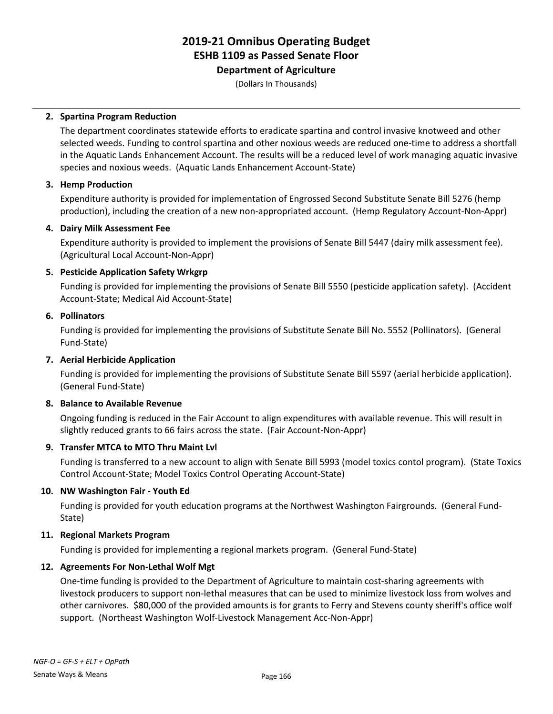### **Department of Agriculture**

(Dollars In Thousands)

#### **2. Spartina Program Reduction**

The department coordinates statewide efforts to eradicate spartina and control invasive knotweed and other selected weeds. Funding to control spartina and other noxious weeds are reduced one-time to address a shortfall in the Aquatic Lands Enhancement Account. The results will be a reduced level of work managing aquatic invasive species and noxious weeds. (Aquatic Lands Enhancement Account-State)

#### **3. Hemp Production**

Expenditure authority is provided for implementation of Engrossed Second Substitute Senate Bill 5276 (hemp production), including the creation of a new non-appropriated account. (Hemp Regulatory Account-Non-Appr)

#### **4. Dairy Milk Assessment Fee**

Expenditure authority is provided to implement the provisions of Senate Bill 5447 (dairy milk assessment fee). (Agricultural Local Account-Non-Appr)

#### **5. Pesticide Application Safety Wrkgrp**

Funding is provided for implementing the provisions of Senate Bill 5550 (pesticide application safety). (Accident Account-State; Medical Aid Account-State)

#### **6. Pollinators**

Funding is provided for implementing the provisions of Substitute Senate Bill No. 5552 (Pollinators). (General Fund-State)

#### **7. Aerial Herbicide Application**

Funding is provided for implementing the provisions of Substitute Senate Bill 5597 (aerial herbicide application). (General Fund-State)

#### **8. Balance to Available Revenue**

Ongoing funding is reduced in the Fair Account to align expenditures with available revenue. This will result in slightly reduced grants to 66 fairs across the state. (Fair Account-Non-Appr)

#### **9. Transfer MTCA to MTO Thru Maint Lvl**

Funding is transferred to a new account to align with Senate Bill 5993 (model toxics contol program). (State Toxics Control Account-State; Model Toxics Control Operating Account-State)

#### **10. NW Washington Fair - Youth Ed**

Funding is provided for youth education programs at the Northwest Washington Fairgrounds. (General Fund-State)

#### **11. Regional Markets Program**

Funding is provided for implementing a regional markets program. (General Fund-State)

#### **12. Agreements For Non-Lethal Wolf Mgt**

One-time funding is provided to the Department of Agriculture to maintain cost-sharing agreements with livestock producers to support non-lethal measures that can be used to minimize livestock loss from wolves and other carnivores. \$80,000 of the provided amounts is for grants to Ferry and Stevens county sheriff's office wolf support. (Northeast Washington Wolf-Livestock Management Acc-Non-Appr)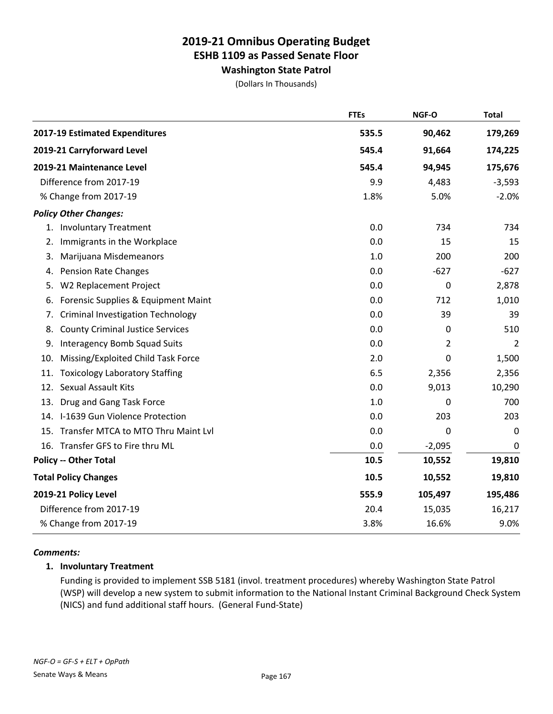**Washington State Patrol**

(Dollars In Thousands)

|     |                                          | <b>FTEs</b> | NGF-O    | <b>Total</b> |
|-----|------------------------------------------|-------------|----------|--------------|
|     | 2017-19 Estimated Expenditures           | 535.5       | 90,462   | 179,269      |
|     | 2019-21 Carryforward Level               | 545.4       | 91,664   | 174,225      |
|     | 2019-21 Maintenance Level                | 545.4       | 94,945   | 175,676      |
|     | Difference from 2017-19                  | 9.9         | 4,483    | $-3,593$     |
|     | % Change from 2017-19                    | 1.8%        | 5.0%     | $-2.0%$      |
|     | <b>Policy Other Changes:</b>             |             |          |              |
|     | 1. Involuntary Treatment                 | 0.0         | 734      | 734          |
| 2.  | Immigrants in the Workplace              | 0.0         | 15       | 15           |
| 3.  | Marijuana Misdemeanors                   | 1.0         | 200      | 200          |
| 4.  | <b>Pension Rate Changes</b>              | 0.0         | $-627$   | $-627$       |
| 5.  | W2 Replacement Project                   | 0.0         | 0        | 2,878        |
| 6.  | Forensic Supplies & Equipment Maint      | 0.0         | 712      | 1,010        |
| 7.  | <b>Criminal Investigation Technology</b> | 0.0         | 39       | 39           |
| 8.  | <b>County Criminal Justice Services</b>  | 0.0         | 0        | 510          |
| 9.  | <b>Interagency Bomb Squad Suits</b>      | 0.0         | 2        | 2            |
| 10. | Missing/Exploited Child Task Force       | 2.0         | 0        | 1,500        |
| 11. | <b>Toxicology Laboratory Staffing</b>    | 6.5         | 2,356    | 2,356        |
| 12. | <b>Sexual Assault Kits</b>               | 0.0         | 9,013    | 10,290       |
| 13. | Drug and Gang Task Force                 | 1.0         | 0        | 700          |
|     | 14. I-1639 Gun Violence Protection       | 0.0         | 203      | 203          |
|     | 15. Transfer MTCA to MTO Thru Maint Lvl  | 0.0         | 0        | 0            |
|     | 16. Transfer GFS to Fire thru ML         | 0.0         | $-2,095$ | $\mathbf 0$  |
|     | <b>Policy -- Other Total</b>             | 10.5        | 10,552   | 19,810       |
|     | <b>Total Policy Changes</b>              | 10.5        | 10,552   | 19,810       |
|     | 2019-21 Policy Level                     | 555.9       | 105,497  | 195,486      |
|     | Difference from 2017-19                  | 20.4        | 15,035   | 16,217       |
|     | % Change from 2017-19                    | 3.8%        | 16.6%    | 9.0%         |

#### *Comments:*

#### **1. Involuntary Treatment**

Funding is provided to implement SSB 5181 (invol. treatment procedures) whereby Washington State Patrol (WSP) will develop a new system to submit information to the National Instant Criminal Background Check System (NICS) and fund additional staff hours. (General Fund-State)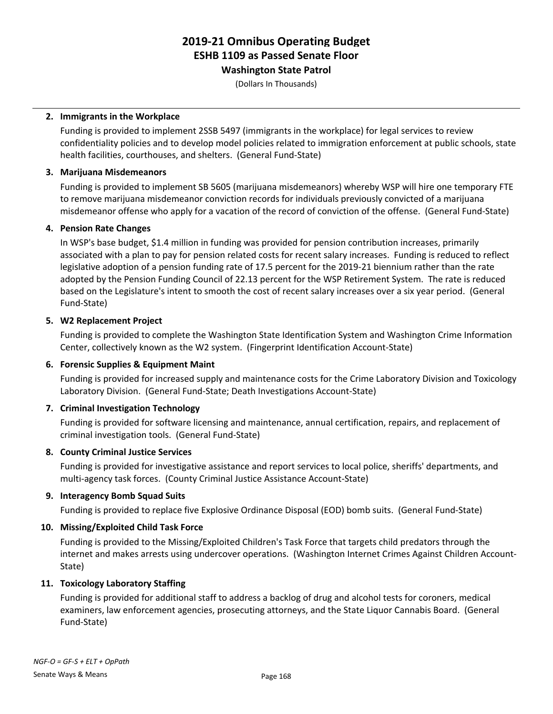**Washington State Patrol**

(Dollars In Thousands)

#### **2. Immigrants in the Workplace**

Funding is provided to implement 2SSB 5497 (immigrants in the workplace) for legal services to review confidentiality policies and to develop model policies related to immigration enforcement at public schools, state health facilities, courthouses, and shelters. (General Fund-State)

#### **3. Marijuana Misdemeanors**

Funding is provided to implement SB 5605 (marijuana misdemeanors) whereby WSP will hire one temporary FTE to remove marijuana misdemeanor conviction records for individuals previously convicted of a marijuana misdemeanor offense who apply for a vacation of the record of conviction of the offense. (General Fund-State)

#### **4. Pension Rate Changes**

In WSP's base budget, \$1.4 million in funding was provided for pension contribution increases, primarily associated with a plan to pay for pension related costs for recent salary increases. Funding is reduced to reflect legislative adoption of a pension funding rate of 17.5 percent for the 2019-21 biennium rather than the rate adopted by the Pension Funding Council of 22.13 percent for the WSP Retirement System. The rate is reduced based on the Legislature's intent to smooth the cost of recent salary increases over a six year period. (General Fund-State)

#### **5. W2 Replacement Project**

Funding is provided to complete the Washington State Identification System and Washington Crime Information Center, collectively known as the W2 system. (Fingerprint Identification Account-State)

#### **6. Forensic Supplies & Equipment Maint**

Funding is provided for increased supply and maintenance costs for the Crime Laboratory Division and Toxicology Laboratory Division. (General Fund-State; Death Investigations Account-State)

#### **7. Criminal Investigation Technology**

Funding is provided for software licensing and maintenance, annual certification, repairs, and replacement of criminal investigation tools. (General Fund-State)

#### **8. County Criminal Justice Services**

Funding is provided for investigative assistance and report services to local police, sheriffs' departments, and multi-agency task forces. (County Criminal Justice Assistance Account-State)

#### **9. Interagency Bomb Squad Suits**

Funding is provided to replace five Explosive Ordinance Disposal (EOD) bomb suits. (General Fund-State)

#### **10. Missing/Exploited Child Task Force**

Funding is provided to the Missing/Exploited Children's Task Force that targets child predators through the internet and makes arrests using undercover operations. (Washington Internet Crimes Against Children Account-State)

#### **11. Toxicology Laboratory Staffing**

Funding is provided for additional staff to address a backlog of drug and alcohol tests for coroners, medical examiners, law enforcement agencies, prosecuting attorneys, and the State Liquor Cannabis Board. (General Fund-State)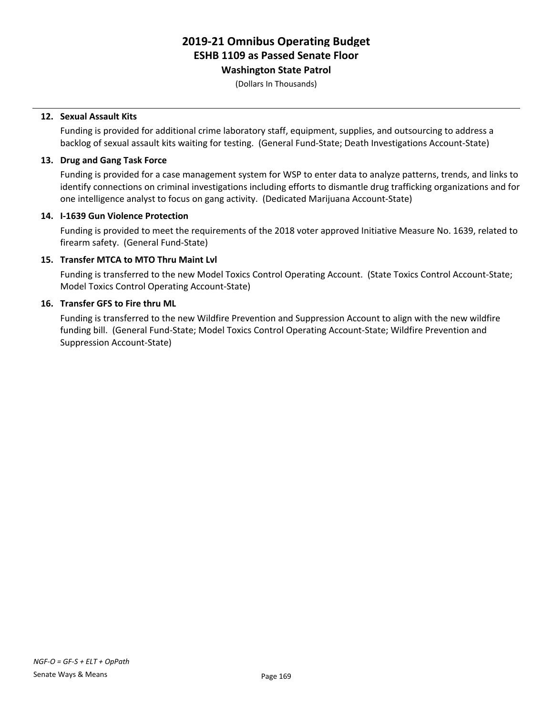### **Washington State Patrol**

(Dollars In Thousands)

#### **12. Sexual Assault Kits**

Funding is provided for additional crime laboratory staff, equipment, supplies, and outsourcing to address a backlog of sexual assault kits waiting for testing. (General Fund-State; Death Investigations Account-State)

#### **13. Drug and Gang Task Force**

Funding is provided for a case management system for WSP to enter data to analyze patterns, trends, and links to identify connections on criminal investigations including efforts to dismantle drug trafficking organizations and for one intelligence analyst to focus on gang activity. (Dedicated Marijuana Account-State)

#### **14. I-1639 Gun Violence Protection**

Funding is provided to meet the requirements of the 2018 voter approved Initiative Measure No. 1639, related to firearm safety. (General Fund-State)

#### **15. Transfer MTCA to MTO Thru Maint Lvl**

Funding is transferred to the new Model Toxics Control Operating Account. (State Toxics Control Account-State; Model Toxics Control Operating Account-State)

#### **16. Transfer GFS to Fire thru ML**

Funding is transferred to the new Wildfire Prevention and Suppression Account to align with the new wildfire funding bill. (General Fund-State; Model Toxics Control Operating Account-State; Wildfire Prevention and Suppression Account-State)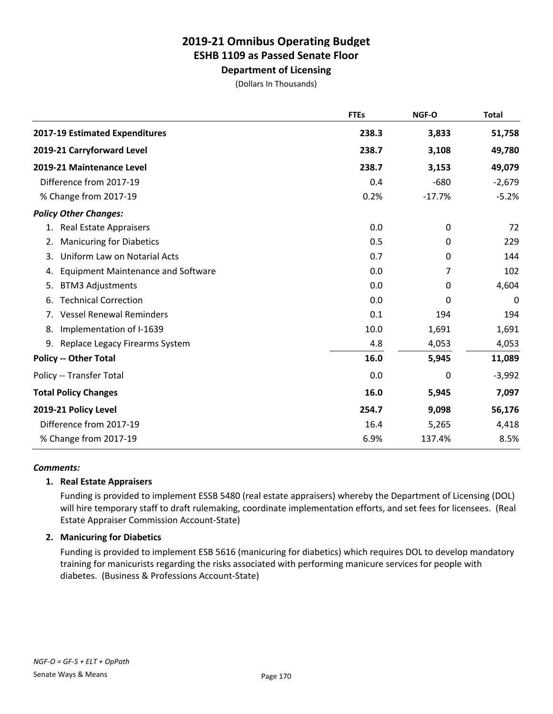**Department of Licensing**

(Dollars In Thousands)

|                                                 | <b>FTEs</b> | NGF-O    | <b>Total</b> |
|-------------------------------------------------|-------------|----------|--------------|
| 2017-19 Estimated Expenditures                  | 238.3       | 3,833    | 51,758       |
| 2019-21 Carryforward Level                      | 238.7       | 3,108    | 49,780       |
| 2019-21 Maintenance Level                       | 238.7       | 3,153    | 49,079       |
| Difference from 2017-19                         | 0.4         | $-680$   | $-2,679$     |
| % Change from 2017-19                           | 0.2%        | $-17.7%$ | $-5.2%$      |
| <b>Policy Other Changes:</b>                    |             |          |              |
| <b>Real Estate Appraisers</b><br>1.             | 0.0         | 0        | 72           |
| <b>Manicuring for Diabetics</b><br>2.           | 0.5         | 0        | 229          |
| Uniform Law on Notarial Acts<br>3.              | 0.7         | 0        | 144          |
| <b>Equipment Maintenance and Software</b><br>4. | 0.0         | 7        | 102          |
| <b>BTM3 Adjustments</b><br>5.                   | 0.0         | 0        | 4,604        |
| <b>Technical Correction</b><br>6.               | 0.0         | 0        | 0            |
| <b>Vessel Renewal Reminders</b><br>7.           | 0.1         | 194      | 194          |
| Implementation of I-1639<br>8.                  | 10.0        | 1,691    | 1,691        |
| 9.<br>Replace Legacy Firearms System            | 4.8         | 4,053    | 4,053        |
| <b>Policy -- Other Total</b>                    | 16.0        | 5,945    | 11,089       |
| Policy -- Transfer Total                        | 0.0         | 0        | $-3,992$     |
| <b>Total Policy Changes</b>                     | 16.0        | 5,945    | 7,097        |
| 2019-21 Policy Level                            | 254.7       | 9,098    | 56,176       |
| Difference from 2017-19                         | 16.4        | 5,265    | 4,418        |
| % Change from 2017-19                           | 6.9%        | 137.4%   | 8.5%         |

#### *Comments:*

#### **1. Real Estate Appraisers**

Funding is provided to implement ESSB 5480 (real estate appraisers) whereby the Department of Licensing (DOL) will hire temporary staff to draft rulemaking, coordinate implementation efforts, and set fees for licensees. (Real Estate Appraiser Commission Account-State)

#### **2. Manicuring for Diabetics**

Funding is provided to implement ESB 5616 (manicuring for diabetics) which requires DOL to develop mandatory training for manicurists regarding the risks associated with performing manicure services for people with diabetes. (Business & Professions Account-State)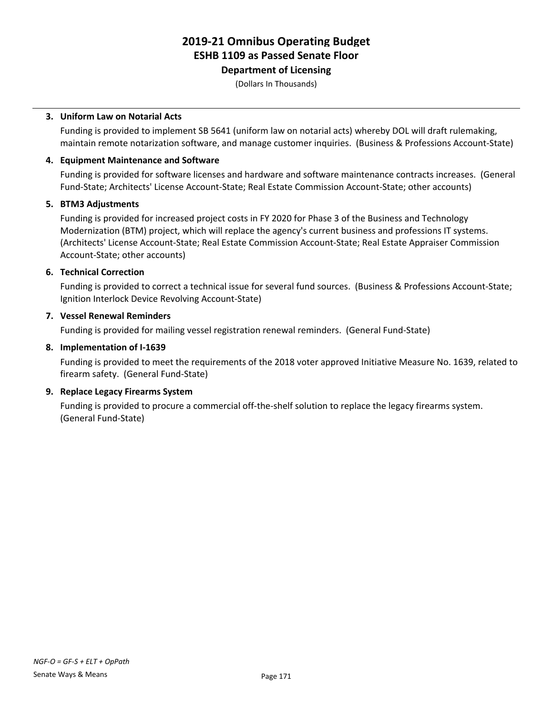**Department of Licensing**

(Dollars In Thousands)

#### **3. Uniform Law on Notarial Acts**

Funding is provided to implement SB 5641 (uniform law on notarial acts) whereby DOL will draft rulemaking, maintain remote notarization software, and manage customer inquiries. (Business & Professions Account-State)

#### **4. Equipment Maintenance and Software**

Funding is provided for software licenses and hardware and software maintenance contracts increases. (General Fund-State; Architects' License Account-State; Real Estate Commission Account-State; other accounts)

#### **5. BTM3 Adjustments**

Funding is provided for increased project costs in FY 2020 for Phase 3 of the Business and Technology Modernization (BTM) project, which will replace the agency's current business and professions IT systems. (Architects' License Account-State; Real Estate Commission Account-State; Real Estate Appraiser Commission Account-State; other accounts)

#### **6. Technical Correction**

Funding is provided to correct a technical issue for several fund sources. (Business & Professions Account-State; Ignition Interlock Device Revolving Account-State)

#### **7. Vessel Renewal Reminders**

Funding is provided for mailing vessel registration renewal reminders. (General Fund-State)

#### **8. Implementation of I-1639**

Funding is provided to meet the requirements of the 2018 voter approved Initiative Measure No. 1639, related to firearm safety. (General Fund-State)

#### **9. Replace Legacy Firearms System**

Funding is provided to procure a commercial off-the-shelf solution to replace the legacy firearms system. (General Fund-State)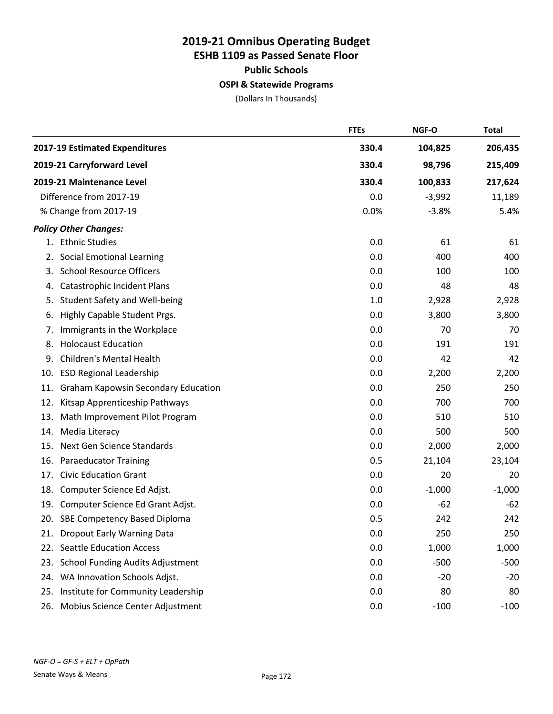## **2019-21 Omnibus Operating Budget ESHB 1109 as Passed Senate Floor Public Schools OSPI & Statewide Programs**

(Dollars In Thousands)

|     |                                            | <b>FTEs</b> | NGF-O    | <b>Total</b> |
|-----|--------------------------------------------|-------------|----------|--------------|
|     | 2017-19 Estimated Expenditures             | 330.4       | 104,825  | 206,435      |
|     | 2019-21 Carryforward Level                 | 330.4       | 98,796   | 215,409      |
|     | 2019-21 Maintenance Level                  | 330.4       | 100,833  | 217,624      |
|     | Difference from 2017-19                    | 0.0         | $-3,992$ | 11,189       |
|     | % Change from 2017-19                      | 0.0%        | $-3.8%$  | 5.4%         |
|     | <b>Policy Other Changes:</b>               |             |          |              |
|     | 1. Ethnic Studies                          | 0.0         | 61       | 61           |
| 2.  | <b>Social Emotional Learning</b>           | 0.0         | 400      | 400          |
| 3.  | <b>School Resource Officers</b>            | 0.0         | 100      | 100          |
| 4.  | Catastrophic Incident Plans                | 0.0         | 48       | 48           |
| 5.  | Student Safety and Well-being              | 1.0         | 2,928    | 2,928        |
| 6.  | Highly Capable Student Prgs.               | 0.0         | 3,800    | 3,800        |
| 7.  | Immigrants in the Workplace                | 0.0         | 70       | 70           |
| 8.  | <b>Holocaust Education</b>                 | 0.0         | 191      | 191          |
| 9.  | <b>Children's Mental Health</b>            | 0.0         | 42       | 42           |
| 10. | <b>ESD Regional Leadership</b>             | 0.0         | 2,200    | 2,200        |
| 11. | <b>Graham Kapowsin Secondary Education</b> | 0.0         | 250      | 250          |
| 12. | Kitsap Apprenticeship Pathways             | 0.0         | 700      | 700          |
| 13. | Math Improvement Pilot Program             | 0.0         | 510      | 510          |
| 14. | Media Literacy                             | 0.0         | 500      | 500          |
| 15. | Next Gen Science Standards                 | 0.0         | 2,000    | 2,000        |
| 16. | <b>Paraeducator Training</b>               | 0.5         | 21,104   | 23,104       |
| 17. | <b>Civic Education Grant</b>               | 0.0         | 20       | 20           |
| 18. | Computer Science Ed Adjst.                 | 0.0         | $-1,000$ | $-1,000$     |
| 19. | Computer Science Ed Grant Adjst.           | 0.0         | $-62$    | $-62$        |
| 20. | SBE Competency Based Diploma               | 0.5         | 242      | 242          |
|     | 21. Dropout Early Warning Data             | 0.0         | 250      | 250          |
| 22. | <b>Seattle Education Access</b>            | 0.0         | 1,000    | 1,000        |
| 23. | <b>School Funding Audits Adjustment</b>    | 0.0         | $-500$   | $-500$       |
| 24. | WA Innovation Schools Adjst.               | 0.0         | $-20$    | $-20$        |
| 25. | Institute for Community Leadership         | 0.0         | 80       | 80           |
| 26. | Mobius Science Center Adjustment           | 0.0         | $-100$   | $-100$       |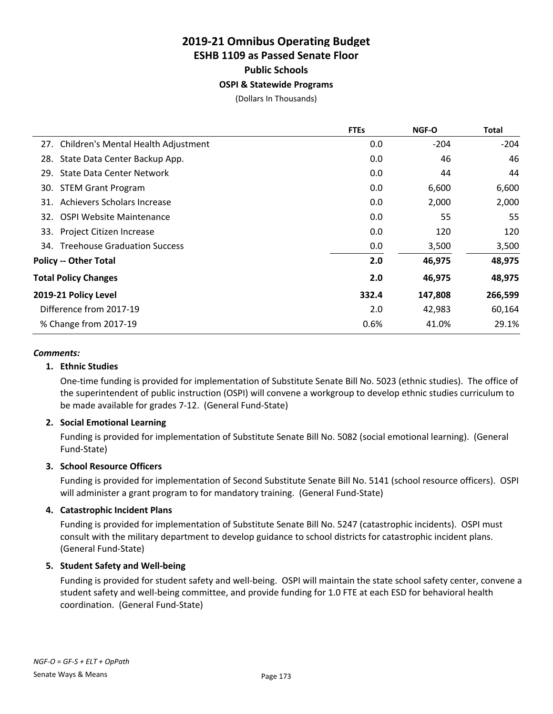## **2019-21 Omnibus Operating Budget ESHB 1109 as Passed Senate Floor Public Schools**

#### **OSPI & Statewide Programs**

(Dollars In Thousands)

|     |                                         | <b>FTEs</b> | <b>NGF-O</b> | Total   |
|-----|-----------------------------------------|-------------|--------------|---------|
|     | 27. Children's Mental Health Adjustment | 0.0         | $-204$       | $-204$  |
|     | 28. State Data Center Backup App.       | 0.0         | 46           | 46      |
| 29. | <b>State Data Center Network</b>        | 0.0         | 44           | 44      |
|     | 30. STEM Grant Program                  | 0.0         | 6,600        | 6,600   |
|     | 31. Achievers Scholars Increase         | 0.0         | 2,000        | 2,000   |
|     | 32. OSPI Website Maintenance            | 0.0         | 55           | 55      |
|     | 33. Project Citizen Increase            | 0.0         | 120          | 120     |
|     | 34. Treehouse Graduation Success        | 0.0         | 3,500        | 3,500   |
|     | <b>Policy -- Other Total</b>            | 2.0         | 46,975       | 48,975  |
|     | <b>Total Policy Changes</b>             | 2.0         | 46,975       | 48,975  |
|     | 2019-21 Policy Level                    | 332.4       | 147,808      | 266,599 |
|     | Difference from 2017-19                 | 2.0         | 42,983       | 60,164  |
|     | % Change from 2017-19                   | 0.6%        | 41.0%        | 29.1%   |
|     |                                         |             |              |         |

#### *Comments:*

#### **1. Ethnic Studies**

One-time funding is provided for implementation of Substitute Senate Bill No. 5023 (ethnic studies). The office of the superintendent of public instruction (OSPI) will convene a workgroup to develop ethnic studies curriculum to be made available for grades 7-12. (General Fund-State)

#### **2. Social Emotional Learning**

Funding is provided for implementation of Substitute Senate Bill No. 5082 (social emotional learning). (General Fund-State)

#### **3. School Resource Officers**

Funding is provided for implementation of Second Substitute Senate Bill No. 5141 (school resource officers). OSPI will administer a grant program to for mandatory training. (General Fund-State)

#### **4. Catastrophic Incident Plans**

Funding is provided for implementation of Substitute Senate Bill No. 5247 (catastrophic incidents). OSPI must consult with the military department to develop guidance to school districts for catastrophic incident plans. (General Fund-State)

#### **5. Student Safety and Well-being**

Funding is provided for student safety and well-being. OSPI will maintain the state school safety center, convene a student safety and well-being committee, and provide funding for 1.0 FTE at each ESD for behavioral health coordination. (General Fund-State)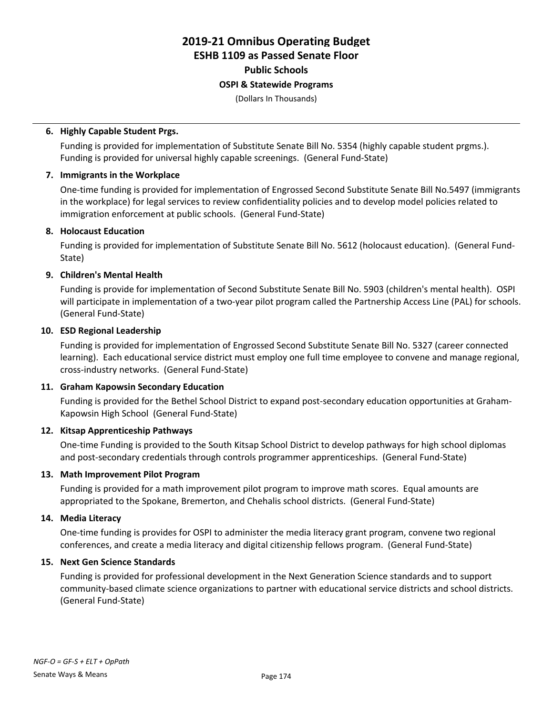**Public Schools**

### **OSPI & Statewide Programs**

(Dollars In Thousands)

#### **6. Highly Capable Student Prgs.**

Funding is provided for implementation of Substitute Senate Bill No. 5354 (highly capable student prgms.). Funding is provided for universal highly capable screenings. (General Fund-State)

#### **7. Immigrants in the Workplace**

One-time funding is provided for implementation of Engrossed Second Substitute Senate Bill No.5497 (immigrants in the workplace) for legal services to review confidentiality policies and to develop model policies related to immigration enforcement at public schools. (General Fund-State)

#### **8. Holocaust Education**

Funding is provided for implementation of Substitute Senate Bill No. 5612 (holocaust education). (General Fund-State)

#### **9. Children's Mental Health**

Funding is provide for implementation of Second Substitute Senate Bill No. 5903 (children's mental health). OSPI will participate in implementation of a two-year pilot program called the Partnership Access Line (PAL) for schools. (General Fund-State)

#### **10. ESD Regional Leadership**

Funding is provided for implementation of Engrossed Second Substitute Senate Bill No. 5327 (career connected learning). Each educational service district must employ one full time employee to convene and manage regional, cross-industry networks. (General Fund-State)

#### **11. Graham Kapowsin Secondary Education**

Funding is provided for the Bethel School District to expand post-secondary education opportunities at Graham-Kapowsin High School (General Fund-State)

#### **12. Kitsap Apprenticeship Pathways**

One-time Funding is provided to the South Kitsap School District to develop pathways for high school diplomas and post-secondary credentials through controls programmer apprenticeships. (General Fund-State)

#### **13. Math Improvement Pilot Program**

Funding is provided for a math improvement pilot program to improve math scores. Equal amounts are appropriated to the Spokane, Bremerton, and Chehalis school districts. (General Fund-State)

#### **14. Media Literacy**

One-time funding is provides for OSPI to administer the media literacy grant program, convene two regional conferences, and create a media literacy and digital citizenship fellows program. (General Fund-State)

#### **15. Next Gen Science Standards**

Funding is provided for professional development in the Next Generation Science standards and to support community-based climate science organizations to partner with educational service districts and school districts. (General Fund-State)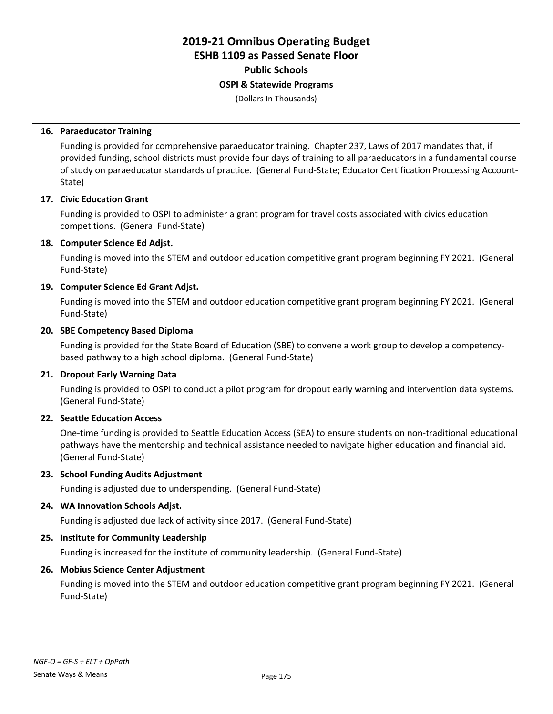**Public Schools**

#### **OSPI & Statewide Programs**

(Dollars In Thousands)

#### **16. Paraeducator Training**

Funding is provided for comprehensive paraeducator training. Chapter 237, Laws of 2017 mandates that, if provided funding, school districts must provide four days of training to all paraeducators in a fundamental course of study on paraeducator standards of practice. (General Fund-State; Educator Certification Proccessing Account-State)

#### **17. Civic Education Grant**

Funding is provided to OSPI to administer a grant program for travel costs associated with civics education competitions. (General Fund-State)

#### **18. Computer Science Ed Adjst.**

Funding is moved into the STEM and outdoor education competitive grant program beginning FY 2021. (General Fund-State)

#### **19. Computer Science Ed Grant Adjst.**

Funding is moved into the STEM and outdoor education competitive grant program beginning FY 2021. (General Fund-State)

#### **20. SBE Competency Based Diploma**

Funding is provided for the State Board of Education (SBE) to convene a work group to develop a competencybased pathway to a high school diploma. (General Fund-State)

#### **21. Dropout Early Warning Data**

Funding is provided to OSPI to conduct a pilot program for dropout early warning and intervention data systems. (General Fund-State)

#### **22. Seattle Education Access**

One-time funding is provided to Seattle Education Access (SEA) to ensure students on non-traditional educational pathways have the mentorship and technical assistance needed to navigate higher education and financial aid. (General Fund-State)

#### **23. School Funding Audits Adjustment**

Funding is adjusted due to underspending. (General Fund-State)

#### **24. WA Innovation Schools Adjst.**

Funding is adjusted due lack of activity since 2017. (General Fund-State)

### **25. Institute for Community Leadership**

Funding is increased for the institute of community leadership. (General Fund-State)

#### **26. Mobius Science Center Adjustment**

Funding is moved into the STEM and outdoor education competitive grant program beginning FY 2021. (General Fund-State)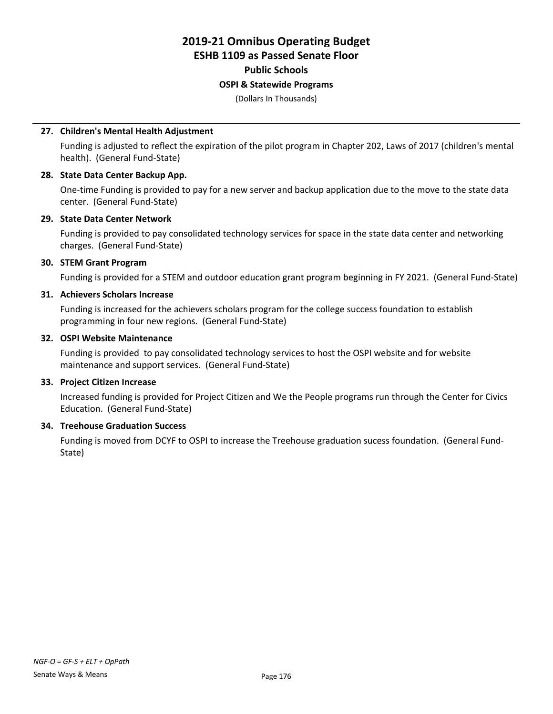# **2019-21 Omnibus Operating Budget**

## **ESHB 1109 as Passed Senate Floor**

### **Public Schools**

#### **OSPI & Statewide Programs**

(Dollars In Thousands)

#### **27. Children's Mental Health Adjustment**

Funding is adjusted to reflect the expiration of the pilot program in Chapter 202, Laws of 2017 (children's mental health). (General Fund-State)

#### **28. State Data Center Backup App.**

One-time Funding is provided to pay for a new server and backup application due to the move to the state data center. (General Fund-State)

#### **29. State Data Center Network**

Funding is provided to pay consolidated technology services for space in the state data center and networking charges. (General Fund-State)

#### **30. STEM Grant Program**

Funding is provided for a STEM and outdoor education grant program beginning in FY 2021. (General Fund-State)

#### **31. Achievers Scholars Increase**

Funding is increased for the achievers scholars program for the college success foundation to establish programming in four new regions. (General Fund-State)

#### **32. OSPI Website Maintenance**

Funding is provided to pay consolidated technology services to host the OSPI website and for website maintenance and support services. (General Fund-State)

#### **33. Project Citizen Increase**

Increased funding is provided for Project Citizen and We the People programs run through the Center for Civics Education. (General Fund-State)

#### **34. Treehouse Graduation Success**

Funding is moved from DCYF to OSPI to increase the Treehouse graduation sucess foundation. (General Fund-State)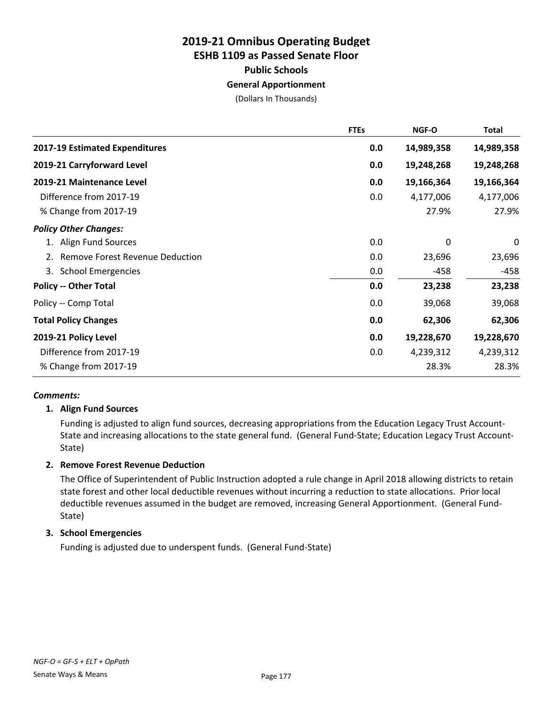## **2019-21 Omnibus Operating Budget ESHB 1109 as Passed Senate Floor Public Schools**

#### **General Apportionment**

(Dollars In Thousands)

|                                        | <b>FTEs</b> | NGF-O      | Total      |
|----------------------------------------|-------------|------------|------------|
| 2017-19 Estimated Expenditures         | 0.0         | 14,989,358 | 14,989,358 |
| 2019-21 Carryforward Level             | 0.0         | 19,248,268 | 19,248,268 |
| 2019-21 Maintenance Level              | 0.0         | 19,166,364 | 19,166,364 |
| Difference from 2017-19                | 0.0         | 4,177,006  | 4,177,006  |
| % Change from 2017-19                  |             | 27.9%      | 27.9%      |
| <b>Policy Other Changes:</b>           |             |            |            |
| 1. Align Fund Sources                  | 0.0         | 0          | 0          |
| <b>Remove Forest Revenue Deduction</b> | 0.0         | 23,696     | 23,696     |
| 3. School Emergencies                  | 0.0         | -458       | $-458$     |
| <b>Policy -- Other Total</b>           | 0.0         | 23,238     | 23,238     |
| Policy -- Comp Total                   | 0.0         | 39,068     | 39,068     |
| <b>Total Policy Changes</b>            | 0.0         | 62,306     | 62,306     |
| 2019-21 Policy Level                   | 0.0         | 19,228,670 | 19,228,670 |
| Difference from 2017-19                | 0.0         | 4,239,312  | 4,239,312  |
| % Change from 2017-19                  |             | 28.3%      | 28.3%      |

#### *Comments:*

#### **1. Align Fund Sources**

Funding is adjusted to align fund sources, decreasing appropriations from the Education Legacy Trust Account-State and increasing allocations to the state general fund. (General Fund-State; Education Legacy Trust Account-State)

#### **2. Remove Forest Revenue Deduction**

The Office of Superintendent of Public Instruction adopted a rule change in April 2018 allowing districts to retain state forest and other local deductible revenues without incurring a reduction to state allocations. Prior local deductible revenues assumed in the budget are removed, increasing General Apportionment. (General Fund-State)

#### **3. School Emergencies**

Funding is adjusted due to underspent funds. (General Fund-State)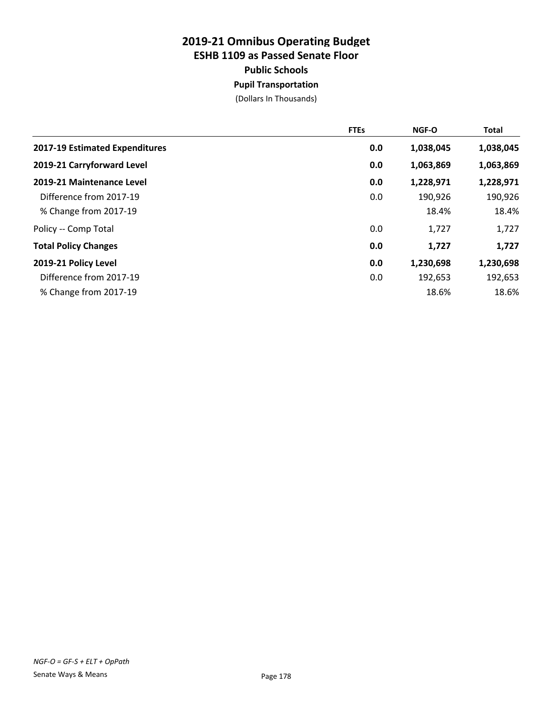## **2019-21 Omnibus Operating Budget ESHB 1109 as Passed Senate Floor Public Schools Pupil Transportation**

(Dollars In Thousands)

|                                | <b>FTEs</b> | NGF-O     | <b>Total</b> |
|--------------------------------|-------------|-----------|--------------|
| 2017-19 Estimated Expenditures | 0.0         | 1,038,045 | 1,038,045    |
| 2019-21 Carryforward Level     | 0.0         | 1,063,869 | 1,063,869    |
| 2019-21 Maintenance Level      | 0.0         | 1,228,971 | 1,228,971    |
| Difference from 2017-19        | 0.0         | 190,926   | 190,926      |
| % Change from 2017-19          |             | 18.4%     | 18.4%        |
| Policy -- Comp Total           | 0.0         | 1,727     | 1,727        |
| <b>Total Policy Changes</b>    | 0.0         | 1,727     | 1,727        |
| 2019-21 Policy Level           | 0.0         | 1,230,698 | 1,230,698    |
| Difference from 2017-19        | 0.0         | 192,653   | 192,653      |
| % Change from 2017-19          |             | 18.6%     | 18.6%        |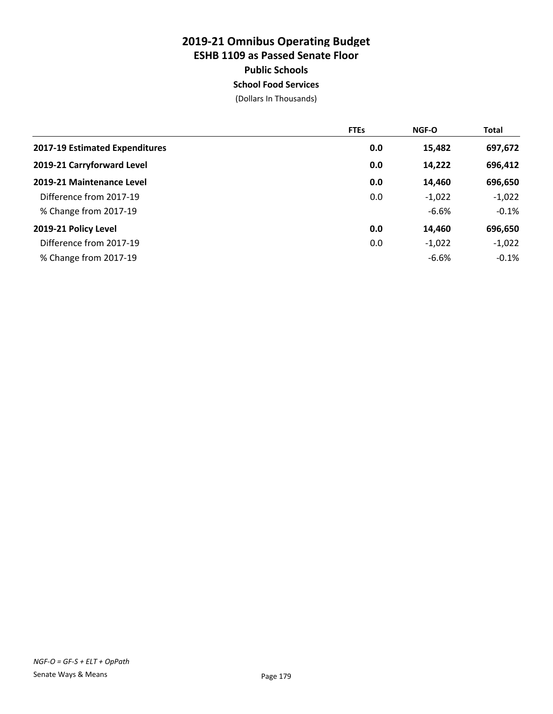## **2019-21 Omnibus Operating Budget ESHB 1109 as Passed Senate Floor Public Schools School Food Services**

(Dollars In Thousands)

|                                | <b>FTEs</b> | NGF-O    | <b>Total</b> |
|--------------------------------|-------------|----------|--------------|
| 2017-19 Estimated Expenditures | 0.0         | 15,482   | 697,672      |
| 2019-21 Carryforward Level     | 0.0         | 14,222   | 696,412      |
| 2019-21 Maintenance Level      | 0.0         | 14,460   | 696,650      |
| Difference from 2017-19        | 0.0         | $-1,022$ | $-1,022$     |
| % Change from 2017-19          |             | $-6.6%$  | $-0.1%$      |
| 2019-21 Policy Level           | 0.0         | 14,460   | 696,650      |
| Difference from 2017-19        | 0.0         | $-1,022$ | $-1,022$     |
| % Change from 2017-19          |             | $-6.6%$  | $-0.1%$      |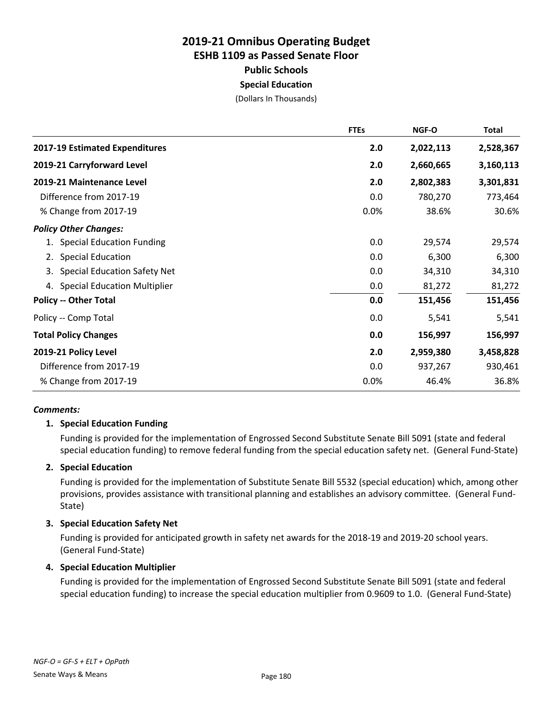### **2019-21 Omnibus Operating Budget ESHB 1109 as Passed Senate Floor Public Schools Special Education**

(Dollars In Thousands)

|                                           | <b>FTEs</b> | <b>NGF-O</b> | Total     |
|-------------------------------------------|-------------|--------------|-----------|
| 2017-19 Estimated Expenditures            | 2.0         | 2,022,113    | 2,528,367 |
| 2019-21 Carryforward Level                | 2.0         | 2,660,665    | 3,160,113 |
| 2019-21 Maintenance Level                 | 2.0         | 2,802,383    | 3,301,831 |
| Difference from 2017-19                   | 0.0         | 780,270      | 773,464   |
| % Change from 2017-19                     | 0.0%        | 38.6%        | 30.6%     |
| <b>Policy Other Changes:</b>              |             |              |           |
| <b>Special Education Funding</b>          | 0.0         | 29,574       | 29,574    |
| <b>Special Education</b><br>2.            | 0.0         | 6,300        | 6,300     |
| <b>Special Education Safety Net</b><br>3. | 0.0         | 34,310       | 34,310    |
| 4. Special Education Multiplier           | 0.0         | 81,272       | 81,272    |
| <b>Policy -- Other Total</b>              | 0.0         | 151,456      | 151,456   |
| Policy -- Comp Total                      | 0.0         | 5,541        | 5,541     |
| <b>Total Policy Changes</b>               | 0.0         | 156,997      | 156,997   |
| 2019-21 Policy Level                      | 2.0         | 2,959,380    | 3,458,828 |
| Difference from 2017-19                   | 0.0         | 937,267      | 930,461   |
| % Change from 2017-19                     | 0.0%        | 46.4%        | 36.8%     |

#### *Comments:*

#### **1. Special Education Funding**

Funding is provided for the implementation of Engrossed Second Substitute Senate Bill 5091 (state and federal special education funding) to remove federal funding from the special education safety net. (General Fund-State)

#### **2. Special Education**

Funding is provided for the implementation of Substitute Senate Bill 5532 (special education) which, among other provisions, provides assistance with transitional planning and establishes an advisory committee. (General Fund-State)

#### **3. Special Education Safety Net**

Funding is provided for anticipated growth in safety net awards for the 2018-19 and 2019-20 school years. (General Fund-State)

#### **4. Special Education Multiplier**

Funding is provided for the implementation of Engrossed Second Substitute Senate Bill 5091 (state and federal special education funding) to increase the special education multiplier from 0.9609 to 1.0. (General Fund-State)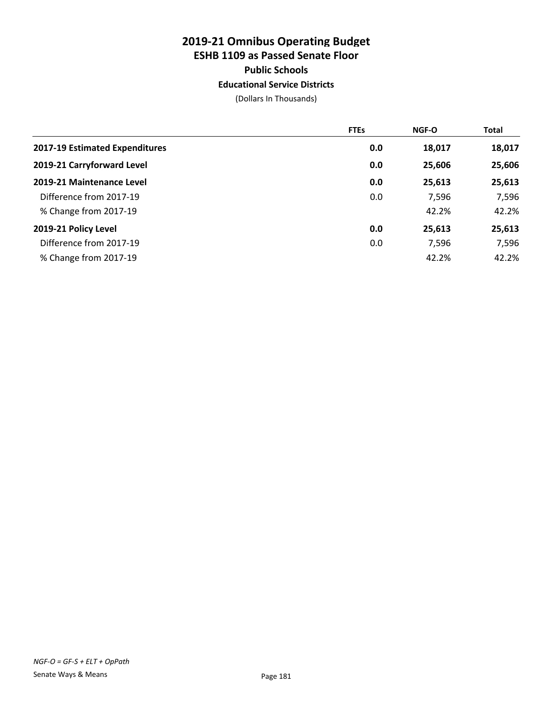# **2019-21 Omnibus Operating Budget ESHB 1109 as Passed Senate Floor Public Schools**

**Educational Service Districts**

|                                | <b>FTEs</b> | <b>NGF-O</b> | <b>Total</b> |
|--------------------------------|-------------|--------------|--------------|
| 2017-19 Estimated Expenditures | 0.0         | 18,017       | 18,017       |
| 2019-21 Carryforward Level     | 0.0         | 25,606       | 25,606       |
| 2019-21 Maintenance Level      | 0.0         | 25,613       | 25,613       |
| Difference from 2017-19        | 0.0         | 7,596        | 7,596        |
| % Change from 2017-19          |             | 42.2%        | 42.2%        |
| 2019-21 Policy Level           | 0.0         | 25,613       | 25,613       |
| Difference from 2017-19        | 0.0         | 7,596        | 7,596        |
| % Change from 2017-19          |             | 42.2%        | 42.2%        |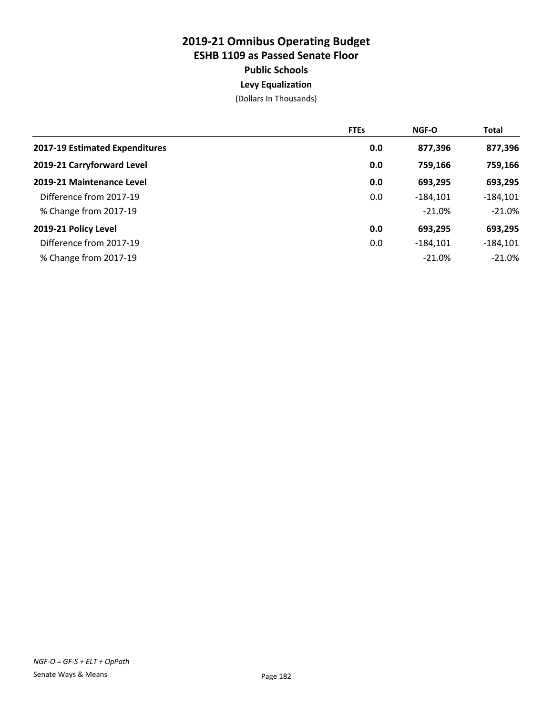## **2019-21 Omnibus Operating Budget ESHB 1109 as Passed Senate Floor Public Schools Levy Equalization**

|                                | <b>FTEs</b> | <b>NGF-O</b> | <b>Total</b> |
|--------------------------------|-------------|--------------|--------------|
| 2017-19 Estimated Expenditures | 0.0         | 877,396      | 877,396      |
| 2019-21 Carryforward Level     | 0.0         | 759,166      | 759,166      |
| 2019-21 Maintenance Level      | 0.0         | 693,295      | 693,295      |
| Difference from 2017-19        | 0.0         | $-184.101$   | $-184,101$   |
| % Change from 2017-19          |             | $-21.0%$     | $-21.0%$     |
| 2019-21 Policy Level           | 0.0         | 693,295      | 693,295      |
| Difference from 2017-19        | 0.0         | $-184,101$   | $-184,101$   |
| % Change from 2017-19          |             | $-21.0%$     | $-21.0%$     |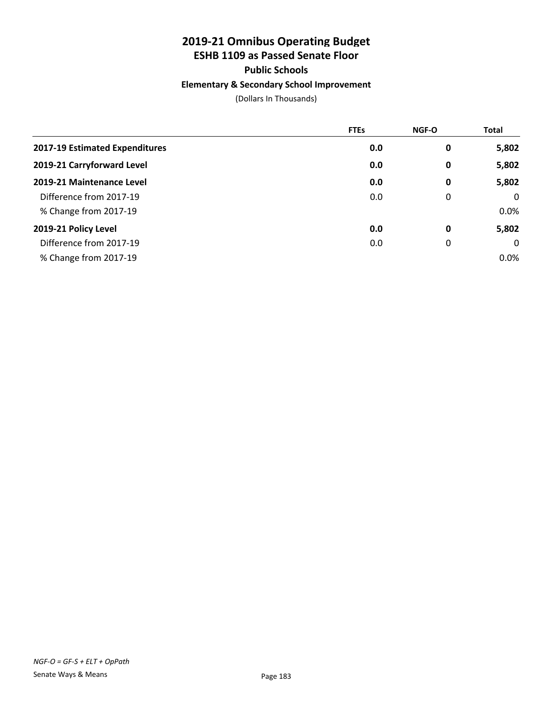# **2019-21 Omnibus Operating Budget**

# **ESHB 1109 as Passed Senate Floor**

## **Public Schools**

## **Elementary & Secondary School Improvement**

|                                | <b>FTEs</b> | <b>NGF-O</b> | Total       |
|--------------------------------|-------------|--------------|-------------|
| 2017-19 Estimated Expenditures | 0.0         | 0            | 5,802       |
| 2019-21 Carryforward Level     | 0.0         | 0            | 5,802       |
| 2019-21 Maintenance Level      | 0.0         | 0            | 5,802       |
| Difference from 2017-19        | 0.0         | 0            | $\mathbf 0$ |
| % Change from 2017-19          |             |              | 0.0%        |
| 2019-21 Policy Level           | 0.0         | 0            | 5,802       |
| Difference from 2017-19        | 0.0         | 0            | 0           |
| % Change from 2017-19          |             |              | $0.0\%$     |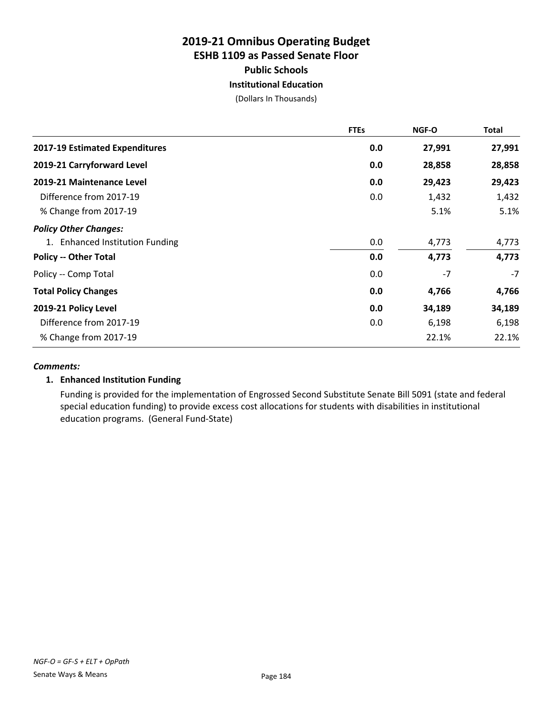## **2019-21 Omnibus Operating Budget ESHB 1109 as Passed Senate Floor Public Schools Institutional Education**

(Dollars In Thousands)

|                                       | <b>FTEs</b> | <b>NGF-O</b> | <b>Total</b> |
|---------------------------------------|-------------|--------------|--------------|
| <b>2017-19 Estimated Expenditures</b> | 0.0         | 27,991       | 27,991       |
| 2019-21 Carryforward Level            | 0.0         | 28,858       | 28,858       |
| 2019-21 Maintenance Level             | 0.0         | 29,423       | 29,423       |
| Difference from 2017-19               | 0.0         | 1,432        | 1,432        |
| % Change from 2017-19                 |             | 5.1%         | 5.1%         |
| <b>Policy Other Changes:</b>          |             |              |              |
| 1. Enhanced Institution Funding       | 0.0         | 4,773        | 4,773        |
| <b>Policy -- Other Total</b>          | 0.0         | 4,773        | 4,773        |
| Policy -- Comp Total                  | 0.0         | $-7$         | $-7$         |
| <b>Total Policy Changes</b>           | 0.0         | 4,766        | 4,766        |
| 2019-21 Policy Level                  | 0.0         | 34,189       | 34,189       |
| Difference from 2017-19               | 0.0         | 6,198        | 6,198        |
| % Change from 2017-19                 |             | 22.1%        | 22.1%        |

## *Comments:*

## **1. Enhanced Institution Funding**

Funding is provided for the implementation of Engrossed Second Substitute Senate Bill 5091 (state and federal special education funding) to provide excess cost allocations for students with disabilities in institutional education programs. (General Fund-State)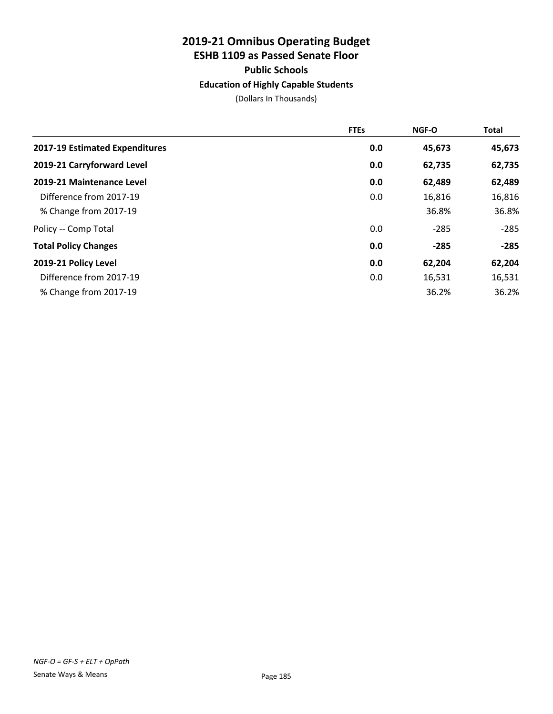# **2019-21 Omnibus Operating Budget ESHB 1109 as Passed Senate Floor Public Schools**

**Education of Highly Capable Students**

|                                | <b>FTEs</b> | <b>NGF-O</b> | <b>Total</b> |
|--------------------------------|-------------|--------------|--------------|
| 2017-19 Estimated Expenditures | 0.0         | 45,673       | 45,673       |
| 2019-21 Carryforward Level     | 0.0         | 62,735       | 62,735       |
| 2019-21 Maintenance Level      | 0.0         | 62,489       | 62,489       |
| Difference from 2017-19        | 0.0         | 16,816       | 16,816       |
| % Change from 2017-19          |             | 36.8%        | 36.8%        |
| Policy -- Comp Total           | 0.0         | $-285$       | $-285$       |
| <b>Total Policy Changes</b>    | 0.0         | $-285$       | $-285$       |
| 2019-21 Policy Level           | 0.0         | 62,204       | 62,204       |
| Difference from 2017-19        | 0.0         | 16,531       | 16,531       |
| % Change from 2017-19          |             | 36.2%        | 36.2%        |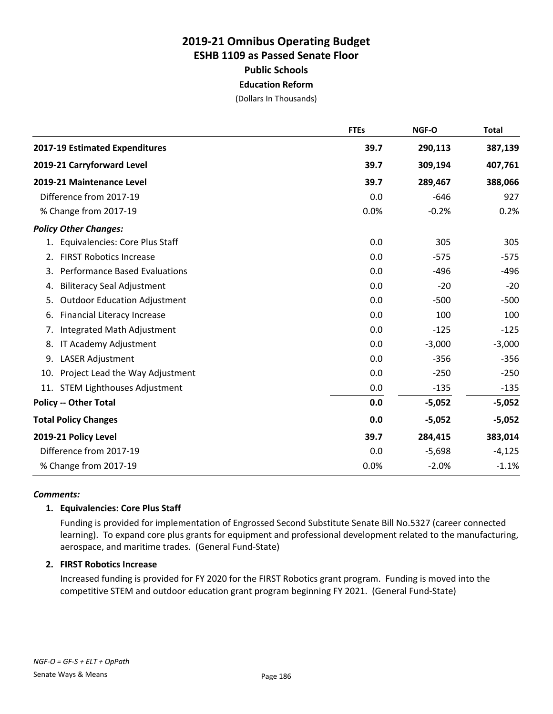## **2019-21 Omnibus Operating Budget ESHB 1109 as Passed Senate Floor Public Schools Education Reform**

(Dollars In Thousands)

|                                            | <b>FTEs</b> | NGF-O    | <b>Total</b> |
|--------------------------------------------|-------------|----------|--------------|
| 2017-19 Estimated Expenditures             | 39.7        | 290,113  | 387,139      |
| 2019-21 Carryforward Level                 | 39.7        | 309,194  | 407,761      |
| 2019-21 Maintenance Level                  | 39.7        | 289,467  | 388,066      |
| Difference from 2017-19                    | 0.0         | $-646$   | 927          |
| % Change from 2017-19                      | 0.0%        | $-0.2%$  | 0.2%         |
| <b>Policy Other Changes:</b>               |             |          |              |
| 1. Equivalencies: Core Plus Staff          | 0.0         | 305      | 305          |
| <b>FIRST Robotics Increase</b><br>2.       | 0.0         | $-575$   | $-575$       |
| <b>Performance Based Evaluations</b><br>3. | 0.0         | $-496$   | $-496$       |
| <b>Biliteracy Seal Adjustment</b><br>4.    | 0.0         | $-20$    | $-20$        |
| <b>Outdoor Education Adjustment</b><br>5.  | 0.0         | $-500$   | $-500$       |
| <b>Financial Literacy Increase</b><br>6.   | 0.0         | 100      | 100          |
| Integrated Math Adjustment<br>7.           | 0.0         | $-125$   | $-125$       |
| 8.<br>IT Academy Adjustment                | 0.0         | $-3,000$ | $-3,000$     |
| 9.<br><b>LASER Adjustment</b>              | 0.0         | $-356$   | $-356$       |
| Project Lead the Way Adjustment<br>10.     | 0.0         | $-250$   | $-250$       |
| <b>STEM Lighthouses Adjustment</b><br>11.  | 0.0         | $-135$   | $-135$       |
| <b>Policy -- Other Total</b>               | 0.0         | $-5,052$ | $-5,052$     |
| <b>Total Policy Changes</b>                | 0.0         | $-5,052$ | $-5,052$     |
| 2019-21 Policy Level                       | 39.7        | 284,415  | 383,014      |
| Difference from 2017-19                    | 0.0         | $-5,698$ | $-4,125$     |
| % Change from 2017-19                      | 0.0%        | $-2.0%$  | $-1.1%$      |

## *Comments:*

## **1. Equivalencies: Core Plus Staff**

Funding is provided for implementation of Engrossed Second Substitute Senate Bill No.5327 (career connected learning). To expand core plus grants for equipment and professional development related to the manufacturing, aerospace, and maritime trades. (General Fund-State)

## **2. FIRST Robotics Increase**

Increased funding is provided for FY 2020 for the FIRST Robotics grant program. Funding is moved into the competitive STEM and outdoor education grant program beginning FY 2021. (General Fund-State)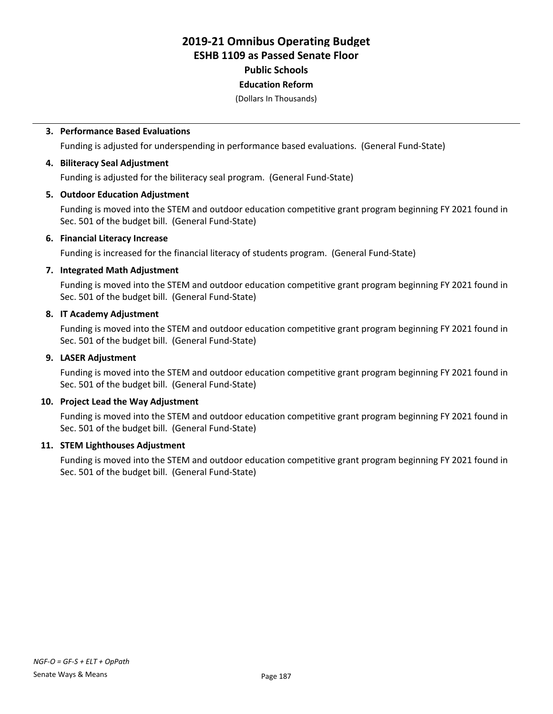# **2019-21 Omnibus Operating Budget ESHB 1109 as Passed Senate Floor Public Schools**

# **Education Reform**

(Dollars In Thousands)

#### **3. Performance Based Evaluations**

Funding is adjusted for underspending in performance based evaluations. (General Fund-State)

#### **4. Biliteracy Seal Adjustment**

Funding is adjusted for the biliteracy seal program. (General Fund-State)

#### **5. Outdoor Education Adjustment**

Funding is moved into the STEM and outdoor education competitive grant program beginning FY 2021 found in Sec. 501 of the budget bill. (General Fund-State)

#### **6. Financial Literacy Increase**

Funding is increased for the financial literacy of students program. (General Fund-State)

#### **7. Integrated Math Adjustment**

Funding is moved into the STEM and outdoor education competitive grant program beginning FY 2021 found in Sec. 501 of the budget bill. (General Fund-State)

### **8. IT Academy Adjustment**

Funding is moved into the STEM and outdoor education competitive grant program beginning FY 2021 found in Sec. 501 of the budget bill. (General Fund-State)

### **9. LASER Adjustment**

Funding is moved into the STEM and outdoor education competitive grant program beginning FY 2021 found in Sec. 501 of the budget bill. (General Fund-State)

## **10. Project Lead the Way Adjustment**

Funding is moved into the STEM and outdoor education competitive grant program beginning FY 2021 found in Sec. 501 of the budget bill. (General Fund-State)

## **11. STEM Lighthouses Adjustment**

Funding is moved into the STEM and outdoor education competitive grant program beginning FY 2021 found in Sec. 501 of the budget bill. (General Fund-State)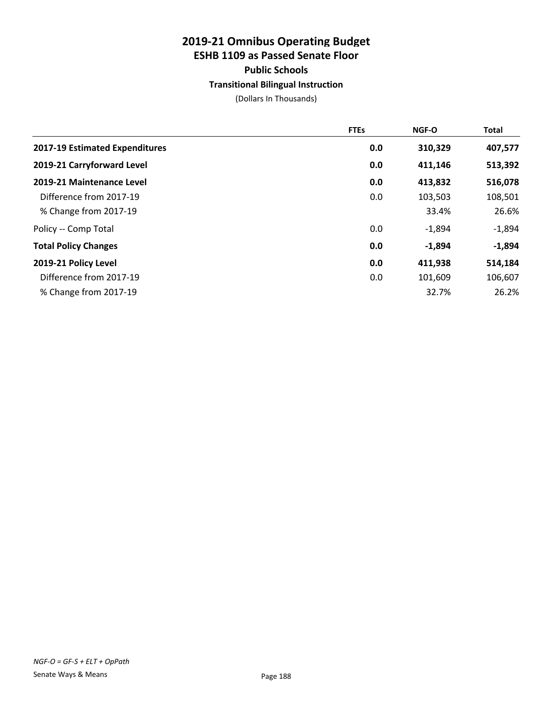# **2019-21 Omnibus Operating Budget ESHB 1109 as Passed Senate Floor Public Schools**

#### **Transitional Bilingual Instruction**

|                                | <b>FTEs</b> | <b>NGF-O</b> | Total    |
|--------------------------------|-------------|--------------|----------|
| 2017-19 Estimated Expenditures | 0.0         | 310,329      | 407,577  |
| 2019-21 Carryforward Level     | 0.0         | 411,146      | 513,392  |
| 2019-21 Maintenance Level      | 0.0         | 413,832      | 516,078  |
| Difference from 2017-19        | 0.0         | 103,503      | 108,501  |
| % Change from 2017-19          |             | 33.4%        | 26.6%    |
| Policy -- Comp Total           | 0.0         | $-1,894$     | $-1,894$ |
| <b>Total Policy Changes</b>    | 0.0         | $-1,894$     | $-1,894$ |
| 2019-21 Policy Level           | 0.0         | 411,938      | 514,184  |
| Difference from 2017-19        | 0.0         | 101,609      | 106,607  |
| % Change from 2017-19          |             | 32.7%        | 26.2%    |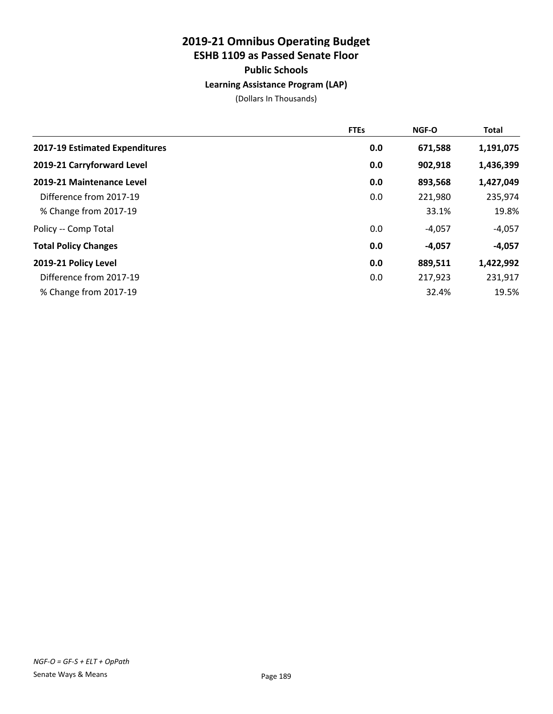## **2019-21 Omnibus Operating Budget ESHB 1109 as Passed Senate Floor Public Schools Learning Assistance Program (LAP)**

|                                | <b>FTEs</b> | <b>NGF-O</b> | <b>Total</b> |
|--------------------------------|-------------|--------------|--------------|
| 2017-19 Estimated Expenditures | 0.0         | 671,588      | 1,191,075    |
| 2019-21 Carryforward Level     | 0.0         | 902,918      | 1,436,399    |
| 2019-21 Maintenance Level      | 0.0         | 893,568      | 1,427,049    |
| Difference from 2017-19        | 0.0         | 221,980      | 235,974      |
| % Change from 2017-19          |             | 33.1%        | 19.8%        |
| Policy -- Comp Total           | 0.0         | $-4,057$     | $-4,057$     |
| <b>Total Policy Changes</b>    | 0.0         | $-4,057$     | $-4,057$     |
| 2019-21 Policy Level           | 0.0         | 889,511      | 1,422,992    |
| Difference from 2017-19        | 0.0         | 217,923      | 231,917      |
| % Change from 2017-19          |             | 32.4%        | 19.5%        |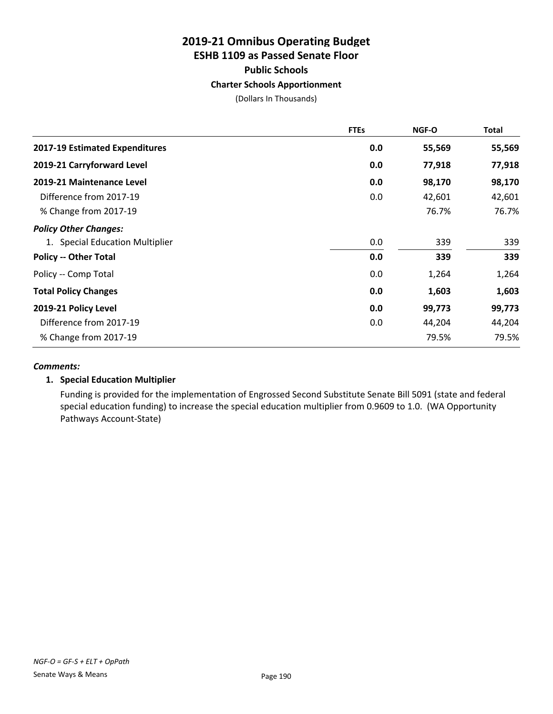## **2019-21 Omnibus Operating Budget ESHB 1109 as Passed Senate Floor Public Schools**

#### **Charter Schools Apportionment**

(Dollars In Thousands)

|                                 | <b>FTEs</b> | <b>NGF-O</b> | <b>Total</b> |
|---------------------------------|-------------|--------------|--------------|
| 2017-19 Estimated Expenditures  | 0.0         | 55,569       | 55,569       |
| 2019-21 Carryforward Level      | 0.0         | 77,918       | 77,918       |
| 2019-21 Maintenance Level       | 0.0         | 98,170       | 98,170       |
| Difference from 2017-19         | 0.0         | 42,601       | 42,601       |
| % Change from 2017-19           |             | 76.7%        | 76.7%        |
| <b>Policy Other Changes:</b>    |             |              |              |
| 1. Special Education Multiplier | 0.0         | 339          | 339          |
| <b>Policy -- Other Total</b>    | 0.0         | 339          | 339          |
| Policy -- Comp Total            | 0.0         | 1,264        | 1,264        |
| <b>Total Policy Changes</b>     | 0.0         | 1,603        | 1,603        |
| 2019-21 Policy Level            | 0.0         | 99,773       | 99,773       |
| Difference from 2017-19         | 0.0         | 44,204       | 44,204       |
| % Change from 2017-19           |             | 79.5%        | 79.5%        |

#### *Comments:*

## **1. Special Education Multiplier**

Funding is provided for the implementation of Engrossed Second Substitute Senate Bill 5091 (state and federal special education funding) to increase the special education multiplier from 0.9609 to 1.0. (WA Opportunity Pathways Account-State)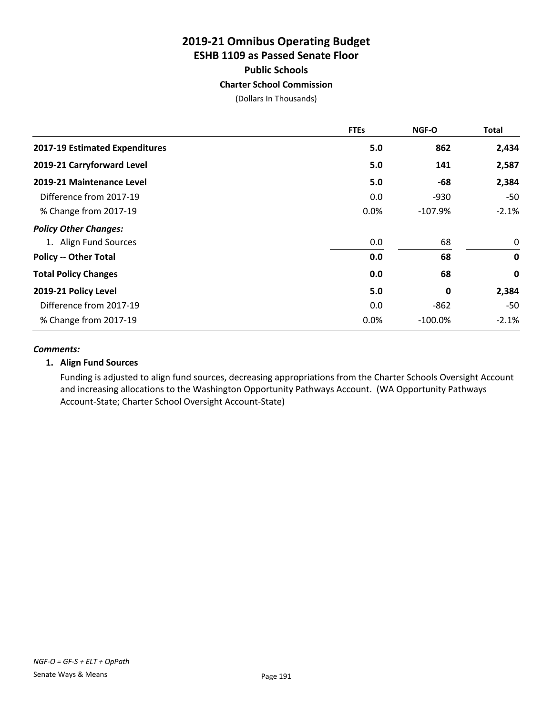## **2019-21 Omnibus Operating Budget ESHB 1109 as Passed Senate Floor Public Schools Charter School Commission**

(Dollars In Thousands)

|                                | <b>FTEs</b> | <b>NGF-O</b> | <b>Total</b> |
|--------------------------------|-------------|--------------|--------------|
| 2017-19 Estimated Expenditures | 5.0         | 862          | 2,434        |
| 2019-21 Carryforward Level     | 5.0         | 141          | 2,587        |
| 2019-21 Maintenance Level      | 5.0         | -68          | 2,384        |
| Difference from 2017-19        | 0.0         | -930         | $-50$        |
| % Change from 2017-19          | 0.0%        | $-107.9%$    | $-2.1%$      |
| <b>Policy Other Changes:</b>   |             |              |              |
| 1. Align Fund Sources          | 0.0         | 68           | 0            |
| <b>Policy -- Other Total</b>   | 0.0         | 68           | $\mathbf 0$  |
| <b>Total Policy Changes</b>    | 0.0         | 68           | $\mathbf 0$  |
| 2019-21 Policy Level           | 5.0         | 0            | 2,384        |
| Difference from 2017-19        | 0.0         | -862         | -50          |
| % Change from 2017-19          | 0.0%        | $-100.0\%$   | $-2.1%$      |

#### *Comments:*

## **1. Align Fund Sources**

Funding is adjusted to align fund sources, decreasing appropriations from the Charter Schools Oversight Account and increasing allocations to the Washington Opportunity Pathways Account. (WA Opportunity Pathways Account-State; Charter School Oversight Account-State)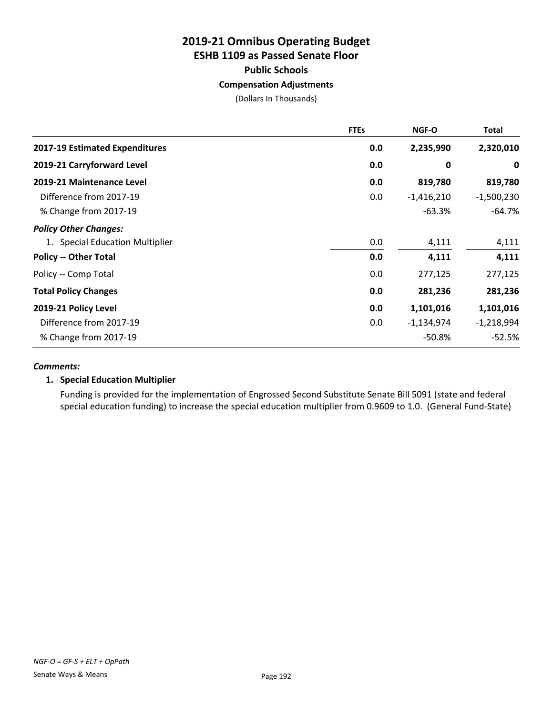# **2019-21 Omnibus Operating Budget ESHB 1109 as Passed Senate Floor Public Schools**

## **Compensation Adjustments**

(Dollars In Thousands)

|                                       | <b>FTEs</b> | NGF-O        | Total        |
|---------------------------------------|-------------|--------------|--------------|
| <b>2017-19 Estimated Expenditures</b> | 0.0         | 2,235,990    | 2,320,010    |
| 2019-21 Carryforward Level            | 0.0         | 0            | 0            |
| 2019-21 Maintenance Level             | 0.0         | 819,780      | 819,780      |
| Difference from 2017-19               | 0.0         | $-1,416,210$ | $-1,500,230$ |
| % Change from 2017-19                 |             | $-63.3%$     | $-64.7\%$    |
| <b>Policy Other Changes:</b>          |             |              |              |
| 1. Special Education Multiplier       | 0.0         | 4,111        | 4,111        |
| <b>Policy -- Other Total</b>          | 0.0         | 4,111        | 4,111        |
| Policy -- Comp Total                  | 0.0         | 277,125      | 277,125      |
| <b>Total Policy Changes</b>           | 0.0         | 281,236      | 281,236      |
| 2019-21 Policy Level                  | 0.0         | 1,101,016    | 1,101,016    |
| Difference from 2017-19               | 0.0         | $-1,134,974$ | $-1,218,994$ |
| % Change from 2017-19                 |             | $-50.8%$     | $-52.5%$     |

#### *Comments:*

#### **1. Special Education Multiplier**

Funding is provided for the implementation of Engrossed Second Substitute Senate Bill 5091 (state and federal special education funding) to increase the special education multiplier from 0.9609 to 1.0. (General Fund-State)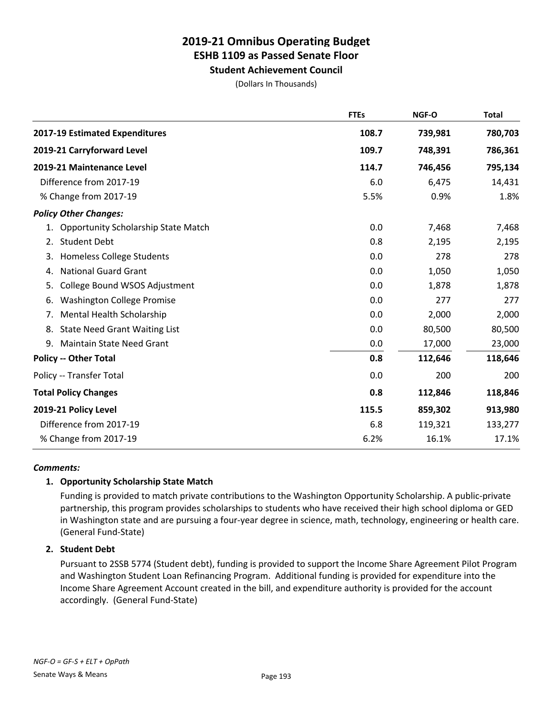**Student Achievement Council**

(Dollars In Thousands)

|                                                  | <b>FTEs</b> | NGF-O   | <b>Total</b> |
|--------------------------------------------------|-------------|---------|--------------|
| 2017-19 Estimated Expenditures                   | 108.7       | 739,981 | 780,703      |
| 2019-21 Carryforward Level                       | 109.7       | 748,391 | 786,361      |
| 2019-21 Maintenance Level                        | 114.7       | 746,456 | 795,134      |
| Difference from 2017-19                          | 6.0         | 6,475   | 14,431       |
| % Change from 2017-19                            | 5.5%        | 0.9%    | 1.8%         |
| <b>Policy Other Changes:</b>                     |             |         |              |
| <b>Opportunity Scholarship State Match</b><br>1. | 0.0         | 7,468   | 7,468        |
| <b>Student Debt</b><br>2.                        | 0.8         | 2,195   | 2,195        |
| <b>Homeless College Students</b><br>3.           | 0.0         | 278     | 278          |
| <b>National Guard Grant</b><br>4.                | 0.0         | 1,050   | 1,050        |
| College Bound WSOS Adjustment<br>5.              | 0.0         | 1,878   | 1,878        |
| <b>Washington College Promise</b><br>6.          | 0.0         | 277     | 277          |
| Mental Health Scholarship<br>7.                  | 0.0         | 2,000   | 2,000        |
| <b>State Need Grant Waiting List</b><br>8.       | 0.0         | 80,500  | 80,500       |
| 9.<br><b>Maintain State Need Grant</b>           | 0.0         | 17,000  | 23,000       |
| <b>Policy -- Other Total</b>                     | 0.8         | 112,646 | 118,646      |
| Policy -- Transfer Total                         | 0.0         | 200     | 200          |
| <b>Total Policy Changes</b>                      | 0.8         | 112,846 | 118,846      |
| 2019-21 Policy Level                             | 115.5       | 859,302 | 913,980      |
| Difference from 2017-19                          | 6.8         | 119,321 | 133,277      |
| % Change from 2017-19                            | 6.2%        | 16.1%   | 17.1%        |

## *Comments:*

## **1. Opportunity Scholarship State Match**

Funding is provided to match private contributions to the Washington Opportunity Scholarship. A public-private partnership, this program provides scholarships to students who have received their high school diploma or GED in Washington state and are pursuing a four-year degree in science, math, technology, engineering or health care. (General Fund-State)

## **2. Student Debt**

Pursuant to 2SSB 5774 (Student debt), funding is provided to support the Income Share Agreement Pilot Program and Washington Student Loan Refinancing Program. Additional funding is provided for expenditure into the Income Share Agreement Account created in the bill, and expenditure authority is provided for the account accordingly. (General Fund-State)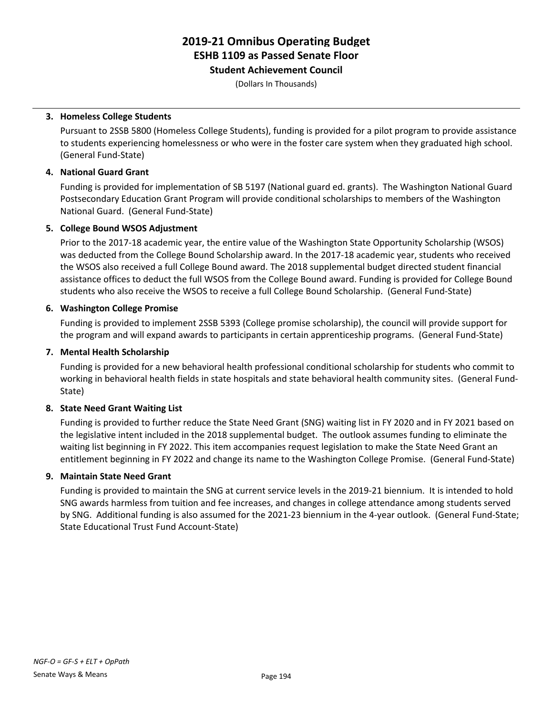**Student Achievement Council**

(Dollars In Thousands)

## **3. Homeless College Students**

Pursuant to 2SSB 5800 (Homeless College Students), funding is provided for a pilot program to provide assistance to students experiencing homelessness or who were in the foster care system when they graduated high school. (General Fund-State)

## **4. National Guard Grant**

Funding is provided for implementation of SB 5197 (National guard ed. grants). The Washington National Guard Postsecondary Education Grant Program will provide conditional scholarships to members of the Washington National Guard. (General Fund-State)

## **5. College Bound WSOS Adjustment**

Prior to the 2017-18 academic year, the entire value of the Washington State Opportunity Scholarship (WSOS) was deducted from the College Bound Scholarship award. In the 2017-18 academic year, students who received the WSOS also received a full College Bound award. The 2018 supplemental budget directed student financial assistance offices to deduct the full WSOS from the College Bound award. Funding is provided for College Bound students who also receive the WSOS to receive a full College Bound Scholarship. (General Fund-State)

## **6. Washington College Promise**

Funding is provided to implement 2SSB 5393 (College promise scholarship), the council will provide support for the program and will expand awards to participants in certain apprenticeship programs. (General Fund-State)

## **7. Mental Health Scholarship**

Funding is provided for a new behavioral health professional conditional scholarship for students who commit to working in behavioral health fields in state hospitals and state behavioral health community sites. (General Fund-State)

## **8. State Need Grant Waiting List**

Funding is provided to further reduce the State Need Grant (SNG) waiting list in FY 2020 and in FY 2021 based on the legislative intent included in the 2018 supplemental budget. The outlook assumes funding to eliminate the waiting list beginning in FY 2022. This item accompanies request legislation to make the State Need Grant an entitlement beginning in FY 2022 and change its name to the Washington College Promise. (General Fund-State)

## **9. Maintain State Need Grant**

Funding is provided to maintain the SNG at current service levels in the 2019-21 biennium. It is intended to hold SNG awards harmless from tuition and fee increases, and changes in college attendance among students served by SNG. Additional funding is also assumed for the 2021-23 biennium in the 4-year outlook. (General Fund-State; State Educational Trust Fund Account-State)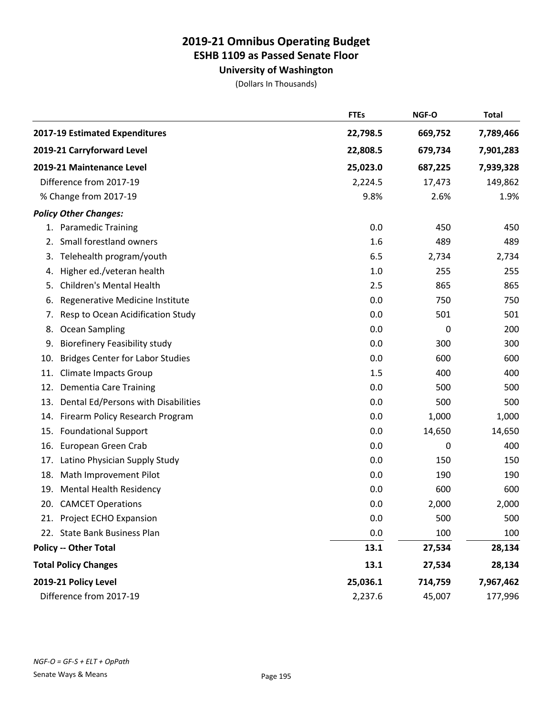**University of Washington**

|                                                | <b>FTEs</b> | NGF-O   | <b>Total</b> |
|------------------------------------------------|-------------|---------|--------------|
| 2017-19 Estimated Expenditures                 | 22,798.5    | 669,752 | 7,789,466    |
| 2019-21 Carryforward Level                     | 22,808.5    | 679,734 | 7,901,283    |
| 2019-21 Maintenance Level                      | 25,023.0    | 687,225 | 7,939,328    |
| Difference from 2017-19                        | 2,224.5     | 17,473  | 149,862      |
| % Change from 2017-19                          | 9.8%        | 2.6%    | 1.9%         |
| <b>Policy Other Changes:</b>                   |             |         |              |
| 1. Paramedic Training                          | 0.0         | 450     | 450          |
| Small forestland owners<br>2.                  | 1.6         | 489     | 489          |
| Telehealth program/youth<br>3.                 | 6.5         | 2,734   | 2,734        |
| Higher ed./veteran health<br>4.                | 1.0         | 255     | 255          |
| <b>Children's Mental Health</b><br>5.          | 2.5         | 865     | 865          |
| Regenerative Medicine Institute<br>6.          | 0.0         | 750     | 750          |
| Resp to Ocean Acidification Study<br>7.        | 0.0         | 501     | 501          |
| <b>Ocean Sampling</b><br>8.                    | 0.0         | 0       | 200          |
| 9.<br><b>Biorefinery Feasibility study</b>     | 0.0         | 300     | 300          |
| <b>Bridges Center for Labor Studies</b><br>10. | 0.0         | 600     | 600          |
| <b>Climate Impacts Group</b><br>11.            | 1.5         | 400     | 400          |
| 12.<br><b>Dementia Care Training</b>           | 0.0         | 500     | 500          |
| Dental Ed/Persons with Disabilities<br>13.     | 0.0         | 500     | 500          |
| Firearm Policy Research Program<br>14.         | 0.0         | 1,000   | 1,000        |
| 15.<br><b>Foundational Support</b>             | 0.0         | 14,650  | 14,650       |
| European Green Crab<br>16.                     | 0.0         | 0       | 400          |
| Latino Physician Supply Study<br>17.           | 0.0         | 150     | 150          |
| 18.<br>Math Improvement Pilot                  | 0.0         | 190     | 190          |
| 19.<br><b>Mental Health Residency</b>          | 0.0         | 600     | 600          |
| <b>CAMCET Operations</b><br>20.                | 0.0         | 2,000   | 2,000        |
| 21. Project ECHO Expansion                     | 0.0         | 500     | 500          |
| 22. State Bank Business Plan                   | 0.0         | 100     | 100          |
| <b>Policy -- Other Total</b>                   | 13.1        | 27,534  | 28,134       |
| <b>Total Policy Changes</b>                    | 13.1        | 27,534  | 28,134       |
| 2019-21 Policy Level                           | 25,036.1    | 714,759 | 7,967,462    |
| Difference from 2017-19                        | 2,237.6     | 45,007  | 177,996      |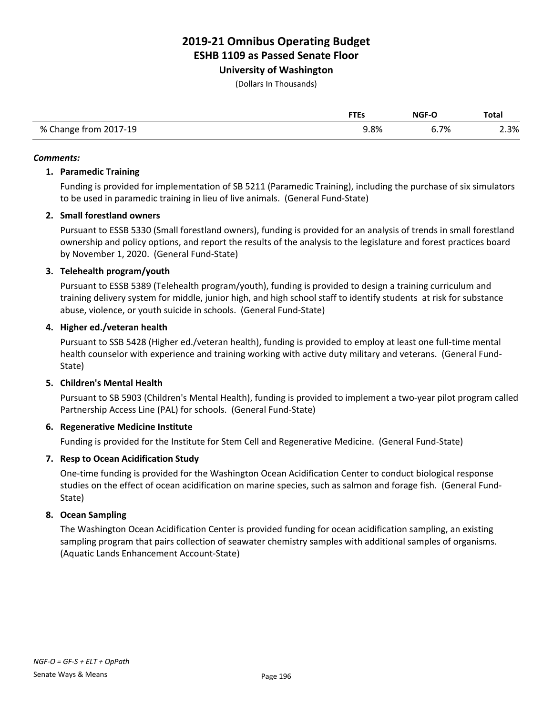**University of Washington**

(Dollars In Thousands)

|                       |      | <b>NGF-O</b> | <b>Total</b> |
|-----------------------|------|--------------|--------------|
| % Change from 2017-19 | 9.8% | 6.7%         | $\angle 3\%$ |

#### *Comments:*

### **1. Paramedic Training**

Funding is provided for implementation of SB 5211 (Paramedic Training), including the purchase of six simulators to be used in paramedic training in lieu of live animals. (General Fund-State)

## **2. Small forestland owners**

Pursuant to ESSB 5330 (Small forestland owners), funding is provided for an analysis of trends in small forestland ownership and policy options, and report the results of the analysis to the legislature and forest practices board by November 1, 2020. (General Fund-State)

## **3. Telehealth program/youth**

Pursuant to ESSB 5389 (Telehealth program/youth), funding is provided to design a training curriculum and training delivery system for middle, junior high, and high school staff to identify students at risk for substance abuse, violence, or youth suicide in schools. (General Fund-State)

## **4. Higher ed./veteran health**

Pursuant to SSB 5428 (Higher ed./veteran health), funding is provided to employ at least one full-time mental health counselor with experience and training working with active duty military and veterans. (General Fund-State)

## **5. Children's Mental Health**

Pursuant to SB 5903 (Children's Mental Health), funding is provided to implement a two-year pilot program called Partnership Access Line (PAL) for schools. (General Fund-State)

## **6. Regenerative Medicine Institute**

Funding is provided for the Institute for Stem Cell and Regenerative Medicine. (General Fund-State)

## **7. Resp to Ocean Acidification Study**

One-time funding is provided for the Washington Ocean Acidification Center to conduct biological response studies on the effect of ocean acidification on marine species, such as salmon and forage fish. (General Fund-State)

## **8. Ocean Sampling**

The Washington Ocean Acidification Center is provided funding for ocean acidification sampling, an existing sampling program that pairs collection of seawater chemistry samples with additional samples of organisms. (Aquatic Lands Enhancement Account-State)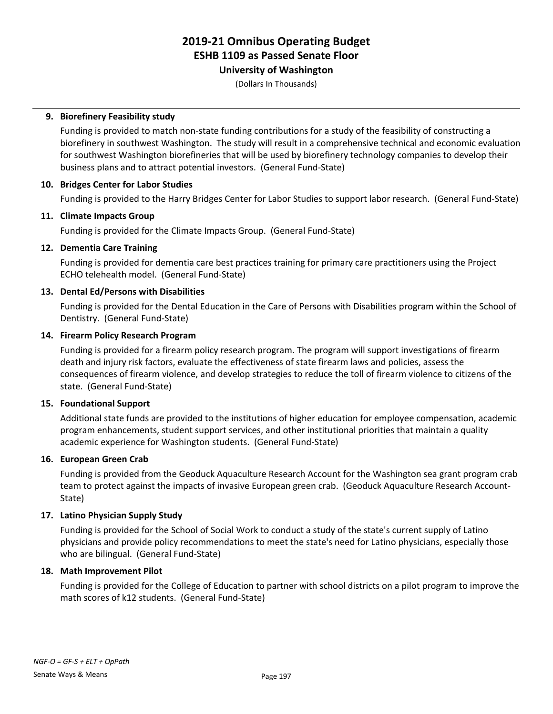## **University of Washington**

(Dollars In Thousands)

## **9. Biorefinery Feasibility study**

Funding is provided to match non-state funding contributions for a study of the feasibility of constructing a biorefinery in southwest Washington. The study will result in a comprehensive technical and economic evaluation for southwest Washington biorefineries that will be used by biorefinery technology companies to develop their business plans and to attract potential investors. (General Fund-State)

## **10. Bridges Center for Labor Studies**

Funding is provided to the Harry Bridges Center for Labor Studies to support labor research. (General Fund-State)

## **11. Climate Impacts Group**

Funding is provided for the Climate Impacts Group. (General Fund-State)

## **12. Dementia Care Training**

Funding is provided for dementia care best practices training for primary care practitioners using the Project ECHO telehealth model. (General Fund-State)

## **13. Dental Ed/Persons with Disabilities**

Funding is provided for the Dental Education in the Care of Persons with Disabilities program within the School of Dentistry. (General Fund-State)

## **14. Firearm Policy Research Program**

Funding is provided for a firearm policy research program. The program will support investigations of firearm death and injury risk factors, evaluate the effectiveness of state firearm laws and policies, assess the consequences of firearm violence, and develop strategies to reduce the toll of firearm violence to citizens of the state. (General Fund-State)

## **15. Foundational Support**

Additional state funds are provided to the institutions of higher education for employee compensation, academic program enhancements, student support services, and other institutional priorities that maintain a quality academic experience for Washington students. (General Fund-State)

## **16. European Green Crab**

Funding is provided from the Geoduck Aquaculture Research Account for the Washington sea grant program crab team to protect against the impacts of invasive European green crab. (Geoduck Aquaculture Research Account-State)

## **17. Latino Physician Supply Study**

Funding is provided for the School of Social Work to conduct a study of the state's current supply of Latino physicians and provide policy recommendations to meet the state's need for Latino physicians, especially those who are bilingual. (General Fund-State)

## **18. Math Improvement Pilot**

Funding is provided for the College of Education to partner with school districts on a pilot program to improve the math scores of k12 students. (General Fund-State)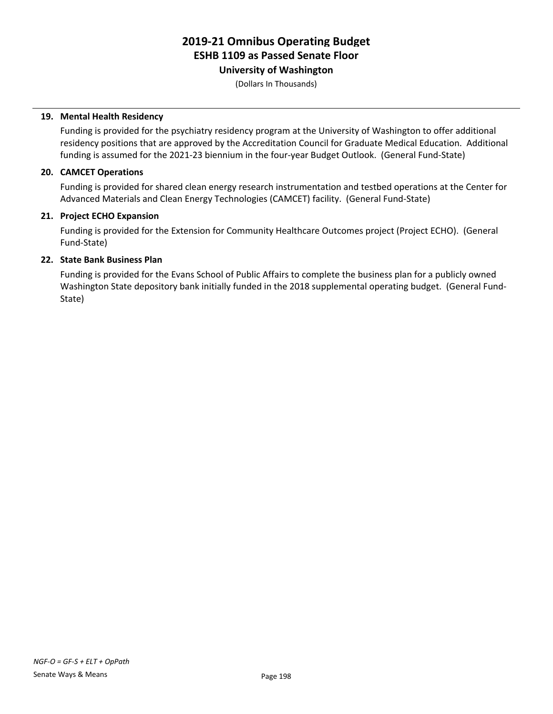**University of Washington**

(Dollars In Thousands)

### **19. Mental Health Residency**

Funding is provided for the psychiatry residency program at the University of Washington to offer additional residency positions that are approved by the Accreditation Council for Graduate Medical Education. Additional funding is assumed for the 2021-23 biennium in the four-year Budget Outlook. (General Fund-State)

#### **20. CAMCET Operations**

Funding is provided for shared clean energy research instrumentation and testbed operations at the Center for Advanced Materials and Clean Energy Technologies (CAMCET) facility. (General Fund-State)

#### **21. Project ECHO Expansion**

Funding is provided for the Extension for Community Healthcare Outcomes project (Project ECHO). (General Fund-State)

#### **22. State Bank Business Plan**

Funding is provided for the Evans School of Public Affairs to complete the business plan for a publicly owned Washington State depository bank initially funded in the 2018 supplemental operating budget. (General Fund-State)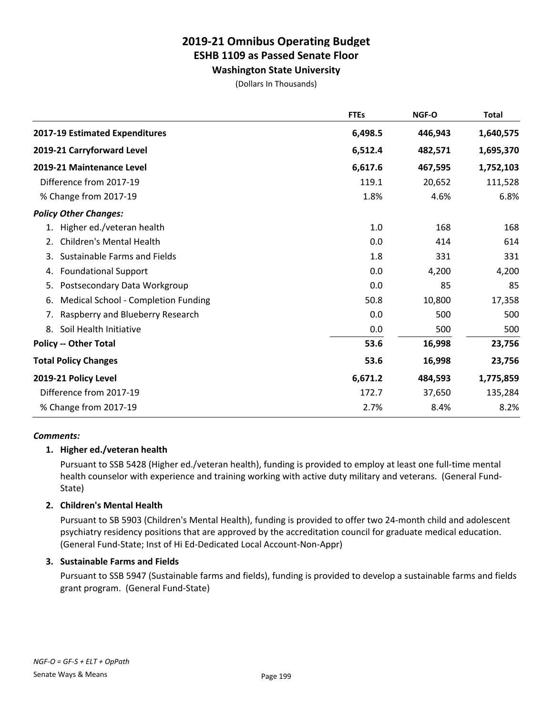**Washington State University**

(Dollars In Thousands)

|                                           | <b>FTEs</b> | NGF-O   | <b>Total</b> |
|-------------------------------------------|-------------|---------|--------------|
| 2017-19 Estimated Expenditures            | 6,498.5     | 446,943 | 1,640,575    |
| 2019-21 Carryforward Level                | 6,512.4     | 482,571 | 1,695,370    |
| 2019-21 Maintenance Level                 | 6,617.6     | 467,595 | 1,752,103    |
| Difference from 2017-19                   | 119.1       | 20,652  | 111,528      |
| % Change from 2017-19                     | 1.8%        | 4.6%    | 6.8%         |
| <b>Policy Other Changes:</b>              |             |         |              |
| Higher ed./veteran health<br>1.           | 1.0         | 168     | 168          |
| <b>Children's Mental Health</b><br>2.     | 0.0         | 414     | 614          |
| Sustainable Farms and Fields<br>3.        | 1.8         | 331     | 331          |
| <b>Foundational Support</b><br>4.         | 0.0         | 4,200   | 4,200        |
| Postsecondary Data Workgroup<br>5.        | 0.0         | 85      | 85           |
| Medical School - Completion Funding<br>6. | 50.8        | 10,800  | 17,358       |
| Raspberry and Blueberry Research<br>7.    | 0.0         | 500     | 500          |
| Soil Health Initiative<br>8.              | 0.0         | 500     | 500          |
| <b>Policy -- Other Total</b>              | 53.6        | 16,998  | 23,756       |
| <b>Total Policy Changes</b>               | 53.6        | 16,998  | 23,756       |
| 2019-21 Policy Level                      | 6,671.2     | 484,593 | 1,775,859    |
| Difference from 2017-19                   | 172.7       | 37,650  | 135,284      |
| % Change from 2017-19                     | 2.7%        | 8.4%    | 8.2%         |

## *Comments:*

## **1. Higher ed./veteran health**

Pursuant to SSB 5428 (Higher ed./veteran health), funding is provided to employ at least one full-time mental health counselor with experience and training working with active duty military and veterans. (General Fund-State)

## **2. Children's Mental Health**

Pursuant to SB 5903 (Children's Mental Health), funding is provided to offer two 24-month child and adolescent psychiatry residency positions that are approved by the accreditation council for graduate medical education. (General Fund-State; Inst of Hi Ed-Dedicated Local Account-Non-Appr)

## **3. Sustainable Farms and Fields**

Pursuant to SSB 5947 (Sustainable farms and fields), funding is provided to develop a sustainable farms and fields grant program. (General Fund-State)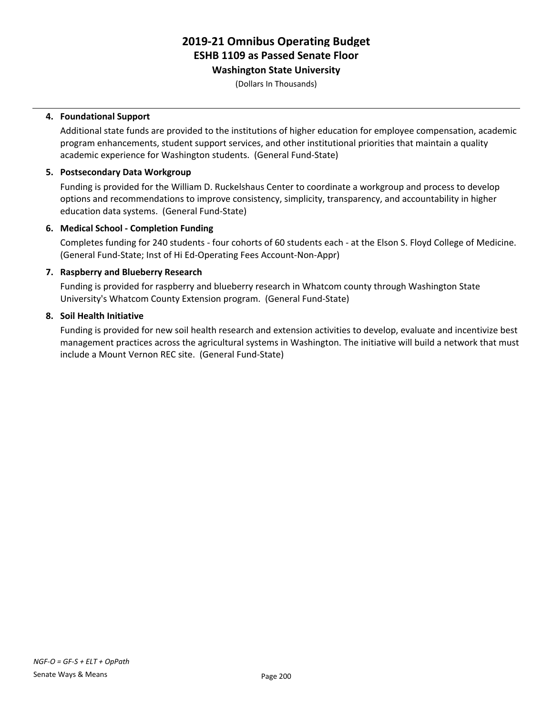## **Washington State University**

(Dollars In Thousands)

## **4. Foundational Support**

Additional state funds are provided to the institutions of higher education for employee compensation, academic program enhancements, student support services, and other institutional priorities that maintain a quality academic experience for Washington students. (General Fund-State)

#### **5. Postsecondary Data Workgroup**

Funding is provided for the William D. Ruckelshaus Center to coordinate a workgroup and process to develop options and recommendations to improve consistency, simplicity, transparency, and accountability in higher education data systems. (General Fund-State)

#### **6. Medical School - Completion Funding**

Completes funding for 240 students - four cohorts of 60 students each - at the Elson S. Floyd College of Medicine. (General Fund-State; Inst of Hi Ed-Operating Fees Account-Non-Appr)

#### **7. Raspberry and Blueberry Research**

Funding is provided for raspberry and blueberry research in Whatcom county through Washington State University's Whatcom County Extension program. (General Fund-State)

#### **8. Soil Health Initiative**

Funding is provided for new soil health research and extension activities to develop, evaluate and incentivize best management practices across the agricultural systems in Washington. The initiative will build a network that must include a Mount Vernon REC site. (General Fund-State)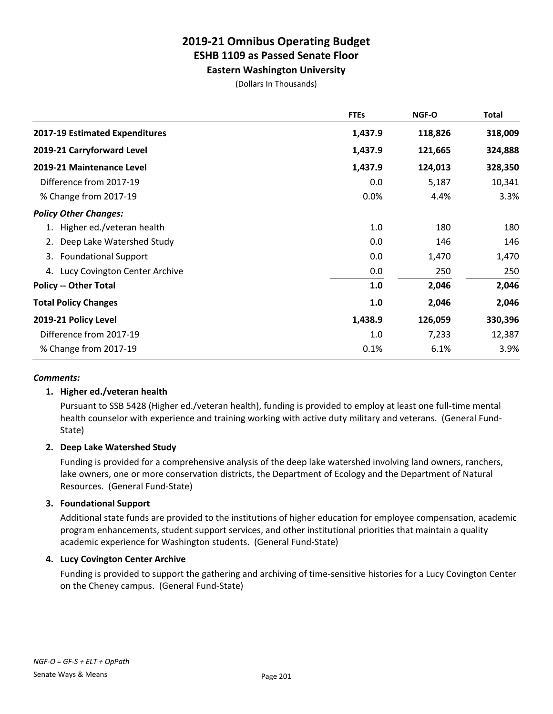## **Eastern Washington University**

(Dollars In Thousands)

|                                   | <b>FTEs</b> | NGF-O   | Total   |
|-----------------------------------|-------------|---------|---------|
| 2017-19 Estimated Expenditures    | 1,437.9     | 118,826 | 318,009 |
| 2019-21 Carryforward Level        | 1,437.9     | 121,665 | 324,888 |
| 2019-21 Maintenance Level         | 1,437.9     | 124,013 | 328,350 |
| Difference from 2017-19           | 0.0         | 5,187   | 10,341  |
| % Change from 2017-19             | 0.0%        | 4.4%    | 3.3%    |
| <b>Policy Other Changes:</b>      |             |         |         |
| Higher ed./veteran health         | 1.0         | 180     | 180     |
| Deep Lake Watershed Study<br>2.   | 0.0         | 146     | 146     |
| <b>Foundational Support</b><br>3. | 0.0         | 1,470   | 1,470   |
| 4. Lucy Covington Center Archive  | 0.0         | 250     | 250     |
| <b>Policy -- Other Total</b>      | 1.0         | 2,046   | 2,046   |
| <b>Total Policy Changes</b>       | 1.0         | 2,046   | 2,046   |
| 2019-21 Policy Level              | 1,438.9     | 126,059 | 330,396 |
| Difference from 2017-19           | 1.0         | 7,233   | 12,387  |
| % Change from 2017-19             | 0.1%        | 6.1%    | 3.9%    |

## *Comments:*

## **1. Higher ed./veteran health**

Pursuant to SSB 5428 (Higher ed./veteran health), funding is provided to employ at least one full-time mental health counselor with experience and training working with active duty military and veterans. (General Fund-State)

## **2. Deep Lake Watershed Study**

Funding is provided for a comprehensive analysis of the deep lake watershed involving land owners, ranchers, lake owners, one or more conservation districts, the Department of Ecology and the Department of Natural Resources. (General Fund-State)

## **3. Foundational Support**

Additional state funds are provided to the institutions of higher education for employee compensation, academic program enhancements, student support services, and other institutional priorities that maintain a quality academic experience for Washington students. (General Fund-State)

## **4. Lucy Covington Center Archive**

Funding is provided to support the gathering and archiving of time-sensitive histories for a Lucy Covington Center on the Cheney campus. (General Fund-State)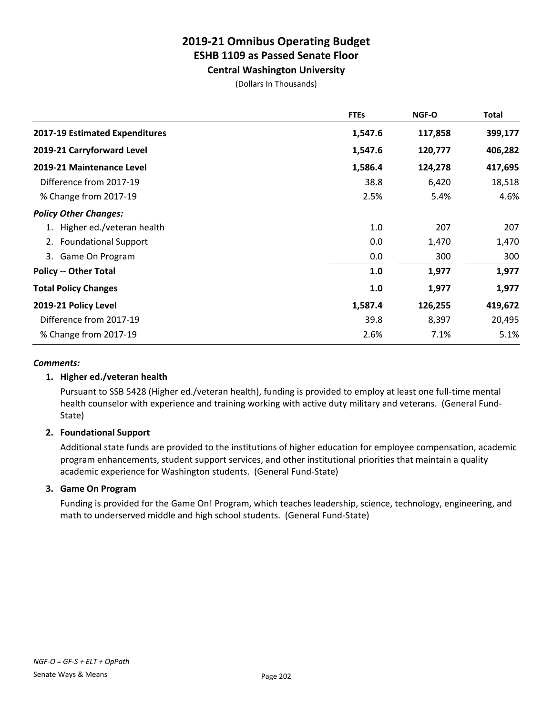## **Central Washington University**

(Dollars In Thousands)

|                                       | <b>FTEs</b> | NGF-O   | Total   |
|---------------------------------------|-------------|---------|---------|
| <b>2017-19 Estimated Expenditures</b> | 1,547.6     | 117,858 | 399,177 |
| 2019-21 Carryforward Level            | 1,547.6     | 120,777 | 406,282 |
| 2019-21 Maintenance Level             | 1,586.4     | 124,278 | 417,695 |
| Difference from 2017-19               | 38.8        | 6,420   | 18,518  |
| % Change from 2017-19                 | 2.5%        | 5.4%    | 4.6%    |
| <b>Policy Other Changes:</b>          |             |         |         |
| 1. Higher ed./veteran health          | 1.0         | 207     | 207     |
| <b>Foundational Support</b><br>2.     | 0.0         | 1,470   | 1,470   |
| Game On Program<br>3.                 | 0.0         | 300     | 300     |
| <b>Policy -- Other Total</b>          | 1.0         | 1,977   | 1,977   |
| <b>Total Policy Changes</b>           | 1.0         | 1,977   | 1,977   |
| 2019-21 Policy Level                  | 1,587.4     | 126,255 | 419,672 |
| Difference from 2017-19               | 39.8        | 8,397   | 20,495  |
| % Change from 2017-19                 | 2.6%        | 7.1%    | 5.1%    |

## *Comments:*

## **1. Higher ed./veteran health**

Pursuant to SSB 5428 (Higher ed./veteran health), funding is provided to employ at least one full-time mental health counselor with experience and training working with active duty military and veterans. (General Fund-State)

## **2. Foundational Support**

Additional state funds are provided to the institutions of higher education for employee compensation, academic program enhancements, student support services, and other institutional priorities that maintain a quality academic experience for Washington students. (General Fund-State)

## **3. Game On Program**

Funding is provided for the Game On! Program, which teaches leadership, science, technology, engineering, and math to underserved middle and high school students. (General Fund-State)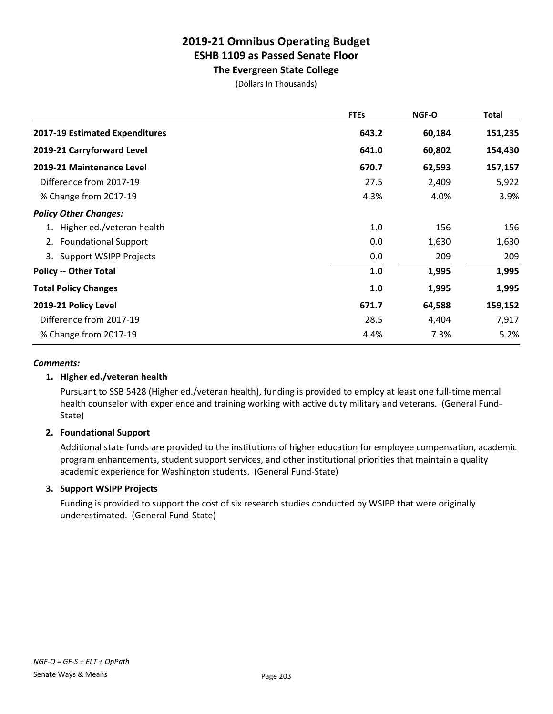## **The Evergreen State College**

(Dollars In Thousands)

|                                       | <b>FTEs</b> | NGF-O  | Total   |
|---------------------------------------|-------------|--------|---------|
| <b>2017-19 Estimated Expenditures</b> | 643.2       | 60,184 | 151,235 |
| 2019-21 Carryforward Level            | 641.0       | 60,802 | 154,430 |
| 2019-21 Maintenance Level             | 670.7       | 62,593 | 157,157 |
| Difference from 2017-19               | 27.5        | 2,409  | 5,922   |
| % Change from 2017-19                 | 4.3%        | 4.0%   | 3.9%    |
| <b>Policy Other Changes:</b>          |             |        |         |
| 1. Higher ed./veteran health          | 1.0         | 156    | 156     |
| <b>Foundational Support</b><br>2.     | 0.0         | 1,630  | 1,630   |
| 3. Support WSIPP Projects             | 0.0         | 209    | 209     |
| <b>Policy -- Other Total</b>          | 1.0         | 1,995  | 1,995   |
| <b>Total Policy Changes</b>           | 1.0         | 1,995  | 1,995   |
| 2019-21 Policy Level                  | 671.7       | 64,588 | 159,152 |
| Difference from 2017-19               | 28.5        | 4,404  | 7,917   |
| % Change from 2017-19                 | 4.4%        | 7.3%   | 5.2%    |

## *Comments:*

## **1. Higher ed./veteran health**

Pursuant to SSB 5428 (Higher ed./veteran health), funding is provided to employ at least one full-time mental health counselor with experience and training working with active duty military and veterans. (General Fund-State)

## **2. Foundational Support**

Additional state funds are provided to the institutions of higher education for employee compensation, academic program enhancements, student support services, and other institutional priorities that maintain a quality academic experience for Washington students. (General Fund-State)

## **3. Support WSIPP Projects**

Funding is provided to support the cost of six research studies conducted by WSIPP that were originally underestimated. (General Fund-State)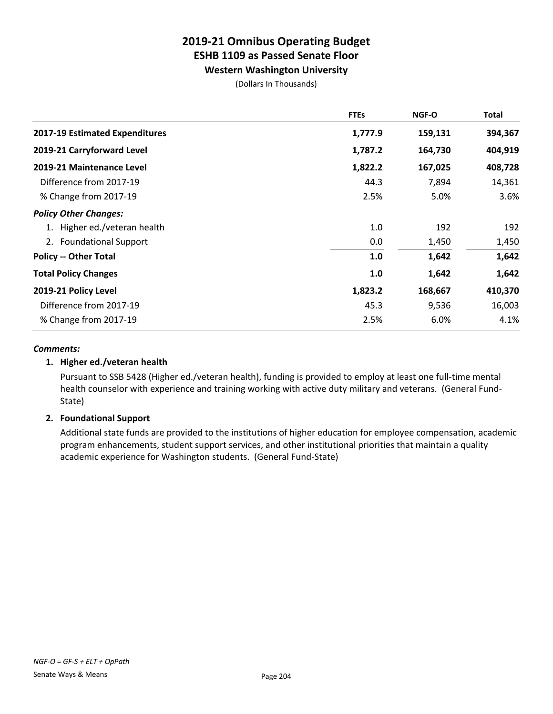**Western Washington University**

(Dollars In Thousands)

|                                | <b>FTEs</b> | <b>NGF-O</b> | <b>Total</b> |
|--------------------------------|-------------|--------------|--------------|
| 2017-19 Estimated Expenditures | 1,777.9     | 159,131      | 394,367      |
| 2019-21 Carryforward Level     | 1,787.2     | 164,730      | 404,919      |
| 2019-21 Maintenance Level      | 1,822.2     | 167,025      | 408,728      |
| Difference from 2017-19        | 44.3        | 7,894        | 14,361       |
| % Change from 2017-19          | 2.5%        | 5.0%         | 3.6%         |
| <b>Policy Other Changes:</b>   |             |              |              |
| 1. Higher ed./veteran health   | 1.0         | 192          | 192          |
| 2. Foundational Support        | 0.0         | 1,450        | 1,450        |
| <b>Policy -- Other Total</b>   | 1.0         | 1,642        | 1,642        |
| <b>Total Policy Changes</b>    | 1.0         | 1,642        | 1,642        |
| 2019-21 Policy Level           | 1,823.2     | 168,667      | 410,370      |
| Difference from 2017-19        | 45.3        | 9,536        | 16,003       |
| % Change from 2017-19          | 2.5%        | 6.0%         | 4.1%         |

## *Comments:*

## **1. Higher ed./veteran health**

Pursuant to SSB 5428 (Higher ed./veteran health), funding is provided to employ at least one full-time mental health counselor with experience and training working with active duty military and veterans. (General Fund-State)

## **2. Foundational Support**

Additional state funds are provided to the institutions of higher education for employee compensation, academic program enhancements, student support services, and other institutional priorities that maintain a quality academic experience for Washington students. (General Fund-State)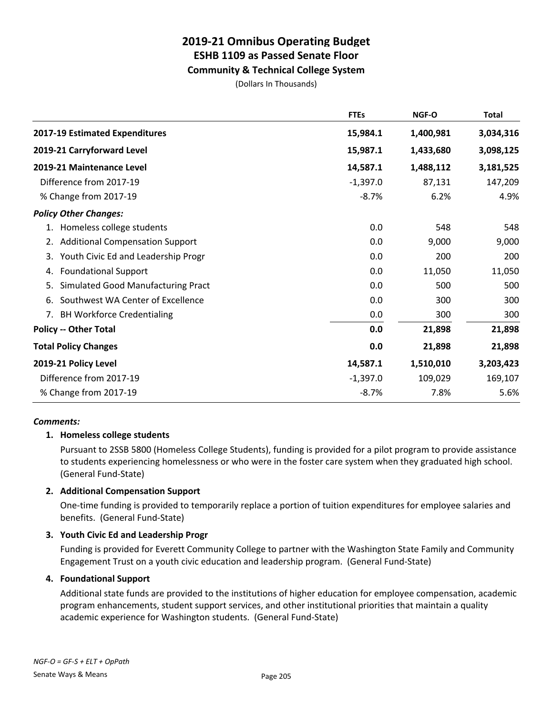## **Community & Technical College System**

(Dollars In Thousands)

|                                              | <b>FTEs</b> | NGF-O     | <b>Total</b> |
|----------------------------------------------|-------------|-----------|--------------|
| 2017-19 Estimated Expenditures               | 15,984.1    | 1,400,981 | 3,034,316    |
| 2019-21 Carryforward Level                   | 15,987.1    | 1,433,680 | 3,098,125    |
| 2019-21 Maintenance Level                    | 14,587.1    | 1,488,112 | 3,181,525    |
| Difference from 2017-19                      | $-1,397.0$  | 87,131    | 147,209      |
| % Change from 2017-19                        | $-8.7%$     | 6.2%      | 4.9%         |
| <b>Policy Other Changes:</b>                 |             |           |              |
| Homeless college students<br>1.              | 0.0         | 548       | 548          |
| <b>Additional Compensation Support</b><br>2. | 0.0         | 9,000     | 9,000        |
| Youth Civic Ed and Leadership Progr<br>3.    | 0.0         | 200       | 200          |
| <b>Foundational Support</b><br>4.            | 0.0         | 11,050    | 11,050       |
| Simulated Good Manufacturing Pract<br>5.     | 0.0         | 500       | 500          |
| Southwest WA Center of Excellence<br>6.      | 0.0         | 300       | 300          |
| <b>BH Workforce Credentialing</b><br>7.      | 0.0         | 300       | 300          |
| <b>Policy -- Other Total</b>                 | 0.0         | 21,898    | 21,898       |
| <b>Total Policy Changes</b>                  | 0.0         | 21,898    | 21,898       |
| 2019-21 Policy Level                         | 14,587.1    | 1,510,010 | 3,203,423    |
| Difference from 2017-19                      | $-1,397.0$  | 109,029   | 169,107      |
| % Change from 2017-19                        | $-8.7%$     | 7.8%      | 5.6%         |

## *Comments:*

## **1. Homeless college students**

Pursuant to 2SSB 5800 (Homeless College Students), funding is provided for a pilot program to provide assistance to students experiencing homelessness or who were in the foster care system when they graduated high school. (General Fund-State)

## **2. Additional Compensation Support**

One-time funding is provided to temporarily replace a portion of tuition expenditures for employee salaries and benefits. (General Fund-State)

## **3. Youth Civic Ed and Leadership Progr**

Funding is provided for Everett Community College to partner with the Washington State Family and Community Engagement Trust on a youth civic education and leadership program. (General Fund-State)

## **4. Foundational Support**

Additional state funds are provided to the institutions of higher education for employee compensation, academic program enhancements, student support services, and other institutional priorities that maintain a quality academic experience for Washington students. (General Fund-State)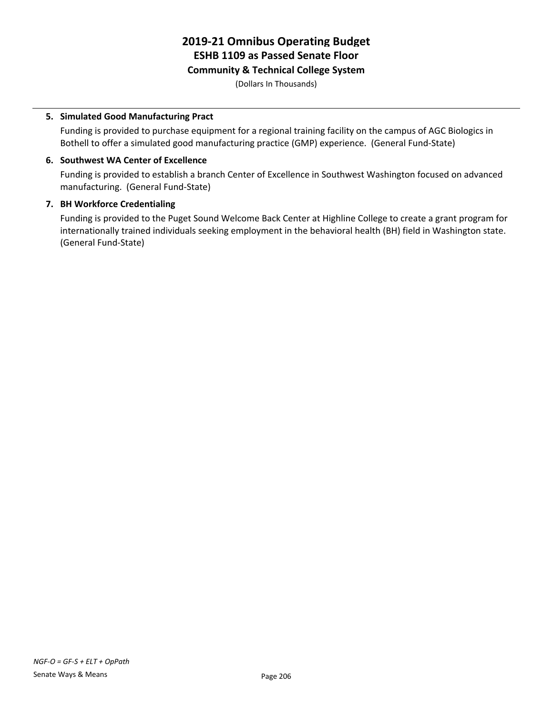## **Community & Technical College System**

(Dollars In Thousands)

## **5. Simulated Good Manufacturing Pract**

Funding is provided to purchase equipment for a regional training facility on the campus of AGC Biologics in Bothell to offer a simulated good manufacturing practice (GMP) experience. (General Fund-State)

## **6. Southwest WA Center of Excellence**

Funding is provided to establish a branch Center of Excellence in Southwest Washington focused on advanced manufacturing. (General Fund-State)

## **7. BH Workforce Credentialing**

Funding is provided to the Puget Sound Welcome Back Center at Highline College to create a grant program for internationally trained individuals seeking employment in the behavioral health (BH) field in Washington state. (General Fund-State)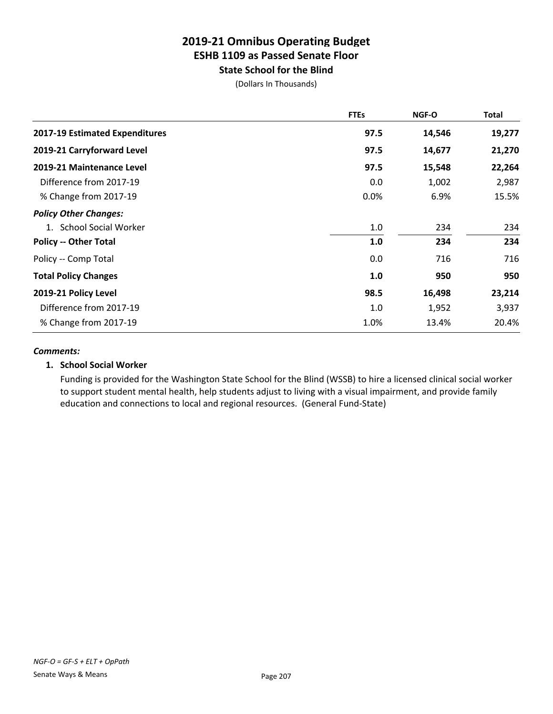## **2019-21 Omnibus Operating Budget ESHB 1109 as Passed Senate Floor State School for the Blind**

(Dollars In Thousands)

|                                       | <b>FTEs</b> | <b>NGF-O</b> | <b>Total</b> |
|---------------------------------------|-------------|--------------|--------------|
| <b>2017-19 Estimated Expenditures</b> | 97.5        | 14,546       | 19,277       |
| 2019-21 Carryforward Level            | 97.5        | 14,677       | 21,270       |
| 2019-21 Maintenance Level             | 97.5        | 15,548       | 22,264       |
| Difference from 2017-19               | 0.0         | 1,002        | 2,987        |
| % Change from 2017-19                 | 0.0%        | 6.9%         | 15.5%        |
| <b>Policy Other Changes:</b>          |             |              |              |
| 1. School Social Worker               | 1.0         | 234          | 234          |
| <b>Policy -- Other Total</b>          | 1.0         | 234          | 234          |
| Policy -- Comp Total                  | 0.0         | 716          | 716          |
| <b>Total Policy Changes</b>           | 1.0         | 950          | 950          |
| 2019-21 Policy Level                  | 98.5        | 16,498       | 23,214       |
| Difference from 2017-19               | 1.0         | 1,952        | 3,937        |
| % Change from 2017-19                 | 1.0%        | 13.4%        | 20.4%        |

#### *Comments:*

## **1. School Social Worker**

Funding is provided for the Washington State School for the Blind (WSSB) to hire a licensed clinical social worker to support student mental health, help students adjust to living with a visual impairment, and provide family education and connections to local and regional resources. (General Fund-State)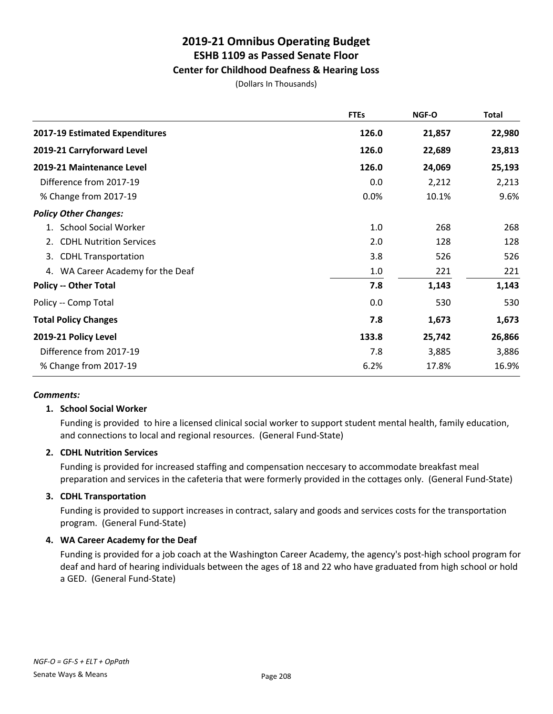## **Center for Childhood Deafness & Hearing Loss**

(Dollars In Thousands)

|                                      | <b>FTEs</b> | NGF-O  | <b>Total</b> |
|--------------------------------------|-------------|--------|--------------|
| 2017-19 Estimated Expenditures       | 126.0       | 21,857 | 22,980       |
| 2019-21 Carryforward Level           | 126.0       | 22,689 | 23,813       |
| 2019-21 Maintenance Level            | 126.0       | 24,069 | 25,193       |
| Difference from 2017-19              | 0.0         | 2,212  | 2,213        |
| % Change from 2017-19                | 0.0%        | 10.1%  | 9.6%         |
| <b>Policy Other Changes:</b>         |             |        |              |
| 1. School Social Worker              | 1.0         | 268    | 268          |
| <b>CDHL Nutrition Services</b><br>2. | 2.0         | 128    | 128          |
| <b>CDHL Transportation</b><br>3.     | 3.8         | 526    | 526          |
| 4. WA Career Academy for the Deaf    | 1.0         | 221    | 221          |
| <b>Policy -- Other Total</b>         | 7.8         | 1,143  | 1,143        |
| Policy -- Comp Total                 | 0.0         | 530    | 530          |
| <b>Total Policy Changes</b>          | 7.8         | 1,673  | 1,673        |
| 2019-21 Policy Level                 | 133.8       | 25,742 | 26,866       |
| Difference from 2017-19              | 7.8         | 3,885  | 3,886        |
| % Change from 2017-19                | 6.2%        | 17.8%  | 16.9%        |

#### *Comments:*

#### **1. School Social Worker**

Funding is provided to hire a licensed clinical social worker to support student mental health, family education, and connections to local and regional resources. (General Fund-State)

#### **2. CDHL Nutrition Services**

Funding is provided for increased staffing and compensation neccesary to accommodate breakfast meal preparation and services in the cafeteria that were formerly provided in the cottages only. (General Fund-State)

## **3. CDHL Transportation**

Funding is provided to support increases in contract, salary and goods and services costs for the transportation program. (General Fund-State)

## **4. WA Career Academy for the Deaf**

Funding is provided for a job coach at the Washington Career Academy, the agency's post-high school program for deaf and hard of hearing individuals between the ages of 18 and 22 who have graduated from high school or hold a GED. (General Fund-State)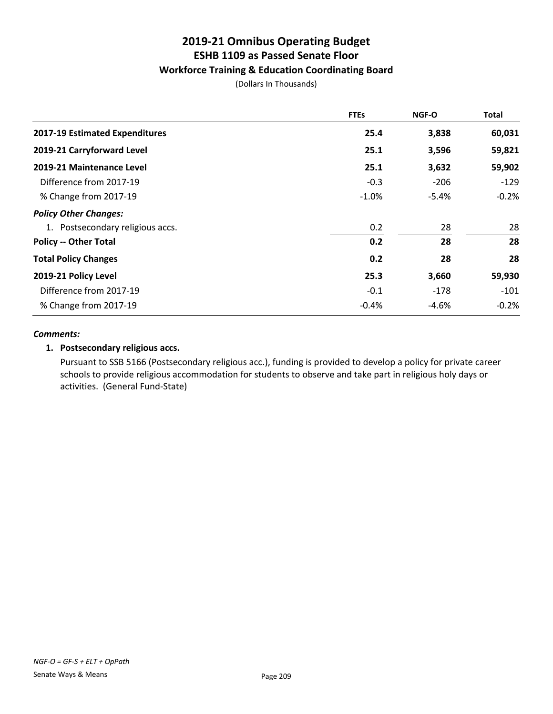## **Workforce Training & Education Coordinating Board**

(Dollars In Thousands)

|                                  | <b>FTEs</b> | <b>NGF-O</b> | Total   |
|----------------------------------|-------------|--------------|---------|
| 2017-19 Estimated Expenditures   | 25.4        | 3,838        | 60,031  |
| 2019-21 Carryforward Level       | 25.1        | 3,596        | 59,821  |
| 2019-21 Maintenance Level        | 25.1        | 3,632        | 59,902  |
| Difference from 2017-19          | $-0.3$      | $-206$       | $-129$  |
| % Change from 2017-19            | $-1.0%$     | $-5.4%$      | $-0.2%$ |
| <b>Policy Other Changes:</b>     |             |              |         |
| 1. Postsecondary religious accs. | 0.2         | 28           | 28      |
| <b>Policy -- Other Total</b>     | 0.2         | 28           | 28      |
| <b>Total Policy Changes</b>      | 0.2         | 28           | 28      |
| 2019-21 Policy Level             | 25.3        | 3,660        | 59,930  |
| Difference from 2017-19          | $-0.1$      | $-178$       | $-101$  |
| % Change from 2017-19            | $-0.4%$     | $-4.6%$      | $-0.2%$ |

#### *Comments:*

## **1. Postsecondary religious accs.**

Pursuant to SSB 5166 (Postsecondary religious acc.), funding is provided to develop a policy for private career schools to provide religious accommodation for students to observe and take part in religious holy days or activities. (General Fund-State)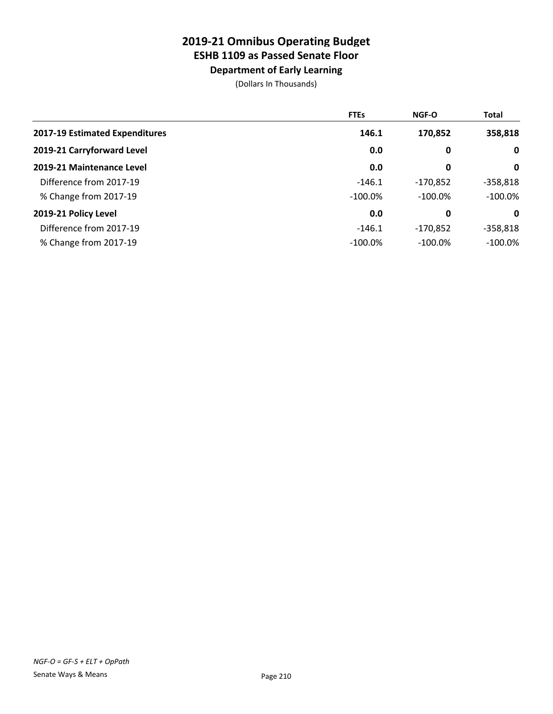**Department of Early Learning**

|                                | <b>FTEs</b> | <b>NGF-O</b> | <b>Total</b> |
|--------------------------------|-------------|--------------|--------------|
| 2017-19 Estimated Expenditures | 146.1       | 170,852      | 358,818      |
| 2019-21 Carryforward Level     | 0.0         | 0            | $\mathbf 0$  |
| 2019-21 Maintenance Level      | 0.0         | 0            | $\mathbf 0$  |
| Difference from 2017-19        | $-146.1$    | $-170,852$   | $-358,818$   |
| % Change from 2017-19          | $-100.0\%$  | $-100.0\%$   | $-100.0\%$   |
| 2019-21 Policy Level           | 0.0         | 0            | $\mathbf 0$  |
| Difference from 2017-19        | $-146.1$    | $-170,852$   | $-358,818$   |
| % Change from 2017-19          | $-100.0\%$  | $-100.0\%$   | $-100.0\%$   |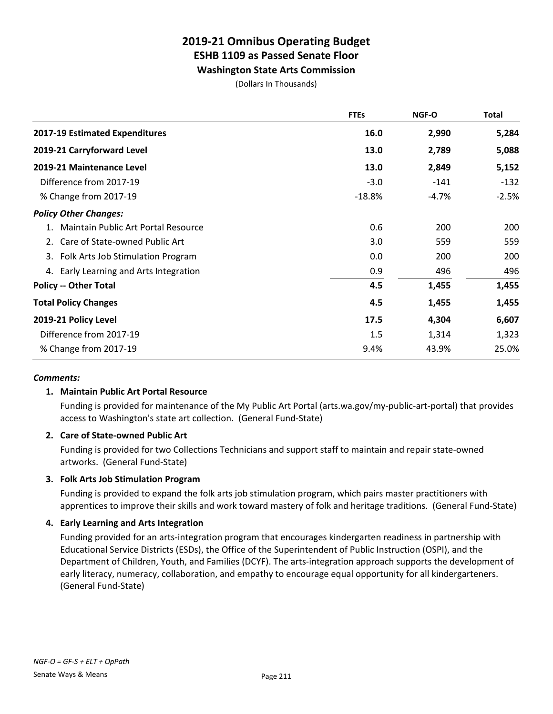**Washington State Arts Commission**

(Dollars In Thousands)

|                                        | <b>FTEs</b> | NGF-O   | <b>Total</b> |
|----------------------------------------|-------------|---------|--------------|
| 2017-19 Estimated Expenditures         | 16.0        | 2,990   | 5,284        |
| 2019-21 Carryforward Level             | 13.0        | 2,789   | 5,088        |
| 2019-21 Maintenance Level              | 13.0        | 2,849   | 5,152        |
| Difference from 2017-19                | $-3.0$      | $-141$  | $-132$       |
| % Change from 2017-19                  | $-18.8%$    | $-4.7%$ | $-2.5%$      |
| <b>Policy Other Changes:</b>           |             |         |              |
| Maintain Public Art Portal Resource    | 0.6         | 200     | 200          |
| 2. Care of State-owned Public Art      | 3.0         | 559     | 559          |
| 3. Folk Arts Job Stimulation Program   | 0.0         | 200     | 200          |
| 4. Early Learning and Arts Integration | 0.9         | 496     | 496          |
| <b>Policy -- Other Total</b>           | 4.5         | 1,455   | 1,455        |
| <b>Total Policy Changes</b>            | 4.5         | 1,455   | 1,455        |
| 2019-21 Policy Level                   | 17.5        | 4,304   | 6,607        |
| Difference from 2017-19                | 1.5         | 1,314   | 1,323        |
| % Change from 2017-19                  | 9.4%        | 43.9%   | 25.0%        |

## *Comments:*

## **1. Maintain Public Art Portal Resource**

Funding is provided for maintenance of the My Public Art Portal (arts.wa.gov/my-public-art-portal) that provides access to Washington's state art collection. (General Fund-State)

## **2. Care of State-owned Public Art**

Funding is provided for two Collections Technicians and support staff to maintain and repair state-owned artworks. (General Fund-State)

## **3. Folk Arts Job Stimulation Program**

Funding is provided to expand the folk arts job stimulation program, which pairs master practitioners with apprentices to improve their skills and work toward mastery of folk and heritage traditions. (General Fund-State)

## **4. Early Learning and Arts Integration**

Funding provided for an arts-integration program that encourages kindergarten readiness in partnership with Educational Service Districts (ESDs), the Office of the Superintendent of Public Instruction (OSPI), and the Department of Children, Youth, and Families (DCYF). The arts-integration approach supports the development of early literacy, numeracy, collaboration, and empathy to encourage equal opportunity for all kindergarteners. (General Fund-State)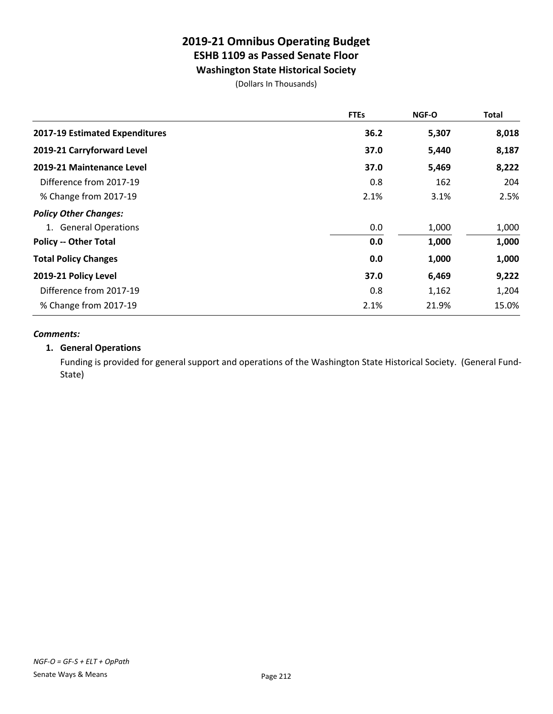**Washington State Historical Society**

(Dollars In Thousands)

|                                | <b>FTEs</b> | NGF-O | <b>Total</b> |
|--------------------------------|-------------|-------|--------------|
| 2017-19 Estimated Expenditures | 36.2        | 5,307 | 8,018        |
| 2019-21 Carryforward Level     | 37.0        | 5,440 | 8,187        |
| 2019-21 Maintenance Level      | 37.0        | 5,469 | 8,222        |
| Difference from 2017-19        | 0.8         | 162   | 204          |
| % Change from 2017-19          | 2.1%        | 3.1%  | 2.5%         |
| <b>Policy Other Changes:</b>   |             |       |              |
| 1. General Operations          | 0.0         | 1,000 | 1,000        |
| <b>Policy -- Other Total</b>   | 0.0         | 1,000 | 1,000        |
| <b>Total Policy Changes</b>    | 0.0         | 1,000 | 1,000        |
| 2019-21 Policy Level           | 37.0        | 6,469 | 9,222        |
| Difference from 2017-19        | 0.8         | 1,162 | 1,204        |
| % Change from 2017-19          | 2.1%        | 21.9% | 15.0%        |

#### *Comments:*

## **1. General Operations**

Funding is provided for general support and operations of the Washington State Historical Society. (General Fund-State)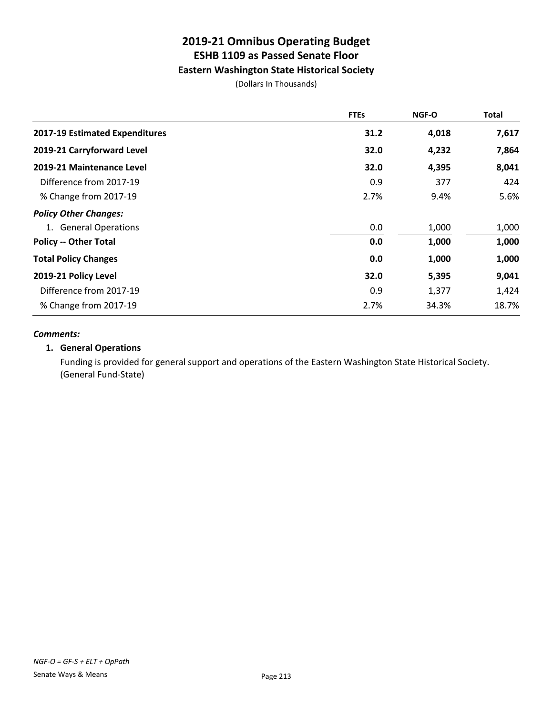## **Eastern Washington State Historical Society**

(Dollars In Thousands)

|                                | <b>FTEs</b> | <b>NGF-O</b> | <b>Total</b> |
|--------------------------------|-------------|--------------|--------------|
| 2017-19 Estimated Expenditures | 31.2        | 4,018        | 7,617        |
| 2019-21 Carryforward Level     | 32.0        | 4,232        | 7,864        |
| 2019-21 Maintenance Level      | 32.0        | 4,395        | 8,041        |
| Difference from 2017-19        | 0.9         | 377          | 424          |
| % Change from 2017-19          | 2.7%        | 9.4%         | 5.6%         |
| <b>Policy Other Changes:</b>   |             |              |              |
| 1. General Operations          | 0.0         | 1,000        | 1,000        |
| <b>Policy -- Other Total</b>   | 0.0         | 1,000        | 1,000        |
| <b>Total Policy Changes</b>    | 0.0         | 1,000        | 1,000        |
| 2019-21 Policy Level           | 32.0        | 5,395        | 9,041        |
| Difference from 2017-19        | 0.9         | 1,377        | 1,424        |
| % Change from 2017-19          | 2.7%        | 34.3%        | 18.7%        |

#### *Comments:*

## **1. General Operations**

Funding is provided for general support and operations of the Eastern Washington State Historical Society. (General Fund-State)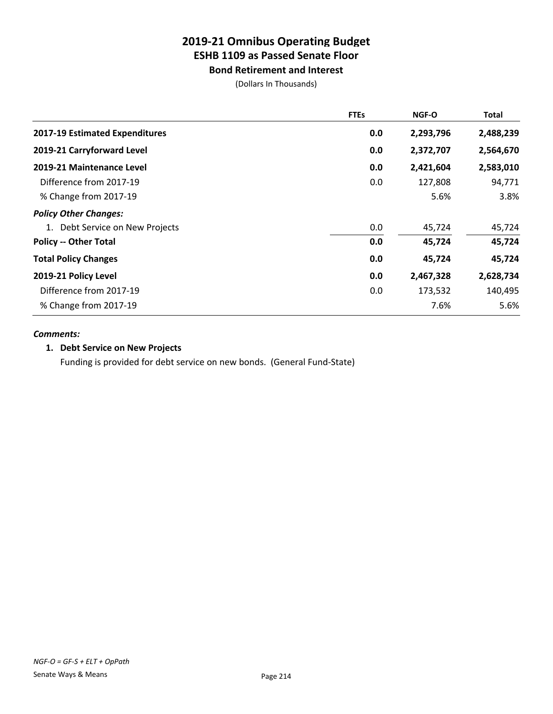**Bond Retirement and Interest**

(Dollars In Thousands)

|                                 | <b>FTEs</b> | <b>NGF-O</b> | <b>Total</b> |
|---------------------------------|-------------|--------------|--------------|
| 2017-19 Estimated Expenditures  | 0.0         | 2,293,796    | 2,488,239    |
| 2019-21 Carryforward Level      | 0.0         | 2,372,707    | 2,564,670    |
| 2019-21 Maintenance Level       | 0.0         | 2,421,604    | 2,583,010    |
| Difference from 2017-19         | 0.0         | 127,808      | 94,771       |
| % Change from 2017-19           |             | 5.6%         | 3.8%         |
| <b>Policy Other Changes:</b>    |             |              |              |
| 1. Debt Service on New Projects | 0.0         | 45,724       | 45,724       |
| <b>Policy -- Other Total</b>    | 0.0         | 45,724       | 45,724       |
| <b>Total Policy Changes</b>     | 0.0         | 45,724       | 45,724       |
| 2019-21 Policy Level            | 0.0         | 2,467,328    | 2,628,734    |
| Difference from 2017-19         | 0.0         | 173,532      | 140,495      |
| % Change from 2017-19           |             | 7.6%         | 5.6%         |

#### *Comments:*

## **1. Debt Service on New Projects**

Funding is provided for debt service on new bonds. (General Fund-State)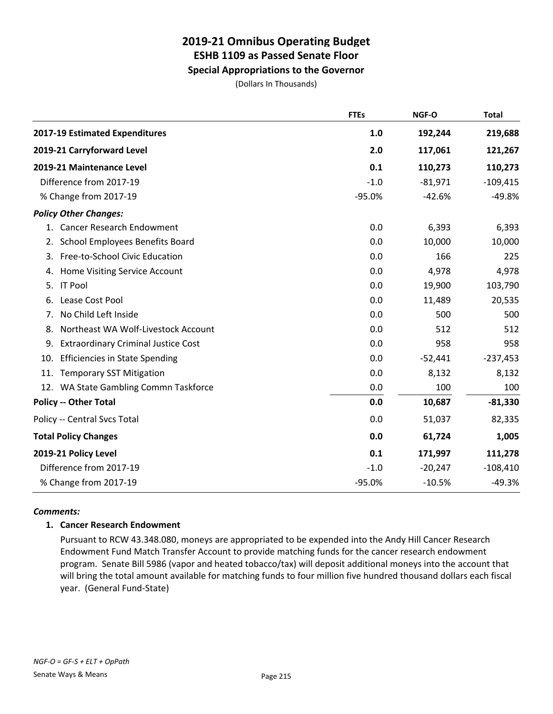## **Special Appropriations to the Governor**

(Dollars In Thousands)

|                                                  | <b>FTEs</b> | NGF-O     | <b>Total</b> |
|--------------------------------------------------|-------------|-----------|--------------|
| 2017-19 Estimated Expenditures                   | 1.0         | 192,244   | 219,688      |
| 2019-21 Carryforward Level                       | 2.0         | 117,061   | 121,267      |
| 2019-21 Maintenance Level                        | 0.1         | 110,273   | 110,273      |
| Difference from 2017-19                          | $-1.0$      | $-81,971$ | $-109,415$   |
| % Change from 2017-19                            | $-95.0%$    | $-42.6%$  | $-49.8%$     |
| <b>Policy Other Changes:</b>                     |             |           |              |
| 1. Cancer Research Endowment                     | 0.0         | 6,393     | 6,393        |
| 2. School Employees Benefits Board               | 0.0         | 10,000    | 10,000       |
| Free-to-School Civic Education<br>3.             | 0.0         | 166       | 225          |
| Home Visiting Service Account<br>4.              | 0.0         | 4,978     | 4,978        |
| <b>IT Pool</b><br>5.                             | 0.0         | 19,900    | 103,790      |
| Lease Cost Pool<br>6.                            | 0.0         | 11,489    | 20,535       |
| No Child Left Inside<br>7.                       | 0.0         | 500       | 500          |
| Northeast WA Wolf-Livestock Account<br>8.        | 0.0         | 512       | 512          |
| <b>Extraordinary Criminal Justice Cost</b><br>9. | 0.0         | 958       | 958          |
| <b>Efficiencies in State Spending</b><br>10.     | 0.0         | $-52,441$ | $-237,453$   |
| <b>Temporary SST Mitigation</b><br>11.           | 0.0         | 8,132     | 8,132        |
| 12. WA State Gambling Commn Taskforce            | 0.0         | 100       | 100          |
| <b>Policy -- Other Total</b>                     | 0.0         | 10,687    | $-81,330$    |
| Policy -- Central Svcs Total                     | 0.0         | 51,037    | 82,335       |
| <b>Total Policy Changes</b>                      | 0.0         | 61,724    | 1,005        |
| 2019-21 Policy Level                             | 0.1         | 171,997   | 111,278      |
| Difference from 2017-19                          | $-1.0$      | $-20,247$ | $-108,410$   |
| % Change from 2017-19                            | $-95.0%$    | $-10.5%$  | $-49.3%$     |

## *Comments:*

## **1. Cancer Research Endowment**

Pursuant to RCW 43.348.080, moneys are appropriated to be expended into the Andy Hill Cancer Research Endowment Fund Match Transfer Account to provide matching funds for the cancer research endowment program. Senate Bill 5986 (vapor and heated tobacco/tax) will deposit additional moneys into the account that will bring the total amount available for matching funds to four million five hundred thousand dollars each fiscal year. (General Fund-State)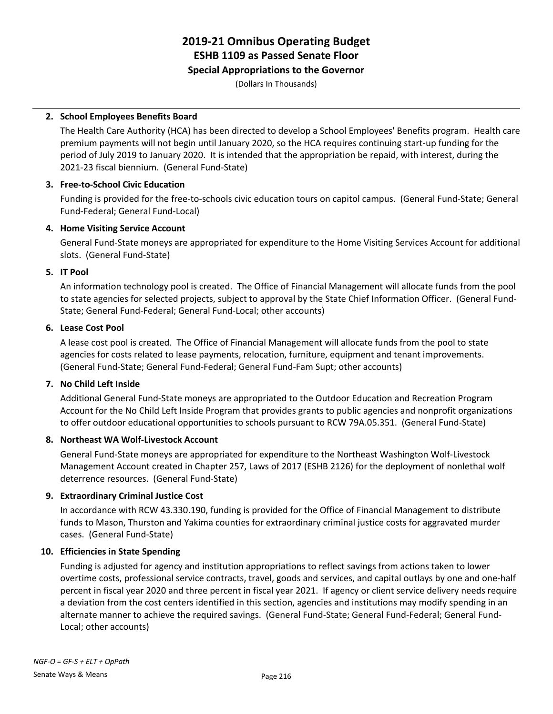## **Special Appropriations to the Governor**

(Dollars In Thousands)

## **2. School Employees Benefits Board**

The Health Care Authority (HCA) has been directed to develop a School Employees' Benefits program. Health care premium payments will not begin until January 2020, so the HCA requires continuing start-up funding for the period of July 2019 to January 2020. It is intended that the appropriation be repaid, with interest, during the 2021-23 fiscal biennium. (General Fund-State)

## **3. Free-to-School Civic Education**

Funding is provided for the free-to-schools civic education tours on capitol campus. (General Fund-State; General Fund-Federal; General Fund-Local)

## **4. Home Visiting Service Account**

General Fund-State moneys are appropriated for expenditure to the Home Visiting Services Account for additional slots. (General Fund-State)

## **5. IT Pool**

An information technology pool is created. The Office of Financial Management will allocate funds from the pool to state agencies for selected projects, subject to approval by the State Chief Information Officer. (General Fund-State; General Fund-Federal; General Fund-Local; other accounts)

## **6. Lease Cost Pool**

A lease cost pool is created. The Office of Financial Management will allocate funds from the pool to state agencies for costs related to lease payments, relocation, furniture, equipment and tenant improvements. (General Fund-State; General Fund-Federal; General Fund-Fam Supt; other accounts)

## **7. No Child Left Inside**

Additional General Fund-State moneys are appropriated to the Outdoor Education and Recreation Program Account for the No Child Left Inside Program that provides grants to public agencies and nonprofit organizations to offer outdoor educational opportunities to schools pursuant to RCW 79A.05.351. (General Fund-State)

## **8. Northeast WA Wolf-Livestock Account**

General Fund-State moneys are appropriated for expenditure to the Northeast Washington Wolf-Livestock Management Account created in Chapter 257, Laws of 2017 (ESHB 2126) for the deployment of nonlethal wolf deterrence resources. (General Fund-State)

## **9. Extraordinary Criminal Justice Cost**

In accordance with RCW 43.330.190, funding is provided for the Office of Financial Management to distribute funds to Mason, Thurston and Yakima counties for extraordinary criminal justice costs for aggravated murder cases. (General Fund-State)

## **10. Efficiencies in State Spending**

Funding is adjusted for agency and institution appropriations to reflect savings from actions taken to lower overtime costs, professional service contracts, travel, goods and services, and capital outlays by one and one-half percent in fiscal year 2020 and three percent in fiscal year 2021. If agency or client service delivery needs require a deviation from the cost centers identified in this section, agencies and institutions may modify spending in an alternate manner to achieve the required savings. (General Fund-State; General Fund-Federal; General Fund-Local; other accounts)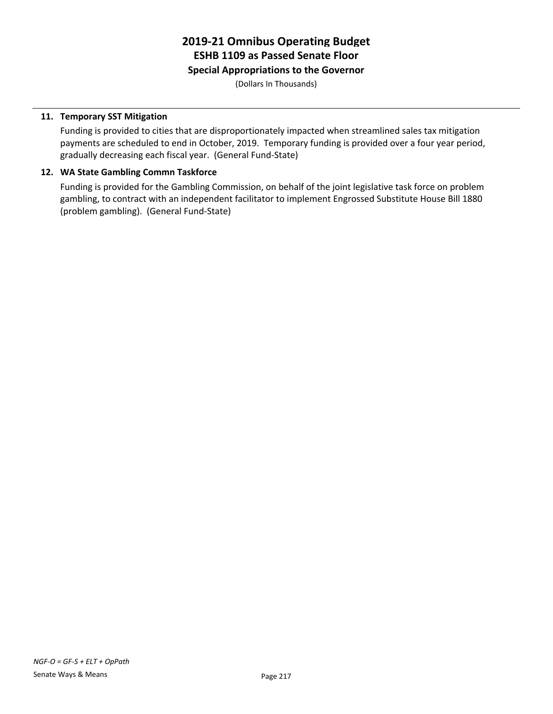### **Special Appropriations to the Governor**

(Dollars In Thousands)

#### **11. Temporary SST Mitigation**

Funding is provided to cities that are disproportionately impacted when streamlined sales tax mitigation payments are scheduled to end in October, 2019. Temporary funding is provided over a four year period, gradually decreasing each fiscal year. (General Fund-State)

#### **12. WA State Gambling Commn Taskforce**

Funding is provided for the Gambling Commission, on behalf of the joint legislative task force on problem gambling, to contract with an independent facilitator to implement Engrossed Substitute House Bill 1880 (problem gambling). (General Fund-State)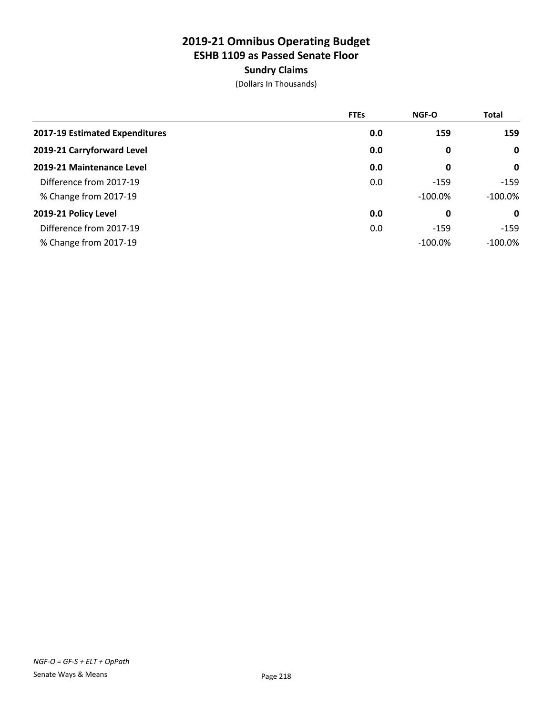# **Sundry Claims**

|                                | <b>FTEs</b> | NGF-O      | <b>Total</b> |
|--------------------------------|-------------|------------|--------------|
| 2017-19 Estimated Expenditures | 0.0         | 159        | 159          |
| 2019-21 Carryforward Level     | 0.0         | 0          | $\mathbf 0$  |
| 2019-21 Maintenance Level      | 0.0         | 0          | $\mathbf 0$  |
| Difference from 2017-19        | 0.0         | $-159$     | $-159$       |
| % Change from 2017-19          |             | $-100.0%$  | $-100.0\%$   |
| 2019-21 Policy Level           | 0.0         | 0          | 0            |
| Difference from 2017-19        | 0.0         | $-159$     | $-159$       |
| % Change from 2017-19          |             | $-100.0\%$ | $-100.0\%$   |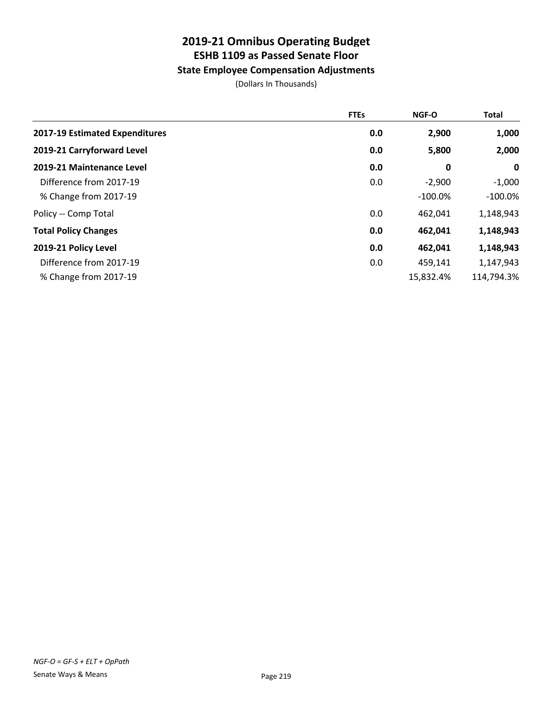# **State Employee Compensation Adjustments**

|                                | <b>FTEs</b> | NGF-O     | <b>Total</b> |
|--------------------------------|-------------|-----------|--------------|
| 2017-19 Estimated Expenditures | 0.0         | 2,900     | 1,000        |
| 2019-21 Carryforward Level     | 0.0         | 5,800     | 2,000        |
| 2019-21 Maintenance Level      | 0.0         | 0         | $\mathbf 0$  |
| Difference from 2017-19        | 0.0         | $-2,900$  | $-1,000$     |
| % Change from 2017-19          |             | $-100.0%$ | $-100.0\%$   |
| Policy -- Comp Total           | 0.0         | 462,041   | 1,148,943    |
| <b>Total Policy Changes</b>    | 0.0         | 462,041   | 1,148,943    |
| 2019-21 Policy Level           | 0.0         | 462,041   | 1,148,943    |
| Difference from 2017-19        | 0.0         | 459,141   | 1,147,943    |
| % Change from 2017-19          |             | 15,832.4% | 114,794.3%   |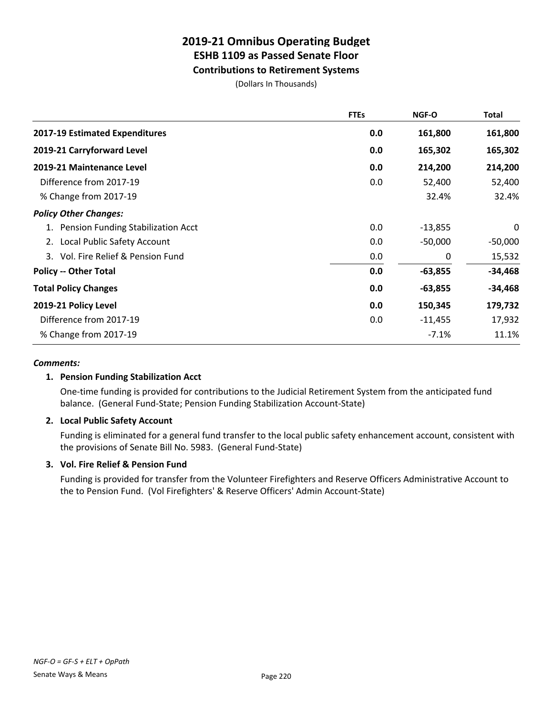# **Contributions to Retirement Systems**

(Dollars In Thousands)

| <b>FTEs</b> | NGF-O     | Total     |
|-------------|-----------|-----------|
| 0.0         | 161,800   | 161,800   |
| 0.0         | 165,302   | 165,302   |
| 0.0         | 214,200   | 214,200   |
| 0.0         | 52,400    | 52,400    |
|             | 32.4%     | 32.4%     |
|             |           |           |
| 0.0         | $-13,855$ | 0         |
| 0.0         | $-50,000$ | $-50,000$ |
| 0.0         | 0         | 15,532    |
| 0.0         | $-63,855$ | $-34,468$ |
| 0.0         | $-63,855$ | $-34,468$ |
| 0.0         | 150,345   | 179,732   |
| 0.0         | $-11,455$ | 17,932    |
|             | $-7.1%$   | 11.1%     |
|             |           |           |

### *Comments:*

### **1. Pension Funding Stabilization Acct**

One-time funding is provided for contributions to the Judicial Retirement System from the anticipated fund balance. (General Fund-State; Pension Funding Stabilization Account-State)

### **2. Local Public Safety Account**

Funding is eliminated for a general fund transfer to the local public safety enhancement account, consistent with the provisions of Senate Bill No. 5983. (General Fund-State)

### **3. Vol. Fire Relief & Pension Fund**

Funding is provided for transfer from the Volunteer Firefighters and Reserve Officers Administrative Account to the to Pension Fund. (Vol Firefighters' & Reserve Officers' Admin Account-State)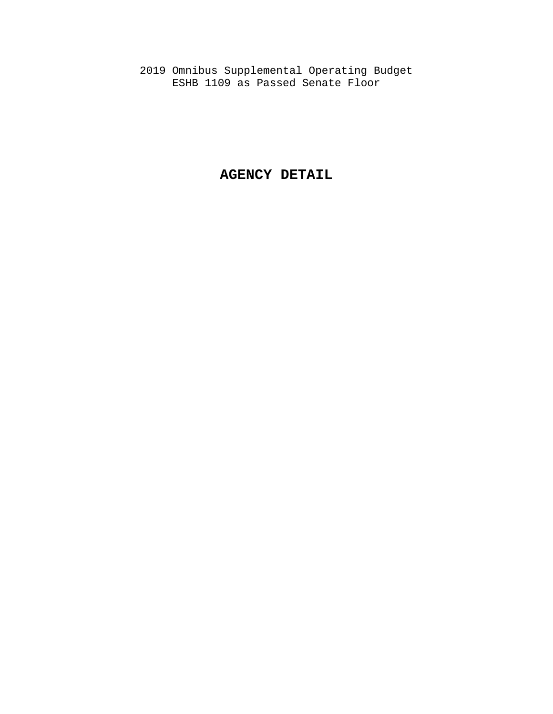2019 Omnibus Supplemental Operating Budget ESHB 1109 as Passed Senate Floor

# **AGENCY DETAIL**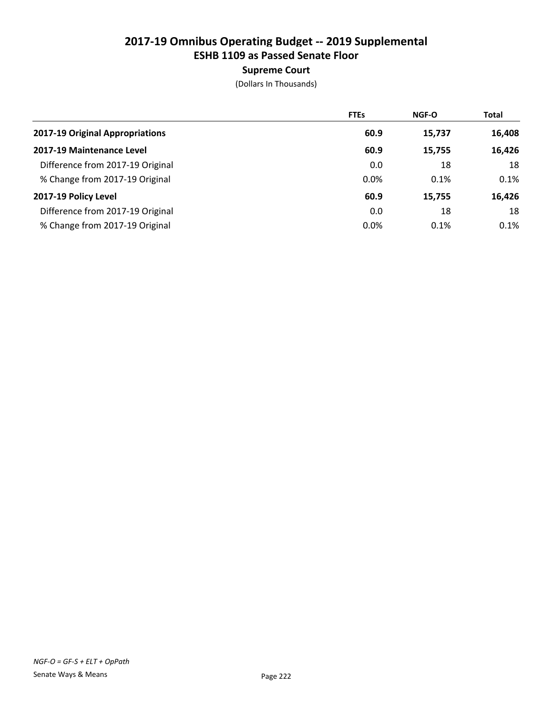# Supreme Court

|                                  | <b>FTEs</b> | <b>NGF-O</b> | <b>Total</b> |
|----------------------------------|-------------|--------------|--------------|
| 2017-19 Original Appropriations  | 60.9        | 15,737       | 16,408       |
| 2017-19 Maintenance Level        | 60.9        | 15,755       | 16,426       |
| Difference from 2017-19 Original | 0.0         | 18           | 18           |
| % Change from 2017-19 Original   | 0.0%        | 0.1%         | 0.1%         |
| 2017-19 Policy Level             | 60.9        | 15,755       | 16,426       |
| Difference from 2017-19 Original | 0.0         | 18           | 18           |
| % Change from 2017-19 Original   | 0.0%        | 0.1%         | $0.1\%$      |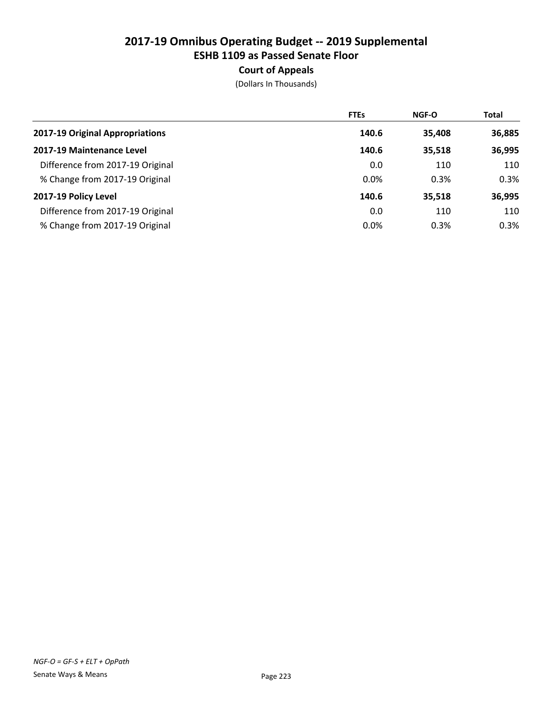# Court of Appeals

|                                  | <b>FTEs</b> | <b>NGF-O</b> | <b>Total</b> |
|----------------------------------|-------------|--------------|--------------|
| 2017-19 Original Appropriations  | 140.6       | 35,408       | 36,885       |
| 2017-19 Maintenance Level        | 140.6       | 35,518       | 36,995       |
| Difference from 2017-19 Original | 0.0         | 110          | 110          |
| % Change from 2017-19 Original   | 0.0%        | 0.3%         | 0.3%         |
| 2017-19 Policy Level             | 140.6       | 35,518       | 36,995       |
| Difference from 2017-19 Original | 0.0         | 110          | 110          |
| % Change from 2017-19 Original   | 0.0%        | 0.3%         | 0.3%         |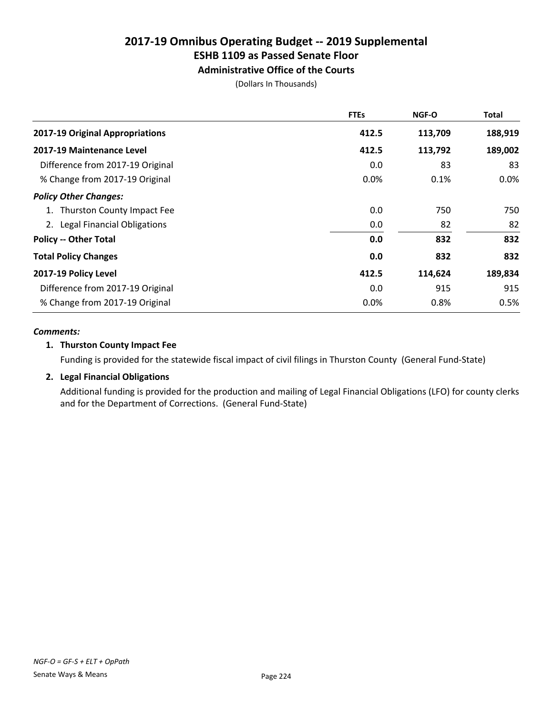# Administrative Office of the Courts

(Dollars In Thousands)

|                                  | <b>FTEs</b> | <b>NGF-O</b> | <b>Total</b> |
|----------------------------------|-------------|--------------|--------------|
| 2017-19 Original Appropriations  | 412.5       | 113,709      | 188,919      |
| 2017-19 Maintenance Level        | 412.5       | 113,792      | 189,002      |
| Difference from 2017-19 Original | 0.0         | 83           | 83           |
| % Change from 2017-19 Original   | 0.0%        | 0.1%         | $0.0\%$      |
| <b>Policy Other Changes:</b>     |             |              |              |
| 1. Thurston County Impact Fee    | 0.0         | 750          | 750          |
| 2. Legal Financial Obligations   | 0.0         | 82           | 82           |
| <b>Policy -- Other Total</b>     | 0.0         | 832          | 832          |
| <b>Total Policy Changes</b>      | 0.0         | 832          | 832          |
| 2017-19 Policy Level             | 412.5       | 114,624      | 189,834      |
| Difference from 2017-19 Original | 0.0         | 915          | 915          |
| % Change from 2017-19 Original   | 0.0%        | 0.8%         | 0.5%         |

### *Comments:*

### 1. Thurston County Impact Fee

Funding is provided for the statewide fiscal impact of civil filings in Thurston County (General Fund-State)

# 2. Legal Financial Obligations

Additional funding is provided for the production and mailing of Legal Financial Obligations (LFO) for county clerks and for the Department of Corrections. (General Fund-State)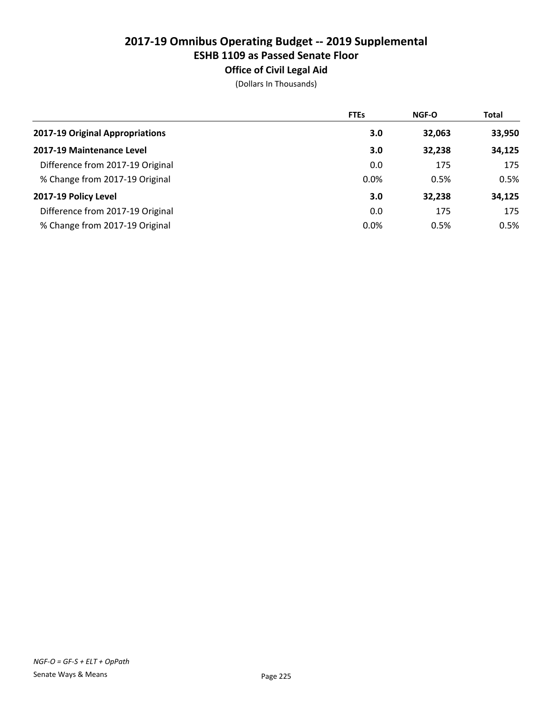# Office of Civil Legal Aid

|                                  | <b>FTEs</b> | <b>NGF-O</b> | <b>Total</b> |
|----------------------------------|-------------|--------------|--------------|
| 2017-19 Original Appropriations  | 3.0         | 32,063       | 33,950       |
| 2017-19 Maintenance Level        | 3.0         | 32,238       | 34,125       |
| Difference from 2017-19 Original | 0.0         | 175          | 175          |
| % Change from 2017-19 Original   | 0.0%        | 0.5%         | 0.5%         |
| 2017-19 Policy Level             | 3.0         | 32,238       | 34,125       |
| Difference from 2017-19 Original | 0.0         | 175          | 175          |
| % Change from 2017-19 Original   | 0.0%        | 0.5%         | $0.5\%$      |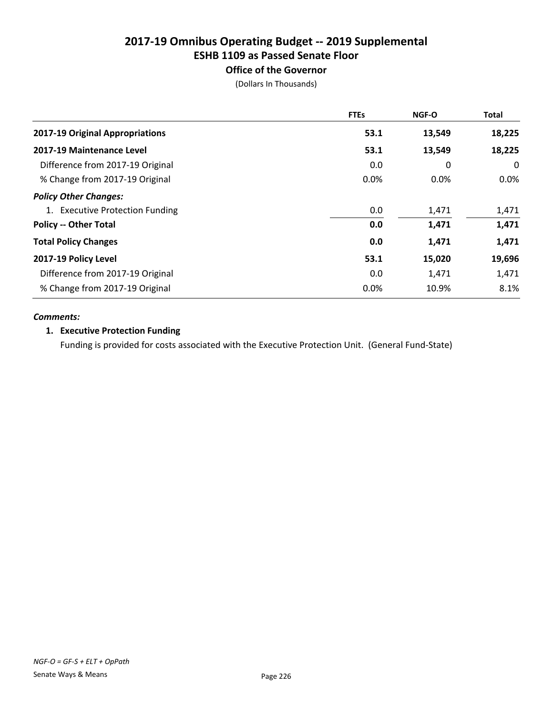# Office of the Governor

(Dollars In Thousands)

|                                  | <b>FTEs</b> | <b>NGF-O</b> | <b>Total</b> |
|----------------------------------|-------------|--------------|--------------|
| 2017-19 Original Appropriations  | 53.1        | 13,549       | 18,225       |
| 2017-19 Maintenance Level        | 53.1        | 13,549       | 18,225       |
| Difference from 2017-19 Original | 0.0         | 0            | 0            |
| % Change from 2017-19 Original   | 0.0%        | 0.0%         | $0.0\%$      |
| <b>Policy Other Changes:</b>     |             |              |              |
| 1. Executive Protection Funding  | 0.0         | 1,471        | 1,471        |
| <b>Policy -- Other Total</b>     | 0.0         | 1,471        | 1,471        |
| <b>Total Policy Changes</b>      | 0.0         | 1,471        | 1,471        |
| 2017-19 Policy Level             | 53.1        | 15,020       | 19,696       |
| Difference from 2017-19 Original | 0.0         | 1,471        | 1,471        |
| % Change from 2017-19 Original   | 0.0%        | 10.9%        | 8.1%         |

### *Comments:*

### 1. Executive Protection Funding

Funding is provided for costs associated with the Executive Protection Unit. (General Fund-State)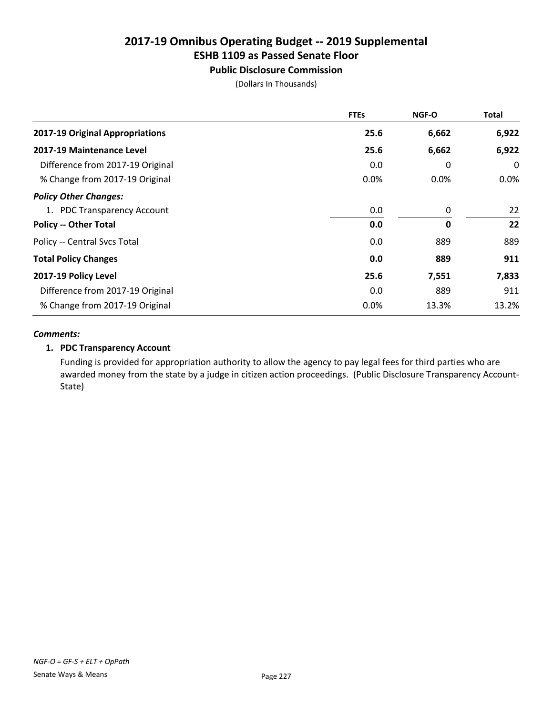# ESHB 1109 as Passed Senate Floor

# Public Disclosure Commission

(Dollars In Thousands)

|                                  | <b>FTEs</b> | <b>NGF-O</b> | Total   |
|----------------------------------|-------------|--------------|---------|
| 2017-19 Original Appropriations  | 25.6        | 6,662        | 6,922   |
| <b>2017-19 Maintenance Level</b> | 25.6        | 6,662        | 6,922   |
| Difference from 2017-19 Original | 0.0         | 0            | 0       |
| % Change from 2017-19 Original   | 0.0%        | 0.0%         | $0.0\%$ |
| <b>Policy Other Changes:</b>     |             |              |         |
| 1. PDC Transparency Account      | 0.0         | 0            | 22      |
| <b>Policy -- Other Total</b>     | 0.0         | 0            | 22      |
| Policy -- Central Svcs Total     | 0.0         | 889          | 889     |
| <b>Total Policy Changes</b>      | 0.0         | 889          | 911     |
| 2017-19 Policy Level             | 25.6        | 7,551        | 7,833   |
| Difference from 2017-19 Original | 0.0         | 889          | 911     |
| % Change from 2017-19 Original   | 0.0%        | 13.3%        | 13.2%   |

#### *Comments:*

### 1. PDC Transparency Account

Funding is provided for appropriation authority to allow the agency to pay legal fees for third parties who are awarded money from the state by a judge in citizen action proceedings. (Public Disclosure Transparency Account-State)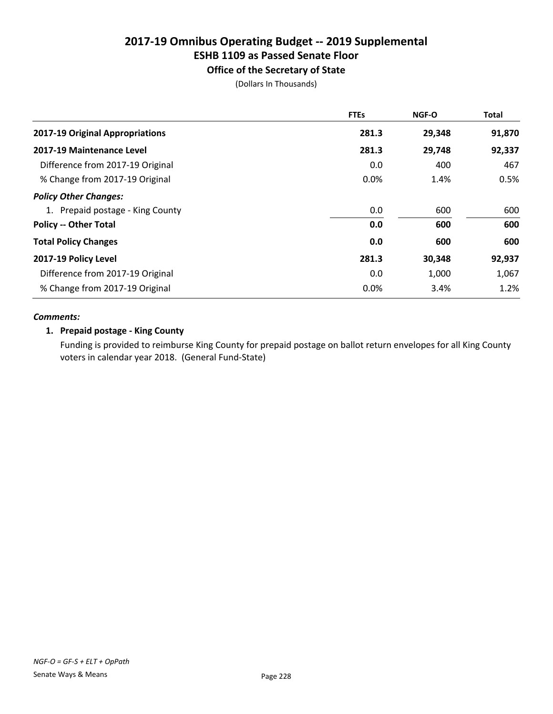# Office of the Secretary of State

(Dollars In Thousands)

|                                  | <b>FTEs</b> | <b>NGF-O</b> | <b>Total</b> |
|----------------------------------|-------------|--------------|--------------|
| 2017-19 Original Appropriations  | 281.3       | 29,348       | 91,870       |
| 2017-19 Maintenance Level        | 281.3       | 29,748       | 92,337       |
| Difference from 2017-19 Original | 0.0         | 400          | 467          |
| % Change from 2017-19 Original   | 0.0%        | 1.4%         | 0.5%         |
| <b>Policy Other Changes:</b>     |             |              |              |
| 1. Prepaid postage - King County | 0.0         | 600          | 600          |
| <b>Policy -- Other Total</b>     | 0.0         | 600          | 600          |
| <b>Total Policy Changes</b>      | 0.0         | 600          | 600          |
| 2017-19 Policy Level             | 281.3       | 30,348       | 92,937       |
| Difference from 2017-19 Original | 0.0         | 1,000        | 1,067        |
| % Change from 2017-19 Original   | 0.0%        | 3.4%         | 1.2%         |

### *Comments:*

### 1. Prepaid postage - King County

Funding is provided to reimburse King County for prepaid postage on ballot return envelopes for all King County voters in calendar year 2018. (General Fund-State)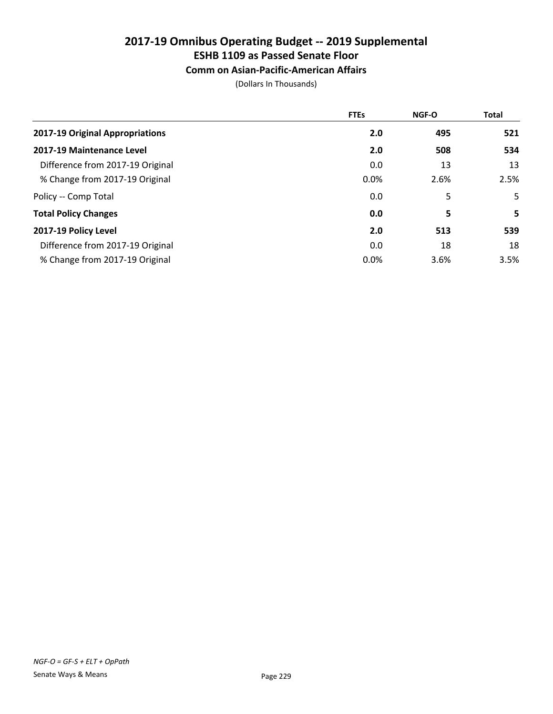# ESHB 1109 as Passed Senate Floor

# Comm on Asian-Pacific-American Affairs

|                                  | <b>FTEs</b> | <b>NGF-O</b> | <b>Total</b> |
|----------------------------------|-------------|--------------|--------------|
| 2017-19 Original Appropriations  | 2.0         | 495          | 521          |
| 2017-19 Maintenance Level        | 2.0         | 508          | 534          |
| Difference from 2017-19 Original | 0.0         | 13           | 13           |
| % Change from 2017-19 Original   | 0.0%        | 2.6%         | 2.5%         |
| Policy -- Comp Total             | 0.0         | 5            | 5            |
| <b>Total Policy Changes</b>      | 0.0         | 5            | 5            |
| 2017-19 Policy Level             | 2.0         | 513          | 539          |
| Difference from 2017-19 Original | 0.0         | 18           | 18           |
| % Change from 2017-19 Original   | 0.0%        | 3.6%         | 3.5%         |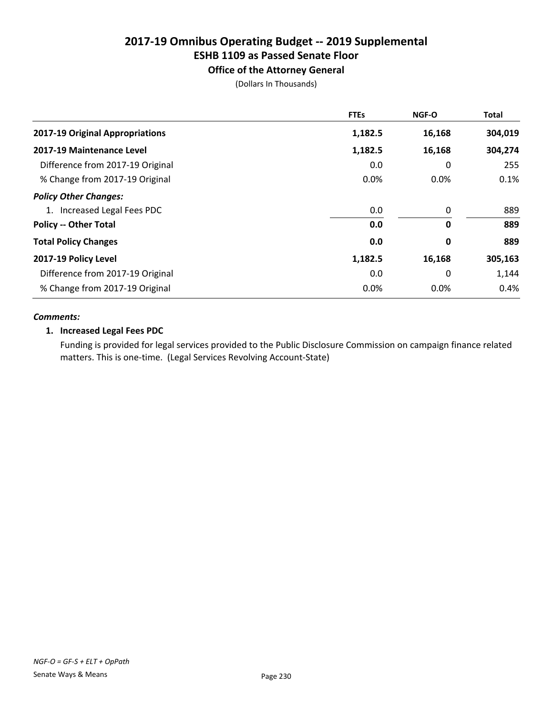Office of the Attorney General

(Dollars In Thousands)

|                                  | <b>FTEs</b> | NGF-O   | <b>Total</b> |
|----------------------------------|-------------|---------|--------------|
| 2017-19 Original Appropriations  | 1,182.5     | 16,168  | 304,019      |
| 2017-19 Maintenance Level        | 1,182.5     | 16,168  | 304,274      |
| Difference from 2017-19 Original | 0.0         | 0       | 255          |
| % Change from 2017-19 Original   | 0.0%        | 0.0%    | 0.1%         |
| <b>Policy Other Changes:</b>     |             |         |              |
| 1. Increased Legal Fees PDC      | 0.0         | 0       | 889          |
| <b>Policy -- Other Total</b>     | 0.0         | 0       | 889          |
| <b>Total Policy Changes</b>      | 0.0         | 0       | 889          |
| 2017-19 Policy Level             | 1,182.5     | 16,168  | 305,163      |
| Difference from 2017-19 Original | 0.0         | 0       | 1,144        |
| % Change from 2017-19 Original   | 0.0%        | $0.0\%$ | 0.4%         |

#### *Comments:*

### 1. Increased Legal Fees PDC

Funding is provided for legal services provided to the Public Disclosure Commission on campaign finance related matters. This is one-time. (Legal Services Revolving Account-State)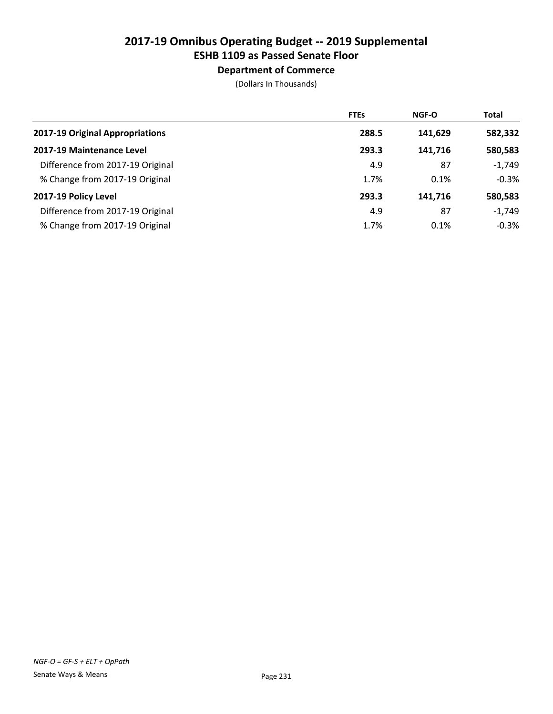# Department of Commerce

|                                  | <b>FTEs</b> | <b>NGF-O</b> | <b>Total</b> |
|----------------------------------|-------------|--------------|--------------|
| 2017-19 Original Appropriations  | 288.5       | 141,629      | 582,332      |
| 2017-19 Maintenance Level        | 293.3       | 141.716      | 580,583      |
| Difference from 2017-19 Original | 4.9         | 87           | $-1,749$     |
| % Change from 2017-19 Original   | 1.7%        | 0.1%         | $-0.3%$      |
| 2017-19 Policy Level             | 293.3       | 141.716      | 580,583      |
| Difference from 2017-19 Original | 4.9         | 87           | $-1,749$     |
| % Change from 2017-19 Original   | 1.7%        | 0.1%         | $-0.3%$      |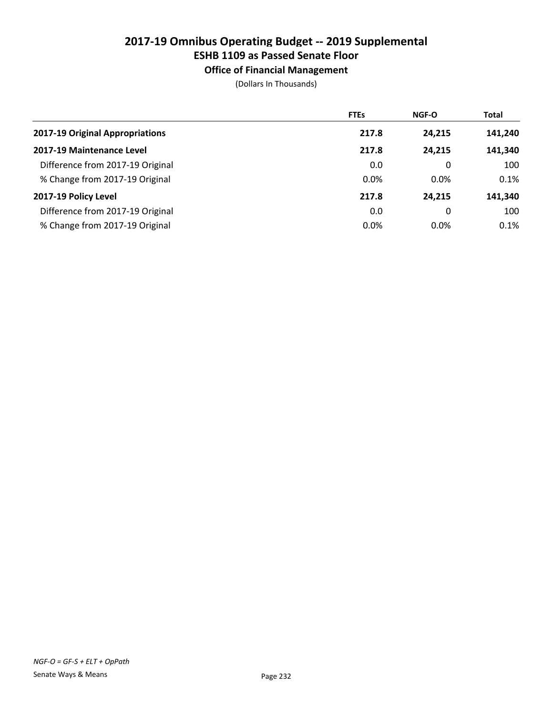# ESHB 1109 as Passed Senate Floor

Office of Financial Management

|                                  | <b>FTEs</b> | NGF-O   | <b>Total</b> |
|----------------------------------|-------------|---------|--------------|
| 2017-19 Original Appropriations  | 217.8       | 24,215  | 141,240      |
| 2017-19 Maintenance Level        | 217.8       | 24.215  | 141,340      |
| Difference from 2017-19 Original | 0.0         | 0       | 100          |
| % Change from 2017-19 Original   | 0.0%        | $0.0\%$ | 0.1%         |
| 2017-19 Policy Level             | 217.8       | 24.215  | 141,340      |
| Difference from 2017-19 Original | 0.0         | 0       | 100          |
| % Change from 2017-19 Original   | 0.0%        | 0.0%    | 0.1%         |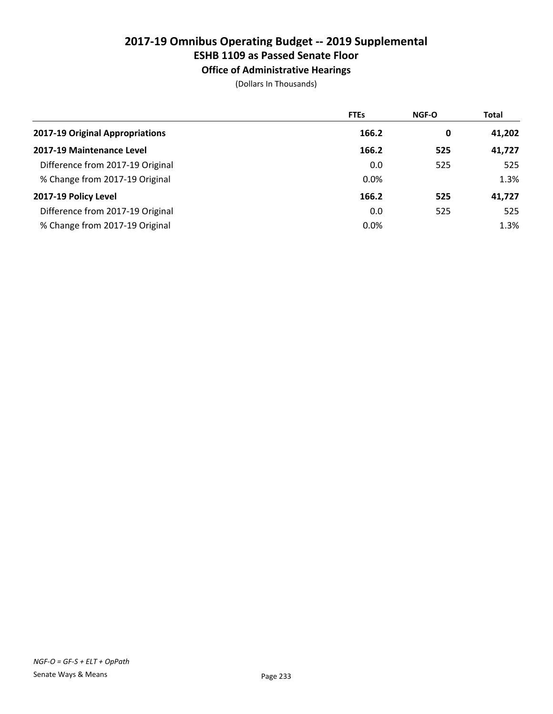# ESHB 1109 as Passed Senate Floor

Office of Administrative Hearings

|                                  | <b>FTEs</b> | <b>NGF-O</b> | <b>Total</b> |
|----------------------------------|-------------|--------------|--------------|
| 2017-19 Original Appropriations  | 166.2       | 0            | 41,202       |
| 2017-19 Maintenance Level        | 166.2       | 525          | 41,727       |
| Difference from 2017-19 Original | 0.0         | 525          | 525          |
| % Change from 2017-19 Original   | 0.0%        |              | 1.3%         |
| 2017-19 Policy Level             | 166.2       | 525          | 41,727       |
| Difference from 2017-19 Original | 0.0         | 525          | 525          |
| % Change from 2017-19 Original   | 0.0%        |              | 1.3%         |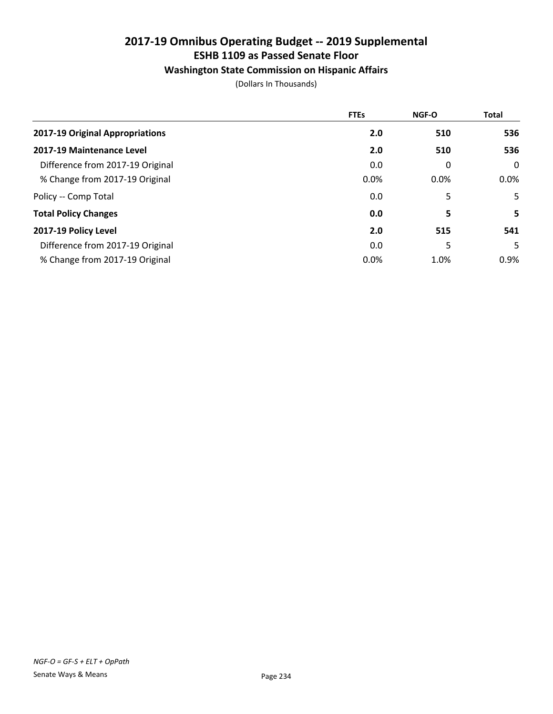# Washington State Commission on Hispanic Affairs

|                                  | <b>FTEs</b> | NGF-O | <b>Total</b> |
|----------------------------------|-------------|-------|--------------|
| 2017-19 Original Appropriations  | 2.0         | 510   | 536          |
| 2017-19 Maintenance Level        | 2.0         | 510   | 536          |
| Difference from 2017-19 Original | 0.0         | 0     | $\mathbf 0$  |
| % Change from 2017-19 Original   | 0.0%        | 0.0%  | $0.0\%$      |
| Policy -- Comp Total             | 0.0         | 5     | 5.           |
| <b>Total Policy Changes</b>      | 0.0         | 5     | 5.           |
| 2017-19 Policy Level             | 2.0         | 515   | 541          |
| Difference from 2017-19 Original | 0.0         | 5     | 5.           |
| % Change from 2017-19 Original   | 0.0%        | 1.0%  | 0.9%         |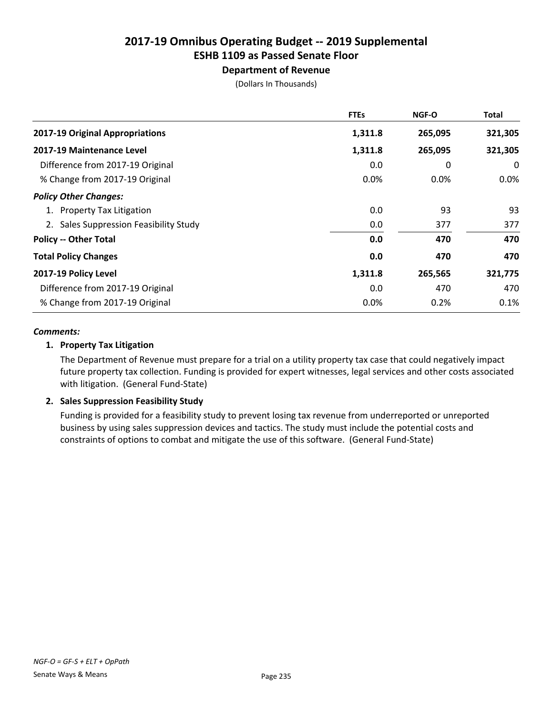# Department of Revenue

(Dollars In Thousands)

|                                        | <b>FTEs</b> | <b>NGF-O</b> | <b>Total</b> |
|----------------------------------------|-------------|--------------|--------------|
| 2017-19 Original Appropriations        | 1,311.8     | 265,095      | 321,305      |
| 2017-19 Maintenance Level              | 1,311.8     | 265,095      | 321,305      |
| Difference from 2017-19 Original       | 0.0         | 0            | 0            |
| % Change from 2017-19 Original         | 0.0%        | $0.0\%$      | $0.0\%$      |
| <b>Policy Other Changes:</b>           |             |              |              |
| 1. Property Tax Litigation             | 0.0         | 93           | 93           |
| 2. Sales Suppression Feasibility Study | 0.0         | 377          | 377          |
| <b>Policy -- Other Total</b>           | 0.0         | 470          | 470          |
| <b>Total Policy Changes</b>            | 0.0         | 470          | 470          |
| 2017-19 Policy Level                   | 1,311.8     | 265,565      | 321,775      |
| Difference from 2017-19 Original       | 0.0         | 470          | 470          |
| % Change from 2017-19 Original         | 0.0%        | 0.2%         | 0.1%         |

### *Comments:*

### 1. Property Tax Litigation

The Department of Revenue must prepare for a trial on a utility property tax case that could negatively impact future property tax collection. Funding is provided for expert witnesses, legal services and other costs associated with litigation. (General Fund-State)

### 2. Sales Suppression Feasibility Study

Funding is provided for a feasibility study to prevent losing tax revenue from underreported or unreported business by using sales suppression devices and tactics. The study must include the potential costs and constraints of options to combat and mitigate the use of this software. (General Fund-State)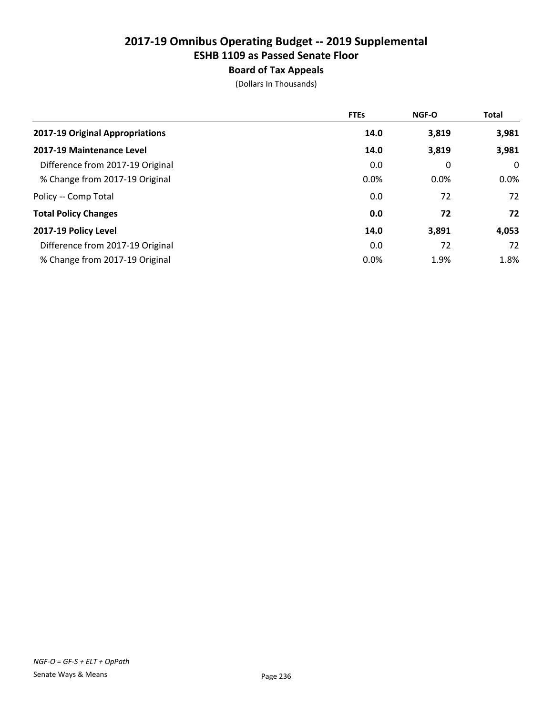# Board of Tax Appeals

|                                  | <b>FTEs</b> | <b>NGF-O</b> | <b>Total</b> |
|----------------------------------|-------------|--------------|--------------|
| 2017-19 Original Appropriations  | 14.0        | 3,819        | 3,981        |
| 2017-19 Maintenance Level        | 14.0        | 3,819        | 3,981        |
| Difference from 2017-19 Original | 0.0         | 0            | 0            |
| % Change from 2017-19 Original   | 0.0%        | $0.0\%$      | $0.0\%$      |
| Policy -- Comp Total             | 0.0         | 72           | 72           |
| <b>Total Policy Changes</b>      | 0.0         | 72           | 72           |
| 2017-19 Policy Level             | 14.0        | 3,891        | 4,053        |
| Difference from 2017-19 Original | 0.0         | 72           | 72           |
| % Change from 2017-19 Original   | 0.0%        | 1.9%         | 1.8%         |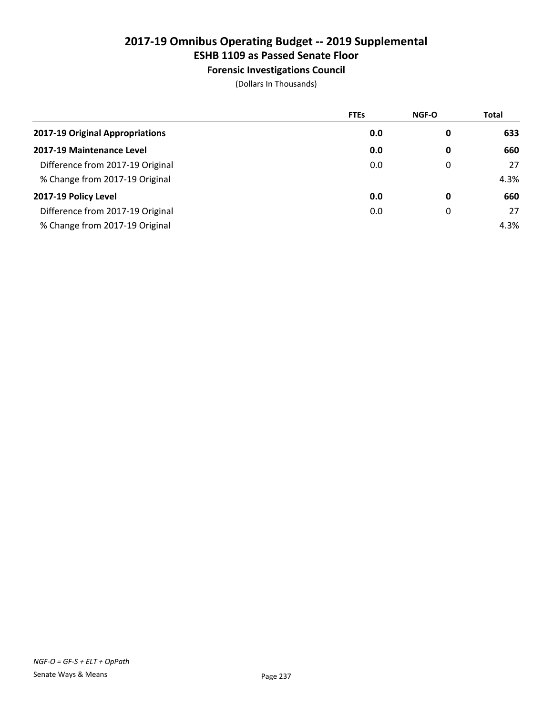# ESHB 1109 as Passed Senate Floor

Forensic Investigations Council

|                                  | <b>FTEs</b> | NGF-O | <b>Total</b> |
|----------------------------------|-------------|-------|--------------|
| 2017-19 Original Appropriations  | 0.0         | 0     | 633          |
| 2017-19 Maintenance Level        | 0.0         | 0     | 660          |
| Difference from 2017-19 Original | 0.0         | 0     | 27           |
| % Change from 2017-19 Original   |             |       | 4.3%         |
| 2017-19 Policy Level             | 0.0         | 0     | 660          |
| Difference from 2017-19 Original | 0.0         | 0     | 27           |
| % Change from 2017-19 Original   |             |       | 4.3%         |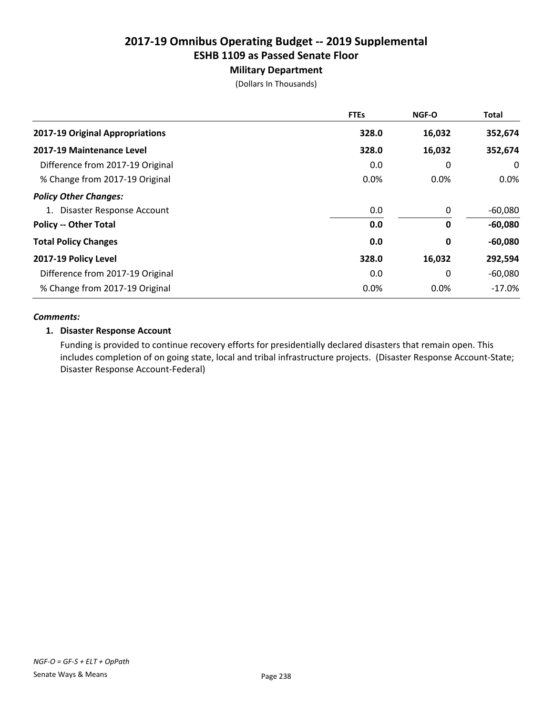# Military Department

(Dollars In Thousands)

|                                  | <b>FTEs</b> | <b>NGF-O</b> | <b>Total</b> |
|----------------------------------|-------------|--------------|--------------|
| 2017-19 Original Appropriations  | 328.0       | 16,032       | 352,674      |
| 2017-19 Maintenance Level        | 328.0       | 16,032       | 352,674      |
| Difference from 2017-19 Original | 0.0         | 0            | 0            |
| % Change from 2017-19 Original   | 0.0%        | 0.0%         | $0.0\%$      |
| <b>Policy Other Changes:</b>     |             |              |              |
| 1. Disaster Response Account     | 0.0         | 0            | $-60,080$    |
| <b>Policy -- Other Total</b>     | 0.0         | 0            | $-60,080$    |
| <b>Total Policy Changes</b>      | 0.0         | 0            | $-60,080$    |
| 2017-19 Policy Level             | 328.0       | 16,032       | 292,594      |
| Difference from 2017-19 Original | 0.0         | 0            | $-60,080$    |
| % Change from 2017-19 Original   | 0.0%        | $0.0\%$      | $-17.0%$     |

#### *Comments:*

### 1. Disaster Response Account

Funding is provided to continue recovery efforts for presidentially declared disasters that remain open. This includes completion of on going state, local and tribal infrastructure projects. (Disaster Response Account-State; Disaster Response Account-Federal)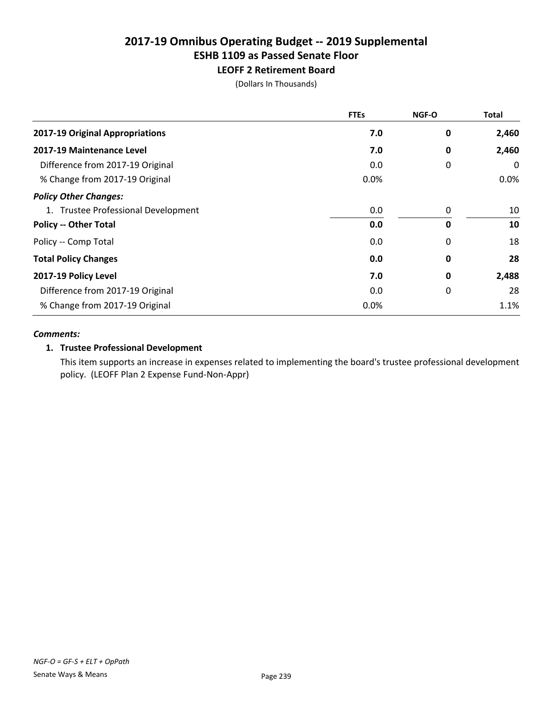# LEOFF 2 Retirement Board

(Dollars In Thousands)

|                                     | <b>FTEs</b> | <b>NGF-O</b> | <b>Total</b> |
|-------------------------------------|-------------|--------------|--------------|
| 2017-19 Original Appropriations     | 7.0         | 0            | 2,460        |
| 2017-19 Maintenance Level           | 7.0         | 0            | 2,460        |
| Difference from 2017-19 Original    | 0.0         | 0            | 0            |
| % Change from 2017-19 Original      | 0.0%        |              | $0.0\%$      |
| <b>Policy Other Changes:</b>        |             |              |              |
| 1. Trustee Professional Development | 0.0         | 0            | 10           |
| <b>Policy -- Other Total</b>        | 0.0         | 0            | 10           |
| Policy -- Comp Total                | 0.0         | 0            | 18           |
| <b>Total Policy Changes</b>         | 0.0         | 0            | 28           |
| 2017-19 Policy Level                | 7.0         | 0            | 2,488        |
| Difference from 2017-19 Original    | 0.0         | 0            | 28           |
| % Change from 2017-19 Original      | 0.0%        |              | 1.1%         |

#### *Comments:*

### 1. Trustee Professional Development

This item supports an increase in expenses related to implementing the board's trustee professional development policy. (LEOFF Plan 2 Expense Fund-Non-Appr)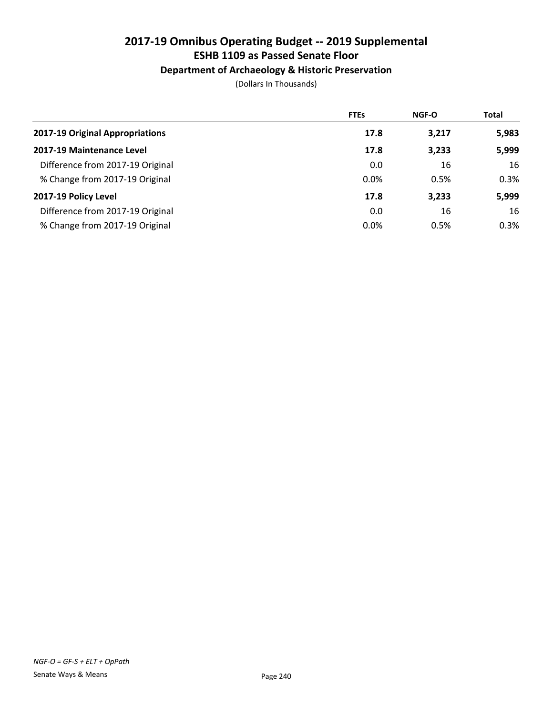# Department of Archaeology & Historic Preservation

|                                  | <b>FTEs</b> | <b>NGF-O</b> | <b>Total</b> |
|----------------------------------|-------------|--------------|--------------|
| 2017-19 Original Appropriations  | 17.8        | 3,217        | 5,983        |
| 2017-19 Maintenance Level        | 17.8        | 3,233        | 5,999        |
| Difference from 2017-19 Original | 0.0         | 16           | 16           |
| % Change from 2017-19 Original   | 0.0%        | 0.5%         | 0.3%         |
| 2017-19 Policy Level             | 17.8        | 3,233        | 5,999        |
| Difference from 2017-19 Original | 0.0         | 16           | 16           |
| % Change from 2017-19 Original   | 0.0%        | 0.5%         | 0.3%         |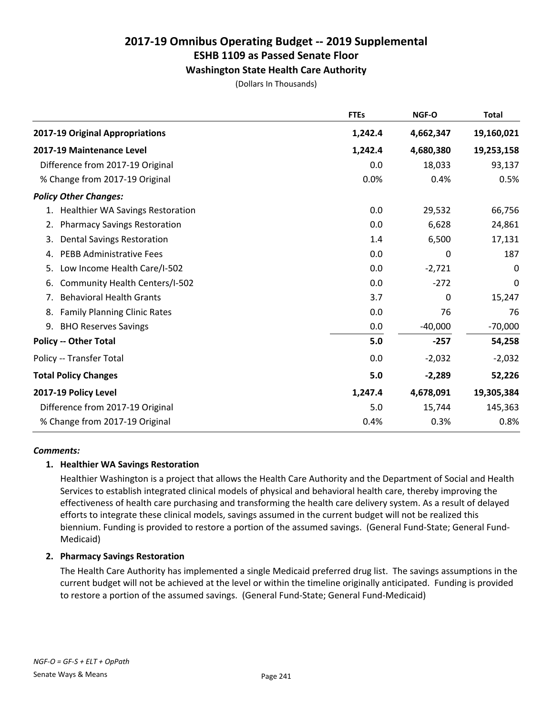# Washington State Health Care Authority

(Dollars In Thousands)

|                                               | <b>FTEs</b> | NGF-O     | <b>Total</b> |
|-----------------------------------------------|-------------|-----------|--------------|
| 2017-19 Original Appropriations               | 1,242.4     | 4,662,347 | 19,160,021   |
| 2017-19 Maintenance Level                     | 1,242.4     | 4,680,380 | 19,253,158   |
| Difference from 2017-19 Original              | 0.0         | 18,033    | 93,137       |
| % Change from 2017-19 Original                | 0.0%        | 0.4%      | 0.5%         |
| <b>Policy Other Changes:</b>                  |             |           |              |
| <b>Healthier WA Savings Restoration</b><br>1. | 0.0         | 29,532    | 66,756       |
| <b>Pharmacy Savings Restoration</b><br>2.     | 0.0         | 6,628     | 24,861       |
| <b>Dental Savings Restoration</b><br>3.       | 1.4         | 6,500     | 17,131       |
| <b>PEBB Administrative Fees</b><br>4.         | 0.0         | 0         | 187          |
| Low Income Health Care/I-502<br>5.            | 0.0         | $-2,721$  | 0            |
| Community Health Centers/I-502<br>6.          | 0.0         | $-272$    | 0            |
| <b>Behavioral Health Grants</b><br>7.         | 3.7         | 0         | 15,247       |
| <b>Family Planning Clinic Rates</b><br>8.     | 0.0         | 76        | 76           |
| 9.<br><b>BHO Reserves Savings</b>             | 0.0         | $-40,000$ | $-70,000$    |
| <b>Policy -- Other Total</b>                  | 5.0         | $-257$    | 54,258       |
| Policy -- Transfer Total                      | 0.0         | $-2,032$  | $-2,032$     |
| <b>Total Policy Changes</b>                   | 5.0         | $-2,289$  | 52,226       |
| 2017-19 Policy Level                          | 1,247.4     | 4,678,091 | 19,305,384   |
| Difference from 2017-19 Original              | 5.0         | 15,744    | 145,363      |
| % Change from 2017-19 Original                | 0.4%        | 0.3%      | 0.8%         |

#### *Comments:*

### 1. Healthier WA Savings Restoration

Healthier Washington is a project that allows the Health Care Authority and the Department of Social and Health Services to establish integrated clinical models of physical and behavioral health care, thereby improving the effectiveness of health care purchasing and transforming the health care delivery system. As a result of delayed efforts to integrate these clinical models, savings assumed in the current budget will not be realized this biennium. Funding is provided to restore a portion of the assumed savings. (General Fund-State; General Fund-Medicaid)

### 2. Pharmacy Savings Restoration

The Health Care Authority has implemented a single Medicaid preferred drug list. The savings assumptions in the current budget will not be achieved at the level or within the timeline originally anticipated. Funding is provided to restore a portion of the assumed savings. (General Fund-State; General Fund-Medicaid)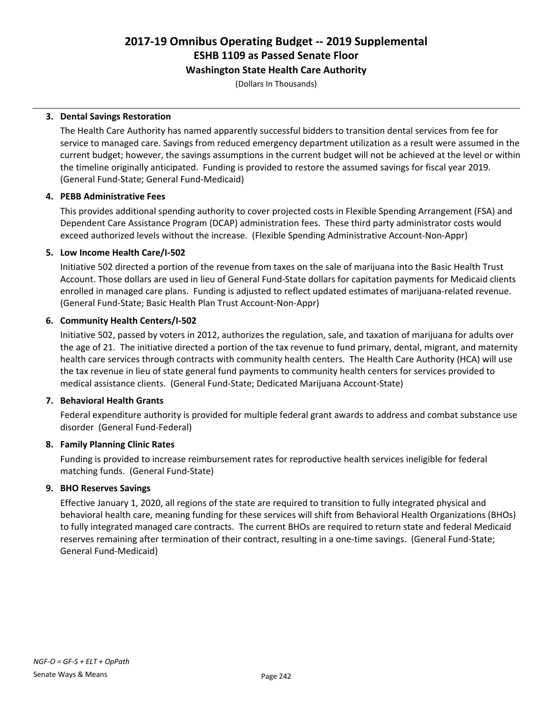## Washington State Health Care Authority

(Dollars In Thousands)

### 3. Dental Savings Restoration

The Health Care Authority has named apparently successful bidders to transition dental services from fee for service to managed care. Savings from reduced emergency department utilization as a result were assumed in the current budget; however, the savings assumptions in the current budget will not be achieved at the level or within the timeline originally anticipated. Funding is provided to restore the assumed savings for fiscal year 2019. (General Fund-State; General Fund-Medicaid)

### 4. PEBB Administrative Fees

This provides additional spending authority to cover projected costs in Flexible Spending Arrangement (FSA) and Dependent Care Assistance Program (DCAP) administration fees. These third party administrator costs would exceed authorized levels without the increase. (Flexible Spending Administrative Account-Non-Appr)

### 5. Low Income Health Care/I-502

Initiative 502 directed a portion of the revenue from taxes on the sale of marijuana into the Basic Health Trust Account. Those dollars are used in lieu of General Fund-State dollars for capitation payments for Medicaid clients enrolled in managed care plans. Funding is adjusted to reflect updated estimates of marijuana-related revenue. (General Fund-State; Basic Health Plan Trust Account-Non-Appr)

### 6. Community Health Centers/I-502

Initiative 502, passed by voters in 2012, authorizes the regulation, sale, and taxation of marijuana for adults over the age of 21. The initiative directed a portion of the tax revenue to fund primary, dental, migrant, and maternity health care services through contracts with community health centers. The Health Care Authority (HCA) will use the tax revenue in lieu of state general fund payments to community health centers for services provided to medical assistance clients. (General Fund-State; Dedicated Marijuana Account-State)

# 7. Behavioral Health Grants

Federal expenditure authority is provided for multiple federal grant awards to address and combat substance use disorder (General Fund-Federal)

# 8. Family Planning Clinic Rates

Funding is provided to increase reimbursement rates for reproductive health services ineligible for federal matching funds. (General Fund-State)

### 9. BHO Reserves Savings

Effective January 1, 2020, all regions of the state are required to transition to fully integrated physical and behavioral health care, meaning funding for these services will shift from Behavioral Health Organizations (BHOs) to fully integrated managed care contracts. The current BHOs are required to return state and federal Medicaid reserves remaining after termination of their contract, resulting in a one-time savings. (General Fund-State; General Fund-Medicaid)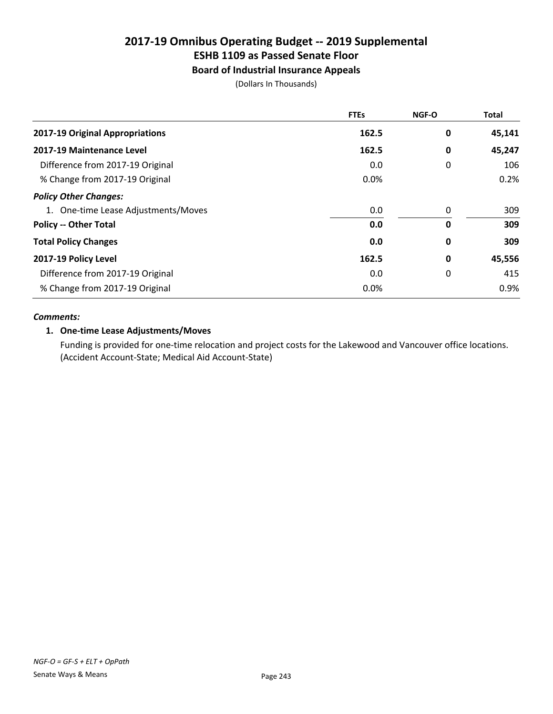# Board of Industrial Insurance Appeals

(Dollars In Thousands)

|                                     | <b>FTEs</b> | <b>NGF-O</b> | <b>Total</b> |
|-------------------------------------|-------------|--------------|--------------|
| 2017-19 Original Appropriations     | 162.5       | 0            | 45,141       |
| 2017-19 Maintenance Level           | 162.5       | 0            | 45,247       |
| Difference from 2017-19 Original    | 0.0         | 0            | 106          |
| % Change from 2017-19 Original      | 0.0%        |              | 0.2%         |
| <b>Policy Other Changes:</b>        |             |              |              |
| 1. One-time Lease Adjustments/Moves | 0.0         | 0            | 309          |
| <b>Policy -- Other Total</b>        | 0.0         | 0            | 309          |
| <b>Total Policy Changes</b>         | 0.0         | 0            | 309          |
| 2017-19 Policy Level                | 162.5       | 0            | 45,556       |
| Difference from 2017-19 Original    | 0.0         | 0            | 415          |
| % Change from 2017-19 Original      | 0.0%        |              | 0.9%         |

### *Comments:*

### 1. One-time Lease Adjustments/Moves

Funding is provided for one-time relocation and project costs for the Lakewood and Vancouver office locations. (Accident Account-State; Medical Aid Account-State)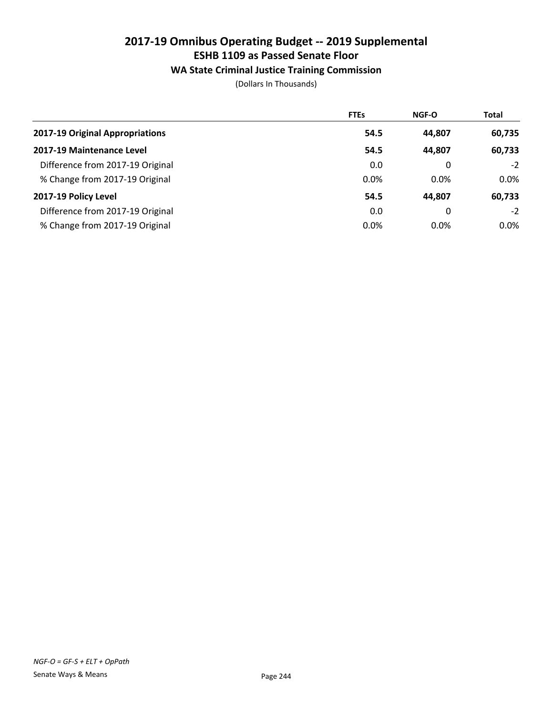# WA State Criminal Justice Training Commission

|                                  | <b>FTEs</b> | <b>NGF-O</b> | <b>Total</b> |
|----------------------------------|-------------|--------------|--------------|
| 2017-19 Original Appropriations  | 54.5        | 44.807       | 60,735       |
| 2017-19 Maintenance Level        | 54.5        | 44,807       | 60,733       |
| Difference from 2017-19 Original | 0.0         | 0            | $-2$         |
| % Change from 2017-19 Original   | 0.0%        | 0.0%         | $0.0\%$      |
| 2017-19 Policy Level             | 54.5        | 44,807       | 60,733       |
| Difference from 2017-19 Original | 0.0         | 0            | $-2$         |
| % Change from 2017-19 Original   | 0.0%        | 0.0%         | $0.0\%$      |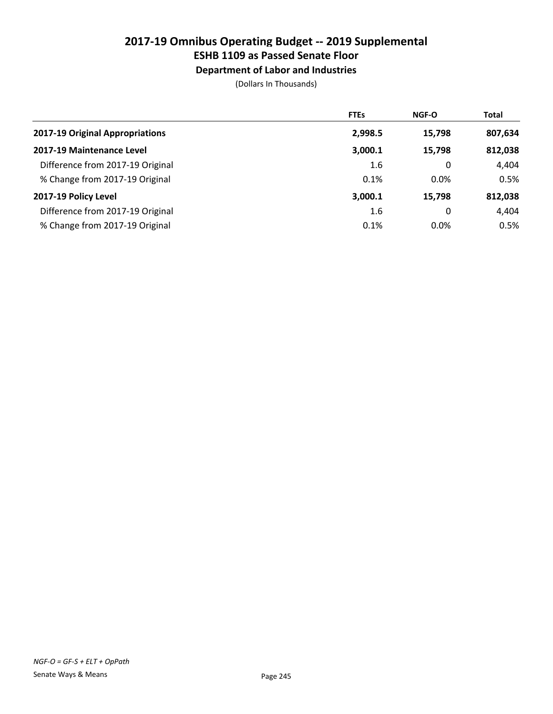# ESHB 1109 as Passed Senate Floor

Department of Labor and Industries

|                                  | <b>FTEs</b> | NGF-O   | <b>Total</b> |
|----------------------------------|-------------|---------|--------------|
| 2017-19 Original Appropriations  | 2,998.5     | 15,798  | 807,634      |
| 2017-19 Maintenance Level        | 3,000.1     | 15,798  | 812,038      |
| Difference from 2017-19 Original | 1.6         | 0       | 4,404        |
| % Change from 2017-19 Original   | 0.1%        | $0.0\%$ | 0.5%         |
| 2017-19 Policy Level             | 3,000.1     | 15.798  | 812,038      |
| Difference from 2017-19 Original | 1.6         | 0       | 4,404        |
| % Change from 2017-19 Original   | 0.1%        | $0.0\%$ | 0.5%         |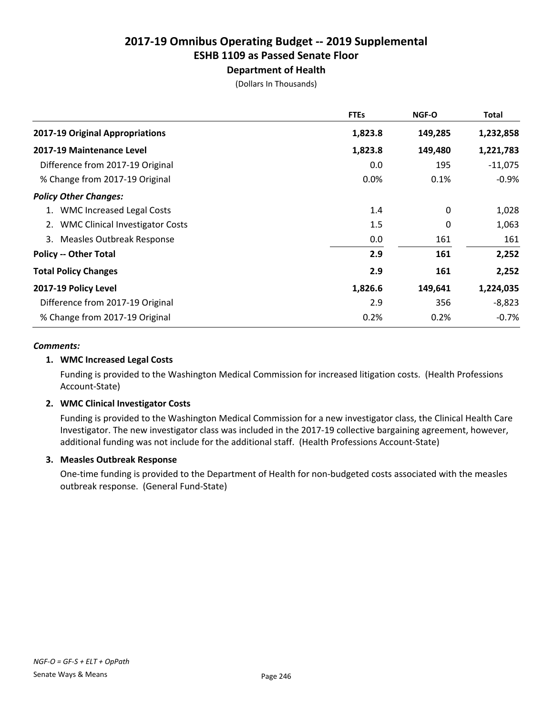# Department of Health

(Dollars In Thousands)

|                                        | <b>FTEs</b> | <b>NGF-O</b> | Total     |
|----------------------------------------|-------------|--------------|-----------|
| 2017-19 Original Appropriations        | 1,823.8     | 149,285      | 1,232,858 |
| 2017-19 Maintenance Level              | 1,823.8     | 149,480      | 1,221,783 |
| Difference from 2017-19 Original       | 0.0         | 195          | $-11,075$ |
| % Change from 2017-19 Original         | 0.0%        | 0.1%         | $-0.9%$   |
| <b>Policy Other Changes:</b>           |             |              |           |
| 1. WMC Increased Legal Costs           | 1.4         | $\mathbf{0}$ | 1,028     |
| <b>WMC Clinical Investigator Costs</b> | 1.5         | 0            | 1,063     |
| <b>Measles Outbreak Response</b><br>3. | 0.0         | 161          | 161       |
| <b>Policy -- Other Total</b>           | 2.9         | 161          | 2,252     |
| <b>Total Policy Changes</b>            | 2.9         | 161          | 2,252     |
| 2017-19 Policy Level                   | 1,826.6     | 149,641      | 1,224,035 |
| Difference from 2017-19 Original       | 2.9         | 356          | $-8,823$  |
| % Change from 2017-19 Original         | 0.2%        | 0.2%         | $-0.7\%$  |

### *Comments:*

### 1. WMC Increased Legal Costs

Funding is provided to the Washington Medical Commission for increased litigation costs. (Health Professions Account-State)

### 2. WMC Clinical Investigator Costs

Funding is provided to the Washington Medical Commission for a new investigator class, the Clinical Health Care Investigator. The new investigator class was included in the 2017-19 collective bargaining agreement, however, additional funding was not include for the additional staff. (Health Professions Account-State)

### 3. Measles Outbreak Response

One-time funding is provided to the Department of Health for non-budgeted costs associated with the measles outbreak response. (General Fund-State)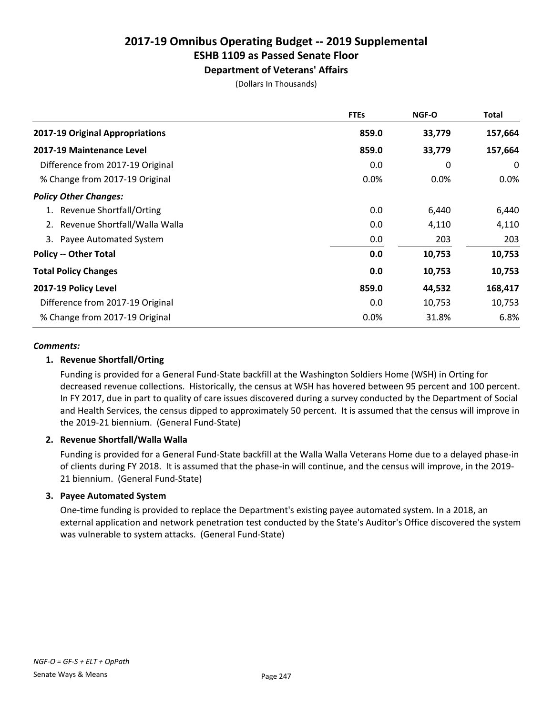# ESHB 1109 as Passed Senate Floor

# Department of Veterans' Affairs

(Dollars In Thousands)

|                                  | <b>FTEs</b> | <b>NGF-O</b> | <b>Total</b> |
|----------------------------------|-------------|--------------|--------------|
| 2017-19 Original Appropriations  | 859.0       | 33,779       | 157,664      |
| 2017-19 Maintenance Level        | 859.0       | 33,779       | 157,664      |
| Difference from 2017-19 Original | 0.0         | 0            | 0            |
| % Change from 2017-19 Original   | $0.0\%$     | 0.0%         | $0.0\%$      |
| <b>Policy Other Changes:</b>     |             |              |              |
| <b>Revenue Shortfall/Orting</b>  | 0.0         | 6,440        | 6,440        |
| Revenue Shortfall/Walla Walla    | 0.0         | 4,110        | 4,110        |
| 3. Payee Automated System        | 0.0         | 203          | 203          |
| <b>Policy -- Other Total</b>     | 0.0         | 10,753       | 10,753       |
| <b>Total Policy Changes</b>      | 0.0         | 10,753       | 10,753       |
| 2017-19 Policy Level             | 859.0       | 44,532       | 168,417      |
| Difference from 2017-19 Original | 0.0         | 10,753       | 10,753       |
| % Change from 2017-19 Original   | 0.0%        | 31.8%        | 6.8%         |

### *Comments:*

### 1. Revenue Shortfall/Orting

Funding is provided for a General Fund-State backfill at the Washington Soldiers Home (WSH) in Orting for decreased revenue collections. Historically, the census at WSH has hovered between 95 percent and 100 percent. In FY 2017, due in part to quality of care issues discovered during a survey conducted by the Department of Social and Health Services, the census dipped to approximately 50 percent. It is assumed that the census will improve in the 2019-21 biennium. (General Fund-State)

### 2. Revenue Shortfall/Walla Walla

Funding is provided for a General Fund-State backfill at the Walla Walla Veterans Home due to a delayed phase-in of clients during FY 2018. It is assumed that the phase-in will continue, and the census will improve, in the 2019- 21 biennium. (General Fund-State)

### 3. Payee Automated System

One-time funding is provided to replace the Department's existing payee automated system. In a 2018, an external application and network penetration test conducted by the State's Auditor's Office discovered the system was vulnerable to system attacks. (General Fund-State)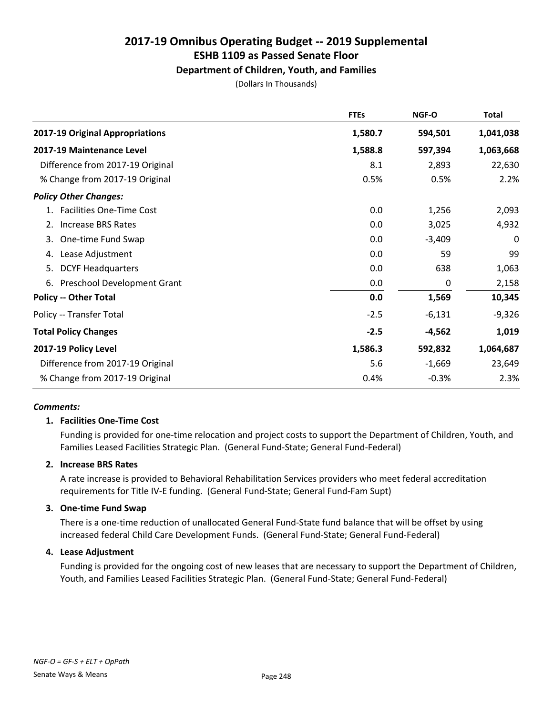# Department of Children, Youth, and Families

(Dollars In Thousands)

|                                          | <b>FTEs</b> | NGF-O    | <b>Total</b> |
|------------------------------------------|-------------|----------|--------------|
| 2017-19 Original Appropriations          | 1,580.7     | 594,501  | 1,041,038    |
| 2017-19 Maintenance Level                | 1,588.8     | 597,394  | 1,063,668    |
| Difference from 2017-19 Original         | 8.1         | 2,893    | 22,630       |
| % Change from 2017-19 Original           | 0.5%        | 0.5%     | 2.2%         |
| <b>Policy Other Changes:</b>             |             |          |              |
| 1. Facilities One-Time Cost              | 0.0         | 1,256    | 2,093        |
| <b>Increase BRS Rates</b><br>2.          | 0.0         | 3,025    | 4,932        |
| One-time Fund Swap<br>3.                 | 0.0         | $-3,409$ | 0            |
| Lease Adjustment<br>4.                   | 0.0         | 59       | 99           |
| <b>DCYF Headquarters</b><br>5.           | 0.0         | 638      | 1,063        |
| <b>Preschool Development Grant</b><br>6. | 0.0         | 0        | 2,158        |
| <b>Policy -- Other Total</b>             | 0.0         | 1,569    | 10,345       |
| Policy -- Transfer Total                 | $-2.5$      | $-6,131$ | $-9,326$     |
| <b>Total Policy Changes</b>              | $-2.5$      | $-4,562$ | 1,019        |
| 2017-19 Policy Level                     | 1,586.3     | 592,832  | 1,064,687    |
| Difference from 2017-19 Original         | 5.6         | $-1,669$ | 23,649       |
| % Change from 2017-19 Original           | 0.4%        | $-0.3%$  | 2.3%         |

#### *Comments:*

### 1. Facilities One-Time Cost

Funding is provided for one-time relocation and project costs to support the Department of Children, Youth, and Families Leased Facilities Strategic Plan. (General Fund-State; General Fund-Federal)

#### 2. Increase BRS Rates

A rate increase is provided to Behavioral Rehabilitation Services providers who meet federal accreditation requirements for Title IV-E funding. (General Fund-State; General Fund-Fam Supt)

#### 3. One-time Fund Swap

There is a one-time reduction of unallocated General Fund-State fund balance that will be offset by using increased federal Child Care Development Funds. (General Fund-State; General Fund-Federal)

#### 4. Lease Adjustment

Funding is provided for the ongoing cost of new leases that are necessary to support the Department of Children, Youth, and Families Leased Facilities Strategic Plan. (General Fund-State; General Fund-Federal)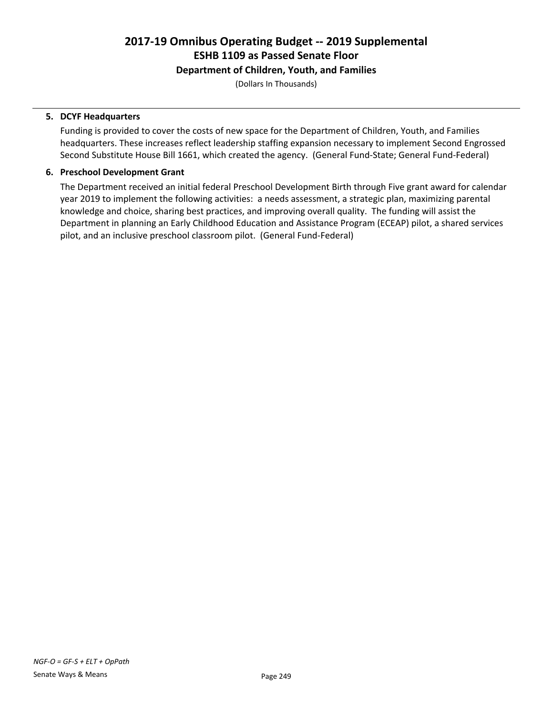### Department of Children, Youth, and Families

(Dollars In Thousands)

### 5. DCYF Headquarters

Funding is provided to cover the costs of new space for the Department of Children, Youth, and Families headquarters. These increases reflect leadership staffing expansion necessary to implement Second Engrossed Second Substitute House Bill 1661, which created the agency. (General Fund-State; General Fund-Federal)

### 6. Preschool Development Grant

The Department received an initial federal Preschool Development Birth through Five grant award for calendar year 2019 to implement the following activities: a needs assessment, a strategic plan, maximizing parental knowledge and choice, sharing best practices, and improving overall quality. The funding will assist the Department in planning an Early Childhood Education and Assistance Program (ECEAP) pilot, a shared services pilot, and an inclusive preschool classroom pilot. (General Fund-Federal)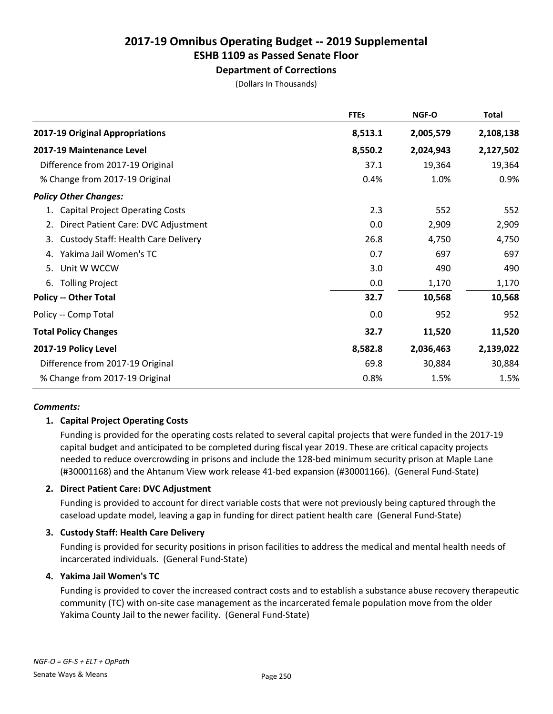# ESHB 1109 as Passed Senate Floor

Department of Corrections

(Dollars In Thousands)

|                                                  | <b>FTEs</b> | NGF-O     | <b>Total</b> |
|--------------------------------------------------|-------------|-----------|--------------|
| 2017-19 Original Appropriations                  | 8,513.1     | 2,005,579 | 2,108,138    |
| 2017-19 Maintenance Level                        | 8,550.2     | 2,024,943 | 2,127,502    |
| Difference from 2017-19 Original                 | 37.1        | 19,364    | 19,364       |
| % Change from 2017-19 Original                   | 0.4%        | 1.0%      | 0.9%         |
| <b>Policy Other Changes:</b>                     |             |           |              |
| <b>Capital Project Operating Costs</b><br>1.     | 2.3         | 552       | 552          |
| Direct Patient Care: DVC Adjustment<br>2.        | 0.0         | 2,909     | 2,909        |
| <b>Custody Staff: Health Care Delivery</b><br>3. | 26.8        | 4,750     | 4,750        |
| Yakima Jail Women's TC<br>4.                     | 0.7         | 697       | 697          |
| Unit W WCCW<br>5.                                | 3.0         | 490       | 490          |
| <b>Tolling Project</b><br>6.                     | 0.0         | 1,170     | 1,170        |
| <b>Policy -- Other Total</b>                     | 32.7        | 10,568    | 10,568       |
| Policy -- Comp Total                             | 0.0         | 952       | 952          |
| <b>Total Policy Changes</b>                      | 32.7        | 11,520    | 11,520       |
| 2017-19 Policy Level                             | 8,582.8     | 2,036,463 | 2,139,022    |
| Difference from 2017-19 Original                 | 69.8        | 30,884    | 30,884       |
| % Change from 2017-19 Original                   | 0.8%        | 1.5%      | 1.5%         |

### *Comments:*

# 1. Capital Project Operating Costs

Funding is provided for the operating costs related to several capital projects that were funded in the 2017-19 capital budget and anticipated to be completed during fiscal year 2019. These are critical capacity projects needed to reduce overcrowding in prisons and include the 128-bed minimum security prison at Maple Lane (#30001168) and the Ahtanum View work release 41-bed expansion (#30001166). (General Fund-State)

# 2. Direct Patient Care: DVC Adjustment

Funding is provided to account for direct variable costs that were not previously being captured through the caseload update model, leaving a gap in funding for direct patient health care (General Fund-State)

# 3. Custody Staff: Health Care Delivery

Funding is provided for security positions in prison facilities to address the medical and mental health needs of incarcerated individuals. (General Fund-State)

### 4. Yakima Jail Women's TC

Funding is provided to cover the increased contract costs and to establish a substance abuse recovery therapeutic community (TC) with on-site case management as the incarcerated female population move from the older Yakima County Jail to the newer facility. (General Fund-State)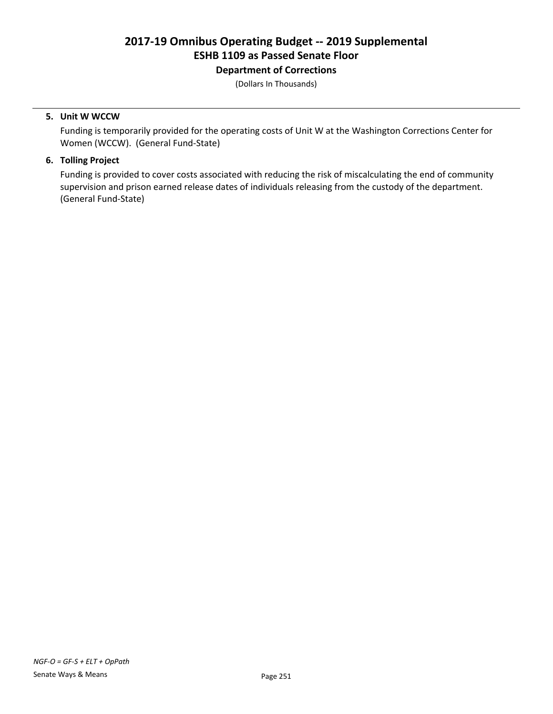# Department of Corrections

(Dollars In Thousands)

#### 5. Unit W WCCW

Funding is temporarily provided for the operating costs of Unit W at the Washington Corrections Center for Women (WCCW). (General Fund-State)

### 6. Tolling Project

Funding is provided to cover costs associated with reducing the risk of miscalculating the end of community supervision and prison earned release dates of individuals releasing from the custody of the department. (General Fund-State)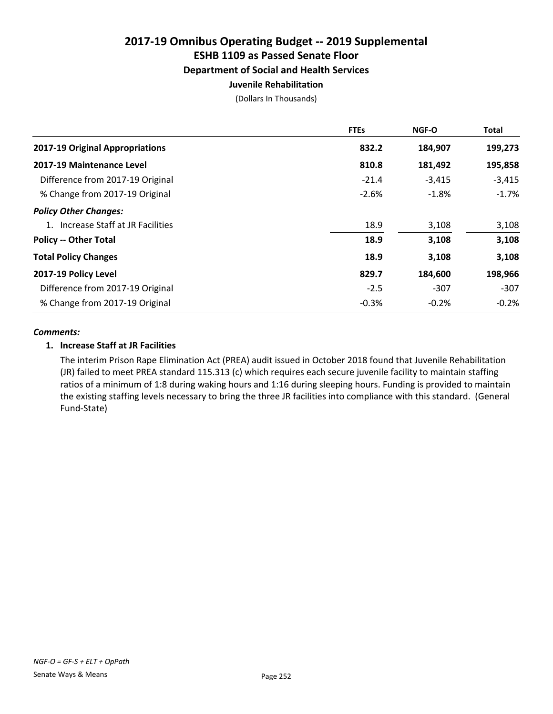# Department of Social and Health Services

### Juvenile Rehabilitation

(Dollars In Thousands)

|                                    | <b>FTEs</b> | <b>NGF-O</b> | <b>Total</b> |
|------------------------------------|-------------|--------------|--------------|
| 2017-19 Original Appropriations    | 832.2       | 184,907      | 199,273      |
| 2017-19 Maintenance Level          | 810.8       | 181,492      | 195,858      |
| Difference from 2017-19 Original   | $-21.4$     | $-3,415$     | $-3,415$     |
| % Change from 2017-19 Original     | $-2.6%$     | $-1.8%$      | $-1.7%$      |
| <b>Policy Other Changes:</b>       |             |              |              |
| 1. Increase Staff at JR Facilities | 18.9        | 3,108        | 3,108        |
| <b>Policy -- Other Total</b>       | 18.9        | 3,108        | 3,108        |
| <b>Total Policy Changes</b>        | 18.9        | 3,108        | 3,108        |
| 2017-19 Policy Level               | 829.7       | 184,600      | 198,966      |
| Difference from 2017-19 Original   | $-2.5$      | $-307$       | $-307$       |
| % Change from 2017-19 Original     | $-0.3%$     | $-0.2%$      | $-0.2%$      |

### *Comments:*

### 1. Increase Staff at JR Facilities

The interim Prison Rape Elimination Act (PREA) audit issued in October 2018 found that Juvenile Rehabilitation (JR) failed to meet PREA standard 115.313 (c) which requires each secure juvenile facility to maintain staffing ratios of a minimum of 1:8 during waking hours and 1:16 during sleeping hours. Funding is provided to maintain the existing staffing levels necessary to bring the three JR facilities into compliance with this standard. (General Fund-State)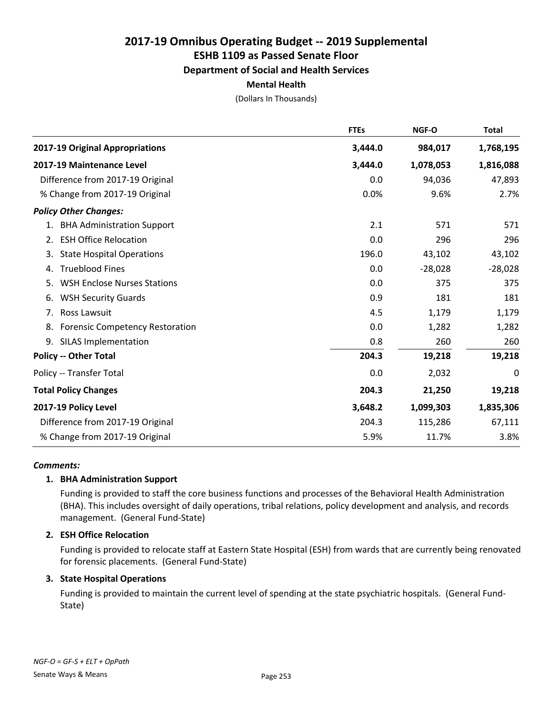# ESHB 1109 as Passed Senate Floor

### Department of Social and Health Services

#### Mental Health

(Dollars In Thousands)

|                                              | <b>FTEs</b> | NGF-O     | <b>Total</b> |
|----------------------------------------------|-------------|-----------|--------------|
| 2017-19 Original Appropriations              | 3,444.0     | 984,017   | 1,768,195    |
| 2017-19 Maintenance Level                    | 3,444.0     | 1,078,053 | 1,816,088    |
| Difference from 2017-19 Original             | 0.0         | 94,036    | 47,893       |
| % Change from 2017-19 Original               | 0.0%        | 9.6%      | 2.7%         |
| <b>Policy Other Changes:</b>                 |             |           |              |
| 1. BHA Administration Support                | 2.1         | 571       | 571          |
| <b>ESH Office Relocation</b><br>2.           | 0.0         | 296       | 296          |
| <b>State Hospital Operations</b><br>3.       | 196.0       | 43,102    | 43,102       |
| <b>Trueblood Fines</b><br>4.                 | 0.0         | $-28,028$ | $-28,028$    |
| <b>WSH Enclose Nurses Stations</b><br>5.     | 0.0         | 375       | 375          |
| <b>WSH Security Guards</b><br>6.             | 0.9         | 181       | 181          |
| Ross Lawsuit<br>7.                           | 4.5         | 1,179     | 1,179        |
| <b>Forensic Competency Restoration</b><br>8. | 0.0         | 1,282     | 1,282        |
| <b>SILAS Implementation</b><br>9.            | 0.8         | 260       | 260          |
| <b>Policy -- Other Total</b>                 | 204.3       | 19,218    | 19,218       |
| Policy -- Transfer Total                     | 0.0         | 2,032     | 0            |
| <b>Total Policy Changes</b>                  | 204.3       | 21,250    | 19,218       |
| 2017-19 Policy Level                         | 3,648.2     | 1,099,303 | 1,835,306    |
| Difference from 2017-19 Original             | 204.3       | 115,286   | 67,111       |
| % Change from 2017-19 Original               | 5.9%        | 11.7%     | 3.8%         |

#### *Comments:*

#### 1. BHA Administration Support

Funding is provided to staff the core business functions and processes of the Behavioral Health Administration (BHA). This includes oversight of daily operations, tribal relations, policy development and analysis, and records management. (General Fund-State)

#### 2. ESH Office Relocation

Funding is provided to relocate staff at Eastern State Hospital (ESH) from wards that are currently being renovated for forensic placements. (General Fund-State)

#### 3. State Hospital Operations

Funding is provided to maintain the current level of spending at the state psychiatric hospitals. (General Fund-State)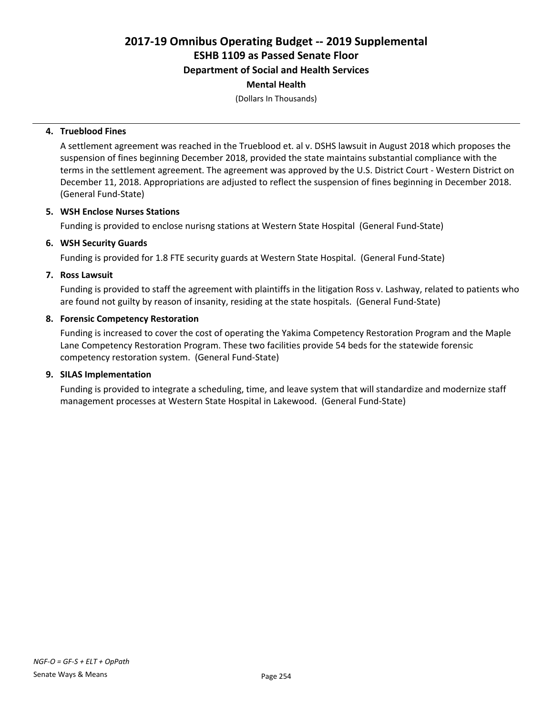Department of Social and Health Services

# Mental Health

(Dollars In Thousands)

#### 4. Trueblood Fines

A settlement agreement was reached in the Trueblood et. al v. DSHS lawsuit in August 2018 which proposes the suspension of fines beginning December 2018, provided the state maintains substantial compliance with the terms in the settlement agreement. The agreement was approved by the U.S. District Court - Western District on December 11, 2018. Appropriations are adjusted to reflect the suspension of fines beginning in December 2018. (General Fund-State)

#### 5. WSH Enclose Nurses Stations

Funding is provided to enclose nurisng stations at Western State Hospital (General Fund-State)

#### 6. WSH Security Guards

Funding is provided for 1.8 FTE security guards at Western State Hospital. (General Fund-State)

#### 7. Ross Lawsuit

Funding is provided to staff the agreement with plaintiffs in the litigation Ross v. Lashway, related to patients who are found not guilty by reason of insanity, residing at the state hospitals. (General Fund-State)

#### 8. Forensic Competency Restoration

Funding is increased to cover the cost of operating the Yakima Competency Restoration Program and the Maple Lane Competency Restoration Program. These two facilities provide 54 beds for the statewide forensic competency restoration system. (General Fund-State)

#### 9. SILAS Implementation

Funding is provided to integrate a scheduling, time, and leave system that will standardize and modernize staff management processes at Western State Hospital in Lakewood. (General Fund-State)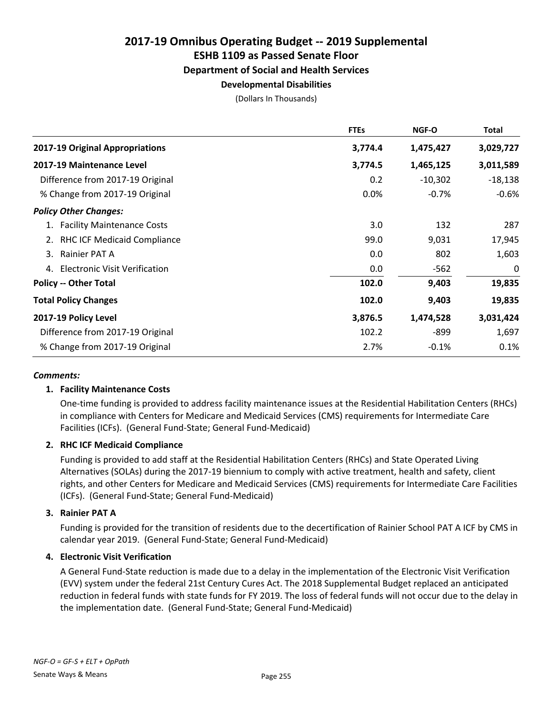ESHB 1109 as Passed Senate Floor

#### Department of Social and Health Services

#### Developmental Disabilities

(Dollars In Thousands)

|                                  | <b>FTEs</b> | <b>NGF-O</b> | Total     |
|----------------------------------|-------------|--------------|-----------|
| 2017-19 Original Appropriations  | 3,774.4     | 1,475,427    | 3,029,727 |
| 2017-19 Maintenance Level        | 3,774.5     | 1,465,125    | 3,011,589 |
| Difference from 2017-19 Original | 0.2         | $-10,302$    | $-18,138$ |
| % Change from 2017-19 Original   | 0.0%        | $-0.7%$      | $-0.6%$   |
| <b>Policy Other Changes:</b>     |             |              |           |
| 1. Facility Maintenance Costs    | 3.0         | 132          | 287       |
| 2. RHC ICF Medicaid Compliance   | 99.0        | 9,031        | 17,945    |
| Rainier PAT A<br>3.              | 0.0         | 802          | 1,603     |
| 4. Electronic Visit Verification | 0.0         | $-562$       | 0         |
| <b>Policy -- Other Total</b>     | 102.0       | 9,403        | 19,835    |
| <b>Total Policy Changes</b>      | 102.0       | 9,403        | 19,835    |
| 2017-19 Policy Level             | 3,876.5     | 1,474,528    | 3,031,424 |
| Difference from 2017-19 Original | 102.2       | -899         | 1,697     |
| % Change from 2017-19 Original   | 2.7%        | $-0.1%$      | 0.1%      |

#### *Comments:*

#### 1. Facility Maintenance Costs

One-time funding is provided to address facility maintenance issues at the Residential Habilitation Centers (RHCs) in compliance with Centers for Medicare and Medicaid Services (CMS) requirements for Intermediate Care Facilities (ICFs). (General Fund-State; General Fund-Medicaid)

#### 2. RHC ICF Medicaid Compliance

Funding is provided to add staff at the Residential Habilitation Centers (RHCs) and State Operated Living Alternatives (SOLAs) during the 2017-19 biennium to comply with active treatment, health and safety, client rights, and other Centers for Medicare and Medicaid Services (CMS) requirements for Intermediate Care Facilities (ICFs). (General Fund-State; General Fund-Medicaid)

#### 3. Rainier PAT A

Funding is provided for the transition of residents due to the decertification of Rainier School PAT A ICF by CMS in calendar year 2019. (General Fund-State; General Fund-Medicaid)

#### 4. Electronic Visit Verification

A General Fund-State reduction is made due to a delay in the implementation of the Electronic Visit Verification (EVV) system under the federal 21st Century Cures Act. The 2018 Supplemental Budget replaced an anticipated reduction in federal funds with state funds for FY 2019. The loss of federal funds will not occur due to the delay in the implementation date. (General Fund-State; General Fund-Medicaid)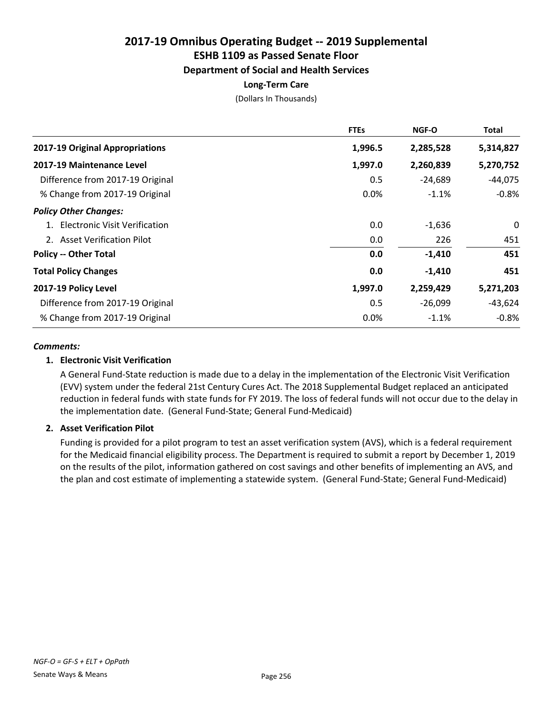# Department of Social and Health Services

# Long-Term Care

(Dollars In Thousands)

|                                  | <b>FTEs</b> | <b>NGF-O</b> | Total     |
|----------------------------------|-------------|--------------|-----------|
| 2017-19 Original Appropriations  | 1,996.5     | 2,285,528    | 5,314,827 |
| 2017-19 Maintenance Level        | 1,997.0     | 2,260,839    | 5,270,752 |
| Difference from 2017-19 Original | 0.5         | $-24,689$    | $-44,075$ |
| % Change from 2017-19 Original   | 0.0%        | $-1.1%$      | $-0.8%$   |
| <b>Policy Other Changes:</b>     |             |              |           |
| 1. Electronic Visit Verification | 0.0         | -1,636       | 0         |
| 2. Asset Verification Pilot      | 0.0         | 226          | 451       |
| <b>Policy -- Other Total</b>     | 0.0         | $-1,410$     | 451       |
| <b>Total Policy Changes</b>      | 0.0         | $-1,410$     | 451       |
| 2017-19 Policy Level             | 1,997.0     | 2,259,429    | 5,271,203 |
| Difference from 2017-19 Original | 0.5         | $-26,099$    | $-43,624$ |
| % Change from 2017-19 Original   | 0.0%        | $-1.1%$      | $-0.8%$   |

#### *Comments:*

#### 1. Electronic Visit Verification

A General Fund-State reduction is made due to a delay in the implementation of the Electronic Visit Verification (EVV) system under the federal 21st Century Cures Act. The 2018 Supplemental Budget replaced an anticipated reduction in federal funds with state funds for FY 2019. The loss of federal funds will not occur due to the delay in the implementation date. (General Fund-State; General Fund-Medicaid)

#### 2. Asset Verification Pilot

Funding is provided for a pilot program to test an asset verification system (AVS), which is a federal requirement for the Medicaid financial eligibility process. The Department is required to submit a report by December 1, 2019 on the results of the pilot, information gathered on cost savings and other benefits of implementing an AVS, and the plan and cost estimate of implementing a statewide system. (General Fund-State; General Fund-Medicaid)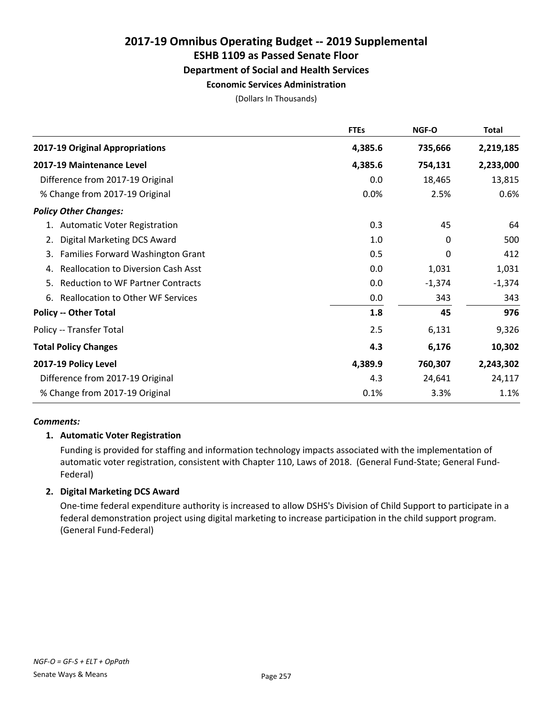ESHB 1109 as Passed Senate Floor

#### Department of Social and Health Services

#### Economic Services Administration

(Dollars In Thousands)

|                                                  | <b>FTEs</b> | <b>NGF-O</b> | Total     |
|--------------------------------------------------|-------------|--------------|-----------|
| 2017-19 Original Appropriations                  | 4,385.6     | 735,666      | 2,219,185 |
| 2017-19 Maintenance Level                        | 4,385.6     | 754,131      | 2,233,000 |
| Difference from 2017-19 Original                 | 0.0         | 18,465       | 13,815    |
| % Change from 2017-19 Original                   | 0.0%        | 2.5%         | 0.6%      |
| <b>Policy Other Changes:</b>                     |             |              |           |
| 1. Automatic Voter Registration                  | 0.3         | 45           | 64        |
| <b>Digital Marketing DCS Award</b><br>2.         | 1.0         | 0            | 500       |
| Families Forward Washington Grant<br>3.          | 0.5         | 0            | 412       |
| <b>Reallocation to Diversion Cash Asst</b><br>4. | 0.0         | 1,031        | 1,031     |
| <b>Reduction to WF Partner Contracts</b><br>5.   | 0.0         | $-1,374$     | $-1,374$  |
| <b>Reallocation to Other WF Services</b><br>6.   | 0.0         | 343          | 343       |
| <b>Policy -- Other Total</b>                     | 1.8         | 45           | 976       |
| Policy -- Transfer Total                         | 2.5         | 6,131        | 9,326     |
| <b>Total Policy Changes</b>                      | 4.3         | 6,176        | 10,302    |
| 2017-19 Policy Level                             | 4,389.9     | 760,307      | 2,243,302 |
| Difference from 2017-19 Original                 | 4.3         | 24,641       | 24,117    |
| % Change from 2017-19 Original                   | 0.1%        | 3.3%         | 1.1%      |

#### *Comments:*

#### 1. Automatic Voter Registration

Funding is provided for staffing and information technology impacts associated with the implementation of automatic voter registration, consistent with Chapter 110, Laws of 2018. (General Fund-State; General Fund-Federal)

#### 2. Digital Marketing DCS Award

One-time federal expenditure authority is increased to allow DSHS's Division of Child Support to participate in a federal demonstration project using digital marketing to increase participation in the child support program. (General Fund-Federal)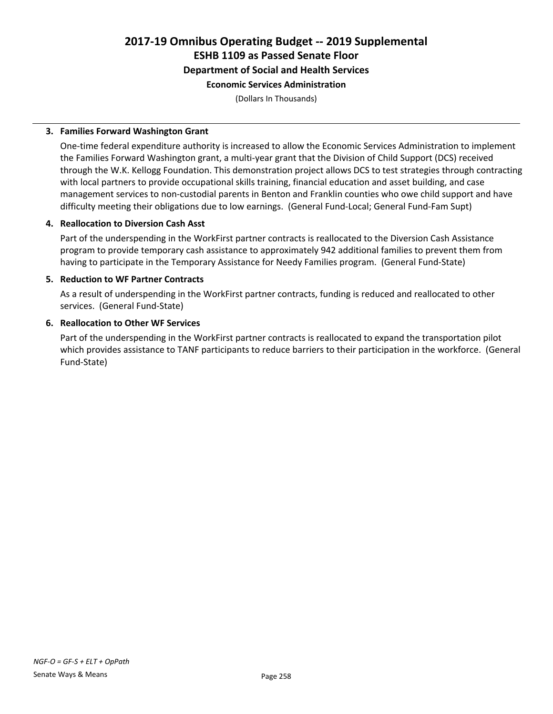# 2017-19 Omnibus Operating Budget -- 2019 Supplemental ESHB 1109 as Passed Senate Floor Department of Social and Health Services

# Economic Services Administration

(Dollars In Thousands)

#### 3. Families Forward Washington Grant

One-time federal expenditure authority is increased to allow the Economic Services Administration to implement the Families Forward Washington grant, a multi-year grant that the Division of Child Support (DCS) received through the W.K. Kellogg Foundation. This demonstration project allows DCS to test strategies through contracting with local partners to provide occupational skills training, financial education and asset building, and case management services to non-custodial parents in Benton and Franklin counties who owe child support and have difficulty meeting their obligations due to low earnings. (General Fund-Local; General Fund-Fam Supt)

#### 4. Reallocation to Diversion Cash Asst

Part of the underspending in the WorkFirst partner contracts is reallocated to the Diversion Cash Assistance program to provide temporary cash assistance to approximately 942 additional families to prevent them from having to participate in the Temporary Assistance for Needy Families program. (General Fund-State)

#### 5. Reduction to WF Partner Contracts

As a result of underspending in the WorkFirst partner contracts, funding is reduced and reallocated to other services. (General Fund-State)

#### 6. Reallocation to Other WF Services

Part of the underspending in the WorkFirst partner contracts is reallocated to expand the transportation pilot which provides assistance to TANF participants to reduce barriers to their participation in the workforce. (General Fund-State)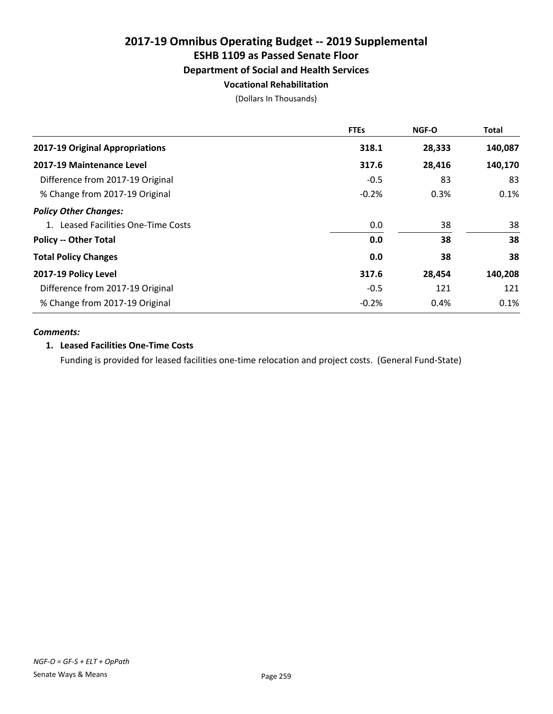# Department of Social and Health Services

# Vocational Rehabilitation

(Dollars In Thousands)

|                                     | <b>FTEs</b> | <b>NGF-O</b> | Total   |
|-------------------------------------|-------------|--------------|---------|
| 2017-19 Original Appropriations     | 318.1       | 28,333       | 140,087 |
| 2017-19 Maintenance Level           | 317.6       | 28,416       | 140,170 |
| Difference from 2017-19 Original    | $-0.5$      | 83           | 83      |
| % Change from 2017-19 Original      | $-0.2%$     | 0.3%         | 0.1%    |
| <b>Policy Other Changes:</b>        |             |              |         |
| 1. Leased Facilities One-Time Costs | 0.0         | 38           | 38      |
| <b>Policy -- Other Total</b>        | 0.0         | 38           | 38      |
| <b>Total Policy Changes</b>         | 0.0         | 38           | 38      |
| 2017-19 Policy Level                | 317.6       | 28,454       | 140,208 |
| Difference from 2017-19 Original    | $-0.5$      | 121          | 121     |
| % Change from 2017-19 Original      | $-0.2%$     | 0.4%         | 0.1%    |

#### *Comments:*

#### 1. Leased Facilities One-Time Costs

Funding is provided for leased facilities one-time relocation and project costs. (General Fund-State)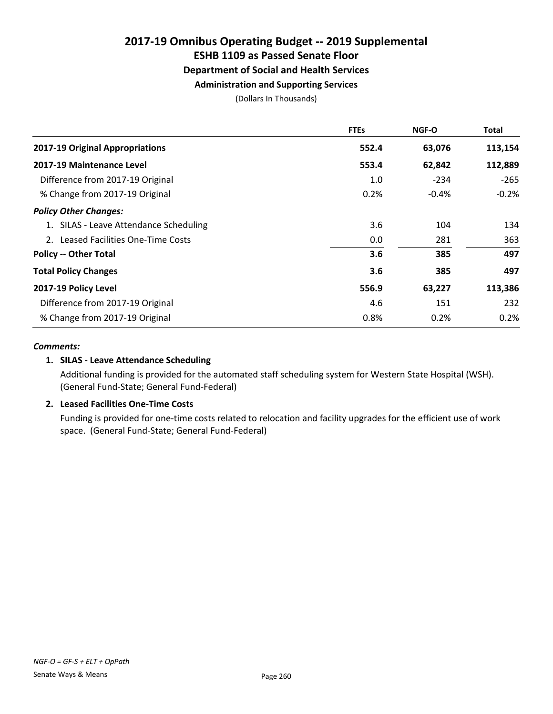### ESHB 1109 as Passed Senate Floor

### Department of Social and Health Services

### Administration and Supporting Services

(Dollars In Thousands)

|                                        | <b>FTEs</b> | <b>NGF-O</b> | Total   |
|----------------------------------------|-------------|--------------|---------|
| 2017-19 Original Appropriations        | 552.4       | 63,076       | 113,154 |
| 2017-19 Maintenance Level              | 553.4       | 62,842       | 112,889 |
| Difference from 2017-19 Original       | 1.0         | $-234$       | $-265$  |
| % Change from 2017-19 Original         | 0.2%        | $-0.4%$      | $-0.2%$ |
| <b>Policy Other Changes:</b>           |             |              |         |
| 1. SILAS - Leave Attendance Scheduling | 3.6         | 104          | 134     |
| 2. Leased Facilities One-Time Costs    | 0.0         | 281          | 363     |
| <b>Policy -- Other Total</b>           | 3.6         | 385          | 497     |
| <b>Total Policy Changes</b>            | 3.6         | 385          | 497     |
| 2017-19 Policy Level                   | 556.9       | 63,227       | 113,386 |
| Difference from 2017-19 Original       | 4.6         | 151          | 232     |
| % Change from 2017-19 Original         | 0.8%        | 0.2%         | 0.2%    |

#### *Comments:*

#### 1. SILAS - Leave Attendance Scheduling

Additional funding is provided for the automated staff scheduling system for Western State Hospital (WSH). (General Fund-State; General Fund-Federal)

#### 2. Leased Facilities One-Time Costs

Funding is provided for one-time costs related to relocation and facility upgrades for the efficient use of work space. (General Fund-State; General Fund-Federal)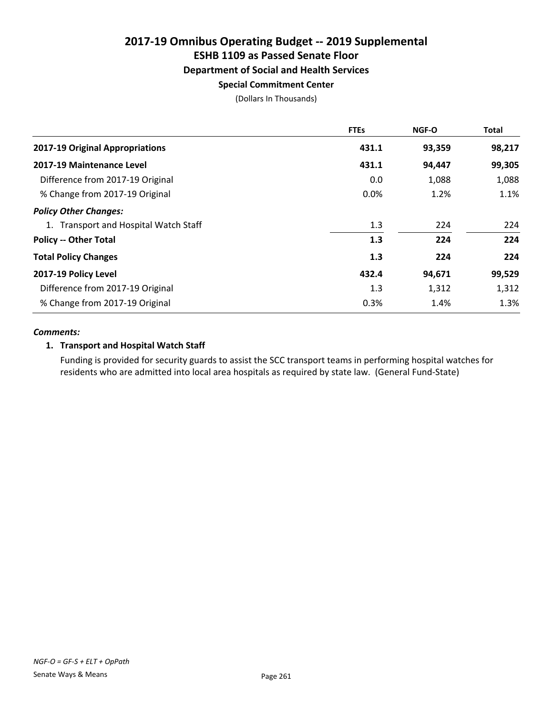# ESHB 1109 as Passed Senate Floor

### Department of Social and Health Services

#### Special Commitment Center

(Dollars In Thousands)

|                                       | <b>FTEs</b> | <b>NGF-O</b> | Total  |
|---------------------------------------|-------------|--------------|--------|
| 2017-19 Original Appropriations       | 431.1       | 93,359       | 98,217 |
| 2017-19 Maintenance Level             | 431.1       | 94,447       | 99,305 |
| Difference from 2017-19 Original      | 0.0         | 1,088        | 1,088  |
| % Change from 2017-19 Original        | 0.0%        | 1.2%         | 1.1%   |
| <b>Policy Other Changes:</b>          |             |              |        |
| 1. Transport and Hospital Watch Staff | 1.3         | 224          | 224    |
| <b>Policy -- Other Total</b>          | 1.3         | 224          | 224    |
| <b>Total Policy Changes</b>           | 1.3         | 224          | 224    |
| 2017-19 Policy Level                  | 432.4       | 94,671       | 99,529 |
| Difference from 2017-19 Original      | 1.3         | 1,312        | 1,312  |
| % Change from 2017-19 Original        | 0.3%        | 1.4%         | 1.3%   |

#### *Comments:*

#### 1. Transport and Hospital Watch Staff

Funding is provided for security guards to assist the SCC transport teams in performing hospital watches for residents who are admitted into local area hospitals as required by state law. (General Fund-State)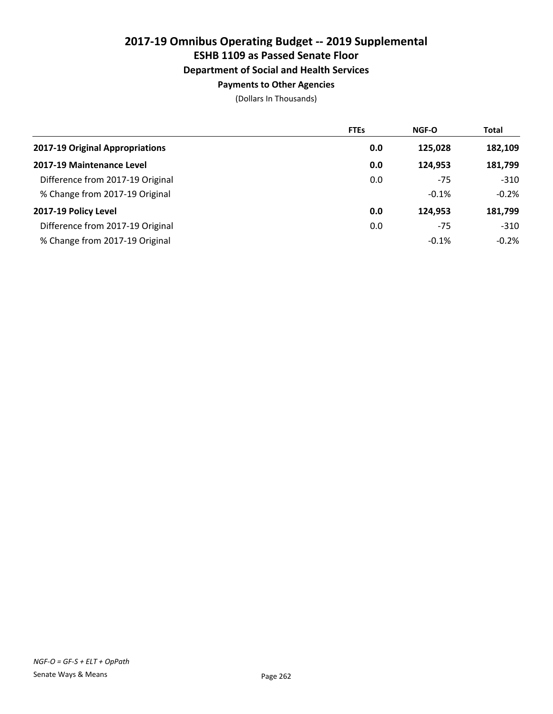ESHB 1109 as Passed Senate Floor

#### Department of Social and Health Services

#### Payments to Other Agencies

|                                  | <b>FTEs</b> | <b>NGF-O</b> | Total    |
|----------------------------------|-------------|--------------|----------|
| 2017-19 Original Appropriations  | 0.0         | 125,028      | 182,109  |
| 2017-19 Maintenance Level        | 0.0         | 124.953      | 181,799  |
| Difference from 2017-19 Original | 0.0         | $-75$        | $-310$   |
| % Change from 2017-19 Original   |             | $-0.1%$      | $-0.2%$  |
| 2017-19 Policy Level             | 0.0         | 124.953      | 181,799  |
| Difference from 2017-19 Original | 0.0         | $-75$        | $-310$   |
| % Change from 2017-19 Original   |             | $-0.1%$      | $-0.2\%$ |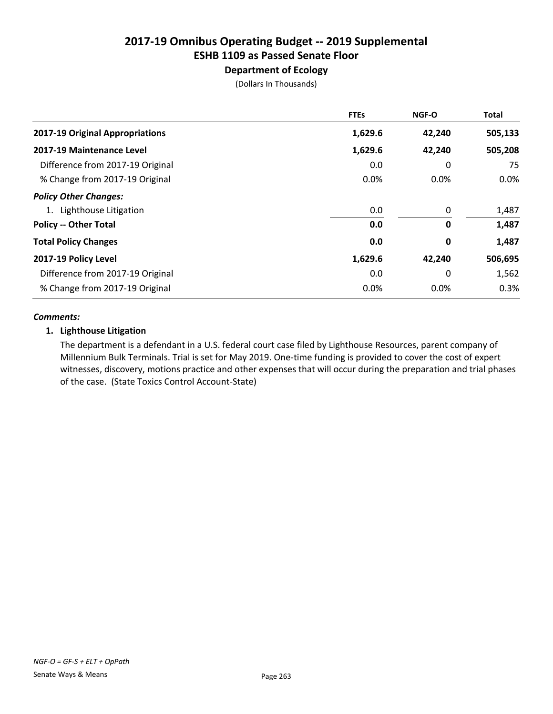# Department of Ecology

(Dollars In Thousands)

|                                  | <b>FTEs</b> | <b>NGF-O</b> | Total   |
|----------------------------------|-------------|--------------|---------|
| 2017-19 Original Appropriations  | 1,629.6     | 42,240       | 505,133 |
| 2017-19 Maintenance Level        | 1,629.6     | 42,240       | 505,208 |
| Difference from 2017-19 Original | 0.0         | 0            | 75      |
| % Change from 2017-19 Original   | 0.0%        | 0.0%         | $0.0\%$ |
| <b>Policy Other Changes:</b>     |             |              |         |
| 1. Lighthouse Litigation         | 0.0         | 0            | 1,487   |
| <b>Policy -- Other Total</b>     | 0.0         | 0            | 1,487   |
| <b>Total Policy Changes</b>      | 0.0         | 0            | 1,487   |
| 2017-19 Policy Level             | 1,629.6     | 42,240       | 506,695 |
| Difference from 2017-19 Original | 0.0         | 0            | 1,562   |
| % Change from 2017-19 Original   | 0.0%        | $0.0\%$      | 0.3%    |

#### *Comments:*

#### 1. Lighthouse Litigation

The department is a defendant in a U.S. federal court case filed by Lighthouse Resources, parent company of Millennium Bulk Terminals. Trial is set for May 2019. One-time funding is provided to cover the cost of expert witnesses, discovery, motions practice and other expenses that will occur during the preparation and trial phases of the case. (State Toxics Control Account-State)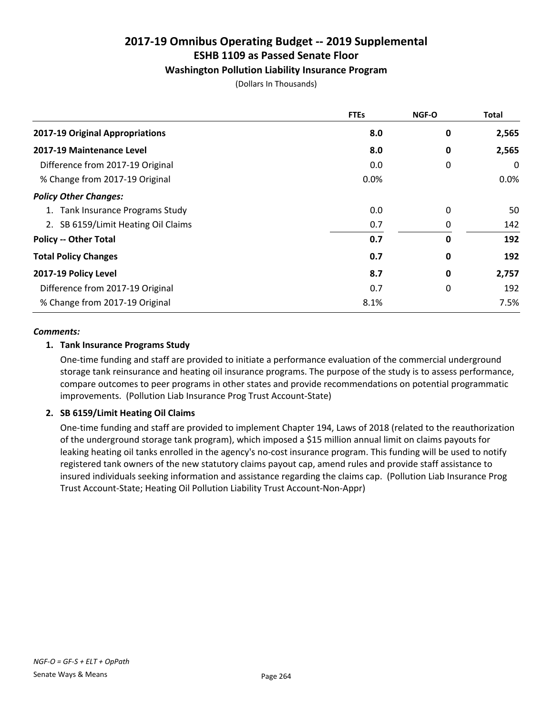#### Washington Pollution Liability Insurance Program

(Dollars In Thousands)

|                                     | <b>FTEs</b> | <b>NGF-O</b> | <b>Total</b> |
|-------------------------------------|-------------|--------------|--------------|
| 2017-19 Original Appropriations     | 8.0         | 0            | 2,565        |
| 2017-19 Maintenance Level           | 8.0         | 0            | 2,565        |
| Difference from 2017-19 Original    | 0.0         | 0            | 0            |
| % Change from 2017-19 Original      | 0.0%        |              | $0.0\%$      |
| <b>Policy Other Changes:</b>        |             |              |              |
| 1. Tank Insurance Programs Study    | 0.0         | 0            | 50           |
| 2. SB 6159/Limit Heating Oil Claims | 0.7         | 0            | 142          |
| <b>Policy -- Other Total</b>        | 0.7         | 0            | 192          |
| <b>Total Policy Changes</b>         | 0.7         | 0            | 192          |
| 2017-19 Policy Level                | 8.7         | 0            | 2,757        |
| Difference from 2017-19 Original    | 0.7         | 0            | 192          |
| % Change from 2017-19 Original      | 8.1%        |              | 7.5%         |

#### *Comments:*

#### 1. Tank Insurance Programs Study

One-time funding and staff are provided to initiate a performance evaluation of the commercial underground storage tank reinsurance and heating oil insurance programs. The purpose of the study is to assess performance, compare outcomes to peer programs in other states and provide recommendations on potential programmatic improvements. (Pollution Liab Insurance Prog Trust Account-State)

#### 2. SB 6159/Limit Heating Oil Claims

One-time funding and staff are provided to implement Chapter 194, Laws of 2018 (related to the reauthorization of the underground storage tank program), which imposed a \$15 million annual limit on claims payouts for leaking heating oil tanks enrolled in the agency's no-cost insurance program. This funding will be used to notify registered tank owners of the new statutory claims payout cap, amend rules and provide staff assistance to insured individuals seeking information and assistance regarding the claims cap. (Pollution Liab Insurance Prog Trust Account-State; Heating Oil Pollution Liability Trust Account-Non-Appr)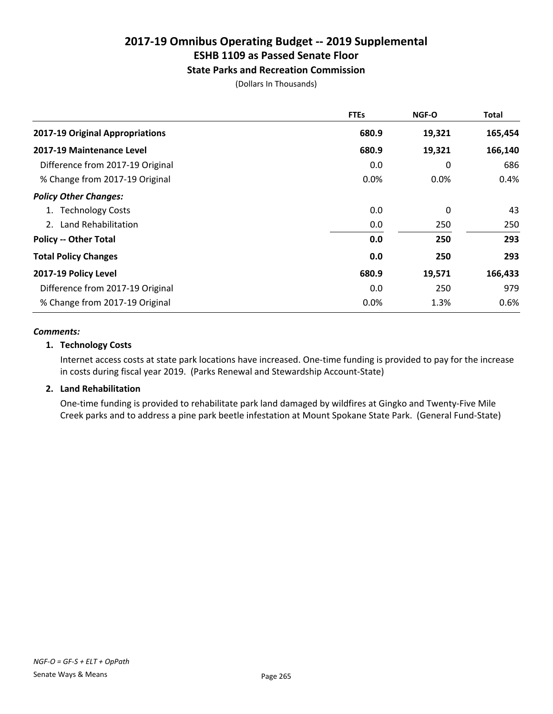### State Parks and Recreation Commission

(Dollars In Thousands)

|                                  | <b>FTEs</b> | <b>NGF-O</b> | Total   |
|----------------------------------|-------------|--------------|---------|
| 2017-19 Original Appropriations  | 680.9       | 19,321       | 165,454 |
| 2017-19 Maintenance Level        | 680.9       | 19,321       | 166,140 |
| Difference from 2017-19 Original | 0.0         | 0            | 686     |
| % Change from 2017-19 Original   | 0.0%        | 0.0%         | 0.4%    |
| <b>Policy Other Changes:</b>     |             |              |         |
| <b>Technology Costs</b>          | 0.0         | 0            | 43      |
| 2. Land Rehabilitation           | 0.0         | 250          | 250     |
| <b>Policy -- Other Total</b>     | 0.0         | 250          | 293     |
| <b>Total Policy Changes</b>      | 0.0         | 250          | 293     |
| 2017-19 Policy Level             | 680.9       | 19,571       | 166,433 |
| Difference from 2017-19 Original | 0.0         | 250          | 979     |
| % Change from 2017-19 Original   | 0.0%        | 1.3%         | 0.6%    |

#### *Comments:*

#### 1. Technology Costs

Internet access costs at state park locations have increased. One-time funding is provided to pay for the increase in costs during fiscal year 2019. (Parks Renewal and Stewardship Account-State)

#### 2. Land Rehabilitation

One-time funding is provided to rehabilitate park land damaged by wildfires at Gingko and Twenty-Five Mile Creek parks and to address a pine park beetle infestation at Mount Spokane State Park. (General Fund-State)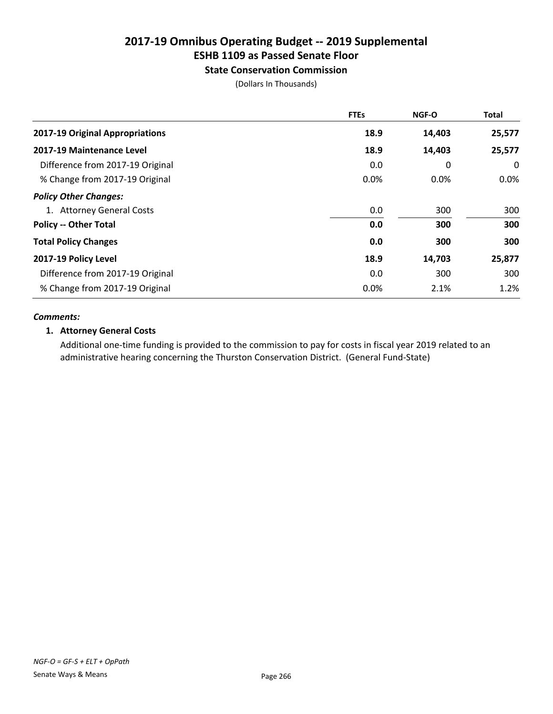# ESHB 1109 as Passed Senate Floor

#### State Conservation Commission

(Dollars In Thousands)

|                                  | <b>FTEs</b> | NGF-O  | <b>Total</b> |
|----------------------------------|-------------|--------|--------------|
| 2017-19 Original Appropriations  | 18.9        | 14,403 | 25,577       |
| 2017-19 Maintenance Level        | 18.9        | 14,403 | 25,577       |
| Difference from 2017-19 Original | 0.0         | 0      | 0            |
| % Change from 2017-19 Original   | 0.0%        | 0.0%   | $0.0\%$      |
| <b>Policy Other Changes:</b>     |             |        |              |
| 1. Attorney General Costs        | 0.0         | 300    | 300          |
| <b>Policy -- Other Total</b>     | 0.0         | 300    | 300          |
| <b>Total Policy Changes</b>      | 0.0         | 300    | 300          |
| 2017-19 Policy Level             | 18.9        | 14,703 | 25,877       |
| Difference from 2017-19 Original | 0.0         | 300    | 300          |
| % Change from 2017-19 Original   | 0.0%        | 2.1%   | 1.2%         |

#### *Comments:*

#### 1. Attorney General Costs

Additional one-time funding is provided to the commission to pay for costs in fiscal year 2019 related to an administrative hearing concerning the Thurston Conservation District. (General Fund-State)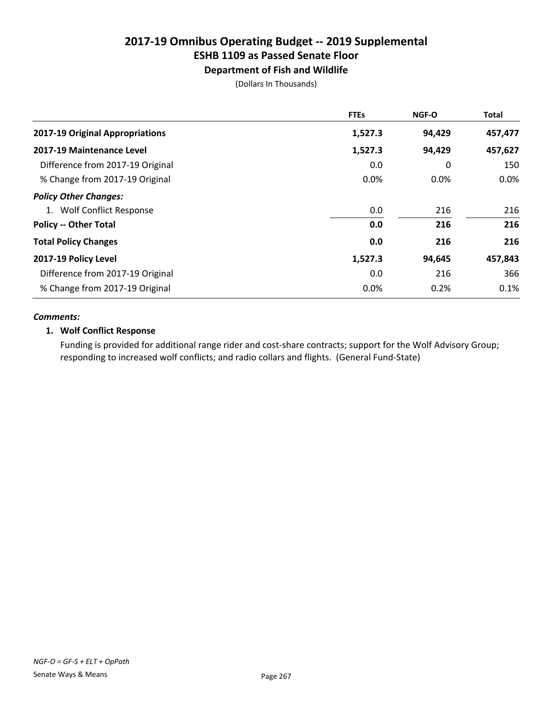# Department of Fish and Wildlife

(Dollars In Thousands)

|                                  | <b>FTEs</b> | <b>NGF-O</b> | <b>Total</b> |
|----------------------------------|-------------|--------------|--------------|
| 2017-19 Original Appropriations  | 1,527.3     | 94,429       | 457,477      |
| 2017-19 Maintenance Level        | 1,527.3     | 94,429       | 457,627      |
| Difference from 2017-19 Original | 0.0         | 0            | 150          |
| % Change from 2017-19 Original   | 0.0%        | 0.0%         | 0.0%         |
| <b>Policy Other Changes:</b>     |             |              |              |
| 1. Wolf Conflict Response        | 0.0         | 216          | 216          |
| <b>Policy -- Other Total</b>     | 0.0         | 216          | 216          |
| <b>Total Policy Changes</b>      | 0.0         | 216          | 216          |
| 2017-19 Policy Level             | 1,527.3     | 94,645       | 457,843      |
| Difference from 2017-19 Original | 0.0         | 216          | 366          |
| % Change from 2017-19 Original   | 0.0%        | 0.2%         | 0.1%         |

#### *Comments:*

#### 1. Wolf Conflict Response

Funding is provided for additional range rider and cost-share contracts; support for the Wolf Advisory Group; responding to increased wolf conflicts; and radio collars and flights. (General Fund-State)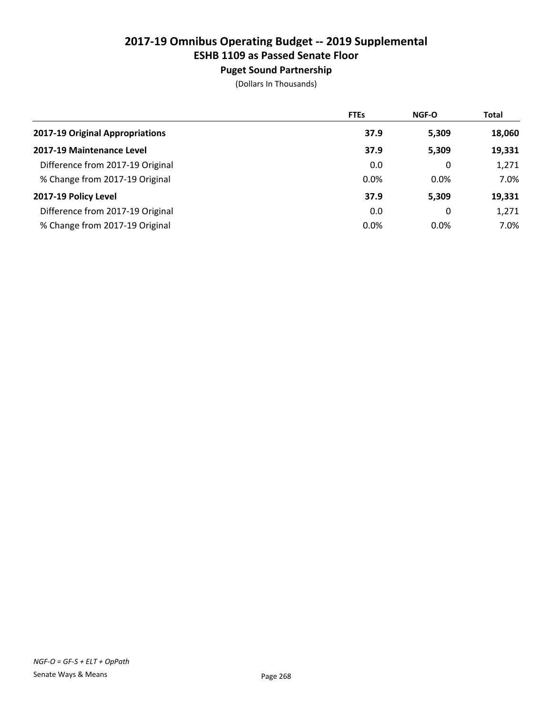# Puget Sound Partnership

|                                  | <b>FTEs</b> | <b>NGF-O</b> | <b>Total</b> |
|----------------------------------|-------------|--------------|--------------|
| 2017-19 Original Appropriations  | 37.9        | 5,309        | 18,060       |
| 2017-19 Maintenance Level        | 37.9        | 5,309        | 19,331       |
| Difference from 2017-19 Original | 0.0         | 0            | 1,271        |
| % Change from 2017-19 Original   | 0.0%        | 0.0%         | 7.0%         |
| 2017-19 Policy Level             | 37.9        | 5,309        | 19,331       |
| Difference from 2017-19 Original | 0.0         | 0            | 1,271        |
| % Change from 2017-19 Original   | 0.0%        | 0.0%         | 7.0%         |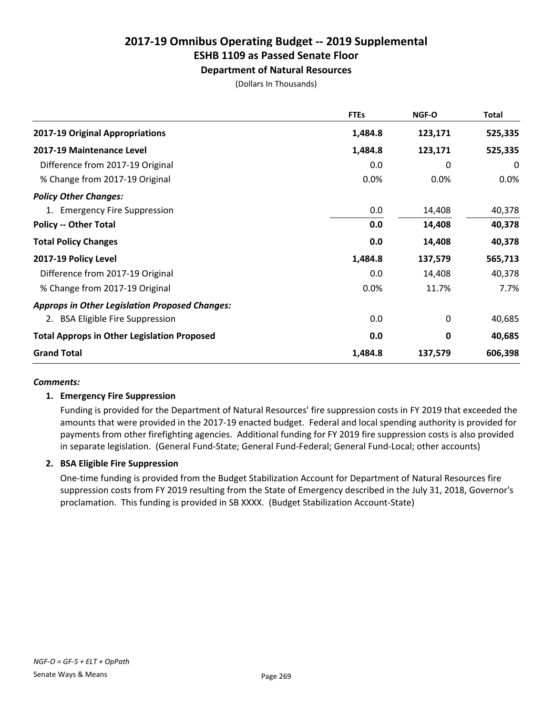# Department of Natural Resources

(Dollars In Thousands)

|                                                       | <b>FTEs</b> | <b>NGF-O</b> | <b>Total</b> |
|-------------------------------------------------------|-------------|--------------|--------------|
| 2017-19 Original Appropriations                       | 1,484.8     | 123,171      | 525,335      |
| 2017-19 Maintenance Level                             | 1,484.8     | 123,171      | 525,335      |
| Difference from 2017-19 Original                      | 0.0         | 0            | 0            |
| % Change from 2017-19 Original                        | 0.0%        | 0.0%         | 0.0%         |
| <b>Policy Other Changes:</b>                          |             |              |              |
| 1. Emergency Fire Suppression                         | 0.0         | 14,408       | 40,378       |
| <b>Policy -- Other Total</b>                          | 0.0         | 14,408       | 40,378       |
| <b>Total Policy Changes</b>                           | 0.0         | 14,408       | 40,378       |
| 2017-19 Policy Level                                  | 1,484.8     | 137,579      | 565,713      |
| Difference from 2017-19 Original                      | 0.0         | 14,408       | 40,378       |
| % Change from 2017-19 Original                        | 0.0%        | 11.7%        | 7.7%         |
| <b>Approps in Other Legislation Proposed Changes:</b> |             |              |              |
| 2. BSA Eligible Fire Suppression                      | 0.0         | 0            | 40,685       |
| <b>Total Approps in Other Legislation Proposed</b>    | 0.0         | 0            | 40,685       |
| <b>Grand Total</b>                                    | 1,484.8     | 137,579      | 606,398      |

#### *Comments:*

#### 1. Emergency Fire Suppression

Funding is provided for the Department of Natural Resources' fire suppression costs in FY 2019 that exceeded the amounts that were provided in the 2017-19 enacted budget. Federal and local spending authority is provided for payments from other firefighting agencies. Additional funding for FY 2019 fire suppression costs is also provided in separate legislation. (General Fund-State; General Fund-Federal; General Fund-Local; other accounts)

#### 2. BSA Eligible Fire Suppression

One-time funding is provided from the Budget Stabilization Account for Department of Natural Resources fire suppression costs from FY 2019 resulting from the State of Emergency described in the July 31, 2018, Governor's proclamation. This funding is provided in SB XXXX. (Budget Stabilization Account-State)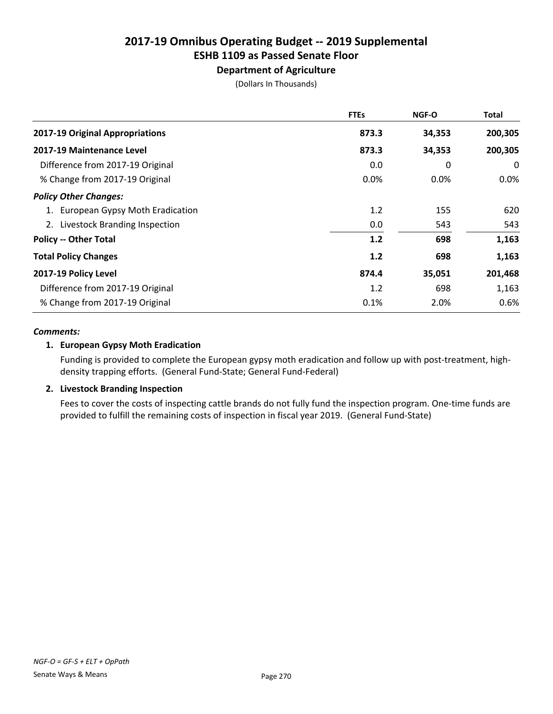# Department of Agriculture

(Dollars In Thousands)

|                                    | <b>FTEs</b> | <b>NGF-O</b> | Total   |
|------------------------------------|-------------|--------------|---------|
| 2017-19 Original Appropriations    | 873.3       | 34,353       | 200,305 |
| 2017-19 Maintenance Level          | 873.3       | 34,353       | 200,305 |
| Difference from 2017-19 Original   | 0.0         | 0            | 0       |
| % Change from 2017-19 Original     | 0.0%        | $0.0\%$      | $0.0\%$ |
| <b>Policy Other Changes:</b>       |             |              |         |
| 1. European Gypsy Moth Eradication | 1.2         | 155          | 620     |
| 2. Livestock Branding Inspection   | 0.0         | 543          | 543     |
| <b>Policy -- Other Total</b>       | 1.2         | 698          | 1,163   |
| <b>Total Policy Changes</b>        | 1.2         | 698          | 1,163   |
| 2017-19 Policy Level               | 874.4       | 35,051       | 201,468 |
| Difference from 2017-19 Original   | 1.2         | 698          | 1,163   |
| % Change from 2017-19 Original     | 0.1%        | 2.0%         | 0.6%    |

#### *Comments:*

#### 1. European Gypsy Moth Eradication

Funding is provided to complete the European gypsy moth eradication and follow up with post-treatment, highdensity trapping efforts. (General Fund-State; General Fund-Federal)

#### 2. Livestock Branding Inspection

Fees to cover the costs of inspecting cattle brands do not fully fund the inspection program. One-time funds are provided to fulfill the remaining costs of inspection in fiscal year 2019. (General Fund-State)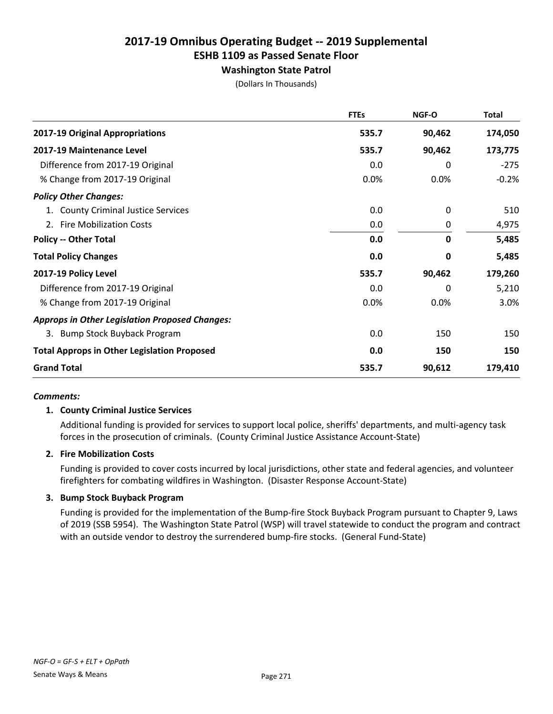# Washington State Patrol

(Dollars In Thousands)

|                                                       | <b>FTEs</b> | NGF-O        | <b>Total</b> |
|-------------------------------------------------------|-------------|--------------|--------------|
| 2017-19 Original Appropriations                       | 535.7       | 90,462       | 174,050      |
| 2017-19 Maintenance Level                             | 535.7       | 90,462       | 173,775      |
| Difference from 2017-19 Original                      | 0.0         | 0            | $-275$       |
| % Change from 2017-19 Original                        | 0.0%        | 0.0%         | $-0.2%$      |
| <b>Policy Other Changes:</b>                          |             |              |              |
| 1. County Criminal Justice Services                   | 0.0         | 0            | 510          |
| 2. Fire Mobilization Costs                            | 0.0         | 0            | 4,975        |
| <b>Policy -- Other Total</b>                          | 0.0         | $\mathbf{0}$ | 5,485        |
| <b>Total Policy Changes</b>                           | 0.0         | 0            | 5,485        |
| 2017-19 Policy Level                                  | 535.7       | 90,462       | 179,260      |
| Difference from 2017-19 Original                      | 0.0         | 0            | 5,210        |
| % Change from 2017-19 Original                        | 0.0%        | 0.0%         | 3.0%         |
| <b>Approps in Other Legislation Proposed Changes:</b> |             |              |              |
| 3. Bump Stock Buyback Program                         | 0.0         | 150          | 150          |
| <b>Total Approps in Other Legislation Proposed</b>    | 0.0         | 150          | 150          |
| <b>Grand Total</b>                                    | 535.7       | 90,612       | 179,410      |

#### *Comments:*

#### 1. County Criminal Justice Services

Additional funding is provided for services to support local police, sheriffs' departments, and multi-agency task forces in the prosecution of criminals. (County Criminal Justice Assistance Account-State)

#### 2. Fire Mobilization Costs

Funding is provided to cover costs incurred by local jurisdictions, other state and federal agencies, and volunteer firefighters for combating wildfires in Washington. (Disaster Response Account-State)

#### 3. Bump Stock Buyback Program

Funding is provided for the implementation of the Bump-fire Stock Buyback Program pursuant to Chapter 9, Laws of 2019 (SSB 5954). The Washington State Patrol (WSP) will travel statewide to conduct the program and contract with an outside vendor to destroy the surrendered bump-fire stocks. (General Fund-State)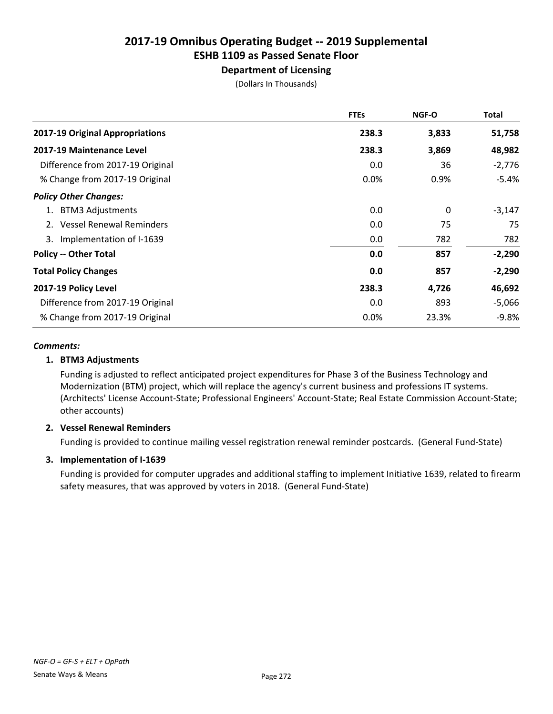# Department of Licensing

(Dollars In Thousands)

|                                  | <b>FTEs</b> | <b>NGF-O</b> | <b>Total</b> |
|----------------------------------|-------------|--------------|--------------|
| 2017-19 Original Appropriations  | 238.3       | 3,833        | 51,758       |
| 2017-19 Maintenance Level        | 238.3       | 3,869        | 48,982       |
| Difference from 2017-19 Original | 0.0         | 36           | $-2,776$     |
| % Change from 2017-19 Original   | 0.0%        | 0.9%         | $-5.4%$      |
| <b>Policy Other Changes:</b>     |             |              |              |
| <b>BTM3 Adjustments</b>          | 0.0         | 0            | $-3,147$     |
| <b>Vessel Renewal Reminders</b>  | 0.0         | 75           | 75           |
| Implementation of I-1639<br>3.   | 0.0         | 782          | 782          |
| <b>Policy -- Other Total</b>     | 0.0         | 857          | $-2,290$     |
| <b>Total Policy Changes</b>      | 0.0         | 857          | $-2,290$     |
| 2017-19 Policy Level             | 238.3       | 4,726        | 46,692       |
| Difference from 2017-19 Original | 0.0         | 893          | $-5,066$     |
| % Change from 2017-19 Original   | 0.0%        | 23.3%        | $-9.8%$      |

#### *Comments:*

#### 1. BTM3 Adjustments

Funding is adjusted to reflect anticipated project expenditures for Phase 3 of the Business Technology and Modernization (BTM) project, which will replace the agency's current business and professions IT systems. (Architects' License Account-State; Professional Engineers' Account-State; Real Estate Commission Account-State; other accounts)

#### 2. Vessel Renewal Reminders

Funding is provided to continue mailing vessel registration renewal reminder postcards. (General Fund-State)

#### 3. Implementation of I-1639

Funding is provided for computer upgrades and additional staffing to implement Initiative 1639, related to firearm safety measures, that was approved by voters in 2018. (General Fund-State)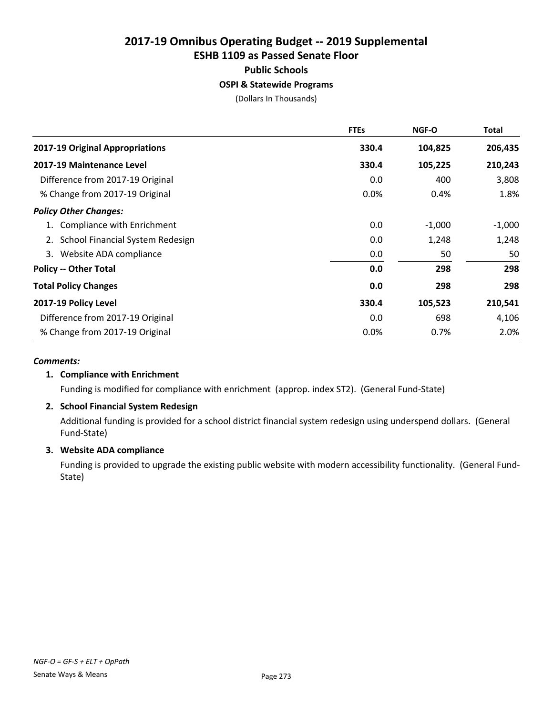Public Schools

#### OSPI & Statewide Programs

(Dollars In Thousands)

|                                     | <b>FTEs</b> | <b>NGF-O</b> | Total    |
|-------------------------------------|-------------|--------------|----------|
| 2017-19 Original Appropriations     | 330.4       | 104,825      | 206,435  |
| 2017-19 Maintenance Level           | 330.4       | 105,225      | 210,243  |
| Difference from 2017-19 Original    | 0.0         | 400          | 3,808    |
| % Change from 2017-19 Original      | 0.0%        | 0.4%         | 1.8%     |
| <b>Policy Other Changes:</b>        |             |              |          |
| 1. Compliance with Enrichment       | 0.0         | $-1,000$     | $-1,000$ |
| 2. School Financial System Redesign | 0.0         | 1,248        | 1,248    |
| Website ADA compliance<br>3.        | 0.0         | 50           | 50       |
| <b>Policy -- Other Total</b>        | 0.0         | 298          | 298      |
| <b>Total Policy Changes</b>         | 0.0         | 298          | 298      |
| 2017-19 Policy Level                | 330.4       | 105,523      | 210,541  |
| Difference from 2017-19 Original    | 0.0         | 698          | 4,106    |
| % Change from 2017-19 Original      | 0.0%        | 0.7%         | 2.0%     |

#### *Comments:*

#### 1. Compliance with Enrichment

Funding is modified for compliance with enrichment (approp. index ST2). (General Fund-State)

#### 2. School Financial System Redesign

Additional funding is provided for a school district financial system redesign using underspend dollars. (General Fund-State)

#### 3. Website ADA compliance

Funding is provided to upgrade the existing public website with modern accessibility functionality. (General Fund-State)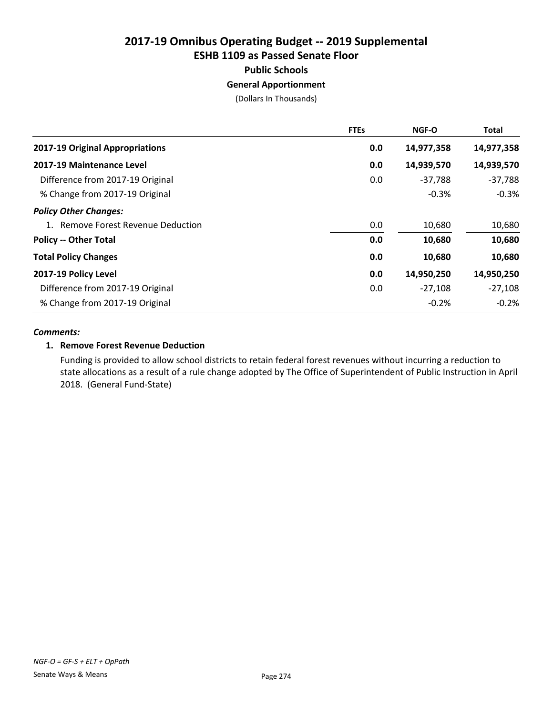Public Schools

#### General Apportionment

(Dollars In Thousands)

|                                    | <b>FTEs</b> | <b>NGF-O</b> | <b>Total</b> |
|------------------------------------|-------------|--------------|--------------|
| 2017-19 Original Appropriations    | 0.0         | 14,977,358   | 14,977,358   |
| 2017-19 Maintenance Level          | 0.0         | 14,939,570   | 14,939,570   |
| Difference from 2017-19 Original   | 0.0         | $-37,788$    | $-37,788$    |
| % Change from 2017-19 Original     |             | $-0.3%$      | $-0.3%$      |
| <b>Policy Other Changes:</b>       |             |              |              |
| 1. Remove Forest Revenue Deduction | 0.0         | 10,680       | 10,680       |
| <b>Policy -- Other Total</b>       | 0.0         | 10,680       | 10,680       |
| <b>Total Policy Changes</b>        | 0.0         | 10,680       | 10,680       |
| 2017-19 Policy Level               | 0.0         | 14,950,250   | 14,950,250   |
| Difference from 2017-19 Original   | 0.0         | $-27,108$    | $-27,108$    |
| % Change from 2017-19 Original     |             | $-0.2%$      | $-0.2%$      |

#### *Comments:*

#### 1. Remove Forest Revenue Deduction

Funding is provided to allow school districts to retain federal forest revenues without incurring a reduction to state allocations as a result of a rule change adopted by The Office of Superintendent of Public Instruction in April 2018. (General Fund-State)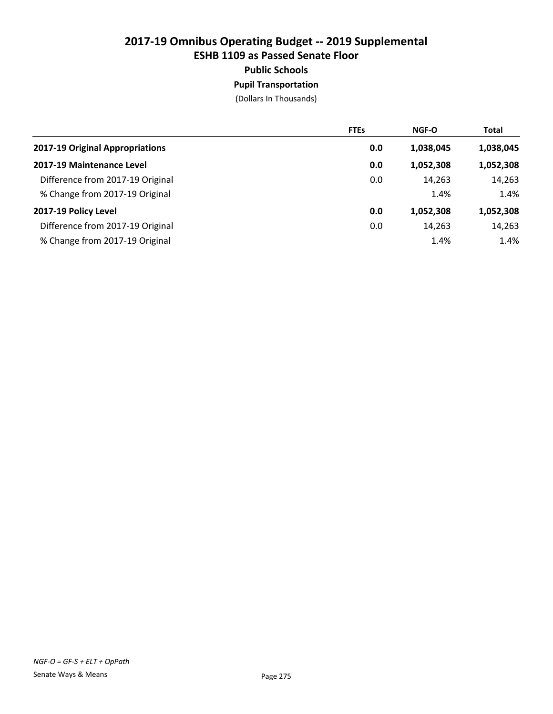### Public Schools

Pupil Transportation

|                                  | <b>FTEs</b> | <b>NGF-O</b> | <b>Total</b> |
|----------------------------------|-------------|--------------|--------------|
| 2017-19 Original Appropriations  | 0.0         | 1,038,045    | 1,038,045    |
| 2017-19 Maintenance Level        | 0.0         | 1,052,308    | 1,052,308    |
| Difference from 2017-19 Original | 0.0         | 14,263       | 14,263       |
| % Change from 2017-19 Original   |             | 1.4%         | 1.4%         |
| 2017-19 Policy Level             | 0.0         | 1,052,308    | 1,052,308    |
| Difference from 2017-19 Original | 0.0         | 14,263       | 14,263       |
| % Change from 2017-19 Original   |             | 1.4%         | 1.4%         |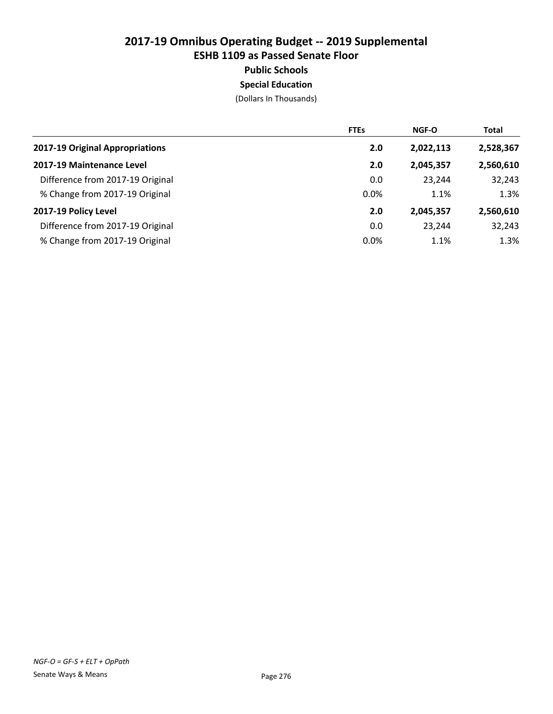#### Public Schools

Special Education

|                                  | <b>FTEs</b> | NGF-O     | <b>Total</b> |
|----------------------------------|-------------|-----------|--------------|
| 2017-19 Original Appropriations  | 2.0         | 2,022,113 | 2,528,367    |
| 2017-19 Maintenance Level        | 2.0         | 2,045,357 | 2,560,610    |
| Difference from 2017-19 Original | 0.0         | 23.244    | 32,243       |
| % Change from 2017-19 Original   | 0.0%        | 1.1%      | 1.3%         |
| 2017-19 Policy Level             | 2.0         | 2,045,357 | 2,560,610    |
| Difference from 2017-19 Original | 0.0         | 23.244    | 32,243       |
| % Change from 2017-19 Original   | 0.0%        | 1.1%      | 1.3%         |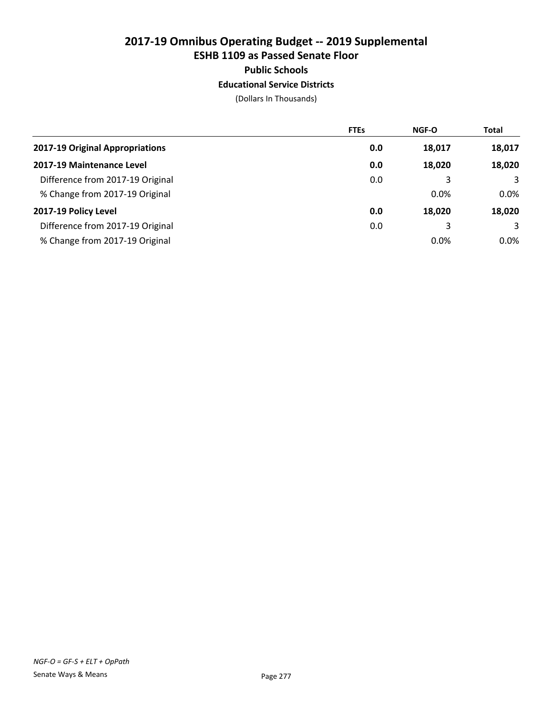#### Public Schools

#### Educational Service Districts

|                                  | <b>FTEs</b> | <b>NGF-O</b> | <b>Total</b> |
|----------------------------------|-------------|--------------|--------------|
| 2017-19 Original Appropriations  | 0.0         | 18,017       | 18,017       |
| 2017-19 Maintenance Level        | 0.0         | 18,020       | 18,020       |
| Difference from 2017-19 Original | 0.0         | 3            | 3            |
| % Change from 2017-19 Original   |             | 0.0%         | $0.0\%$      |
| 2017-19 Policy Level             | 0.0         | 18,020       | 18,020       |
| Difference from 2017-19 Original | 0.0         | 3            | 3            |
| % Change from 2017-19 Original   |             | 0.0%         | $0.0\%$      |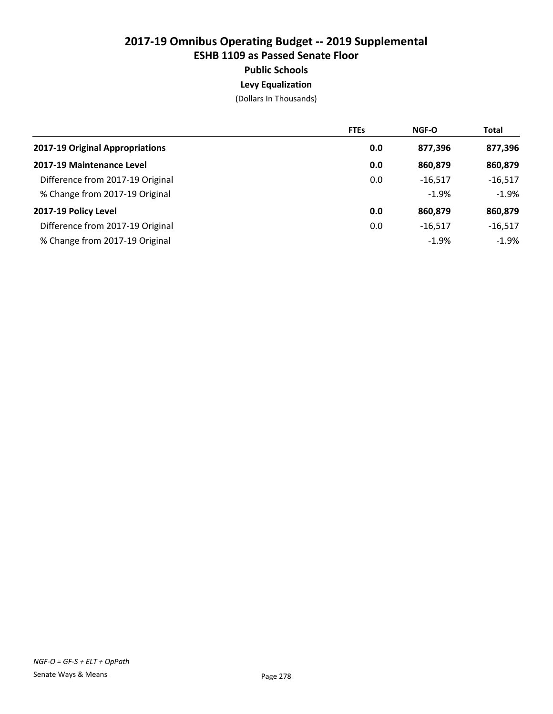#### Public Schools

### Levy Equalization

|                                  | <b>FTEs</b> | <b>NGF-O</b> | <b>Total</b> |
|----------------------------------|-------------|--------------|--------------|
| 2017-19 Original Appropriations  | 0.0         | 877,396      | 877,396      |
| 2017-19 Maintenance Level        | 0.0         | 860,879      | 860,879      |
| Difference from 2017-19 Original | 0.0         | $-16,517$    | $-16,517$    |
| % Change from 2017-19 Original   |             | $-1.9%$      | $-1.9%$      |
| 2017-19 Policy Level             | 0.0         | 860,879      | 860,879      |
| Difference from 2017-19 Original | 0.0         | $-16.517$    | $-16,517$    |
| % Change from 2017-19 Original   |             | $-1.9%$      | -1.9%        |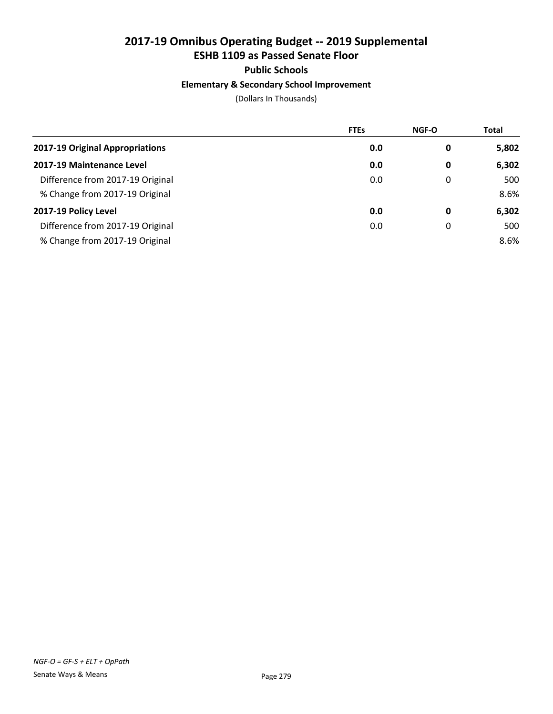# Public Schools

# Elementary & Secondary School Improvement

|                                  | <b>FTEs</b> | NGF-O | Total |
|----------------------------------|-------------|-------|-------|
| 2017-19 Original Appropriations  | 0.0         | 0     | 5,802 |
| 2017-19 Maintenance Level        | 0.0         | 0     | 6,302 |
| Difference from 2017-19 Original | 0.0         | 0     | 500   |
| % Change from 2017-19 Original   |             |       | 8.6%  |
| 2017-19 Policy Level             | 0.0         | 0     | 6,302 |
| Difference from 2017-19 Original | 0.0         | 0     | 500   |
| % Change from 2017-19 Original   |             |       | 8.6%  |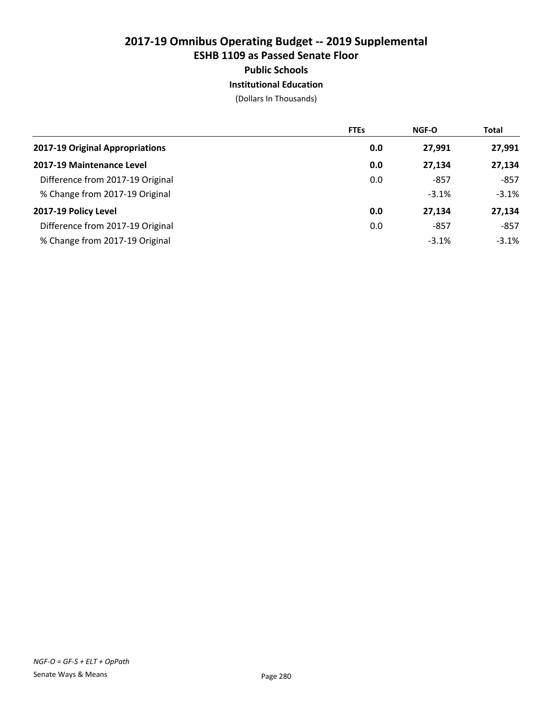#### Public Schools

#### Institutional Education

|                                  | <b>FTEs</b> | <b>NGF-O</b> | <b>Total</b> |
|----------------------------------|-------------|--------------|--------------|
| 2017-19 Original Appropriations  | 0.0         | 27,991       | 27,991       |
| 2017-19 Maintenance Level        | 0.0         | 27,134       | 27,134       |
| Difference from 2017-19 Original | 0.0         | -857         | $-857$       |
| % Change from 2017-19 Original   |             | $-3.1%$      | $-3.1%$      |
| 2017-19 Policy Level             | 0.0         | 27,134       | 27,134       |
| Difference from 2017-19 Original | 0.0         | -857         | $-857$       |
| % Change from 2017-19 Original   |             | $-3.1%$      | $-3.1\%$     |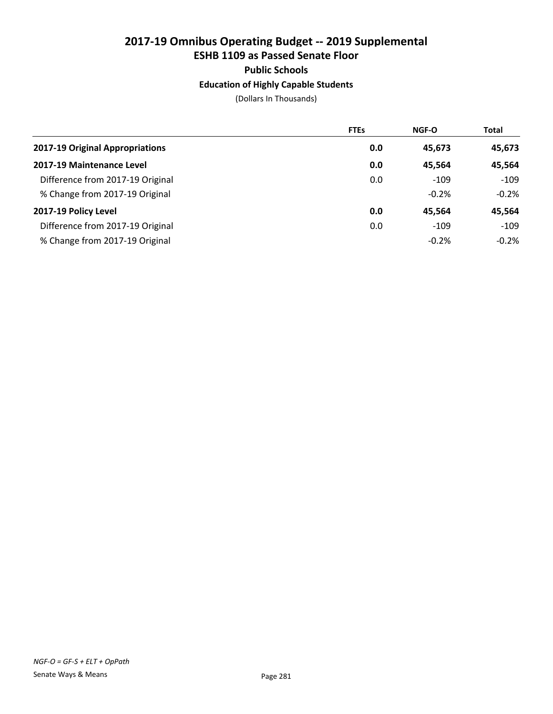### Public Schools

#### Education of Highly Capable Students

|                                  | <b>FTEs</b> | <b>NGF-O</b> | <b>Total</b> |
|----------------------------------|-------------|--------------|--------------|
| 2017-19 Original Appropriations  | 0.0         | 45,673       | 45,673       |
| 2017-19 Maintenance Level        | 0.0         | 45.564       | 45,564       |
| Difference from 2017-19 Original | 0.0         | $-109$       | $-109$       |
| % Change from 2017-19 Original   |             | $-0.2%$      | $-0.2%$      |
| 2017-19 Policy Level             | 0.0         | 45.564       | 45,564       |
| Difference from 2017-19 Original | 0.0         | $-109$       | $-109$       |
| % Change from 2017-19 Original   |             | $-0.2%$      | $-0.2\%$     |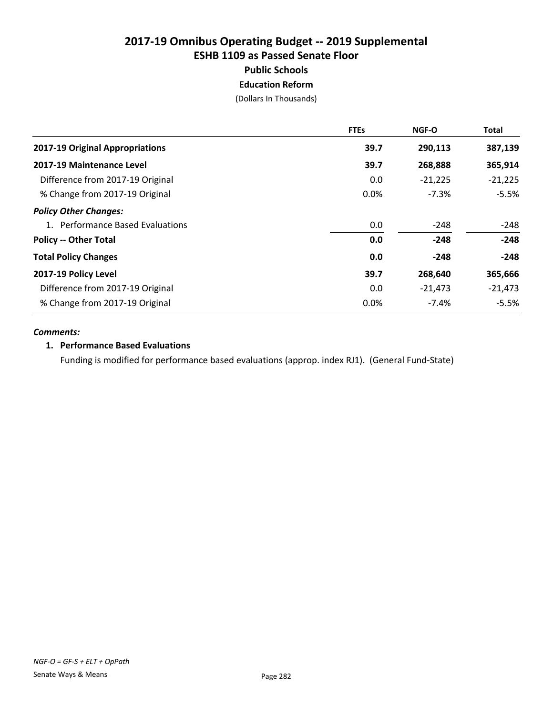Public Schools

Education Reform

(Dollars In Thousands)

|                                  | <b>FTEs</b> | NGF-O     | Total     |
|----------------------------------|-------------|-----------|-----------|
| 2017-19 Original Appropriations  | 39.7        | 290,113   | 387,139   |
| 2017-19 Maintenance Level        | 39.7        | 268,888   | 365,914   |
| Difference from 2017-19 Original | 0.0         | $-21,225$ | $-21,225$ |
| % Change from 2017-19 Original   | 0.0%        | $-7.3%$   | $-5.5%$   |
| <b>Policy Other Changes:</b>     |             |           |           |
| 1. Performance Based Evaluations | 0.0         | -248      | $-248$    |
| <b>Policy -- Other Total</b>     | 0.0         | $-248$    | $-248$    |
| <b>Total Policy Changes</b>      | 0.0         | $-248$    | $-248$    |
| 2017-19 Policy Level             | 39.7        | 268,640   | 365,666   |
| Difference from 2017-19 Original | 0.0         | $-21,473$ | $-21,473$ |
| % Change from 2017-19 Original   | 0.0%        | $-7.4%$   | $-5.5%$   |

#### *Comments:*

#### 1. Performance Based Evaluations

Funding is modified for performance based evaluations (approp. index RJ1). (General Fund-State)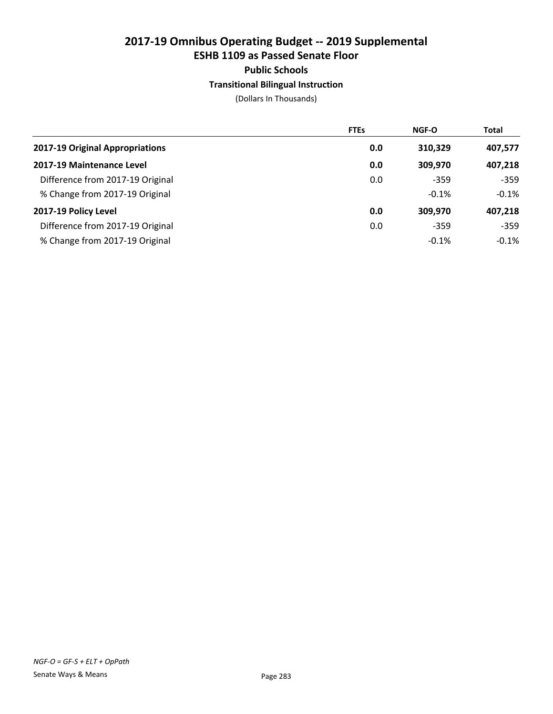#### Public Schools

#### Transitional Bilingual Instruction

|                                  | <b>FTEs</b> | <b>NGF-O</b> | <b>Total</b> |
|----------------------------------|-------------|--------------|--------------|
| 2017-19 Original Appropriations  | 0.0         | 310,329      | 407,577      |
| 2017-19 Maintenance Level        | 0.0         | 309,970      | 407,218      |
| Difference from 2017-19 Original | 0.0         | $-359$       | $-359$       |
| % Change from 2017-19 Original   |             | $-0.1%$      | $-0.1\%$     |
| 2017-19 Policy Level             | 0.0         | 309,970      | 407,218      |
| Difference from 2017-19 Original | 0.0         | $-359$       | $-359$       |
| % Change from 2017-19 Original   |             | $-0.1%$      | $-0.1\%$     |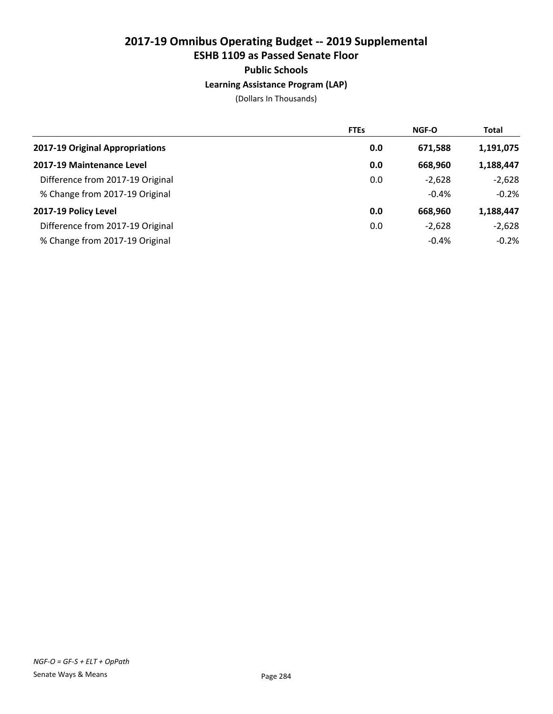#### Public Schools

#### Learning Assistance Program (LAP)

|                                  | <b>FTEs</b> | NGF-O    | <b>Total</b> |
|----------------------------------|-------------|----------|--------------|
| 2017-19 Original Appropriations  | 0.0         | 671,588  | 1,191,075    |
| 2017-19 Maintenance Level        | 0.0         | 668,960  | 1,188,447    |
| Difference from 2017-19 Original | 0.0         | $-2,628$ | $-2,628$     |
| % Change from 2017-19 Original   |             | $-0.4%$  | $-0.2%$      |
| 2017-19 Policy Level             | 0.0         | 668.960  | 1,188,447    |
| Difference from 2017-19 Original | 0.0         | $-2,628$ | $-2,628$     |
| % Change from 2017-19 Original   |             | $-0.4%$  | $-0.2%$      |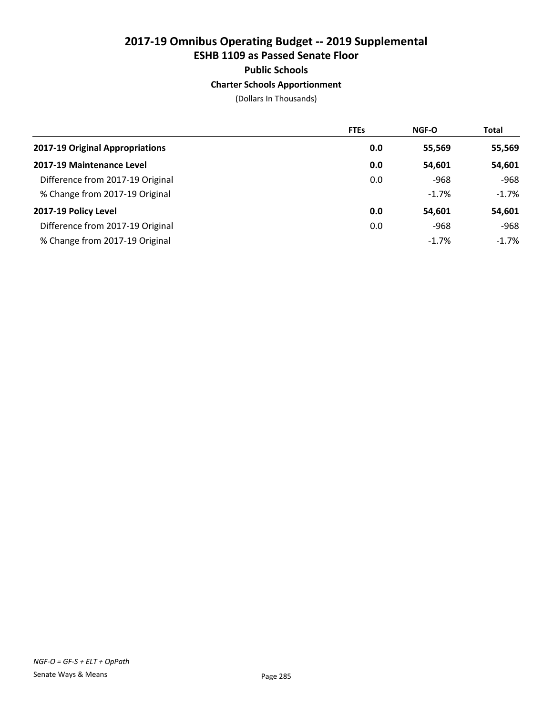# Public Schools

### Charter Schools Apportionment

|                                  | <b>FTEs</b> | <b>NGF-O</b> | <b>Total</b> |
|----------------------------------|-------------|--------------|--------------|
| 2017-19 Original Appropriations  | 0.0         | 55,569       | 55,569       |
| 2017-19 Maintenance Level        | 0.0         | 54,601       | 54,601       |
| Difference from 2017-19 Original | 0.0         | -968         | -968         |
| % Change from 2017-19 Original   |             | $-1.7%$      | $-1.7\%$     |
| 2017-19 Policy Level             | 0.0         | 54,601       | 54,601       |
| Difference from 2017-19 Original | 0.0         | -968         | $-968$       |
| % Change from 2017-19 Original   |             | $-1.7%$      | $-1.7\%$     |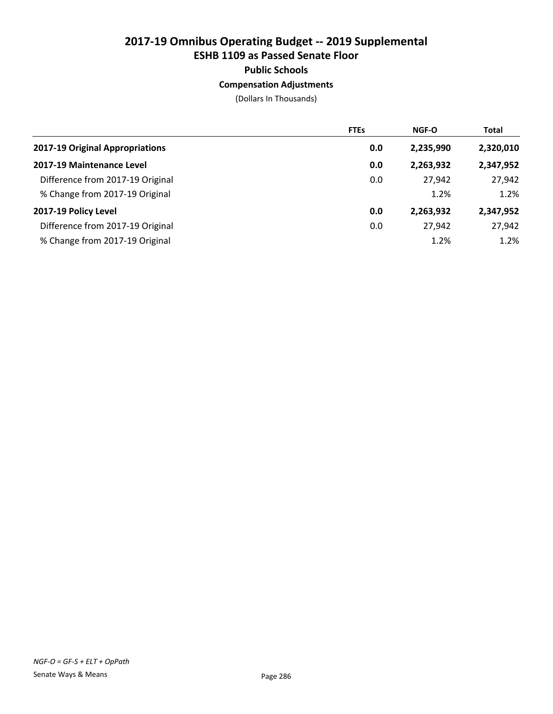### Public Schools

#### Compensation Adjustments

|                                  | <b>FTEs</b> | <b>NGF-O</b> | <b>Total</b> |
|----------------------------------|-------------|--------------|--------------|
| 2017-19 Original Appropriations  | 0.0         | 2,235,990    | 2,320,010    |
| 2017-19 Maintenance Level        | 0.0         | 2,263,932    | 2,347,952    |
| Difference from 2017-19 Original | 0.0         | 27,942       | 27,942       |
| % Change from 2017-19 Original   |             | 1.2%         | 1.2%         |
| 2017-19 Policy Level             | 0.0         | 2,263,932    | 2,347,952    |
| Difference from 2017-19 Original | 0.0         | 27.942       | 27,942       |
| % Change from 2017-19 Original   |             | 1.2%         | 1.2%         |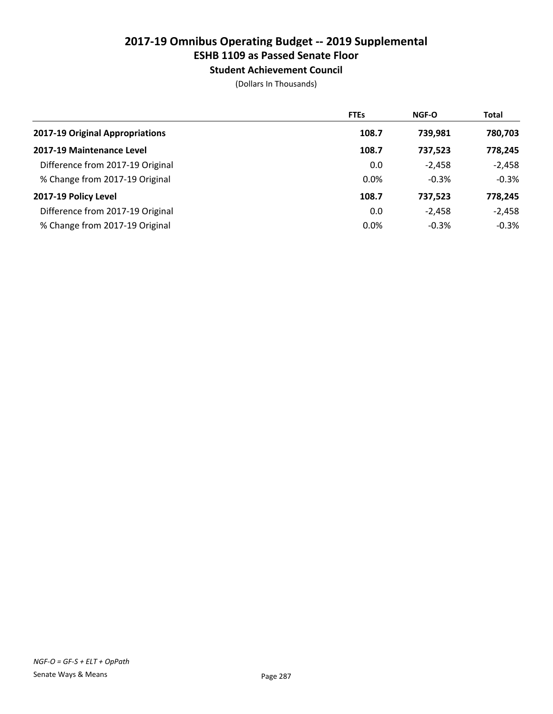# ESHB 1109 as Passed Senate Floor

Student Achievement Council

|                                  | <b>FTEs</b> | <b>NGF-O</b> | <b>Total</b> |
|----------------------------------|-------------|--------------|--------------|
| 2017-19 Original Appropriations  | 108.7       | 739,981      | 780,703      |
| 2017-19 Maintenance Level        | 108.7       | 737,523      | 778,245      |
| Difference from 2017-19 Original | 0.0         | $-2,458$     | $-2,458$     |
| % Change from 2017-19 Original   | 0.0%        | $-0.3%$      | $-0.3%$      |
| 2017-19 Policy Level             | 108.7       | 737,523      | 778,245      |
| Difference from 2017-19 Original | 0.0         | $-2.458$     | $-2,458$     |
| % Change from 2017-19 Original   | 0.0%        | $-0.3%$      | $-0.3%$      |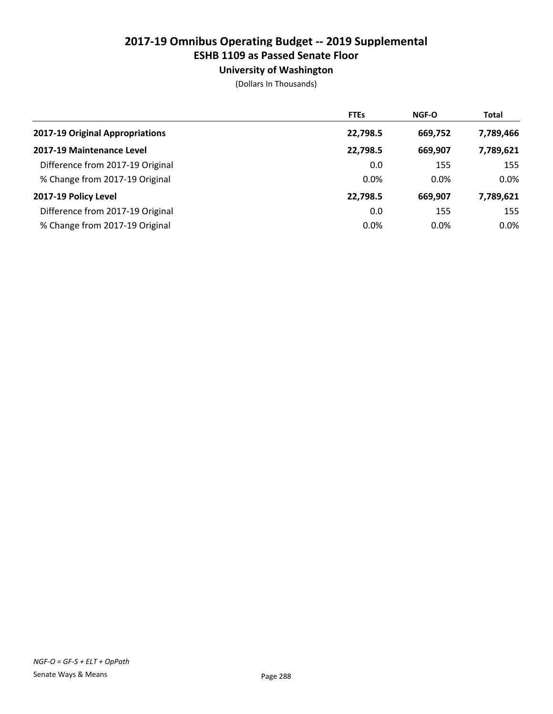# University of Washington

|                                  | <b>FTEs</b> | NGF-O   | <b>Total</b> |
|----------------------------------|-------------|---------|--------------|
| 2017-19 Original Appropriations  | 22,798.5    | 669,752 | 7,789,466    |
| 2017-19 Maintenance Level        | 22,798.5    | 669,907 | 7,789,621    |
| Difference from 2017-19 Original | 0.0         | 155     | 155          |
| % Change from 2017-19 Original   | 0.0%        | $0.0\%$ | 0.0%         |
| 2017-19 Policy Level             | 22,798.5    | 669,907 | 7,789,621    |
| Difference from 2017-19 Original | 0.0         | 155     | 155          |
| % Change from 2017-19 Original   | 0.0%        | $0.0\%$ | $0.0\%$      |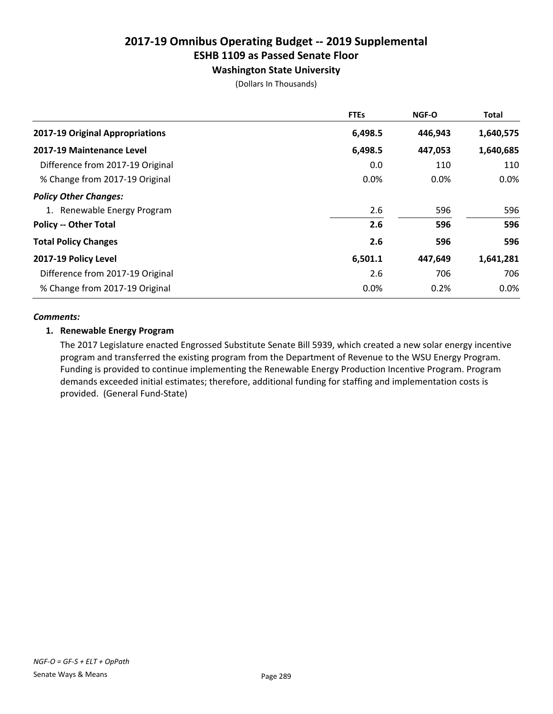# Washington State University

(Dollars In Thousands)

|                                  | <b>FTEs</b> | <b>NGF-O</b> | <b>Total</b> |
|----------------------------------|-------------|--------------|--------------|
| 2017-19 Original Appropriations  | 6,498.5     | 446,943      | 1,640,575    |
| 2017-19 Maintenance Level        | 6,498.5     | 447,053      | 1,640,685    |
| Difference from 2017-19 Original | 0.0         | 110          | 110          |
| % Change from 2017-19 Original   | 0.0%        | $0.0\%$      | 0.0%         |
| <b>Policy Other Changes:</b>     |             |              |              |
| 1. Renewable Energy Program      | 2.6         | 596          | 596          |
| <b>Policy -- Other Total</b>     | 2.6         | 596          | 596          |
| <b>Total Policy Changes</b>      | 2.6         | 596          | 596          |
| 2017-19 Policy Level             | 6,501.1     | 447,649      | 1,641,281    |
| Difference from 2017-19 Original | 2.6         | 706          | 706          |
| % Change from 2017-19 Original   | 0.0%        | 0.2%         | $0.0\%$      |

#### *Comments:*

#### 1. Renewable Energy Program

The 2017 Legislature enacted Engrossed Substitute Senate Bill 5939, which created a new solar energy incentive program and transferred the existing program from the Department of Revenue to the WSU Energy Program. Funding is provided to continue implementing the Renewable Energy Production Incentive Program. Program demands exceeded initial estimates; therefore, additional funding for staffing and implementation costs is provided. (General Fund-State)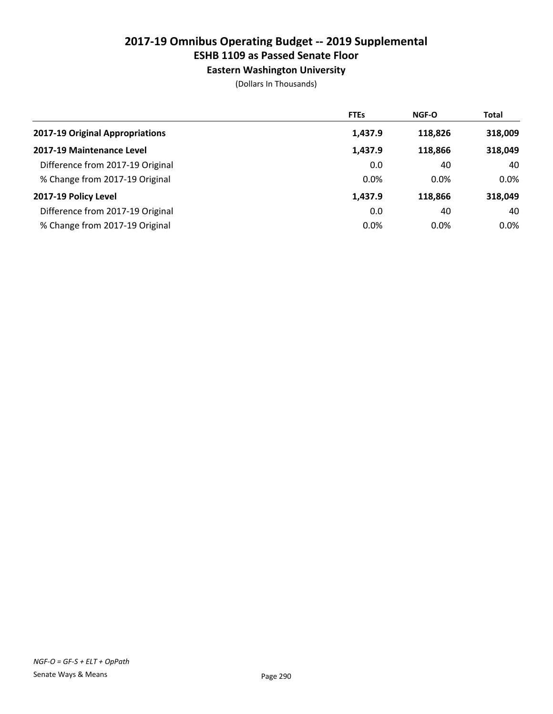# ESHB 1109 as Passed Senate Floor

Eastern Washington University

|                                  | <b>FTEs</b> | NGF-O   | <b>Total</b> |
|----------------------------------|-------------|---------|--------------|
| 2017-19 Original Appropriations  | 1,437.9     | 118,826 | 318,009      |
| 2017-19 Maintenance Level        | 1,437.9     | 118,866 | 318,049      |
| Difference from 2017-19 Original | 0.0         | 40      | 40           |
| % Change from 2017-19 Original   | 0.0%        | $0.0\%$ | $0.0\%$      |
| 2017-19 Policy Level             | 1,437.9     | 118,866 | 318,049      |
| Difference from 2017-19 Original | 0.0         | 40      | 40           |
| % Change from 2017-19 Original   | 0.0%        | $0.0\%$ | $0.0\%$      |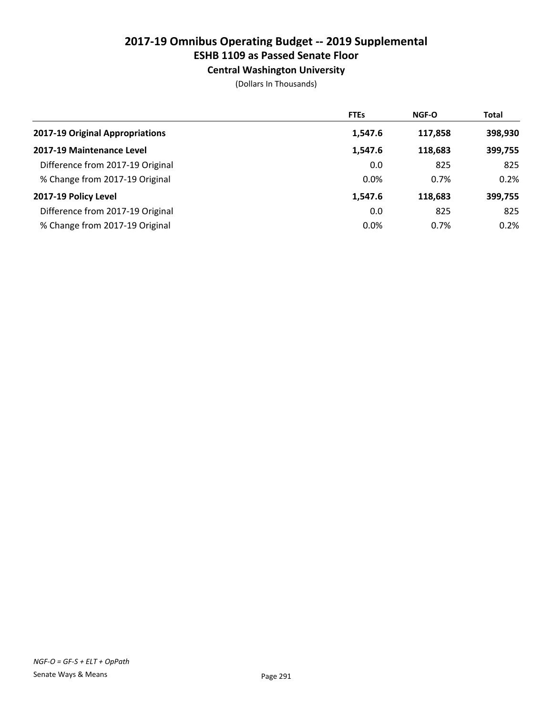# ESHB 1109 as Passed Senate Floor

Central Washington University

|                                  | <b>FTEs</b> | NGF-O   | <b>Total</b> |
|----------------------------------|-------------|---------|--------------|
| 2017-19 Original Appropriations  | 1,547.6     | 117,858 | 398,930      |
| 2017-19 Maintenance Level        | 1,547.6     | 118,683 | 399,755      |
| Difference from 2017-19 Original | 0.0         | 825     | 825          |
| % Change from 2017-19 Original   | 0.0%        | 0.7%    | 0.2%         |
| 2017-19 Policy Level             | 1,547.6     | 118.683 | 399,755      |
| Difference from 2017-19 Original | 0.0         | 825     | 825          |
| % Change from 2017-19 Original   | 0.0%        | 0.7%    | 0.2%         |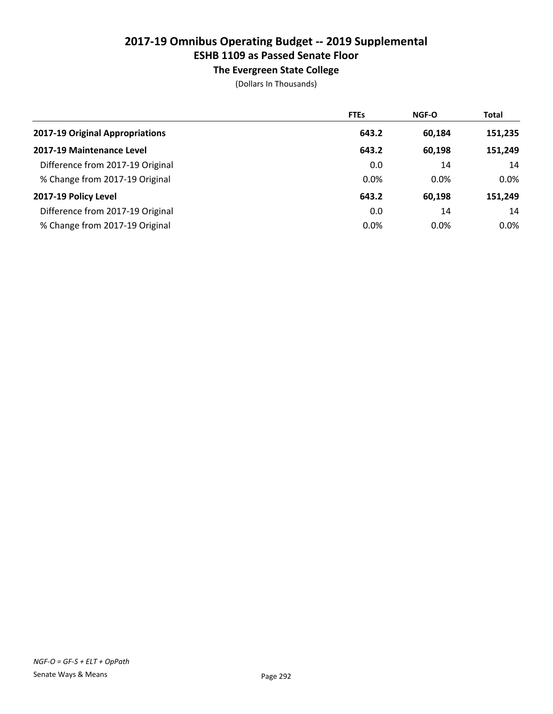# ESHB 1109 as Passed Senate Floor

The Evergreen State College

|                                  | <b>FTEs</b> | NGF-O  | <b>Total</b> |
|----------------------------------|-------------|--------|--------------|
| 2017-19 Original Appropriations  | 643.2       | 60,184 | 151,235      |
| 2017-19 Maintenance Level        | 643.2       | 60,198 | 151,249      |
| Difference from 2017-19 Original | 0.0         | 14     | 14           |
| % Change from 2017-19 Original   | 0.0%        | 0.0%   | $0.0\%$      |
| 2017-19 Policy Level             | 643.2       | 60,198 | 151,249      |
| Difference from 2017-19 Original | 0.0         | 14     | 14           |
| % Change from 2017-19 Original   | 0.0%        | 0.0%   | $0.0\%$      |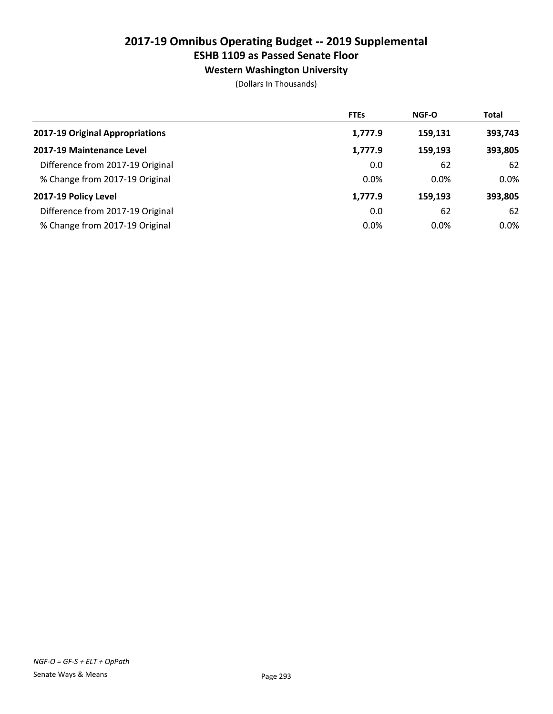## ESHB 1109 as Passed Senate Floor

Western Washington University

|                                  | <b>FTEs</b> | <b>NGF-O</b> | <b>Total</b> |
|----------------------------------|-------------|--------------|--------------|
| 2017-19 Original Appropriations  | 1,777.9     | 159,131      | 393,743      |
| 2017-19 Maintenance Level        | 1,777.9     | 159.193      | 393,805      |
| Difference from 2017-19 Original | 0.0         | 62           | 62           |
| % Change from 2017-19 Original   | 0.0%        | $0.0\%$      | $0.0\%$      |
| 2017-19 Policy Level             | 1,777.9     | 159.193      | 393,805      |
| Difference from 2017-19 Original | 0.0         | 62           | 62           |
| % Change from 2017-19 Original   | 0.0%        | $0.0\%$      | $0.0\%$      |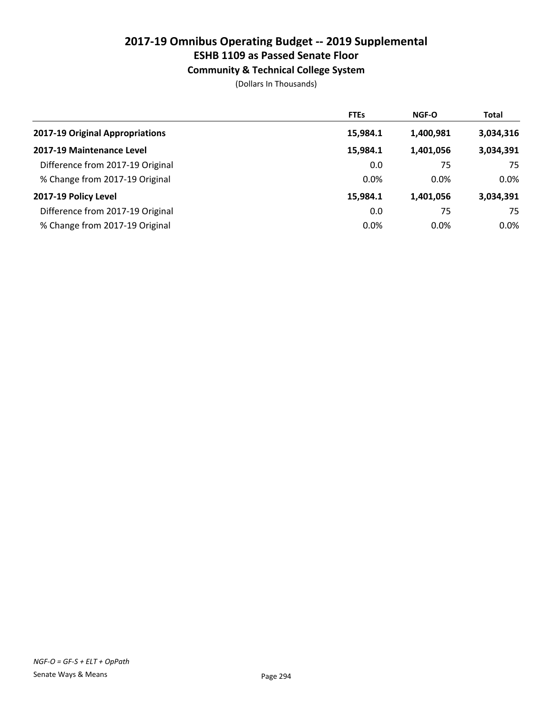## ESHB 1109 as Passed Senate Floor

### Community & Technical College System

|                                  | <b>FTEs</b> | <b>NGF-O</b> | <b>Total</b> |
|----------------------------------|-------------|--------------|--------------|
| 2017-19 Original Appropriations  | 15,984.1    | 1,400,981    | 3,034,316    |
| 2017-19 Maintenance Level        | 15,984.1    | 1,401,056    | 3,034,391    |
| Difference from 2017-19 Original | 0.0         | 75           | 75           |
| % Change from 2017-19 Original   | 0.0%        | $0.0\%$      | $0.0\%$      |
| 2017-19 Policy Level             | 15,984.1    | 1,401,056    | 3,034,391    |
| Difference from 2017-19 Original | 0.0         | 75           | 75           |
| % Change from 2017-19 Original   | 0.0%        | $0.0\%$      | $0.0\%$      |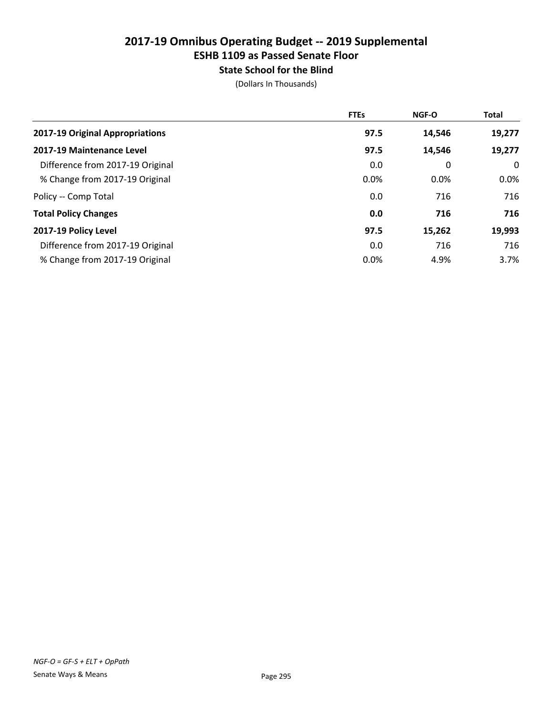# State School for the Blind

|                                  | <b>FTEs</b> | <b>NGF-O</b> | <b>Total</b> |
|----------------------------------|-------------|--------------|--------------|
| 2017-19 Original Appropriations  | 97.5        | 14,546       | 19,277       |
| 2017-19 Maintenance Level        | 97.5        | 14,546       | 19,277       |
| Difference from 2017-19 Original | 0.0         | 0            | 0            |
| % Change from 2017-19 Original   | 0.0%        | 0.0%         | $0.0\%$      |
| Policy -- Comp Total             | 0.0         | 716          | 716          |
| <b>Total Policy Changes</b>      | 0.0         | 716          | 716          |
| 2017-19 Policy Level             | 97.5        | 15,262       | 19,993       |
| Difference from 2017-19 Original | 0.0         | 716          | 716          |
| % Change from 2017-19 Original   | 0.0%        | 4.9%         | 3.7%         |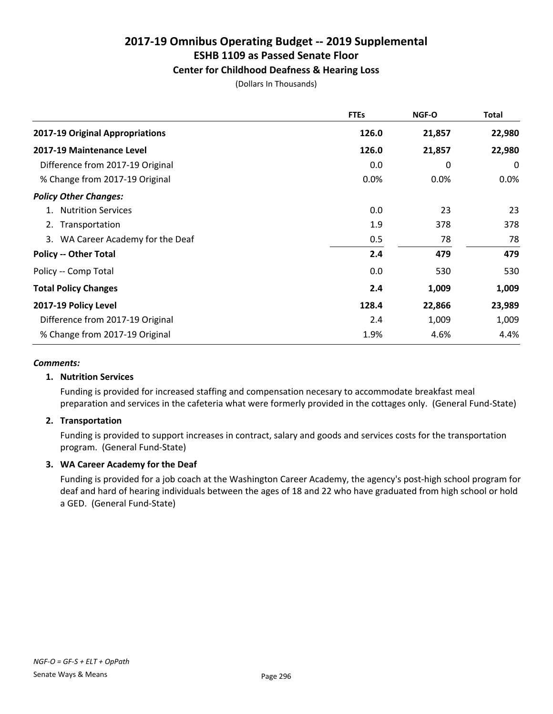#### Center for Childhood Deafness & Hearing Loss

(Dollars In Thousands)

|                                   | <b>FTEs</b> | NGF-O  | Total   |
|-----------------------------------|-------------|--------|---------|
| 2017-19 Original Appropriations   | 126.0       | 21,857 | 22,980  |
| 2017-19 Maintenance Level         | 126.0       | 21,857 | 22,980  |
| Difference from 2017-19 Original  | 0.0         | 0      | 0       |
| % Change from 2017-19 Original    | $0.0\%$     | 0.0%   | $0.0\%$ |
| <b>Policy Other Changes:</b>      |             |        |         |
| <b>Nutrition Services</b>         | 0.0         | 23     | 23      |
| 2. Transportation                 | 1.9         | 378    | 378     |
| 3. WA Career Academy for the Deaf | 0.5         | 78     | 78      |
| <b>Policy -- Other Total</b>      | 2.4         | 479    | 479     |
| Policy -- Comp Total              | 0.0         | 530    | 530     |
| <b>Total Policy Changes</b>       | 2.4         | 1,009  | 1,009   |
| 2017-19 Policy Level              | 128.4       | 22,866 | 23,989  |
| Difference from 2017-19 Original  | 2.4         | 1,009  | 1,009   |
| % Change from 2017-19 Original    | 1.9%        | 4.6%   | 4.4%    |

#### *Comments:*

#### 1. Nutrition Services

Funding is provided for increased staffing and compensation necesary to accommodate breakfast meal preparation and services in the cafeteria what were formerly provided in the cottages only. (General Fund-State)

#### 2. Transportation

Funding is provided to support increases in contract, salary and goods and services costs for the transportation program. (General Fund-State)

#### 3. WA Career Academy for the Deaf

Funding is provided for a job coach at the Washington Career Academy, the agency's post-high school program for deaf and hard of hearing individuals between the ages of 18 and 22 who have graduated from high school or hold a GED. (General Fund-State)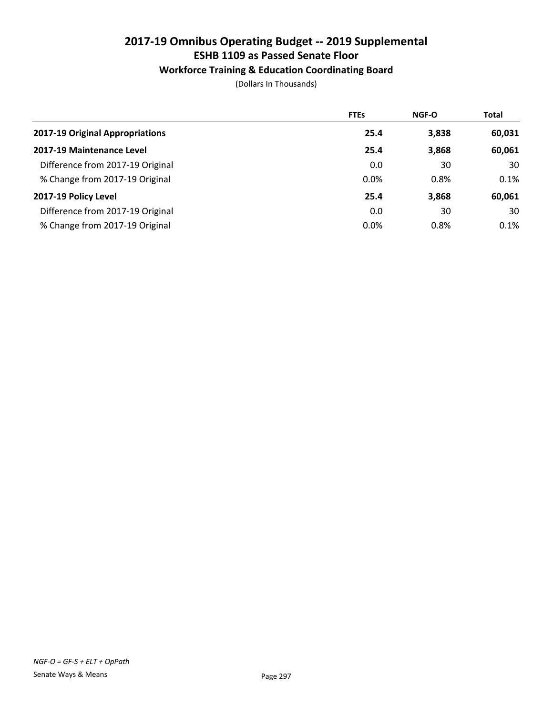#### Workforce Training & Education Coordinating Board

|                                  | <b>FTEs</b> | <b>NGF-O</b> | <b>Total</b> |
|----------------------------------|-------------|--------------|--------------|
| 2017-19 Original Appropriations  | 25.4        | 3,838        | 60,031       |
| 2017-19 Maintenance Level        | 25.4        | 3,868        | 60,061       |
| Difference from 2017-19 Original | 0.0         | 30           | 30           |
| % Change from 2017-19 Original   | 0.0%        | 0.8%         | 0.1%         |
| 2017-19 Policy Level             | 25.4        | 3,868        | 60,061       |
| Difference from 2017-19 Original | 0.0         | 30           | 30           |
| % Change from 2017-19 Original   | 0.0%        | 0.8%         | $0.1\%$      |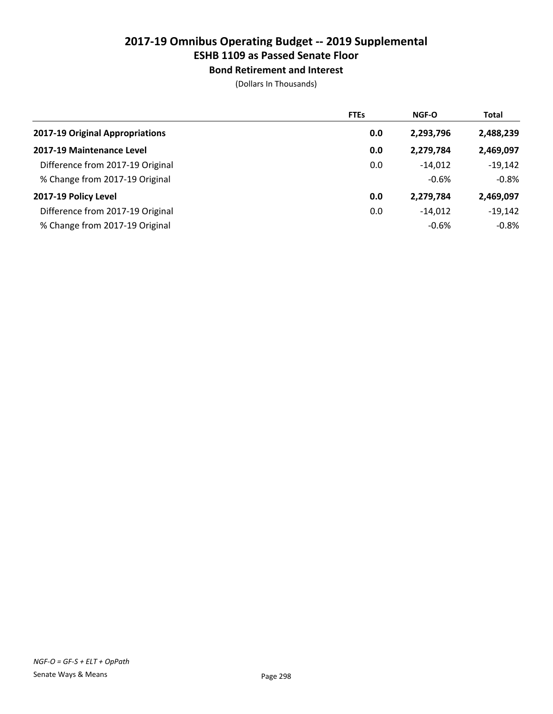# ESHB 1109 as Passed Senate Floor

Bond Retirement and Interest

|                                  | <b>FTEs</b> | <b>NGF-O</b> | <b>Total</b> |
|----------------------------------|-------------|--------------|--------------|
| 2017-19 Original Appropriations  | 0.0         | 2,293,796    | 2,488,239    |
| 2017-19 Maintenance Level        | 0.0         | 2,279,784    | 2,469,097    |
| Difference from 2017-19 Original | 0.0         | $-14.012$    | $-19,142$    |
| % Change from 2017-19 Original   |             | $-0.6%$      | $-0.8%$      |
| 2017-19 Policy Level             | 0.0         | 2,279,784    | 2,469,097    |
| Difference from 2017-19 Original | 0.0         | $-14.012$    | $-19.142$    |
| % Change from 2017-19 Original   |             | $-0.6%$      | $-0.8%$      |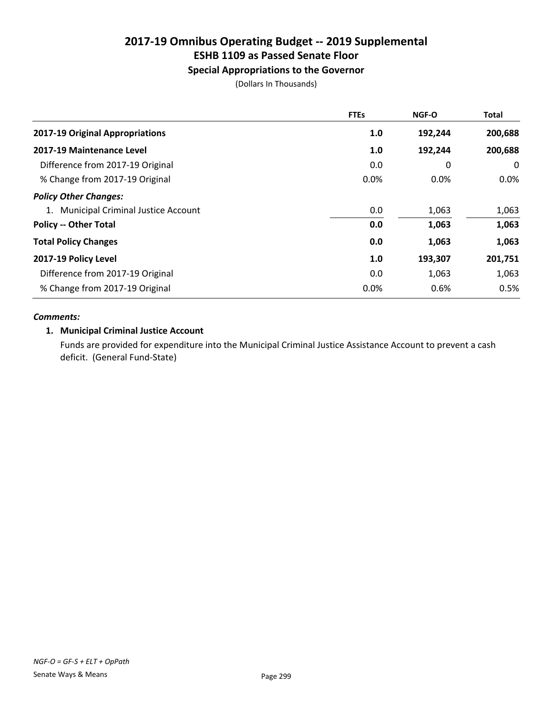# ESHB 1109 as Passed Senate Floor

## Special Appropriations to the Governor

(Dollars In Thousands)

|                                       | <b>FTEs</b> | <b>NGF-O</b> | <b>Total</b> |
|---------------------------------------|-------------|--------------|--------------|
| 2017-19 Original Appropriations       | 1.0         | 192,244      | 200,688      |
| 2017-19 Maintenance Level             | 1.0         | 192,244      | 200,688      |
| Difference from 2017-19 Original      | 0.0         | 0            | 0            |
| % Change from 2017-19 Original        | 0.0%        | 0.0%         | $0.0\%$      |
| <b>Policy Other Changes:</b>          |             |              |              |
| 1. Municipal Criminal Justice Account | 0.0         | 1,063        | 1,063        |
| <b>Policy -- Other Total</b>          | 0.0         | 1,063        | 1,063        |
| <b>Total Policy Changes</b>           | 0.0         | 1,063        | 1,063        |
| 2017-19 Policy Level                  | 1.0         | 193,307      | 201,751      |
| Difference from 2017-19 Original      | 0.0         | 1,063        | 1,063        |
| % Change from 2017-19 Original        | 0.0%        | 0.6%         | 0.5%         |

#### *Comments:*

#### 1. Municipal Criminal Justice Account

Funds are provided for expenditure into the Municipal Criminal Justice Assistance Account to prevent a cash deficit. (General Fund-State)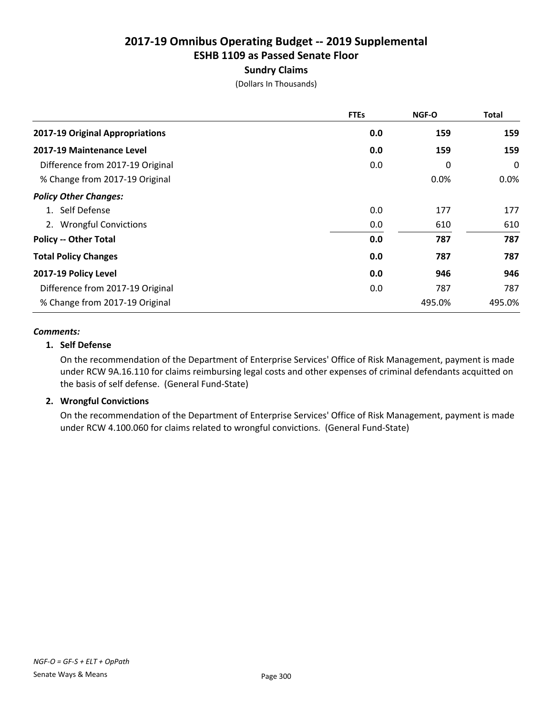#### Sundry Claims

(Dollars In Thousands)

|                                  | <b>FTEs</b> | NGF-O  | <b>Total</b> |
|----------------------------------|-------------|--------|--------------|
| 2017-19 Original Appropriations  | 0.0         | 159    | 159          |
| 2017-19 Maintenance Level        | 0.0         | 159    | 159          |
| Difference from 2017-19 Original | 0.0         | 0      | 0            |
| % Change from 2017-19 Original   |             | 0.0%   | $0.0\%$      |
| <b>Policy Other Changes:</b>     |             |        |              |
| 1. Self Defense                  | 0.0         | 177    | 177          |
| 2. Wrongful Convictions          | 0.0         | 610    | 610          |
| <b>Policy -- Other Total</b>     | 0.0         | 787    | 787          |
| <b>Total Policy Changes</b>      | 0.0         | 787    | 787          |
| 2017-19 Policy Level             | 0.0         | 946    | 946          |
| Difference from 2017-19 Original | 0.0         | 787    | 787          |
| % Change from 2017-19 Original   |             | 495.0% | 495.0%       |

#### *Comments:*

#### 1. Self Defense

On the recommendation of the Department of Enterprise Services' Office of Risk Management, payment is made under RCW 9A.16.110 for claims reimbursing legal costs and other expenses of criminal defendants acquitted on the basis of self defense. (General Fund-State)

#### 2. Wrongful Convictions

On the recommendation of the Department of Enterprise Services' Office of Risk Management, payment is made under RCW 4.100.060 for claims related to wrongful convictions. (General Fund-State)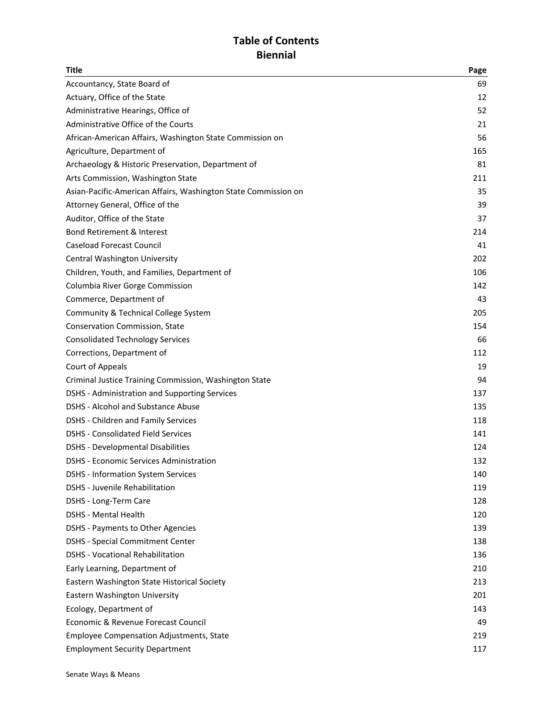## **Table of Contents Biennial**

| <b>Title</b>                                                   | Page |
|----------------------------------------------------------------|------|
| Accountancy, State Board of                                    | 69   |
| Actuary, Office of the State                                   | 12   |
| Administrative Hearings, Office of                             | 52   |
| Administrative Office of the Courts                            | 21   |
| African-American Affairs, Washington State Commission on       | 56   |
| Agriculture, Department of                                     | 165  |
| Archaeology & Historic Preservation, Department of             | 81   |
| Arts Commission, Washington State                              | 211  |
| Asian-Pacific-American Affairs, Washington State Commission on | 35   |
| Attorney General, Office of the                                | 39   |
| Auditor, Office of the State                                   | 37   |
| <b>Bond Retirement &amp; Interest</b>                          | 214  |
| <b>Caseload Forecast Council</b>                               | 41   |
| Central Washington University                                  | 202  |
| Children, Youth, and Families, Department of                   | 106  |
| Columbia River Gorge Commission                                | 142  |
| Commerce, Department of                                        | 43   |
| Community & Technical College System                           | 205  |
| Conservation Commission, State                                 | 154  |
| <b>Consolidated Technology Services</b>                        | 66   |
| Corrections, Department of                                     | 112  |
| Court of Appeals                                               | 19   |
| Criminal Justice Training Commission, Washington State         | 94   |
| DSHS - Administration and Supporting Services                  | 137  |
| <b>DSHS - Alcohol and Substance Abuse</b>                      | 135  |
| DSHS - Children and Family Services                            | 118  |
| <b>DSHS - Consolidated Field Services</b>                      | 141  |
| <b>DSHS - Developmental Disabilities</b>                       | 124  |
| <b>DSHS - Economic Services Administration</b>                 | 132  |
| <b>DSHS - Information System Services</b>                      | 140  |
| DSHS - Juvenile Rehabilitation                                 | 119  |
| DSHS - Long-Term Care                                          | 128  |
| <b>DSHS - Mental Health</b>                                    | 120  |
| DSHS - Payments to Other Agencies                              | 139  |
| <b>DSHS - Special Commitment Center</b>                        | 138  |
| <b>DSHS - Vocational Rehabilitation</b>                        | 136  |
| Early Learning, Department of                                  | 210  |
| Eastern Washington State Historical Society                    | 213  |
| Eastern Washington University                                  | 201  |
| Ecology, Department of                                         | 143  |
| Economic & Revenue Forecast Council                            | 49   |
| <b>Employee Compensation Adjustments, State</b>                | 219  |
| <b>Employment Security Department</b>                          | 117  |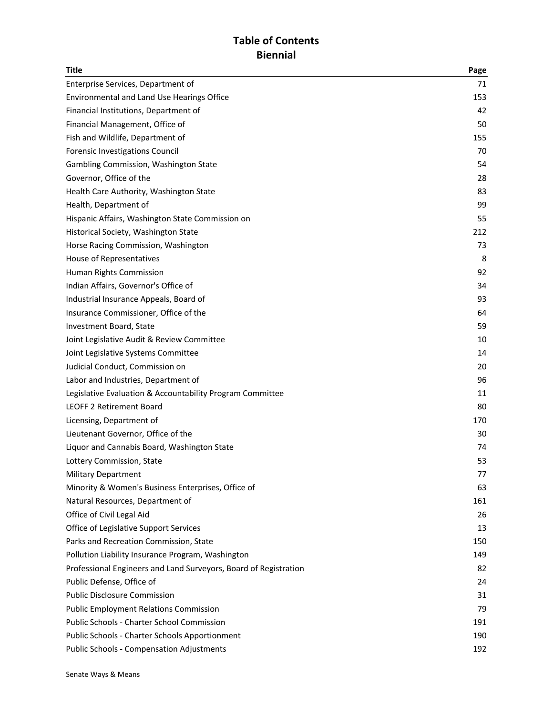## **Table of Contents Biennial**

| <b>Title</b>                                                     | Page |
|------------------------------------------------------------------|------|
| Enterprise Services, Department of                               | 71   |
| Environmental and Land Use Hearings Office                       | 153  |
| Financial Institutions, Department of                            | 42   |
| Financial Management, Office of                                  | 50   |
| Fish and Wildlife, Department of                                 | 155  |
| Forensic Investigations Council                                  | 70   |
| Gambling Commission, Washington State                            | 54   |
| Governor, Office of the                                          | 28   |
| Health Care Authority, Washington State                          | 83   |
| Health, Department of                                            | 99   |
| Hispanic Affairs, Washington State Commission on                 | 55   |
| Historical Society, Washington State                             | 212  |
| Horse Racing Commission, Washington                              | 73   |
| <b>House of Representatives</b>                                  | 8    |
| Human Rights Commission                                          | 92   |
| Indian Affairs, Governor's Office of                             | 34   |
| Industrial Insurance Appeals, Board of                           | 93   |
| Insurance Commissioner, Office of the                            | 64   |
| Investment Board, State                                          | 59   |
| Joint Legislative Audit & Review Committee                       | 10   |
| Joint Legislative Systems Committee                              | 14   |
| Judicial Conduct, Commission on                                  | 20   |
| Labor and Industries, Department of                              | 96   |
| Legislative Evaluation & Accountability Program Committee        | 11   |
| <b>LEOFF 2 Retirement Board</b>                                  | 80   |
| Licensing, Department of                                         | 170  |
| Lieutenant Governor, Office of the                               | 30   |
| Liquor and Cannabis Board, Washington State                      | 74   |
| Lottery Commission, State                                        | 53   |
| <b>Military Department</b>                                       | 77   |
| Minority & Women's Business Enterprises, Office of               | 63   |
| Natural Resources, Department of                                 | 161  |
| Office of Civil Legal Aid                                        | 26   |
| Office of Legislative Support Services                           | 13   |
| Parks and Recreation Commission, State                           | 150  |
| Pollution Liability Insurance Program, Washington                | 149  |
| Professional Engineers and Land Surveyors, Board of Registration | 82   |
| Public Defense, Office of                                        | 24   |
| <b>Public Disclosure Commission</b>                              | 31   |
| <b>Public Employment Relations Commission</b>                    | 79   |
| <b>Public Schools - Charter School Commission</b>                | 191  |
| Public Schools - Charter Schools Apportionment                   | 190  |
| <b>Public Schools - Compensation Adjustments</b>                 | 192  |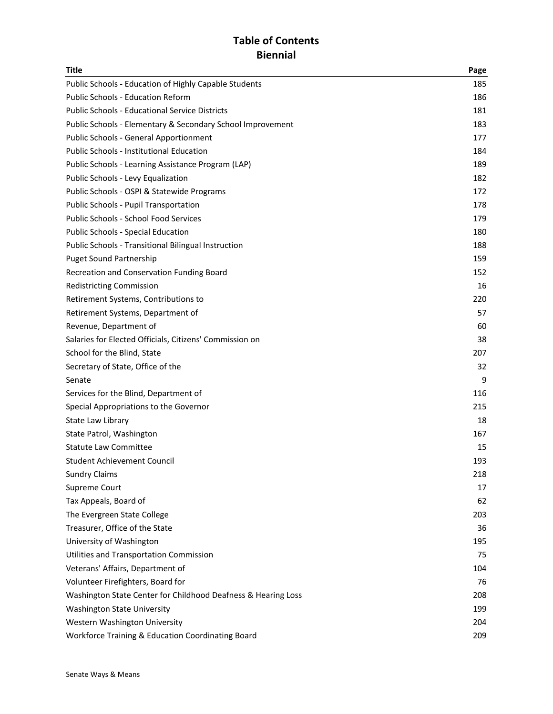## **Table of Contents Biennial**

| <b>Title</b>                                                  | Page |
|---------------------------------------------------------------|------|
| Public Schools - Education of Highly Capable Students         | 185  |
| <b>Public Schools - Education Reform</b>                      | 186  |
| <b>Public Schools - Educational Service Districts</b>         | 181  |
| Public Schools - Elementary & Secondary School Improvement    | 183  |
| Public Schools - General Apportionment                        | 177  |
| <b>Public Schools - Institutional Education</b>               | 184  |
| Public Schools - Learning Assistance Program (LAP)            | 189  |
| Public Schools - Levy Equalization                            | 182  |
| Public Schools - OSPI & Statewide Programs                    | 172  |
| Public Schools - Pupil Transportation                         | 178  |
| Public Schools - School Food Services                         | 179  |
| Public Schools - Special Education                            | 180  |
| Public Schools - Transitional Bilingual Instruction           | 188  |
| <b>Puget Sound Partnership</b>                                | 159  |
| Recreation and Conservation Funding Board                     | 152  |
| <b>Redistricting Commission</b>                               | 16   |
| Retirement Systems, Contributions to                          | 220  |
| Retirement Systems, Department of                             | 57   |
| Revenue, Department of                                        | 60   |
| Salaries for Elected Officials, Citizens' Commission on       | 38   |
| School for the Blind, State                                   | 207  |
| Secretary of State, Office of the                             | 32   |
| Senate                                                        | 9    |
| Services for the Blind, Department of                         | 116  |
| Special Appropriations to the Governor                        | 215  |
| State Law Library                                             | 18   |
| State Patrol, Washington                                      | 167  |
| <b>Statute Law Committee</b>                                  | 15   |
| <b>Student Achievement Council</b>                            | 193  |
| <b>Sundry Claims</b>                                          | 218  |
| Supreme Court                                                 | 17   |
| Tax Appeals, Board of                                         | 62   |
| The Evergreen State College                                   | 203  |
| Treasurer, Office of the State                                | 36   |
| University of Washington                                      | 195  |
| Utilities and Transportation Commission                       | 75   |
| Veterans' Affairs, Department of                              | 104  |
| Volunteer Firefighters, Board for                             | 76   |
| Washington State Center for Childhood Deafness & Hearing Loss | 208  |
| <b>Washington State University</b>                            | 199  |
| Western Washington University                                 | 204  |
| Workforce Training & Education Coordinating Board             | 209  |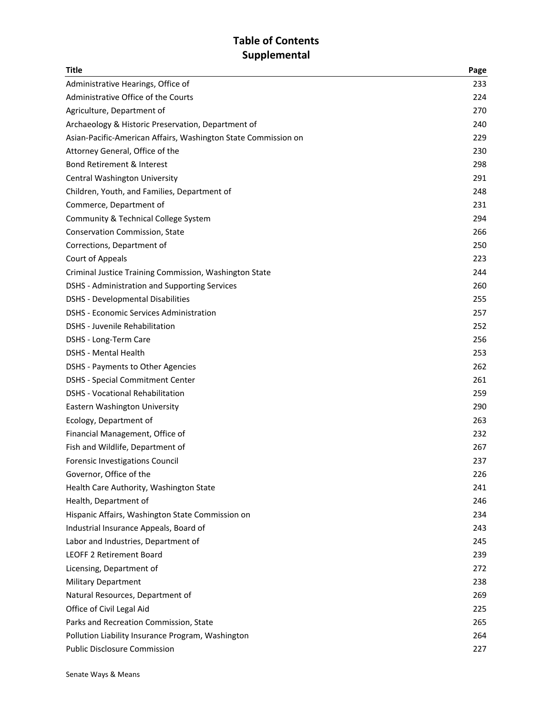## Table of Contents **Supplemental**

| <b>Title</b>                                                   | Page |
|----------------------------------------------------------------|------|
| Administrative Hearings, Office of                             | 233  |
| Administrative Office of the Courts                            | 224  |
| Agriculture, Department of                                     | 270  |
| Archaeology & Historic Preservation, Department of             | 240  |
| Asian-Pacific-American Affairs, Washington State Commission on | 229  |
| Attorney General, Office of the                                | 230  |
| <b>Bond Retirement &amp; Interest</b>                          | 298  |
| Central Washington University                                  | 291  |
| Children, Youth, and Families, Department of                   | 248  |
| Commerce, Department of                                        | 231  |
| Community & Technical College System                           | 294  |
| <b>Conservation Commission, State</b>                          | 266  |
| Corrections, Department of                                     | 250  |
| Court of Appeals                                               | 223  |
| Criminal Justice Training Commission, Washington State         | 244  |
| DSHS - Administration and Supporting Services                  | 260  |
| <b>DSHS</b> - Developmental Disabilities                       | 255  |
| <b>DSHS - Economic Services Administration</b>                 | 257  |
| <b>DSHS</b> - Juvenile Rehabilitation                          | 252  |
| DSHS - Long-Term Care                                          | 256  |
| <b>DSHS - Mental Health</b>                                    | 253  |
| DSHS - Payments to Other Agencies                              | 262  |
| <b>DSHS - Special Commitment Center</b>                        | 261  |
| <b>DSHS - Vocational Rehabilitation</b>                        | 259  |
| Eastern Washington University                                  | 290  |
| Ecology, Department of                                         | 263  |
| Financial Management, Office of                                | 232  |
| Fish and Wildlife, Department of                               | 267  |
| Forensic Investigations Council                                | 237  |
| Governor, Office of the                                        | 226  |
| Health Care Authority, Washington State                        | 241  |
| Health, Department of                                          | 246  |
| Hispanic Affairs, Washington State Commission on               | 234  |
| Industrial Insurance Appeals, Board of                         | 243  |
| Labor and Industries, Department of                            | 245  |
| <b>LEOFF 2 Retirement Board</b>                                | 239  |
| Licensing, Department of                                       | 272  |
| <b>Military Department</b>                                     | 238  |
| Natural Resources, Department of                               | 269  |
| Office of Civil Legal Aid                                      | 225  |
| Parks and Recreation Commission, State                         | 265  |
| Pollution Liability Insurance Program, Washington              | 264  |
| <b>Public Disclosure Commission</b>                            | 227  |